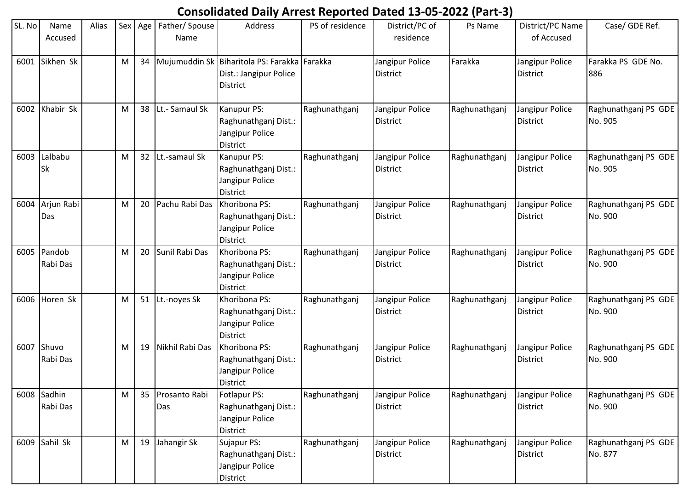## **Consolidated Daily Arrest Reported Dated 13-05-2022 (Part-3)**

| SL. No | Name<br>Accused         | Alias |   | Sex Age | Father/Spouse<br>Name | Address                                                                                            | PS of residence | District/PC of<br>residence        | Ps Name       | District/PC Name<br>of Accused     | Case/ GDE Ref.                  |
|--------|-------------------------|-------|---|---------|-----------------------|----------------------------------------------------------------------------------------------------|-----------------|------------------------------------|---------------|------------------------------------|---------------------------------|
| 6001   | Sikhen Sk               |       | M |         |                       | 34   Mujumuddin Sk   Biharitola PS: Farakka   Farakka<br>Dist.: Jangipur Police<br><b>District</b> |                 | Jangipur Police<br>District        | Farakka       | Jangipur Police<br><b>District</b> | Farakka PS GDE No.<br>886       |
| 6002   | Khabir Sk               |       | M |         | 38 Lt.- Samaul Sk     | Kanupur PS:<br>Raghunathganj Dist.:<br>Jangipur Police<br><b>District</b>                          | Raghunathganj   | Jangipur Police<br><b>District</b> | Raghunathganj | Jangipur Police<br><b>District</b> | Raghunathganj PS GDE<br>No. 905 |
| 6003   | Lalbabu<br><b>Sk</b>    |       | M | 32      | Lt.-samaul Sk         | Kanupur PS:<br>Raghunathganj Dist.:<br>Jangipur Police<br><b>District</b>                          | Raghunathganj   | Jangipur Police<br><b>District</b> | Raghunathganj | Jangipur Police<br><b>District</b> | Raghunathganj PS GDE<br>No. 905 |
| 6004   | Arjun Rabi<br>Das       |       | M | 20      | Pachu Rabi Das        | Khoribona PS:<br>Raghunathganj Dist.:<br>Jangipur Police<br><b>District</b>                        | Raghunathganj   | Jangipur Police<br><b>District</b> | Raghunathganj | Jangipur Police<br><b>District</b> | Raghunathganj PS GDE<br>No. 900 |
|        | 6005 Pandob<br>Rabi Das |       | M | 20      | Sunil Rabi Das        | Khoribona PS:<br>Raghunathganj Dist.:<br>Jangipur Police<br><b>District</b>                        | Raghunathganj   | Jangipur Police<br>District        | Raghunathganj | Jangipur Police<br><b>District</b> | Raghunathganj PS GDE<br>No. 900 |
| 6006   | Horen Sk                |       | M |         | 51 Lt.-noyes Sk       | Khoribona PS:<br>Raghunathganj Dist.:<br>Jangipur Police<br><b>District</b>                        | Raghunathganj   | Jangipur Police<br><b>District</b> | Raghunathganj | Jangipur Police<br><b>District</b> | Raghunathganj PS GDE<br>No. 900 |
| 6007   | Shuvo<br>Rabi Das       |       | M | 19      | Nikhil Rabi Das       | Khoribona PS:<br>Raghunathganj Dist.:<br>Jangipur Police<br>District                               | Raghunathganj   | Jangipur Police<br><b>District</b> | Raghunathganj | Jangipur Police<br><b>District</b> | Raghunathganj PS GDE<br>No. 900 |
|        | 6008 Sadhin<br>Rabi Das |       | M | 35      | Prosanto Rabi<br>Das  | Fotlapur PS:<br>Raghunathganj Dist.:<br>Jangipur Police<br><b>District</b>                         | Raghunathganj   | Jangipur Police<br><b>District</b> | Raghunathganj | Jangipur Police<br>District        | Raghunathganj PS GDE<br>No. 900 |
|        | 6009 Sahil Sk           |       | M |         | 19 Jahangir Sk        | Sujapur PS:<br>Raghunathganj Dist.:<br>Jangipur Police<br><b>District</b>                          | Raghunathganj   | Jangipur Police<br><b>District</b> | Raghunathganj | Jangipur Police<br>District        | Raghunathganj PS GDE<br>No. 877 |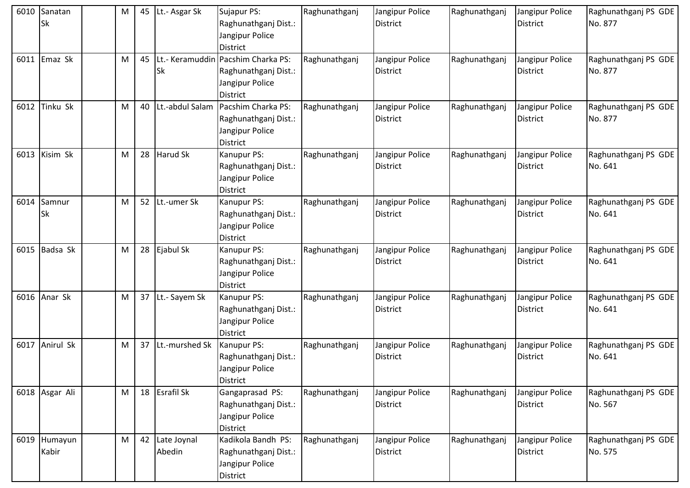|      | 6010 Sanatan<br><b>Sk</b> | М | 45 | Lt.- Asgar Sk         | Sujapur PS:<br>Raghunathganj Dist.:<br>Jangipur Police<br><b>District</b>                        | Raghunathganj | Jangipur Police<br><b>District</b> | Raghunathganj | Jangipur Police<br><b>District</b> | Raghunathganj PS GDE<br>No. 877 |
|------|---------------------------|---|----|-----------------------|--------------------------------------------------------------------------------------------------|---------------|------------------------------------|---------------|------------------------------------|---------------------------------|
| 6011 | Emaz Sk                   | M | 45 | Sk                    | Lt.- Keramuddin Pacshim Charka PS:<br>Raghunathganj Dist.:<br>Jangipur Police<br><b>District</b> | Raghunathganj | Jangipur Police<br><b>District</b> | Raghunathganj | Jangipur Police<br>District        | Raghunathganj PS GDE<br>No. 877 |
| 6012 | Tinku Sk                  | M | 40 | Lt.-abdul Salam       | Pacshim Charka PS:<br>Raghunathganj Dist.:<br>Jangipur Police<br><b>District</b>                 | Raghunathganj | Jangipur Police<br><b>District</b> | Raghunathganj | Jangipur Police<br><b>District</b> | Raghunathganj PS GDE<br>No. 877 |
| 6013 | Kisim Sk                  | M | 28 | Harud Sk              | Kanupur PS:<br>Raghunathganj Dist.:<br>Jangipur Police<br><b>District</b>                        | Raghunathganj | Jangipur Police<br><b>District</b> | Raghunathganj | Jangipur Police<br><b>District</b> | Raghunathganj PS GDE<br>No. 641 |
| 6014 | Samnur<br><b>Sk</b>       | M | 52 | Lt.-umer Sk           | Kanupur PS:<br>Raghunathganj Dist.:<br>Jangipur Police<br><b>District</b>                        | Raghunathganj | Jangipur Police<br><b>District</b> | Raghunathganj | Jangipur Police<br><b>District</b> | Raghunathganj PS GDE<br>No. 641 |
| 6015 | Badsa Sk                  | M | 28 | Ejabul Sk             | Kanupur PS:<br>Raghunathganj Dist.:<br>Jangipur Police<br><b>District</b>                        | Raghunathganj | Jangipur Police<br><b>District</b> | Raghunathganj | Jangipur Police<br><b>District</b> | Raghunathganj PS GDE<br>No. 641 |
|      | 6016 Anar Sk              | M | 37 | Lt.- Sayem Sk         | Kanupur PS:<br>Raghunathganj Dist.:<br>Jangipur Police<br><b>District</b>                        | Raghunathganj | Jangipur Police<br><b>District</b> | Raghunathganj | Jangipur Police<br><b>District</b> | Raghunathganj PS GDE<br>No. 641 |
| 6017 | Anirul Sk                 | M | 37 | Lt.-murshed Sk        | Kanupur PS:<br>Raghunathganj Dist.:<br>Jangipur Police<br>District                               | Raghunathganj | Jangipur Police<br>District        | Raghunathganj | Jangipur Police<br>District        | Raghunathganj PS GDE<br>No. 641 |
|      | 6018 Asgar Ali            | M | 18 | Esrafil Sk            | Gangaprasad PS:<br>Raghunathganj Dist.:<br>Jangipur Police<br><b>District</b>                    | Raghunathganj | Jangipur Police<br><b>District</b> | Raghunathganj | Jangipur Police<br><b>District</b> | Raghunathganj PS GDE<br>No. 567 |
|      | 6019 Humayun<br>Kabir     | M | 42 | Late Joynal<br>Abedin | Kadikola Bandh PS:<br>Raghunathganj Dist.:<br>Jangipur Police<br>District                        | Raghunathganj | Jangipur Police<br><b>District</b> | Raghunathganj | Jangipur Police<br><b>District</b> | Raghunathganj PS GDE<br>No. 575 |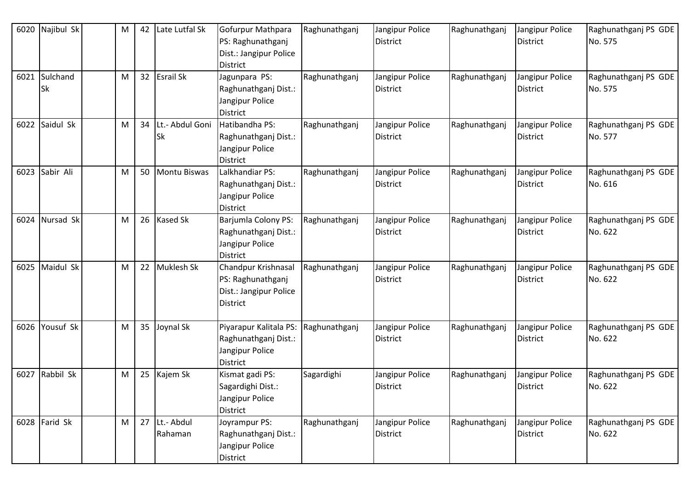| 6020 | Najibul Sk            | M | 42 | Late Lutfal Sk        | Gofurpur Mathpara<br>PS: Raghunathganj<br>Dist.: Jangipur Police<br><b>District</b>   | Raghunathganj | Jangipur Police<br><b>District</b> | Raghunathganj | Jangipur Police<br><b>District</b> | Raghunathganj PS GDE<br>No. 575 |
|------|-----------------------|---|----|-----------------------|---------------------------------------------------------------------------------------|---------------|------------------------------------|---------------|------------------------------------|---------------------------------|
| 6021 | Sulchand<br><b>Sk</b> | M | 32 | Esrail Sk             | Jagunpara PS:<br>Raghunathganj Dist.:<br>Jangipur Police<br><b>District</b>           | Raghunathganj | Jangipur Police<br><b>District</b> | Raghunathganj | Jangipur Police<br><b>District</b> | Raghunathganj PS GDE<br>No. 575 |
| 6022 | Saidul Sk             | M | 34 | Lt.- Abdul Goni<br>Sk | Hatibandha PS:<br>Raghunathganj Dist.:<br>Jangipur Police<br><b>District</b>          | Raghunathganj | Jangipur Police<br><b>District</b> | Raghunathganj | Jangipur Police<br><b>District</b> | Raghunathganj PS GDE<br>No. 577 |
| 6023 | Sabir Ali             | M | 50 | Montu Biswas          | Lalkhandiar PS:<br>Raghunathganj Dist.:<br>Jangipur Police<br><b>District</b>         | Raghunathganj | Jangipur Police<br><b>District</b> | Raghunathganj | Jangipur Police<br><b>District</b> | Raghunathganj PS GDE<br>No. 616 |
| 6024 | Nursad Sk             | M | 26 | <b>Kased Sk</b>       | Barjumla Colony PS:<br>Raghunathganj Dist.:<br>Jangipur Police<br><b>District</b>     | Raghunathganj | Jangipur Police<br><b>District</b> | Raghunathganj | Jangipur Police<br><b>District</b> | Raghunathganj PS GDE<br>No. 622 |
| 6025 | Maidul Sk             | M | 22 | Muklesh Sk            | Chandpur Krishnasal<br>PS: Raghunathganj<br>Dist.: Jangipur Police<br><b>District</b> | Raghunathganj | Jangipur Police<br><b>District</b> | Raghunathganj | Jangipur Police<br><b>District</b> | Raghunathganj PS GDE<br>No. 622 |
| 6026 | Yousuf Sk             | M | 35 | Joynal Sk             | Piyarapur Kalitala PS:<br>Raghunathganj Dist.:<br>Jangipur Police<br><b>District</b>  | Raghunathganj | Jangipur Police<br><b>District</b> | Raghunathganj | Jangipur Police<br><b>District</b> | Raghunathganj PS GDE<br>No. 622 |
| 6027 | Rabbil Sk             | M | 25 | Kajem Sk              | Kismat gadi PS:<br>Sagardighi Dist.:<br>Jangipur Police<br>District                   | Sagardighi    | Jangipur Police<br><b>District</b> | Raghunathganj | Jangipur Police<br><b>District</b> | Raghunathganj PS GDE<br>No. 622 |
|      | $6028$ Farid Sk       | M | 27 | Lt.- Abdul<br>Rahaman | Joyrampur PS:<br>Raghunathganj Dist.:<br>Jangipur Police<br>District                  | Raghunathganj | Jangipur Police<br><b>District</b> | Raghunathganj | Jangipur Police<br>District        | Raghunathganj PS GDE<br>No. 622 |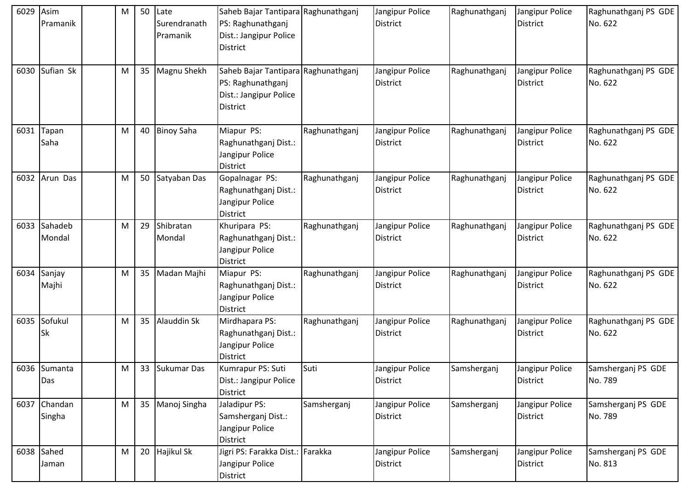| 6029 | Asim<br>Pramanik       | М | 50 | Late<br>Surendranath<br>Pramanik | Saheb Bajar Tantipara Raghunathganj<br>PS: Raghunathganj<br>Dist.: Jangipur Police<br><b>District</b> |               | Jangipur Police<br><b>District</b> | Raghunathganj | Jangipur Police<br><b>District</b> | Raghunathganj PS GDE<br>No. 622 |
|------|------------------------|---|----|----------------------------------|-------------------------------------------------------------------------------------------------------|---------------|------------------------------------|---------------|------------------------------------|---------------------------------|
| 6030 | Sufian Sk              | M | 35 | Magnu Shekh                      | Saheb Bajar Tantipara Raghunathganj<br>PS: Raghunathganj<br>Dist.: Jangipur Police<br><b>District</b> |               | Jangipur Police<br><b>District</b> | Raghunathganj | Jangipur Police<br><b>District</b> | Raghunathganj PS GDE<br>No. 622 |
| 6031 | Tapan<br>Saha          | M | 40 | <b>Binoy Saha</b>                | Miapur PS:<br>Raghunathganj Dist.:<br>Jangipur Police<br><b>District</b>                              | Raghunathganj | Jangipur Police<br><b>District</b> | Raghunathganj | Jangipur Police<br><b>District</b> | Raghunathganj PS GDE<br>No. 622 |
|      | 6032 Arun Das          | M | 50 | Satyaban Das                     | Gopalnagar PS:<br>Raghunathganj Dist.:<br>Jangipur Police<br>District                                 | Raghunathganj | Jangipur Police<br><b>District</b> | Raghunathganj | Jangipur Police<br><b>District</b> | Raghunathganj PS GDE<br>No. 622 |
| 6033 | Sahadeb<br>Mondal      | M | 29 | Shibratan<br>Mondal              | Khuripara PS:<br>Raghunathganj Dist.:<br>Jangipur Police<br><b>District</b>                           | Raghunathganj | Jangipur Police<br><b>District</b> | Raghunathganj | Jangipur Police<br>District        | Raghunathganj PS GDE<br>No. 622 |
| 6034 | Sanjay<br>Majhi        | M | 35 | Madan Majhi                      | Miapur PS:<br>Raghunathganj Dist.:<br>Jangipur Police<br><b>District</b>                              | Raghunathganj | Jangipur Police<br><b>District</b> | Raghunathganj | Jangipur Police<br><b>District</b> | Raghunathganj PS GDE<br>No. 622 |
| 6035 | Sofukul<br>Sk          | M | 35 | Alauddin Sk                      | Mirdhapara PS:<br>Raghunathganj Dist.:<br>Jangipur Police<br><b>District</b>                          | Raghunathganj | Jangipur Police<br><b>District</b> | Raghunathganj | Jangipur Police<br><b>District</b> | Raghunathganj PS GDE<br>No. 622 |
|      | 6036 Sumanta<br>Das    | M |    | 33 Sukumar Das                   | Kumrapur PS: Suti<br>Dist.: Jangipur Police<br><b>District</b>                                        | Suti          | Jangipur Police<br><b>District</b> | Samsherganj   | Jangipur Police<br><b>District</b> | Samsherganj PS GDE<br>No. 789   |
|      | 6037 Chandan<br>Singha | M | 35 | Manoj Singha                     | Jaladipur PS:<br>Samsherganj Dist.:<br>Jangipur Police<br>District                                    | Samsherganj   | Jangipur Police<br><b>District</b> | Samsherganj   | Jangipur Police<br><b>District</b> | Samsherganj PS GDE<br>No. 789   |
|      | $6038$ Sahed<br>Jaman  | M |    | 20 Hajikul Sk                    | Jigri PS: Farakka Dist.: Farakka<br>Jangipur Police<br><b>District</b>                                |               | Jangipur Police<br><b>District</b> | Samsherganj   | Jangipur Police<br>District        | Samsherganj PS GDE<br>No. 813   |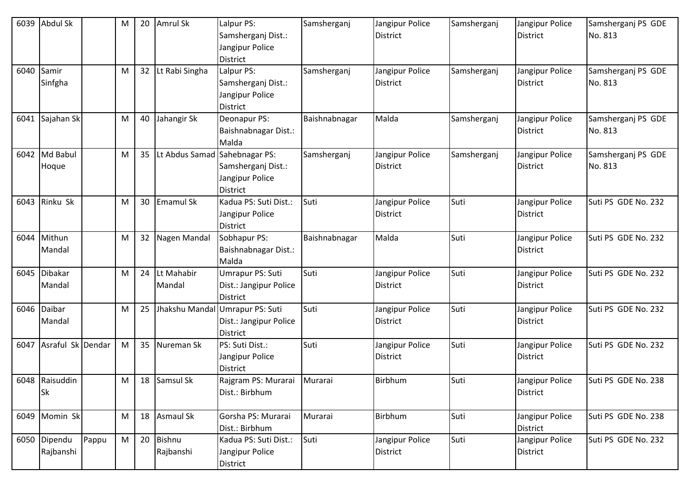| 6039 | <b>Abdul Sk</b>   |       | M | 20              | Amrul Sk                      | Lalpur PS:             | Samsherganj   | Jangipur Police | Samsherganj | Jangipur Police | Samsherganj PS GDE  |
|------|-------------------|-------|---|-----------------|-------------------------------|------------------------|---------------|-----------------|-------------|-----------------|---------------------|
|      |                   |       |   |                 |                               | Samsherganj Dist.:     |               | <b>District</b> |             | <b>District</b> | No. 813             |
|      |                   |       |   |                 |                               | Jangipur Police        |               |                 |             |                 |                     |
|      |                   |       |   |                 |                               | <b>District</b>        |               |                 |             |                 |                     |
| 6040 | Samir             |       | M | 32 <sub>2</sub> | Lt Rabi Singha                | Lalpur PS:             | Samsherganj   | Jangipur Police | Samsherganj | Jangipur Police | Samsherganj PS GDE  |
|      | Sinfgha           |       |   |                 |                               | Samsherganj Dist.:     |               | <b>District</b> |             | <b>District</b> | No. 813             |
|      |                   |       |   |                 |                               | Jangipur Police        |               |                 |             |                 |                     |
|      |                   |       |   |                 |                               | District               |               |                 |             |                 |                     |
|      | 6041 Sajahan Sk   |       | M | 40              | Jahangir Sk                   | Deonapur PS:           | Baishnabnagar | Malda           | Samsherganj | Jangipur Police | Samsherganj PS GDE  |
|      |                   |       |   |                 |                               | Baishnabnagar Dist.:   |               |                 |             | <b>District</b> | No. 813             |
|      |                   |       |   |                 |                               | Malda                  |               |                 |             |                 |                     |
|      | 6042 Md Babul     |       | M | 35              | Lt Abdus Samad Sahebnagar PS: |                        | Samsherganj   | Jangipur Police | Samsherganj | Jangipur Police | Samsherganj PS GDE  |
|      | Hoque             |       |   |                 |                               | Samsherganj Dist.:     |               | <b>District</b> |             | <b>District</b> | No. 813             |
|      |                   |       |   |                 |                               | Jangipur Police        |               |                 |             |                 |                     |
|      |                   |       |   |                 |                               | <b>District</b>        |               |                 |             |                 |                     |
| 6043 | Rinku Sk          |       | M |                 | 30 Emamul Sk                  | Kadua PS: Suti Dist.:  | Suti          | Jangipur Police | Suti        | Jangipur Police | Suti PS GDE No. 232 |
|      |                   |       |   |                 |                               | Jangipur Police        |               | <b>District</b> |             | <b>District</b> |                     |
|      |                   |       |   |                 |                               | <b>District</b>        |               |                 |             |                 |                     |
| 6044 | Mithun            |       | M | 32              | Nagen Mandal                  | Sobhapur PS:           | Baishnabnagar | Malda           | Suti        | Jangipur Police | Suti PS GDE No. 232 |
|      | Mandal            |       |   |                 |                               | Baishnabnagar Dist.:   |               |                 |             | <b>District</b> |                     |
|      |                   |       |   |                 |                               | Malda                  |               |                 |             |                 |                     |
| 6045 | <b>Dibakar</b>    |       | M | 24              | Lt Mahabir                    | Umrapur PS: Suti       | Suti          | Jangipur Police | Suti        | Jangipur Police | Suti PS GDE No. 232 |
|      | Mandal            |       |   |                 | Mandal                        | Dist.: Jangipur Police |               | <b>District</b> |             | <b>District</b> |                     |
|      |                   |       |   |                 |                               | District               |               |                 |             |                 |                     |
| 6046 | Daibar            |       | M |                 | 25 Jhakshu Mandal             | Umrapur PS: Suti       | Suti          | Jangipur Police | Suti        | Jangipur Police | Suti PS GDE No. 232 |
|      | Mandal            |       |   |                 |                               | Dist.: Jangipur Police |               | <b>District</b> |             | <b>District</b> |                     |
|      |                   |       |   |                 |                               | <b>District</b>        |               |                 |             |                 |                     |
| 6047 | Asraful Sk Dendar |       | M |                 | 35 Nureman Sk                 | PS: Suti Dist.:        | Suti          | Jangipur Police | Suti        | Jangipur Police | Suti PS GDE No. 232 |
|      |                   |       |   |                 |                               | Jangipur Police        |               | <b>District</b> |             | <b>District</b> |                     |
|      |                   |       |   |                 |                               | District               |               |                 |             |                 |                     |
|      | 6048 Raisuddin    |       | M |                 | 18 Samsul Sk                  | Rajgram PS: Murarai    | Murarai       | <b>Birbhum</b>  | Suti        | Jangipur Police | Suti PS GDE No. 238 |
|      | Sk                |       |   |                 |                               | Dist.: Birbhum         |               |                 |             | <b>District</b> |                     |
|      |                   |       |   |                 |                               |                        |               |                 |             |                 |                     |
|      | 6049 Momin Sk     |       | M |                 | 18 Asmaul Sk                  | Gorsha PS: Murarai     | Murarai       | Birbhum         | Suti        | Jangipur Police | Suti PS GDE No. 238 |
|      |                   |       |   |                 |                               | Dist.: Birbhum         |               |                 |             | <b>District</b> |                     |
| 6050 | Dipendu           | Pappu | M |                 | 20 Bishnu                     | Kadua PS: Suti Dist.:  | Suti          | Jangipur Police | Suti        | Jangipur Police | Suti PS GDE No. 232 |
|      | Rajbanshi         |       |   |                 | Rajbanshi                     | Jangipur Police        |               | <b>District</b> |             | <b>District</b> |                     |
|      |                   |       |   |                 |                               | District               |               |                 |             |                 |                     |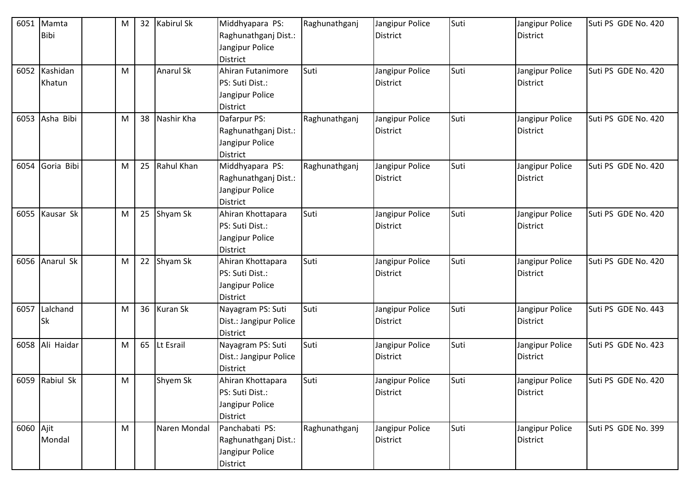| 6051      | Mamta<br><b>Bibi</b>    | M |    | 32 Kabirul Sk    | Middhyapara PS:<br>Raghunathganj Dist.:<br>Jangipur Police<br>District        | Raghunathganj | Jangipur Police<br><b>District</b> | Suti | Jangipur Police<br><b>District</b> | Suti PS GDE No. 420 |
|-----------|-------------------------|---|----|------------------|-------------------------------------------------------------------------------|---------------|------------------------------------|------|------------------------------------|---------------------|
|           | 6052 Kashidan<br>Khatun | M |    | <b>Anarul Sk</b> | Ahiran Futanimore<br>PS: Suti Dist.:<br>Jangipur Police<br>District           | Suti          | Jangipur Police<br><b>District</b> | Suti | Jangipur Police<br><b>District</b> | Suti PS GDE No. 420 |
| 6053      | Asha Bibi               | M | 38 | Nashir Kha       | Dafarpur PS:<br>Raghunathganj Dist.:<br>Jangipur Police<br><b>District</b>    | Raghunathganj | Jangipur Police<br><b>District</b> | Suti | Jangipur Police<br><b>District</b> | Suti PS GDE No. 420 |
| 6054      | Goria Bibi              | M | 25 | Rahul Khan       | Middhyapara PS:<br>Raghunathganj Dist.:<br>Jangipur Police<br><b>District</b> | Raghunathganj | Jangipur Police<br><b>District</b> | Suti | Jangipur Police<br><b>District</b> | Suti PS GDE No. 420 |
| 6055      | Kausar Sk               | M |    | 25 Shyam Sk      | Ahiran Khottapara<br>PS: Suti Dist.:<br>Jangipur Police<br>District           | Suti          | Jangipur Police<br><b>District</b> | Suti | Jangipur Police<br><b>District</b> | Suti PS GDE No. 420 |
|           | 6056 Anarul Sk          | M |    | 22 Shyam Sk      | Ahiran Khottapara<br>PS: Suti Dist.:<br>Jangipur Police<br>District           | Suti          | Jangipur Police<br><b>District</b> | Suti | Jangipur Police<br><b>District</b> | Suti PS GDE No. 420 |
| 6057      | Lalchand<br><b>Sk</b>   | M |    | 36 Kuran Sk      | Nayagram PS: Suti<br>Dist.: Jangipur Police<br>District                       | Suti          | Jangipur Police<br><b>District</b> | Suti | Jangipur Police<br><b>District</b> | Suti PS GDE No. 443 |
|           | 6058 Ali Haidar         | M |    | 65 Lt Esrail     | Nayagram PS: Suti<br>Dist.: Jangipur Police<br>District                       | Suti          | Jangipur Police<br><b>District</b> | Suti | Jangipur Police<br><b>District</b> | Suti PS GDE No. 423 |
|           | 6059 Rabiul Sk          | M |    | Shyem Sk         | Ahiran Khottapara<br>PS: Suti Dist.:<br>Jangipur Police<br>District           | Suti          | Jangipur Police<br>District        | Suti | Jangipur Police<br><b>District</b> | Suti PS GDE No. 420 |
| 6060 Ajit | Mondal                  | M |    | Naren Mondal     | Panchabati PS:<br>Raghunathganj Dist.:<br>Jangipur Police<br>District         | Raghunathganj | Jangipur Police<br><b>District</b> | Suti | Jangipur Police<br><b>District</b> | Suti PS GDE No. 399 |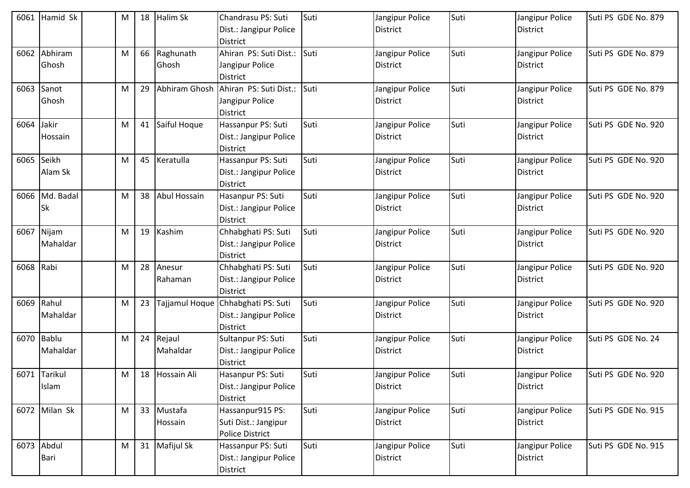| 6061 | Hamid Sk                 | M | 18 | <b>Halim Sk</b>       | <b>Chandrasu PS: Suti</b><br>Dist.: Jangipur Police<br><b>District</b>     | Suti | Jangipur Police<br><b>District</b> | Suti | Jangipur Police<br><b>District</b> | Suti PS GDE No. 879 |
|------|--------------------------|---|----|-----------------------|----------------------------------------------------------------------------|------|------------------------------------|------|------------------------------------|---------------------|
| 6062 | Abhiram<br>Ghosh         | M |    | 66 Raghunath<br>Ghosh | Ahiran PS: Suti Dist.:<br>Jangipur Police<br><b>District</b>               | Suti | Jangipur Police<br><b>District</b> | Suti | Jangipur Police<br>District        | Suti PS GDE No. 879 |
| 6063 | Sanot<br>Ghosh           | M | 29 |                       | Abhiram Ghosh Ahiran PS: Suti Dist.:<br>Jangipur Police<br><b>District</b> | Suti | Jangipur Police<br>District        | Suti | Jangipur Police<br><b>District</b> | Suti PS GDE No. 879 |
| 6064 | Jakir<br>Hossain         | M |    | 41 Saiful Hoque       | Hassanpur PS: Suti<br>Dist.: Jangipur Police<br><b>District</b>            | Suti | Jangipur Police<br><b>District</b> | Suti | Jangipur Police<br><b>District</b> | Suti PS GDE No. 920 |
| 6065 | Seikh<br>Alam Sk         | M | 45 | Keratulla             | Hassanpur PS: Suti<br>Dist.: Jangipur Police<br><b>District</b>            | Suti | Jangipur Police<br><b>District</b> | Suti | Jangipur Police<br><b>District</b> | Suti PS GDE No. 920 |
| 6066 | Md. Badal<br>Sk          | M |    | 38 Abul Hossain       | Hasanpur PS: Suti<br>Dist.: Jangipur Police<br><b>District</b>             | Suti | Jangipur Police<br>District        | Suti | Jangipur Police<br>District        | Suti PS GDE No. 920 |
| 6067 | Nijam<br>Mahaldar        | M | 19 | Kashim                | Chhabghati PS: Suti<br>Dist.: Jangipur Police<br><b>District</b>           | Suti | Jangipur Police<br>District        | Suti | Jangipur Police<br>District        | Suti PS GDE No. 920 |
| 6068 | Rabi                     | M | 28 | Anesur<br>Rahaman     | Chhabghati PS: Suti<br>Dist.: Jangipur Police<br><b>District</b>           | Suti | Jangipur Police<br><b>District</b> | Suti | Jangipur Police<br><b>District</b> | Suti PS GDE No. 920 |
| 6069 | Rahul<br>Mahaldar        | M | 23 | Tajjamul Hoque        | Chhabghati PS: Suti<br>Dist.: Jangipur Police<br><b>District</b>           | Suti | Jangipur Police<br><b>District</b> | Suti | Jangipur Police<br><b>District</b> | Suti PS GDE No. 920 |
| 6070 | <b>Bablu</b><br>Mahaldar | M |    | 24 Rejaul<br>Mahaldar | Sultanpur PS: Suti<br>Dist.: Jangipur Police<br><b>District</b>            | Suti | Jangipur Police<br><b>District</b> | Suti | Jangipur Police<br>District        | Suti PS GDE No. 24  |
|      | 6071 Tarikul<br>Islam    | M |    | 18 Hossain Ali        | Hasanpur PS: Suti<br>Dist.: Jangipur Police<br><b>District</b>             | Suti | Jangipur Police<br>District        | Suti | Jangipur Police<br><b>District</b> | Suti PS GDE No. 920 |
|      | 6072 Milan Sk            | M |    | 33 Mustafa<br>Hossain | Hassanpur915 PS:<br>Suti Dist.: Jangipur<br><b>Police District</b>         | Suti | Jangipur Police<br>District        | Suti | Jangipur Police<br><b>District</b> | Suti PS GDE No. 915 |
|      | 6073 Abdul<br>Bari       | M |    | 31 Mafijul Sk         | Hassanpur PS: Suti<br>Dist.: Jangipur Police<br>District                   | Suti | Jangipur Police<br>District        | Suti | Jangipur Police<br><b>District</b> | Suti PS GDE No. 915 |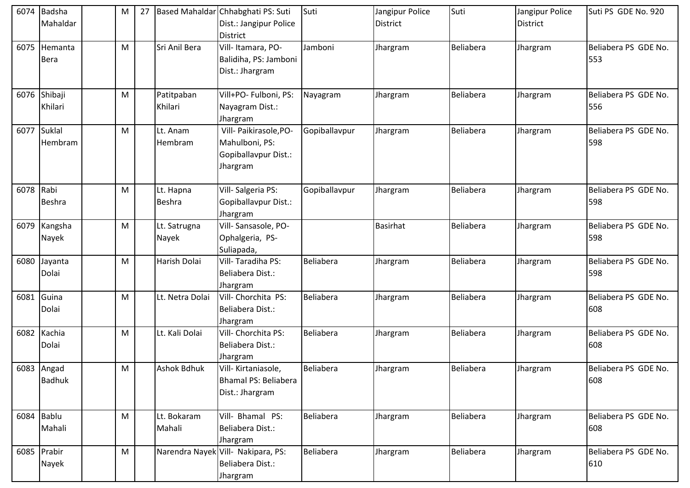| 6074      | Badsha<br>Mahaldar          | M | 27 |                       | Based Mahaldar Chhabghati PS: Suti<br>Dist.: Jangipur Police<br><b>District</b> | Suti             | Jangipur Police<br><b>District</b> | Suti             | Jangipur Police<br><b>District</b> | Suti PS GDE No. 920         |
|-----------|-----------------------------|---|----|-----------------------|---------------------------------------------------------------------------------|------------------|------------------------------------|------------------|------------------------------------|-----------------------------|
| 6075      | Hemanta<br><b>Bera</b>      | M |    | Sri Anil Bera         | Vill-Itamara, PO-<br>Balidiha, PS: Jamboni<br>Dist.: Jhargram                   | Jamboni          | Jhargram                           | Beliabera        | Jhargram                           | Beliabera PS GDE No.<br>553 |
| 6076      | Shibaji<br>Khilari          | M |    | Patitpaban<br>Khilari | Vill+PO- Fulboni, PS:<br>Nayagram Dist.:<br>Jhargram                            | Nayagram         | Jhargram                           | <b>Beliabera</b> | Jhargram                           | Beliabera PS GDE No.<br>556 |
| 6077      | Suklal<br>Hembram           | M |    | Lt. Anam<br>Hembram   | Vill- Paikirasole, PO-<br>Mahulboni, PS:<br>Gopiballavpur Dist.:<br>Jhargram    | Gopiballavpur    | Jhargram                           | Beliabera        | Jhargram                           | Beliabera PS GDE No.<br>598 |
| 6078 Rabi | <b>Beshra</b>               | M |    | Lt. Hapna<br>Beshra   | Vill-Salgeria PS:<br>Gopiballavpur Dist.:<br>Jhargram                           | Gopiballavpur    | Jhargram                           | Beliabera        | Jhargram                           | Beliabera PS GDE No.<br>598 |
|           | 6079 Kangsha<br>Nayek       | M |    | Lt. Satrugna<br>Nayek | Vill-Sansasole, PO-<br>Ophalgeria, PS-<br>Suliapada,                            |                  | <b>Basirhat</b>                    | Beliabera        | Jhargram                           | Beliabera PS GDE No.<br>598 |
|           | 6080 Jayanta<br>Dolai       | M |    | Harish Dolai          | Vill-Taradiha PS:<br>Beliabera Dist.:<br>Jhargram                               | <b>Beliabera</b> | Jhargram                           | Beliabera        | Jhargram                           | Beliabera PS GDE No.<br>598 |
| 6081      | Guina<br>Dolai              | M |    | Lt. Netra Dolai       | Vill- Chorchita PS:<br>Beliabera Dist.:<br>Jhargram                             | <b>Beliabera</b> | Jhargram                           | Beliabera        | Jhargram                           | Beliabera PS GDE No.<br>608 |
| 6082      | Kachia<br>Dolai             | M |    | Lt. Kali Dolai        | Vill- Chorchita PS:<br>Beliabera Dist.:<br>Jhargram                             | <b>Beliabera</b> | Jhargram                           | Beliabera        | Jhargram                           | Beliabera PS GDE No.<br>608 |
|           | 6083 Angad<br><b>Badhuk</b> | M |    | Ashok Bdhuk           | Vill-Kirtaniasole,<br>Bhamal PS: Beliabera<br>Dist.: Jhargram                   | Beliabera        | Jhargram                           | Beliabera        | Jhargram                           | Beliabera PS GDE No.<br>608 |
|           | 6084 Bablu<br>Mahali        | M |    | Lt. Bokaram<br>Mahali | Vill- Bhamal PS:<br>Beliabera Dist.:<br>Jhargram                                | Beliabera        | Jhargram                           | Beliabera        | Jhargram                           | Beliabera PS GDE No.<br>608 |
|           | 6085 Prabir<br>Nayek        | M |    |                       | Narendra Nayek Vill- Nakipara, PS:<br>Beliabera Dist.:<br>Jhargram              | Beliabera        | Jhargram                           | Beliabera        | Jhargram                           | Beliabera PS GDE No.<br>610 |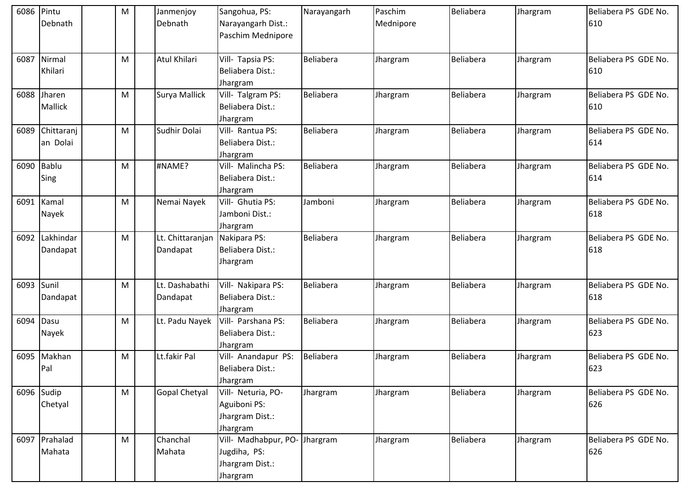| 6086 | Pintu<br>Debnath        | M | Janmenjoy<br>Debnath         | Sangohua, PS:<br>Narayangarh Dist.:<br>Paschim Mednipore                     | Narayangarh      | Paschim<br>Mednipore | <b>Beliabera</b> | Jhargram | Beliabera PS GDE No.<br>610 |
|------|-------------------------|---|------------------------------|------------------------------------------------------------------------------|------------------|----------------------|------------------|----------|-----------------------------|
| 6087 | Nirmal<br>Khilari       | M | Atul Khilari                 | Vill- Tapsia PS:<br>Beliabera Dist.:<br>Jhargram                             | <b>Beliabera</b> | Jhargram             | Beliabera        | Jhargram | Beliabera PS GDE No.<br>610 |
| 6088 | Jharen<br>Mallick       | M | Surya Mallick                | Vill- Talgram PS:<br>Beliabera Dist.:<br>Jhargram                            | <b>Beliabera</b> | Jhargram             | <b>Beliabera</b> | Jhargram | Beliabera PS GDE No.<br>610 |
| 6089 | Chittaranj<br>an Dolai  | M | Sudhir Dolai                 | Vill- Rantua PS:<br>Beliabera Dist.:<br>Jhargram                             | <b>Beliabera</b> | Jhargram             | Beliabera        | Jhargram | Beliabera PS GDE No.<br>614 |
| 6090 | <b>Bablu</b><br>Sing    | M | #NAME?                       | Vill- Malincha PS:<br>Beliabera Dist.:<br>Jhargram                           | <b>Beliabera</b> | Jhargram             | <b>Beliabera</b> | Jhargram | Beliabera PS GDE No.<br>614 |
| 6091 | Kamal<br>Nayek          | M | Nemai Nayek                  | Vill- Ghutia PS:<br>Jamboni Dist.:<br>Jhargram                               | Jamboni          | Jhargram             | <b>Beliabera</b> | Jhargram | Beliabera PS GDE No.<br>618 |
| 6092 | Lakhindar<br>Dandapat   | M | Lt. Chittaranjan<br>Dandapat | Nakipara PS:<br>Beliabera Dist.:<br>Jhargram                                 | Beliabera        | Jhargram             | <b>Beliabera</b> | Jhargram | Beliabera PS GDE No.<br>618 |
| 6093 | Sunil<br>Dandapat       | M | Lt. Dashabathi<br>Dandapat   | Vill- Nakipara PS:<br>Beliabera Dist.:<br>Jhargram                           | Beliabera        | Jhargram             | Beliabera        | Jhargram | Beliabera PS GDE No.<br>618 |
| 6094 | Dasu<br>Nayek           | M | Lt. Padu Nayek               | Vill- Parshana PS:<br>Beliabera Dist.:<br>Jhargram                           | Beliabera        | Jhargram             | Beliabera        | Jhargram | Beliabera PS GDE No.<br>623 |
| 6095 | Makhan<br>Pal           | M | Lt.fakir Pal                 | Vill- Anandapur PS:<br>Beliabera Dist.:<br>Jhargram                          | Beliabera        | Jhargram             | <b>Beliabera</b> | Jhargram | Beliabera PS GDE No.<br>623 |
|      | 6096 Sudip<br>Chetyal   | M | <b>Gopal Chetyal</b>         | Vill- Neturia, PO-<br>Aguiboni PS:<br>Jhargram Dist.:<br>Jhargram            | Jhargram         | Jhargram             | Beliabera        | Jhargram | Beliabera PS GDE No.<br>626 |
|      | 6097 Prahalad<br>Mahata | M | Chanchal<br>Mahata           | Vill- Madhabpur, PO- Jhargram<br>Jugdiha, PS:<br>Jhargram Dist.:<br>Jhargram |                  | Jhargram             | <b>Beliabera</b> | Jhargram | Beliabera PS GDE No.<br>626 |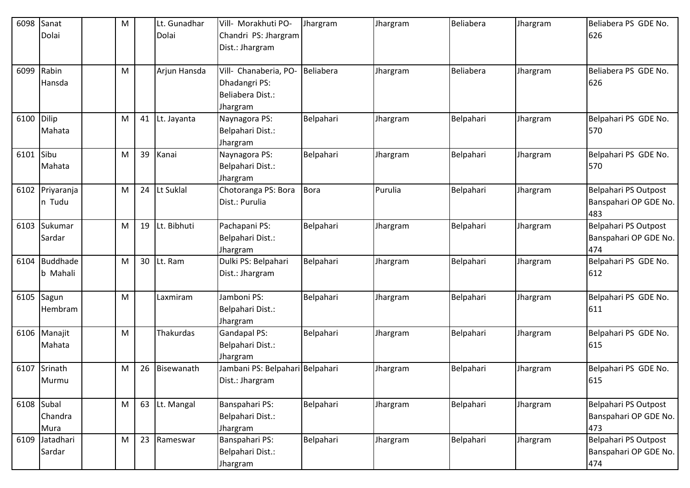| 6098      | Sanat        | M |    | Lt. Gunadhar | Vill- Morakhuti PO-             | Jhargram    | Jhargram | Beliabera | Jhargram | Beliabera PS GDE No.  |
|-----------|--------------|---|----|--------------|---------------------------------|-------------|----------|-----------|----------|-----------------------|
|           | Dolai        |   |    | Dolai        | Chandri PS: Jhargram            |             |          |           |          | 626                   |
|           |              |   |    |              | Dist.: Jhargram                 |             |          |           |          |                       |
|           |              |   |    |              |                                 |             |          |           |          |                       |
| 6099      | Rabin        | M |    | Arjun Hansda | Vill- Chanaberia, PO-           | Beliabera   | Jhargram | Beliabera | Jhargram | Beliabera PS GDE No.  |
|           | Hansda       |   |    |              | Dhadangri PS:                   |             |          |           |          | 626                   |
|           |              |   |    |              | Beliabera Dist.:                |             |          |           |          |                       |
|           |              |   |    |              | Jhargram                        |             |          |           |          |                       |
| 6100      | Dilip        | M | 41 | Lt. Jayanta  | Naynagora PS:                   | Belpahari   | Jhargram | Belpahari | Jhargram | Belpahari PS GDE No.  |
|           | Mahata       |   |    |              | Belpahari Dist.:                |             |          |           |          | 570                   |
|           |              |   |    |              | Jhargram                        |             |          |           |          |                       |
| 6101 Sibu |              | M | 39 | Kanai        | Naynagora PS:                   | Belpahari   | Jhargram | Belpahari | Jhargram | Belpahari PS GDE No.  |
|           | Mahata       |   |    |              | Belpahari Dist.:                |             |          |           |          | 570                   |
|           |              |   |    |              | Jhargram                        |             |          |           |          |                       |
| 6102      | Priyaranja   | M | 24 | Lt Suklal    | Chotoranga PS: Bora             | <b>Bora</b> | Purulia  | Belpahari | Jhargram | Belpahari PS Outpost  |
|           | n Tudu       |   |    |              | Dist.: Purulia                  |             |          |           |          | Banspahari OP GDE No. |
|           |              |   |    |              |                                 |             |          |           |          | 483                   |
| 6103      | Sukumar      | M | 19 | Lt. Bibhuti  | Pachapani PS:                   | Belpahari   | Jhargram | Belpahari | Jhargram | Belpahari PS Outpost  |
|           | Sardar       |   |    |              | Belpahari Dist.:                |             |          |           |          | Banspahari OP GDE No. |
|           |              |   |    |              | Jhargram                        |             |          |           |          | 474                   |
| 6104      | Buddhade     | M | 30 | Lt. Ram      | Dulki PS: Belpahari             | Belpahari   | Jhargram | Belpahari | Jhargram | Belpahari PS GDE No.  |
|           | b Mahali     |   |    |              | Dist.: Jhargram                 |             |          |           |          | 612                   |
|           |              |   |    |              |                                 |             |          |           |          |                       |
| 6105      | Sagun        | M |    | Laxmiram     | Jamboni PS:                     | Belpahari   | Jhargram | Belpahari | Jhargram | Belpahari PS GDE No.  |
|           | Hembram      |   |    |              | Belpahari Dist.:                |             |          |           |          | 611                   |
|           |              |   |    |              | Jhargram                        |             |          |           |          |                       |
| 6106      | Manajit      | M |    | Thakurdas    | <b>Gandapal PS:</b>             | Belpahari   | Jhargram | Belpahari | Jhargram | Belpahari PS GDE No.  |
|           | Mahata       |   |    |              | Belpahari Dist.:                |             |          |           |          | 615                   |
|           |              |   |    |              | Jhargram                        |             |          |           |          |                       |
| 6107      | Srinath      | M | 26 | Bisewanath   | Jambani PS: Belpahari Belpahari |             | Jhargram | Belpahari | Jhargram | Belpahari PS GDE No.  |
|           | Murmu        |   |    |              | Dist.: Jhargram                 |             |          |           |          | 615                   |
|           |              |   |    |              |                                 |             |          |           |          |                       |
|           | $6108$ Subal | M | 63 | Lt. Mangal   | Banspahari PS:                  | Belpahari   | Jhargram | Belpahari | Jhargram | Belpahari PS Outpost  |
|           | Chandra      |   |    |              | Belpahari Dist.:                |             |          |           |          | Banspahari OP GDE No. |
|           | Mura         |   |    |              | Jhargram                        |             |          |           |          | 473                   |
| 6109      | Jatadhari    | M | 23 | Rameswar     | Banspahari PS:                  | Belpahari   | Jhargram | Belpahari | Jhargram | Belpahari PS Outpost  |
|           | Sardar       |   |    |              | Belpahari Dist.:                |             |          |           |          | Banspahari OP GDE No. |
|           |              |   |    |              | Jhargram                        |             |          |           |          | 474                   |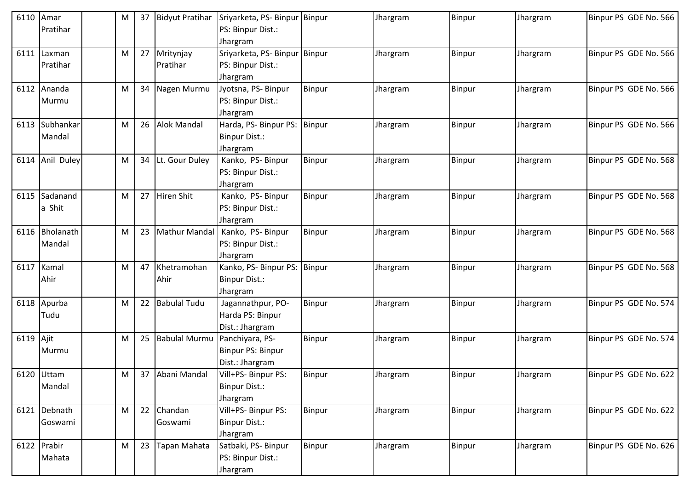| 6110      | Amar         | M | 37 | <b>Bidyut Pratihar</b> | Sriyarketa, PS- Binpur Binpur     |        | Jhargram | Binpur | Jhargram | Binpur PS GDE No. 566 |
|-----------|--------------|---|----|------------------------|-----------------------------------|--------|----------|--------|----------|-----------------------|
|           | Pratihar     |   |    |                        | PS: Binpur Dist.:                 |        |          |        |          |                       |
|           |              |   |    |                        | Jhargram                          |        |          |        |          |                       |
| 6111      | Laxman       | M |    | 27 Mritynjay           | Sriyarketa, PS- Binpur Binpur     |        | Jhargram | Binpur | Jhargram | Binpur PS GDE No. 566 |
|           | Pratihar     |   |    | Pratihar               | PS: Binpur Dist.:                 |        |          |        |          |                       |
|           |              |   |    |                        | Jhargram                          |        |          |        |          |                       |
| 6112      | Ananda       | M |    | 34 Nagen Murmu         | Jyotsna, PS- Binpur               | Binpur | Jhargram | Binpur | Jhargram | Binpur PS GDE No. 566 |
|           | Murmu        |   |    |                        | PS: Binpur Dist.:                 |        |          |        |          |                       |
|           | Subhankar    |   | 26 | <b>Alok Mandal</b>     | Jhargram<br>Harda, PS- Binpur PS: |        |          |        |          |                       |
| 6113      |              | M |    |                        |                                   | Binpur | Jhargram | Binpur | Jhargram | Binpur PS GDE No. 566 |
|           | Mandal       |   |    |                        | Binpur Dist.:                     |        |          |        |          |                       |
| 6114      | Anil Duley   | M | 34 | Lt. Gour Duley         | Jhargram<br>Kanko, PS-Binpur      | Binpur | Jhargram | Binpur | Jhargram | Binpur PS GDE No. 568 |
|           |              |   |    |                        | PS: Binpur Dist.:                 |        |          |        |          |                       |
|           |              |   |    |                        | Jhargram                          |        |          |        |          |                       |
| 6115      | Sadanand     | M |    | 27 Hiren Shit          | Kanko, PS-Binpur                  | Binpur | Jhargram | Binpur | Jhargram | Binpur PS GDE No. 568 |
|           | a Shit       |   |    |                        | PS: Binpur Dist.:                 |        |          |        |          |                       |
|           |              |   |    |                        | Jhargram                          |        |          |        |          |                       |
| 6116      | Bholanath    | M | 23 | Mathur Mandal          | Kanko, PS-Binpur                  | Binpur | Jhargram | Binpur | Jhargram | Binpur PS GDE No. 568 |
|           | Mandal       |   |    |                        | PS: Binpur Dist.:                 |        |          |        |          |                       |
|           |              |   |    |                        | Jhargram                          |        |          |        |          |                       |
| 6117      | Kamal        | M | 47 | Khetramohan            | Kanko, PS- Binpur PS:             | Binpur | Jhargram | Binpur | Jhargram | Binpur PS GDE No. 568 |
|           | Ahir         |   |    | Ahir                   | Binpur Dist.:                     |        |          |        |          |                       |
|           |              |   |    |                        | Jhargram                          |        |          |        |          |                       |
| 6118      | Apurba       | M |    | 22 Babulal Tudu        | Jagannathpur, PO-                 | Binpur | Jhargram | Binpur | Jhargram | Binpur PS GDE No. 574 |
|           | Tudu         |   |    |                        | Harda PS: Binpur                  |        |          |        |          |                       |
|           |              |   |    |                        | Dist.: Jhargram                   |        |          |        |          |                       |
| 6119 Ajit |              | M |    | 25 Babulal Murmu       | Panchiyara, PS-                   | Binpur | Jhargram | Binpur | Jhargram | Binpur PS GDE No. 574 |
|           | Murmu        |   |    |                        | Binpur PS: Binpur                 |        |          |        |          |                       |
|           |              |   |    |                        | Dist.: Jhargram                   |        |          |        |          |                       |
|           | 6120 Uttam   | M |    | 37 Abani Mandal        | Vill+PS- Binpur PS:               | Binpur | Jhargram | Binpur | Jhargram | Binpur PS GDE No. 622 |
|           | Mandal       |   |    |                        | Binpur Dist.:                     |        |          |        |          |                       |
|           |              |   |    |                        | Jhargram                          |        |          |        |          |                       |
|           | 6121 Debnath | M |    | 22 Chandan             | Vill+PS- Binpur PS:               | Binpur | Jhargram | Binpur | Jhargram | Binpur PS GDE No. 622 |
|           | Goswami      |   |    | Goswami                | <b>Binpur Dist.:</b>              |        |          |        |          |                       |
|           |              |   |    |                        | Jhargram                          |        |          |        |          |                       |
|           | 6122 Prabir  | M | 23 | Tapan Mahata           | Satbaki, PS- Binpur               | Binpur | Jhargram | Binpur | Jhargram | Binpur PS GDE No. 626 |
|           | Mahata       |   |    |                        | PS: Binpur Dist.:                 |        |          |        |          |                       |
|           |              |   |    |                        | Jhargram                          |        |          |        |          |                       |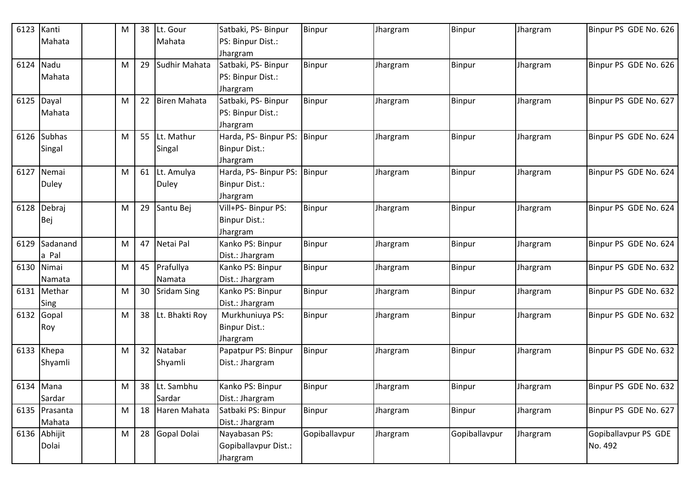| 6123      | Kanti         | M | 38 | Lt. Gour           | Satbaki, PS- Binpur   | Binpur        | Jhargram | <b>Binpur</b> | Jhargram | Binpur PS GDE No. 626 |
|-----------|---------------|---|----|--------------------|-----------------------|---------------|----------|---------------|----------|-----------------------|
|           | Mahata        |   |    | Mahata             | PS: Binpur Dist.:     |               |          |               |          |                       |
|           |               |   |    |                    | Jhargram              |               |          |               |          |                       |
| 6124      | Nadu          | M | 29 | Sudhir Mahata      | Satbaki, PS- Binpur   | Binpur        | Jhargram | <b>Binpur</b> | Jhargram | Binpur PS GDE No. 626 |
|           | Mahata        |   |    |                    | PS: Binpur Dist.:     |               |          |               |          |                       |
|           |               |   |    |                    | Jhargram              |               |          |               |          |                       |
|           | 6125 Dayal    | M | 22 | Biren Mahata       | Satbaki, PS- Binpur   | Binpur        | Jhargram | <b>Binpur</b> | Jhargram | Binpur PS GDE No. 627 |
|           | Mahata        |   |    |                    | PS: Binpur Dist.:     |               |          |               |          |                       |
|           |               |   |    |                    | Jhargram              |               |          |               |          |                       |
|           | 6126 Subhas   | M | 55 | Lt. Mathur         | Harda, PS- Binpur PS: | Binpur        | Jhargram | Binpur        | Jhargram | Binpur PS GDE No. 624 |
|           | Singal        |   |    | Singal             | <b>Binpur Dist.:</b>  |               |          |               |          |                       |
|           |               |   |    |                    | Jhargram              |               |          |               |          |                       |
| 6127      | Nemai         | M |    | 61 Lt. Amulya      | Harda, PS- Binpur PS: | Binpur        | Jhargram | <b>Binpur</b> | Jhargram | Binpur PS GDE No. 624 |
|           | <b>Duley</b>  |   |    | <b>Duley</b>       | <b>Binpur Dist.:</b>  |               |          |               |          |                       |
|           |               |   |    |                    | Jhargram              |               |          |               |          |                       |
| 6128      | Debraj        | M | 29 | Santu Bej          | Vill+PS- Binpur PS:   | Binpur        | Jhargram | Binpur        | Jhargram | Binpur PS GDE No. 624 |
|           | Bej           |   |    |                    | <b>Binpur Dist.:</b>  |               |          |               |          |                       |
|           |               |   |    |                    | Jhargram              |               |          |               |          |                       |
| 6129      | Sadanand      | M |    | 47 Netai Pal       | Kanko PS: Binpur      | Binpur        | Jhargram | <b>Binpur</b> | Jhargram | Binpur PS GDE No. 624 |
|           | a Pal         |   |    |                    | Dist.: Jhargram       |               |          |               |          |                       |
|           | 6130 Nimai    | M |    | 45 Prafullya       | Kanko PS: Binpur      | Binpur        | Jhargram | <b>Binpur</b> | Jhargram | Binpur PS GDE No. 632 |
|           | Namata        |   |    | Namata             | Dist.: Jhargram       |               |          |               |          |                       |
| 6131      | Methar        | M | 30 | <b>Sridam Sing</b> | Kanko PS: Binpur      | Binpur        | Jhargram | <b>Binpur</b> | Jhargram | Binpur PS GDE No. 632 |
|           | Sing          |   |    |                    | Dist.: Jhargram       |               |          |               |          |                       |
| 6132      | Gopal         | M | 38 | Lt. Bhakti Roy     | Murkhuniuya PS:       | Binpur        | Jhargram | Binpur        | Jhargram | Binpur PS GDE No. 632 |
|           | Roy           |   |    |                    | Binpur Dist.:         |               |          |               |          |                       |
|           |               |   |    |                    | Jhargram              |               |          |               |          |                       |
|           | 6133 Khepa    | M |    | 32 Natabar         | Papatpur PS: Binpur   | Binpur        | Jhargram | <b>Binpur</b> | Jhargram | Binpur PS GDE No. 632 |
|           | Shyamli       |   |    | Shyamli            | Dist.: Jhargram       |               |          |               |          |                       |
| 6134 Mana |               | M |    | 38 Lt. Sambhu      | Kanko PS: Binpur      | <b>Binpur</b> | Jhargram | Binpur        | Jhargram | Binpur PS GDE No. 632 |
|           | Sardar        |   |    | Sardar             | Dist.: Jhargram       |               |          |               |          |                       |
|           | 6135 Prasanta | M | 18 | Haren Mahata       | Satbaki PS: Binpur    | Binpur        | Jhargram | Binpur        | Jhargram | Binpur PS GDE No. 627 |
|           | Mahata        |   |    |                    | Dist.: Jhargram       |               |          |               |          |                       |
|           | 6136 Abhijit  | M | 28 | Gopal Dolai        | Nayabasan PS:         | Gopiballavpur | Jhargram | Gopiballavpur | Jhargram | Gopiballavpur PS GDE  |
|           | Dolai         |   |    |                    | Gopiballavpur Dist.:  |               |          |               |          | No. 492               |
|           |               |   |    |                    | Jhargram              |               |          |               |          |                       |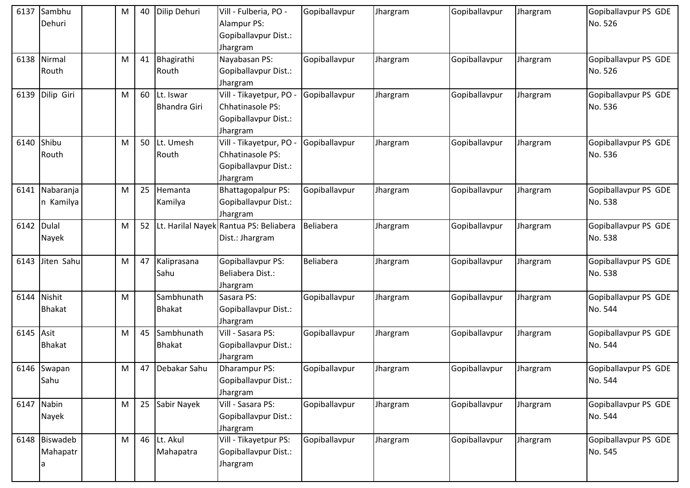| 6137 | Sambhu<br>Dehuri               | M | 40 | Dilip Dehuri                     | Vill - Fulberia, PO -<br><b>Alampur PS:</b><br>Gopiballavpur Dist.:<br>Jhargram | Gopiballavpur | Jhargram | Gopiballavpur | Jhargram | Gopiballavpur PS GDE<br>No. 526 |
|------|--------------------------------|---|----|----------------------------------|---------------------------------------------------------------------------------|---------------|----------|---------------|----------|---------------------------------|
|      | 6138 Nirmal<br>Routh           | M | 41 | Bhagirathi<br>Routh              | Nayabasan PS:<br>Gopiballavpur Dist.:<br>Jhargram                               | Gopiballavpur | Jhargram | Gopiballavpur | Jhargram | Gopiballavpur PS GDE<br>No. 526 |
| 6139 | Dilip Giri                     | M | 60 | Lt. Iswar<br><b>Bhandra Giri</b> | Vill - Tikayetpur, PO -<br>Chhatinasole PS:<br>Gopiballavpur Dist.:<br>Jhargram | Gopiballavpur | Jhargram | Gopiballavpur | Jhargram | Gopiballavpur PS GDE<br>No. 536 |
| 6140 | Shibu<br>Routh                 | M | 50 | Lt. Umesh<br>Routh               | Vill - Tikayetpur, PO -<br>Chhatinasole PS:<br>Gopiballavpur Dist.:<br>Jhargram | Gopiballavpur | Jhargram | Gopiballavpur | Jhargram | Gopiballavpur PS GDE<br>No. 536 |
|      | 6141 Nabaranja<br>n Kamilya    | M | 25 | Hemanta<br>Kamilya               | <b>Bhattagopalpur PS:</b><br>Gopiballavpur Dist.:<br>Jhargram                   | Gopiballavpur | Jhargram | Gopiballavpur | Jhargram | Gopiballavpur PS GDE<br>No. 538 |
| 6142 | Dulal<br>Nayek                 | M | 52 |                                  | Lt. Harilal Nayek Rantua PS: Beliabera<br>Dist.: Jhargram                       | Beliabera     | Jhargram | Gopiballavpur | Jhargram | Gopiballavpur PS GDE<br>No. 538 |
| 6143 | Jiten Sahu                     | M | 47 | Kaliprasana<br>Sahu              | Gopiballavpur PS:<br>Beliabera Dist.:<br>Jhargram                               | Beliabera     | Jhargram | Gopiballavpur | Jhargram | Gopiballavpur PS GDE<br>No. 538 |
| 6144 | Nishit<br><b>Bhakat</b>        | M |    | Sambhunath<br><b>Bhakat</b>      | Sasara PS:<br>Gopiballavpur Dist.:<br>Jhargram                                  | Gopiballavpur | Jhargram | Gopiballavpur | Jhargram | Gopiballavpur PS GDE<br>No. 544 |
| 6145 | Asit<br><b>Bhakat</b>          | M | 45 | Sambhunath<br><b>Bhakat</b>      | Vill - Sasara PS:<br>Gopiballavpur Dist.:<br>Jhargram                           | Gopiballavpur | Jhargram | Gopiballavpur | Jhargram | Gopiballavpur PS GDE<br>No. 544 |
|      | 6146 Swapan<br>Sahu            | M | 47 | Debakar Sahu                     | Dharampur PS:<br>Gopiballavpur Dist.:<br>Jhargram                               | Gopiballavpur | Jhargram | Gopiballavpur | Jhargram | Gopiballavpur PS GDE<br>No. 544 |
|      | 6147 Nabin<br>Nayek            | M | 25 | Sabir Nayek                      | Vill - Sasara PS:<br>Gopiballavpur Dist.:<br>Jhargram                           | Gopiballavpur | Jhargram | Gopiballavpur | Jhargram | Gopiballavpur PS GDE<br>No. 544 |
|      | 6148 Biswadeb<br>Mahapatr<br>a | M | 46 | Lt. Akul<br>Mahapatra            | Vill - Tikayetpur PS:<br>Gopiballavpur Dist.:<br>Jhargram                       | Gopiballavpur | Jhargram | Gopiballavpur | Jhargram | Gopiballavpur PS GDE<br>No. 545 |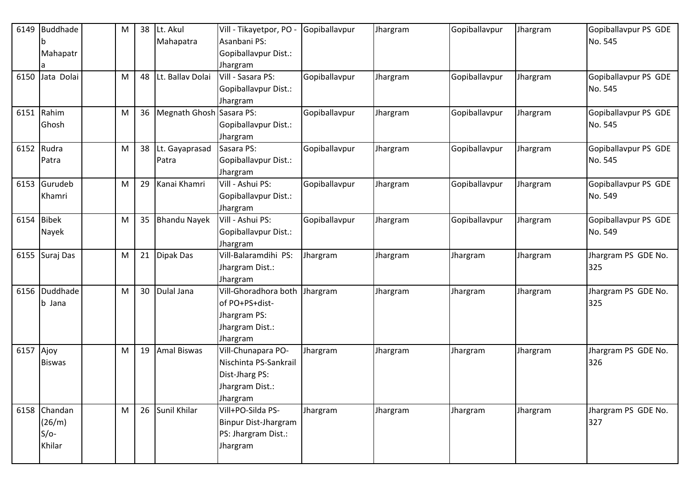| 6149       | Buddhade       | M | 38 | Lt. Akul                 | Vill - Tikayetpor, PO - | Gopiballavpur | Jhargram | Gopiballavpur | Jhargram | Gopiballavpur PS GDE |
|------------|----------------|---|----|--------------------------|-------------------------|---------------|----------|---------------|----------|----------------------|
|            | b              |   |    | Mahapatra                | Asanbani PS:            |               |          |               |          | No. 545              |
|            | Mahapatr       |   |    |                          | Gopiballavpur Dist.:    |               |          |               |          |                      |
|            |                |   |    |                          | Jhargram                |               |          |               |          |                      |
| 6150       | Jata Dolai     | M | 48 | Lt. Ballav Dolai         | Vill - Sasara PS:       | Gopiballavpur | Jhargram | Gopiballavpur | Jhargram | Gopiballavpur PS GDE |
|            |                |   |    |                          | Gopiballavpur Dist.:    |               |          |               |          | No. 545              |
|            |                |   |    |                          | Jhargram                |               |          |               |          |                      |
| 6151       | Rahim          | M | 36 | Megnath Ghosh Sasara PS: |                         | Gopiballavpur | Jhargram | Gopiballavpur | Jhargram | Gopiballavpur PS GDE |
|            | Ghosh          |   |    |                          | Gopiballavpur Dist.:    |               |          |               |          | No. 545              |
|            |                |   |    |                          | Jhargram                |               |          |               |          |                      |
| 6152 Rudra |                | M | 38 | Lt. Gayaprasad           | Sasara PS:              | Gopiballavpur | Jhargram | Gopiballavpur | Jhargram | Gopiballavpur PS GDE |
|            | Patra          |   |    | Patra                    | Gopiballavpur Dist.:    |               |          |               |          | No. 545              |
|            |                |   |    |                          | Jhargram                |               |          |               |          |                      |
|            | 6153 Gurudeb   | M | 29 | Kanai Khamri             | Vill - Ashui PS:        | Gopiballavpur | Jhargram | Gopiballavpur | Jhargram | Gopiballavpur PS GDE |
|            | Khamri         |   |    |                          | Gopiballavpur Dist.:    |               |          |               |          | No. 549              |
|            |                |   |    |                          | Jhargram                |               |          |               |          |                      |
| 6154       | <b>Bibek</b>   | M | 35 | <b>Bhandu Nayek</b>      | Vill - Ashui PS:        | Gopiballavpur | Jhargram | Gopiballavpur | Jhargram | Gopiballavpur PS GDE |
|            | Nayek          |   |    |                          | Gopiballavpur Dist.:    |               |          |               |          | No. 549              |
|            |                |   |    |                          | Jhargram                |               |          |               |          |                      |
|            | 6155 Suraj Das | M | 21 | Dipak Das                | Vill-Balaramdihi PS:    | Jhargram      | Jhargram | Jhargram      | Jhargram | Jhargram PS GDE No.  |
|            |                |   |    |                          | Jhargram Dist.:         |               |          |               |          | 325                  |
|            |                |   |    |                          | Jhargram                |               |          |               |          |                      |
| 6156       | Duddhade       | M | 30 | Dulal Jana               | Vill-Ghoradhora both    | Jhargram      | Jhargram | Jhargram      | Jhargram | Jhargram PS GDE No.  |
|            | b Jana         |   |    |                          | of PO+PS+dist-          |               |          |               |          | 325                  |
|            |                |   |    |                          | Jhargram PS:            |               |          |               |          |                      |
|            |                |   |    |                          | Jhargram Dist.:         |               |          |               |          |                      |
|            |                |   |    |                          | Jhargram                |               |          |               |          |                      |
| 6157       | Ajoy           | M | 19 | <b>Amal Biswas</b>       | Vill-Chunapara PO-      | Jhargram      | Jhargram | Jhargram      | Jhargram | Jhargram PS GDE No.  |
|            | <b>Biswas</b>  |   |    |                          | Nischinta PS-Sankrail   |               |          |               |          | 326                  |
|            |                |   |    |                          | Dist-Jharg PS:          |               |          |               |          |                      |
|            |                |   |    |                          | Jhargram Dist.:         |               |          |               |          |                      |
|            |                |   |    |                          | Jhargram                |               |          |               |          |                      |
|            | 6158 Chandan   | M |    | 26 Sunil Khilar          | Vill+PO-Silda PS-       | Jhargram      | Jhargram | Jhargram      | Jhargram | Jhargram PS GDE No.  |
|            | (26/m)         |   |    |                          | Binpur Dist-Jhargram    |               |          |               |          | 327                  |
|            | $S/O-$         |   |    |                          | PS: Jhargram Dist.:     |               |          |               |          |                      |
|            | Khilar         |   |    |                          | Jhargram                |               |          |               |          |                      |
|            |                |   |    |                          |                         |               |          |               |          |                      |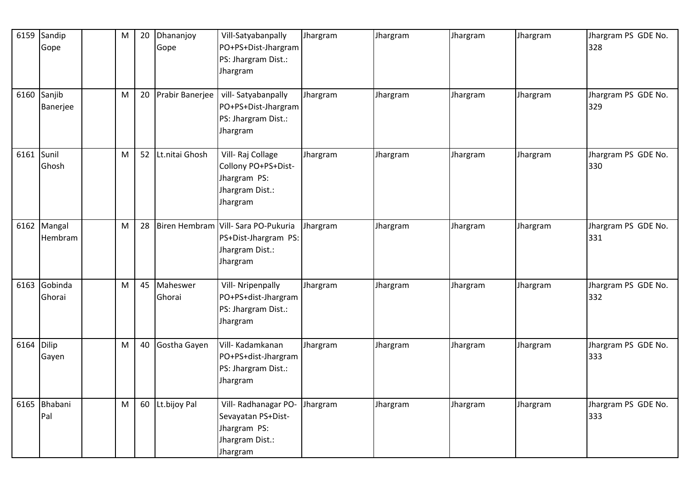|            | 6159 Sandip<br>Gope     | M | 20 | Dhananjoy<br>Gope  | Vill-Satyabanpally<br>PO+PS+Dist-Jhargram<br>PS: Jhargram Dist.:<br>Jhargram               | Jhargram | Jhargram | Jhargram | Jhargram | Jhargram PS GDE No.<br>328 |
|------------|-------------------------|---|----|--------------------|--------------------------------------------------------------------------------------------|----------|----------|----------|----------|----------------------------|
|            | 6160 Sanjib<br>Banerjee | M | 20 | Prabir Banerjee    | vill-Satyabanpally<br>PO+PS+Dist-Jhargram<br>PS: Jhargram Dist.:<br>Jhargram               | Jhargram | Jhargram | Jhargram | Jhargram | Jhargram PS GDE No.<br>329 |
| 6161 Sunil | Ghosh                   | M |    | 52 Lt.nitai Ghosh  | Vill-Raj Collage<br>Collony PO+PS+Dist-<br>Jhargram PS:<br>Jhargram Dist.:<br>Jhargram     | Jhargram | Jhargram | Jhargram | Jhargram | Jhargram PS GDE No.<br>330 |
|            | 6162 Mangal<br>Hembram  | M | 28 |                    | Biren Hembram Vill- Sara PO-Pukuria<br>PS+Dist-Jhargram PS:<br>Jhargram Dist.:<br>Jhargram | Jhargram | Jhargram | Jhargram | Jhargram | Jhargram PS GDE No.<br>331 |
| 6163       | Gobinda<br>Ghorai       | M | 45 | Maheswer<br>Ghorai | Vill- Nripenpally<br>PO+PS+dist-Jhargram<br>PS: Jhargram Dist.:<br>Jhargram                | Jhargram | Jhargram | Jhargram | Jhargram | Jhargram PS GDE No.<br>332 |
| 6164       | <b>Dilip</b><br>Gayen   | M | 40 | Gostha Gayen       | Vill- Kadamkanan<br>PO+PS+dist-Jhargram<br>PS: Jhargram Dist.:<br>Jhargram                 | Jhargram | Jhargram | Jhargram | Jhargram | Jhargram PS GDE No.<br>333 |
| 6165       | Bhabani<br>Pal          | M |    | 60 Lt.bijoy Pal    | Vill- Radhanagar PO-<br>Sevayatan PS+Dist-<br>Jhargram PS:<br>Jhargram Dist.:<br>Jhargram  | Jhargram | Jhargram | Jhargram | Jhargram | Jhargram PS GDE No.<br>333 |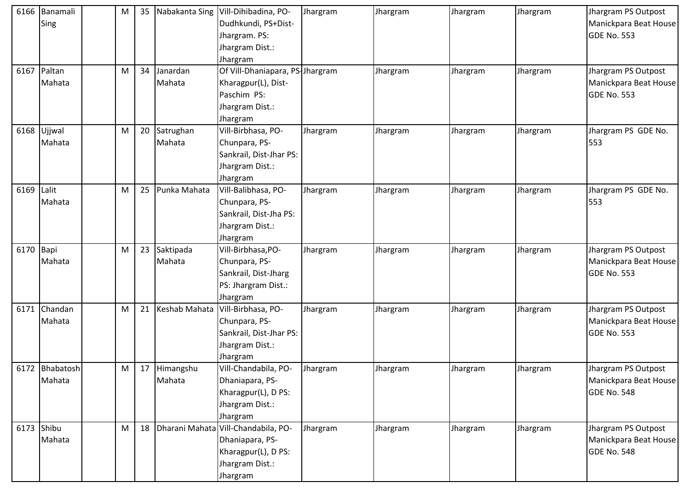| 6166      | Banamali       | M | 35 |               | Nabakanta Sing   Vill-Dihibadina, PO- | Jhargram | Jhargram | Jhargram | Jhargram | Jhargram PS Outpost   |
|-----------|----------------|---|----|---------------|---------------------------------------|----------|----------|----------|----------|-----------------------|
|           | Sing           |   |    |               | Dudhkundi, PS+Dist-                   |          |          |          |          | Manickpara Beat House |
|           |                |   |    |               | Jhargram. PS:                         |          |          |          |          | GDE No. 553           |
|           |                |   |    |               | Jhargram Dist.:                       |          |          |          |          |                       |
|           |                |   |    |               | Jhargram                              |          |          |          |          |                       |
| 6167      | Paltan         | M | 34 | Janardan      | Of Vill-Dhaniapara, PS-Jhargram       |          | Jhargram | Jhargram | Jhargram | Jhargram PS Outpost   |
|           | Mahata         |   |    | Mahata        | Kharagpur(L), Dist-                   |          |          |          |          | Manickpara Beat House |
|           |                |   |    |               | Paschim PS:                           |          |          |          |          | <b>GDE No. 553</b>    |
|           |                |   |    |               | Jhargram Dist.:                       |          |          |          |          |                       |
|           |                |   |    |               | Jhargram                              |          |          |          |          |                       |
| 6168      | Ujjwal         | M | 20 | Satrughan     | Vill-Birbhasa, PO-                    | Jhargram | Jhargram | Jhargram | Jhargram | Jhargram PS GDE No.   |
|           | Mahata         |   |    | Mahata        | Chunpara, PS-                         |          |          |          |          | 553                   |
|           |                |   |    |               | Sankrail, Dist-Jhar PS:               |          |          |          |          |                       |
|           |                |   |    |               | Jhargram Dist.:                       |          |          |          |          |                       |
|           |                |   |    |               | Jhargram                              |          |          |          |          |                       |
| 6169      | Lalit          | M | 25 | Punka Mahata  | Vill-Balibhasa, PO-                   | Jhargram | Jhargram | Jhargram | Jhargram | Jhargram PS GDE No.   |
|           | Mahata         |   |    |               | Chunpara, PS-                         |          |          |          |          | 553                   |
|           |                |   |    |               | Sankrail, Dist-Jha PS:                |          |          |          |          |                       |
|           |                |   |    |               | Jhargram Dist.:                       |          |          |          |          |                       |
|           |                |   |    |               | Jhargram                              |          |          |          |          |                       |
| 6170 Bapi |                | M | 23 | Saktipada     | Vill-Birbhasa, PO-                    | Jhargram | Jhargram | Jhargram | Jhargram | Jhargram PS Outpost   |
|           | Mahata         |   |    | Mahata        | Chunpara, PS-                         |          |          |          |          | Manickpara Beat House |
|           |                |   |    |               | Sankrail, Dist-Jharg                  |          |          |          |          | GDE No. 553           |
|           |                |   |    |               | PS: Jhargram Dist.:                   |          |          |          |          |                       |
|           |                |   |    |               | Jhargram                              |          |          |          |          |                       |
| 6171      | Chandan        | M | 21 | Keshab Mahata | Vill-Birbhasa, PO-                    | Jhargram | Jhargram | Jhargram | Jhargram | Jhargram PS Outpost   |
|           | Mahata         |   |    |               | Chunpara, PS-                         |          |          |          |          | Manickpara Beat House |
|           |                |   |    |               | Sankrail, Dist-Jhar PS:               |          |          |          |          | GDE No. 553           |
|           |                |   |    |               | Jhargram Dist.:                       |          |          |          |          |                       |
|           |                |   |    |               | Jhargram                              |          |          |          |          |                       |
|           | 6172 Bhabatosh | M | 17 | Himangshu     | Vill-Chandabila, PO-                  | Jhargram | Jhargram | Jhargram | Jhargram | Jhargram PS Outpost   |
|           | Mahata         |   |    | Mahata        | Dhaniapara, PS-                       |          |          |          |          | Manickpara Beat House |
|           |                |   |    |               | Kharagpur(L), D PS:                   |          |          |          |          | <b>GDE No. 548</b>    |
|           |                |   |    |               | Jhargram Dist.:                       |          |          |          |          |                       |
|           |                |   |    |               | Jhargram                              |          |          |          |          |                       |
|           | 6173 Shibu     | M | 18 |               | Dharani Mahata Vill-Chandabila, PO-   | Jhargram | Jhargram | Jhargram | Jhargram | Jhargram PS Outpost   |
|           | Mahata         |   |    |               | Dhaniapara, PS-                       |          |          |          |          | Manickpara Beat House |
|           |                |   |    |               | Kharagpur(L), D PS:                   |          |          |          |          | <b>GDE No. 548</b>    |
|           |                |   |    |               | Jhargram Dist.:                       |          |          |          |          |                       |
|           |                |   |    |               | Jhargram                              |          |          |          |          |                       |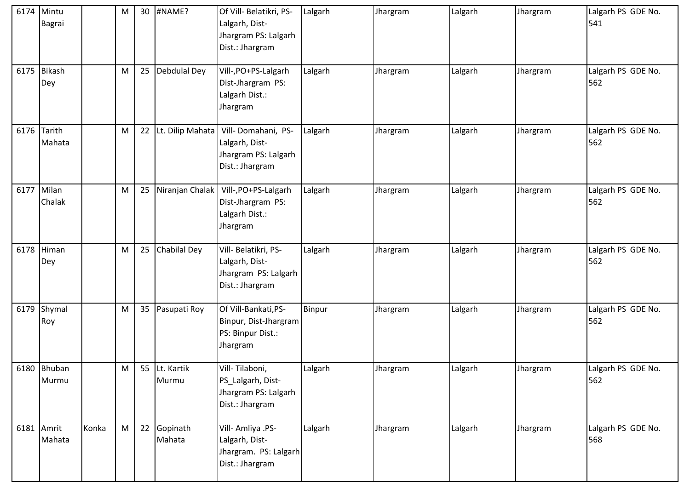|      | 6174 Mintu<br>Bagrai  |       | M         | 30 | #NAME?                 | Of Vill- Belatikri, PS-<br>Lalgarh, Dist-<br>Jhargram PS: Lalgarh<br>Dist.: Jhargram | Lalgarh | Jhargram | Lalgarh | Jhargram | Lalgarh PS GDE No.<br>541 |
|------|-----------------------|-------|-----------|----|------------------------|--------------------------------------------------------------------------------------|---------|----------|---------|----------|---------------------------|
|      | 6175 Bikash<br>Dey    |       | M         | 25 | Debdulal Dey           | Vill-, PO+PS-Lalgarh<br>Dist-Jhargram PS:<br>Lalgarh Dist.:<br>Jhargram              | Lalgarh | Jhargram | Lalgarh | Jhargram | Lalgarh PS GDE No.<br>562 |
|      | 6176 Tarith<br>Mahata |       | M         | 22 | Lt. Dilip Mahata       | Vill-Domahani, PS-<br>Lalgarh, Dist-<br>Jhargram PS: Lalgarh<br>Dist.: Jhargram      | Lalgarh | Jhargram | Lalgarh | Jhargram | Lalgarh PS GDE No.<br>562 |
|      | 6177 Milan<br>Chalak  |       | M         | 25 | Niranjan Chalak        | Vill-, PO+PS-Lalgarh<br>Dist-Jhargram PS:<br>Lalgarh Dist.:<br>Jhargram              | Lalgarh | Jhargram | Lalgarh | Jhargram | Lalgarh PS GDE No.<br>562 |
|      | $6178$ Himan<br>Dey   |       | ${\sf M}$ | 25 | Chabilal Dey           | Vill- Belatikri, PS-<br>Lalgarh, Dist-<br>Jhargram PS: Lalgarh<br>Dist.: Jhargram    | Lalgarh | Jhargram | Lalgarh | Jhargram | Lalgarh PS GDE No.<br>562 |
| 6179 | Shymal<br>Roy         |       | M         | 35 | Pasupati Roy           | Of Vill-Bankati, PS-<br>Binpur, Dist-Jhargram<br>PS: Binpur Dist.:<br>Jhargram       | Binpur  | Jhargram | Lalgarh | Jhargram | Lalgarh PS GDE No.<br>562 |
|      | 6180 Bhuban<br>Murmu  |       | M         |    | 55 Lt. Kartik<br>Murmu | Vill-Tilaboni,<br>PS_Lalgarh, Dist-<br>Jhargram PS: Lalgarh<br>Dist.: Jhargram       | Lalgarh | Jhargram | Lalgarh | Jhargram | Lalgarh PS GDE No.<br>562 |
|      | 6181 Amrit<br>Mahata  | Konka | M         | 22 | Gopinath<br>Mahata     | Vill-Amliya .PS-<br>Lalgarh, Dist-<br>Jhargram. PS: Lalgarh<br>Dist.: Jhargram       | Lalgarh | Jhargram | Lalgarh | Jhargram | Lalgarh PS GDE No.<br>568 |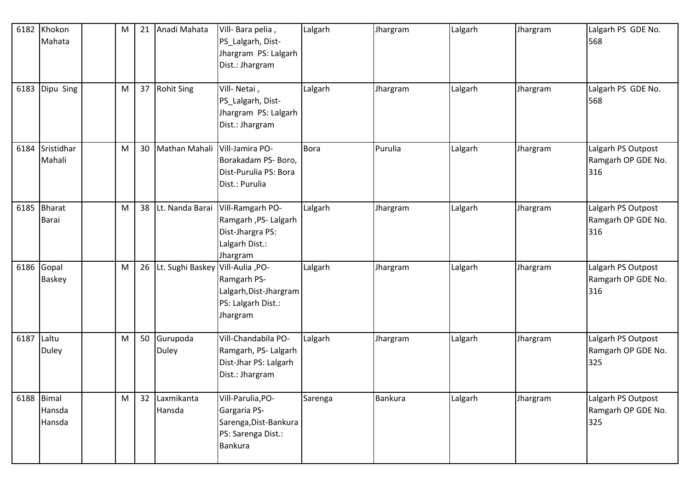| 6182 | Khokon<br>Mahata               | M | 21 | Anadi Mahata                     | Vill-Bara pelia,<br>PS_Lalgarh, Dist-<br>Jhargram PS: Lalgarh<br>Dist.: Jhargram            | Lalgarh     | Jhargram | Lalgarh | Jhargram | Lalgarh PS GDE No.<br>568                       |
|------|--------------------------------|---|----|----------------------------------|---------------------------------------------------------------------------------------------|-------------|----------|---------|----------|-------------------------------------------------|
| 6183 | Dipu Sing                      | M |    | 37 Rohit Sing                    | Vill-Netai,<br>PS_Lalgarh, Dist-<br>Jhargram PS: Lalgarh<br>Dist.: Jhargram                 | Lalgarh     | Jhargram | Lalgarh | Jhargram | Lalgarh PS GDE No.<br>568                       |
|      | 6184 Sristidhar<br>Mahali      | M |    | 30 Mathan Mahali                 | Vill-Jamira PO-<br>Borakadam PS- Boro,<br>Dist-Purulia PS: Bora<br>Dist.: Purulia           | <b>Bora</b> | Purulia  | Lalgarh | Jhargram | Lalgarh PS Outpost<br>Ramgarh OP GDE No.<br>316 |
|      | 6185 Bharat<br>Barai           | M |    | 38 Lt. Nanda Barai               | Vill-Ramgarh PO-<br>Ramgarh, PS-Lalgarh<br>Dist-Jhargra PS:<br>Lalgarh Dist.:<br>Jhargram   | Lalgarh     | Jhargram | Lalgarh | Jhargram | Lalgarh PS Outpost<br>Ramgarh OP GDE No.<br>316 |
|      | 6186 Gopal<br>Baskey           | M | 26 | Lt. Sughi Baskey Vill-Aulia, PO- | Ramgarh PS-<br>Lalgarh, Dist-Jhargram<br>PS: Lalgarh Dist.:<br>Jhargram                     | Lalgarh     | Jhargram | Lalgarh | Jhargram | Lalgarh PS Outpost<br>Ramgarh OP GDE No.<br>316 |
| 6187 | Laltu<br><b>Duley</b>          | M |    | 50 Gurupoda<br>Duley             | Vill-Chandabila PO-<br>Ramgarh, PS- Lalgarh<br>Dist-Jhar PS: Lalgarh<br>Dist.: Jhargram     | Lalgarh     | Jhargram | Lalgarh | Jhargram | Lalgarh PS Outpost<br>Ramgarh OP GDE No.<br>325 |
|      | 6188 Bimal<br>Hansda<br>Hansda | M |    | 32 Laxmikanta<br>Hansda          | Vill-Parulia, PO-<br>Gargaria PS-<br>Sarenga, Dist-Bankura<br>PS: Sarenga Dist.:<br>Bankura | Sarenga     | Bankura  | Lalgarh | Jhargram | Lalgarh PS Outpost<br>Ramgarh OP GDE No.<br>325 |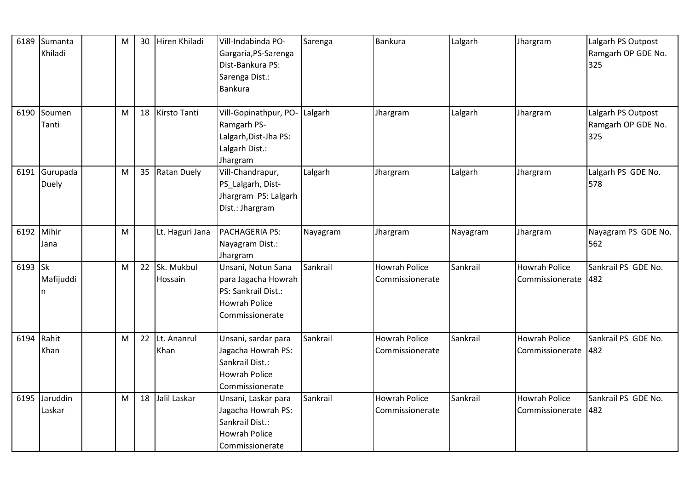| 6189       | Sumanta<br>Khiladi      | M |    | 30 Hiren Khiladi         | Vill-Indabinda PO-<br>Gargaria, PS-Sarenga<br>Dist-Bankura PS:<br>Sarenga Dist.:<br>Bankura                 | Sarenga  | Bankura                                 | Lalgarh  | Jhargram                                | Lalgarh PS Outpost<br>Ramgarh OP GDE No.<br>325 |
|------------|-------------------------|---|----|--------------------------|-------------------------------------------------------------------------------------------------------------|----------|-----------------------------------------|----------|-----------------------------------------|-------------------------------------------------|
| 6190       | Soumen<br>Tanti         | M | 18 | Kirsto Tanti             | Vill-Gopinathpur, PO-<br>Ramgarh PS-<br>Lalgarh, Dist-Jha PS:<br>Lalgarh Dist.:<br>Jhargram                 | Lalgarh  | Jhargram                                | Lalgarh  | Jhargram                                | Lalgarh PS Outpost<br>Ramgarh OP GDE No.<br>325 |
|            | 6191 Gurupada<br>Duely  | M |    | 35 Ratan Duely           | Vill-Chandrapur,<br>PS_Lalgarh, Dist-<br>Jhargram PS: Lalgarh<br>Dist.: Jhargram                            | Lalgarh  | Jhargram                                | Lalgarh  | Jhargram                                | Lalgarh PS GDE No.<br>578                       |
| 6192 Mihir | Jana                    | M |    | Lt. Haguri Jana          | PACHAGERIA PS:<br>Nayagram Dist.:<br>Jhargram                                                               | Nayagram | Jhargram                                | Nayagram | Jhargram                                | Nayagram PS GDE No.<br>562                      |
| 6193 Sk    | Mafijuddi<br>n          | M |    | 22 Sk. Mukbul<br>Hossain | Unsani, Notun Sana<br>para Jagacha Howrah<br>PS: Sankrail Dist.:<br><b>Howrah Police</b><br>Commissionerate | Sankrail | <b>Howrah Police</b><br>Commissionerate | Sankrail | <b>Howrah Police</b><br>Commissionerate | Sankrail PS GDE No.<br>482                      |
| 6194       | Rahit<br>Khan           | M | 22 | Lt. Ananrul<br>Khan      | Unsani, sardar para<br>Jagacha Howrah PS:<br>Sankrail Dist.:<br><b>Howrah Police</b><br>Commissionerate     | Sankrail | <b>Howrah Police</b><br>Commissionerate | Sankrail | <b>Howrah Police</b><br>Commissionerate | Sankrail PS GDE No.<br>482                      |
|            | 6195 Jaruddin<br>Laskar | M | 18 | Jalil Laskar             | Unsani, Laskar para<br>Jagacha Howrah PS:<br>Sankrail Dist.:<br><b>Howrah Police</b><br>Commissionerate     | Sankrail | <b>Howrah Police</b><br>Commissionerate | Sankrail | <b>Howrah Police</b><br>Commissionerate | Sankrail PS GDE No.<br>482                      |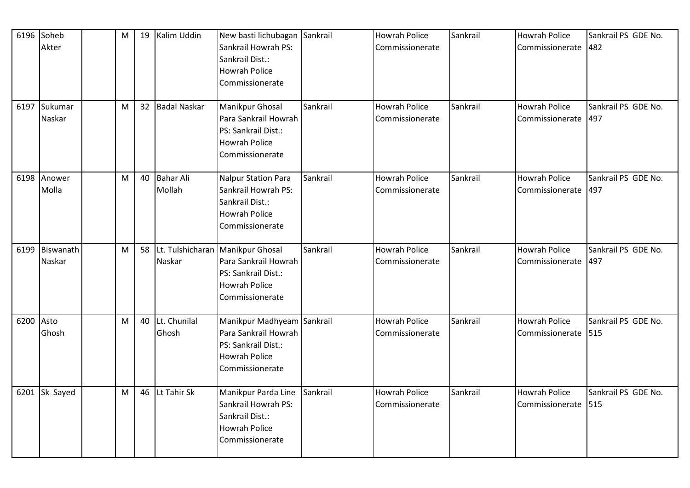|           | 6196 Soheb    | M | 19 Kalim Uddin  | New basti lichubagan                | Sankrail | <b>Howrah Police</b> | Sankrail | <b>Howrah Police</b> | Sankrail PS GDE No. |
|-----------|---------------|---|-----------------|-------------------------------------|----------|----------------------|----------|----------------------|---------------------|
|           | Akter         |   |                 | Sankrail Howrah PS:                 |          | Commissionerate      |          | Commissionerate      | 482                 |
|           |               |   |                 | Sankrail Dist.:                     |          |                      |          |                      |                     |
|           |               |   |                 | <b>Howrah Police</b>                |          |                      |          |                      |                     |
|           |               |   |                 | Commissionerate                     |          |                      |          |                      |                     |
|           | 6197 Sukumar  | M | 32 Badal Naskar | <b>Manikpur Ghosal</b>              | Sankrail | <b>Howrah Police</b> | Sankrail | <b>Howrah Police</b> | Sankrail PS GDE No. |
|           | Naskar        |   |                 | Para Sankrail Howrah                |          | Commissionerate      |          | Commissionerate      | 497                 |
|           |               |   |                 | PS: Sankrail Dist.:                 |          |                      |          |                      |                     |
|           |               |   |                 | <b>Howrah Police</b>                |          |                      |          |                      |                     |
|           |               |   |                 | Commissionerate                     |          |                      |          |                      |                     |
| 6198      | Anower        | M | 40 Bahar Ali    | <b>Nalpur Station Para</b>          | Sankrail | <b>Howrah Police</b> | Sankrail | <b>Howrah Police</b> | Sankrail PS GDE No. |
|           | Molla         |   | Mollah          | Sankrail Howrah PS:                 |          | Commissionerate      |          | Commissionerate      | 497                 |
|           |               |   |                 | Sankrail Dist.:                     |          |                      |          |                      |                     |
|           |               |   |                 | <b>Howrah Police</b>                |          |                      |          |                      |                     |
|           |               |   |                 | Commissionerate                     |          |                      |          |                      |                     |
| 6199      | Biswanath     | M |                 | 58 Lt. Tulshicharan Manikpur Ghosal | Sankrail | <b>Howrah Police</b> | Sankrail | <b>Howrah Police</b> | Sankrail PS GDE No. |
|           | Naskar        |   | Naskar          | Para Sankrail Howrah                |          | Commissionerate      |          | Commissionerate      | 497                 |
|           |               |   |                 | PS: Sankrail Dist.:                 |          |                      |          |                      |                     |
|           |               |   |                 | <b>Howrah Police</b>                |          |                      |          |                      |                     |
|           |               |   |                 | Commissionerate                     |          |                      |          |                      |                     |
| 6200 Asto |               | M | 40 Lt. Chunilal | Manikpur Madhyeam                   | Sankrail | Howrah Police        | Sankrail | <b>Howrah Police</b> | Sankrail PS GDE No. |
|           | Ghosh         |   | Ghosh           | Para Sankrail Howrah                |          | Commissionerate      |          | Commissionerate      | 515                 |
|           |               |   |                 | PS: Sankrail Dist.:                 |          |                      |          |                      |                     |
|           |               |   |                 | <b>Howrah Police</b>                |          |                      |          |                      |                     |
|           |               |   |                 | Commissionerate                     |          |                      |          |                      |                     |
|           | 6201 Sk Sayed | M | 46 Lt Tahir Sk  | Manikpur Parda Line                 | Sankrail | <b>Howrah Police</b> | Sankrail | <b>Howrah Police</b> | Sankrail PS GDE No. |
|           |               |   |                 | Sankrail Howrah PS:                 |          | Commissionerate      |          | Commissionerate      | 515                 |
|           |               |   |                 | Sankrail Dist.:                     |          |                      |          |                      |                     |
|           |               |   |                 | <b>Howrah Police</b>                |          |                      |          |                      |                     |
|           |               |   |                 | Commissionerate                     |          |                      |          |                      |                     |
|           |               |   |                 |                                     |          |                      |          |                      |                     |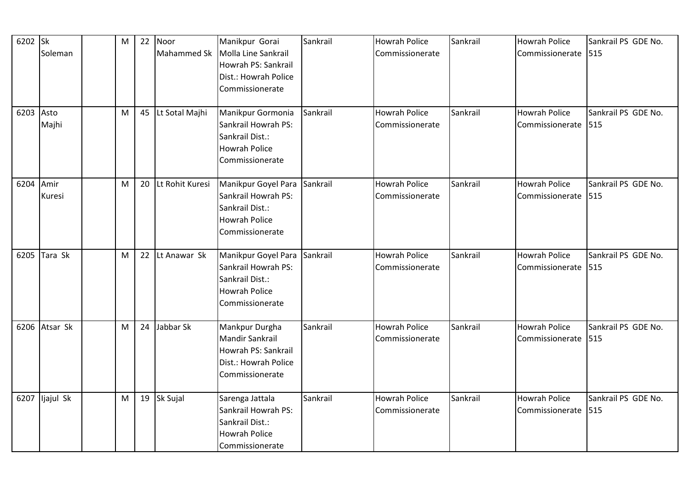| 6202 Sk   |                | M |    | 22 Noor            | Manikpur Gorai         | Sankrail | <b>Howrah Police</b> | Sankrail | <b>Howrah Police</b> | Sankrail PS GDE No. |
|-----------|----------------|---|----|--------------------|------------------------|----------|----------------------|----------|----------------------|---------------------|
|           | Soleman        |   |    | Mahammed Sk        | Molla Line Sankrail    |          | Commissionerate      |          | Commissionerate      | 515                 |
|           |                |   |    |                    | Howrah PS: Sankrail    |          |                      |          |                      |                     |
|           |                |   |    |                    | Dist.: Howrah Police   |          |                      |          |                      |                     |
|           |                |   |    |                    | Commissionerate        |          |                      |          |                      |                     |
| 6203      | Asto           | M |    | 45 Lt Sotal Majhi  | Manikpur Gormonia      | Sankrail | <b>Howrah Police</b> | Sankrail | <b>Howrah Police</b> | Sankrail PS GDE No. |
|           | Majhi          |   |    |                    | Sankrail Howrah PS:    |          | Commissionerate      |          | Commissionerate      | 515                 |
|           |                |   |    |                    | Sankrail Dist.:        |          |                      |          |                      |                     |
|           |                |   |    |                    | <b>Howrah Police</b>   |          |                      |          |                      |                     |
|           |                |   |    |                    | Commissionerate        |          |                      |          |                      |                     |
|           |                |   |    |                    |                        |          |                      |          |                      |                     |
| 6204 Amir |                | M |    | 20 Lt Rohit Kuresi | Manikpur Goyel Para    | Sankrail | <b>Howrah Police</b> | Sankrail | <b>Howrah Police</b> | Sankrail PS GDE No. |
|           | Kuresi         |   |    |                    | Sankrail Howrah PS:    |          | Commissionerate      |          | Commissionerate      | 515                 |
|           |                |   |    |                    | Sankrail Dist.:        |          |                      |          |                      |                     |
|           |                |   |    |                    | <b>Howrah Police</b>   |          |                      |          |                      |                     |
|           |                |   |    |                    | Commissionerate        |          |                      |          |                      |                     |
| 6205      | Tara Sk        | M |    | 22 Lt Anawar Sk    | Manikpur Goyel Para    | Sankrail | <b>Howrah Police</b> | Sankrail | <b>Howrah Police</b> | Sankrail PS GDE No. |
|           |                |   |    |                    | Sankrail Howrah PS:    |          | Commissionerate      |          | Commissionerate      | 515                 |
|           |                |   |    |                    | Sankrail Dist.:        |          |                      |          |                      |                     |
|           |                |   |    |                    | <b>Howrah Police</b>   |          |                      |          |                      |                     |
|           |                |   |    |                    | Commissionerate        |          |                      |          |                      |                     |
|           |                |   |    |                    |                        |          |                      |          |                      |                     |
|           | 6206 Atsar Sk  | M | 24 | Jabbar Sk          | Mankpur Durgha         | Sankrail | <b>Howrah Police</b> | Sankrail | <b>Howrah Police</b> | Sankrail PS GDE No. |
|           |                |   |    |                    | <b>Mandir Sankrail</b> |          | Commissionerate      |          | Commissionerate      | 515                 |
|           |                |   |    |                    | Howrah PS: Sankrail    |          |                      |          |                      |                     |
|           |                |   |    |                    | Dist.: Howrah Police   |          |                      |          |                      |                     |
|           |                |   |    |                    | Commissionerate        |          |                      |          |                      |                     |
|           | 6207 ljajul Sk | M |    | 19 Sk Sujal        | Sarenga Jattala        | Sankrail | <b>Howrah Police</b> | Sankrail | <b>Howrah Police</b> | Sankrail PS GDE No. |
|           |                |   |    |                    | Sankrail Howrah PS:    |          | Commissionerate      |          | Commissionerate      | 515                 |
|           |                |   |    |                    | Sankrail Dist.:        |          |                      |          |                      |                     |
|           |                |   |    |                    | <b>Howrah Police</b>   |          |                      |          |                      |                     |
|           |                |   |    |                    | Commissionerate        |          |                      |          |                      |                     |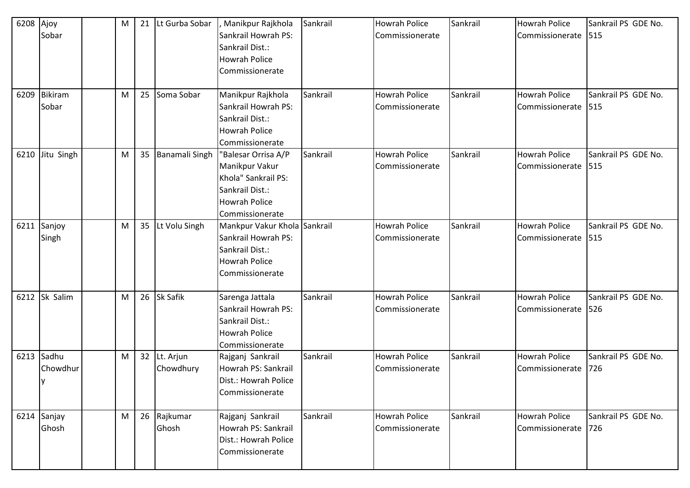| 6208        | Ajoy           | M | 21 Lt Gurba Sobar | Manikpur Rajkhola            | Sankrail | <b>Howrah Police</b> | Sankrail | <b>Howrah Police</b>  | Sankrail PS GDE No. |
|-------------|----------------|---|-------------------|------------------------------|----------|----------------------|----------|-----------------------|---------------------|
|             | Sobar          |   |                   | Sankrail Howrah PS:          |          | Commissionerate      |          | Commissionerate       | 515                 |
|             |                |   |                   | Sankrail Dist.:              |          |                      |          |                       |                     |
|             |                |   |                   | <b>Howrah Police</b>         |          |                      |          |                       |                     |
|             |                |   |                   | Commissionerate              |          |                      |          |                       |                     |
| 6209        | <b>Bikiram</b> | M | 25 Soma Sobar     | Manikpur Rajkhola            | Sankrail | <b>Howrah Police</b> | Sankrail | <b>Howrah Police</b>  | Sankrail PS GDE No. |
|             | Sobar          |   |                   | Sankrail Howrah PS:          |          | Commissionerate      |          | Commissionerate       | 515                 |
|             |                |   |                   | Sankrail Dist.:              |          |                      |          |                       |                     |
|             |                |   |                   | <b>Howrah Police</b>         |          |                      |          |                       |                     |
|             |                |   |                   | Commissionerate              |          |                      |          |                       |                     |
| 6210        | Jitu Singh     | M | 35 Banamali Singh | "Balesar Orrisa A/P          | Sankrail | <b>Howrah Police</b> | Sankrail | <b>Howrah Police</b>  | Sankrail PS GDE No. |
|             |                |   |                   | Manikpur Vakur               |          | Commissionerate      |          | Commissionerate       | 515                 |
|             |                |   |                   | Khola" Sankrail PS:          |          |                      |          |                       |                     |
|             |                |   |                   | Sankrail Dist.:              |          |                      |          |                       |                     |
|             |                |   |                   | <b>Howrah Police</b>         |          |                      |          |                       |                     |
|             |                |   |                   | Commissionerate              |          |                      |          |                       |                     |
|             | 6211 Sanjoy    | M | 35 Lt Volu Singh  | Mankpur Vakur Khola Sankrail |          | <b>Howrah Police</b> | Sankrail | <b>Howrah Police</b>  | Sankrail PS GDE No. |
|             | Singh          |   |                   | Sankrail Howrah PS:          |          | Commissionerate      |          | Commissionerate       | 515                 |
|             |                |   |                   | Sankrail Dist.:              |          |                      |          |                       |                     |
|             |                |   |                   | <b>Howrah Police</b>         |          |                      |          |                       |                     |
|             |                |   |                   | Commissionerate              |          |                      |          |                       |                     |
|             |                |   |                   |                              |          |                      |          |                       |                     |
|             | 6212 Sk Salim  | M | 26 Sk Safik       | Sarenga Jattala              | Sankrail | <b>Howrah Police</b> | Sankrail | Howrah Police         | Sankrail PS GDE No. |
|             |                |   |                   | Sankrail Howrah PS:          |          | Commissionerate      |          | Commissionerate       | 526                 |
|             |                |   |                   | Sankrail Dist.:              |          |                      |          |                       |                     |
|             |                |   |                   | <b>Howrah Police</b>         |          |                      |          |                       |                     |
|             |                |   |                   | Commissionerate              |          |                      |          |                       |                     |
| 6213        | Sadhu          | M | 32 Lt. Arjun      | Rajganj Sankrail             | Sankrail | <b>Howrah Police</b> | Sankrail | <b>Howrah Police</b>  | Sankrail PS GDE No. |
|             | Chowdhur       |   | Chowdhury         | Howrah PS: Sankrail          |          | Commissionerate      |          | Commissionerate       | 726                 |
|             | Iy             |   |                   | Dist.: Howrah Police         |          |                      |          |                       |                     |
|             |                |   |                   | Commissionerate              |          |                      |          |                       |                     |
| 6214 Sanjay |                | M | 26 Rajkumar       | Rajganj Sankrail             | Sankrail | <b>Howrah Police</b> | Sankrail | <b>Howrah Police</b>  | Sankrail PS GDE No. |
|             | Ghosh          |   | Ghosh             | Howrah PS: Sankrail          |          | Commissionerate      |          | Commissionerate   726 |                     |
|             |                |   |                   | Dist.: Howrah Police         |          |                      |          |                       |                     |
|             |                |   |                   | Commissionerate              |          |                      |          |                       |                     |
|             |                |   |                   |                              |          |                      |          |                       |                     |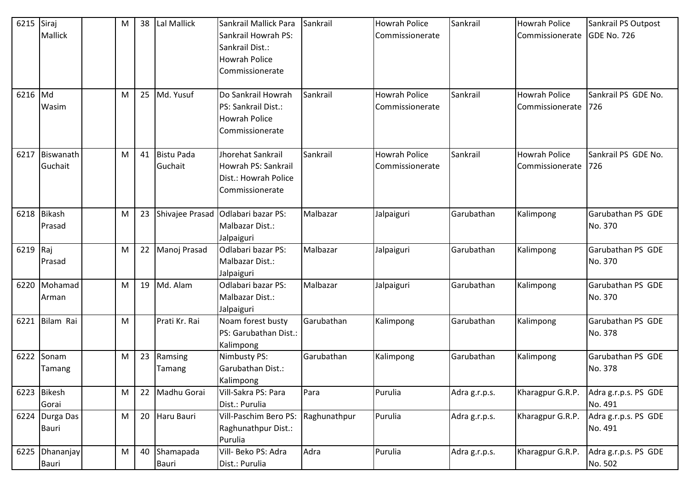| 6215     | Siraj                     | M | 38 | Lal Mallick              | Sankrail Mallick Para                                                                | Sankrail     | <b>Howrah Police</b>                    | Sankrail      | <b>Howrah Police</b>                    | Sankrail PS Outpost             |
|----------|---------------------------|---|----|--------------------------|--------------------------------------------------------------------------------------|--------------|-----------------------------------------|---------------|-----------------------------------------|---------------------------------|
|          | Mallick                   |   |    |                          | Sankrail Howrah PS:<br>Sankrail Dist.:<br><b>Howrah Police</b>                       |              | Commissionerate                         |               | Commissionerate                         | <b>GDE No. 726</b>              |
|          |                           |   |    |                          | Commissionerate                                                                      |              |                                         |               |                                         |                                 |
| 6216 Md  | Wasim                     | M |    | 25 Md. Yusuf             | Do Sankrail Howrah<br>PS: Sankrail Dist.:<br><b>Howrah Police</b><br>Commissionerate | Sankrail     | <b>Howrah Police</b><br>Commissionerate | Sankrail      | <b>Howrah Police</b><br>Commissionerate | Sankrail PS GDE No.<br>726      |
| 6217     | Biswanath<br>Guchait      | M |    | 41 Bistu Pada<br>Guchait | Jhorehat Sankrail<br>Howrah PS: Sankrail<br>Dist.: Howrah Police<br>Commissionerate  | Sankrail     | <b>Howrah Police</b><br>Commissionerate | Sankrail      | <b>Howrah Police</b><br>Commissionerate | Sankrail PS GDE No.<br>726      |
| 6218     | <b>Bikash</b><br>Prasad   | M | 23 | Shivajee Prasad          | Odlabari bazar PS:<br>Malbazar Dist.:<br>Jalpaiguri                                  | Malbazar     | Jalpaiguri                              | Garubathan    | Kalimpong                               | Garubathan PS GDE<br>No. 370    |
| 6219 Raj | Prasad                    | M |    | 22 Manoj Prasad          | Odlabari bazar PS:<br>Malbazar Dist.:<br>Jalpaiguri                                  | Malbazar     | Jalpaiguri                              | Garubathan    | Kalimpong                               | Garubathan PS GDE<br>No. 370    |
| 6220     | Mohamad<br>Arman          | M |    | 19 Md. Alam              | Odlabari bazar PS:<br>Malbazar Dist.:<br>Jalpaiguri                                  | Malbazar     | Jalpaiguri                              | Garubathan    | Kalimpong                               | Garubathan PS GDE<br>No. 370    |
| 6221     | Bilam Rai                 | M |    | Prati Kr. Rai            | Noam forest busty<br>PS: Garubathan Dist.:<br>Kalimpong                              | Garubathan   | Kalimpong                               | Garubathan    | Kalimpong                               | Garubathan PS GDE<br>No. 378    |
| 6222     | Sonam<br>Tamang           | M |    | 23 Ramsing<br>Tamang     | Nimbusty PS:<br>Garubathan Dist.:<br>Kalimpong                                       | Garubathan   | Kalimpong                               | Garubathan    | Kalimpong                               | Garubathan PS GDE<br>No. 378    |
|          | 6223 Bikesh<br>Gorai      | M | 22 | Madhu Gorai              | Vill-Sakra PS: Para<br>Dist.: Purulia                                                | Para         | Purulia                                 | Adra g.r.p.s. | Kharagpur G.R.P.                        | Adra g.r.p.s. PS GDE<br>No. 491 |
|          | 6224 Durga Das<br>Bauri   | M |    | 20 Haru Bauri            | Vill-Paschim Bero PS:<br>Raghunathpur Dist.:<br>Purulia                              | Raghunathpur | Purulia                                 | Adra g.r.p.s. | Kharagpur G.R.P.                        | Adra g.r.p.s. PS GDE<br>No. 491 |
| 6225     | <b>Dhananjay</b><br>Bauri | M |    | 40 Shamapada<br>Bauri    | Vill- Beko PS: Adra<br>Dist.: Purulia                                                | Adra         | Purulia                                 | Adra g.r.p.s. | Kharagpur G.R.P.                        | Adra g.r.p.s. PS GDE<br>No. 502 |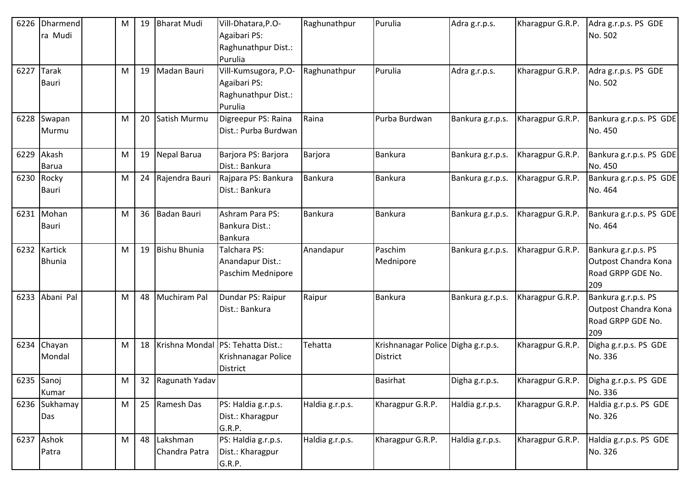| 6226 | Dharmend                      | M | 19 | <b>Bharat Mudi</b>           | Vill-Dhatara, P.O-                                                                 | Raghunathpur    | Purulia                                        | Adra g.r.p.s.    | Kharagpur G.R.P. | Adra g.r.p.s. PS GDE                                                    |
|------|-------------------------------|---|----|------------------------------|------------------------------------------------------------------------------------|-----------------|------------------------------------------------|------------------|------------------|-------------------------------------------------------------------------|
|      | ra Mudi                       |   |    |                              | Agaibari PS:<br>Raghunathpur Dist.:<br>Purulia                                     |                 |                                                |                  |                  | No. 502                                                                 |
| 6227 | <b>Tarak</b><br><b>Bauri</b>  | M | 19 | Madan Bauri                  | Vill-Kumsugora, P.O-<br>Agaibari PS:<br>Raghunathpur Dist.:<br>Purulia             | Raghunathpur    | Purulia                                        | Adra g.r.p.s.    | Kharagpur G.R.P. | Adra g.r.p.s. PS GDE<br>No. 502                                         |
|      | 6228 Swapan<br>Murmu          | M | 20 | Satish Murmu                 | Digreepur PS: Raina<br>Dist.: Purba Burdwan                                        | Raina           | Purba Burdwan                                  | Bankura g.r.p.s. | Kharagpur G.R.P. | Bankura g.r.p.s. PS GDE<br>No. 450                                      |
|      | 6229 Akash<br><b>Barua</b>    | M |    | 19 Nepal Barua               | Barjora PS: Barjora<br>Dist.: Bankura                                              | Barjora         | Bankura                                        | Bankura g.r.p.s. | Kharagpur G.R.P. | Bankura g.r.p.s. PS GDE<br>No. 450                                      |
|      | 6230 Rocky<br>Bauri           | M |    | 24 Rajendra Bauri            | Rajpara PS: Bankura<br>Dist.: Bankura                                              | Bankura         | Bankura                                        | Bankura g.r.p.s. | Kharagpur G.R.P. | Bankura g.r.p.s. PS GDE<br>No. 464                                      |
|      | 6231 Mohan<br><b>Bauri</b>    | M |    | 36 Badan Bauri               | Ashram Para PS:<br>Bankura Dist.:<br><b>Bankura</b>                                | <b>Bankura</b>  | <b>Bankura</b>                                 | Bankura g.r.p.s. | Kharagpur G.R.P. | Bankura g.r.p.s. PS GDE<br>No. 464                                      |
|      | 6232 Kartick<br><b>Bhunia</b> | M | 19 | Bishu Bhunia                 | Talchara PS:<br>Anandapur Dist.:<br>Paschim Mednipore                              | Anandapur       | Paschim<br>Mednipore                           | Bankura g.r.p.s. | Kharagpur G.R.P. | Bankura g.r.p.s. PS<br>Outpost Chandra Kona<br>Road GRPP GDE No.<br>209 |
| 6233 | Abani Pal                     | M | 48 | Muchiram Pal                 | Dundar PS: Raipur<br>Dist.: Bankura                                                | Raipur          | <b>Bankura</b>                                 | Bankura g.r.p.s. | Kharagpur G.R.P. | Bankura g.r.p.s. PS<br>Outpost Chandra Kona<br>Road GRPP GDE No.<br>209 |
| 6234 | Chayan<br>Mondal              | M |    |                              | 18   Krishna Mondal   PS: Tehatta Dist.:<br>Krishnanagar Police<br><b>District</b> | Tehatta         | Krishnanagar Police Digha g.r.p.s.<br>District |                  | Kharagpur G.R.P. | Digha g.r.p.s. PS GDE<br>No. 336                                        |
|      | $6235$ Sanoj<br>Kumar         | M |    | 32 Ragunath Yadav            |                                                                                    |                 | <b>Basirhat</b>                                | Digha g.r.p.s.   | Kharagpur G.R.P. | Digha g.r.p.s. PS GDE<br>No. 336                                        |
|      | 6236 Sukhamay<br>Das          | M |    | 25 Ramesh Das                | PS: Haldia g.r.p.s.<br>Dist.: Kharagpur<br>G.R.P.                                  | Haldia g.r.p.s. | Kharagpur G.R.P.                               | Haldia g.r.p.s.  | Kharagpur G.R.P. | Haldia g.r.p.s. PS GDE<br>No. 326                                       |
|      | 6237 Ashok<br>Patra           | M |    | 48 Lakshman<br>Chandra Patra | PS: Haldia g.r.p.s.<br>Dist.: Kharagpur<br>G.R.P.                                  | Haldia g.r.p.s. | Kharagpur G.R.P.                               | Haldia g.r.p.s.  | Kharagpur G.R.P. | Haldia g.r.p.s. PS GDE<br>No. 326                                       |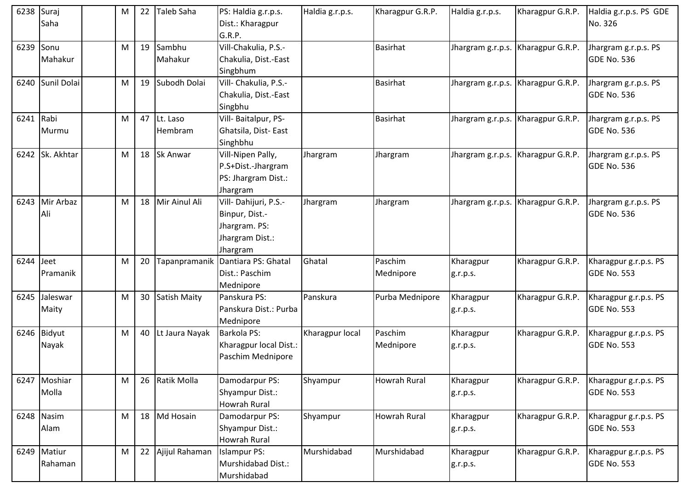| 6238 Suraj  | Saha                   | M | 22              | Taleb Saha          | PS: Haldia g.r.p.s.<br>Dist.: Kharagpur<br>G.R.P.                                      | Haldia g.r.p.s. | Kharagpur G.R.P.     | Haldia g.r.p.s.       | Kharagpur G.R.P.                   | Haldia g.r.p.s. PS GDE<br>No. 326           |
|-------------|------------------------|---|-----------------|---------------------|----------------------------------------------------------------------------------------|-----------------|----------------------|-----------------------|------------------------------------|---------------------------------------------|
| 6239        | Sonu<br>Mahakur        | М | 19              | Sambhu<br>Mahakur   | Vill-Chakulia, P.S.-<br>Chakulia, Dist.-East<br>Singbhum                               |                 | Basirhat             | Jhargram g.r.p.s.     | Kharagpur G.R.P.                   | Jhargram g.r.p.s. PS<br><b>GDE No. 536</b>  |
| 6240        | Sunil Dolai            | M | 19              | Subodh Dolai        | Vill- Chakulia, P.S.-<br>Chakulia, Dist.-East<br>Singbhu                               |                 | <b>Basirhat</b>      |                       | Jhargram g.r.p.s. Kharagpur G.R.P. | Jhargram g.r.p.s. PS<br><b>GDE No. 536</b>  |
| 6241 Rabi   | Murmu                  | M | 47              | Lt. Laso<br>Hembram | Vill- Baitalpur, PS-<br>Ghatsila, Dist-East<br>Singhbhu                                |                 | <b>Basirhat</b>      |                       | Jhargram g.r.p.s. Kharagpur G.R.P. | Jhargram g.r.p.s. PS<br><b>GDE No. 536</b>  |
|             | 6242 Sk. Akhtar        | M |                 | 18 Sk Anwar         | Vill-Nipen Pally,<br>P.S+Dist.-Jhargram<br>PS: Jhargram Dist.:<br>Jhargram             | Jhargram        | Jhargram             | Jhargram g.r.p.s.     | Kharagpur G.R.P.                   | Jhargram g.r.p.s. PS<br>GDE No. 536         |
| 6243        | Mir Arbaz<br>Ali       | M |                 | 18 Mir Ainul Ali    | Vill-Dahijuri, P.S.-<br>Binpur, Dist.-<br>Jhargram. PS:<br>Jhargram Dist.:<br>Jhargram | Jhargram        | Jhargram             |                       | Jhargram g.r.p.s. Kharagpur G.R.P. | Jhargram g.r.p.s. PS<br><b>GDE No. 536</b>  |
| $6244$ Jeet | Pramanik               | M | 20              |                     | Tapanpramanik Dantiara PS: Ghatal<br>Dist.: Paschim<br>Mednipore                       | Ghatal          | Paschim<br>Mednipore | Kharagpur<br>g.r.p.s. | Kharagpur G.R.P.                   | Kharagpur g.r.p.s. PS<br><b>GDE No. 553</b> |
| 6245        | Jaleswar<br>Maity      | M | 30 <sub>o</sub> | <b>Satish Maity</b> | Panskura PS:<br>Panskura Dist.: Purba<br>Mednipore                                     | Panskura        | Purba Mednipore      | Kharagpur<br>g.r.p.s. | Kharagpur G.R.P.                   | Kharagpur g.r.p.s. PS<br><b>GDE No. 553</b> |
| 6246        | Bidyut<br>Nayak        | M | 40              | Lt Jaura Nayak      | Barkola PS:<br>Kharagpur local Dist.:<br>Paschim Mednipore                             | Kharagpur local | Paschim<br>Mednipore | Kharagpur<br>g.r.p.s. | Kharagpur G.R.P.                   | Kharagpur g.r.p.s. PS<br><b>GDE No. 553</b> |
|             | 6247 Moshiar<br>Molla  | M |                 | 26 Ratik Molla      | Damodarpur PS:<br>Shyampur Dist.:<br>Howrah Rural                                      | Shyampur        | Howrah Rural         | Kharagpur<br>g.r.p.s. | Kharagpur G.R.P.                   | Kharagpur g.r.p.s. PS<br>GDE No. 553        |
|             | 6248 Nasim<br>Alam     | M |                 | 18 Md Hosain        | Damodarpur PS:<br>Shyampur Dist.:<br>Howrah Rural                                      | Shyampur        | <b>Howrah Rural</b>  | Kharagpur<br>g.r.p.s. | Kharagpur G.R.P.                   | Kharagpur g.r.p.s. PS<br><b>GDE No. 553</b> |
|             | 6249 Matiur<br>Rahaman | M |                 | 22 Ajijul Rahaman   | <b>Islampur PS:</b><br>Murshidabad Dist.:<br>Murshidabad                               | Murshidabad     | Murshidabad          | Kharagpur<br>g.r.p.s. | Kharagpur G.R.P.                   | Kharagpur g.r.p.s. PS<br>GDE No. 553        |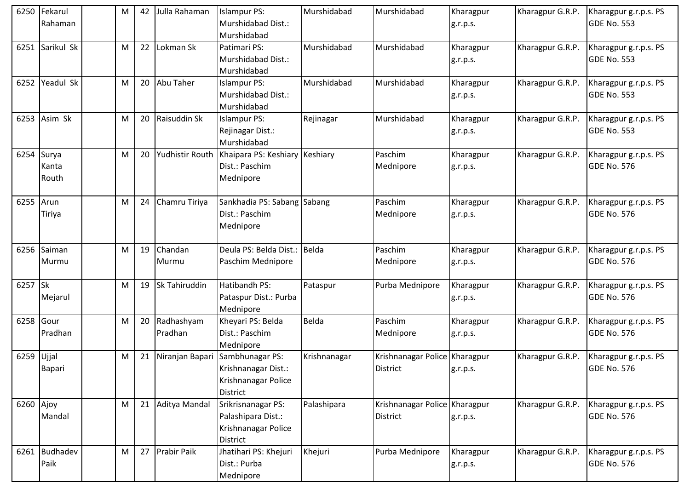|           | 6250 Fekarul   | M | 42 | Julla Rahaman    | <b>Islampur PS:</b>            | Murshidabad  | Murshidabad                   | Kharagpur | Kharagpur G.R.P. | Kharagpur g.r.p.s. PS |
|-----------|----------------|---|----|------------------|--------------------------------|--------------|-------------------------------|-----------|------------------|-----------------------|
|           | Rahaman        |   |    |                  | Murshidabad Dist.:             |              |                               | g.r.p.s.  |                  | GDE No. 553           |
|           |                |   |    |                  | Murshidabad                    |              |                               |           |                  |                       |
| 6251      | Sarikul Sk     | M | 22 | Lokman Sk        | Patimari PS:                   | Murshidabad  | Murshidabad                   | Kharagpur | Kharagpur G.R.P. | Kharagpur g.r.p.s. PS |
|           |                |   |    |                  | Murshidabad Dist.:             |              |                               | g.r.p.s.  |                  | GDE No. 553           |
|           |                |   |    |                  | Murshidabad                    |              |                               |           |                  |                       |
|           | 6252 Yeadul Sk | M | 20 | <b>Abu Taher</b> | <b>Islampur PS:</b>            | Murshidabad  | Murshidabad                   | Kharagpur | Kharagpur G.R.P. | Kharagpur g.r.p.s. PS |
|           |                |   |    |                  | Murshidabad Dist.:             |              |                               | g.r.p.s.  |                  | <b>GDE No. 553</b>    |
|           |                |   |    |                  | Murshidabad                    |              |                               |           |                  |                       |
| 6253      | Asim Sk        | M | 20 | Raisuddin Sk     | <b>Islampur PS:</b>            | Rejinagar    | Murshidabad                   | Kharagpur | Kharagpur G.R.P. | Kharagpur g.r.p.s. PS |
|           |                |   |    |                  | Rejinagar Dist.:               |              |                               | g.r.p.s.  |                  | <b>GDE No. 553</b>    |
|           |                |   |    |                  | Murshidabad                    |              |                               |           |                  |                       |
| 6254      | Surya          | M | 20 | Yudhistir Routh  | Khaipara PS: Keshiary Keshiary |              | Paschim                       | Kharagpur | Kharagpur G.R.P. | Kharagpur g.r.p.s. PS |
|           | Kanta          |   |    |                  | Dist.: Paschim                 |              | Mednipore                     | g.r.p.s.  |                  | GDE No. 576           |
|           | Routh          |   |    |                  | Mednipore                      |              |                               |           |                  |                       |
|           |                |   |    |                  |                                |              |                               |           |                  |                       |
| 6255 Arun |                | M | 24 | Chamru Tiriya    | Sankhadia PS: Sabang Sabang    |              | Paschim                       | Kharagpur | Kharagpur G.R.P. | Kharagpur g.r.p.s. PS |
|           | Tiriya         |   |    |                  | Dist.: Paschim                 |              | Mednipore                     | g.r.p.s.  |                  | <b>GDE No. 576</b>    |
|           |                |   |    |                  | Mednipore                      |              |                               |           |                  |                       |
|           |                |   |    |                  |                                |              |                               |           |                  |                       |
| 6256      | Saiman         | M | 19 | Chandan          | Deula PS: Belda Dist.:         | Belda        | Paschim                       | Kharagpur | Kharagpur G.R.P. | Kharagpur g.r.p.s. PS |
|           | Murmu          |   |    | Murmu            | Paschim Mednipore              |              | Mednipore                     | g.r.p.s.  |                  | GDE No. 576           |
|           |                |   |    |                  |                                |              |                               |           |                  |                       |
| 6257 Sk   |                | M | 19 | Sk Tahiruddin    | Hatibandh PS:                  | Pataspur     | Purba Mednipore               | Kharagpur | Kharagpur G.R.P. | Kharagpur g.r.p.s. PS |
|           | Mejarul        |   |    |                  | Pataspur Dist.: Purba          |              |                               | g.r.p.s.  |                  | <b>GDE No. 576</b>    |
|           |                |   |    |                  | Mednipore                      |              |                               |           |                  |                       |
| 6258      | Gour           | M | 20 | Radhashyam       | Kheyari PS: Belda              | <b>Belda</b> | Paschim                       | Kharagpur | Kharagpur G.R.P. | Kharagpur g.r.p.s. PS |
|           | Pradhan        |   |    | Pradhan          | Dist.: Paschim                 |              | Mednipore                     | g.r.p.s.  |                  | GDE No. 576           |
|           |                |   |    |                  | Mednipore                      |              |                               |           |                  |                       |
| 6259      | Ujjal          | M | 21 | Niranjan Bapari  | Sambhunagar PS:                | Krishnanagar | Krishnanagar Police Kharagpur |           | Kharagpur G.R.P. | Kharagpur g.r.p.s. PS |
|           | Bapari         |   |    |                  | Krishnanagar Dist.:            |              | <b>District</b>               | g.r.p.s.  |                  | GDE No. 576           |
|           |                |   |    |                  | Krishnanagar Police            |              |                               |           |                  |                       |
|           |                |   |    |                  | <b>District</b>                |              |                               |           |                  |                       |
| 6260 Ajoy |                | M | 21 | Aditya Mandal    | Srikrisnanagar PS:             | Palashipara  | Krishnanagar Police Kharagpur |           | Kharagpur G.R.P. | Kharagpur g.r.p.s. PS |
|           | Mandal         |   |    |                  | Palashipara Dist.:             |              | <b>District</b>               | g.r.p.s.  |                  | GDE No. 576           |
|           |                |   |    |                  | Krishnanagar Police            |              |                               |           |                  |                       |
|           |                |   |    |                  | <b>District</b>                |              |                               |           |                  |                       |
|           | 6261 Budhadev  | M |    | 27 Prabir Paik   | Jhatihari PS: Khejuri          | Khejuri      | Purba Mednipore               | Kharagpur | Kharagpur G.R.P. | Kharagpur g.r.p.s. PS |
|           | Paik           |   |    |                  | Dist.: Purba                   |              |                               | g.r.p.s.  |                  | GDE No. 576           |
|           |                |   |    |                  | Mednipore                      |              |                               |           |                  |                       |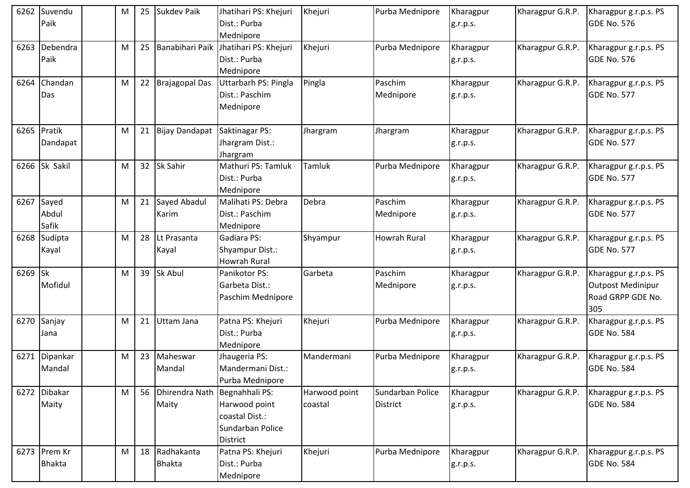| 6262 | Suvendu<br>Paik               | М | 25 | Sukdev Paik                            | Jhatihari PS: Khejuri<br>Dist.: Purba<br>Mednipore                     | Khejuri                  | Purba Mednipore                     | Kharagpur<br>g.r.p.s. | Kharagpur G.R.P. | Kharagpur g.r.p.s. PS<br>GDE No. 576                                   |
|------|-------------------------------|---|----|----------------------------------------|------------------------------------------------------------------------|--------------------------|-------------------------------------|-----------------------|------------------|------------------------------------------------------------------------|
| 6263 | Debendra<br>Paik              | M | 25 | Banabihari Paik                        | Jhatihari PS: Khejuri<br>Dist.: Purba<br>Mednipore                     | Khejuri                  | Purba Mednipore                     | Kharagpur<br>g.r.p.s. | Kharagpur G.R.P. | Kharagpur g.r.p.s. PS<br><b>GDE No. 576</b>                            |
| 6264 | Chandan<br>Das                | M | 22 | <b>Brajagopal Das</b>                  | Uttarbarh PS: Pingla<br>Dist.: Paschim<br>Mednipore                    | Pingla                   | Paschim<br>Mednipore                | Kharagpur<br>g.r.p.s. | Kharagpur G.R.P. | Kharagpur g.r.p.s. PS<br><b>GDE No. 577</b>                            |
| 6265 | Pratik<br>Dandapat            | M | 21 | <b>Bijay Dandapat</b>                  | Saktinagar PS:<br>Jhargram Dist.:<br>Jhargram                          | Jhargram                 | Jhargram                            | Kharagpur<br>g.r.p.s. | Kharagpur G.R.P. | Kharagpur g.r.p.s. PS<br><b>GDE No. 577</b>                            |
| 6266 | Sk Sakil                      | M | 32 | Sk Sahir                               | Mathuri PS: Tamluk<br>Dist.: Purba<br>Mednipore                        | Tamluk                   | Purba Mednipore                     | Kharagpur<br>g.r.p.s. | Kharagpur G.R.P. | Kharagpur g.r.p.s. PS<br><b>GDE No. 577</b>                            |
|      | 6267 Sayed<br>Abdul<br>Safik  | M | 21 | Sayed Abadul<br>Karim                  | Malihati PS: Debra<br>Dist.: Paschim<br>Mednipore                      | Debra                    | Paschim<br>Mednipore                | Kharagpur<br>g.r.p.s. | Kharagpur G.R.P. | Kharagpur g.r.p.s. PS<br><b>GDE No. 577</b>                            |
| 6268 | Sudipta<br>Kayal              | M | 28 | Lt Prasanta<br>Kayal                   | Gadiara PS:<br>Shyampur Dist.:<br><b>Howrah Rural</b>                  | Shyampur                 | Howrah Rural                        | Kharagpur<br>g.r.p.s. | Kharagpur G.R.P. | Kharagpur g.r.p.s. PS<br><b>GDE No. 577</b>                            |
| 6269 | <b>Sk</b><br>Mofidul          | M | 39 | Sk Abul                                | Panikotor PS:<br>Garbeta Dist.:<br>Paschim Mednipore                   | Garbeta                  | Paschim<br>Mednipore                | Kharagpur<br>g.r.p.s. | Kharagpur G.R.P. | Kharagpur g.r.p.s. PS<br>Outpost Medinipur<br>Road GRPP GDE No.<br>305 |
| 6270 | Sanjay<br>Jana                | M | 21 | Uttam Jana                             | Patna PS: Khejuri<br>Dist.: Purba<br>Mednipore                         | Khejuri                  | Purba Mednipore                     | Kharagpur<br>g.r.p.s. | Kharagpur G.R.P. | Kharagpur g.r.p.s. PS<br><b>GDE No. 584</b>                            |
| 6271 | Dipankar<br>Mandal            | M | 23 | Maheswar<br>Mandal                     | Jhaugeria PS:<br>Mandermani Dist.:<br>Purba Mednipore                  | Mandermani               | Purba Mednipore                     | Kharagpur<br>g.r.p.s. | Kharagpur G.R.P. | Kharagpur g.r.p.s. PS<br>GDE No. 584                                   |
|      | 6272 Dibakar<br>Maity         | M | 56 | Dhirendra Nath Begnahhali PS:<br>Maity | Harwood point<br>coastal Dist.:<br>Sundarban Police<br><b>District</b> | Harwood point<br>coastal | Sundarban Police<br><b>District</b> | Kharagpur<br>g.r.p.s. | Kharagpur G.R.P. | Kharagpur g.r.p.s. PS<br><b>GDE No. 584</b>                            |
|      | 6273 Prem Kr<br><b>Bhakta</b> | M | 18 | Radhakanta<br><b>Bhakta</b>            | Patna PS: Khejuri<br>Dist.: Purba<br>Mednipore                         | Khejuri                  | Purba Mednipore                     | Kharagpur<br>g.r.p.s. | Kharagpur G.R.P. | Kharagpur g.r.p.s. PS<br>GDE No. 584                                   |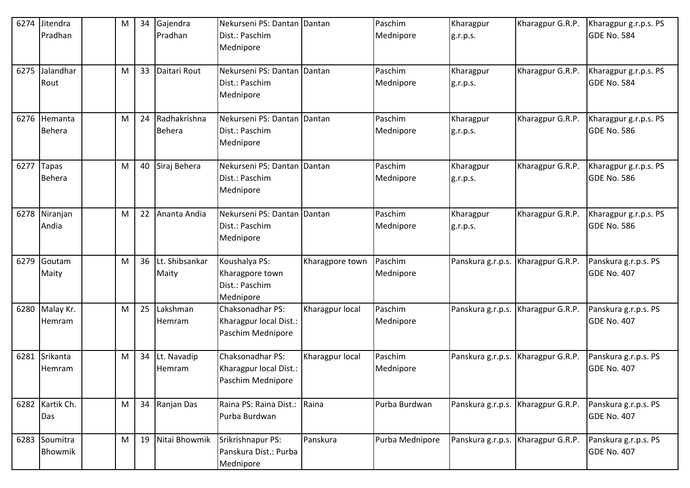| 6274 | Jitendra        | M | 34 | Gajendra          | Nekurseni PS: Dantan Dantan                    |                 | Paschim         | Kharagpur         | Kharagpur G.R.P.                   | Kharagpur g.r.p.s. PS |
|------|-----------------|---|----|-------------------|------------------------------------------------|-----------------|-----------------|-------------------|------------------------------------|-----------------------|
|      | Pradhan         |   |    | Pradhan           | Dist.: Paschim<br>Mednipore                    |                 | Mednipore       | g.r.p.s.          |                                    | GDE No. 584           |
| 6275 | Jalandhar       | M | 33 | Daitari Rout      | Nekurseni PS: Dantan Dantan                    |                 | Paschim         | Kharagpur         | Kharagpur G.R.P.                   | Kharagpur g.r.p.s. PS |
|      | Rout            |   |    |                   | Dist.: Paschim<br>Mednipore                    |                 | Mednipore       | g.r.p.s.          |                                    | GDE No. 584           |
|      | 6276 Hemanta    | M |    | 24 Radhakrishna   | Nekurseni PS: Dantan Dantan                    |                 | Paschim         | Kharagpur         | Kharagpur G.R.P.                   | Kharagpur g.r.p.s. PS |
|      | <b>Behera</b>   |   |    | Behera            | Dist.: Paschim<br>Mednipore                    |                 | Mednipore       | g.r.p.s.          |                                    | GDE No. 586           |
| 6277 | Tapas           | M |    | 40 Siraj Behera   | Nekurseni PS: Dantan                           | Dantan          | Paschim         | Kharagpur         | Kharagpur G.R.P.                   | Kharagpur g.r.p.s. PS |
|      | <b>Behera</b>   |   |    |                   | Dist.: Paschim<br>Mednipore                    |                 | Mednipore       | g.r.p.s.          |                                    | GDE No. 586           |
| 6278 | Niranjan        | M | 22 | Ananta Andia      | Nekurseni PS: Dantan Dantan                    |                 | Paschim         | Kharagpur         | Kharagpur G.R.P.                   | Kharagpur g.r.p.s. PS |
|      | Andia           |   |    |                   | Dist.: Paschim<br>Mednipore                    |                 | Mednipore       | g.r.p.s.          |                                    | GDE No. 586           |
|      | 6279 Goutam     | M |    | 36 Lt. Shibsankar | Koushalya PS:                                  | Kharagpore town | Paschim         | Panskura g.r.p.s. | Kharagpur G.R.P.                   | Panskura g.r.p.s. PS  |
|      | Maity           |   |    | Maity             | Kharagpore town<br>Dist.: Paschim<br>Mednipore |                 | Mednipore       |                   |                                    | <b>GDE No. 407</b>    |
| 6280 | Malay Kr.       | M |    | 25 Lakshman       | Chaksonadhar PS:                               | Kharagpur local | Paschim         | Panskura g.r.p.s. | Kharagpur G.R.P.                   | Panskura g.r.p.s. PS  |
|      | Hemram          |   |    | Hemram            | Kharagpur local Dist.:<br>Paschim Mednipore    |                 | Mednipore       |                   |                                    | GDE No. 407           |
| 6281 | Srikanta        | M |    | 34 Lt. Navadip    | Chaksonadhar PS:                               | Kharagpur local | Paschim         | Panskura g.r.p.s. | Kharagpur G.R.P.                   | Panskura g.r.p.s. PS  |
|      | Hemram          |   |    | Hemram            | Kharagpur local Dist.:<br>Paschim Mednipore    |                 | Mednipore       |                   |                                    | GDE No. 407           |
|      | 6282 Kartik Ch. | M |    | 34 Ranjan Das     | Raina PS: Raina Dist.:                         | Raina           | Purba Burdwan   |                   | Panskura g.r.p.s. Kharagpur G.R.P. | Panskura g.r.p.s. PS  |
|      | Das             |   |    |                   | Purba Burdwan                                  |                 |                 |                   |                                    | GDE No. 407           |
|      | 6283 Soumitra   | M |    | 19 Nitai Bhowmik  | Srikrishnapur PS:                              | Panskura        | Purba Mednipore |                   | Panskura g.r.p.s. Kharagpur G.R.P. | Panskura g.r.p.s. PS  |
|      | Bhowmik         |   |    |                   | Panskura Dist.: Purba<br>Mednipore             |                 |                 |                   |                                    | GDE No. 407           |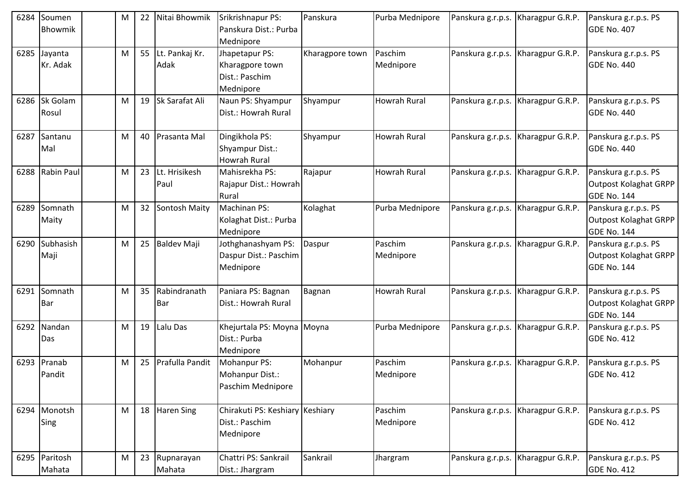| 6284 | Soumen<br>Bhowmik       | M | 22 | Nitai Bhowmik          | Srikrishnapur PS:<br>Panskura Dist.: Purba<br>Mednipore          | Panskura        | Purba Mednipore      | Panskura g.r.p.s.                  | Kharagpur G.R.P. | Panskura g.r.p.s. PS<br><b>GDE No. 407</b>                                 |
|------|-------------------------|---|----|------------------------|------------------------------------------------------------------|-----------------|----------------------|------------------------------------|------------------|----------------------------------------------------------------------------|
| 6285 | Jayanta<br>Kr. Adak     | M | 55 | Lt. Pankaj Kr.<br>Adak | Jhapetapur PS:<br>Kharagpore town<br>Dist.: Paschim<br>Mednipore | Kharagpore town | Paschim<br>Mednipore | Panskura g.r.p.s.                  | Kharagpur G.R.P. | Panskura g.r.p.s. PS<br><b>GDE No. 440</b>                                 |
| 6286 | Sk Golam<br>Rosul       | M | 19 | Sk Sarafat Ali         | Naun PS: Shyampur<br>Dist.: Howrah Rural                         | Shyampur        | <b>Howrah Rural</b>  | Panskura g.r.p.s.                  | Kharagpur G.R.P. | Panskura g.r.p.s. PS<br><b>GDE No. 440</b>                                 |
| 6287 | Santanu<br>Mal          | M | 40 | Prasanta Mal           | Dingikhola PS:<br>Shyampur Dist.:<br><b>Howrah Rural</b>         | Shyampur        | Howrah Rural         | Panskura g.r.p.s.                  | Kharagpur G.R.P. | Panskura g.r.p.s. PS<br><b>GDE No. 440</b>                                 |
| 6288 | Rabin Paul              | M | 23 | Lt. Hrisikesh<br>Paul  | Mahisrekha PS:<br>Rajapur Dist.: Howrah<br>Rural                 | Rajapur         | <b>Howrah Rural</b>  | Panskura g.r.p.s. Kharagpur G.R.P. |                  | Panskura g.r.p.s. PS<br><b>Outpost Kolaghat GRPP</b><br><b>GDE No. 144</b> |
| 6289 | Somnath<br>Maity        | M | 32 | Sontosh Maity          | Machinan PS:<br>Kolaghat Dist.: Purba<br>Mednipore               | Kolaghat        | Purba Mednipore      | Panskura g.r.p.s.                  | Kharagpur G.R.P. | Panskura g.r.p.s. PS<br><b>Outpost Kolaghat GRPP</b><br><b>GDE No. 144</b> |
| 6290 | Subhasish<br>Maji       | M | 25 | <b>Baldev Maji</b>     | Jothghanashyam PS:<br>Daspur Dist.: Paschim<br>Mednipore         | Daspur          | Paschim<br>Mednipore | Panskura g.r.p.s.                  | Kharagpur G.R.P. | Panskura g.r.p.s. PS<br><b>Outpost Kolaghat GRPP</b><br><b>GDE No. 144</b> |
| 6291 | Somnath<br>Bar          | М | 35 | Rabindranath<br>Bar    | Paniara PS: Bagnan<br>Dist.: Howrah Rural                        | Bagnan          | <b>Howrah Rural</b>  | Panskura g.r.p.s. Kharagpur G.R.P. |                  | Panskura g.r.p.s. PS<br><b>Outpost Kolaghat GRPP</b><br><b>GDE No. 144</b> |
| 6292 | Nandan<br>Das           | M | 19 | Lalu Das               | Khejurtala PS: Moyna Moyna<br>Dist.: Purba<br>Mednipore          |                 | Purba Mednipore      | Panskura g.r.p.s.                  | Kharagpur G.R.P. | Panskura g.r.p.s. PS<br><b>GDE No. 412</b>                                 |
| 6293 | Pranab<br>Pandit        | M | 25 | Prafulla Pandit        | Mohanpur PS:<br>Mohanpur Dist.:<br>Paschim Mednipore             | Mohanpur        | Paschim<br>Mednipore | Panskura g.r.p.s.                  | Kharagpur G.R.P. | Panskura g.r.p.s. PS<br><b>GDE No. 412</b>                                 |
|      | 6294 Monotsh<br>Sing    | M | 18 | <b>Haren Sing</b>      | Chirakuti PS: Keshiary Keshiary<br>Dist.: Paschim<br>Mednipore   |                 | Paschim<br>Mednipore | Panskura g.r.p.s.                  | Kharagpur G.R.P. | Panskura g.r.p.s. PS<br><b>GDE No. 412</b>                                 |
|      | 6295 Paritosh<br>Mahata | M | 23 | Rupnarayan<br>Mahata   | Chattri PS: Sankrail<br>Dist.: Jhargram                          | Sankrail        | Jhargram             | Panskura g.r.p.s.                  | Kharagpur G.R.P. | Panskura g.r.p.s. PS<br><b>GDE No. 412</b>                                 |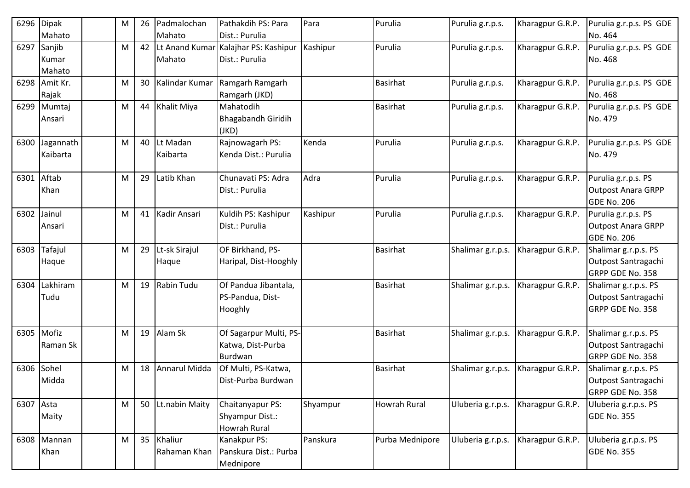| 6296       | <b>Dipak</b><br>Mahato         | M | 26 | Padmalochan<br>Mahato       | Pathakdih PS: Para<br>Dist.: Purulia                       | Para     | Purulia             | Purulia g.r.p.s.  | Kharagpur G.R.P. | Purulia g.r.p.s. PS GDE<br>No. 464                              |
|------------|--------------------------------|---|----|-----------------------------|------------------------------------------------------------|----------|---------------------|-------------------|------------------|-----------------------------------------------------------------|
|            | 6297 Sanjib<br>Kumar<br>Mahato | M |    | 42 Lt Anand Kumar<br>Mahato | Kalajhar PS: Kashipur<br>Dist.: Purulia                    | Kashipur | Purulia             | Purulia g.r.p.s.  | Kharagpur G.R.P. | Purulia g.r.p.s. PS GDE<br>No. 468                              |
|            | 6298 Amit Kr.<br>Rajak         | M | 30 | Kalindar Kumar              | Ramgarh Ramgarh<br>Ramgarh (JKD)                           |          | <b>Basirhat</b>     | Purulia g.r.p.s.  | Kharagpur G.R.P. | Purulia g.r.p.s. PS GDE<br>No. 468                              |
|            | 6299 Mumtaj<br>Ansari          | M |    | 44 Khalit Miya              | Mahatodih<br><b>Bhagabandh Giridih</b><br>(JKD)            |          | <b>Basirhat</b>     | Purulia g.r.p.s.  | Kharagpur G.R.P. | Purulia g.r.p.s. PS GDE<br>No. 479                              |
| 6300       | Jagannath<br>Kaibarta          | M |    | 40 Lt Madan<br>Kaibarta     | Rajnowagarh PS:<br>Kenda Dist.: Purulia                    | Kenda    | Purulia             | Purulia g.r.p.s.  | Kharagpur G.R.P. | Purulia g.r.p.s. PS GDE<br>No. 479                              |
| 6301 Aftab | Khan                           | M | 29 | Latib Khan                  | Chunavati PS: Adra<br>Dist.: Purulia                       | Adra     | Purulia             | Purulia g.r.p.s.  | Kharagpur G.R.P. | Purulia g.r.p.s. PS<br><b>Outpost Anara GRPP</b><br>GDE No. 206 |
| 6302       | Jainul<br>Ansari               | M | 41 | Kadir Ansari                | Kuldih PS: Kashipur<br>Dist.: Purulia                      | Kashipur | Purulia             | Purulia g.r.p.s.  | Kharagpur G.R.P. | Purulia g.r.p.s. PS<br>Outpost Anara GRPP<br><b>GDE No. 206</b> |
| 6303       | Tafajul<br>Haque               | M | 29 | Lt-sk Sirajul<br>Haque      | OF Birkhand, PS-<br>Haripal, Dist-Hooghly                  |          | <b>Basirhat</b>     | Shalimar g.r.p.s. | Kharagpur G.R.P. | Shalimar g.r.p.s. PS<br>Outpost Santragachi<br>GRPP GDE No. 358 |
| 6304       | Lakhiram<br>Tudu               | M |    | 19 Rabin Tudu               | Of Pandua Jibantala,<br>PS-Pandua, Dist-<br>Hooghly        |          | <b>Basirhat</b>     | Shalimar g.r.p.s. | Kharagpur G.R.P. | Shalimar g.r.p.s. PS<br>Outpost Santragachi<br>GRPP GDE No. 358 |
| 6305       | Mofiz<br>Raman Sk              | M |    | 19 Alam Sk                  | Of Sagarpur Multi, PS-<br>Katwa, Dist-Purba<br>Burdwan     |          | <b>Basirhat</b>     | Shalimar g.r.p.s. | Kharagpur G.R.P. | Shalimar g.r.p.s. PS<br>Outpost Santragachi<br>GRPP GDE No. 358 |
| 6306       | Sohel<br>Midda                 | M | 18 | Annarul Midda               | Of Multi, PS-Katwa,<br>Dist-Purba Burdwan                  |          | <b>Basirhat</b>     | Shalimar g.r.p.s. | Kharagpur G.R.P. | Shalimar g.r.p.s. PS<br>Outpost Santragachi<br>GRPP GDE No. 358 |
| 6307 Asta  | Maity                          | M |    | 50 Lt.nabin Maity           | Chaitanyapur PS:<br>Shyampur Dist.:<br><b>Howrah Rural</b> | Shyampur | <b>Howrah Rural</b> | Uluberia g.r.p.s. | Kharagpur G.R.P. | Uluberia g.r.p.s. PS<br><b>GDE No. 355</b>                      |
|            | 6308 Mannan<br>Khan            | M |    | 35 Khaliur<br>Rahaman Khan  | Kanakpur PS:<br>Panskura Dist.: Purba<br>Mednipore         | Panskura | Purba Mednipore     | Uluberia g.r.p.s. | Kharagpur G.R.P. | Uluberia g.r.p.s. PS<br><b>GDE No. 355</b>                      |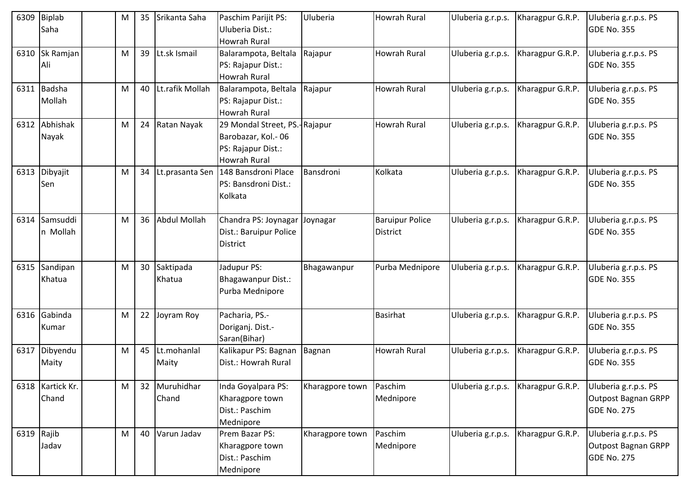|            | 6309 Biplab<br>Saha       | M | 35 | Srikanta Saha           | Paschim Parijit PS:<br>Uluberia Dist.:<br><b>Howrah Rural</b>                                    | Uluberia        | <b>Howrah Rural</b>                       | Uluberia g.r.p.s. | Kharagpur G.R.P. | Uluberia g.r.p.s. PS<br><b>GDE No. 355</b>                        |
|------------|---------------------------|---|----|-------------------------|--------------------------------------------------------------------------------------------------|-----------------|-------------------------------------------|-------------------|------------------|-------------------------------------------------------------------|
| 6310       | Sk Ramjan<br>Ali          | M |    | 39 Lt.sk Ismail         | Balarampota, Beltala<br>PS: Rajapur Dist.:<br><b>Howrah Rural</b>                                | Rajapur         | <b>Howrah Rural</b>                       | Uluberia g.r.p.s. | Kharagpur G.R.P. | Uluberia g.r.p.s. PS<br><b>GDE No. 355</b>                        |
|            | 6311 Badsha<br>Mollah     | M |    | 40 Lt.rafik Mollah      | Balarampota, Beltala<br>PS: Rajapur Dist.:<br>Howrah Rural                                       | Rajapur         | <b>Howrah Rural</b>                       | Uluberia g.r.p.s. | Kharagpur G.R.P. | Uluberia g.r.p.s. PS<br><b>GDE No. 355</b>                        |
|            | 6312 Abhishak<br>Nayak    | M |    | 24 Ratan Nayak          | 29 Mondal Street, PS.-Rajapur<br>Barobazar, Kol.-06<br>PS: Rajapur Dist.:<br><b>Howrah Rural</b> |                 | <b>Howrah Rural</b>                       | Uluberia g.r.p.s. | Kharagpur G.R.P. | Uluberia g.r.p.s. PS<br><b>GDE No. 355</b>                        |
|            | 6313 Dibyajit<br>Sen      | M | 34 |                         | Lt.prasanta Sen   148 Bansdroni Place<br>PS: Bansdroni Dist.:<br>Kolkata                         | Bansdroni       | Kolkata                                   | Uluberia g.r.p.s. | Kharagpur G.R.P. | Uluberia g.r.p.s. PS<br><b>GDE No. 355</b>                        |
| 6314       | Samsuddi<br>n Mollah      | M | 36 | Abdul Mollah            | Chandra PS: Joynagar<br>Dist.: Baruipur Police<br><b>District</b>                                | Joynagar        | <b>Baruipur Police</b><br><b>District</b> | Uluberia g.r.p.s. | Kharagpur G.R.P. | Uluberia g.r.p.s. PS<br><b>GDE No. 355</b>                        |
|            | 6315 Sandipan<br>Khatua   | M |    | 30 Saktipada<br>Khatua  | Jadupur PS:<br>Bhagawanpur Dist.:<br>Purba Mednipore                                             | Bhagawanpur     | Purba Mednipore                           | Uluberia g.r.p.s. | Kharagpur G.R.P. | Uluberia g.r.p.s. PS<br><b>GDE No. 355</b>                        |
|            | 6316 Gabinda<br>Kumar     | M | 22 | Joyram Roy              | Pacharia, PS.-<br>Doriganj. Dist.-<br>Saran(Bihar)                                               |                 | <b>Basirhat</b>                           | Uluberia g.r.p.s. | Kharagpur G.R.P. | Uluberia g.r.p.s. PS<br><b>GDE No. 355</b>                        |
|            | 6317 Dibyendu<br>Maity    | M |    | 45 Lt.mohanlal<br>Maity | Kalikapur PS: Bagnan<br>Dist.: Howrah Rural                                                      | Bagnan          | <b>Howrah Rural</b>                       | Uluberia g.r.p.s. | Kharagpur G.R.P. | Uluberia g.r.p.s. PS<br><b>GDE No. 355</b>                        |
|            | 6318 Kartick Kr.<br>Chand | M |    | 32 Muruhidhar<br>Chand  | Inda Goyalpara PS:<br>Kharagpore town<br>Dist.: Paschim<br>Mednipore                             | Kharagpore town | Paschim<br>Mednipore                      | Uluberia g.r.p.s. | Kharagpur G.R.P. | Uluberia g.r.p.s. PS<br>Outpost Bagnan GRPP<br><b>GDE No. 275</b> |
| 6319 Rajib | Jadav                     | M |    | 40 Varun Jadav          | Prem Bazar PS:<br>Kharagpore town<br>Dist.: Paschim<br>Mednipore                                 | Kharagpore town | Paschim<br>Mednipore                      | Uluberia g.r.p.s. | Kharagpur G.R.P. | Uluberia g.r.p.s. PS<br>Outpost Bagnan GRPP<br><b>GDE No. 275</b> |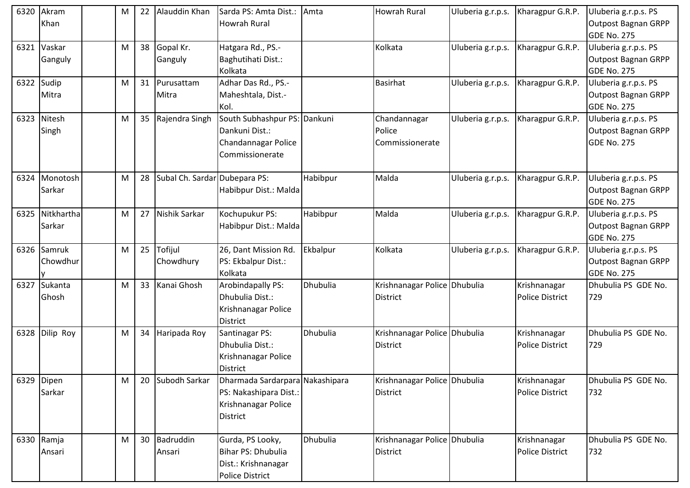| 6320 | Akram<br>Khan           | M | 22              | Alauddin Khan                 | Sarda PS: Amta Dist.:<br>Howrah Rural                                                               | Amta     | <b>Howrah Rural</b>                             | Uluberia g.r.p.s. | Kharagpur G.R.P.                       | Uluberia g.r.p.s. PS<br><b>Outpost Bagnan GRPP</b><br><b>GDE No. 275</b> |
|------|-------------------------|---|-----------------|-------------------------------|-----------------------------------------------------------------------------------------------------|----------|-------------------------------------------------|-------------------|----------------------------------------|--------------------------------------------------------------------------|
| 6321 | Vaskar<br>Ganguly       | M | 38              | Gopal Kr.<br>Ganguly          | Hatgara Rd., PS.-<br>Baghutihati Dist.:<br>Kolkata                                                  |          | Kolkata                                         | Uluberia g.r.p.s. | Kharagpur G.R.P.                       | Uluberia g.r.p.s. PS<br><b>Outpost Bagnan GRPP</b><br><b>GDE No. 275</b> |
|      | 6322 Sudip<br>Mitra     | M | 31              | Purusattam<br>Mitra           | Adhar Das Rd., PS.-<br>Maheshtala, Dist.-<br>Kol.                                                   |          | <b>Basirhat</b>                                 | Uluberia g.r.p.s. | Kharagpur G.R.P.                       | Uluberia g.r.p.s. PS<br><b>Outpost Bagnan GRPP</b><br><b>GDE No. 275</b> |
| 6323 | Nitesh<br>Singh         | M | 35              | Rajendra Singh                | South Subhashpur PS: Dankuni<br>Dankuni Dist.:<br>Chandannagar Police<br>Commissionerate            |          | Chandannagar<br>Police<br>Commissionerate       | Uluberia g.r.p.s. | Kharagpur G.R.P.                       | Uluberia g.r.p.s. PS<br><b>Outpost Bagnan GRPP</b><br><b>GDE No. 275</b> |
| 6324 | Monotosh<br>Sarkar      | M | 28              | Subal Ch. Sardar Dubepara PS: | Habibpur Dist.: Malda                                                                               | Habibpur | Malda                                           | Uluberia g.r.p.s. | Kharagpur G.R.P.                       | Uluberia g.r.p.s. PS<br><b>Outpost Bagnan GRPP</b><br><b>GDE No. 275</b> |
| 6325 | Nitkhartha<br>Sarkar    | M | 27              | Nishik Sarkar                 | Kochupukur PS:<br>Habibpur Dist.: Malda                                                             | Habibpur | Malda                                           | Uluberia g.r.p.s. | Kharagpur G.R.P.                       | Uluberia g.r.p.s. PS<br><b>Outpost Bagnan GRPP</b><br><b>GDE No. 275</b> |
|      | 6326 Samruk<br>Chowdhur | M | 25              | Tofijul<br>Chowdhury          | 26, Dant Mission Rd.<br>PS: Ekbalpur Dist.:<br>Kolkata                                              | Ekbalpur | Kolkata                                         | Uluberia g.r.p.s. | Kharagpur G.R.P.                       | Uluberia g.r.p.s. PS<br><b>Outpost Bagnan GRPP</b><br><b>GDE No. 275</b> |
| 6327 | Sukanta<br>Ghosh        | M | 33              | Kanai Ghosh                   | Arobindapally PS:<br>Dhubulia Dist.:<br>Krishnanagar Police<br><b>District</b>                      | Dhubulia | Krishnanagar Police Dhubulia<br><b>District</b> |                   | Krishnanagar<br><b>Police District</b> | Dhubulia PS GDE No.<br>729                                               |
| 6328 | Dilip Roy               | M | 34              | Haripada Roy                  | Santinagar PS:<br>Dhubulia Dist.:<br>Krishnanagar Police<br><b>District</b>                         | Dhubulia | Krishnanagar Police Dhubulia<br><b>District</b> |                   | Krishnanagar<br><b>Police District</b> | Dhubulia PS GDE No.<br>729                                               |
|      | 6329 Dipen<br>Sarkar    | М | 20              | Subodh Sarkar                 | Dharmada Sardarpara Nakashipara<br>PS: Nakashipara Dist.:<br>Krishnanagar Police<br><b>District</b> |          | Krishnanagar Police Dhubulia<br><b>District</b> |                   | Krishnanagar<br>Police District        | Dhubulia PS GDE No.<br>732                                               |
|      | 6330 Ramja<br>Ansari    | M | 30 <sup>1</sup> | Badruddin<br>Ansari           | Gurda, PS Looky,<br>Bihar PS: Dhubulia<br>Dist.: Krishnanagar<br><b>Police District</b>             | Dhubulia | Krishnanagar Police Dhubulia<br><b>District</b> |                   | Krishnanagar<br>Police District        | Dhubulia PS GDE No.<br>732                                               |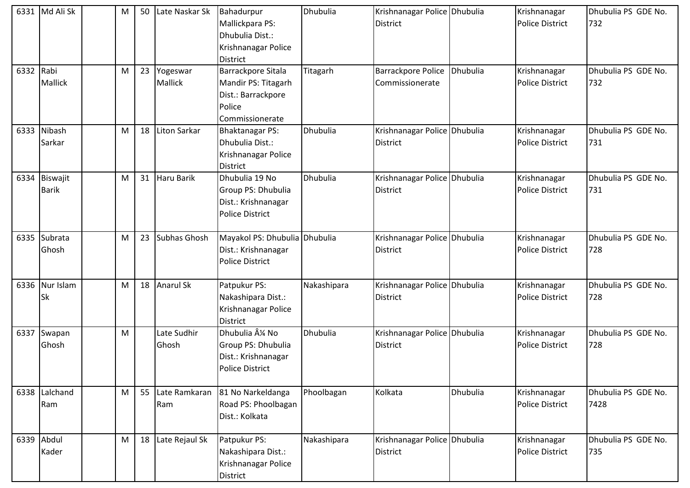|           | 6331 Md Ali Sk | M | 50 | Late Naskar Sk    | Bahadurpur                             | Dhubulia        | Krishnanagar Police Dhubulia |          | Krishnanagar           | Dhubulia PS GDE No. |
|-----------|----------------|---|----|-------------------|----------------------------------------|-----------------|------------------------------|----------|------------------------|---------------------|
|           |                |   |    |                   | Mallickpara PS:                        |                 | District                     |          | Police District        | 732                 |
|           |                |   |    |                   | Dhubulia Dist.:                        |                 |                              |          |                        |                     |
|           |                |   |    |                   | Krishnanagar Police                    |                 |                              |          |                        |                     |
|           |                |   |    |                   | <b>District</b>                        |                 |                              |          |                        |                     |
| 6332 Rabi |                | M | 23 | Yogeswar          | Barrackpore Sitala                     | Titagarh        | <b>Barrackpore Police</b>    | Dhubulia | Krishnanagar           | Dhubulia PS GDE No. |
|           | Mallick        |   |    | <b>Mallick</b>    | Mandir PS: Titagarh                    |                 | Commissionerate              |          | <b>Police District</b> | 732                 |
|           |                |   |    |                   | Dist.: Barrackpore                     |                 |                              |          |                        |                     |
|           |                |   |    |                   | Police                                 |                 |                              |          |                        |                     |
|           |                |   |    |                   | Commissionerate                        |                 |                              |          |                        |                     |
| 6333      | Nibash         | M | 18 | Liton Sarkar      | <b>Bhaktanagar PS:</b>                 | Dhubulia        | Krishnanagar Police Dhubulia |          | Krishnanagar           | Dhubulia PS GDE No. |
|           | Sarkar         |   |    |                   | Dhubulia Dist.:                        |                 | <b>District</b>              |          | <b>Police District</b> | 731                 |
|           |                |   |    |                   | Krishnanagar Police                    |                 |                              |          |                        |                     |
|           |                |   |    |                   | <b>District</b>                        |                 |                              |          |                        |                     |
|           | 6334 Biswajit  | M | 31 | Haru Barik        | Dhubulia 19 No                         | Dhubulia        | Krishnanagar Police Dhubulia |          | Krishnanagar           | Dhubulia PS GDE No. |
|           | <b>Barik</b>   |   |    |                   | Group PS: Dhubulia                     |                 | District                     |          | <b>Police District</b> | 731                 |
|           |                |   |    |                   | Dist.: Krishnanagar                    |                 |                              |          |                        |                     |
|           |                |   |    |                   | <b>Police District</b>                 |                 |                              |          |                        |                     |
|           |                |   |    |                   |                                        |                 |                              |          |                        |                     |
| 6335      | Subrata        | M | 23 | Subhas Ghosh      | Mayakol PS: Dhubulia Dhubulia          |                 | Krishnanagar Police Dhubulia |          | Krishnanagar           | Dhubulia PS GDE No. |
|           | Ghosh          |   |    |                   | Dist.: Krishnanagar                    |                 | District                     |          | <b>Police District</b> | 728                 |
|           |                |   |    |                   | <b>Police District</b>                 |                 |                              |          |                        |                     |
|           | Nur Islam      |   |    | 18 Anarul Sk      |                                        |                 |                              |          |                        | Dhubulia PS GDE No. |
| 6336      |                | М |    |                   | Patpukur PS:                           | Nakashipara     | Krishnanagar Police Dhubulia |          | Krishnanagar           |                     |
|           | <b>Sk</b>      |   |    |                   | Nakashipara Dist.:                     |                 | District                     |          | <b>Police District</b> | 728                 |
|           |                |   |    |                   | Krishnanagar Police<br><b>District</b> |                 |                              |          |                        |                     |
| 6337      | Swapan         | M |    | Late Sudhir       | Dhubulia ¼ No                          | <b>Dhubulia</b> | Krishnanagar Police Dhubulia |          | Krishnanagar           | Dhubulia PS GDE No. |
|           | Ghosh          |   |    | Ghosh             | Group PS: Dhubulia                     |                 | <b>District</b>              |          | <b>Police District</b> | 728                 |
|           |                |   |    |                   | Dist.: Krishnanagar                    |                 |                              |          |                        |                     |
|           |                |   |    |                   | Police District                        |                 |                              |          |                        |                     |
|           |                |   |    |                   |                                        |                 |                              |          |                        |                     |
| 6338      | Lalchand       | M | 55 | Late Ramkaran     | 81 No Narkeldanga                      | Phoolbagan      | Kolkata                      | Dhubulia | Krishnanagar           | Dhubulia PS GDE No. |
|           | Ram            |   |    | Ram               | Road PS: Phoolbagan                    |                 |                              |          | <b>Police District</b> | 7428                |
|           |                |   |    |                   | Dist.: Kolkata                         |                 |                              |          |                        |                     |
|           |                |   |    |                   |                                        |                 |                              |          |                        |                     |
|           | 6339 Abdul     | M |    | 18 Late Rejaul Sk | Patpukur PS:                           | Nakashipara     | Krishnanagar Police Dhubulia |          | Krishnanagar           | Dhubulia PS GDE No. |
|           | Kader          |   |    |                   | Nakashipara Dist.:                     |                 | <b>District</b>              |          | <b>Police District</b> | 735                 |
|           |                |   |    |                   | Krishnanagar Police                    |                 |                              |          |                        |                     |
|           |                |   |    |                   | <b>District</b>                        |                 |                              |          |                        |                     |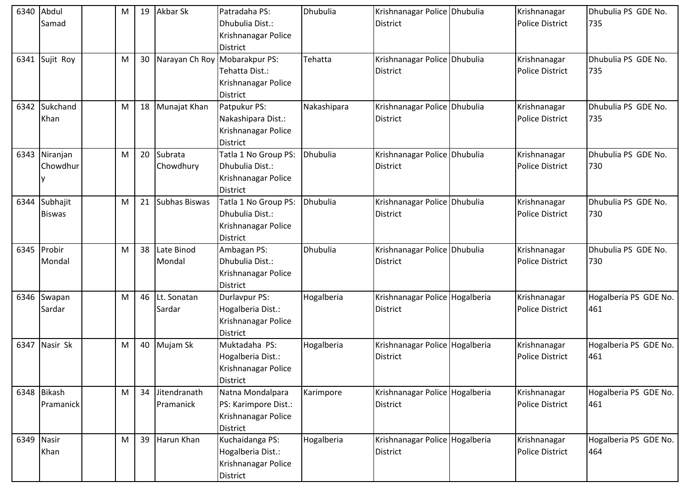| 6340       | Abdul          | м | 19 | Akbar Sk      | Patradaha PS:                 | <b>Dhubulia</b> | Krishnanagar Police Dhubulia   | Krishnanagar           | Dhubulia PS GDE No.   |
|------------|----------------|---|----|---------------|-------------------------------|-----------------|--------------------------------|------------------------|-----------------------|
|            | Samad          |   |    |               | Dhubulia Dist.:               |                 | <b>District</b>                | <b>Police District</b> | 735                   |
|            |                |   |    |               | Krishnanagar Police           |                 |                                |                        |                       |
|            |                |   |    |               | <b>District</b>               |                 |                                |                        |                       |
|            | 6341 Sujit Roy | M | 30 |               | Narayan Ch Roy Mobarakpur PS: | Tehatta         | Krishnanagar Police Dhubulia   | Krishnanagar           | Dhubulia PS GDE No.   |
|            |                |   |    |               | Tehatta Dist.:                |                 | <b>District</b>                | <b>Police District</b> | 735                   |
|            |                |   |    |               | Krishnanagar Police           |                 |                                |                        |                       |
|            |                |   |    |               | <b>District</b>               |                 |                                |                        |                       |
| 6342       | Sukchand       | M | 18 | Munajat Khan  | Patpukur PS:                  | Nakashipara     | Krishnanagar Police Dhubulia   | Krishnanagar           | Dhubulia PS GDE No.   |
|            | Khan           |   |    |               | Nakashipara Dist.:            |                 | <b>District</b>                | <b>Police District</b> | 735                   |
|            |                |   |    |               | Krishnanagar Police           |                 |                                |                        |                       |
|            |                |   |    |               | <b>District</b>               |                 |                                |                        |                       |
| 6343       | Niranjan       | M | 20 | Subrata       | Tatla 1 No Group PS:          | Dhubulia        | Krishnanagar Police Dhubulia   | Krishnanagar           | Dhubulia PS GDE No.   |
|            | Chowdhur       |   |    | Chowdhury     | Dhubulia Dist.:               |                 | <b>District</b>                | <b>Police District</b> | 730                   |
|            |                |   |    |               | Krishnanagar Police           |                 |                                |                        |                       |
|            |                |   |    |               | <b>District</b>               |                 |                                |                        |                       |
| 6344       | Subhajit       | M | 21 | Subhas Biswas | Tatla 1 No Group PS:          | Dhubulia        | Krishnanagar Police Dhubulia   | Krishnanagar           | Dhubulia PS GDE No.   |
|            | <b>Biswas</b>  |   |    |               | Dhubulia Dist.:               |                 | District                       | <b>Police District</b> | 730                   |
|            |                |   |    |               | Krishnanagar Police           |                 |                                |                        |                       |
|            |                |   |    |               | <b>District</b>               |                 |                                |                        |                       |
|            | 6345 Probir    | M | 38 | Late Binod    | Ambagan PS:                   | Dhubulia        | Krishnanagar Police Dhubulia   | Krishnanagar           | Dhubulia PS GDE No.   |
|            | Mondal         |   |    | Mondal        | Dhubulia Dist.:               |                 | <b>District</b>                | <b>Police District</b> | 730                   |
|            |                |   |    |               | Krishnanagar Police           |                 |                                |                        |                       |
|            |                |   |    |               | <b>District</b>               |                 |                                |                        |                       |
|            | 6346 Swapan    | M | 46 | Lt. Sonatan   | Durlavpur PS:                 | Hogalberia      | Krishnanagar Police Hogalberia | Krishnanagar           | Hogalberia PS GDE No. |
|            | Sardar         |   |    | Sardar        | Hogalberia Dist.:             |                 | <b>District</b>                | <b>Police District</b> | 461                   |
|            |                |   |    |               | Krishnanagar Police           |                 |                                |                        |                       |
|            |                |   |    |               | <b>District</b>               |                 |                                |                        |                       |
|            | 6347 Nasir Sk  | M | 40 | Mujam Sk      | Muktadaha PS:                 | Hogalberia      | Krishnanagar Police Hogalberia | Krishnanagar           | Hogalberia PS GDE No. |
|            |                |   |    |               | Hogalberia Dist.:             |                 | District                       | <b>Police District</b> | 461                   |
|            |                |   |    |               | Krishnanagar Police           |                 |                                |                        |                       |
|            |                |   |    |               | <b>District</b>               |                 |                                |                        |                       |
|            | 6348 Bikash    | M | 34 | Jitendranath  | Natna Mondalpara              | Karimpore       | Krishnanagar Police Hogalberia | Krishnanagar           | Hogalberia PS GDE No. |
|            | Pramanick      |   |    | Pramanick     | PS: Karimpore Dist.:          |                 | <b>District</b>                | <b>Police District</b> | 461                   |
|            |                |   |    |               | Krishnanagar Police           |                 |                                |                        |                       |
|            |                |   |    |               | <b>District</b>               |                 |                                |                        |                       |
| 6349 Nasir |                | M | 39 | Harun Khan    | Kuchaidanga PS:               | Hogalberia      | Krishnanagar Police Hogalberia | Krishnanagar           | Hogalberia PS GDE No. |
|            | Khan           |   |    |               | Hogalberia Dist.:             |                 | <b>District</b>                | Police District        | 464                   |
|            |                |   |    |               | Krishnanagar Police           |                 |                                |                        |                       |
|            |                |   |    |               | District                      |                 |                                |                        |                       |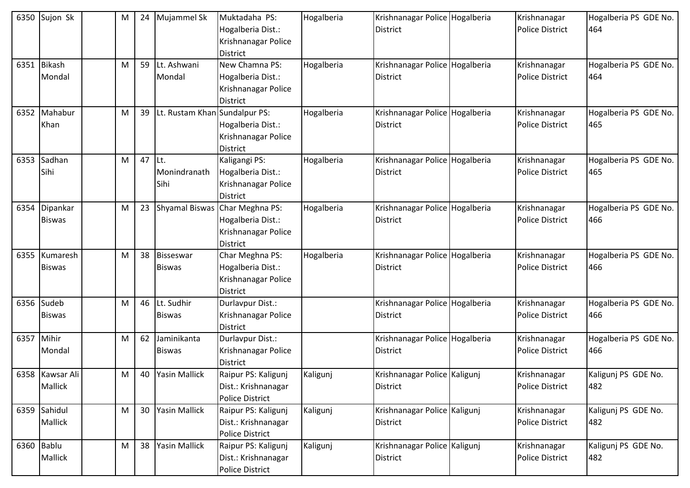| 6350 | Sujon Sk                       | M | 24     | Mujammel Sk                    | Muktadaha PS:<br>Hogalberia Dist.:<br>Krishnanagar Police<br><b>District</b>              | Hogalberia | Krishnanagar Police Hogalberia<br><b>District</b> | Krishnanagar<br><b>Police District</b> | Hogalberia PS GDE No.<br>464 |
|------|--------------------------------|---|--------|--------------------------------|-------------------------------------------------------------------------------------------|------------|---------------------------------------------------|----------------------------------------|------------------------------|
|      | 6351 Bikash<br>Mondal          | M | 59     | Lt. Ashwani<br>Mondal          | New Chamna PS:<br>Hogalberia Dist.:<br>Krishnanagar Police<br>District                    | Hogalberia | Krishnanagar Police Hogalberia<br><b>District</b> | Krishnanagar<br><b>Police District</b> | Hogalberia PS GDE No.<br>464 |
| 6352 | Mahabur<br>Khan                | M | 39     | Lt. Rustam Khan Sundalpur PS:  | Hogalberia Dist.:<br>Krishnanagar Police<br>District                                      | Hogalberia | Krishnanagar Police Hogalberia<br><b>District</b> | Krishnanagar<br><b>Police District</b> | Hogalberia PS GDE No.<br>465 |
| 6353 | Sadhan<br>Sihi                 | M | 47 Lt. | Monindranath<br>Sihi           | Kaligangi PS:<br>Hogalberia Dist.:<br>Krishnanagar Police<br><b>District</b>              | Hogalberia | Krishnanagar Police Hogalberia<br><b>District</b> | Krishnanagar<br><b>Police District</b> | Hogalberia PS GDE No.<br>465 |
|      | 6354 Dipankar<br><b>Biswas</b> | M |        |                                | 23 Shyamal Biswas Char Meghna PS:<br>Hogalberia Dist.:<br>Krishnanagar Police<br>District | Hogalberia | Krishnanagar Police Hogalberia<br><b>District</b> | Krishnanagar<br><b>Police District</b> | Hogalberia PS GDE No.<br>466 |
| 6355 | Kumaresh<br><b>Biswas</b>      | M |        | 38 Bisseswar<br><b>Biswas</b>  | Char Meghna PS:<br>Hogalberia Dist.:<br>Krishnanagar Police<br>District                   | Hogalberia | Krishnanagar Police Hogalberia<br>District        | Krishnanagar<br><b>Police District</b> | Hogalberia PS GDE No.<br>466 |
| 6356 | Sudeb<br><b>Biswas</b>         | M |        | 46 Lt. Sudhir<br><b>Biswas</b> | Durlavpur Dist.:<br>Krishnanagar Police<br>District                                       |            | Krishnanagar Police Hogalberia<br><b>District</b> | Krishnanagar<br><b>Police District</b> | Hogalberia PS GDE No.<br>466 |
| 6357 | Mihir<br>Mondal                | M | 62     | Jaminikanta<br><b>Biswas</b>   | Durlavpur Dist.:<br>Krishnanagar Police<br><b>District</b>                                |            | Krishnanagar Police Hogalberia<br>District        | Krishnanagar<br><b>Police District</b> | Hogalberia PS GDE No.<br>466 |
|      | 6358 Kawsar Ali<br>Mallick     | M |        | 40 Yasin Mallick               | Raipur PS: Kaligunj<br>Dist.: Krishnanagar<br>Police District                             | Kaligunj   | Krishnanagar Police Kaligunj<br>District          | Krishnanagar<br><b>Police District</b> | Kaligunj PS GDE No.<br>482   |
|      | 6359 Sahidul<br>Mallick        | M |        | 30 Yasin Mallick               | Raipur PS: Kaligunj<br>Dist.: Krishnanagar<br><b>Police District</b>                      | Kaligunj   | Krishnanagar Police Kaligunj<br><b>District</b>   | Krishnanagar<br><b>Police District</b> | Kaligunj PS GDE No.<br>482   |
|      | 6360 Bablu<br>Mallick          | M | 38     | Yasin Mallick                  | Raipur PS: Kaligunj<br>Dist.: Krishnanagar<br>Police District                             | Kaligunj   | Krishnanagar Police Kaligunj<br>District          | Krishnanagar<br>Police District        | Kaligunj PS GDE No.<br>482   |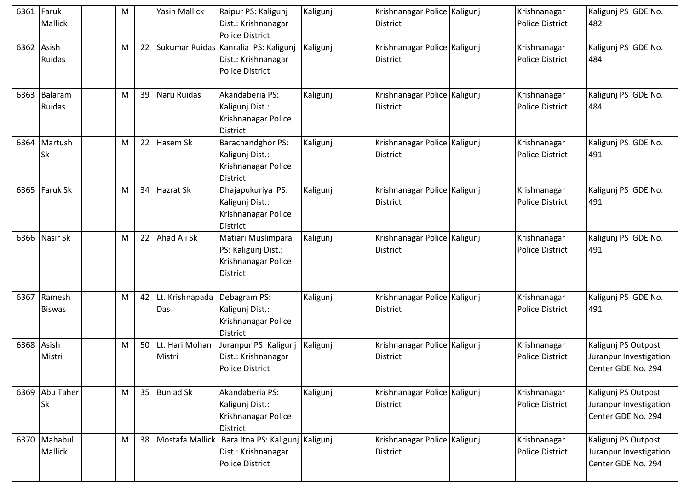| 6361       | Faruk           | M |    | <b>Yasin Mallick</b> | Raipur PS: Kaligunj                  | Kaligunj | Krishnanagar Police Kaligunj | Krishnanagar           | Kaligunj PS GDE No.    |
|------------|-----------------|---|----|----------------------|--------------------------------------|----------|------------------------------|------------------------|------------------------|
|            | Mallick         |   |    |                      | Dist.: Krishnanagar                  |          | <b>District</b>              | <b>Police District</b> | 482                    |
|            |                 |   |    |                      | <b>Police District</b>               |          |                              |                        |                        |
| 6362       | Asish           | M | 22 |                      | Sukumar Ruidas Kanralia PS: Kaligunj | Kaligunj | Krishnanagar Police Kaligunj | Krishnanagar           | Kaligunj PS GDE No.    |
|            | Ruidas          |   |    |                      | Dist.: Krishnanagar                  |          | <b>District</b>              | <b>Police District</b> | 484                    |
|            |                 |   |    |                      | <b>Police District</b>               |          |                              |                        |                        |
|            |                 |   |    |                      |                                      |          |                              |                        |                        |
| 6363       | Balaram         | M | 39 | Naru Ruidas          | Akandaberia PS:                      | Kaligunj | Krishnanagar Police Kaligunj | Krishnanagar           | Kaligunj PS GDE No.    |
|            | Ruidas          |   |    |                      | Kaligunj Dist.:                      |          | <b>District</b>              | <b>Police District</b> | 484                    |
|            |                 |   |    |                      | Krishnanagar Police                  |          |                              |                        |                        |
|            |                 |   |    |                      | <b>District</b>                      |          |                              |                        |                        |
| 6364       | Martush         | M | 22 | Hasem Sk             | Barachandghor PS:                    | Kaligunj | Krishnanagar Police Kaligunj | Krishnanagar           | Kaligunj PS GDE No.    |
|            | Sk              |   |    |                      | Kaligunj Dist.:                      |          | <b>District</b>              | <b>Police District</b> | 491                    |
|            |                 |   |    |                      | Krishnanagar Police                  |          |                              |                        |                        |
|            |                 |   |    |                      | <b>District</b>                      |          |                              |                        |                        |
| 6365       | <b>Faruk Sk</b> | M | 34 | <b>Hazrat Sk</b>     | Dhajapukuriya PS:                    | Kaligunj | Krishnanagar Police Kaligunj | Krishnanagar           | Kaligunj PS GDE No.    |
|            |                 |   |    |                      | Kaligunj Dist.:                      |          | <b>District</b>              | <b>Police District</b> | 491                    |
|            |                 |   |    |                      | Krishnanagar Police                  |          |                              |                        |                        |
|            |                 |   |    |                      | <b>District</b>                      |          |                              |                        |                        |
| 6366       | Nasir Sk        | M | 22 | Ahad Ali Sk          | Matiari Muslimpara                   | Kaligunj | Krishnanagar Police Kaligunj | Krishnanagar           | Kaligunj PS GDE No.    |
|            |                 |   |    |                      | PS: Kaligunj Dist.:                  |          | <b>District</b>              | <b>Police District</b> | 491                    |
|            |                 |   |    |                      | Krishnanagar Police                  |          |                              |                        |                        |
|            |                 |   |    |                      | <b>District</b>                      |          |                              |                        |                        |
| 6367       | Ramesh          | M | 42 | Lt. Krishnapada      | Debagram PS:                         | Kaligunj | Krishnanagar Police Kaligunj | Krishnanagar           | Kaligunj PS GDE No.    |
|            | <b>Biswas</b>   |   |    | Das                  | Kaligunj Dist.:                      |          | <b>District</b>              | <b>Police District</b> | 491                    |
|            |                 |   |    |                      | Krishnanagar Police                  |          |                              |                        |                        |
|            |                 |   |    |                      | <b>District</b>                      |          |                              |                        |                        |
| 6368 Asish |                 | M | 50 | Lt. Hari Mohan       | Juranpur PS: Kaligunj                | Kaligunj | Krishnanagar Police Kaligunj | Krishnanagar           | Kaligunj PS Outpost    |
|            | Mistri          |   |    | Mistri               | Dist.: Krishnanagar                  |          | <b>District</b>              | <b>Police District</b> | Juranpur Investigation |
|            |                 |   |    |                      | <b>Police District</b>               |          |                              |                        | Center GDE No. 294     |
|            |                 |   |    |                      |                                      |          |                              |                        |                        |
|            | 6369 Abu Taher  | M |    | 35 Buniad Sk         | Akandaberia PS:                      | Kaligunj | Krishnanagar Police Kaligunj | Krishnanagar           | Kaligunj PS Outpost    |
|            | <b>Sk</b>       |   |    |                      | Kaligunj Dist.:                      |          | <b>District</b>              | <b>Police District</b> | Juranpur Investigation |
|            |                 |   |    |                      | Krishnanagar Police                  |          |                              |                        | Center GDE No. 294     |
|            |                 |   |    |                      | <b>District</b>                      |          |                              |                        |                        |
|            | 6370 Mahabul    | M | 38 | Mostafa Mallick      | Bara Itna PS: Kaligunj Kaligunj      |          | Krishnanagar Police Kaligunj | Krishnanagar           | Kaligunj PS Outpost    |
|            | Mallick         |   |    |                      | Dist.: Krishnanagar                  |          | <b>District</b>              | Police District        | Juranpur Investigation |
|            |                 |   |    |                      | <b>Police District</b>               |          |                              |                        | Center GDE No. 294     |
|            |                 |   |    |                      |                                      |          |                              |                        |                        |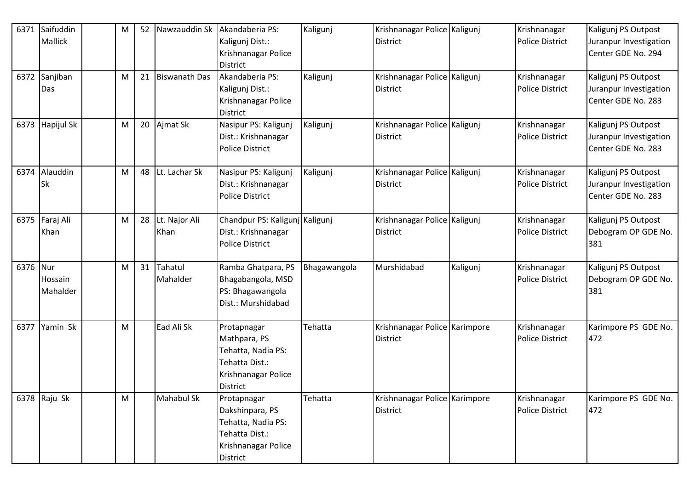| 6371     | Saifuddin       | M | 52 | Nawzauddin Sk        | Akandaberia PS:                | Kaligunj     | Krishnanagar Police Kaligunj  |          | Krishnanagar           | Kaligunj PS Outpost    |
|----------|-----------------|---|----|----------------------|--------------------------------|--------------|-------------------------------|----------|------------------------|------------------------|
|          | Mallick         |   |    |                      | Kaligunj Dist.:                |              | <b>District</b>               |          | <b>Police District</b> | Juranpur Investigation |
|          |                 |   |    |                      | Krishnanagar Police            |              |                               |          |                        | Center GDE No. 294     |
|          |                 |   |    |                      | <b>District</b>                |              |                               |          |                        |                        |
|          | 6372 Sanjiban   | M | 21 | <b>Biswanath Das</b> | Akandaberia PS:                | Kaligunj     | Krishnanagar Police Kaligunj  |          | Krishnanagar           | Kaligunj PS Outpost    |
|          | Das             |   |    |                      | Kaligunj Dist.:                |              | <b>District</b>               |          | <b>Police District</b> | Juranpur Investigation |
|          |                 |   |    |                      | Krishnanagar Police            |              |                               |          |                        | Center GDE No. 283     |
|          |                 |   |    |                      | <b>District</b>                |              |                               |          |                        |                        |
|          | 6373 Hapijul Sk | M |    | 20 Ajmat Sk          | Nasipur PS: Kaligunj           | Kaligunj     | Krishnanagar Police Kaligunj  |          | Krishnanagar           | Kaligunj PS Outpost    |
|          |                 |   |    |                      | Dist.: Krishnanagar            |              | District                      |          | <b>Police District</b> | Juranpur Investigation |
|          |                 |   |    |                      | Police District                |              |                               |          |                        | Center GDE No. 283     |
|          |                 |   |    |                      |                                |              |                               |          |                        |                        |
| 6374     | Alauddin        | M | 48 | Lt. Lachar Sk        | Nasipur PS: Kaligunj           | Kaligunj     | Krishnanagar Police Kaligunj  |          | Krishnanagar           | Kaligunj PS Outpost    |
|          | Sk              |   |    |                      | Dist.: Krishnanagar            |              | District                      |          | <b>Police District</b> | Juranpur Investigation |
|          |                 |   |    |                      | Police District                |              |                               |          |                        | Center GDE No. 283     |
|          |                 |   |    |                      |                                |              |                               |          |                        |                        |
|          | 6375 Faraj Ali  | M | 28 | Lt. Najor Ali        | Chandpur PS: Kaligunj Kaligunj |              | Krishnanagar Police Kaligunj  |          | Krishnanagar           | Kaligunj PS Outpost    |
|          | Khan            |   |    | Khan                 | Dist.: Krishnanagar            |              | <b>District</b>               |          | <b>Police District</b> | Debogram OP GDE No.    |
|          |                 |   |    |                      | <b>Police District</b>         |              |                               |          |                        | 381                    |
| 6376 Nur |                 | M | 31 | Tahatul              | Ramba Ghatpara, PS             | Bhagawangola | Murshidabad                   | Kaligunj | Krishnanagar           | Kaligunj PS Outpost    |
|          | Hossain         |   |    | Mahalder             | Bhagabangola, MSD              |              |                               |          | <b>Police District</b> | Debogram OP GDE No.    |
|          | Mahalder        |   |    |                      | PS: Bhagawangola               |              |                               |          |                        | 381                    |
|          |                 |   |    |                      | Dist.: Murshidabad             |              |                               |          |                        |                        |
|          |                 |   |    |                      |                                |              |                               |          |                        |                        |
| 6377     | Yamin Sk        | M |    | Ead Ali Sk           | Protapnagar                    | Tehatta      | Krishnanagar Police Karimpore |          | Krishnanagar           | Karimpore PS GDE No.   |
|          |                 |   |    |                      | Mathpara, PS                   |              | District                      |          | <b>Police District</b> | 472                    |
|          |                 |   |    |                      | Tehatta, Nadia PS:             |              |                               |          |                        |                        |
|          |                 |   |    |                      | Tehatta Dist.:                 |              |                               |          |                        |                        |
|          |                 |   |    |                      | Krishnanagar Police            |              |                               |          |                        |                        |
|          |                 |   |    |                      | <b>District</b>                |              |                               |          |                        |                        |
|          | 6378 $Raju Sk$  | M |    | Mahabul Sk           | Protapnagar                    | Tehatta      | Krishnanagar Police Karimpore |          | Krishnanagar           | Karimpore PS GDE No.   |
|          |                 |   |    |                      | Dakshinpara, PS                |              | <b>District</b>               |          | Police District        | 472                    |
|          |                 |   |    |                      | Tehatta, Nadia PS:             |              |                               |          |                        |                        |
|          |                 |   |    |                      | Tehatta Dist.:                 |              |                               |          |                        |                        |
|          |                 |   |    |                      | Krishnanagar Police            |              |                               |          |                        |                        |
|          |                 |   |    |                      | District                       |              |                               |          |                        |                        |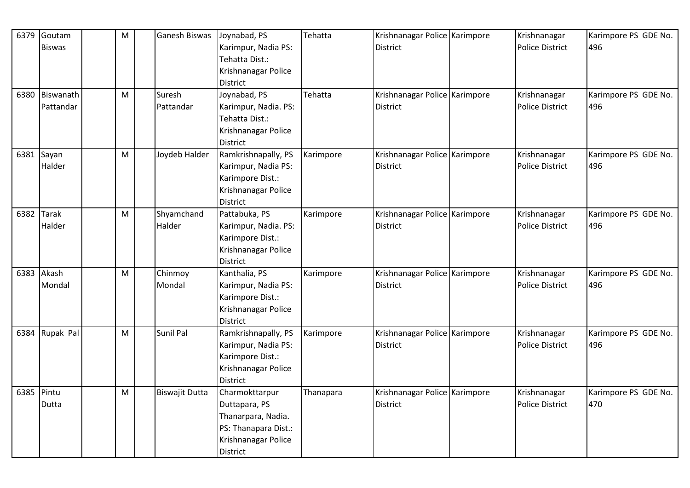| 6379 | Goutam         | M | Ganesh Biswas         | Joynabad, PS         | Tehatta   | Krishnanagar Police Karimpore | Krishnanagar           | Karimpore PS GDE No. |
|------|----------------|---|-----------------------|----------------------|-----------|-------------------------------|------------------------|----------------------|
|      | <b>Biswas</b>  |   |                       | Karimpur, Nadia PS:  |           | District                      | <b>Police District</b> | 496                  |
|      |                |   |                       | Tehatta Dist.:       |           |                               |                        |                      |
|      |                |   |                       | Krishnanagar Police  |           |                               |                        |                      |
|      |                |   |                       | <b>District</b>      |           |                               |                        |                      |
|      | 6380 Biswanath | M | Suresh                | Joynabad, PS         | Tehatta   | Krishnanagar Police Karimpore | Krishnanagar           | Karimpore PS GDE No. |
|      | Pattandar      |   | Pattandar             | Karimpur, Nadia. PS: |           | <b>District</b>               | <b>Police District</b> | 496                  |
|      |                |   |                       | Tehatta Dist.:       |           |                               |                        |                      |
|      |                |   |                       | Krishnanagar Police  |           |                               |                        |                      |
|      |                |   |                       | <b>District</b>      |           |                               |                        |                      |
|      | 6381 Sayan     | M | Joydeb Halder         | Ramkrishnapally, PS  | Karimpore | Krishnanagar Police Karimpore | Krishnanagar           | Karimpore PS GDE No. |
|      | Halder         |   |                       | Karimpur, Nadia PS:  |           | <b>District</b>               | <b>Police District</b> | 496                  |
|      |                |   |                       | Karimpore Dist.:     |           |                               |                        |                      |
|      |                |   |                       | Krishnanagar Police  |           |                               |                        |                      |
|      |                |   |                       | <b>District</b>      |           |                               |                        |                      |
| 6382 | <b>Tarak</b>   | M | Shyamchand            | Pattabuka, PS        | Karimpore | Krishnanagar Police Karimpore | Krishnanagar           | Karimpore PS GDE No. |
|      | Halder         |   | Halder                | Karimpur, Nadia. PS: |           | <b>District</b>               | <b>Police District</b> | 496                  |
|      |                |   |                       | Karimpore Dist.:     |           |                               |                        |                      |
|      |                |   |                       | Krishnanagar Police  |           |                               |                        |                      |
|      |                |   |                       | <b>District</b>      |           |                               |                        |                      |
| 6383 | Akash          | M | Chinmoy               | Kanthalia, PS        | Karimpore | Krishnanagar Police Karimpore | Krishnanagar           | Karimpore PS GDE No. |
|      | Mondal         |   | Mondal                | Karimpur, Nadia PS:  |           | <b>District</b>               | <b>Police District</b> | 496                  |
|      |                |   |                       | Karimpore Dist.:     |           |                               |                        |                      |
|      |                |   |                       | Krishnanagar Police  |           |                               |                        |                      |
|      |                |   |                       | District             |           |                               |                        |                      |
| 6384 | Rupak Pal      | M | Sunil Pal             | Ramkrishnapally, PS  | Karimpore | Krishnanagar Police Karimpore | Krishnanagar           | Karimpore PS GDE No. |
|      |                |   |                       | Karimpur, Nadia PS:  |           | <b>District</b>               | <b>Police District</b> | 496                  |
|      |                |   |                       | Karimpore Dist.:     |           |                               |                        |                      |
|      |                |   |                       | Krishnanagar Police  |           |                               |                        |                      |
|      |                |   |                       | <b>District</b>      |           |                               |                        |                      |
|      | 6385 Pintu     | M | <b>Biswajit Dutta</b> | Charmokttarpur       | Thanapara | Krishnanagar Police Karimpore | Krishnanagar           | Karimpore PS GDE No. |
|      | Dutta          |   |                       | Duttapara, PS        |           | <b>District</b>               | <b>Police District</b> | 470                  |
|      |                |   |                       | Thanarpara, Nadia.   |           |                               |                        |                      |
|      |                |   |                       | PS: Thanapara Dist.: |           |                               |                        |                      |
|      |                |   |                       | Krishnanagar Police  |           |                               |                        |                      |
|      |                |   |                       | District             |           |                               |                        |                      |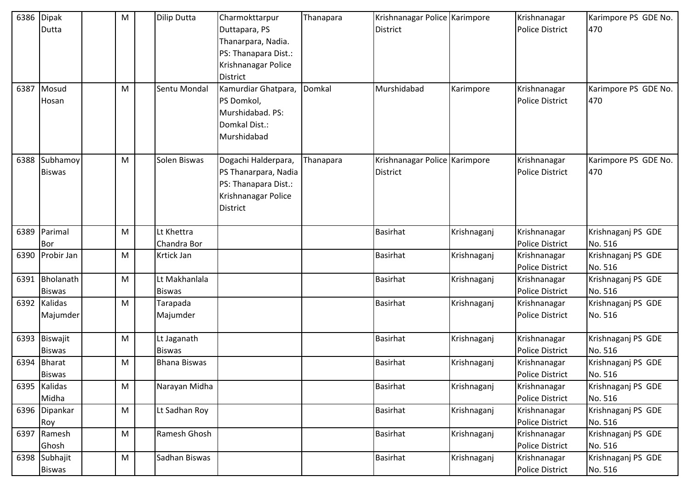|      | 6386 Dipak<br>Dutta            | M | <b>Dilip Dutta</b>             | Charmokttarpur<br>Duttapara, PS<br>Thanarpara, Nadia.<br>PS: Thanapara Dist.:<br>Krishnanagar Police<br><b>District</b> | Thanapara | Krishnanagar Police Karimpore<br><b>District</b> |             | Krishnanagar<br><b>Police District</b> | Karimpore PS GDE No.<br>470   |
|------|--------------------------------|---|--------------------------------|-------------------------------------------------------------------------------------------------------------------------|-----------|--------------------------------------------------|-------------|----------------------------------------|-------------------------------|
| 6387 | Mosud<br>Hosan                 | M | Sentu Mondal                   | Kamurdiar Ghatpara,<br>PS Domkol,<br>Murshidabad. PS:<br>Domkal Dist.:<br>Murshidabad                                   | Domkal    | Murshidabad                                      | Karimpore   | Krishnanagar<br><b>Police District</b> | Karimpore PS GDE No.<br>470   |
| 6388 | Subhamoy<br><b>Biswas</b>      | M | Solen Biswas                   | Dogachi Halderpara,<br>PS Thanarpara, Nadia<br>PS: Thanapara Dist.:<br>Krishnanagar Police<br><b>District</b>           | Thanapara | Krishnanagar Police Karimpore<br><b>District</b> |             | Krishnanagar<br><b>Police District</b> | Karimpore PS GDE No.<br>470   |
|      | 6389 Parimal<br><b>Bor</b>     | M | Lt Khettra<br>Chandra Bor      |                                                                                                                         |           | <b>Basirhat</b>                                  | Krishnaganj | Krishnanagar<br><b>Police District</b> | Krishnaganj PS GDE<br>No. 516 |
|      | 6390 Probir Jan                | M | Krtick Jan                     |                                                                                                                         |           | <b>Basirhat</b>                                  | Krishnaganj | Krishnanagar<br><b>Police District</b> | Krishnaganj PS GDE<br>No. 516 |
| 6391 | Bholanath<br><b>Biswas</b>     | M | Lt Makhanlala<br><b>Biswas</b> |                                                                                                                         |           | <b>Basirhat</b>                                  | Krishnaganj | Krishnanagar<br>Police District        | Krishnaganj PS GDE<br>No. 516 |
|      | 6392 Kalidas<br>Majumder       | M | Tarapada<br>Majumder           |                                                                                                                         |           | <b>Basirhat</b>                                  | Krishnaganj | Krishnanagar<br><b>Police District</b> | Krishnaganj PS GDE<br>No. 516 |
|      | 6393 Biswajit<br><b>Biswas</b> | M | Lt Jaganath<br><b>Biswas</b>   |                                                                                                                         |           | <b>Basirhat</b>                                  | Krishnaganj | Krishnanagar<br><b>Police District</b> | Krishnaganj PS GDE<br>No. 516 |
| 6394 | <b>Bharat</b><br><b>Biswas</b> | M | <b>Bhana Biswas</b>            |                                                                                                                         |           | <b>Basirhat</b>                                  | Krishnaganj | Krishnanagar<br><b>Police District</b> | Krishnaganj PS GDE<br>No. 516 |
|      | 6395 Kalidas<br>Midha          | M | Narayan Midha                  |                                                                                                                         |           | <b>Basirhat</b>                                  | Krishnaganj | Krishnanagar<br><b>Police District</b> | Krishnaganj PS GDE<br>No. 516 |
|      | 6396 Dipankar<br>Roy           | M | Lt Sadhan Roy                  |                                                                                                                         |           | <b>Basirhat</b>                                  | Krishnaganj | Krishnanagar<br><b>Police District</b> | Krishnaganj PS GDE<br>No. 516 |
|      | 6397 Ramesh<br>Ghosh           | M | Ramesh Ghosh                   |                                                                                                                         |           | <b>Basirhat</b>                                  | Krishnaganj | Krishnanagar<br><b>Police District</b> | Krishnaganj PS GDE<br>No. 516 |
|      | 6398 Subhajit<br><b>Biswas</b> | M | Sadhan Biswas                  |                                                                                                                         |           | <b>Basirhat</b>                                  | Krishnaganj | Krishnanagar<br><b>Police District</b> | Krishnaganj PS GDE<br>No. 516 |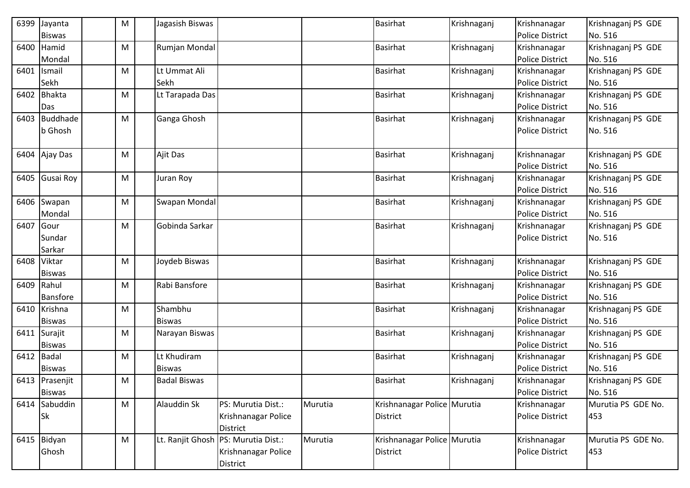| 6399 | Jayanta         | M | Jagasish Biswas     |                                     |         | <b>Basirhat</b>             | Krishnaganj | Krishnanagar           | Krishnaganj PS GDE |
|------|-----------------|---|---------------------|-------------------------------------|---------|-----------------------------|-------------|------------------------|--------------------|
|      | <b>Biswas</b>   |   |                     |                                     |         |                             |             | <b>Police District</b> | No. 516            |
| 6400 | Hamid           | M | Rumjan Mondal       |                                     |         | <b>Basirhat</b>             | Krishnaganj | Krishnanagar           | Krishnaganj PS GDE |
|      | Mondal          |   |                     |                                     |         |                             |             | <b>Police District</b> | No. 516            |
| 6401 | Ismail          | M | Lt Ummat Ali        |                                     |         | <b>Basirhat</b>             | Krishnaganj | Krishnanagar           | Krishnaganj PS GDE |
|      | Sekh            |   | Sekh                |                                     |         |                             |             | <b>Police District</b> | No. 516            |
| 6402 | Bhakta          | M | Lt Tarapada Das     |                                     |         | <b>Basirhat</b>             | Krishnaganj | Krishnanagar           | Krishnaganj PS GDE |
|      | Das             |   |                     |                                     |         |                             |             | <b>Police District</b> | No. 516            |
| 6403 | <b>Buddhade</b> | M | Ganga Ghosh         |                                     |         | <b>Basirhat</b>             | Krishnaganj | Krishnanagar           | Krishnaganj PS GDE |
|      | b Ghosh         |   |                     |                                     |         |                             |             | <b>Police District</b> | No. 516            |
|      |                 |   |                     |                                     |         |                             |             |                        |                    |
| 6404 | Ajay Das        | M | Ajit Das            |                                     |         | <b>Basirhat</b>             | Krishnaganj | Krishnanagar           | Krishnaganj PS GDE |
|      |                 |   |                     |                                     |         |                             |             | <b>Police District</b> | No. 516            |
| 6405 | Gusai Roy       | M | Juran Roy           |                                     |         | <b>Basirhat</b>             | Krishnaganj | Krishnanagar           | Krishnaganj PS GDE |
|      |                 |   |                     |                                     |         |                             |             | <b>Police District</b> | No. 516            |
|      | 6406 Swapan     | M | Swapan Mondal       |                                     |         | <b>Basirhat</b>             | Krishnaganj | Krishnanagar           | Krishnaganj PS GDE |
|      | Mondal          |   |                     |                                     |         |                             |             | <b>Police District</b> | No. 516            |
| 6407 | Gour            | M | Gobinda Sarkar      |                                     |         | <b>Basirhat</b>             | Krishnaganj | Krishnanagar           | Krishnaganj PS GDE |
|      | Sundar          |   |                     |                                     |         |                             |             | <b>Police District</b> | No. 516            |
|      | Sarkar          |   |                     |                                     |         |                             |             |                        |                    |
|      | 6408 Viktar     | M | Joydeb Biswas       |                                     |         | <b>Basirhat</b>             | Krishnaganj | Krishnanagar           | Krishnaganj PS GDE |
|      | <b>Biswas</b>   |   |                     |                                     |         |                             |             | <b>Police District</b> | No. 516            |
| 6409 | Rahul           | M | Rabi Bansfore       |                                     |         | Basirhat                    | Krishnaganj | Krishnanagar           | Krishnaganj PS GDE |
|      | Bansfore        |   |                     |                                     |         |                             |             | <b>Police District</b> | No. 516            |
| 6410 | Krishna         | M | Shambhu             |                                     |         | <b>Basirhat</b>             | Krishnaganj | Krishnanagar           | Krishnaganj PS GDE |
|      | <b>Biswas</b>   |   | <b>Biswas</b>       |                                     |         |                             |             | <b>Police District</b> | No. 516            |
| 6411 | Surajit         | M | Narayan Biswas      |                                     |         | <b>Basirhat</b>             | Krishnaganj | Krishnanagar           | Krishnaganj PS GDE |
|      | <b>Biswas</b>   |   |                     |                                     |         |                             |             | <b>Police District</b> | No. 516            |
| 6412 | <b>Badal</b>    | M | Lt Khudiram         |                                     |         | <b>Basirhat</b>             | Krishnaganj | Krishnanagar           | Krishnaganj PS GDE |
|      | <b>Biswas</b>   |   | <b>Biswas</b>       |                                     |         |                             |             | <b>Police District</b> | No. 516            |
|      | 6413 Prasenjit  | M | <b>Badal Biswas</b> |                                     |         | <b>Basirhat</b>             | Krishnaganj | Krishnanagar           | Krishnaganj PS GDE |
|      | <b>Biswas</b>   |   |                     |                                     |         |                             |             | <b>Police District</b> | No. 516            |
|      | 6414 Sabuddin   | M | Alauddin Sk         | PS: Murutia Dist.:                  | Murutia | Krishnanagar Police Murutia |             | Krishnanagar           | Murutia PS GDE No. |
|      | <b>Sk</b>       |   |                     | Krishnanagar Police                 |         | <b>District</b>             |             | <b>Police District</b> | 453                |
|      |                 |   |                     | District                            |         |                             |             |                        |                    |
|      | 6415 Bidyan     | M |                     | Lt. Ranjit Ghosh PS: Murutia Dist.: | Murutia | Krishnanagar Police Murutia |             | Krishnanagar           | Murutia PS GDE No. |
|      | Ghosh           |   |                     | Krishnanagar Police                 |         | <b>District</b>             |             | <b>Police District</b> | 453                |
|      |                 |   |                     | District                            |         |                             |             |                        |                    |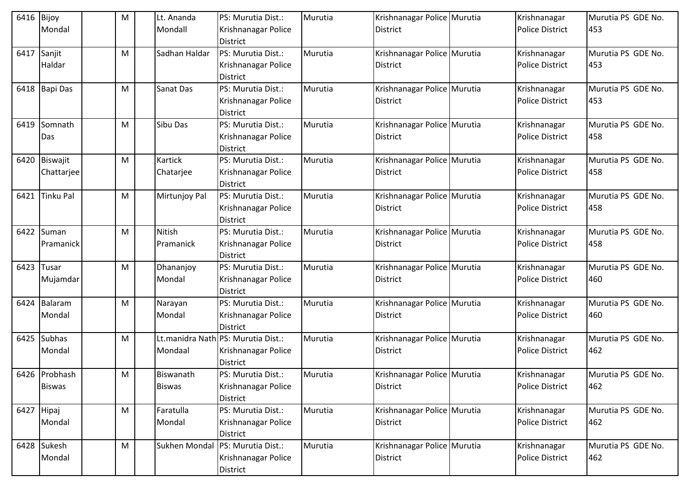| 6416       | Bijoy            | м | Lt. Ananda        | PS: Murutia Dist.:                                    | Murutia | Krishnanagar Police Murutia | Krishnanagar           | Murutia PS GDE No. |
|------------|------------------|---|-------------------|-------------------------------------------------------|---------|-----------------------------|------------------------|--------------------|
|            | Mondal           |   | Mondall           | Krishnanagar Police                                   |         | <b>District</b>             | <b>Police District</b> | 453                |
|            |                  |   |                   | <b>District</b>                                       |         |                             |                        |                    |
| 6417       | Sanjit           | M | Sadhan Haldar     | PS: Murutia Dist.:                                    | Murutia | Krishnanagar Police Murutia | Krishnanagar           | Murutia PS GDE No. |
|            | Haldar           |   |                   | Krishnanagar Police                                   |         | District                    | <b>Police District</b> | 453                |
|            |                  |   |                   | <b>District</b>                                       |         |                             |                        |                    |
|            | 6418 Bapi Das    | м | Sanat Das         | PS: Murutia Dist.:                                    | Murutia | Krishnanagar Police Murutia | Krishnanagar           | Murutia PS GDE No. |
|            |                  |   |                   | Krishnanagar Police                                   |         | <b>District</b>             | <b>Police District</b> | 453                |
|            |                  |   |                   | <b>District</b>                                       |         |                             |                        |                    |
| 6419       | Somnath          | M | Sibu Das          | PS: Murutia Dist.:                                    | Murutia | Krishnanagar Police Murutia | Krishnanagar           | Murutia PS GDE No. |
|            | Das              |   |                   | Krishnanagar Police                                   |         | <b>District</b>             | <b>Police District</b> | 458                |
|            |                  |   |                   | <b>District</b>                                       |         |                             |                        |                    |
| 6420       | Biswajit         | M | Kartick           | PS: Murutia Dist.:                                    | Murutia | Krishnanagar Police Murutia | Krishnanagar           | Murutia PS GDE No. |
|            | Chattarjee       |   | Chatarjee         | Krishnanagar Police                                   |         | <b>District</b>             | <b>Police District</b> | 458                |
|            |                  |   |                   | <b>District</b>                                       |         |                             |                        |                    |
| 6421       | <b>Tinku Pal</b> | M | Mirtunjoy Pal     | PS: Murutia Dist.:                                    | Murutia | Krishnanagar Police Murutia | Krishnanagar           | Murutia PS GDE No. |
|            |                  |   |                   | Krishnanagar Police                                   |         | District                    | <b>Police District</b> | 458                |
|            |                  |   |                   | <b>District</b>                                       |         |                             |                        |                    |
| 6422       | Suman            | M | <b>Nitish</b>     | PS: Murutia Dist.:                                    | Murutia | Krishnanagar Police Murutia | Krishnanagar           | Murutia PS GDE No. |
|            | Pramanick        |   | Pramanick         | Krishnanagar Police                                   |         | <b>District</b>             | <b>Police District</b> | 458                |
|            |                  |   |                   | <b>District</b>                                       |         |                             |                        |                    |
| 6423       | Tusar            | M | Dhananjoy         | PS: Murutia Dist.:                                    | Murutia | Krishnanagar Police Murutia | Krishnanagar           | Murutia PS GDE No. |
|            | Mujamdar         |   | Mondal            | Krishnanagar Police                                   |         | <b>District</b>             | <b>Police District</b> | 460                |
| 6424       | Balaram          |   |                   | <b>District</b><br>PS: Murutia Dist.:                 | Murutia |                             | Krishnanagar           | Murutia PS GDE No. |
|            |                  | M | Narayan<br>Mondal |                                                       |         | Krishnanagar Police Murutia |                        |                    |
|            | Mondal           |   |                   | Krishnanagar Police                                   |         | <b>District</b>             | <b>Police District</b> | 460                |
| 6425       | <b>Subhas</b>    | м |                   | <b>District</b><br>Lt.manidra Nath PS: Murutia Dist.: | Murutia | Krishnanagar Police Murutia | Krishnanagar           | Murutia PS GDE No. |
|            | Mondal           |   | Mondaal           | Krishnanagar Police                                   |         | District                    | <b>Police District</b> | 462                |
|            |                  |   |                   | <b>District</b>                                       |         |                             |                        |                    |
|            | 6426 Probhash    | M | Biswanath         | PS: Murutia Dist.:                                    | Murutia | Krishnanagar Police Murutia | Krishnanagar           | Murutia PS GDE No. |
|            | <b>Biswas</b>    |   | <b>Biswas</b>     | Krishnanagar Police                                   |         | <b>District</b>             | <b>Police District</b> | 462                |
|            |                  |   |                   | <b>District</b>                                       |         |                             |                        |                    |
| 6427 Hipaj |                  | M | Faratulla         | PS: Murutia Dist.:                                    | Murutia | Krishnanagar Police Murutia | Krishnanagar           | Murutia PS GDE No. |
|            | Mondal           |   | Mondal            | Krishnanagar Police                                   |         | <b>District</b>             | <b>Police District</b> | 462                |
|            |                  |   |                   | <b>District</b>                                       |         |                             |                        |                    |
|            | 6428 Sukesh      | M | Sukhen Mondal     | PS: Murutia Dist.:                                    | Murutia | Krishnanagar Police Murutia | Krishnanagar           | Murutia PS GDE No. |
|            | Mondal           |   |                   | Krishnanagar Police                                   |         | <b>District</b>             | <b>Police District</b> | 462                |
|            |                  |   |                   | <b>District</b>                                       |         |                             |                        |                    |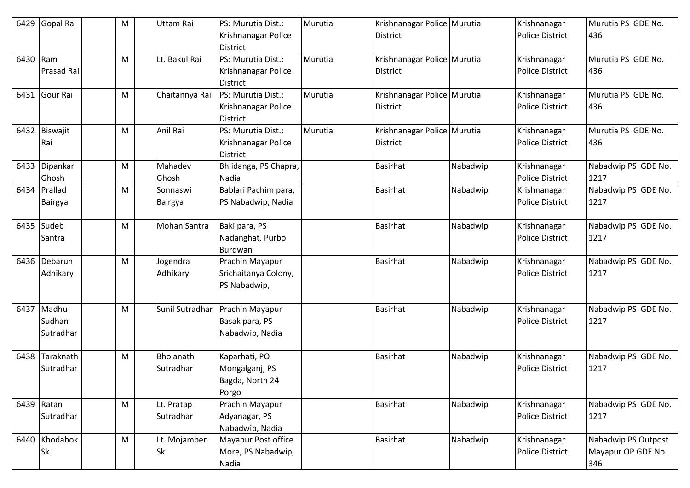| 6429 | Gopal Rai         | M | Uttam Rai           | PS: Murutia Dist.:                     | Murutia | Krishnanagar Police Murutia |          | Krishnanagar           | Murutia PS GDE No.  |
|------|-------------------|---|---------------------|----------------------------------------|---------|-----------------------------|----------|------------------------|---------------------|
|      |                   |   |                     | Krishnanagar Police<br><b>District</b> |         | District                    |          | <b>Police District</b> | 436                 |
| 6430 | Ram               | M | Lt. Bakul Rai       | PS: Murutia Dist.:                     | Murutia | Krishnanagar Police Murutia |          | Krishnanagar           | Murutia PS GDE No.  |
|      | <b>Prasad Rai</b> |   |                     | Krishnanagar Police                    |         | District                    |          | <b>Police District</b> | 436                 |
|      |                   |   |                     | <b>District</b>                        |         |                             |          |                        |                     |
|      | 6431 Gour Rai     | M | Chaitannya Rai      | PS: Murutia Dist.:                     | Murutia | Krishnanagar Police Murutia |          | Krishnanagar           | Murutia PS GDE No.  |
|      |                   |   |                     | Krishnanagar Police                    |         | District                    |          | <b>Police District</b> | 436                 |
|      |                   |   |                     | <b>District</b>                        |         |                             |          |                        |                     |
|      | 6432 Biswajit     | M | Anil Rai            | PS: Murutia Dist.:                     | Murutia | Krishnanagar Police Murutia |          | Krishnanagar           | Murutia PS GDE No.  |
|      | Rai               |   |                     | Krishnanagar Police                    |         | <b>District</b>             |          | <b>Police District</b> | 436                 |
|      |                   |   |                     | <b>District</b>                        |         |                             |          |                        |                     |
| 6433 | Dipankar          | M | Mahadev             | Bhlidanga, PS Chapra,                  |         | <b>Basirhat</b>             | Nabadwip | Krishnanagar           | Nabadwip PS GDE No. |
|      | Ghosh             |   | Ghosh               | Nadia                                  |         |                             |          | <b>Police District</b> | 1217                |
| 6434 | Prallad           | M | Sonnaswi            | Bablari Pachim para,                   |         | <b>Basirhat</b>             | Nabadwip | Krishnanagar           | Nabadwip PS GDE No. |
|      | Bairgya           |   | <b>Bairgya</b>      | PS Nabadwip, Nadia                     |         |                             |          | <b>Police District</b> | 1217                |
|      | 6435 Sudeb        | м | <b>Mohan Santra</b> | Baki para, PS                          |         | <b>Basirhat</b>             | Nabadwip | Krishnanagar           | Nabadwip PS GDE No. |
|      | Santra            |   |                     | Nadanghat, Purbo                       |         |                             |          | <b>Police District</b> | 1217                |
|      |                   |   |                     | Burdwan                                |         |                             |          |                        |                     |
|      | 6436 Debarun      | M | Jogendra            | Prachin Mayapur                        |         | <b>Basirhat</b>             | Nabadwip | Krishnanagar           | Nabadwip PS GDE No. |
|      | Adhikary          |   | Adhikary            | Srichaitanya Colony,                   |         |                             |          | <b>Police District</b> | 1217                |
|      |                   |   |                     | PS Nabadwip,                           |         |                             |          |                        |                     |
| 6437 | Madhu             | M | Sunil Sutradhar     | Prachin Mayapur                        |         | <b>Basirhat</b>             | Nabadwip | Krishnanagar           | Nabadwip PS GDE No. |
|      | Sudhan            |   |                     | Basak para, PS                         |         |                             |          | <b>Police District</b> | 1217                |
|      | Sutradhar         |   |                     | Nabadwip, Nadia                        |         |                             |          |                        |                     |
| 6438 | Taraknath         | M | <b>Bholanath</b>    | Kaparhati, PO                          |         | <b>Basirhat</b>             | Nabadwip | Krishnanagar           | Nabadwip PS GDE No. |
|      | Sutradhar         |   | Sutradhar           | Mongalganj, PS                         |         |                             |          | <b>Police District</b> | 1217                |
|      |                   |   |                     | Bagda, North 24                        |         |                             |          |                        |                     |
|      |                   |   |                     | Porgo                                  |         |                             |          |                        |                     |
|      | 6439 Ratan        | M | Lt. Pratap          | Prachin Mayapur                        |         | <b>Basirhat</b>             | Nabadwip | Krishnanagar           | Nabadwip PS GDE No. |
|      | Sutradhar         |   | Sutradhar           | Adyanagar, PS                          |         |                             |          | <b>Police District</b> | 1217                |
|      |                   |   |                     | Nabadwip, Nadia                        |         |                             |          |                        |                     |
|      | 6440 Khodabok     | M | Lt. Mojamber        | Mayapur Post office                    |         | <b>Basirhat</b>             | Nabadwip | Krishnanagar           | Nabadwip PS Outpost |
|      | <b>Sk</b>         |   | <b>Sk</b>           | More, PS Nabadwip,                     |         |                             |          | <b>Police District</b> | Mayapur OP GDE No.  |
|      |                   |   |                     | Nadia                                  |         |                             |          |                        | 346                 |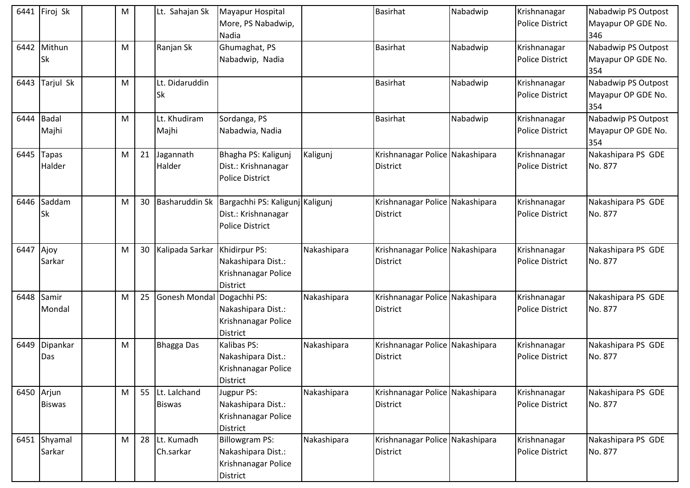|      | 6441 Firoj Sk               | M |                 | Lt. Sahajan Sk                   | Mayapur Hospital<br>More, PS Nabadwip,<br>Nadia                                       |             | <b>Basirhat</b>                                    | Nabadwip | Krishnanagar<br><b>Police District</b> | Nabadwip PS Outpost<br>Mayapur OP GDE No.<br>346 |
|------|-----------------------------|---|-----------------|----------------------------------|---------------------------------------------------------------------------------------|-------------|----------------------------------------------------|----------|----------------------------------------|--------------------------------------------------|
| 6442 | Mithun<br><b>Sk</b>         | M |                 | Ranjan Sk                        | Ghumaghat, PS<br>Nabadwip, Nadia                                                      |             | <b>Basirhat</b>                                    | Nabadwip | Krishnanagar<br><b>Police District</b> | Nabadwip PS Outpost<br>Mayapur OP GDE No.<br>354 |
| 6443 | Tarjul Sk                   | M |                 | Lt. Didaruddin<br><b>Sk</b>      |                                                                                       |             | <b>Basirhat</b>                                    | Nabadwip | Krishnanagar<br><b>Police District</b> | Nabadwip PS Outpost<br>Mayapur OP GDE No.<br>354 |
| 6444 | <b>Badal</b><br>Majhi       | M |                 | Lt. Khudiram<br>Majhi            | Sordanga, PS<br>Nabadwia, Nadia                                                       |             | <b>Basirhat</b>                                    | Nabadwip | Krishnanagar<br><b>Police District</b> | Nabadwip PS Outpost<br>Mayapur OP GDE No.<br>354 |
| 6445 | <b>Tapas</b><br>Halder      | M | 21              | Jagannath<br>Halder              | Bhagha PS: Kaligunj<br>Dist.: Krishnanagar<br><b>Police District</b>                  | Kaligunj    | Krishnanagar Police Nakashipara<br><b>District</b> |          | Krishnanagar<br><b>Police District</b> | Nakashipara PS GDE<br>No. 877                    |
| 6446 | Saddam<br>Sk                | M | 30              | Basharuddin Sk                   | Bargachhi PS: Kaligunj Kaligunj<br>Dist.: Krishnanagar<br><b>Police District</b>      |             | Krishnanagar Police Nakashipara<br><b>District</b> |          | Krishnanagar<br><b>Police District</b> | Nakashipara PS GDE<br>No. 877                    |
| 6447 | Ajoy<br>Sarkar              | M | 30 <sup>°</sup> | Kalipada Sarkar                  | Khidirpur PS:<br>Nakashipara Dist.:<br>Krishnanagar Police<br><b>District</b>         | Nakashipara | Krishnanagar Police Nakashipara<br><b>District</b> |          | Krishnanagar<br><b>Police District</b> | Nakashipara PS GDE<br>No. 877                    |
| 6448 | Samir<br>Mondal             | M | 25              | Gonesh Mondal                    | Dogachhi PS:<br>Nakashipara Dist.:<br>Krishnanagar Police<br><b>District</b>          | Nakashipara | Krishnanagar Police Nakashipara<br><b>District</b> |          | Krishnanagar<br><b>Police District</b> | Nakashipara PS GDE<br>No. 877                    |
| 6449 | Dipankar<br>Das             | M |                 | <b>Bhagga Das</b>                | Kalibas PS:<br>Nakashipara Dist.:<br>Krishnanagar Police<br><b>District</b>           | Nakashipara | Krishnanagar Police Nakashipara<br><b>District</b> |          | Krishnanagar<br><b>Police District</b> | Nakashipara PS GDE<br>No. 877                    |
|      | 6450 Arjun<br><b>Biswas</b> | M |                 | 55 Lt. Lalchand<br><b>Biswas</b> | Jugpur PS:<br>Nakashipara Dist.:<br>Krishnanagar Police<br><b>District</b>            | Nakashipara | Krishnanagar Police Nakashipara<br>District        |          | Krishnanagar<br><b>Police District</b> | Nakashipara PS GDE<br>No. 877                    |
|      | 6451 Shyamal<br>Sarkar      | M |                 | 28 Lt. Kumadh<br>Ch.sarkar       | <b>Billowgram PS:</b><br>Nakashipara Dist.:<br>Krishnanagar Police<br><b>District</b> | Nakashipara | Krishnanagar Police Nakashipara<br><b>District</b> |          | Krishnanagar<br>Police District        | Nakashipara PS GDE<br>No. 877                    |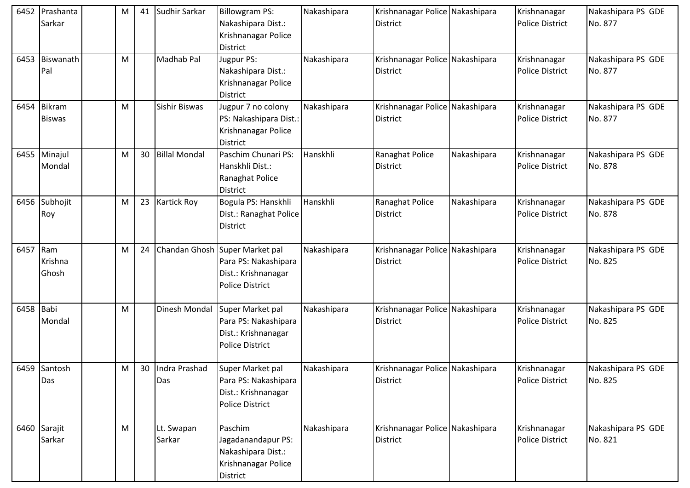| 6452      | Prashanta<br>Sarkar            | M | 41 | Sudhir Sarkar        | Billowgram PS:<br>Nakashipara Dist.:<br>Krishnanagar Police<br><b>District</b>                          | Nakashipara | Krishnanagar Police Nakashipara<br><b>District</b> |             | Krishnanagar<br><b>Police District</b> | Nakashipara PS GDE<br>No. 877 |
|-----------|--------------------------------|---|----|----------------------|---------------------------------------------------------------------------------------------------------|-------------|----------------------------------------------------|-------------|----------------------------------------|-------------------------------|
| 6453      | Biswanath<br>Pal               | М |    | Madhab Pal           | Jugpur PS:<br>Nakashipara Dist.:<br>Krishnanagar Police<br><b>District</b>                              | Nakashipara | Krishnanagar Police Nakashipara<br><b>District</b> |             | Krishnanagar<br><b>Police District</b> | Nakashipara PS GDE<br>No. 877 |
| 6454      | <b>Bikram</b><br><b>Biswas</b> | M |    | Sishir Biswas        | Jugpur 7 no colony<br>PS: Nakashipara Dist.:<br>Krishnanagar Police<br><b>District</b>                  | Nakashipara | Krishnanagar Police Nakashipara<br><b>District</b> |             | Krishnanagar<br><b>Police District</b> | Nakashipara PS GDE<br>No. 877 |
| 6455      | Minajul<br>Mondal              | M | 30 | <b>Billal Mondal</b> | Paschim Chunari PS:<br>Hanskhli Dist.:<br>Ranaghat Police<br><b>District</b>                            | Hanskhli    | Ranaghat Police<br><b>District</b>                 | Nakashipara | Krishnanagar<br><b>Police District</b> | Nakashipara PS GDE<br>No. 878 |
|           | 6456 Subhojit<br>Roy           | M | 23 | <b>Kartick Roy</b>   | Bogula PS: Hanskhli<br>Dist.: Ranaghat Police<br><b>District</b>                                        | Hanskhli    | Ranaghat Police<br><b>District</b>                 | Nakashipara | Krishnanagar<br><b>Police District</b> | Nakashipara PS GDE<br>No. 878 |
| 6457 Ram  | Krishna<br>Ghosh               | M | 24 |                      | Chandan Ghosh Super Market pal<br>Para PS: Nakashipara<br>Dist.: Krishnanagar<br><b>Police District</b> | Nakashipara | Krishnanagar Police Nakashipara<br><b>District</b> |             | Krishnanagar<br><b>Police District</b> | Nakashipara PS GDE<br>No. 825 |
| 6458 Babi | Mondal                         | M |    | Dinesh Mondal        | Super Market pal<br>Para PS: Nakashipara<br>Dist.: Krishnanagar<br><b>Police District</b>               | Nakashipara | Krishnanagar Police Nakashipara<br><b>District</b> |             | Krishnanagar<br><b>Police District</b> | Nakashipara PS GDE<br>No. 825 |
|           | 6459 Santosh<br>Das            | M | 30 | Indra Prashad<br>Das | Super Market pal<br>Para PS: Nakashipara<br>Dist.: Krishnanagar<br><b>Police District</b>               | Nakashipara | Krishnanagar Police Nakashipara<br><b>District</b> |             | Krishnanagar<br><b>Police District</b> | Nakashipara PS GDE<br>No. 825 |
|           | 6460 Sarajit<br>Sarkar         | M |    | Lt. Swapan<br>Sarkar | Paschim<br>Jagadanandapur PS:<br>Nakashipara Dist.:<br>Krishnanagar Police<br>District                  | Nakashipara | Krishnanagar Police Nakashipara<br><b>District</b> |             | Krishnanagar<br><b>Police District</b> | Nakashipara PS GDE<br>No. 821 |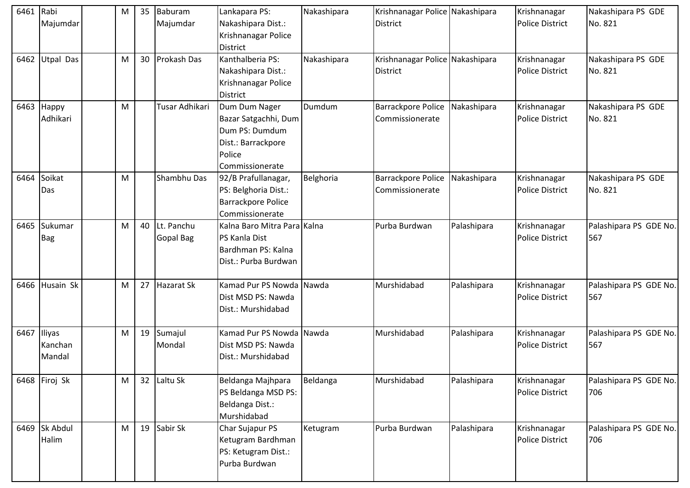| Nakashipara Dist.:<br>Police District<br>No. 821<br>Majumdar<br>Majumdar<br><b>District</b><br>Krishnanagar Police<br><b>District</b><br>6462 Utpal Das<br>30 Prokash Das<br>Kanthalberia PS:<br>Nakashipara<br>Krishnanagar Police Nakashipara<br>Nakashipara PS GDE<br>Krishnanagar<br>M<br>Nakashipara Dist.:<br>District<br><b>Police District</b><br>No. 821<br>Krishnanagar Police<br><b>District</b><br>Tusar Adhikari<br>Dumdum<br>6463<br>Happy<br>M<br>Dum Dum Nager<br><b>Barrackpore Police</b><br>Nakashipara<br>Krishnanagar<br>Nakashipara PS GDE<br>No. 821<br>Adhikari<br>Bazar Satgachhi, Dum<br><b>Police District</b><br>Commissionerate<br>Dum PS: Dumdum<br>Dist.: Barrackpore<br>Police<br>Commissionerate<br>Soikat<br>6464<br>Shambhu Das<br>Belghoria<br>Nakashipara<br>M<br><b>Barrackpore Police</b><br>Krishnanagar<br>Nakashipara PS GDE<br>92/B Prafullanagar,<br>PS: Belghoria Dist.:<br><b>Police District</b><br>No. 821<br>Das<br>Commissionerate<br>Barrackpore Police<br>Commissionerate<br>Palashipara PS GDE No.<br>6465<br>Sukumar<br>40 Lt. Panchu<br>Kalna Baro Mitra Para Kalna<br>Purba Burdwan<br>Palashipara<br>M<br>Krishnanagar<br>Gopal Bag<br>PS Kanla Dist<br><b>Police District</b><br>567<br><b>Bag</b><br>Bardhman PS: Kalna<br>Dist.: Purba Burdwan<br>6466<br>Husain Sk<br>27 Hazarat Sk<br>Kamad Pur PS Nowda Nawda<br>Murshidabad<br>Palashipara PS GDE No.<br>Palashipara<br>м<br>Krishnanagar<br>Dist MSD PS: Nawda<br><b>Police District</b><br>567<br>Dist.: Murshidabad<br>Kamad Pur PS Nowda Nawda<br>Murshidabad<br>Palashipara<br>Palashipara PS GDE No.<br>6467<br>Iliyas<br>19 Sumajul<br>м<br>Krishnanagar<br>Mondal<br>Dist MSD PS: Nawda<br><b>Police District</b><br>567<br>Kanchan<br>Mandal<br>Dist.: Murshidabad<br>6468 Firoj Sk<br>32 Laltu Sk<br>Beldanga<br>Murshidabad<br>Beldanga Majhpara<br>Palashipara<br>M<br>Krishnanagar<br>PS Beldanga MSD PS:<br><b>Police District</b><br>706<br>Beldanga Dist.:<br>Murshidabad<br>19 Sabir Sk<br>6469 Sk Abdul<br>Char Sujapur PS<br>Purba Burdwan<br>Palashipara<br>Palashipara PS GDE No.<br>Krishnanagar<br>M<br>Ketugram<br>Ketugram Bardhman<br>Halim<br><b>Police District</b><br>706<br>PS: Ketugram Dist.:<br>Purba Burdwan | 6461 Rabi |  | M | 35 Baburam | Lankapara PS: | Nakashipara | Krishnanagar Police Nakashipara | Krishnanagar | Nakashipara PS GDE |
|----------------------------------------------------------------------------------------------------------------------------------------------------------------------------------------------------------------------------------------------------------------------------------------------------------------------------------------------------------------------------------------------------------------------------------------------------------------------------------------------------------------------------------------------------------------------------------------------------------------------------------------------------------------------------------------------------------------------------------------------------------------------------------------------------------------------------------------------------------------------------------------------------------------------------------------------------------------------------------------------------------------------------------------------------------------------------------------------------------------------------------------------------------------------------------------------------------------------------------------------------------------------------------------------------------------------------------------------------------------------------------------------------------------------------------------------------------------------------------------------------------------------------------------------------------------------------------------------------------------------------------------------------------------------------------------------------------------------------------------------------------------------------------------------------------------------------------------------------------------------------------------------------------------------------------------------------------------------------------------------------------------------------------------------------------------------------------------------------------------------------------------------------------------------------------------------------------------------------------------------------------------|-----------|--|---|------------|---------------|-------------|---------------------------------|--------------|--------------------|
|                                                                                                                                                                                                                                                                                                                                                                                                                                                                                                                                                                                                                                                                                                                                                                                                                                                                                                                                                                                                                                                                                                                                                                                                                                                                                                                                                                                                                                                                                                                                                                                                                                                                                                                                                                                                                                                                                                                                                                                                                                                                                                                                                                                                                                                                |           |  |   |            |               |             |                                 |              |                    |
| Palashipara PS GDE No.                                                                                                                                                                                                                                                                                                                                                                                                                                                                                                                                                                                                                                                                                                                                                                                                                                                                                                                                                                                                                                                                                                                                                                                                                                                                                                                                                                                                                                                                                                                                                                                                                                                                                                                                                                                                                                                                                                                                                                                                                                                                                                                                                                                                                                         |           |  |   |            |               |             |                                 |              |                    |
|                                                                                                                                                                                                                                                                                                                                                                                                                                                                                                                                                                                                                                                                                                                                                                                                                                                                                                                                                                                                                                                                                                                                                                                                                                                                                                                                                                                                                                                                                                                                                                                                                                                                                                                                                                                                                                                                                                                                                                                                                                                                                                                                                                                                                                                                |           |  |   |            |               |             |                                 |              |                    |
|                                                                                                                                                                                                                                                                                                                                                                                                                                                                                                                                                                                                                                                                                                                                                                                                                                                                                                                                                                                                                                                                                                                                                                                                                                                                                                                                                                                                                                                                                                                                                                                                                                                                                                                                                                                                                                                                                                                                                                                                                                                                                                                                                                                                                                                                |           |  |   |            |               |             |                                 |              |                    |
|                                                                                                                                                                                                                                                                                                                                                                                                                                                                                                                                                                                                                                                                                                                                                                                                                                                                                                                                                                                                                                                                                                                                                                                                                                                                                                                                                                                                                                                                                                                                                                                                                                                                                                                                                                                                                                                                                                                                                                                                                                                                                                                                                                                                                                                                |           |  |   |            |               |             |                                 |              |                    |
|                                                                                                                                                                                                                                                                                                                                                                                                                                                                                                                                                                                                                                                                                                                                                                                                                                                                                                                                                                                                                                                                                                                                                                                                                                                                                                                                                                                                                                                                                                                                                                                                                                                                                                                                                                                                                                                                                                                                                                                                                                                                                                                                                                                                                                                                |           |  |   |            |               |             |                                 |              |                    |
|                                                                                                                                                                                                                                                                                                                                                                                                                                                                                                                                                                                                                                                                                                                                                                                                                                                                                                                                                                                                                                                                                                                                                                                                                                                                                                                                                                                                                                                                                                                                                                                                                                                                                                                                                                                                                                                                                                                                                                                                                                                                                                                                                                                                                                                                |           |  |   |            |               |             |                                 |              |                    |
|                                                                                                                                                                                                                                                                                                                                                                                                                                                                                                                                                                                                                                                                                                                                                                                                                                                                                                                                                                                                                                                                                                                                                                                                                                                                                                                                                                                                                                                                                                                                                                                                                                                                                                                                                                                                                                                                                                                                                                                                                                                                                                                                                                                                                                                                |           |  |   |            |               |             |                                 |              |                    |
|                                                                                                                                                                                                                                                                                                                                                                                                                                                                                                                                                                                                                                                                                                                                                                                                                                                                                                                                                                                                                                                                                                                                                                                                                                                                                                                                                                                                                                                                                                                                                                                                                                                                                                                                                                                                                                                                                                                                                                                                                                                                                                                                                                                                                                                                |           |  |   |            |               |             |                                 |              |                    |
|                                                                                                                                                                                                                                                                                                                                                                                                                                                                                                                                                                                                                                                                                                                                                                                                                                                                                                                                                                                                                                                                                                                                                                                                                                                                                                                                                                                                                                                                                                                                                                                                                                                                                                                                                                                                                                                                                                                                                                                                                                                                                                                                                                                                                                                                |           |  |   |            |               |             |                                 |              |                    |
|                                                                                                                                                                                                                                                                                                                                                                                                                                                                                                                                                                                                                                                                                                                                                                                                                                                                                                                                                                                                                                                                                                                                                                                                                                                                                                                                                                                                                                                                                                                                                                                                                                                                                                                                                                                                                                                                                                                                                                                                                                                                                                                                                                                                                                                                |           |  |   |            |               |             |                                 |              |                    |
|                                                                                                                                                                                                                                                                                                                                                                                                                                                                                                                                                                                                                                                                                                                                                                                                                                                                                                                                                                                                                                                                                                                                                                                                                                                                                                                                                                                                                                                                                                                                                                                                                                                                                                                                                                                                                                                                                                                                                                                                                                                                                                                                                                                                                                                                |           |  |   |            |               |             |                                 |              |                    |
|                                                                                                                                                                                                                                                                                                                                                                                                                                                                                                                                                                                                                                                                                                                                                                                                                                                                                                                                                                                                                                                                                                                                                                                                                                                                                                                                                                                                                                                                                                                                                                                                                                                                                                                                                                                                                                                                                                                                                                                                                                                                                                                                                                                                                                                                |           |  |   |            |               |             |                                 |              |                    |
|                                                                                                                                                                                                                                                                                                                                                                                                                                                                                                                                                                                                                                                                                                                                                                                                                                                                                                                                                                                                                                                                                                                                                                                                                                                                                                                                                                                                                                                                                                                                                                                                                                                                                                                                                                                                                                                                                                                                                                                                                                                                                                                                                                                                                                                                |           |  |   |            |               |             |                                 |              |                    |
|                                                                                                                                                                                                                                                                                                                                                                                                                                                                                                                                                                                                                                                                                                                                                                                                                                                                                                                                                                                                                                                                                                                                                                                                                                                                                                                                                                                                                                                                                                                                                                                                                                                                                                                                                                                                                                                                                                                                                                                                                                                                                                                                                                                                                                                                |           |  |   |            |               |             |                                 |              |                    |
|                                                                                                                                                                                                                                                                                                                                                                                                                                                                                                                                                                                                                                                                                                                                                                                                                                                                                                                                                                                                                                                                                                                                                                                                                                                                                                                                                                                                                                                                                                                                                                                                                                                                                                                                                                                                                                                                                                                                                                                                                                                                                                                                                                                                                                                                |           |  |   |            |               |             |                                 |              |                    |
|                                                                                                                                                                                                                                                                                                                                                                                                                                                                                                                                                                                                                                                                                                                                                                                                                                                                                                                                                                                                                                                                                                                                                                                                                                                                                                                                                                                                                                                                                                                                                                                                                                                                                                                                                                                                                                                                                                                                                                                                                                                                                                                                                                                                                                                                |           |  |   |            |               |             |                                 |              |                    |
|                                                                                                                                                                                                                                                                                                                                                                                                                                                                                                                                                                                                                                                                                                                                                                                                                                                                                                                                                                                                                                                                                                                                                                                                                                                                                                                                                                                                                                                                                                                                                                                                                                                                                                                                                                                                                                                                                                                                                                                                                                                                                                                                                                                                                                                                |           |  |   |            |               |             |                                 |              |                    |
|                                                                                                                                                                                                                                                                                                                                                                                                                                                                                                                                                                                                                                                                                                                                                                                                                                                                                                                                                                                                                                                                                                                                                                                                                                                                                                                                                                                                                                                                                                                                                                                                                                                                                                                                                                                                                                                                                                                                                                                                                                                                                                                                                                                                                                                                |           |  |   |            |               |             |                                 |              |                    |
|                                                                                                                                                                                                                                                                                                                                                                                                                                                                                                                                                                                                                                                                                                                                                                                                                                                                                                                                                                                                                                                                                                                                                                                                                                                                                                                                                                                                                                                                                                                                                                                                                                                                                                                                                                                                                                                                                                                                                                                                                                                                                                                                                                                                                                                                |           |  |   |            |               |             |                                 |              |                    |
|                                                                                                                                                                                                                                                                                                                                                                                                                                                                                                                                                                                                                                                                                                                                                                                                                                                                                                                                                                                                                                                                                                                                                                                                                                                                                                                                                                                                                                                                                                                                                                                                                                                                                                                                                                                                                                                                                                                                                                                                                                                                                                                                                                                                                                                                |           |  |   |            |               |             |                                 |              |                    |
|                                                                                                                                                                                                                                                                                                                                                                                                                                                                                                                                                                                                                                                                                                                                                                                                                                                                                                                                                                                                                                                                                                                                                                                                                                                                                                                                                                                                                                                                                                                                                                                                                                                                                                                                                                                                                                                                                                                                                                                                                                                                                                                                                                                                                                                                |           |  |   |            |               |             |                                 |              |                    |
|                                                                                                                                                                                                                                                                                                                                                                                                                                                                                                                                                                                                                                                                                                                                                                                                                                                                                                                                                                                                                                                                                                                                                                                                                                                                                                                                                                                                                                                                                                                                                                                                                                                                                                                                                                                                                                                                                                                                                                                                                                                                                                                                                                                                                                                                |           |  |   |            |               |             |                                 |              |                    |
|                                                                                                                                                                                                                                                                                                                                                                                                                                                                                                                                                                                                                                                                                                                                                                                                                                                                                                                                                                                                                                                                                                                                                                                                                                                                                                                                                                                                                                                                                                                                                                                                                                                                                                                                                                                                                                                                                                                                                                                                                                                                                                                                                                                                                                                                |           |  |   |            |               |             |                                 |              |                    |
|                                                                                                                                                                                                                                                                                                                                                                                                                                                                                                                                                                                                                                                                                                                                                                                                                                                                                                                                                                                                                                                                                                                                                                                                                                                                                                                                                                                                                                                                                                                                                                                                                                                                                                                                                                                                                                                                                                                                                                                                                                                                                                                                                                                                                                                                |           |  |   |            |               |             |                                 |              |                    |
|                                                                                                                                                                                                                                                                                                                                                                                                                                                                                                                                                                                                                                                                                                                                                                                                                                                                                                                                                                                                                                                                                                                                                                                                                                                                                                                                                                                                                                                                                                                                                                                                                                                                                                                                                                                                                                                                                                                                                                                                                                                                                                                                                                                                                                                                |           |  |   |            |               |             |                                 |              |                    |
|                                                                                                                                                                                                                                                                                                                                                                                                                                                                                                                                                                                                                                                                                                                                                                                                                                                                                                                                                                                                                                                                                                                                                                                                                                                                                                                                                                                                                                                                                                                                                                                                                                                                                                                                                                                                                                                                                                                                                                                                                                                                                                                                                                                                                                                                |           |  |   |            |               |             |                                 |              |                    |
|                                                                                                                                                                                                                                                                                                                                                                                                                                                                                                                                                                                                                                                                                                                                                                                                                                                                                                                                                                                                                                                                                                                                                                                                                                                                                                                                                                                                                                                                                                                                                                                                                                                                                                                                                                                                                                                                                                                                                                                                                                                                                                                                                                                                                                                                |           |  |   |            |               |             |                                 |              |                    |
|                                                                                                                                                                                                                                                                                                                                                                                                                                                                                                                                                                                                                                                                                                                                                                                                                                                                                                                                                                                                                                                                                                                                                                                                                                                                                                                                                                                                                                                                                                                                                                                                                                                                                                                                                                                                                                                                                                                                                                                                                                                                                                                                                                                                                                                                |           |  |   |            |               |             |                                 |              |                    |
|                                                                                                                                                                                                                                                                                                                                                                                                                                                                                                                                                                                                                                                                                                                                                                                                                                                                                                                                                                                                                                                                                                                                                                                                                                                                                                                                                                                                                                                                                                                                                                                                                                                                                                                                                                                                                                                                                                                                                                                                                                                                                                                                                                                                                                                                |           |  |   |            |               |             |                                 |              |                    |
|                                                                                                                                                                                                                                                                                                                                                                                                                                                                                                                                                                                                                                                                                                                                                                                                                                                                                                                                                                                                                                                                                                                                                                                                                                                                                                                                                                                                                                                                                                                                                                                                                                                                                                                                                                                                                                                                                                                                                                                                                                                                                                                                                                                                                                                                |           |  |   |            |               |             |                                 |              |                    |
|                                                                                                                                                                                                                                                                                                                                                                                                                                                                                                                                                                                                                                                                                                                                                                                                                                                                                                                                                                                                                                                                                                                                                                                                                                                                                                                                                                                                                                                                                                                                                                                                                                                                                                                                                                                                                                                                                                                                                                                                                                                                                                                                                                                                                                                                |           |  |   |            |               |             |                                 |              |                    |
|                                                                                                                                                                                                                                                                                                                                                                                                                                                                                                                                                                                                                                                                                                                                                                                                                                                                                                                                                                                                                                                                                                                                                                                                                                                                                                                                                                                                                                                                                                                                                                                                                                                                                                                                                                                                                                                                                                                                                                                                                                                                                                                                                                                                                                                                |           |  |   |            |               |             |                                 |              |                    |
|                                                                                                                                                                                                                                                                                                                                                                                                                                                                                                                                                                                                                                                                                                                                                                                                                                                                                                                                                                                                                                                                                                                                                                                                                                                                                                                                                                                                                                                                                                                                                                                                                                                                                                                                                                                                                                                                                                                                                                                                                                                                                                                                                                                                                                                                |           |  |   |            |               |             |                                 |              |                    |
|                                                                                                                                                                                                                                                                                                                                                                                                                                                                                                                                                                                                                                                                                                                                                                                                                                                                                                                                                                                                                                                                                                                                                                                                                                                                                                                                                                                                                                                                                                                                                                                                                                                                                                                                                                                                                                                                                                                                                                                                                                                                                                                                                                                                                                                                |           |  |   |            |               |             |                                 |              |                    |
|                                                                                                                                                                                                                                                                                                                                                                                                                                                                                                                                                                                                                                                                                                                                                                                                                                                                                                                                                                                                                                                                                                                                                                                                                                                                                                                                                                                                                                                                                                                                                                                                                                                                                                                                                                                                                                                                                                                                                                                                                                                                                                                                                                                                                                                                |           |  |   |            |               |             |                                 |              |                    |
|                                                                                                                                                                                                                                                                                                                                                                                                                                                                                                                                                                                                                                                                                                                                                                                                                                                                                                                                                                                                                                                                                                                                                                                                                                                                                                                                                                                                                                                                                                                                                                                                                                                                                                                                                                                                                                                                                                                                                                                                                                                                                                                                                                                                                                                                |           |  |   |            |               |             |                                 |              |                    |
|                                                                                                                                                                                                                                                                                                                                                                                                                                                                                                                                                                                                                                                                                                                                                                                                                                                                                                                                                                                                                                                                                                                                                                                                                                                                                                                                                                                                                                                                                                                                                                                                                                                                                                                                                                                                                                                                                                                                                                                                                                                                                                                                                                                                                                                                |           |  |   |            |               |             |                                 |              |                    |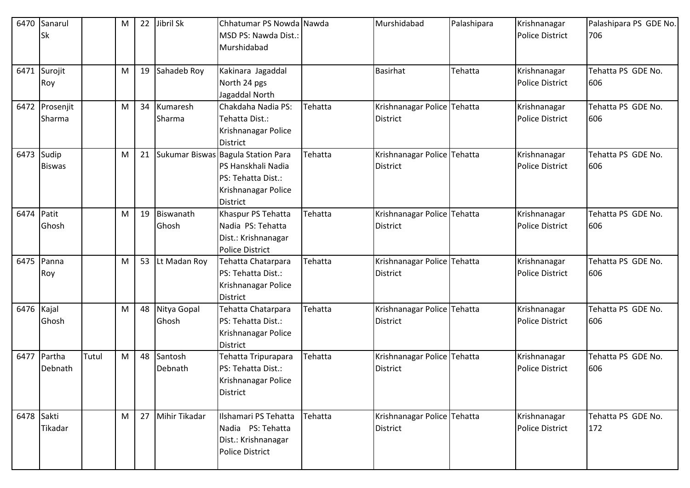| 6470       | Sanarul       |       | M | 22 | Jibril Sk       | Chhatumar PS Nowda Nawda           |         | Murshidabad                 | Palashipara | Krishnanagar           | Palashipara PS GDE No. |
|------------|---------------|-------|---|----|-----------------|------------------------------------|---------|-----------------------------|-------------|------------------------|------------------------|
|            | Sk            |       |   |    |                 | MSD PS: Nawda Dist.:               |         |                             |             | <b>Police District</b> | 706                    |
|            |               |       |   |    |                 | Murshidabad                        |         |                             |             |                        |                        |
|            |               |       |   |    |                 |                                    |         |                             |             |                        |                        |
| 6471       | Surojit       |       | M |    | 19 Sahadeb Roy  | Kakinara Jagaddal                  |         | <b>Basirhat</b>             | Tehatta     | Krishnanagar           | Tehatta PS GDE No.     |
|            | Roy           |       |   |    |                 | North 24 pgs                       |         |                             |             | <b>Police District</b> | 606                    |
|            |               |       |   |    |                 | Jagaddal North                     |         |                             |             |                        |                        |
| 6472       | Prosenjit     |       | M | 34 | Kumaresh        | Chakdaha Nadia PS:                 | Tehatta | Krishnanagar Police Tehatta |             | Krishnanagar           | Tehatta PS GDE No.     |
|            | Sharma        |       |   |    | Sharma          | Tehatta Dist.:                     |         | <b>District</b>             |             | <b>Police District</b> | 606                    |
|            |               |       |   |    |                 | Krishnanagar Police                |         |                             |             |                        |                        |
|            |               |       |   |    |                 | <b>District</b>                    |         |                             |             |                        |                        |
| 6473 Sudip |               |       | M | 21 |                 | Sukumar Biswas Bagula Station Para | Tehatta | Krishnanagar Police Tehatta |             | Krishnanagar           | Tehatta PS GDE No.     |
|            | <b>Biswas</b> |       |   |    |                 | PS Hanskhali Nadia                 |         | <b>District</b>             |             | <b>Police District</b> | 606                    |
|            |               |       |   |    |                 | PS: Tehatta Dist.:                 |         |                             |             |                        |                        |
|            |               |       |   |    |                 | Krishnanagar Police                |         |                             |             |                        |                        |
|            |               |       |   |    |                 | <b>District</b>                    |         |                             |             |                        |                        |
| 6474 Patit |               |       | M | 19 | Biswanath       | Khaspur PS Tehatta                 | Tehatta | Krishnanagar Police Tehatta |             | Krishnanagar           | Tehatta PS GDE No.     |
|            | Ghosh         |       |   |    | Ghosh           | Nadia PS: Tehatta                  |         | <b>District</b>             |             | <b>Police District</b> | 606                    |
|            |               |       |   |    |                 | Dist.: Krishnanagar                |         |                             |             |                        |                        |
|            |               |       |   |    |                 | <b>Police District</b>             |         |                             |             |                        |                        |
| 6475       | Panna         |       | M |    | 53 Lt Madan Roy | Tehatta Chatarpara                 | Tehatta | Krishnanagar Police Tehatta |             | Krishnanagar           | Tehatta PS GDE No.     |
|            | Roy           |       |   |    |                 | PS: Tehatta Dist.:                 |         | <b>District</b>             |             | <b>Police District</b> | 606                    |
|            |               |       |   |    |                 | Krishnanagar Police                |         |                             |             |                        |                        |
|            |               |       |   |    |                 | <b>District</b>                    |         |                             |             |                        |                        |
| 6476 Kajal |               |       | M |    | 48 Nitya Gopal  | Tehatta Chatarpara                 | Tehatta | Krishnanagar Police Tehatta |             | Krishnanagar           | Tehatta PS GDE No.     |
|            | Ghosh         |       |   |    | Ghosh           | PS: Tehatta Dist.:                 |         | <b>District</b>             |             | <b>Police District</b> | 606                    |
|            |               |       |   |    |                 | Krishnanagar Police                |         |                             |             |                        |                        |
|            |               |       |   |    |                 | <b>District</b>                    |         |                             |             |                        |                        |
| 6477       | Partha        | Tutul | M |    | 48 Santosh      | Tehatta Tripurapara                | Tehatta | Krishnanagar Police Tehatta |             | Krishnanagar           | Tehatta PS GDE No.     |
|            | Debnath       |       |   |    | Debnath         | PS: Tehatta Dist.:                 |         | <b>District</b>             |             | <b>Police District</b> | 606                    |
|            |               |       |   |    |                 | Krishnanagar Police                |         |                             |             |                        |                        |
|            |               |       |   |    |                 | <b>District</b>                    |         |                             |             |                        |                        |
|            |               |       |   |    |                 |                                    |         |                             |             |                        |                        |
| 6478 Sakti |               |       | M | 27 | Mihir Tikadar   | Ilshamari PS Tehatta               | Tehatta | Krishnanagar Police Tehatta |             | Krishnanagar           | Tehatta PS GDE No.     |
|            | Tikadar       |       |   |    |                 | Nadia PS: Tehatta                  |         | <b>District</b>             |             | <b>Police District</b> | 172                    |
|            |               |       |   |    |                 | Dist.: Krishnanagar                |         |                             |             |                        |                        |
|            |               |       |   |    |                 | <b>Police District</b>             |         |                             |             |                        |                        |
|            |               |       |   |    |                 |                                    |         |                             |             |                        |                        |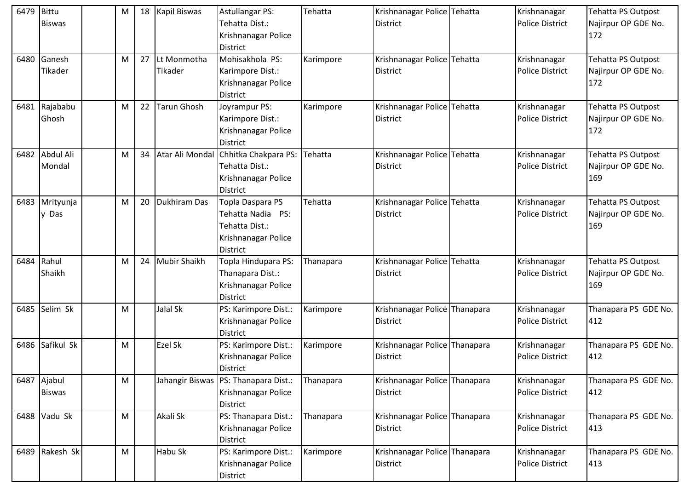| 6479 | Bittu<br><b>Biswas</b>       | M | 18 | Kapil Biswas           | <b>Astullangar PS:</b><br>Tehatta Dist.:<br>Krishnanagar Police<br><b>District</b>                | Tehatta   | Krishnanagar Police Tehatta<br><b>District</b> | Krishnanagar<br><b>Police District</b> | Tehatta PS Outpost<br>Najirpur OP GDE No.<br>172 |
|------|------------------------------|---|----|------------------------|---------------------------------------------------------------------------------------------------|-----------|------------------------------------------------|----------------------------------------|--------------------------------------------------|
| 6480 | Ganesh<br>Tikader            | M | 27 | Lt Monmotha<br>Tikader | Mohisakhola PS:<br>Karimpore Dist.:<br>Krishnanagar Police<br><b>District</b>                     | Karimpore | Krishnanagar Police Tehatta<br><b>District</b> | Krishnanagar<br><b>Police District</b> | Tehatta PS Outpost<br>Najirpur OP GDE No.<br>172 |
| 6481 | Rajababu<br>Ghosh            | M | 22 | <b>Tarun Ghosh</b>     | Joyrampur PS:<br>Karimpore Dist.:<br>Krishnanagar Police<br><b>District</b>                       | Karimpore | Krishnanagar Police Tehatta<br><b>District</b> | Krishnanagar<br><b>Police District</b> | Tehatta PS Outpost<br>Najirpur OP GDE No.<br>172 |
| 6482 | Abdul Ali<br>Mondal          | M | 34 | Atar Ali Mondal        | Chhitka Chakpara PS:<br>Tehatta Dist.:<br>Krishnanagar Police<br><b>District</b>                  | Tehatta   | Krishnanagar Police Tehatta<br><b>District</b> | Krishnanagar<br><b>Police District</b> | Tehatta PS Outpost<br>Najirpur OP GDE No.<br>169 |
| 6483 | Mrityunja<br>y Das           | M | 20 | Dukhiram Das           | Topla Daspara PS<br>Tehatta Nadia PS:<br>Tehatta Dist.:<br>Krishnanagar Police<br><b>District</b> | Tehatta   | Krishnanagar Police Tehatta<br><b>District</b> | Krishnanagar<br><b>Police District</b> | Tehatta PS Outpost<br>Najirpur OP GDE No.<br>169 |
| 6484 | Rahul<br>Shaikh              | М | 24 | <b>Mubir Shaikh</b>    | Topla Hindupara PS:<br>Thanapara Dist.:<br>Krishnanagar Police<br><b>District</b>                 | Thanapara | Krishnanagar Police Tehatta<br>District        | Krishnanagar<br><b>Police District</b> | Tehatta PS Outpost<br>Najirpur OP GDE No.<br>169 |
| 6485 | Selim Sk                     | M |    | Jalal Sk               | PS: Karimpore Dist.:<br>Krishnanagar Police<br><b>District</b>                                    | Karimpore | Krishnanagar Police Thanapara<br>District      | Krishnanagar<br>Police District        | Thanapara PS GDE No.<br>412                      |
| 6486 | Safikul Sk                   | M |    | Ezel Sk                | PS: Karimpore Dist.:<br>Krishnanagar Police<br><b>District</b>                                    | Karimpore | Krishnanagar Police Thanapara<br>District      | Krishnanagar<br><b>Police District</b> | Thanapara PS GDE No.<br>412                      |
|      | 6487 Ajabul<br><b>Biswas</b> | M |    |                        | Jahangir Biswas   PS: Thanapara Dist.:<br>Krishnanagar Police<br><b>District</b>                  | Thanapara | Krishnanagar Police Thanapara<br>District      | Krishnanagar<br><b>Police District</b> | Thanapara PS GDE No.<br>412                      |
|      | 6488 Vadu Sk                 | M |    | Akali Sk               | PS: Thanapara Dist.:<br>Krishnanagar Police<br>District                                           | Thanapara | Krishnanagar Police Thanapara<br>District      | Krishnanagar<br><b>Police District</b> | Thanapara PS GDE No.<br>413                      |
|      | 6489 Rakesh Sk               | M |    | Habu Sk                | PS: Karimpore Dist.:<br>Krishnanagar Police<br>District                                           | Karimpore | Krishnanagar Police Thanapara<br>District      | Krishnanagar<br><b>Police District</b> | Thanapara PS GDE No.<br>413                      |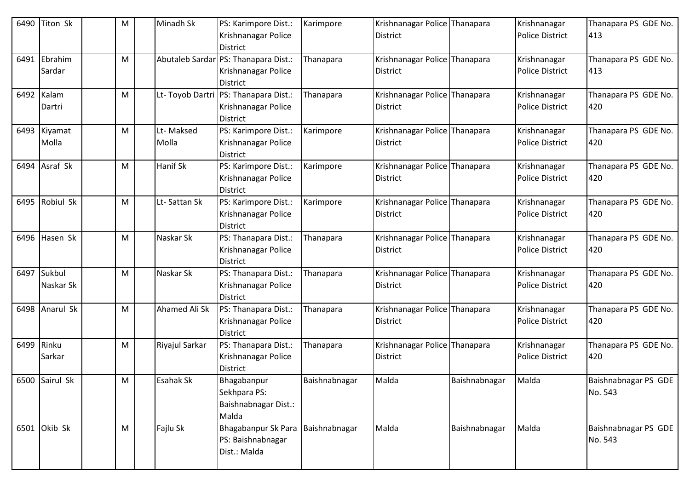| 6490 | <b>Titon Sk</b>          | M | Minadh Sk          | PS: Karimpore Dist.:<br>Krishnanagar Police<br><b>District</b>                  | Karimpore     | Krishnanagar Police Thanapara<br>District        |               | Krishnanagar<br><b>Police District</b> | Thanapara PS GDE No.<br>413     |
|------|--------------------------|---|--------------------|---------------------------------------------------------------------------------|---------------|--------------------------------------------------|---------------|----------------------------------------|---------------------------------|
| 6491 | Ebrahim<br>Sardar        | M |                    | Abutaleb Sardar PS: Thanapara Dist.:<br>Krishnanagar Police<br><b>District</b>  | Thanapara     | Krishnanagar Police Thanapara<br>District        |               | Krishnanagar<br><b>Police District</b> | Thanapara PS GDE No.<br>413     |
|      | 6492 Kalam<br>Dartri     | M |                    | Lt- Toyob Dartri PS: Thanapara Dist.:<br>Krishnanagar Police<br><b>District</b> | Thanapara     | Krishnanagar Police Thanapara<br>District        |               | Krishnanagar<br><b>Police District</b> | Thanapara PS GDE No.<br>420     |
|      | 6493 Kiyamat<br>Molla    | M | Lt-Maksed<br>Molla | PS: Karimpore Dist.:<br>Krishnanagar Police<br><b>District</b>                  | Karimpore     | Krishnanagar Police Thanapara<br><b>District</b> |               | Krishnanagar<br><b>Police District</b> | Thanapara PS GDE No.<br>420     |
|      | 6494 Asraf Sk            | M | <b>Hanif Sk</b>    | PS: Karimpore Dist.:<br>Krishnanagar Police<br><b>District</b>                  | Karimpore     | Krishnanagar Police Thanapara<br>District        |               | Krishnanagar<br><b>Police District</b> | Thanapara PS GDE No.<br>420     |
| 6495 | Robiul Sk                | M | Lt-Sattan Sk       | PS: Karimpore Dist.:<br>Krishnanagar Police<br><b>District</b>                  | Karimpore     | Krishnanagar Police Thanapara<br><b>District</b> |               | Krishnanagar<br><b>Police District</b> | Thanapara PS GDE No.<br>420     |
|      | 6496 Hasen Sk            | M | Naskar Sk          | PS: Thanapara Dist.:<br>Krishnanagar Police<br><b>District</b>                  | Thanapara     | Krishnanagar Police Thanapara<br><b>District</b> |               | Krishnanagar<br><b>Police District</b> | Thanapara PS GDE No.<br>420     |
|      | 6497 Sukbul<br>Naskar Sk | м | Naskar Sk          | PS: Thanapara Dist.:<br>Krishnanagar Police<br><b>District</b>                  | Thanapara     | Krishnanagar Police Thanapara<br><b>District</b> |               | Krishnanagar<br><b>Police District</b> | Thanapara PS GDE No.<br>420     |
|      | 6498 Anarul Sk           | M | Ahamed Ali Sk      | PS: Thanapara Dist.:<br>Krishnanagar Police<br><b>District</b>                  | Thanapara     | Krishnanagar Police Thanapara<br><b>District</b> |               | Krishnanagar<br><b>Police District</b> | Thanapara PS GDE No.<br>420     |
| 6499 | Rinku<br>Sarkar          | м | Riyajul Sarkar     | PS: Thanapara Dist.:<br>Krishnanagar Police<br><b>District</b>                  | Thanapara     | Krishnanagar Police Thanapara<br>District        |               | Krishnanagar<br><b>Police District</b> | Thanapara PS GDE No.<br>420     |
|      | 6500 Sairul Sk           | M | <b>Esahak Sk</b>   | Bhagabanpur<br>Sekhpara PS:<br>Baishnabnagar Dist.:<br>Malda                    | Baishnabnagar | Malda                                            | Baishnabnagar | Malda                                  | Baishnabnagar PS GDE<br>No. 543 |
|      | 6501 Okib Sk             | M | Fajlu Sk           | Bhagabanpur Sk Para<br>PS: Baishnabnagar<br>Dist.: Malda                        | Baishnabnagar | Malda                                            | Baishnabnagar | Malda                                  | Baishnabnagar PS GDE<br>No. 543 |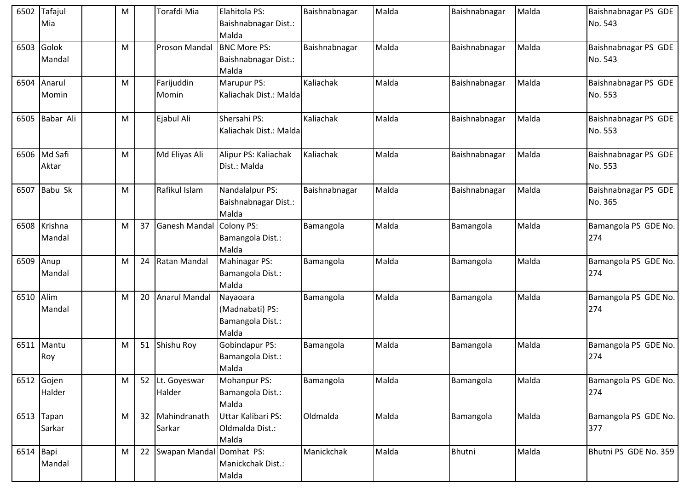| 6502      | Tafajul<br>Mia         | M |    | Torafdi Mia               | Elahitola PS:<br>Baishnabnagar Dist.:                    | Baishnabnagar | Malda | Baishnabnagar | Malda | Baishnabnagar PS GDE<br>No. 543 |
|-----------|------------------------|---|----|---------------------------|----------------------------------------------------------|---------------|-------|---------------|-------|---------------------------------|
|           |                        |   |    |                           | Malda                                                    |               |       |               |       |                                 |
| 6503      | Golok<br>Mandal        | M |    | Proson Mandal             | <b>BNC More PS:</b><br>Baishnabnagar Dist.:<br>Malda     | Baishnabnagar | Malda | Baishnabnagar | Malda | Baishnabnagar PS GDE<br>No. 543 |
| 6504      | Anarul<br>Momin        | М |    | Farijuddin<br>Momin       | Marupur PS:<br>Kaliachak Dist.: Malda                    | Kaliachak     | Malda | Baishnabnagar | Malda | Baishnabnagar PS GDE<br>No. 553 |
| 6505      | Babar Ali              | M |    | Ejabul Ali                | Shersahi PS:<br>Kaliachak Dist.: Malda                   | Kaliachak     | Malda | Baishnabnagar | Malda | Baishnabnagar PS GDE<br>No. 553 |
| 6506      | Md Safi<br>Aktar       | M |    | Md Eliyas Ali             | Alipur PS: Kaliachak<br>Dist.: Malda                     | Kaliachak     | Malda | Baishnabnagar | Malda | Baishnabnagar PS GDE<br>No. 553 |
| 6507      | Babu Sk                | M |    | Rafikul Islam             | Nandalalpur PS:<br>Baishnabnagar Dist.:<br>Malda         | Baishnabnagar | Malda | Baishnabnagar | Malda | Baishnabnagar PS GDE<br>No. 365 |
| 6508      | Krishna<br>Mandal      | M | 37 | <b>Ganesh Mandal</b>      | Colony PS:<br>Bamangola Dist.:<br>Malda                  | Bamangola     | Malda | Bamangola     | Malda | Bamangola PS GDE No.<br>274     |
| 6509      | Anup<br>Mandal         | M | 24 | Ratan Mandal              | Mahinagar PS:<br>Bamangola Dist.:<br>Malda               | Bamangola     | Malda | Bamangola     | Malda | Bamangola PS GDE No.<br>274     |
| 6510 Alim | Mandal                 | M | 20 | <b>Anarul Mandal</b>      | Nayaoara<br>(Madnabati) PS:<br>Bamangola Dist.:<br>Malda | Bamangola     | Malda | Bamangola     | Malda | Bamangola PS GDE No.<br>274     |
|           | 6511 Mantu<br>Roy      | M | 51 | Shishu Roy                | Gobindapur PS:<br>Bamangola Dist.:<br>Malda              | Bamangola     | Malda | Bamangola     | Malda | Bamangola PS GDE No.<br>274     |
|           | 6512 Gojen<br>Halder   | M |    | 52 Lt. Goyeswar<br>Halder | Mohanpur PS:<br>Bamangola Dist.:<br>Malda                | Bamangola     | Malda | Bamangola     | Malda | Bamangola PS GDE No.<br>274     |
|           | $6513$ Tapan<br>Sarkar | M | 32 | Mahindranath<br>Sarkar    | Uttar Kalibari PS:<br>Oldmalda Dist.:<br>Malda           | Oldmalda      | Malda | Bamangola     | Malda | Bamangola PS GDE No.<br>377     |
| 6514 Bapi | Mandal                 | М | 22 | Swapan Mandal Domhat PS:  | Manickchak Dist.:<br>Malda                               | Manickchak    | Malda | Bhutni        | Malda | Bhutni PS GDE No. 359           |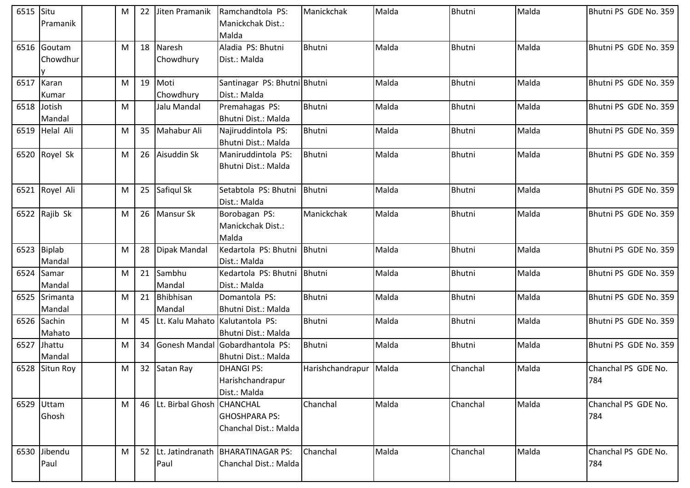| 6515 | Situ           | M | 22 | Jiten Pramanik      | Ramchandtola PS:             | Manickchak             | Malda | Bhutni        | Malda | Bhutni PS GDE No. 359 |
|------|----------------|---|----|---------------------|------------------------------|------------------------|-------|---------------|-------|-----------------------|
|      | Pramanik       |   |    |                     | Manickchak Dist.:            |                        |       |               |       |                       |
|      |                |   |    |                     | Malda                        |                        |       |               |       |                       |
| 6516 | Goutam         | M |    | 18 Naresh           | Aladia PS: Bhutni            | <b>Bhutni</b>          | Malda | Bhutni        | Malda | Bhutni PS GDE No. 359 |
|      | Chowdhur       |   |    | Chowdhury           | Dist.: Malda                 |                        |       |               |       |                       |
|      |                |   |    |                     |                              |                        |       |               |       |                       |
| 6517 | Karan          | M | 19 | Moti                | Santinagar PS: Bhutni Bhutni |                        | Malda | Bhutni        | Malda | Bhutni PS GDE No. 359 |
|      | Kumar          |   |    | Chowdhury           | Dist.: Malda                 |                        |       |               |       |                       |
| 6518 | Jotish         | M |    | Jalu Mandal         | Premahagas PS:               | Bhutni                 | Malda | <b>Bhutni</b> | Malda | Bhutni PS GDE No. 359 |
|      | Mandal         |   |    |                     | Bhutni Dist.: Malda          |                        |       |               |       |                       |
|      | 6519 Helal Ali | M | 35 | Mahabur Ali         | Najiruddintola PS:           | Bhutni                 | Malda | Bhutni        | Malda | Bhutni PS GDE No. 359 |
|      |                |   |    |                     | <b>Bhutni Dist.: Malda</b>   |                        |       |               |       |                       |
| 6520 | Royel Sk       | M |    | 26 Aisuddin Sk      | Maniruddintola PS:           | Bhutni                 | Malda | <b>Bhutni</b> | Malda | Bhutni PS GDE No. 359 |
|      |                |   |    |                     | Bhutni Dist.: Malda          |                        |       |               |       |                       |
|      |                |   |    |                     |                              |                        |       |               |       |                       |
| 6521 | Royel Ali      | M |    | 25 Safiqul Sk       | Setabtola PS: Bhutni         | <b>Bhutni</b>          | Malda | Bhutni        | Malda | Bhutni PS GDE No. 359 |
|      |                |   |    |                     | Dist.: Malda                 |                        |       |               |       |                       |
|      | 6522 Rajib Sk  | M |    | 26 Mansur Sk        | Borobagan PS:                | Manickchak             | Malda | <b>Bhutni</b> | Malda | Bhutni PS GDE No. 359 |
|      |                |   |    |                     | Manickchak Dist.:            |                        |       |               |       |                       |
|      |                |   |    |                     | Malda                        |                        |       |               |       |                       |
|      | 6523 Biplab    | M |    | 28 Dipak Mandal     | Kedartola PS: Bhutni         | <b>Bhutni</b>          | Malda | Bhutni        | Malda | Bhutni PS GDE No. 359 |
|      | Mandal         |   |    |                     | Dist.: Malda                 |                        |       |               |       |                       |
| 6524 | Samar          | M |    | 21 Sambhu           | Kedartola PS: Bhutni         | Bhutni                 | Malda | Bhutni        | Malda | Bhutni PS GDE No. 359 |
|      | Mandal         |   |    | Mandal              | Dist.: Malda                 |                        |       |               |       |                       |
| 6525 | Srimanta       | M | 21 | Bhibhisan           | Domantola PS:                | Bhutni                 | Malda | Bhutni        | Malda | Bhutni PS GDE No. 359 |
|      | Mandal         |   |    | Mandal              | <b>Bhutni Dist.: Malda</b>   |                        |       |               |       |                       |
| 6526 | Sachin         | M | 45 | Lt. Kalu Mahato     | Kalutantola PS:              | Bhutni                 | Malda | Bhutni        | Malda | Bhutni PS GDE No. 359 |
|      | Mahato         |   |    |                     | <b>Bhutni Dist.: Malda</b>   |                        |       |               |       |                       |
|      | 6527 Jhattu    | M | 34 | Gonesh Mandal       | Gobardhantola PS:            | Bhutni                 | Malda | Bhutni        | Malda | Bhutni PS GDE No. 359 |
|      | Mandal         |   |    |                     | <b>Bhutni Dist.: Malda</b>   |                        |       |               |       |                       |
|      | 6528 Situn Roy | M |    | 32 Satan Ray        | <b>DHANGI PS:</b>            | Harishchandrapur Malda |       | Chanchal      | Malda | Chanchal PS GDE No.   |
|      |                |   |    |                     | Harishchandrapur             |                        |       |               |       | 784                   |
|      |                |   |    |                     | Dist.: Malda                 |                        |       |               |       |                       |
| 6529 | Uttam          | M |    | 46 Lt. Birbal Ghosh | <b>CHANCHAL</b>              | Chanchal               | Malda | Chanchal      | Malda | Chanchal PS GDE No.   |
|      | Ghosh          |   |    |                     | <b>GHOSHPARA PS:</b>         |                        |       |               |       | 784                   |
|      |                |   |    |                     | Chanchal Dist.: Malda        |                        |       |               |       |                       |
|      |                |   |    |                     |                              |                        |       |               |       |                       |
| 6530 | Jibendu        | M |    | 52 Lt. Jatindranath | <b>BHARATINAGAR PS:</b>      | Chanchal               | Malda | Chanchal      | Malda | Chanchal PS GDE No.   |
|      | Paul           |   |    | Paul                | Chanchal Dist.: Malda        |                        |       |               |       | 784                   |
|      |                |   |    |                     |                              |                        |       |               |       |                       |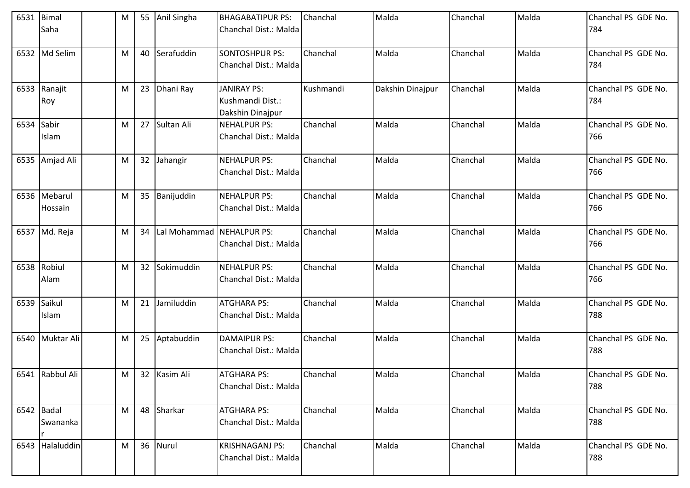| 6531       | Bimal<br>Saha            | M |    | 55 Anil Singha | <b>BHAGABATIPUR PS:</b><br>Chanchal Dist.: Malda           | Chanchal  | Malda            | Chanchal | Malda | Chanchal PS GDE No.<br>784 |
|------------|--------------------------|---|----|----------------|------------------------------------------------------------|-----------|------------------|----------|-------|----------------------------|
| 6532       | Md Selim                 | M |    | 40 Serafuddin  | <b>SONTOSHPUR PS:</b><br>Chanchal Dist.: Malda             | Chanchal  | Malda            | Chanchal | Malda | Chanchal PS GDE No.<br>784 |
|            | 6533 Ranajit<br>Roy      | M |    | 23 Dhani Ray   | <b>JANIRAY PS:</b><br>Kushmandi Dist.:<br>Dakshin Dinajpur | Kushmandi | Dakshin Dinajpur | Chanchal | Malda | Chanchal PS GDE No.<br>784 |
| 6534 Sabir | Islam                    | M |    | 27 Sultan Ali  | <b>NEHALPUR PS:</b><br>Chanchal Dist.: Malda               | Chanchal  | Malda            | Chanchal | Malda | Chanchal PS GDE No.<br>766 |
|            | 6535 Amjad Ali           | M |    | 32 Jahangir    | <b>NEHALPUR PS:</b><br>Chanchal Dist.: Malda               | Chanchal  | Malda            | Chanchal | Malda | Chanchal PS GDE No.<br>766 |
|            | 6536 Mebarul<br>Hossain  | M |    | 35 Banijuddin  | <b>NEHALPUR PS:</b><br>Chanchal Dist.: Malda               | Chanchal  | Malda            | Chanchal | Malda | Chanchal PS GDE No.<br>766 |
|            | 6537 Md. Reja            | M | 34 | Lal Mohammad   | <b>NEHALPUR PS:</b><br>Chanchal Dist.: Malda               | Chanchal  | Malda            | Chanchal | Malda | Chanchal PS GDE No.<br>766 |
| 6538       | Robiul<br>Alam           | M |    | 32 Sokimuddin  | <b>NEHALPUR PS:</b><br>Chanchal Dist.: Malda               | Chanchal  | Malda            | Chanchal | Malda | Chanchal PS GDE No.<br>766 |
| 6539       | Saikul<br>Islam          | M | 21 | Jamiluddin     | <b>ATGHARA PS:</b><br>Chanchal Dist.: Malda                | Chanchal  | Malda            | Chanchal | Malda | Chanchal PS GDE No.<br>788 |
| 6540       | Muktar Ali               | M |    | 25 Aptabuddin  | <b>DAMAIPUR PS:</b><br>Chanchal Dist.: Malda               | Chanchal  | Malda            | Chanchal | Malda | Chanchal PS GDE No.<br>788 |
|            | 6541 Rabbul Ali          | M |    | 32 Kasim Ali   | <b>ATGHARA PS:</b><br>Chanchal Dist.: Malda                | Chanchal  | Malda            | Chanchal | Malda | Chanchal PS GDE No.<br>788 |
|            | $6542$ Badal<br>Swananka | M |    | 48 Sharkar     | <b>ATGHARA PS:</b><br>Chanchal Dist.: Malda                | Chanchal  | Malda            | Chanchal | Malda | Chanchal PS GDE No.<br>788 |
|            | 6543 Halaluddin          | M |    | 36 Nurul       | <b>KRISHNAGANJ PS:</b><br>Chanchal Dist.: Malda            | Chanchal  | Malda            | Chanchal | Malda | Chanchal PS GDE No.<br>788 |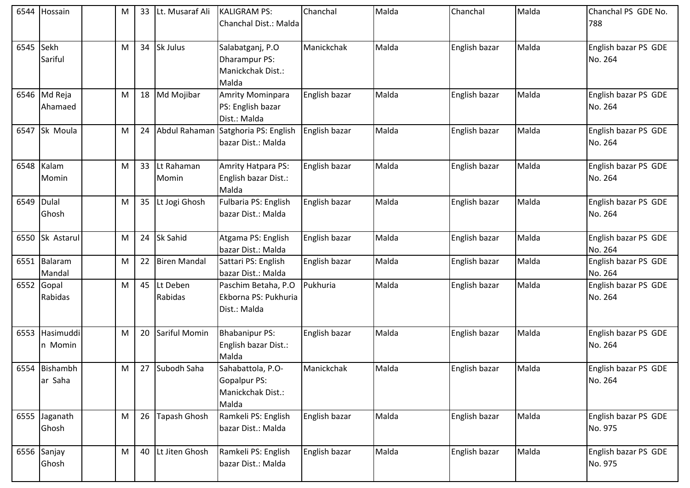| 6544       | Hossain                  | М | 33 | Lt. Musaraf Ali     | <b>KALIGRAM PS:</b><br>Chanchal Dist.: Malda                    | Chanchal      | Malda | Chanchal      | Malda | Chanchal PS GDE No.<br>788      |
|------------|--------------------------|---|----|---------------------|-----------------------------------------------------------------|---------------|-------|---------------|-------|---------------------------------|
| 6545       | Sekh<br>Sariful          | M | 34 | Sk Julus            | Salabatganj, P.O<br>Dharampur PS:<br>Manickchak Dist.:<br>Malda | Manickchak    | Malda | English bazar | Malda | English bazar PS GDE<br>No. 264 |
| 6546       | Md Reja<br>Ahamaed       | M | 18 | Md Mojibar          | Amrity Mominpara<br>PS: English bazar<br>Dist.: Malda           | English bazar | Malda | English bazar | Malda | English bazar PS GDE<br>No. 264 |
| 6547       | Sk Moula                 | M | 24 | Abdul Rahaman       | Satghoria PS: English<br>bazar Dist.: Malda                     | English bazar | Malda | English bazar | Malda | English bazar PS GDE<br>No. 264 |
| 6548       | Kalam<br>Momin           | M | 33 | Lt Rahaman<br>Momin | Amrity Hatpara PS:<br>English bazar Dist.:<br>Malda             | English bazar | Malda | English bazar | Malda | English bazar PS GDE<br>No. 264 |
| 6549 Dulal | Ghosh                    | M | 35 | Lt Jogi Ghosh       | Fulbaria PS: English<br>bazar Dist.: Malda                      | English bazar | Malda | English bazar | Malda | English bazar PS GDE<br>No. 264 |
|            | 6550 Sk Astarul          | M | 24 | Sk Sahid            | Atgama PS: English<br>bazar Dist.: Malda                        | English bazar | Malda | English bazar | Malda | English bazar PS GDE<br>No. 264 |
| 6551       | Balaram<br>Mandal        | M | 22 | <b>Biren Mandal</b> | Sattari PS: English<br>bazar Dist.: Malda                       | English bazar | Malda | English bazar | Malda | English bazar PS GDE<br>No. 264 |
|            | 6552 Gopal<br>Rabidas    | M | 45 | Lt Deben<br>Rabidas | Paschim Betaha, P.O<br>Ekborna PS: Pukhuria<br>Dist.: Malda     | Pukhuria      | Malda | English bazar | Malda | English bazar PS GDE<br>No. 264 |
| 6553       | Hasimuddi<br>n Momin     | M | 20 | Sariful Momin       | <b>Bhabanipur PS:</b><br>English bazar Dist.:<br>Malda          | English bazar | Malda | English bazar | Malda | English bazar PS GDE<br>No. 264 |
|            | 6554 Bishambh<br>ar Saha | M | 27 | Subodh Saha         | Sahabattola, P.O-<br>Gopalpur PS:<br>Manickchak Dist.:<br>Malda | Manickchak    | Malda | English bazar | Malda | English bazar PS GDE<br>No. 264 |
|            | 6555 Jaganath<br>Ghosh   | M | 26 | Tapash Ghosh        | Ramkeli PS: English<br>bazar Dist.: Malda                       | English bazar | Malda | English bazar | Malda | English bazar PS GDE<br>No. 975 |
|            | 6556 Sanjay<br>Ghosh     | M | 40 | Lt Jiten Ghosh      | Ramkeli PS: English<br>bazar Dist.: Malda                       | English bazar | Malda | English bazar | Malda | English bazar PS GDE<br>No. 975 |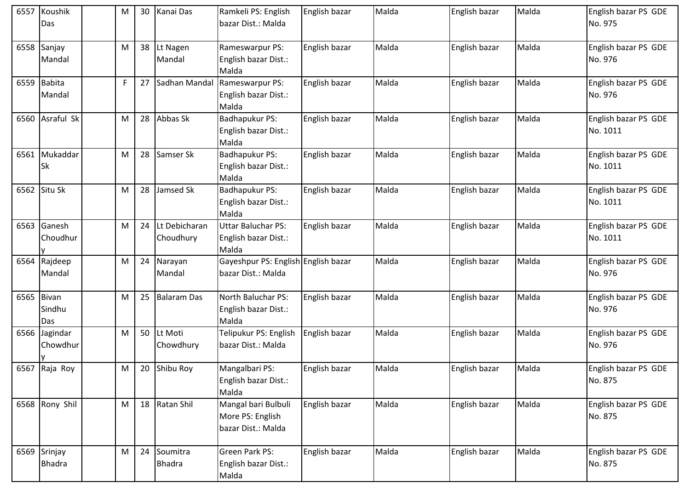| 6557       | Koushik<br>Das                | м            | 30              | Kanai Das                    | Ramkeli PS: English<br>bazar Dist.: Malda                     | English bazar | Malda | English bazar | Malda | English bazar PS GDE<br>No. 975  |
|------------|-------------------------------|--------------|-----------------|------------------------------|---------------------------------------------------------------|---------------|-------|---------------|-------|----------------------------------|
| 6558       | Sanjay<br>Mandal              | м            | 38              | Lt Nagen<br>Mandal           | Rameswarpur PS:<br>English bazar Dist.:<br>Malda              | English bazar | Malda | English bazar | Malda | English bazar PS GDE<br>No. 976  |
|            | 6559 Babita<br>Mandal         | $\mathsf{F}$ | 27 <sup>1</sup> | Sadhan Mandal                | Rameswarpur PS:<br>English bazar Dist.:<br>Malda              | English bazar | Malda | English bazar | Malda | English bazar PS GDE<br>No. 976  |
|            | 6560 Asraful Sk               | M            | 28              | Abbas Sk                     | Badhapukur PS:<br>English bazar Dist.:<br>Malda               | English bazar | Malda | English bazar | Malda | English bazar PS GDE<br>No. 1011 |
| 6561       | Mukaddar<br><b>Sk</b>         | M            | 28              | Samser Sk                    | Badhapukur PS:<br>English bazar Dist.:<br>Malda               | English bazar | Malda | English bazar | Malda | English bazar PS GDE<br>No. 1011 |
| 6562       | Situ Sk                       | M            | 28              | Jamsed Sk                    | Badhapukur PS:<br>English bazar Dist.:<br>Malda               | English bazar | Malda | English bazar | Malda | English bazar PS GDE<br>No. 1011 |
| 6563       | Ganesh<br>Choudhur            | м            | 24              | Lt Debicharan<br>Choudhury   | Uttar Baluchar PS:<br>English bazar Dist.:<br>Malda           | English bazar | Malda | English bazar | Malda | English bazar PS GDE<br>No. 1011 |
| 6564       | Rajdeep<br>Mandal             | м            | 24              | Narayan<br>Mandal            | Gayeshpur PS: English English bazar<br>bazar Dist.: Malda     |               | Malda | English bazar | Malda | English bazar PS GDE<br>No. 976  |
| 6565 Bivan | Sindhu<br>Das                 | м            |                 | 25 Balaram Das               | North Baluchar PS:<br>English bazar Dist.:<br>Malda           | English bazar | Malda | English bazar | Malda | English bazar PS GDE<br>No. 976  |
| 6566       | Jagindar<br>Chowdhur          | M            | 50              | Lt Moti<br>Chowdhury         | Telipukur PS: English<br>bazar Dist.: Malda                   | English bazar | Malda | English bazar | Malda | English bazar PS GDE<br>No. 976  |
|            | 6567 Raja Roy                 | М            |                 | 20 Shibu Roy                 | Mangalbari PS:<br>English bazar Dist.:<br>Malda               | English bazar | Malda | English bazar | Malda | English bazar PS GDE<br>No. 875  |
|            | 6568 Rony Shil                | M            |                 | 18 Ratan Shil                | Mangal bari Bulbuli<br>More PS: English<br>bazar Dist.: Malda | English bazar | Malda | English bazar | Malda | English bazar PS GDE<br>No. 875  |
|            | 6569 Srinjay<br><b>Bhadra</b> | м            |                 | 24 Soumitra<br><b>Bhadra</b> | Green Park PS:<br>English bazar Dist.:<br>Malda               | English bazar | Malda | English bazar | Malda | English bazar PS GDE<br>No. 875  |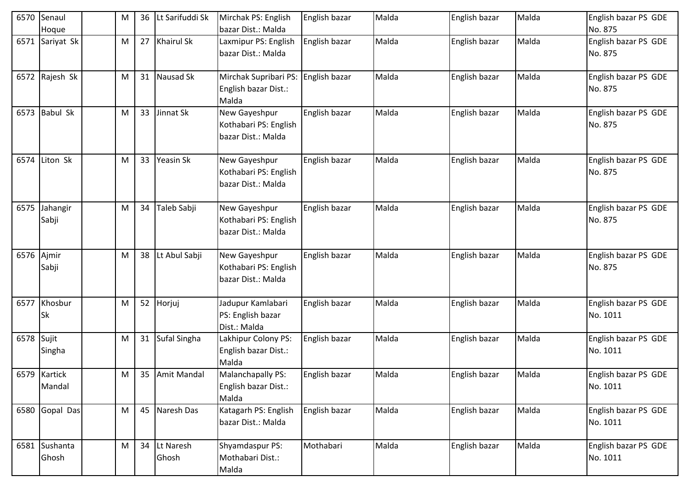| 6570       | Senaul<br>Hoque        | М | 36 | Lt Sarifuddi Sk    | Mirchak PS: English<br>bazar Dist.: Malda                    | English bazar | Malda | English bazar | Malda | English bazar PS GDE<br>No. 875  |
|------------|------------------------|---|----|--------------------|--------------------------------------------------------------|---------------|-------|---------------|-------|----------------------------------|
|            | 6571 Sariyat Sk        | M | 27 | <b>Khairul Sk</b>  | Laxmipur PS: English<br>bazar Dist.: Malda                   | English bazar | Malda | English bazar | Malda | English bazar PS GDE<br>No. 875  |
|            | 6572 Rajesh Sk         | M | 31 | Nausad Sk          | Mirchak Supribari PS:<br>English bazar Dist.:<br>Malda       | English bazar | Malda | English bazar | Malda | English bazar PS GDE<br>No. 875  |
| 6573       | <b>Babul Sk</b>        | M | 33 | Jinnat Sk          | New Gayeshpur<br>Kothabari PS: English<br>bazar Dist.: Malda | English bazar | Malda | English bazar | Malda | English bazar PS GDE<br>No. 875  |
| 6574       | Liton Sk               | M | 33 | Yeasin Sk          | New Gayeshpur<br>Kothabari PS: English<br>bazar Dist.: Malda | English bazar | Malda | English bazar | Malda | English bazar PS GDE<br>No. 875  |
| 6575       | Jahangir<br>Sabji      | M | 34 | Taleb Sabji        | New Gayeshpur<br>Kothabari PS: English<br>bazar Dist.: Malda | English bazar | Malda | English bazar | Malda | English bazar PS GDE<br>No. 875  |
| 6576 Ajmir | Sabji                  | M | 38 | Lt Abul Sabji      | New Gayeshpur<br>Kothabari PS: English<br>bazar Dist.: Malda | English bazar | Malda | English bazar | Malda | English bazar PS GDE<br>No. 875  |
| 6577       | Khosbur<br>Sk          | M | 52 | Horjuj             | Jadupur Kamlabari<br>PS: English bazar<br>Dist.: Malda       | English bazar | Malda | English bazar | Malda | English bazar PS GDE<br>No. 1011 |
| 6578       | Sujit<br>Singha        | M | 31 | Sufal Singha       | Lakhipur Colony PS:<br>English bazar Dist.:<br>Malda         | English bazar | Malda | English bazar | Malda | English bazar PS GDE<br>No. 1011 |
|            | 6579 Kartick<br>Mandal | M |    | 35 Amit Mandal     | Malanchapally PS:<br>English bazar Dist.:<br>Malda           | English bazar | Malda | English bazar | Malda | English bazar PS GDE<br>No. 1011 |
|            | 6580 Gopal Das         | M | 45 | Naresh Das         | Katagarh PS: English<br>bazar Dist.: Malda                   | English bazar | Malda | English bazar | Malda | English bazar PS GDE<br>No. 1011 |
|            | 6581 Sushanta<br>Ghosh | M | 34 | Lt Naresh<br>Ghosh | Shyamdaspur PS:<br>Mothabari Dist.:<br>Malda                 | Mothabari     | Malda | English bazar | Malda | English bazar PS GDE<br>No. 1011 |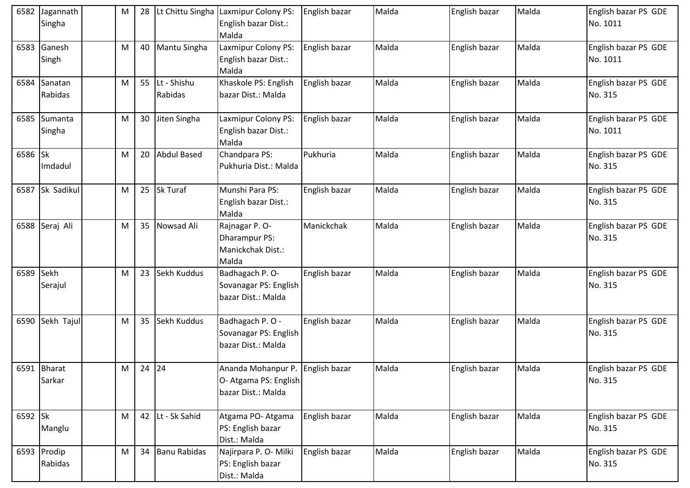| 6582    | Jagannath<br>Singha    | M         | 28      |                        | Lt Chittu Singha Laxmipur Colony PS:<br>English bazar Dist.:                    | English bazar | Malda | English bazar | Malda | English bazar PS GDE<br>No. 1011 |
|---------|------------------------|-----------|---------|------------------------|---------------------------------------------------------------------------------|---------------|-------|---------------|-------|----------------------------------|
|         |                        |           |         |                        | Malda                                                                           |               |       |               |       |                                  |
| 6583    | Ganesh<br>Singh        | M         | 40      | Mantu Singha           | Laxmipur Colony PS:<br>English bazar Dist.:<br>Malda                            | English bazar | Malda | English bazar | Malda | English bazar PS GDE<br>No. 1011 |
| 6584    | Sanatan<br>Rabidas     | M         | 55      | Lt - Shishu<br>Rabidas | Khaskole PS: English<br>bazar Dist.: Malda                                      | English bazar | Malda | English bazar | Malda | English bazar PS GDE<br>No. 315  |
| 6585    | Sumanta<br>Singha      | M         | 30      | Jiten Singha           | Laxmipur Colony PS:<br>English bazar Dist.:<br>Malda                            | English bazar | Malda | English bazar | Malda | English bazar PS GDE<br>No. 1011 |
| 6586 Sk | Imdadul                | M         | 20      | <b>Abdul Based</b>     | Chandpara PS:<br>Pukhuria Dist.: Malda                                          | Pukhuria      | Malda | English bazar | Malda | English bazar PS GDE<br>No. 315  |
| 6587    | Sk Sadikul             | ${\sf M}$ | 25      | Sk Turaf               | Munshi Para PS:<br>English bazar Dist.:<br>Malda                                | English bazar | Malda | English bazar | Malda | English bazar PS GDE<br>No. 315  |
|         | 6588 Seraj Ali         | M         | 35      | Nowsad Ali             | Rajnagar P. O-<br><b>Dharampur PS:</b><br>Manickchak Dist.:<br>Malda            | Manickchak    | Malda | English bazar | Malda | English bazar PS GDE<br>No. 315  |
| 6589    | Sekh<br>Serajul        | M         | 23      | Sekh Kuddus            | Badhagach P. O-<br>Sovanagar PS: English<br>bazar Dist.: Malda                  | English bazar | Malda | English bazar | Malda | English bazar PS GDE<br>No. 315  |
| 6590    | Sekh Tajul             | M         | 35      | Sekh Kuddus            | Badhagach P.O -<br>Sovanagar PS: English<br>bazar Dist.: Malda                  | English bazar | Malda | English bazar | Malda | English bazar PS GDE<br>No. 315  |
|         | 6591 Bharat<br>Sarkar  | M         | $24$ 24 |                        | Ananda Mohanpur P. English bazar<br>O- Atgama PS: English<br>bazar Dist.: Malda |               | Malda | English bazar | Malda | English bazar PS GDE<br>No. 315  |
| 6592 Sk | Manglu                 | M         | 42      | Lt - Sk Sahid          | Atgama PO-Atgama<br>PS: English bazar<br>Dist.: Malda                           | English bazar | Malda | English bazar | Malda | English bazar PS GDE<br>No. 315  |
|         | 6593 Prodip<br>Rabidas | M         | 34      | <b>Banu Rabidas</b>    | Najirpara P. O- Milki<br>PS: English bazar<br>Dist.: Malda                      | English bazar | Malda | English bazar | Malda | English bazar PS GDE<br>No. 315  |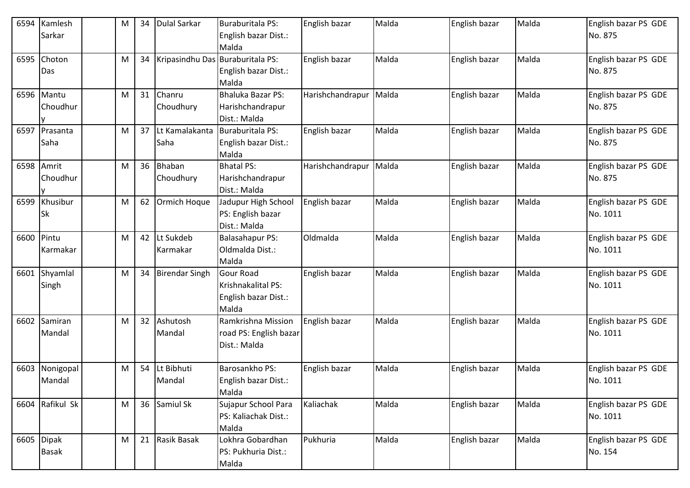| 6594 | Kamlesh                    | M | 34 | Dulal Sarkar                     | Buraburitala PS:                                                        | English bazar    | Malda | English bazar | Malda | English bazar PS GDE             |
|------|----------------------------|---|----|----------------------------------|-------------------------------------------------------------------------|------------------|-------|---------------|-------|----------------------------------|
|      | Sarkar                     |   |    |                                  | English bazar Dist.:<br>Malda                                           |                  |       |               |       | No. 875                          |
| 6595 | Choton<br>Das              | M | 34 | Kripasindhu Das Buraburitala PS: | English bazar Dist.:<br>Malda                                           | English bazar    | Malda | English bazar | Malda | English bazar PS GDE<br>No. 875  |
|      | 6596 Mantu<br>Choudhur     | M | 31 | Chanru<br>Choudhury              | Bhaluka Bazar PS:<br>Harishchandrapur<br>Dist.: Malda                   | Harishchandrapur | Malda | English bazar | Malda | English bazar PS GDE<br>No. 875  |
| 6597 | Prasanta<br>Saha           | M | 37 | Lt Kamalakanta<br>Saha           | <b>Buraburitala PS:</b><br>English bazar Dist.:<br>Malda                | English bazar    | Malda | English bazar | Malda | English bazar PS GDE<br>No. 875  |
| 6598 | Amrit<br>Choudhur          | M | 36 | <b>Bhaban</b><br>Choudhury       | <b>Bhatal PS:</b><br>Harishchandrapur<br>Dist.: Malda                   | Harishchandrapur | Malda | English bazar | Malda | English bazar PS GDE<br>No. 875  |
| 6599 | Khusibur<br>Sk             | M |    | 62 Ormich Hoque                  | Jadupur High School<br>PS: English bazar<br>Dist.: Malda                | English bazar    | Malda | English bazar | Malda | English bazar PS GDE<br>No. 1011 |
| 6600 | Pintu<br>Karmakar          | M |    | 42 Lt Sukdeb<br>Karmakar         | Balasahapur PS:<br>Oldmalda Dist.:<br>Malda                             | Oldmalda         | Malda | English bazar | Malda | English bazar PS GDE<br>No. 1011 |
| 6601 | Shyamlal<br>Singh          | M | 34 | <b>Birendar Singh</b>            | <b>Gour Road</b><br>Krishnakalital PS:<br>English bazar Dist.:<br>Malda | English bazar    | Malda | English bazar | Malda | English bazar PS GDE<br>No. 1011 |
| 6602 | Samiran<br>Mandal          | M |    | 32 Ashutosh<br>Mandal            | Ramkrishna Mission<br>road PS: English bazar<br>Dist.: Malda            | English bazar    | Malda | English bazar | Malda | English bazar PS GDE<br>No. 1011 |
| 6603 | Nonigopal<br>Mandal        | M | 54 | Lt Bibhuti<br>Mandal             | Barosankho PS:<br>English bazar Dist.:<br>Malda                         | English bazar    | Malda | English bazar | Malda | English bazar PS GDE<br>No. 1011 |
|      | 6604 Rafikul Sk            | M |    | 36 Samiul Sk                     | Sujapur School Para<br>PS: Kaliachak Dist.:<br>Malda                    | Kaliachak        | Malda | English bazar | Malda | English bazar PS GDE<br>No. 1011 |
|      | 6605 Dipak<br><b>Basak</b> | M |    | 21 Rasik Basak                   | Lokhra Gobardhan<br>PS: Pukhuria Dist.:<br>Malda                        | Pukhuria         | Malda | English bazar | Malda | English bazar PS GDE<br>No. 154  |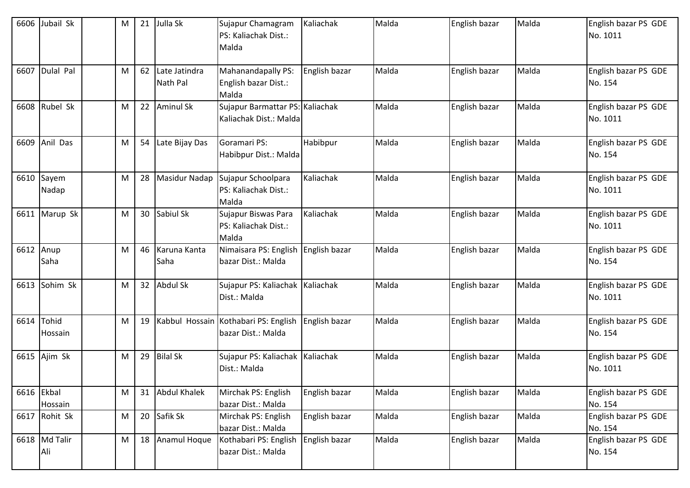| 6606 | Jubail Sk             | M |    | 21 Julla Sk               | Sujapur Chamagram<br>PS: Kaliachak Dist.:<br>Malda         | Kaliachak     | Malda | English bazar | Malda | English bazar PS GDE<br>No. 1011 |
|------|-----------------------|---|----|---------------------------|------------------------------------------------------------|---------------|-------|---------------|-------|----------------------------------|
|      | 6607 Dulal Pal        | M | 62 | Late Jatindra<br>Nath Pal | Mahanandapally PS:<br>English bazar Dist.:<br>Malda        | English bazar | Malda | English bazar | Malda | English bazar PS GDE<br>No. 154  |
| 6608 | Rubel Sk              | M |    | 22 Aminul Sk              | Sujapur Barmattar PS: Kaliachak<br>Kaliachak Dist.: Malda  |               | Malda | English bazar | Malda | English bazar PS GDE<br>No. 1011 |
| 6609 | Anil Das              | M | 54 | Late Bijay Das            | Goramari PS:<br>Habibpur Dist.: Malda                      | Habibpur      | Malda | English bazar | Malda | English bazar PS GDE<br>No. 154  |
|      | 6610 Sayem<br>Nadap   | M | 28 | <b>Masidur Nadap</b>      | Sujapur Schoolpara<br>PS: Kaliachak Dist.:<br>Malda        | Kaliachak     | Malda | English bazar | Malda | English bazar PS GDE<br>No. 1011 |
|      | 6611 Marup Sk         | M |    | 30 Sabiul Sk              | Sujapur Biswas Para<br>PS: Kaliachak Dist.:<br>Malda       | Kaliachak     | Malda | English bazar | Malda | English bazar PS GDE<br>No. 1011 |
| 6612 | Anup<br>Saha          | M |    | 46 Karuna Kanta<br>Saha   | Nimaisara PS: English<br>bazar Dist.: Malda                | English bazar | Malda | English bazar | Malda | English bazar PS GDE<br>No. 154  |
| 6613 | Sohim Sk              | M |    | 32 Abdul Sk               | Sujapur PS: Kaliachak Kaliachak<br>Dist.: Malda            |               | Malda | English bazar | Malda | English bazar PS GDE<br>No. 1011 |
|      | 6614 Tohid<br>Hossain | M | 19 |                           | Kabbul Hossain Kothabari PS: English<br>bazar Dist.: Malda | English bazar | Malda | English bazar | Malda | English bazar PS GDE<br>No. 154  |
|      | 6615 Ajim Sk          | M |    | 29 Bilal Sk               | Sujapur PS: Kaliachak Kaliachak<br>Dist.: Malda            |               | Malda | English bazar | Malda | English bazar PS GDE<br>No. 1011 |
|      | 6616 Ekbal<br>Hossain | M |    | 31 Abdul Khalek           | Mirchak PS: English<br>bazar Dist.: Malda                  | English bazar | Malda | English bazar | Malda | English bazar PS GDE<br>No. 154  |
|      | 6617 Rohit Sk         | M |    | 20 Safik Sk               | Mirchak PS: English<br>bazar Dist.: Malda                  | English bazar | Malda | English bazar | Malda | English bazar PS GDE<br>No. 154  |
|      | 6618 Md Talir<br>Ali  | M |    | 18 Anamul Hoque           | Kothabari PS: English<br>bazar Dist.: Malda                | English bazar | Malda | English bazar | Malda | English bazar PS GDE<br>No. 154  |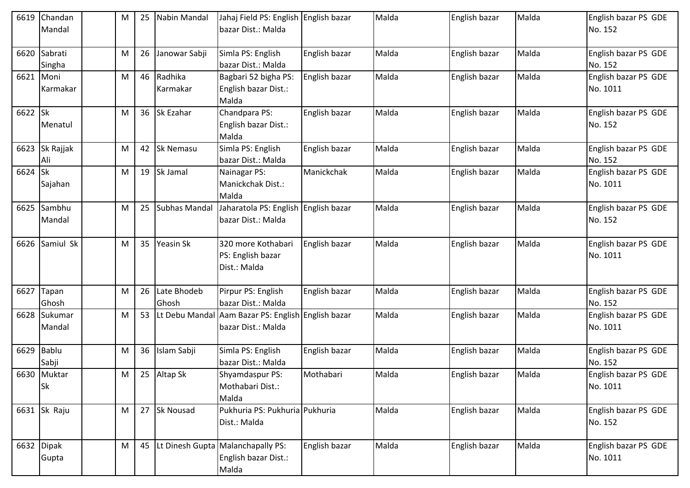| 6619    | Chandan        | M | 25 | Nabin Mandal       | Jahaj Field PS: English English bazar                   |               | Malda | English bazar | Malda | English bazar PS GDE |
|---------|----------------|---|----|--------------------|---------------------------------------------------------|---------------|-------|---------------|-------|----------------------|
|         | Mandal         |   |    |                    | bazar Dist.: Malda                                      |               |       |               |       | No. 152              |
|         |                |   |    |                    |                                                         |               |       |               |       |                      |
| 6620    | Sabrati        | M | 26 | Janowar Sabji      | Simla PS: English                                       | English bazar | Malda | English bazar | Malda | English bazar PS GDE |
|         | Singha         |   |    |                    | bazar Dist.: Malda                                      |               |       |               |       | No. 152              |
| 6621    | Moni           | M |    | 46 Radhika         | Bagbari 52 bigha PS:                                    | English bazar | Malda | English bazar | Malda | English bazar PS GDE |
|         | Karmakar       |   |    | Karmakar           | English bazar Dist.:<br>Malda                           |               |       |               |       | No. 1011             |
| 6622 Sk |                | M |    | 36 Sk Ezahar       | Chandpara PS:                                           | English bazar | Malda | English bazar | Malda | English bazar PS GDE |
|         | Menatul        |   |    |                    | English bazar Dist.:                                    |               |       |               |       | No. 152              |
|         |                |   |    |                    | Malda                                                   |               |       |               |       |                      |
|         | 6623 Sk Rajjak | M |    | 42 Sk Nemasu       | Simla PS: English                                       | English bazar | Malda | English bazar | Malda | English bazar PS GDE |
|         | Ali            |   |    |                    | bazar Dist.: Malda                                      |               |       |               |       | No. 152              |
| 6624 Sk |                | M |    | 19 Sk Jamal        | Nainagar PS:                                            | Manickchak    | Malda | English bazar | Malda | English bazar PS GDE |
|         | Sajahan        |   |    |                    | Manickchak Dist.:                                       |               |       |               |       | No. 1011             |
|         |                |   |    |                    | Malda                                                   |               |       |               |       |                      |
| 6625    | Sambhu         | M | 25 | Subhas Mandal      | Jaharatola PS: English English bazar                    |               | Malda | English bazar | Malda | English bazar PS GDE |
|         | Mandal         |   |    |                    | bazar Dist.: Malda                                      |               |       |               |       | No. 152              |
|         |                |   |    |                    |                                                         |               |       |               |       |                      |
| 6626    | Samiul Sk      | M |    | 35 Yeasin Sk       | 320 more Kothabari                                      | English bazar | Malda | English bazar | Malda | English bazar PS GDE |
|         |                |   |    |                    | PS: English bazar                                       |               |       |               |       | No. 1011             |
|         |                |   |    |                    | Dist.: Malda                                            |               |       |               |       |                      |
|         |                |   |    |                    |                                                         |               |       |               |       |                      |
|         | 6627 Tapan     | M | 26 | Late Bhodeb        | Pirpur PS: English                                      | English bazar | Malda | English bazar | Malda | English bazar PS GDE |
|         | Ghosh          |   |    | Ghosh              | bazar Dist.: Malda                                      |               |       |               |       | No. 152              |
| 6628    | Sukumar        | M |    |                    | 53   Lt Debu Mandal Aam Bazar PS: English English bazar |               | Malda | English bazar | Malda | English bazar PS GDE |
|         | Mandal         |   |    |                    | bazar Dist.: Malda                                      |               |       |               |       | No. 1011             |
|         |                |   |    |                    |                                                         |               |       |               |       |                      |
|         | 6629 Bablu     | M | 36 | Islam Sabji        | Simla PS: English                                       | English bazar | Malda | English bazar | Malda | English bazar PS GDE |
|         | Sabji          |   |    |                    | bazar Dist.: Malda                                      |               |       |               |       | No. 152              |
|         | 6630 Muktar    | M |    | 25 Altap Sk        | Shyamdaspur PS:                                         | Mothabari     | Malda | English bazar | Malda | English bazar PS GDE |
|         | Sk             |   |    |                    | Mothabari Dist.:<br>Malda                               |               |       |               |       | No. 1011             |
|         | 6631 Sk Raju   | M |    | 27 Sk Nousad       | Pukhuria PS: Pukhuria Pukhuria                          |               | Malda | English bazar | Malda | English bazar PS GDE |
|         |                |   |    |                    | Dist.: Malda                                            |               |       |               |       | No. 152              |
|         |                |   |    |                    |                                                         |               |       |               |       |                      |
|         | 6632 Dipak     | M |    | 45 Lt Dinesh Gupta | Malanchapally PS:                                       | English bazar | Malda | English bazar | Malda | English bazar PS GDE |
|         | Gupta          |   |    |                    | English bazar Dist.:                                    |               |       |               |       | No. 1011             |
|         |                |   |    |                    | Malda                                                   |               |       |               |       |                      |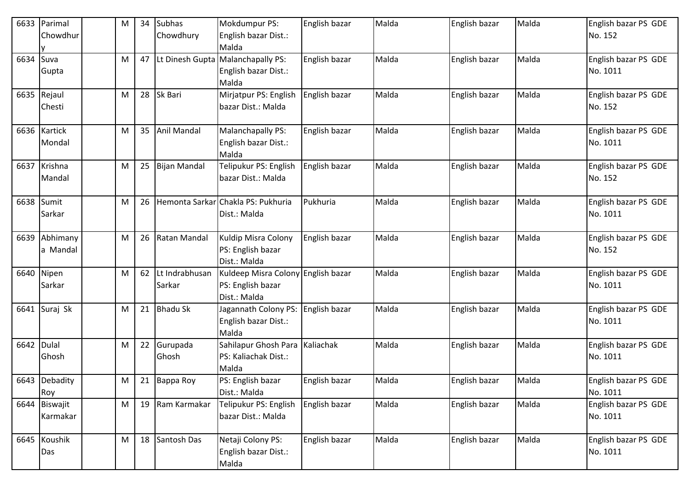| 6633 | Parimal                   | M | 34 | <b>Subhas</b>            | Mokdumpur PS:                                                           | English bazar | Malda | English bazar | Malda | English bazar PS GDE             |
|------|---------------------------|---|----|--------------------------|-------------------------------------------------------------------------|---------------|-------|---------------|-------|----------------------------------|
|      | Chowdhur                  |   |    | Chowdhury                | English bazar Dist.:<br>Malda                                           |               |       |               |       | No. 152                          |
| 6634 | Suva<br>Gupta             | M | 47 |                          | Lt Dinesh Gupta Malanchapally PS:<br>English bazar Dist.:<br>Malda      | English bazar | Malda | English bazar | Malda | English bazar PS GDE<br>No. 1011 |
|      | 6635 Rejaul<br>Chesti     | M |    | 28 Sk Bari               | Mirjatpur PS: English<br>bazar Dist.: Malda                             | English bazar | Malda | English bazar | Malda | English bazar PS GDE<br>No. 152  |
|      | 6636 Kartick<br>Mondal    | M |    | 35 Anil Mandal           | Malanchapally PS:<br>English bazar Dist.:<br>Malda                      | English bazar | Malda | English bazar | Malda | English bazar PS GDE<br>No. 1011 |
| 6637 | Krishna<br>Mandal         | M |    | 25 Bijan Mandal          | Telipukur PS: English<br>bazar Dist.: Malda                             | English bazar | Malda | English bazar | Malda | English bazar PS GDE<br>No. 152  |
|      | 6638 Sumit<br>Sarkar      | M | 26 |                          | Hemonta Sarkar Chakla PS: Pukhuria<br>Dist.: Malda                      | Pukhuria      | Malda | English bazar | Malda | English bazar PS GDE<br>No. 1011 |
| 6639 | Abhimany<br>a Mandal      | M | 26 | Ratan Mandal             | Kuldip Misra Colony<br>PS: English bazar<br>Dist.: Malda                | English bazar | Malda | English bazar | Malda | English bazar PS GDE<br>No. 152  |
| 6640 | Nipen<br>Sarkar           | M | 62 | Lt Indrabhusan<br>Sarkar | Kuldeep Misra Colony English bazar<br>PS: English bazar<br>Dist.: Malda |               | Malda | English bazar | Malda | English bazar PS GDE<br>No. 1011 |
| 6641 | Suraj Sk                  | M |    | 21 Bhadu Sk              | Jagannath Colony PS:<br>English bazar Dist.:<br>Malda                   | English bazar | Malda | English bazar | Malda | English bazar PS GDE<br>No. 1011 |
| 6642 | Dulal<br>Ghosh            | M |    | 22 Gurupada<br>Ghosh     | Sahilapur Ghosh Para Kaliachak<br>PS: Kaliachak Dist.:<br>Malda         |               | Malda | English bazar | Malda | English bazar PS GDE<br>No. 1011 |
|      | 6643 Debadity<br>Roy      | M |    | 21 Bappa Roy             | PS: English bazar<br>Dist.: Malda                                       | English bazar | Malda | English bazar | Malda | English bazar PS GDE<br>No. 1011 |
|      | 6644 Biswajit<br>Karmakar | M |    | 19 Ram Karmakar          | Telipukur PS: English<br>bazar Dist.: Malda                             | English bazar | Malda | English bazar | Malda | English bazar PS GDE<br>No. 1011 |
|      | 6645 Koushik<br>Das       | M |    | 18 Santosh Das           | Netaji Colony PS:<br>English bazar Dist.:<br>Malda                      | English bazar | Malda | English bazar | Malda | English bazar PS GDE<br>No. 1011 |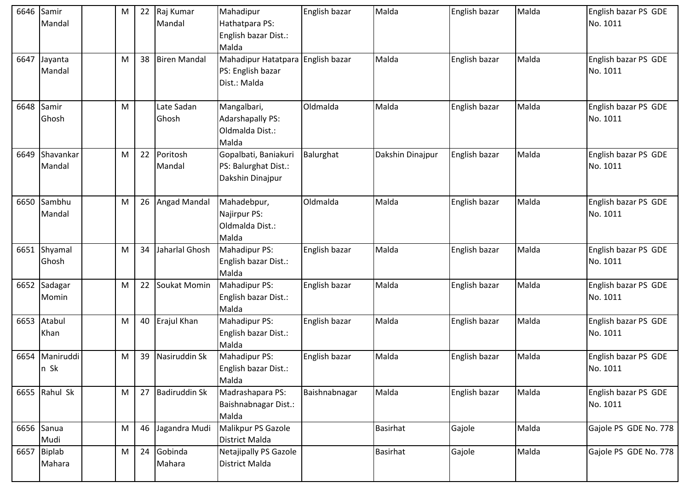| 6646 | Samir         | M | 22 | Raj Kumar           | Mahadipur                         | English bazar | Malda            | English bazar | Malda | English bazar PS GDE  |
|------|---------------|---|----|---------------------|-----------------------------------|---------------|------------------|---------------|-------|-----------------------|
|      | Mandal        |   |    | Mandal              | Hathatpara PS:                    |               |                  |               |       | No. 1011              |
|      |               |   |    |                     | English bazar Dist.:              |               |                  |               |       |                       |
|      |               |   |    |                     | Malda                             |               |                  |               |       |                       |
| 6647 | Jayanta       | M | 38 | <b>Biren Mandal</b> | Mahadipur Hatatpara English bazar |               | Malda            | English bazar | Malda | English bazar PS GDE  |
|      | Mandal        |   |    |                     | PS: English bazar                 |               |                  |               |       | No. 1011              |
|      |               |   |    |                     | Dist.: Malda                      |               |                  |               |       |                       |
|      |               |   |    |                     |                                   |               |                  |               |       |                       |
| 6648 | Samir         | M |    | Late Sadan          | Mangalbari,                       | Oldmalda      | Malda            | English bazar | Malda | English bazar PS GDE  |
|      | Ghosh         |   |    | Ghosh               | <b>Adarshapally PS:</b>           |               |                  |               |       | No. 1011              |
|      |               |   |    |                     | Oldmalda Dist.:                   |               |                  |               |       |                       |
|      |               |   |    |                     | Malda                             |               |                  |               |       |                       |
| 6649 | Shavankar     | M | 22 | Poritosh            | Gopalbati, Baniakuri              | Balurghat     | Dakshin Dinajpur | English bazar | Malda | English bazar PS GDE  |
|      | Mandal        |   |    | Mandal              | PS: Balurghat Dist.:              |               |                  |               |       | No. 1011              |
|      |               |   |    |                     | Dakshin Dinajpur                  |               |                  |               |       |                       |
|      |               |   |    |                     |                                   |               |                  |               |       |                       |
|      | 6650 Sambhu   | M | 26 | <b>Angad Mandal</b> | Mahadebpur,                       | Oldmalda      | Malda            | English bazar | Malda | English bazar PS GDE  |
|      | Mandal        |   |    |                     | Najirpur PS:                      |               |                  |               |       | No. 1011              |
|      |               |   |    |                     | Oldmalda Dist.:                   |               |                  |               |       |                       |
|      |               |   |    |                     | Malda                             |               |                  |               |       |                       |
|      | 6651 Shyamal  | M | 34 | Jaharlal Ghosh      | Mahadipur PS:                     | English bazar | Malda            | English bazar | Malda | English bazar PS GDE  |
|      | Ghosh         |   |    |                     | English bazar Dist.:              |               |                  |               |       | No. 1011              |
|      |               |   |    |                     | Malda                             |               |                  |               |       |                       |
|      | 6652 Sadagar  | M | 22 | Soukat Momin        | Mahadipur PS:                     | English bazar | Malda            | English bazar | Malda | English bazar PS GDE  |
|      | Momin         |   |    |                     | English bazar Dist.:              |               |                  |               |       | No. 1011              |
|      |               |   |    |                     | Malda                             |               |                  |               |       |                       |
| 6653 | Atabul        | M | 40 | Erajul Khan         | Mahadipur PS:                     | English bazar | Malda            | English bazar | Malda | English bazar PS GDE  |
|      | Khan          |   |    |                     | English bazar Dist.:              |               |                  |               |       | No. 1011              |
|      |               |   |    |                     | Malda                             |               |                  |               |       |                       |
| 6654 | Maniruddi     | M | 39 | Nasiruddin Sk       | Mahadipur PS:                     | English bazar | Malda            | English bazar | Malda | English bazar PS GDE  |
|      | n Sk          |   |    |                     | English bazar Dist.:              |               |                  |               |       | No. 1011              |
|      |               |   |    |                     | Malda                             |               |                  |               |       |                       |
|      | 6655 Rahul Sk | M |    | 27 Badiruddin Sk    | Madrashapara PS:                  | Baishnabnagar | Malda            | English bazar | Malda | English bazar PS GDE  |
|      |               |   |    |                     | Baishnabnagar Dist.:              |               |                  |               |       | No. 1011              |
|      |               |   |    |                     | Malda                             |               |                  |               |       |                       |
|      | 6656 Sanua    | M | 46 | Jagandra Mudi       | Malikpur PS Gazole                |               | <b>Basirhat</b>  | Gajole        | Malda | Gajole PS GDE No. 778 |
|      | Mudi          |   |    |                     | District Malda                    |               |                  |               |       |                       |
|      | 6657 Biplab   | M |    | 24 Gobinda          | Netajipally PS Gazole             |               | Basirhat         | Gajole        | Malda | Gajole PS GDE No. 778 |
|      | Mahara        |   |    | Mahara              | District Malda                    |               |                  |               |       |                       |
|      |               |   |    |                     |                                   |               |                  |               |       |                       |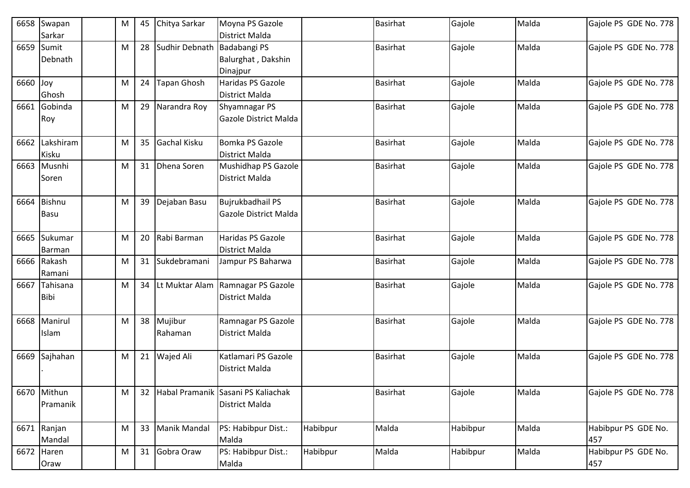| 6658 | Swapan<br>Sarkar             | M | 45 | Chitya Sarkar         | Moyna PS Gazole<br>District Malda                       |          | <b>Basirhat</b> | Gajole   | Malda | Gajole PS GDE No. 778      |
|------|------------------------------|---|----|-----------------------|---------------------------------------------------------|----------|-----------------|----------|-------|----------------------------|
| 6659 | Sumit<br>Debnath             | M |    | 28 Sudhir Debnath     | Badabangi PS<br>Balurghat, Dakshin<br>Dinajpur          |          | <b>Basirhat</b> | Gajole   | Malda | Gajole PS GDE No. 778      |
| 6660 | Joy<br>Ghosh                 | M | 24 | <b>Tapan Ghosh</b>    | Haridas PS Gazole<br>District Malda                     |          | <b>Basirhat</b> | Gajole   | Malda | Gajole PS GDE No. 778      |
| 6661 | Gobinda<br>Roy               | M | 29 | Narandra Roy          | Shyamnagar PS<br>Gazole District Malda                  |          | <b>Basirhat</b> | Gajole   | Malda | Gajole PS GDE No. 778      |
|      | 6662 Lakshiram<br>Kisku      | M | 35 | Gachal Kisku          | Bomka PS Gazole<br>District Malda                       |          | <b>Basirhat</b> | Gajole   | Malda | Gajole PS GDE No. 778      |
|      | 6663 Musnhi<br>Soren         | M |    | 31 Dhena Soren        | Mushidhap PS Gazole<br>District Malda                   |          | <b>Basirhat</b> | Gajole   | Malda | Gajole PS GDE No. 778      |
| 6664 | <b>Bishnu</b><br><b>Basu</b> | M | 39 | Dejaban Basu          | <b>Bujrukbadhail PS</b><br>Gazole District Malda        |          | <b>Basirhat</b> | Gajole   | Malda | Gajole PS GDE No. 778      |
| 6665 | Sukumar<br>Barman            | M |    | 20 Rabi Barman        | Haridas PS Gazole<br>District Malda                     |          | <b>Basirhat</b> | Gajole   | Malda | Gajole PS GDE No. 778      |
|      | 6666 Rakash<br>Ramani        | M | 31 | Sukdebramani          | Jampur PS Baharwa                                       |          | <b>Basirhat</b> | Gajole   | Malda | Gajole PS GDE No. 778      |
| 6667 | Tahisana<br>Bibi             | M |    |                       | 34 Lt Muktar Alam Ramnagar PS Gazole<br>District Malda  |          | <b>Basirhat</b> | Gajole   | Malda | Gajole PS GDE No. 778      |
| 6668 | Manirul<br>Islam             | M |    | 38 Mujibur<br>Rahaman | Ramnagar PS Gazole<br><b>District Malda</b>             |          | <b>Basirhat</b> | Gajole   | Malda | Gajole PS GDE No. 778      |
| 6669 | Sajhahan                     | M | 21 | Wajed Ali             | Katlamari PS Gazole<br><b>District Malda</b>            |          | <b>Basirhat</b> | Gajole   | Malda | Gajole PS GDE No. 778      |
|      | 6670 Mithun<br>Pramanik      | M |    |                       | 32 Habal Pramanik Sasani PS Kaliachak<br>District Malda |          | <b>Basirhat</b> | Gajole   | Malda | Gajole PS GDE No. 778      |
|      | 6671 Ranjan<br>Mandal        | M | 33 | <b>Manik Mandal</b>   | PS: Habibpur Dist.:<br>Malda                            | Habibpur | Malda           | Habibpur | Malda | Habibpur PS GDE No.<br>457 |
|      | 6672 Haren<br>Oraw           | M |    | 31 Gobra Oraw         | PS: Habibpur Dist.:<br>Malda                            | Habibpur | Malda           | Habibpur | Malda | Habibpur PS GDE No.<br>457 |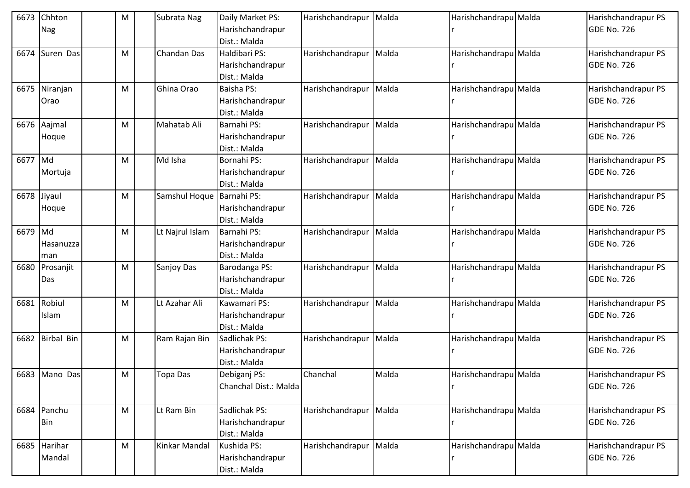| 6673        | Chhton<br>Nag             | M | Subrata Nag               | Daily Market PS:<br>Harishchandrapur<br>Dist.: Malda  | Harishchandrapur | Malda | Harishchandrapu Malda | Harishchandrapur PS<br>GDE No. 726        |
|-------------|---------------------------|---|---------------------------|-------------------------------------------------------|------------------|-------|-----------------------|-------------------------------------------|
| 6674        | Suren Das                 | M | <b>Chandan Das</b>        | Haldibari PS:<br>Harishchandrapur<br>Dist.: Malda     | Harishchandrapur | Malda | Harishchandrapu Malda | Harishchandrapur PS<br>GDE No. 726        |
|             | 6675 Niranjan<br>Orao     | M | Ghina Orao                | <b>Baisha PS:</b><br>Harishchandrapur<br>Dist.: Malda | Harishchandrapur | Malda | Harishchandrapu Malda | Harishchandrapur PS<br>GDE No. 726        |
|             | 6676 Aajmal<br>Hoque      | M | Mahatab Ali               | Barnahi PS:<br>Harishchandrapur<br>Dist.: Malda       | Harishchandrapur | Malda | Harishchandrapu Malda | Harishchandrapur PS<br>GDE No. 726        |
| 6677        | $\mathsf{M}$ d<br>Mortuja | M | Md Isha                   | Bornahi PS:<br>Harishchandrapur<br>Dist.: Malda       | Harishchandrapur | Malda | Harishchandrapu Malda | Harishchandrapur PS<br>GDE No. 726        |
| 6678 Jiyaul | Hoque                     | M | Samshul Hoque Barnahi PS: | Harishchandrapur<br>Dist.: Malda                      | Harishchandrapur | Malda | Harishchandrapu Malda | Harishchandrapur PS<br>GDE No. 726        |
| 6679 Md     | Hasanuzza<br>man          | M | Lt Najrul Islam           | Barnahi PS:<br>Harishchandrapur<br>Dist.: Malda       | Harishchandrapur | Malda | Harishchandrapu Malda | Harishchandrapur PS<br><b>GDE No. 726</b> |
| 6680        | Prosanjit<br>Das          | M | Sanjoy Das                | Barodanga PS:<br>Harishchandrapur<br>Dist.: Malda     | Harishchandrapur | Malda | Harishchandrapu Malda | Harishchandrapur PS<br>GDE No. 726        |
| 6681        | Robiul<br>Islam           | M | Lt Azahar Ali             | Kawamari PS:<br>Harishchandrapur<br>Dist.: Malda      | Harishchandrapur | Malda | Harishchandrapu Malda | Harishchandrapur PS<br>GDE No. 726        |
| 6682        | <b>Birbal Bin</b>         | M | Ram Rajan Bin             | Sadlichak PS:<br>Harishchandrapur<br>Dist.: Malda     | Harishchandrapur | Malda | Harishchandrapu Malda | Harishchandrapur PS<br><b>GDE No. 726</b> |
|             | 6683 Mano Das             | M | <b>Topa Das</b>           | Debiganj PS:<br>Chanchal Dist.: Malda                 | Chanchal         | Malda | Harishchandrapu Malda | Harishchandrapur PS<br>GDE No. 726        |
|             | 6684 Panchu<br><b>Bin</b> | M | Lt Ram Bin                | Sadlichak PS:<br>Harishchandrapur<br>Dist.: Malda     | Harishchandrapur | Malda | Harishchandrapu Malda | Harishchandrapur PS<br>GDE No. 726        |
|             | 6685 Harihar<br>Mandal    | M | Kinkar Mandal             | Kushida PS:<br>Harishchandrapur<br>Dist.: Malda       | Harishchandrapur | Malda | Harishchandrapu Malda | Harishchandrapur PS<br><b>GDE No. 726</b> |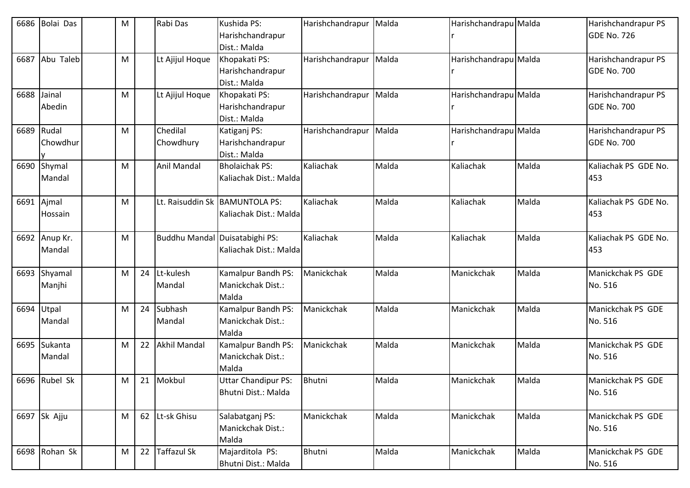| 6686       | Bolai Das               | M |    | Rabi Das                       | Kushida PS:<br>Harishchandrapur                            | Harishchandrapur | Malda | Harishchandrapu Malda |       | Harishchandrapur PS<br>GDE No. 726        |
|------------|-------------------------|---|----|--------------------------------|------------------------------------------------------------|------------------|-------|-----------------------|-------|-------------------------------------------|
|            |                         |   |    |                                | Dist.: Malda                                               |                  |       |                       |       |                                           |
| 6687       | Abu Taleb               | M |    | Lt Ajijul Hoque                | Khopakati PS:<br>Harishchandrapur                          | Harishchandrapur | Malda | Harishchandrapu Malda |       | Harishchandrapur PS<br>GDE No. 700        |
|            |                         |   |    |                                | Dist.: Malda                                               |                  |       |                       |       |                                           |
| 6688       | Jainal<br>Abedin        | M |    | Lt Ajijul Hoque                | Khopakati PS:<br>Harishchandrapur<br>Dist.: Malda          | Harishchandrapur | Malda | Harishchandrapu Malda |       | Harishchandrapur PS<br><b>GDE No. 700</b> |
| 6689 Rudal | Chowdhur                | M |    | Chedilal<br>Chowdhury          | Katiganj PS:<br>Harishchandrapur<br>Dist.: Malda           | Harishchandrapur | Malda | Harishchandrapu Malda |       | Harishchandrapur PS<br>GDE No. 700        |
| 6690       | Shymal<br>Mandal        | M |    | Anil Mandal                    | <b>Bholaichak PS:</b><br>Kaliachak Dist.: Malda            | Kaliachak        | Malda | Kaliachak             | Malda | Kaliachak PS GDE No.<br>453               |
|            | 6691 Ajmal<br>Hossain   | M |    |                                | Lt. Raisuddin Sk   BAMUNTOLA PS:<br>Kaliachak Dist.: Malda | Kaliachak        | Malda | Kaliachak             | Malda | Kaliachak PS GDE No.<br>453               |
|            | 6692 Anup Kr.<br>Mandal | M |    | Buddhu Mandal Duisatabighi PS: | Kaliachak Dist.: Malda                                     | Kaliachak        | Malda | Kaliachak             | Malda | Kaliachak PS GDE No.<br>453               |
| 6693       | Shyamal<br>Manjhi       | M | 24 | Lt-kulesh<br>Mandal            | Kamalpur Bandh PS:<br>Manickchak Dist.:<br>Malda           | Manickchak       | Malda | Manickchak            | Malda | Manickchak PS GDE<br>No. 516              |
| 6694       | Utpal<br>Mandal         | M | 24 | Subhash<br>Mandal              | Kamalpur Bandh PS:<br>Manickchak Dist.:<br>Malda           | Manickchak       | Malda | Manickchak            | Malda | Manickchak PS GDE<br>No. 516              |
|            | 6695 Sukanta<br>Mandal  | M | 22 | <b>Akhil Mandal</b>            | Kamalpur Bandh PS:<br>Manickchak Dist.:<br>Malda           | Manickchak       | Malda | Manickchak            | Malda | Manickchak PS GDE<br>No. 516              |
|            | 6696 Rubel Sk           | M |    | 21 Mokbul                      | <b>Uttar Chandipur PS:</b><br>Bhutni Dist.: Malda          | Bhutni           | Malda | Manickchak            | Malda | Manickchak PS GDE<br>No. 516              |
|            | 6697 Sk Ajju            | M |    | 62 Lt-sk Ghisu                 | Salabatganj PS:<br>Manickchak Dist.:<br>Malda              | Manickchak       | Malda | Manickchak            | Malda | Manickchak PS GDE<br>No. 516              |
|            | 6698 Rohan Sk           | M | 22 | Taffazul Sk                    | Majarditola PS:<br>Bhutni Dist.: Malda                     | Bhutni           | Malda | Manickchak            | Malda | Manickchak PS GDE<br>No. 516              |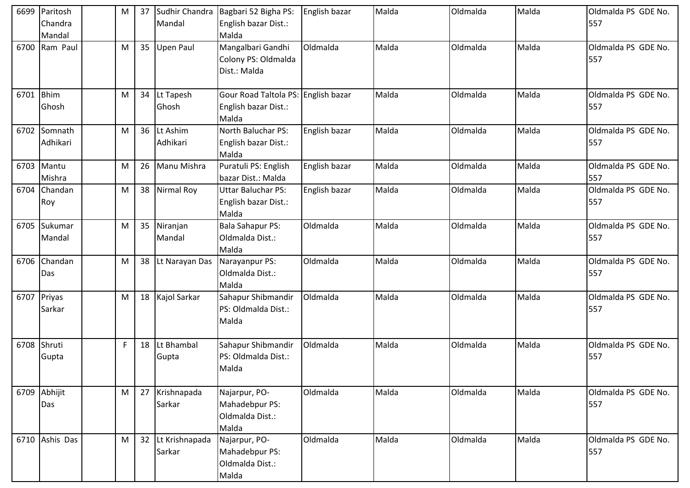| 6699 | Paritosh             | M | 37 | Sudhir Chandra           | Bagbari 52 Bigha PS:                                                 | English bazar | Malda | Oldmalda | Malda | Oldmalda PS GDE No.        |
|------|----------------------|---|----|--------------------------|----------------------------------------------------------------------|---------------|-------|----------|-------|----------------------------|
|      | Chandra              |   |    | Mandal                   | English bazar Dist.:                                                 |               |       |          |       | 557                        |
|      | Mandal               |   |    |                          | Malda                                                                |               |       |          |       |                            |
| 6700 | Ram Paul             | M | 35 | <b>Upen Paul</b>         | Mangalbari Gandhi<br>Colony PS: Oldmalda<br>Dist.: Malda             | Oldmalda      | Malda | Oldmalda | Malda | Oldmalda PS GDE No.<br>557 |
| 6701 | <b>Bhim</b><br>Ghosh | M | 34 | Lt Tapesh<br>Ghosh       | Gour Road Taltola PS: English bazar<br>English bazar Dist.:<br>Malda |               | Malda | Oldmalda | Malda | Oldmalda PS GDE No.<br>557 |
| 6702 | Somnath<br>Adhikari  | M | 36 | Lt Ashim<br>Adhikari     | North Baluchar PS:<br>English bazar Dist.:<br>Malda                  | English bazar | Malda | Oldmalda | Malda | Oldmalda PS GDE No.<br>557 |
| 6703 | Mantu<br>Mishra      | M | 26 | Manu Mishra              | Puratuli PS: English<br>bazar Dist.: Malda                           | English bazar | Malda | Oldmalda | Malda | Oldmalda PS GDE No.<br>557 |
| 6704 | Chandan<br>Roy       | M | 38 | Nirmal Roy               | <b>Uttar Baluchar PS:</b><br>English bazar Dist.:<br>Malda           | English bazar | Malda | Oldmalda | Malda | Oldmalda PS GDE No.<br>557 |
| 6705 | Sukumar<br>Mandal    | M | 35 | Niranjan<br>Mandal       | <b>Bala Sahapur PS:</b><br>Oldmalda Dist.:<br>Malda                  | Oldmalda      | Malda | Oldmalda | Malda | Oldmalda PS GDE No.<br>557 |
| 6706 | Chandan<br>Das       | M | 38 | Lt Narayan Das           | Narayanpur PS:<br>Oldmalda Dist.:<br>Malda                           | Oldmalda      | Malda | Oldmalda | Malda | Oldmalda PS GDE No.<br>557 |
| 6707 | Priyas<br>Sarkar     | M | 18 | Kajol Sarkar             | Sahapur Shibmandir<br>PS: Oldmalda Dist.:<br>Malda                   | Oldmalda      | Malda | Oldmalda | Malda | Oldmalda PS GDE No.<br>557 |
| 6708 | Shruti<br>Gupta      | F | 18 | Lt Bhambal<br>Gupta      | Sahapur Shibmandir<br>PS: Oldmalda Dist.:<br>Malda                   | Oldmalda      | Malda | Oldmalda | Malda | Oldmalda PS GDE No.<br>557 |
|      | 6709 Abhijit<br>Das  | M |    | 27 Krishnapada<br>Sarkar | Najarpur, PO-<br>Mahadebpur PS:<br>Oldmalda Dist.:<br>Malda          | Oldmalda      | Malda | Oldmalda | Malda | Oldmalda PS GDE No.<br>557 |
|      | 6710 Ashis Das       | M | 32 | Lt Krishnapada<br>Sarkar | Najarpur, PO-<br>Mahadebpur PS:<br>Oldmalda Dist.:<br>Malda          | Oldmalda      | Malda | Oldmalda | Malda | Oldmalda PS GDE No.<br>557 |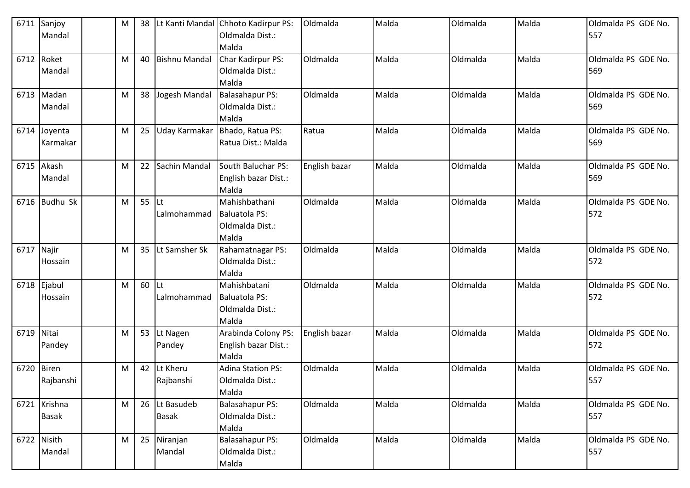| 6711       | Sanjoy<br>Mandal             | M | 38      |                               | Lt Kanti Mandal Chhoto Kadirpur PS:<br>Oldmalda Dist.:<br>Malda   | Oldmalda      | Malda | Oldmalda | Malda | Oldmalda PS GDE No.<br>557 |
|------------|------------------------------|---|---------|-------------------------------|-------------------------------------------------------------------|---------------|-------|----------|-------|----------------------------|
|            | 6712 Roket<br>Mandal         | M | 40      | <b>Bishnu Mandal</b>          | Char Kadirpur PS:<br>Oldmalda Dist.:<br>Malda                     | Oldmalda      | Malda | Oldmalda | Malda | Oldmalda PS GDE No.<br>569 |
|            | 6713 Madan<br>Mandal         | M | 38      | Jogesh Mandal                 | Balasahapur PS:<br>Oldmalda Dist.:<br>Malda                       | Oldmalda      | Malda | Oldmalda | Malda | Oldmalda PS GDE No.<br>569 |
| 6714       | Joyenta<br>Karmakar          | M | 25      | Uday Karmakar                 | Bhado, Ratua PS:<br>Ratua Dist.: Malda                            | Ratua         | Malda | Oldmalda | Malda | Oldmalda PS GDE No.<br>569 |
| 6715       | Akash<br>Mandal              | M | 22      | Sachin Mandal                 | South Baluchar PS:<br>English bazar Dist.:<br>Malda               | English bazar | Malda | Oldmalda | Malda | Oldmalda PS GDE No.<br>569 |
|            | 6716 Budhu Sk                | M | $55$ Lt | Lalmohammad                   | Mahishbathani<br><b>Baluatola PS:</b><br>Oldmalda Dist.:<br>Malda | Oldmalda      | Malda | Oldmalda | Malda | Oldmalda PS GDE No.<br>572 |
| 6717 Najir | Hossain                      | м | 35      | <b>Lt Samsher Sk</b>          | Rahamatnagar PS:<br>Oldmalda Dist.:<br>Malda                      | Oldmalda      | Malda | Oldmalda | Malda | Oldmalda PS GDE No.<br>572 |
| 6718       | Ejabul<br>Hossain            | M | $60$ Lt | Lalmohammad                   | Mahishbatani<br>Baluatola PS:<br>Oldmalda Dist.:<br>Malda         | Oldmalda      | Malda | Oldmalda | Malda | Oldmalda PS GDE No.<br>572 |
| 6719       | Nitai<br>Pandey              | Μ | 53      | Lt Nagen<br>Pandey            | Arabinda Colony PS:<br>English bazar Dist.:<br>Malda              | English bazar | Malda | Oldmalda | Malda | Oldmalda PS GDE No.<br>572 |
| 6720       | <b>Biren</b><br>Rajbanshi    | м | 42      | Lt Kheru<br>Rajbanshi         | <b>Adina Station PS:</b><br>Oldmalda Dist.:<br>Malda              | Oldmalda      | Malda | Oldmalda | Malda | Oldmalda PS GDE No.<br>557 |
|            | 6721 Krishna<br><b>Basak</b> | M |         | 26 Lt Basudeb<br><b>Basak</b> | Balasahapur PS:<br>Oldmalda Dist.:<br>Malda                       | Oldmalda      | Malda | Oldmalda | Malda | Oldmalda PS GDE No.<br>557 |
|            | 6722 Nisith<br>Mandal        | M | 25      | Niranjan<br>Mandal            | <b>Balasahapur PS:</b><br>Oldmalda Dist.:<br>Malda                | Oldmalda      | Malda | Oldmalda | Malda | Oldmalda PS GDE No.<br>557 |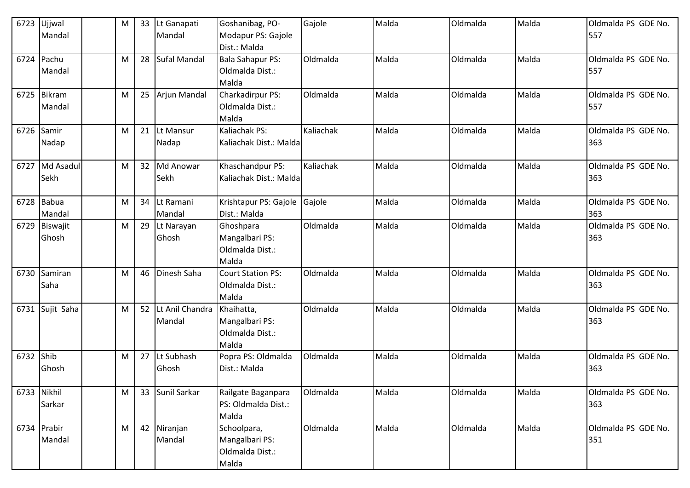| 6723        | Ujjwal<br>Mandal      | M | 33 | Lt Ganapati<br>Mandal     | Goshanibag, PO-<br>Modapur PS: Gajole<br>Dist.: Malda     | Gajole    | Malda | Oldmalda | Malda | Oldmalda PS GDE No.<br>557 |
|-------------|-----------------------|---|----|---------------------------|-----------------------------------------------------------|-----------|-------|----------|-------|----------------------------|
| 6724        | Pachu<br>Mandal       | M |    | 28 Sufal Mandal           | <b>Bala Sahapur PS:</b><br>Oldmalda Dist.:<br>Malda       | Oldmalda  | Malda | Oldmalda | Malda | Oldmalda PS GDE No.<br>557 |
|             | 6725 Bikram<br>Mandal | M |    | 25 Arjun Mandal           | Charkadirpur PS:<br>Oldmalda Dist.:<br>Malda              | Oldmalda  | Malda | Oldmalda | Malda | Oldmalda PS GDE No.<br>557 |
| 6726        | Samir<br>Nadap        | M |    | 21 Lt Mansur<br>Nadap     | Kaliachak PS:<br>Kaliachak Dist.: Malda                   | Kaliachak | Malda | Oldmalda | Malda | Oldmalda PS GDE No.<br>363 |
| 6727        | Md Asadul<br>Sekh     | M |    | 32 Md Anowar<br>Sekh      | Khaschandpur PS:<br>Kaliachak Dist.: Malda                | Kaliachak | Malda | Oldmalda | Malda | Oldmalda PS GDE No.<br>363 |
|             | 6728 Babua<br>Mandal  | M |    | 34 Lt Ramani<br>Mandal    | Krishtapur PS: Gajole<br>Dist.: Malda                     | Gajole    | Malda | Oldmalda | Malda | Oldmalda PS GDE No.<br>363 |
| 6729        | Biswajit<br>Ghosh     | M |    | 29 Lt Narayan<br>Ghosh    | Ghoshpara<br>Mangalbari PS:<br>Oldmalda Dist.:<br>Malda   | Oldmalda  | Malda | Oldmalda | Malda | Oldmalda PS GDE No.<br>363 |
| 6730        | Samiran<br>Saha       | M | 46 | Dinesh Saha               | <b>Court Station PS:</b><br>Oldmalda Dist.:<br>Malda      | Oldmalda  | Malda | Oldmalda | Malda | Oldmalda PS GDE No.<br>363 |
| 6731        | Sujit Saha            | M | 52 | Lt Anil Chandra<br>Mandal | Khaihatta,<br>Mangalbari PS:<br>Oldmalda Dist.:<br>Malda  | Oldmalda  | Malda | Oldmalda | Malda | Oldmalda PS GDE No.<br>363 |
| 6732        | Shib<br>Ghosh         | M |    | 27 Lt Subhash<br>Ghosh    | Popra PS: Oldmalda<br>Dist.: Malda                        | Oldmalda  | Malda | Oldmalda | Malda | Oldmalda PS GDE No.<br>363 |
| 6733 Nikhil | Sarkar                | M |    | 33 Sunil Sarkar           | Railgate Baganpara<br>PS: Oldmalda Dist.:<br>Malda        | Oldmalda  | Malda | Oldmalda | Malda | Oldmalda PS GDE No.<br>363 |
|             | 6734 Prabir<br>Mandal | M |    | 42 Niranjan<br>Mandal     | Schoolpara,<br>Mangalbari PS:<br>Oldmalda Dist.:<br>Malda | Oldmalda  | Malda | Oldmalda | Malda | Oldmalda PS GDE No.<br>351 |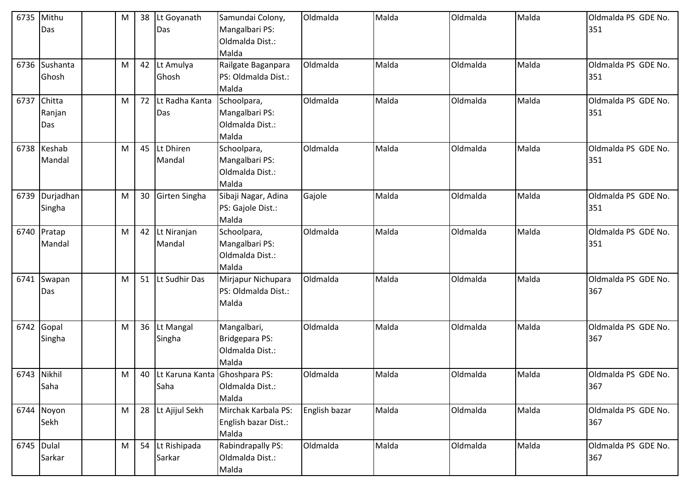| 6735 | Mithu<br>Das            | M | 38 | Lt Goyanath<br>Das                       | Samundai Colony,<br>Mangalbari PS:<br>Oldmalda Dist.:<br>Malda | Oldmalda      | Malda | Oldmalda | Malda | Oldmalda PS GDE No.<br>351 |
|------|-------------------------|---|----|------------------------------------------|----------------------------------------------------------------|---------------|-------|----------|-------|----------------------------|
| 6736 | Sushanta<br>Ghosh       | M | 42 | Lt Amulya<br>Ghosh                       | Railgate Baganpara<br>PS: Oldmalda Dist.:<br>Malda             | Oldmalda      | Malda | Oldmalda | Malda | Oldmalda PS GDE No.<br>351 |
| 6737 | Chitta<br>Ranjan<br>Das | M | 72 | Lt Radha Kanta<br>Das                    | Schoolpara,<br>Mangalbari PS:<br>Oldmalda Dist.:<br>Malda      | Oldmalda      | Malda | Oldmalda | Malda | Oldmalda PS GDE No.<br>351 |
|      | 6738 Keshab<br>Mandal   | M |    | 45 Lt Dhiren<br>Mandal                   | Schoolpara,<br>Mangalbari PS:<br>Oldmalda Dist.:<br>Malda      | Oldmalda      | Malda | Oldmalda | Malda | Oldmalda PS GDE No.<br>351 |
| 6739 | Durjadhan<br>Singha     | M | 30 | Girten Singha                            | Sibaji Nagar, Adina<br>PS: Gajole Dist.:<br>Malda              | Gajole        | Malda | Oldmalda | Malda | Oldmalda PS GDE No.<br>351 |
|      | 6740 Pratap<br>Mandal   | M |    | 42 Lt Niranjan<br>Mandal                 | Schoolpara,<br>Mangalbari PS:<br>Oldmalda Dist.:<br>Malda      | Oldmalda      | Malda | Oldmalda | Malda | Oldmalda PS GDE No.<br>351 |
| 6741 | Swapan<br>Das           | M | 51 | Lt Sudhir Das                            | Mirjapur Nichupara<br>PS: Oldmalda Dist.:<br>Malda             | Oldmalda      | Malda | Oldmalda | Malda | Oldmalda PS GDE No.<br>367 |
| 6742 | Gopal<br>Singha         | M |    | 36 Lt Mangal<br>Singha                   | Mangalbari,<br>Bridgepara PS:<br>Oldmalda Dist.:<br>Malda      | Oldmalda      | Malda | Oldmalda | Malda | Oldmalda PS GDE No.<br>367 |
|      | 6743 Nikhil<br>Saha     | M |    | 40 Lt Karuna Kanta Ghoshpara PS:<br>Saha | Oldmalda Dist.:<br>Malda                                       | Oldmalda      | Malda | Oldmalda | Malda | Oldmalda PS GDE No.<br>367 |
|      | 6744 Noyon<br>Sekh      | M |    | 28 Lt Ajijul Sekh                        | Mirchak Karbala PS:<br>English bazar Dist.:<br>Malda           | English bazar | Malda | Oldmalda | Malda | Oldmalda PS GDE No.<br>367 |
|      | $6745$ Dulal<br>Sarkar  | M |    | 54 Lt Rishipada<br>Sarkar                | Rabindrapally PS:<br>Oldmalda Dist.:<br>Malda                  | Oldmalda      | Malda | Oldmalda | Malda | Oldmalda PS GDE No.<br>367 |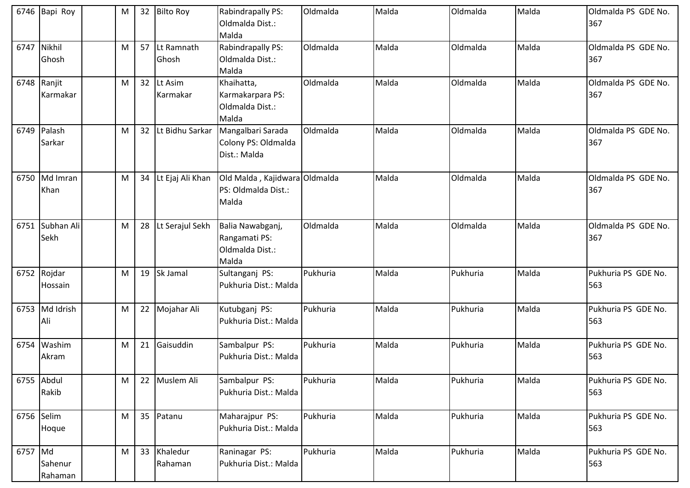|         | 6746 Bapi Roy           | M |                 | 32 Bilto Roy           | Rabindrapally PS:<br>Oldmalda Dist.:<br>Malda                 | Oldmalda | Malda | Oldmalda | Malda | Oldmalda PS GDE No.<br>367 |
|---------|-------------------------|---|-----------------|------------------------|---------------------------------------------------------------|----------|-------|----------|-------|----------------------------|
| 6747    | Nikhil<br>Ghosh         | M |                 | 57 Lt Ramnath<br>Ghosh | Rabindrapally PS:<br>Oldmalda Dist.:<br>Malda                 | Oldmalda | Malda | Oldmalda | Malda | Oldmalda PS GDE No.<br>367 |
|         | 6748 Ranjit<br>Karmakar | M |                 | 32 Lt Asim<br>Karmakar | Khaihatta,<br>Karmakarpara PS:<br>Oldmalda Dist.:<br>Malda    | Oldmalda | Malda | Oldmalda | Malda | Oldmalda PS GDE No.<br>367 |
| 6749    | Palash<br>Sarkar        | M | 32 <sup>2</sup> | Lt Bidhu Sarkar        | Mangalbari Sarada<br>Colony PS: Oldmalda<br>Dist.: Malda      | Oldmalda | Malda | Oldmalda | Malda | Oldmalda PS GDE No.<br>367 |
|         | 6750 Md Imran<br>Khan   | M |                 | 34 Lt Ejaj Ali Khan    | Old Malda, Kajidwara Oldmalda<br>PS: Oldmalda Dist.:<br>Malda |          | Malda | Oldmalda | Malda | Oldmalda PS GDE No.<br>367 |
| 6751    | Subhan Ali<br>Sekh      | M |                 | 28 Lt Serajul Sekh     | Balia Nawabganj,<br>Rangamati PS:<br>Oldmalda Dist.:<br>Malda | Oldmalda | Malda | Oldmalda | Malda | Oldmalda PS GDE No.<br>367 |
|         | 6752 Rojdar<br>Hossain  | M |                 | 19 Sk Jamal            | Sultanganj PS:<br>Pukhuria Dist.: Malda                       | Pukhuria | Malda | Pukhuria | Malda | Pukhuria PS GDE No.<br>563 |
|         | 6753 Md Idrish<br>Ali   | M |                 | 22 Mojahar Ali         | Kutubganj PS:<br>Pukhuria Dist.: Malda                        | Pukhuria | Malda | Pukhuria | Malda | Pukhuria PS GDE No.<br>563 |
|         | 6754 Washim<br>Akram    | M | 21              | Gaisuddin              | Sambalpur PS:<br>Pukhuria Dist.: Malda                        | Pukhuria | Malda | Pukhuria | Malda | Pukhuria PS GDE No.<br>563 |
|         | 6755 Abdul<br>Rakib     | M |                 | 22 Muslem Ali          | Sambalpur PS:<br>Pukhuria Dist.: Malda                        | Pukhuria | Malda | Pukhuria | Malda | Pukhuria PS GDE No.<br>563 |
|         | 6756 Selim<br>Hoque     | M |                 | 35 Patanu              | Maharajpur PS:<br>Pukhuria Dist.: Malda                       | Pukhuria | Malda | Pukhuria | Malda | Pukhuria PS GDE No.<br>563 |
| 6757 Md | Sahenur<br>Rahaman      | M |                 | 33 Khaledur<br>Rahaman | Raninagar PS:<br>Pukhuria Dist.: Malda                        | Pukhuria | Malda | Pukhuria | Malda | Pukhuria PS GDE No.<br>563 |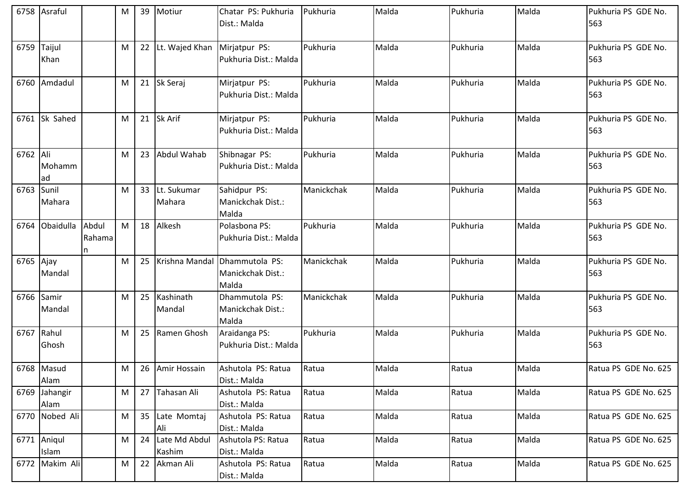|           | 6758 Asraful   |        | М | 39 | Motiur          | Chatar PS: Pukhuria                | Pukhuria   | Malda | Pukhuria | Malda | Pukhuria PS GDE No.  |
|-----------|----------------|--------|---|----|-----------------|------------------------------------|------------|-------|----------|-------|----------------------|
|           |                |        |   |    |                 | Dist.: Malda                       |            |       |          |       | 563                  |
|           |                |        |   |    |                 |                                    |            |       |          |       |                      |
| 6759      | Taijul         |        | M | 22 | Lt. Wajed Khan  | Mirjatpur PS:                      | Pukhuria   | Malda | Pukhuria | Malda | Pukhuria PS GDE No.  |
|           | Khan           |        |   |    |                 | Pukhuria Dist.: Malda              |            |       |          |       | 563                  |
|           |                |        |   |    |                 |                                    |            |       |          |       |                      |
|           | 6760 Amdadul   |        | M |    | 21 Sk Seraj     | Mirjatpur PS:                      | Pukhuria   | Malda | Pukhuria | Malda | Pukhuria PS GDE No.  |
|           |                |        |   |    |                 | Pukhuria Dist.: Malda              |            |       |          |       | 563                  |
|           |                |        |   |    |                 |                                    |            |       |          |       |                      |
|           | 6761 Sk Sahed  |        | M | 21 | Sk Arif         | Mirjatpur PS:                      | Pukhuria   | Malda | Pukhuria | Malda | Pukhuria PS GDE No.  |
|           |                |        |   |    |                 | Pukhuria Dist.: Malda              |            |       |          |       | 563                  |
| 6762 Ali  |                |        | M | 23 | Abdul Wahab     | Shibnagar PS:                      | Pukhuria   | Malda | Pukhuria | Malda | Pukhuria PS GDE No.  |
|           | Mohamm         |        |   |    |                 | Pukhuria Dist.: Malda              |            |       |          |       | 563                  |
|           | ad             |        |   |    |                 |                                    |            |       |          |       |                      |
| 6763      | Sunil          |        | M | 33 | Lt. Sukumar     | Sahidpur PS:                       | Manickchak | Malda | Pukhuria | Malda | Pukhuria PS GDE No.  |
|           | Mahara         |        |   |    | Mahara          | Manickchak Dist.:                  |            |       |          |       | 563                  |
|           |                |        |   |    |                 | Malda                              |            |       |          |       |                      |
| 6764      | Obaidulla      | Abdul  | M | 18 | Alkesh          | Polasbona PS:                      | Pukhuria   | Malda | Pukhuria | Malda | Pukhuria PS GDE No.  |
|           |                | Rahama |   |    |                 | Pukhuria Dist.: Malda              |            |       |          |       | 563                  |
|           |                | In     |   |    |                 |                                    |            |       |          |       |                      |
| 6765 Ajay |                |        | M | 25 | Krishna Mandal  | Dhammutola PS:                     | Manickchak | Malda | Pukhuria | Malda | Pukhuria PS GDE No.  |
|           | Mandal         |        |   |    |                 | Manickchak Dist.:                  |            |       |          |       | 563                  |
|           |                |        |   |    |                 | Malda                              |            |       |          |       |                      |
|           | 6766 Samir     |        | M | 25 | Kashinath       | Dhammutola PS:                     | Manickchak | Malda | Pukhuria | Malda | Pukhuria PS GDE No.  |
|           | Mandal         |        |   |    | Mandal          | Manickchak Dist.:                  |            |       |          |       | 563                  |
|           |                |        |   |    |                 | Malda                              |            |       |          |       |                      |
|           | 6767 Rahul     |        | M | 25 | Ramen Ghosh     | Araidanga PS:                      | Pukhuria   | Malda | Pukhuria | Malda | Pukhuria PS GDE No.  |
|           | Ghosh          |        |   |    |                 | Pukhuria Dist.: Malda              |            |       |          |       | 563                  |
|           | 6768 Masud     |        | M |    |                 |                                    | Ratua      | Malda | Ratua    | Malda | Ratua PS GDE No. 625 |
|           | Alam           |        |   |    | 26 Amir Hossain | Ashutola PS: Ratua<br>Dist.: Malda |            |       |          |       |                      |
| 6769      | Jahangir       |        | M | 27 | Tahasan Ali     | Ashutola PS: Ratua                 | Ratua      | Malda | Ratua    | Malda | Ratua PS GDE No. 625 |
|           | Alam           |        |   |    |                 | Dist.: Malda                       |            |       |          |       |                      |
|           | 6770 Nobed Ali |        | M | 35 | Late Momtaj     | Ashutola PS: Ratua                 | Ratua      | Malda | Ratua    | Malda | Ratua PS GDE No. 625 |
|           |                |        |   |    | Ali             | Dist.: Malda                       |            |       |          |       |                      |
|           | 6771 Aniqul    |        | M | 24 | Late Md Abdul   | Ashutola PS: Ratua                 | Ratua      | Malda | Ratua    | Malda | Ratua PS GDE No. 625 |
|           | Islam          |        |   |    | Kashim          | Dist.: Malda                       |            |       |          |       |                      |
| 6772      | Makim Ali      |        | M | 22 | Akman Ali       | Ashutola PS: Ratua                 | Ratua      | Malda | Ratua    | Malda | Ratua PS GDE No. 625 |
|           |                |        |   |    |                 | Dist.: Malda                       |            |       |          |       |                      |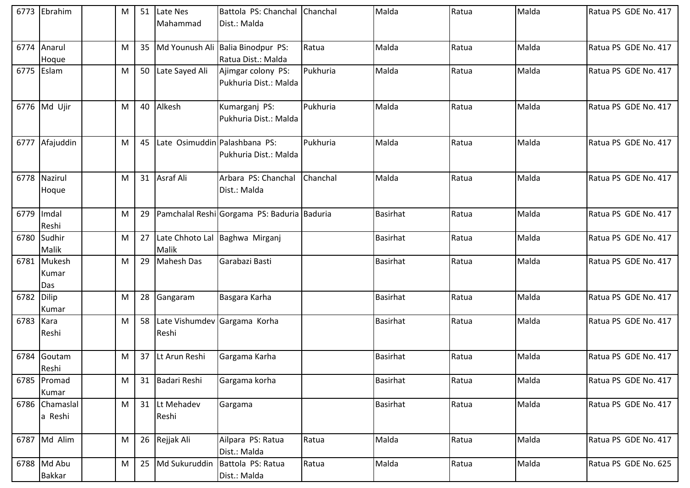|            | 6773 Ebrahim                | M |    | 51 Late Nes                              | Battola PS: Chanchal Chanchal               |          | Malda           | Ratua | Malda | Ratua PS GDE No. 417 |
|------------|-----------------------------|---|----|------------------------------------------|---------------------------------------------|----------|-----------------|-------|-------|----------------------|
|            |                             |   |    | Mahammad                                 | Dist.: Malda                                |          |                 |       |       |                      |
| 6774       | Anarul                      | M |    |                                          | 35   Md Younush Ali   Balia Binodpur PS:    | Ratua    | Malda           | Ratua | Malda | Ratua PS GDE No. 417 |
|            | Hoque                       |   |    |                                          | Ratua Dist.: Malda                          |          |                 |       |       |                      |
|            | 6775 Eslam                  | M |    | 50 Late Sayed Ali                        | Ajimgar colony PS:<br>Pukhuria Dist.: Malda | Pukhuria | Malda           | Ratua | Malda | Ratua PS GDE No. 417 |
|            | 6776 Md Ujir                | M |    | 40 Alkesh                                | Kumarganj PS:<br>Pukhuria Dist.: Malda      | Pukhuria | Malda           | Ratua | Malda | Ratua PS GDE No. 417 |
|            | 6777 Afajuddin              | M | 45 | Late Osimuddin Palashbana PS:            | Pukhuria Dist.: Malda                       | Pukhuria | Malda           | Ratua | Malda | Ratua PS GDE No. 417 |
| 6778       | Nazirul<br>Hoque            | M |    | 31 Asraf Ali                             | Arbara PS: Chanchal<br>Dist.: Malda         | Chanchal | Malda           | Ratua | Malda | Ratua PS GDE No. 417 |
| 6779       | Imdal<br>Reshi              | M | 29 |                                          | Pamchalal Reshi Gorgama PS: Baduria Baduria |          | <b>Basirhat</b> | Ratua | Malda | Ratua PS GDE No. 417 |
| 6780       | Sudhir<br>Malik             | M |    | Malik                                    | 27 Late Chhoto Lal Baghwa Mirganj           |          | <b>Basirhat</b> | Ratua | Malda | Ratua PS GDE No. 417 |
|            | 6781 Mukesh<br>Kumar<br>Das | M | 29 | <b>Mahesh Das</b>                        | Garabazi Basti                              |          | <b>Basirhat</b> | Ratua | Malda | Ratua PS GDE No. 417 |
| 6782 Dilip | Kumar                       | M | 28 | Gangaram                                 | Basgara Karha                               |          | <b>Basirhat</b> | Ratua | Malda | Ratua PS GDE No. 417 |
| 6783 Kara  | Reshi                       | M |    | 58 Late Vishumdev Gargama Korha<br>Reshi |                                             |          | <b>Basirhat</b> | Ratua | Malda | Ratua PS GDE No. 417 |
| 6784       | Goutam<br>Reshi             | M |    | 37 Lt Arun Reshi                         | Gargama Karha                               |          | <b>Basirhat</b> | Ratua | Malda | Ratua PS GDE No. 417 |
|            | 6785 Promad<br>Kumar        | M |    | 31 Badari Reshi                          | Gargama korha                               |          | Basirhat        | Ratua | Malda | Ratua PS GDE No. 417 |
|            | 6786 Chamaslal<br>a Reshi   | M |    | 31 Lt Mehadev<br>Reshi                   | Gargama                                     |          | <b>Basirhat</b> | Ratua | Malda | Ratua PS GDE No. 417 |
|            | 6787 Md Alim                | M |    | 26 Rejjak Ali                            | Ailpara PS: Ratua<br>Dist.: Malda           | Ratua    | Malda           | Ratua | Malda | Ratua PS GDE No. 417 |
|            | 6788 Md Abu<br>Bakkar       | M |    | 25 Md Sukuruddin                         | Battola PS: Ratua<br>Dist.: Malda           | Ratua    | Malda           | Ratua | Malda | Ratua PS GDE No. 625 |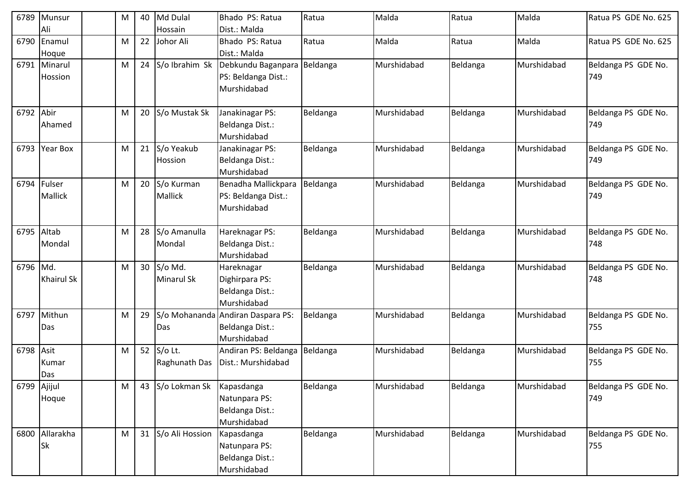| 6789      | Munsur            | M | 40 | Md Dulal             | Bhado PS: Ratua                   | Ratua    | Malda       | Ratua    | Malda       | Ratua PS GDE No. 625 |
|-----------|-------------------|---|----|----------------------|-----------------------------------|----------|-------------|----------|-------------|----------------------|
|           | Ali               |   |    | Hossain              | Dist.: Malda                      |          |             |          |             |                      |
| 6790      | Enamul            | M | 22 | Johor Ali            | Bhado PS: Ratua                   | Ratua    | Malda       | Ratua    | Malda       | Ratua PS GDE No. 625 |
|           | Hoque             |   |    |                      | Dist.: Malda                      |          |             |          |             |                      |
| 6791      | Minarul           | M |    | 24 $S$ /o Ibrahim Sk | Debkundu Baganpara Beldanga       |          | Murshidabad | Beldanga | Murshidabad | Beldanga PS GDE No.  |
|           | Hossion           |   |    |                      | PS: Beldanga Dist.:               |          |             |          |             | 749                  |
|           |                   |   |    |                      | Murshidabad                       |          |             |          |             |                      |
|           |                   |   |    |                      |                                   |          |             |          |             |                      |
| 6792 Abir |                   | M |    | 20 S/o Mustak Sk     | Janakinagar PS:                   | Beldanga | Murshidabad | Beldanga | Murshidabad | Beldanga PS GDE No.  |
|           | Ahamed            |   |    |                      | Beldanga Dist.:                   |          |             |          |             | 749                  |
|           |                   |   |    |                      | Murshidabad                       |          |             |          |             |                      |
| 6793      | <b>Year Box</b>   | M | 21 | S/o Yeakub           | Janakinagar PS:                   | Beldanga | Murshidabad | Beldanga | Murshidabad | Beldanga PS GDE No.  |
|           |                   |   |    | Hossion              | Beldanga Dist.:                   |          |             |          |             | 749                  |
|           |                   |   |    |                      | Murshidabad                       |          |             |          |             |                      |
| 6794      | Fulser            | M |    | 20 S/o Kurman        | Benadha Mallickpara               | Beldanga | Murshidabad | Beldanga | Murshidabad | Beldanga PS GDE No.  |
|           | Mallick           |   |    | <b>Mallick</b>       | PS: Beldanga Dist.:               |          |             |          |             | 749                  |
|           |                   |   |    |                      | Murshidabad                       |          |             |          |             |                      |
|           |                   |   |    |                      |                                   |          |             |          |             |                      |
| 6795      | Altab             | M |    | 28 S/o Amanulla      | Hareknagar PS:                    | Beldanga | Murshidabad | Beldanga | Murshidabad | Beldanga PS GDE No.  |
|           | Mondal            |   |    | Mondal               | Beldanga Dist.:                   |          |             |          |             | 748                  |
|           |                   |   |    |                      | Murshidabad                       |          |             |          |             |                      |
| 6796      | Md.               | M |    | 30 S/o Md.           | Hareknagar                        | Beldanga | Murshidabad | Beldanga | Murshidabad | Beldanga PS GDE No.  |
|           | <b>Khairul Sk</b> |   |    | <b>Minarul Sk</b>    | Dighirpara PS:                    |          |             |          |             | 748                  |
|           |                   |   |    |                      | Beldanga Dist.:                   |          |             |          |             |                      |
|           |                   |   |    |                      | Murshidabad                       |          |             |          |             |                      |
|           | 6797 Mithun       | M | 29 |                      | S/o Mohananda Andiran Daspara PS: | Beldanga | Murshidabad | Beldanga | Murshidabad | Beldanga PS GDE No.  |
|           | Das               |   |    | Das                  | Beldanga Dist.:                   |          |             |          |             | 755                  |
|           |                   |   |    |                      | Murshidabad                       |          |             |          |             |                      |
| 6798      | Asit              | M |    | 52 S/o Lt.           | Andiran PS: Beldanga              | Beldanga | Murshidabad | Beldanga | Murshidabad | Beldanga PS GDE No.  |
|           | Kumar             |   |    | Raghunath Das        | Dist.: Murshidabad                |          |             |          |             | 755                  |
|           | Das               |   |    |                      |                                   |          |             |          |             |                      |
| 6799      | Ajijul            | M |    | 43 S/o Lokman Sk     | Kapasdanga                        | Beldanga | Murshidabad | Beldanga | Murshidabad | Beldanga PS GDE No.  |
|           | Hoque             |   |    |                      | Natunpara PS:                     |          |             |          |             | 749                  |
|           |                   |   |    |                      | Beldanga Dist.:                   |          |             |          |             |                      |
|           |                   |   |    |                      | Murshidabad                       |          |             |          |             |                      |
|           | 6800 Allarakha    | M |    | 31 S/o Ali Hossion   | Kapasdanga                        | Beldanga | Murshidabad | Beldanga | Murshidabad | Beldanga PS GDE No.  |
|           | Sk                |   |    |                      | Natunpara PS:                     |          |             |          |             | 755                  |
|           |                   |   |    |                      | Beldanga Dist.:                   |          |             |          |             |                      |
|           |                   |   |    |                      | Murshidabad                       |          |             |          |             |                      |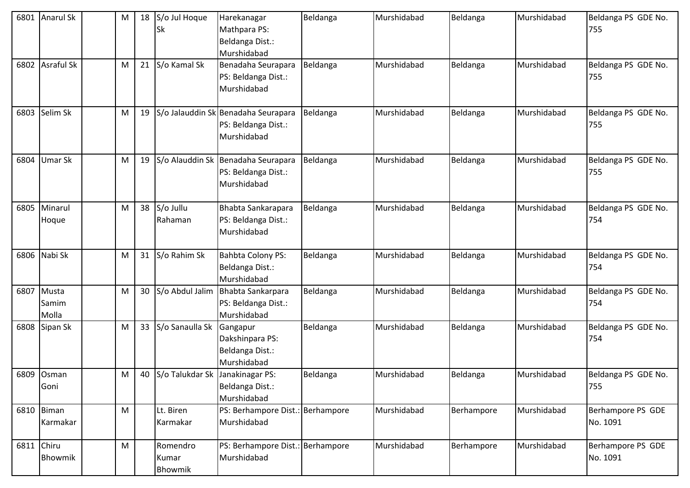| 6801       | <b>Anarul Sk</b>             | M |    | 18 S/o Jul Hoque<br>lSk            | Harekanagar<br>Mathpara PS:<br>Beldanga Dist.:<br>Murshidabad                   | Beldanga | Murshidabad | Beldanga   | Murshidabad | Beldanga PS GDE No.<br>755    |
|------------|------------------------------|---|----|------------------------------------|---------------------------------------------------------------------------------|----------|-------------|------------|-------------|-------------------------------|
| 6802       | <b>Asraful Sk</b>            | M | 21 | S/o Kamal Sk                       | Benadaha Seurapara<br>PS: Beldanga Dist.:<br>Murshidabad                        | Beldanga | Murshidabad | Beldanga   | Murshidabad | Beldanga PS GDE No.<br>755    |
| 6803       | Selim Sk                     | M |    |                                    | 19   S/o Jalauddin Sk Benadaha Seurapara<br>PS: Beldanga Dist.:<br>Murshidabad  | Beldanga | Murshidabad | Beldanga   | Murshidabad | Beldanga PS GDE No.<br>755    |
| 6804       | Umar Sk                      | M |    |                                    | 19   S/o Alauddin Sk   Benadaha Seurapara<br>PS: Beldanga Dist.:<br>Murshidabad | Beldanga | Murshidabad | Beldanga   | Murshidabad | Beldanga PS GDE No.<br>755    |
| 6805       | Minarul<br>Hoque             | M |    | 38 S/o Jullu<br>Rahaman            | Bhabta Sankarapara<br>PS: Beldanga Dist.:<br>Murshidabad                        | Beldanga | Murshidabad | Beldanga   | Murshidabad | Beldanga PS GDE No.<br>754    |
|            | 6806 Nabi Sk                 | M |    | 31 S/o Rahim Sk                    | <b>Bahbta Colony PS:</b><br>Beldanga Dist.:<br>Murshidabad                      | Beldanga | Murshidabad | Beldanga   | Murshidabad | Beldanga PS GDE No.<br>754    |
|            | 6807 Musta<br>Samim<br>Molla | M |    | 30 S/o Abdul Jalim                 | Bhabta Sankarpara<br>PS: Beldanga Dist.:<br>Murshidabad                         | Beldanga | Murshidabad | Beldanga   | Murshidabad | Beldanga PS GDE No.<br>754    |
|            | 6808 Sipan Sk                | M |    | 33 S/o Sanaulla Sk                 | Gangapur<br>Dakshinpara PS:<br>Beldanga Dist.:<br>Murshidabad                   | Beldanga | Murshidabad | Beldanga   | Murshidabad | Beldanga PS GDE No.<br>754    |
|            | 6809 Osman<br>Goni           | M |    | 40 S/o Talukdar Sk Janakinagar PS: | Beldanga Dist.:<br>Murshidabad                                                  | Beldanga | Murshidabad | Beldanga   | Murshidabad | Beldanga PS GDE No.<br>755    |
|            | 6810 Biman<br>Karmakar       | M |    | Lt. Biren<br>Karmakar              | PS: Berhampore Dist.: Berhampore<br>Murshidabad                                 |          | Murshidabad | Berhampore | Murshidabad | Berhampore PS GDE<br>No. 1091 |
| 6811 Chiru | Bhowmik                      | M |    | Romendro<br>Kumar<br>Bhowmik       | PS: Berhampore Dist.: Berhampore<br>Murshidabad                                 |          | Murshidabad | Berhampore | Murshidabad | Berhampore PS GDE<br>No. 1091 |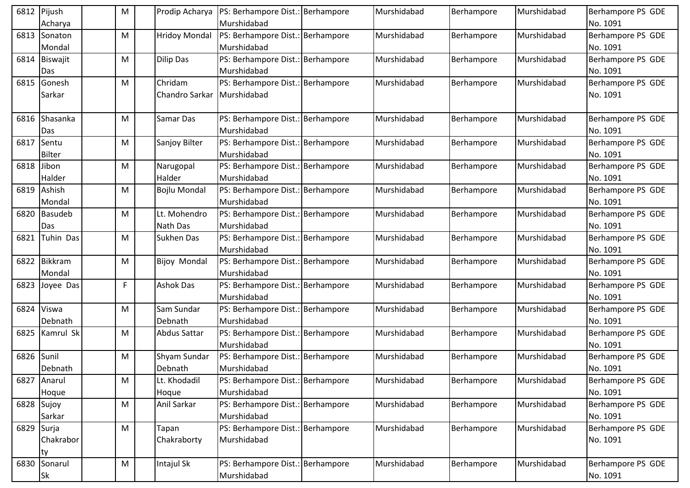| 6812       | Pijush<br>Acharya      | M | Prodip Acharya                  | PS: Berhampore Dist.: Berhampore<br>Murshidabad | Murshidabad | Berhampore | Murshidabad | Berhampore PS GDE<br>No. 1091 |
|------------|------------------------|---|---------------------------------|-------------------------------------------------|-------------|------------|-------------|-------------------------------|
| 6813       | Sonaton<br>Mondal      | M | <b>Hridoy Mondal</b>            | PS: Berhampore Dist.: Berhampore<br>Murshidabad | Murshidabad | Berhampore | Murshidabad | Berhampore PS GDE<br>No. 1091 |
| 6814       | Biswajit<br>Das        | м | <b>Dilip Das</b>                | PS: Berhampore Dist.: Berhampore<br>Murshidabad | Murshidabad | Berhampore | Murshidabad | Berhampore PS GDE<br>No. 1091 |
| 6815       | Gonesh<br>Sarkar       | M | Chridam<br>Chandro Sarkar       | PS: Berhampore Dist.: Berhampore<br>Murshidabad | Murshidabad | Berhampore | Murshidabad | Berhampore PS GDE<br>No. 1091 |
| 6816       | Shasanka<br>Das        | M | Samar Das                       | PS: Berhampore Dist.: Berhampore<br>Murshidabad | Murshidabad | Berhampore | Murshidabad | Berhampore PS GDE<br>No. 1091 |
| 6817       | Sentu<br><b>Bilter</b> | M | Sanjoy Bilter                   | PS: Berhampore Dist.: Berhampore<br>Murshidabad | Murshidabad | Berhampore | Murshidabad | Berhampore PS GDE<br>No. 1091 |
| 6818       | Jibon<br>Halder        | м | Narugopal<br>Halder             | PS: Berhampore Dist.: Berhampore<br>Murshidabad | Murshidabad | Berhampore | Murshidabad | Berhampore PS GDE<br>No. 1091 |
| 6819       | Ashish<br>Mondal       | M | <b>Bojlu Mondal</b>             | PS: Berhampore Dist.: Berhampore<br>Murshidabad | Murshidabad | Berhampore | Murshidabad | Berhampore PS GDE<br>No. 1091 |
| 6820       | <b>Basudeb</b><br>Das  | M | Lt. Mohendro<br><b>Nath Das</b> | PS: Berhampore Dist.: Berhampore<br>Murshidabad | Murshidabad | Berhampore | Murshidabad | Berhampore PS GDE<br>No. 1091 |
| 6821       | Tuhin Das              | M | Sukhen Das                      | PS: Berhampore Dist.: Berhampore<br>Murshidabad | Murshidabad | Berhampore | Murshidabad | Berhampore PS GDE<br>No. 1091 |
| 6822       | Bikkram<br>Mondal      | M | <b>Bijoy Mondal</b>             | PS: Berhampore Dist.: Berhampore<br>Murshidabad | Murshidabad | Berhampore | Murshidabad | Berhampore PS GDE<br>No. 1091 |
| 6823       | Joyee Das              | F | <b>Ashok Das</b>                | PS: Berhampore Dist.: Berhampore<br>Murshidabad | Murshidabad | Berhampore | Murshidabad | Berhampore PS GDE<br>No. 1091 |
| 6824       | Viswa<br>Debnath       | M | Sam Sundar<br>Debnath           | PS: Berhampore Dist.: Berhampore<br>Murshidabad | Murshidabad | Berhampore | Murshidabad | Berhampore PS GDE<br>No. 1091 |
| 6825       | Kamrul Sk              | M | <b>Abdus Sattar</b>             | PS: Berhampore Dist.: Berhampore<br>Murshidabad | Murshidabad | Berhampore | Murshidabad | Berhampore PS GDE<br>No. 1091 |
| 6826       | Sunil<br>Debnath       | M | Shyam Sundar<br>Debnath         | PS: Berhampore Dist.: Berhampore<br>Murshidabad | Murshidabad | Berhampore | Murshidabad | Berhampore PS GDE<br>No. 1091 |
| 6827       | Anarul<br>Hoque        | M | Lt. Khodadil<br>Hoque           | PS: Berhampore Dist.: Berhampore<br>Murshidabad | Murshidabad | Berhampore | Murshidabad | Berhampore PS GDE<br>No. 1091 |
|            | 6828 Sujoy<br>Sarkar   | M | Anil Sarkar                     | PS: Berhampore Dist.: Berhampore<br>Murshidabad | Murshidabad | Berhampore | Murshidabad | Berhampore PS GDE<br>No. 1091 |
| 6829 Surja | Chakrabor<br>ty        | M | Tapan<br>Chakraborty            | PS: Berhampore Dist.: Berhampore<br>Murshidabad | Murshidabad | Berhampore | Murshidabad | Berhampore PS GDE<br>No. 1091 |
| 6830       | Sonarul<br>Sk          | M | Intajul Sk                      | PS: Berhampore Dist.: Berhampore<br>Murshidabad | Murshidabad | Berhampore | Murshidabad | Berhampore PS GDE<br>No. 1091 |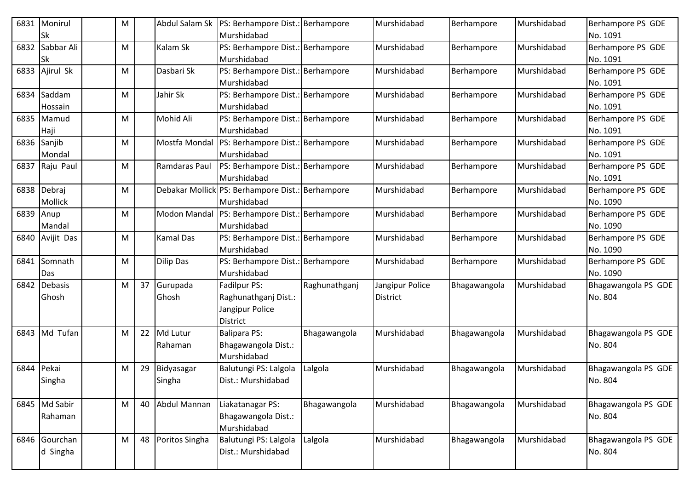| 6831 | Monirul          | M |    | Abdul Salam Sk      | PS: Berhampore Dist.: Berhampore                 |               | Murshidabad     | Berhampore   | Murshidabad | Berhampore PS GDE             |
|------|------------------|---|----|---------------------|--------------------------------------------------|---------------|-----------------|--------------|-------------|-------------------------------|
|      | Sk               |   |    |                     | Murshidabad                                      |               |                 |              |             | No. 1091                      |
| 6832 | Sabbar Ali<br>Sk | м |    | Kalam Sk            | PS: Berhampore Dist.: Berhampore<br>Murshidabad  |               | Murshidabad     | Berhampore   | Murshidabad | Berhampore PS GDE<br>No. 1091 |
| 6833 | Ajirul Sk        | M |    | Dasbari Sk          | PS: Berhampore Dist.: Berhampore                 |               | Murshidabad     | Berhampore   | Murshidabad | Berhampore PS GDE             |
|      |                  |   |    |                     | Murshidabad                                      |               |                 |              |             | No. 1091                      |
| 6834 | Saddam           | M |    | Jahir Sk            | PS: Berhampore Dist.: Berhampore                 |               | Murshidabad     | Berhampore   | Murshidabad | Berhampore PS GDE             |
|      | Hossain          |   |    |                     | Murshidabad                                      |               |                 |              |             | No. 1091                      |
| 6835 | Mamud            | M |    | Mohid Ali           | PS: Berhampore Dist.: Berhampore                 |               | Murshidabad     | Berhampore   | Murshidabad | Berhampore PS GDE             |
|      | Haji             |   |    |                     | Murshidabad                                      |               |                 |              |             | No. 1091                      |
|      | 6836 Sanjib      | M |    | Mostfa Mondal       | PS: Berhampore Dist.: Berhampore                 |               | Murshidabad     | Berhampore   | Murshidabad | Berhampore PS GDE             |
|      | Mondal           |   |    |                     | Murshidabad                                      |               |                 |              |             | No. 1091                      |
| 6837 | Raju Paul        | M |    | Ramdaras Paul       | PS: Berhampore Dist.: Berhampore                 |               | Murshidabad     | Berhampore   | Murshidabad | Berhampore PS GDE             |
|      |                  |   |    |                     | Murshidabad                                      |               |                 |              |             | No. 1091                      |
| 6838 | Debraj           | м |    |                     | Debakar Mollick PS: Berhampore Dist.: Berhampore |               | Murshidabad     | Berhampore   | Murshidabad | Berhampore PS GDE             |
|      | Mollick          |   |    |                     | Murshidabad                                      |               |                 |              |             | No. 1090                      |
| 6839 | Anup             | M |    | <b>Modon Mandal</b> | PS: Berhampore Dist.: Berhampore                 |               | Murshidabad     | Berhampore   | Murshidabad | Berhampore PS GDE             |
|      | Mandal           |   |    |                     | Murshidabad                                      |               |                 |              |             | No. 1090                      |
| 6840 | Avijit Das       | M |    | <b>Kamal Das</b>    | PS: Berhampore Dist.: Berhampore                 |               | Murshidabad     | Berhampore   | Murshidabad | Berhampore PS GDE             |
|      |                  |   |    |                     | Murshidabad                                      |               |                 |              |             | No. 1090                      |
| 6841 | Somnath          | M |    | <b>Dilip Das</b>    | PS: Berhampore Dist.: Berhampore                 |               | Murshidabad     | Berhampore   | Murshidabad | Berhampore PS GDE             |
|      | Das              |   |    |                     | Murshidabad                                      |               |                 |              |             | No. 1090                      |
| 6842 | <b>Debasis</b>   | M |    | 37 Gurupada         | Fadilpur PS:                                     | Raghunathganj | Jangipur Police | Bhagawangola | Murshidabad | Bhagawangola PS GDE           |
|      | Ghosh            |   |    | Ghosh               | Raghunathganj Dist.:                             |               | District        |              |             | No. 804                       |
|      |                  |   |    |                     | Jangipur Police                                  |               |                 |              |             |                               |
|      |                  |   |    |                     | District                                         |               |                 |              |             |                               |
| 6843 | Md Tufan         | M |    | 22 Md Lutur         | <b>Balipara PS:</b>                              | Bhagawangola  | Murshidabad     | Bhagawangola | Murshidabad | Bhagawangola PS GDE           |
|      |                  |   |    | Rahaman             | Bhagawangola Dist.:<br>Murshidabad               |               |                 |              |             | No. 804                       |
| 6844 | Pekai            | M | 29 | Bidyasagar          | Balutungi PS: Lalgola                            | Lalgola       | Murshidabad     | Bhagawangola | Murshidabad | Bhagawangola PS GDE           |
|      | Singha           |   |    | Singha              | Dist.: Murshidabad                               |               |                 |              |             | No. 804                       |
|      |                  |   |    |                     |                                                  |               |                 |              |             |                               |
|      | 6845 Md Sabir    | M |    | 40 Abdul Mannan     | Liakatanagar PS:                                 | Bhagawangola  | Murshidabad     | Bhagawangola | Murshidabad | Bhagawangola PS GDE           |
|      | Rahaman          |   |    |                     | Bhagawangola Dist.:                              |               |                 |              |             | No. 804                       |
|      |                  |   |    |                     | Murshidabad                                      |               |                 |              |             |                               |
|      | 6846 Gourchan    | M |    | 48 Poritos Singha   | Balutungi PS: Lalgola                            | Lalgola       | Murshidabad     | Bhagawangola | Murshidabad | Bhagawangola PS GDE           |
|      | d Singha         |   |    |                     | Dist.: Murshidabad                               |               |                 |              |             | No. 804                       |
|      |                  |   |    |                     |                                                  |               |                 |              |             |                               |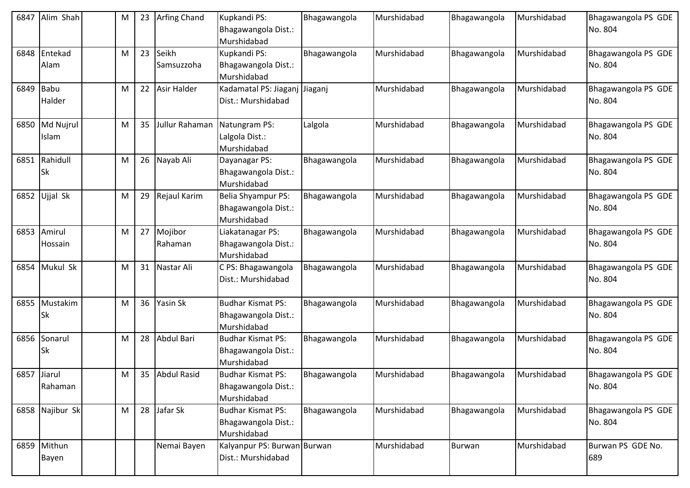| 6847        | Alim Shah               | M | 23 | <b>Arfing Chand</b> | Kupkandi PS:<br>Bhagawangola Dist.:<br>Murshidabad       | Bhagawangola | Murshidabad | Bhagawangola  | Murshidabad | Bhagawangola PS GDE<br>No. 804 |
|-------------|-------------------------|---|----|---------------------|----------------------------------------------------------|--------------|-------------|---------------|-------------|--------------------------------|
| 6848        | Entekad<br>Alam         | M | 23 | Seikh<br>Samsuzzoha | Kupkandi PS:<br>Bhagawangola Dist.:<br>Murshidabad       | Bhagawangola | Murshidabad | Bhagawangola  | Murshidabad | Bhagawangola PS GDE<br>No. 804 |
| 6849 Babu   | Halder                  | M | 22 | <b>Asir Halder</b>  | Kadamatal PS: Jiaganj Jiaganj<br>Dist.: Murshidabad      |              | Murshidabad | Bhagawangola  | Murshidabad | Bhagawangola PS GDE<br>No. 804 |
|             | 6850 Md Nujrul<br>Islam | M | 35 | Jullur Rahaman      | Natungram PS:<br>Lalgola Dist.:<br>Murshidabad           | Lalgola      | Murshidabad | Bhagawangola  | Murshidabad | Bhagawangola PS GDE<br>No. 804 |
| 6851        | Rahidull<br><b>Sk</b>   | M | 26 | Nayab Ali           | Dayanagar PS:<br>Bhagawangola Dist.:<br>Murshidabad      | Bhagawangola | Murshidabad | Bhagawangola  | Murshidabad | Bhagawangola PS GDE<br>No. 804 |
|             | 6852 Ujjal Sk           | M | 29 | Rejaul Karim        | Belia Shyampur PS:<br>Bhagawangola Dist.:<br>Murshidabad | Bhagawangola | Murshidabad | Bhagawangola  | Murshidabad | Bhagawangola PS GDE<br>No. 804 |
|             | 6853 Amirul<br>Hossain  | M | 27 | Mojibor<br>Rahaman  | Liakatanagar PS:<br>Bhagawangola Dist.:<br>Murshidabad   | Bhagawangola | Murshidabad | Bhagawangola  | Murshidabad | Bhagawangola PS GDE<br>No. 804 |
| 6854        | Mukul Sk                | M | 31 | Nastar Ali          | C PS: Bhagawangola<br>Dist.: Murshidabad                 | Bhagawangola | Murshidabad | Bhagawangola  | Murshidabad | Bhagawangola PS GDE<br>No. 804 |
| 6855        | Mustakim<br><b>Sk</b>   | M | 36 | Yasin Sk            | Budhar Kismat PS:<br>Bhagawangola Dist.:<br>Murshidabad  | Bhagawangola | Murshidabad | Bhagawangola  | Murshidabad | Bhagawangola PS GDE<br>No. 804 |
| 6856        | Sonarul<br><b>Sk</b>    | M | 28 | Abdul Bari          | Budhar Kismat PS:<br>Bhagawangola Dist.:<br>Murshidabad  | Bhagawangola | Murshidabad | Bhagawangola  | Murshidabad | Bhagawangola PS GDE<br>No. 804 |
| 6857 Jiarul | Rahaman                 | M |    | 35 Abdul Rasid      | Budhar Kismat PS:<br>Bhagawangola Dist.:<br>Murshidabad  | Bhagawangola | Murshidabad | Bhagawangola  | Murshidabad | Bhagawangola PS GDE<br>No. 804 |
|             | 6858 Najibur Sk         | M |    | 28 Jafar Sk         | Budhar Kismat PS:<br>Bhagawangola Dist.:<br>Murshidabad  | Bhagawangola | Murshidabad | Bhagawangola  | Murshidabad | Bhagawangola PS GDE<br>No. 804 |
|             | 6859 Mithun<br>Bayen    |   |    | Nemai Bayen         | Kalyanpur PS: Burwan Burwan<br>Dist.: Murshidabad        |              | Murshidabad | <b>Burwan</b> | Murshidabad | Burwan PS GDE No.<br>689       |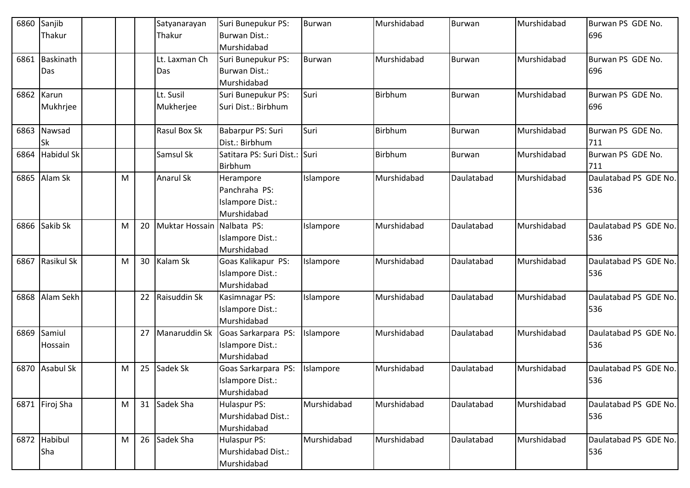| 6860 | Sanjib                  |   |    | Satyanarayan           | Suri Bunepukur PS:                                            | Burwan      | Murshidabad    | Burwan        | Murshidabad | Burwan PS GDE No.            |
|------|-------------------------|---|----|------------------------|---------------------------------------------------------------|-------------|----------------|---------------|-------------|------------------------------|
|      | Thakur                  |   |    | Thakur                 | <b>Burwan Dist.:</b><br>Murshidabad                           |             |                |               |             | 696                          |
| 6861 | <b>Baskinath</b><br>Das |   |    | Lt. Laxman Ch<br>Das   | Suri Bunepukur PS:<br><b>Burwan Dist.:</b><br>Murshidabad     | Burwan      | Murshidabad    | Burwan        | Murshidabad | Burwan PS GDE No.<br>696     |
| 6862 | Karun<br>Mukhrjee       |   |    | Lt. Susil<br>Mukherjee | Suri Bunepukur PS:<br>Suri Dist.: Birbhum                     | Suri        | <b>Birbhum</b> | <b>Burwan</b> | Murshidabad | Burwan PS GDE No.<br>696     |
| 6863 | Nawsad<br>Sk            |   |    | Rasul Box Sk           | Babarpur PS: Suri<br>Dist.: Birbhum                           | Suri        | Birbhum        | <b>Burwan</b> | Murshidabad | Burwan PS GDE No.<br>711     |
| 6864 | <b>Habidul Sk</b>       |   |    | Samsul Sk              | Satitara PS: Suri Dist.: Suri<br>Birbhum                      |             | <b>Birbhum</b> | <b>Burwan</b> | Murshidabad | Burwan PS GDE No.<br>711     |
| 6865 | Alam Sk                 | M |    | Anarul Sk              | Herampore<br>Panchraha PS:<br>Islampore Dist.:<br>Murshidabad | Islampore   | Murshidabad    | Daulatabad    | Murshidabad | Daulatabad PS GDE No.<br>536 |
| 6866 | Sakib Sk                | M | 20 | Muktar Hossain         | Nalbata PS:<br>Islampore Dist.:<br>Murshidabad                | Islampore   | Murshidabad    | Daulatabad    | Murshidabad | Daulatabad PS GDE No.<br>536 |
| 6867 | Rasikul Sk              | M | 30 | Kalam Sk               | Goas Kalikapur PS:<br>Islampore Dist.:<br>Murshidabad         | Islampore   | Murshidabad    | Daulatabad    | Murshidabad | Daulatabad PS GDE No.<br>536 |
| 6868 | Alam Sekh               |   |    | 22 Raisuddin Sk        | Kasimnagar PS:<br>Islampore Dist.:<br>Murshidabad             | Islampore   | Murshidabad    | Daulatabad    | Murshidabad | Daulatabad PS GDE No.<br>536 |
| 6869 | Samiul<br>Hossain       |   | 27 | Manaruddin Sk          | Goas Sarkarpara PS:<br>Islampore Dist.:<br>Murshidabad        | Islampore   | Murshidabad    | Daulatabad    | Murshidabad | Daulatabad PS GDE No.<br>536 |
| 6870 | <b>Asabul Sk</b>        | M |    | 25 Sadek Sk            | Goas Sarkarpara PS:<br>Islampore Dist.:<br>Murshidabad        | Islampore   | Murshidabad    | Daulatabad    | Murshidabad | Daulatabad PS GDE No.<br>536 |
|      | 6871 Firoj Sha          | M |    | 31 Sadek Sha           | <b>Hulaspur PS:</b><br>Murshidabad Dist.:<br>Murshidabad      | Murshidabad | Murshidabad    | Daulatabad    | Murshidabad | Daulatabad PS GDE No.<br>536 |
|      | 6872 Habibul<br>Sha     | M |    | 26 Sadek Sha           | <b>Hulaspur PS:</b><br>Murshidabad Dist.:<br>Murshidabad      | Murshidabad | Murshidabad    | Daulatabad    | Murshidabad | Daulatabad PS GDE No.<br>536 |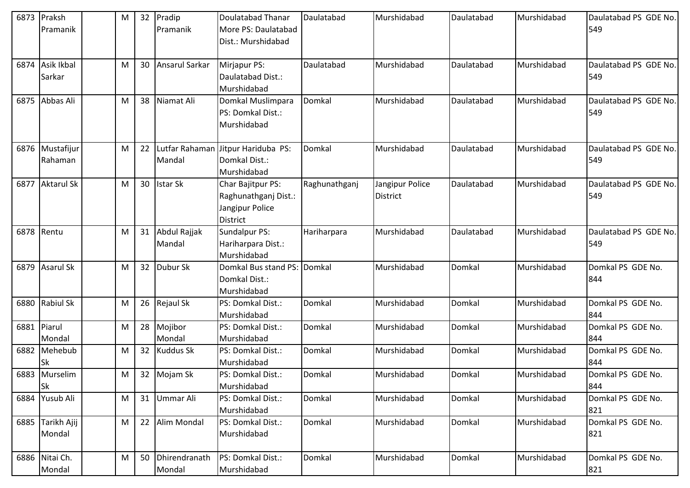|      | 6873 Praksh       | M | 32              | Pradip              | Doulatabad Thanar                  | Daulatabad    | Murshidabad     | Daulatabad | Murshidabad | Daulatabad PS GDE No. |
|------|-------------------|---|-----------------|---------------------|------------------------------------|---------------|-----------------|------------|-------------|-----------------------|
|      | Pramanik          |   |                 | Pramanik            | More PS: Daulatabad                |               |                 |            |             | 549                   |
|      |                   |   |                 |                     | Dist.: Murshidabad                 |               |                 |            |             |                       |
|      |                   |   |                 |                     |                                    |               |                 |            |             |                       |
| 6874 | Asik Ikbal        | M | 30              | Ansarul Sarkar      | Mirjapur PS:                       | Daulatabad    | Murshidabad     | Daulatabad | Murshidabad | Daulatabad PS GDE No. |
|      | Sarkar            |   |                 |                     | Daulatabad Dist.:                  |               |                 |            |             | 549                   |
|      |                   |   |                 |                     | Murshidabad                        |               |                 |            |             |                       |
|      | 6875 Abbas Ali    | M | 38              | Niamat Ali          | Domkal Muslimpara                  | Domkal        | Murshidabad     | Daulatabad | Murshidabad | Daulatabad PS GDE No. |
|      |                   |   |                 |                     | PS: Domkal Dist.:                  |               |                 |            |             | 549                   |
|      |                   |   |                 |                     | Murshidabad                        |               |                 |            |             |                       |
|      |                   |   |                 |                     |                                    |               |                 |            |             |                       |
|      | 6876 Mustafijur   | M | 22              |                     | Lutfar Rahaman Jitpur Hariduba PS: | Domkal        | Murshidabad     | Daulatabad | Murshidabad | Daulatabad PS GDE No. |
|      | Rahaman           |   |                 | Mandal              | Domkal Dist.:                      |               |                 |            |             | 549                   |
|      |                   |   |                 |                     | Murshidabad                        |               |                 |            |             |                       |
| 6877 | <b>Aktarul Sk</b> | M | 30              | <b>Istar Sk</b>     | Char Bajitpur PS:                  | Raghunathganj | Jangipur Police | Daulatabad | Murshidabad | Daulatabad PS GDE No. |
|      |                   |   |                 |                     | Raghunathganj Dist.:               |               | <b>District</b> |            |             | 549                   |
|      |                   |   |                 |                     | Jangipur Police                    |               |                 |            |             |                       |
|      |                   |   |                 |                     | <b>District</b>                    |               |                 |            |             |                       |
|      | 6878 Rentu        | M | 31              | <b>Abdul Rajjak</b> | Sundalpur PS:                      | Hariharpara   | Murshidabad     | Daulatabad | Murshidabad | Daulatabad PS GDE No. |
|      |                   |   |                 | Mandal              | Hariharpara Dist.:                 |               |                 |            |             | 549                   |
|      |                   |   |                 |                     | Murshidabad                        |               |                 |            |             |                       |
|      | 6879 Asarul Sk    | M | 32 <sup>2</sup> | Dubur Sk            | Domkal Bus stand PS: Domkal        |               | Murshidabad     | Domkal     | Murshidabad | Domkal PS GDE No.     |
|      |                   |   |                 |                     | Domkal Dist.:                      |               |                 |            |             | 844                   |
|      |                   |   |                 |                     | Murshidabad                        |               |                 |            |             |                       |
|      | 6880 Rabiul Sk    | M | 26              | Rejaul Sk           | PS: Domkal Dist.:                  | Domkal        | Murshidabad     | Domkal     | Murshidabad | Domkal PS GDE No.     |
|      |                   |   |                 |                     | Murshidabad                        |               |                 |            |             | 844                   |
|      | 6881 Piarul       | M | 28              | Mojibor             | PS: Domkal Dist.:                  | Domkal        | Murshidabad     | Domkal     | Murshidabad | Domkal PS GDE No.     |
|      | Mondal            |   |                 | Mondal              | Murshidabad                        |               |                 |            |             | 844                   |
|      | 6882 Mehebub      | M | 32 <sup>2</sup> | <b>Kuddus Sk</b>    | PS: Domkal Dist.:                  | Domkal        | Murshidabad     | Domkal     | Murshidabad | Domkal PS GDE No.     |
|      | Sk                |   |                 |                     | Murshidabad                        |               |                 |            |             | 844                   |
|      | 6883 Murselim     | M |                 | 32 Mojam Sk         | PS: Domkal Dist.:                  | Domkal        | Murshidabad     | Domkal     | Murshidabad | Domkal PS GDE No.     |
|      | <b>Sk</b>         |   |                 |                     | Murshidabad                        |               |                 |            |             | 844                   |
|      | 6884 Yusub Ali    | M | 31              | Ummar Ali           | PS: Domkal Dist.:                  | Domkal        | Murshidabad     | Domkal     | Murshidabad | Domkal PS GDE No.     |
|      |                   |   |                 |                     | Murshidabad                        |               |                 |            |             | 821                   |
|      | 6885 Tarikh Ajij  | M | 22              | Alim Mondal         | PS: Domkal Dist.:                  | Domkal        | Murshidabad     | Domkal     | Murshidabad | Domkal PS GDE No.     |
|      | Mondal            |   |                 |                     | Murshidabad                        |               |                 |            |             | 821                   |
|      |                   |   |                 |                     |                                    |               |                 |            |             |                       |
|      | 6886 Nitai Ch.    | M | 50              | Dhirendranath       | PS: Domkal Dist.:                  | Domkal        | Murshidabad     | Domkal     | Murshidabad | Domkal PS GDE No.     |
|      | Mondal            |   |                 | Mondal              | Murshidabad                        |               |                 |            |             | 821                   |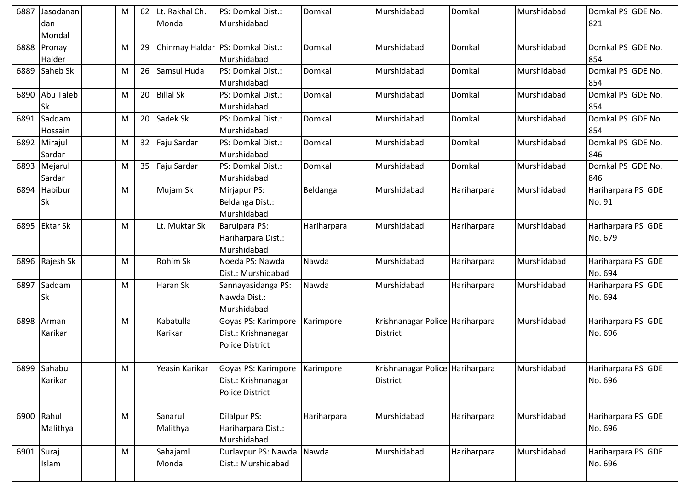| 6887                      | Jasodanan       | М | 62 | Lt. Rakhal Ch.   | PS: Domkal Dist.:      | Domkal      | Murshidabad                     | Domkal      | Murshidabad | Domkal PS GDE No.  |
|---------------------------|-----------------|---|----|------------------|------------------------|-------------|---------------------------------|-------------|-------------|--------------------|
|                           | dan             |   |    | Mondal           | Murshidabad            |             |                                 |             |             | 821                |
|                           | Mondal          |   |    |                  |                        |             |                                 |             |             |                    |
| 6888                      | Pronay          | M | 29 | Chinmay Haldar   | PS: Domkal Dist.:      | Domkal      | Murshidabad                     | Domkal      | Murshidabad | Domkal PS GDE No.  |
|                           | Halder          |   |    |                  | Murshidabad            |             |                                 |             |             | 854                |
| 6889                      | Saheb Sk        | M | 26 | Samsul Huda      | PS: Domkal Dist.:      | Domkal      | Murshidabad                     | Domkal      | Murshidabad | Domkal PS GDE No.  |
|                           |                 |   |    |                  | Murshidabad            |             |                                 |             |             | 854                |
| 6890                      | Abu Taleb       | М | 20 | <b>Billal Sk</b> | PS: Domkal Dist.:      | Domkal      | Murshidabad                     | Domkal      | Murshidabad | Domkal PS GDE No.  |
|                           | <b>Sk</b>       |   |    |                  | Murshidabad            |             |                                 |             |             | 854                |
| 6891                      | Saddam          | М | 20 | Sadek Sk         | PS: Domkal Dist.:      | Domkal      | Murshidabad                     | Domkal      | Murshidabad | Domkal PS GDE No.  |
|                           | Hossain         |   |    |                  | Murshidabad            |             |                                 |             |             | 854                |
| 6892                      | Mirajul         | M | 32 | Faju Sardar      | PS: Domkal Dist.:      | Domkal      | Murshidabad                     | Domkal      | Murshidabad | Domkal PS GDE No.  |
|                           | Sardar          |   |    |                  | Murshidabad            |             |                                 |             |             | 846                |
| 6893                      | Mejarul         | M | 35 | Faju Sardar      | PS: Domkal Dist.:      | Domkal      | Murshidabad                     | Domkal      | Murshidabad | Domkal PS GDE No.  |
|                           | Sardar          |   |    |                  | Murshidabad            |             |                                 |             |             | 846                |
| 6894                      | Habibur         | M |    | Mujam Sk         | Mirjapur PS:           | Beldanga    | Murshidabad                     | Hariharpara | Murshidabad | Hariharpara PS GDE |
|                           | <b>Sk</b>       |   |    |                  | Beldanga Dist.:        |             |                                 |             |             | No. 91             |
|                           |                 |   |    |                  | Murshidabad            |             |                                 |             |             |                    |
| 6895                      | <b>Ektar Sk</b> | М |    | Lt. Muktar Sk    | <b>Baruipara PS:</b>   | Hariharpara | Murshidabad                     | Hariharpara | Murshidabad | Hariharpara PS GDE |
|                           |                 |   |    |                  | Hariharpara Dist.:     |             |                                 |             |             | No. 679            |
|                           |                 |   |    |                  | Murshidabad            |             |                                 |             |             |                    |
| 6896                      | Rajesh Sk       | M |    | Rohim Sk         | Noeda PS: Nawda        | Nawda       | Murshidabad                     | Hariharpara | Murshidabad | Hariharpara PS GDE |
|                           |                 |   |    |                  | Dist.: Murshidabad     |             |                                 |             |             | No. 694            |
| 6897                      | Saddam          | M |    | Haran Sk         | Sannayasidanga PS:     | Nawda       | Murshidabad                     | Hariharpara | Murshidabad | Hariharpara PS GDE |
|                           | Sk              |   |    |                  | Nawda Dist.:           |             |                                 |             |             | No. 694            |
|                           |                 |   |    |                  | Murshidabad            |             |                                 |             |             |                    |
| 6898                      | Arman           | M |    | Kabatulla        | Goyas PS: Karimpore    | Karimpore   | Krishnanagar Police Hariharpara |             | Murshidabad | Hariharpara PS GDE |
|                           | Karikar         |   |    | Karikar          | Dist.: Krishnanagar    |             | <b>District</b>                 |             |             | No. 696            |
|                           |                 |   |    |                  | <b>Police District</b> |             |                                 |             |             |                    |
|                           |                 |   |    |                  |                        |             |                                 |             |             |                    |
|                           | 6899 Sahabul    | M |    | Yeasin Karikar   | Goyas PS: Karimpore    | Karimpore   | Krishnanagar Police Hariharpara |             | Murshidabad | Hariharpara PS GDE |
|                           | Karikar         |   |    |                  | Dist.: Krishnanagar    |             | <b>District</b>                 |             |             | No. 696            |
|                           |                 |   |    |                  | Police District        |             |                                 |             |             |                    |
|                           |                 |   |    |                  |                        |             |                                 |             |             |                    |
|                           | 6900 Rahul      | M |    | Sanarul          | Dilalpur PS:           | Hariharpara | Murshidabad                     | Hariharpara | Murshidabad | Hariharpara PS GDE |
|                           | Malithya        |   |    | Malithya         | Hariharpara Dist.:     |             |                                 |             |             | No. 696            |
|                           |                 |   |    |                  | Murshidabad            |             |                                 |             |             |                    |
| 6901 $\sqrt{\frac{3}{1}}$ |                 | M |    | Sahajaml         | Durlavpur PS: Nawda    | Nawda       | Murshidabad                     | Hariharpara | Murshidabad | Hariharpara PS GDE |
|                           | Islam           |   |    | Mondal           | Dist.: Murshidabad     |             |                                 |             |             | No. 696            |
|                           |                 |   |    |                  |                        |             |                                 |             |             |                    |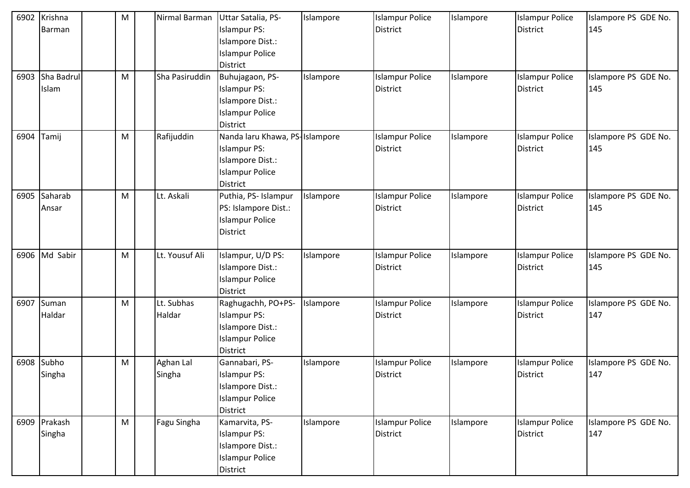| 6902 | Krishna<br>Barman      | M | Nirmal Barman        | Uttar Satalia, PS-<br><b>Islampur PS:</b><br>Islampore Dist.:<br><b>Islampur Police</b><br><b>District</b>             | Islampore | <b>Islampur Police</b><br><b>District</b> | Islampore | <b>Islampur Police</b><br><b>District</b> | Islampore PS GDE No.<br>145 |
|------|------------------------|---|----------------------|------------------------------------------------------------------------------------------------------------------------|-----------|-------------------------------------------|-----------|-------------------------------------------|-----------------------------|
| 6903 | Sha Badrul<br>Islam    | M | Sha Pasiruddin       | Buhujagaon, PS-<br><b>Islampur PS:</b><br>Islampore Dist.:<br><b>Islampur Police</b><br><b>District</b>                | Islampore | <b>Islampur Police</b><br><b>District</b> | Islampore | <b>Islampur Police</b><br><b>District</b> | Islampore PS GDE No.<br>145 |
| 6904 | Tamij                  | M | Rafijuddin           | Nanda laru Khawa, PS-Islampore<br><b>Islampur PS:</b><br>Islampore Dist.:<br><b>Islampur Police</b><br><b>District</b> |           | <b>Islampur Police</b><br>District        | Islampore | <b>Islampur Police</b><br><b>District</b> | Islampore PS GDE No.<br>145 |
| 6905 | Saharab<br>Ansar       | M | Lt. Askali           | Puthia, PS- Islampur<br>PS: Islampore Dist.:<br><b>Islampur Police</b><br><b>District</b>                              | Islampore | <b>Islampur Police</b><br>District        | Islampore | <b>Islampur Police</b><br><b>District</b> | Islampore PS GDE No.<br>145 |
|      | 6906 Md Sabir          | M | Lt. Yousuf Ali       | Islampur, U/D PS:<br>Islampore Dist.:<br><b>Islampur Police</b><br><b>District</b>                                     | Islampore | <b>Islampur Police</b><br><b>District</b> | Islampore | <b>Islampur Police</b><br><b>District</b> | Islampore PS GDE No.<br>145 |
| 6907 | Suman<br>Haldar        | M | Lt. Subhas<br>Haldar | Raghugachh, PO+PS-<br><b>Islampur PS:</b><br>Islampore Dist.:<br><b>Islampur Police</b><br><b>District</b>             | Islampore | <b>Islampur Police</b><br><b>District</b> | Islampore | <b>Islampur Police</b><br><b>District</b> | Islampore PS GDE No.<br>147 |
| 6908 | Subho<br>Singha        | M | Aghan Lal<br>Singha  | Gannabari, PS-<br><b>Islampur PS:</b><br>Islampore Dist.:<br><b>Islampur Police</b><br>District                        | Islampore | <b>Islampur Police</b><br><b>District</b> | Islampore | <b>Islampur Police</b><br><b>District</b> | Islampore PS GDE No.<br>147 |
|      | 6909 Prakash<br>Singha | M | Fagu Singha          | Kamarvita, PS-<br><b>Islampur PS:</b><br>Islampore Dist.:<br><b>Islampur Police</b><br>District                        | Islampore | <b>Islampur Police</b><br>District        | Islampore | <b>Islampur Police</b><br><b>District</b> | Islampore PS GDE No.<br>147 |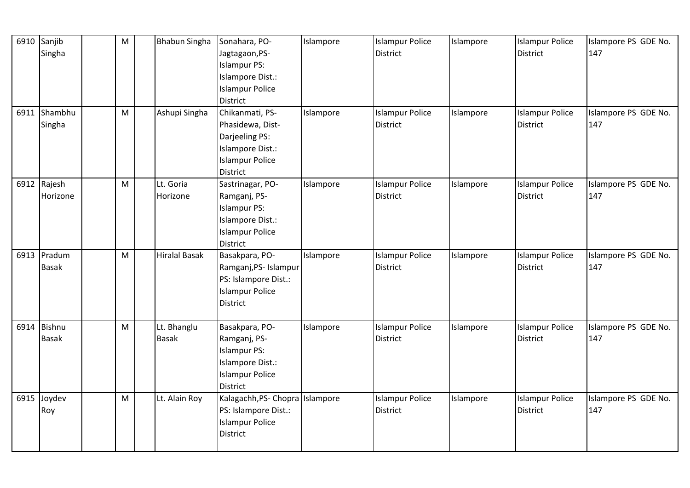| 6910 | Sanjib        | M                                                                                                          | <b>Bhabun Singha</b> | Sonahara, PO-                   | Islampore | <b>Islampur Police</b> | Islampore | <b>Islampur Police</b> | Islampore PS GDE No. |
|------|---------------|------------------------------------------------------------------------------------------------------------|----------------------|---------------------------------|-----------|------------------------|-----------|------------------------|----------------------|
|      | Singha        |                                                                                                            |                      | Jagtagaon, PS-                  |           | District               |           | <b>District</b>        | 147                  |
|      |               |                                                                                                            |                      | <b>Islampur PS:</b>             |           |                        |           |                        |                      |
|      |               |                                                                                                            |                      | Islampore Dist.:                |           |                        |           |                        |                      |
|      |               |                                                                                                            |                      | <b>Islampur Police</b>          |           |                        |           |                        |                      |
|      |               |                                                                                                            |                      | District                        |           |                        |           |                        |                      |
| 6911 | Shambhu       | M                                                                                                          | Ashupi Singha        | Chikanmati, PS-                 | Islampore | <b>Islampur Police</b> | Islampore | <b>Islampur Police</b> | Islampore PS GDE No. |
|      | Singha        |                                                                                                            |                      | Phasidewa, Dist-                |           | <b>District</b>        |           | <b>District</b>        | 147                  |
|      |               |                                                                                                            |                      | Darjeeling PS:                  |           |                        |           |                        |                      |
|      |               |                                                                                                            |                      | Islampore Dist.:                |           |                        |           |                        |                      |
|      |               |                                                                                                            |                      | <b>Islampur Police</b>          |           |                        |           |                        |                      |
|      |               |                                                                                                            |                      | District                        |           |                        |           |                        |                      |
|      | 6912 Rajesh   | M                                                                                                          | Lt. Goria            | Sastrinagar, PO-                | Islampore | <b>Islampur Police</b> | Islampore | <b>Islampur Police</b> | Islampore PS GDE No. |
|      | Horizone      |                                                                                                            | Horizone             | Ramganj, PS-                    |           | <b>District</b>        |           | <b>District</b>        | 147                  |
|      |               |                                                                                                            |                      | <b>Islampur PS:</b>             |           |                        |           |                        |                      |
|      |               |                                                                                                            |                      | Islampore Dist.:                |           |                        |           |                        |                      |
|      |               |                                                                                                            |                      | <b>Islampur Police</b>          |           |                        |           |                        |                      |
|      |               |                                                                                                            |                      | <b>District</b>                 |           |                        |           |                        |                      |
|      | 6913 Pradum   | M                                                                                                          | <b>Hiralal Basak</b> | Basakpara, PO-                  | Islampore | <b>Islampur Police</b> | Islampore | <b>Islampur Police</b> | Islampore PS GDE No. |
|      | <b>Basak</b>  |                                                                                                            |                      | Ramganj, PS- Islampur           |           | District               |           | <b>District</b>        | 147                  |
|      |               |                                                                                                            |                      | PS: Islampore Dist.:            |           |                        |           |                        |                      |
|      |               |                                                                                                            |                      | <b>Islampur Police</b>          |           |                        |           |                        |                      |
|      |               |                                                                                                            |                      | <b>District</b>                 |           |                        |           |                        |                      |
|      |               |                                                                                                            |                      |                                 |           |                        |           |                        |                      |
| 6914 | <b>Bishnu</b> | $\mathsf{M}% _{T}=\mathsf{M}_{T}\!\left( a,b\right) ,\ \mathsf{M}_{T}=\mathsf{M}_{T}\!\left( a,b\right) ,$ | Lt. Bhanglu          | Basakpara, PO-                  | Islampore | <b>Islampur Police</b> | Islampore | <b>Islampur Police</b> | Islampore PS GDE No. |
|      | <b>Basak</b>  |                                                                                                            | <b>Basak</b>         | Ramganj, PS-                    |           | <b>District</b>        |           | <b>District</b>        | 147                  |
|      |               |                                                                                                            |                      | <b>Islampur PS:</b>             |           |                        |           |                        |                      |
|      |               |                                                                                                            |                      | Islampore Dist.:                |           |                        |           |                        |                      |
|      |               |                                                                                                            |                      | <b>Islampur Police</b>          |           |                        |           |                        |                      |
|      |               |                                                                                                            |                      | <b>District</b>                 |           |                        |           |                        |                      |
|      | 6915 Joydev   | M                                                                                                          | Lt. Alain Roy        | Kalagachh, PS- Chopra Islampore |           | <b>Islampur Police</b> | Islampore | <b>Islampur Police</b> | Islampore PS GDE No. |
|      | Roy           |                                                                                                            |                      | PS: Islampore Dist.:            |           | <b>District</b>        |           | District               | 147                  |
|      |               |                                                                                                            |                      | <b>Islampur Police</b>          |           |                        |           |                        |                      |
|      |               |                                                                                                            |                      | <b>District</b>                 |           |                        |           |                        |                      |
|      |               |                                                                                                            |                      |                                 |           |                        |           |                        |                      |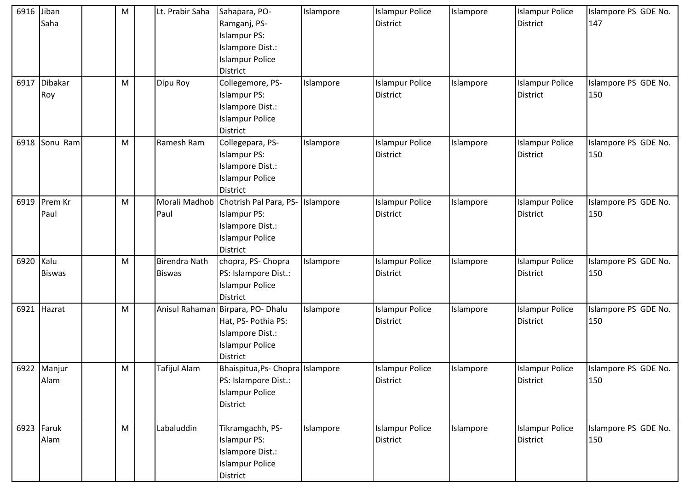| 6916 | Jiban<br>Saha         | M         | Lt. Prabir Saha                       | Sahapara, PO-<br>Ramganj, PS-<br><b>Islampur PS:</b><br>Islampore Dist.:<br><b>Islampur Police</b><br><b>District</b>     | Islampore | <b>Islampur Police</b><br><b>District</b> | Islampore | <b>Islampur Police</b><br><b>District</b> | Islampore PS GDE No.<br>147 |
|------|-----------------------|-----------|---------------------------------------|---------------------------------------------------------------------------------------------------------------------------|-----------|-------------------------------------------|-----------|-------------------------------------------|-----------------------------|
| 6917 | Dibakar<br>Roy        | ${\sf M}$ | Dipu Roy                              | Collegemore, PS-<br><b>Islampur PS:</b><br>Islampore Dist.:<br><b>Islampur Police</b><br><b>District</b>                  | Islampore | <b>Islampur Police</b><br><b>District</b> | Islampore | <b>Islampur Police</b><br><b>District</b> | Islampore PS GDE No.<br>150 |
| 6918 | Sonu Ram              | M         | Ramesh Ram                            | Collegepara, PS-<br><b>Islampur PS:</b><br>Islampore Dist.:<br><b>Islampur Police</b><br><b>District</b>                  | Islampore | <b>Islampur Police</b><br><b>District</b> | Islampore | <b>Islampur Police</b><br><b>District</b> | Islampore PS GDE No.<br>150 |
| 6919 | Prem Kr<br>Paul       | M         | Morali Madhob<br>Paul                 | Chotrish Pal Para, PS-<br><b>Islampur PS:</b><br>Islampore Dist.:<br><b>Islampur Police</b><br><b>District</b>            | Islampore | <b>Islampur Police</b><br><b>District</b> | Islampore | <b>Islampur Police</b><br><b>District</b> | Islampore PS GDE No.<br>150 |
| 6920 | Kalu<br><b>Biswas</b> | ${\sf M}$ | <b>Birendra Nath</b><br><b>Biswas</b> | chopra, PS- Chopra<br>PS: Islampore Dist.:<br><b>Islampur Police</b><br><b>District</b>                                   | Islampore | <b>Islampur Police</b><br><b>District</b> | Islampore | <b>Islampur Police</b><br><b>District</b> | Islampore PS GDE No.<br>150 |
| 6921 | Hazrat                | ${\sf M}$ |                                       | Anisul Rahaman Birpara, PO- Dhalu<br>Hat, PS- Pothia PS:<br>Islampore Dist.:<br><b>Islampur Police</b><br><b>District</b> | Islampore | <b>Islampur Police</b><br><b>District</b> | Islampore | <b>Islampur Police</b><br><b>District</b> | Islampore PS GDE No.<br>150 |
|      | 6922 Manjur<br>Alam   | M         | Tafijul Alam                          | Bhaispitua, Ps- Chopra Islampore<br>PS: Islampore Dist.:<br><b>Islampur Police</b><br><b>District</b>                     |           | <b>Islampur Police</b><br><b>District</b> | Islampore | <b>Islampur Police</b><br><b>District</b> | Islampore PS GDE No.<br>150 |
|      | 6923 Faruk<br>Alam    | M         | Labaluddin                            | Tikramgachh, PS-<br><b>Islampur PS:</b><br>Islampore Dist.:<br><b>Islampur Police</b><br>District                         | Islampore | <b>Islampur Police</b><br>District        | Islampore | <b>Islampur Police</b><br><b>District</b> | Islampore PS GDE No.<br>150 |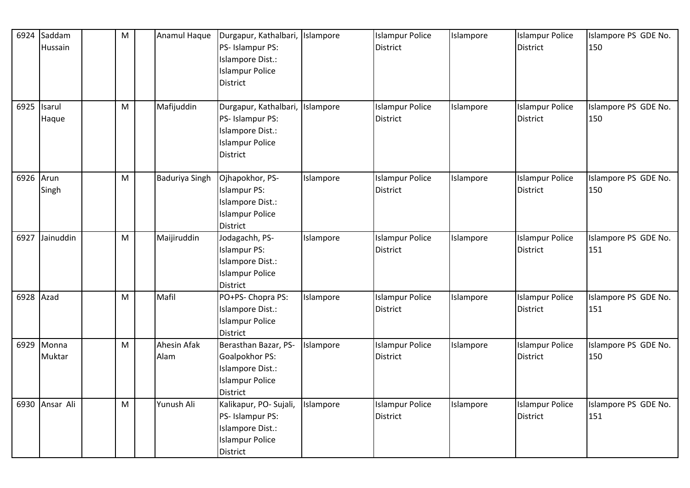| 6924      | Saddam<br>Hussain    | ${\sf M}$ | Anamul Haque        | Durgapur, Kathalbari, Islampore<br>PS- Islampur PS:<br>Islampore Dist.:<br><b>Islampur Police</b><br><b>District</b> |           | <b>Islampur Police</b><br><b>District</b> | Islampore | <b>Islampur Police</b><br><b>District</b> | Islampore PS GDE No.<br>150 |
|-----------|----------------------|-----------|---------------------|----------------------------------------------------------------------------------------------------------------------|-----------|-------------------------------------------|-----------|-------------------------------------------|-----------------------------|
|           | 6925 Isarul<br>Haque | M         | Mafijuddin          | Durgapur, Kathalbari,<br>PS- Islampur PS:<br>Islampore Dist.:<br><b>Islampur Police</b><br><b>District</b>           | Islampore | <b>Islampur Police</b><br><b>District</b> | Islampore | <b>Islampur Police</b><br><b>District</b> | Islampore PS GDE No.<br>150 |
| 6926 Arun | Singh                | M         | Baduriya Singh      | Ojhapokhor, PS-<br><b>Islampur PS:</b><br>Islampore Dist.:<br><b>Islampur Police</b><br><b>District</b>              | Islampore | <b>Islampur Police</b><br><b>District</b> | Islampore | <b>Islampur Police</b><br><b>District</b> | Islampore PS GDE No.<br>150 |
| 6927      | Jainuddin            | M         | Maijiruddin         | Jodagachh, PS-<br><b>Islampur PS:</b><br>Islampore Dist.:<br><b>Islampur Police</b><br><b>District</b>               | Islampore | <b>Islampur Police</b><br><b>District</b> | Islampore | <b>Islampur Police</b><br><b>District</b> | Islampore PS GDE No.<br>151 |
| 6928 Azad |                      | M         | Mafil               | PO+PS- Chopra PS:<br>Islampore Dist.:<br><b>Islampur Police</b><br><b>District</b>                                   | Islampore | <b>Islampur Police</b><br>District        | Islampore | <b>Islampur Police</b><br>District        | Islampore PS GDE No.<br>151 |
|           | 6929 Monna<br>Muktar | M         | Ahesin Afak<br>Alam | Berasthan Bazar, PS-<br>Goalpokhor PS:<br>Islampore Dist.:<br><b>Islampur Police</b><br><b>District</b>              | Islampore | <b>Islampur Police</b><br>District        | Islampore | <b>Islampur Police</b><br><b>District</b> | Islampore PS GDE No.<br>150 |
| 6930      | Ansar Ali            | ${\sf M}$ | Yunush Ali          | Kalikapur, PO- Sujali,<br>PS- Islampur PS:<br>Islampore Dist.:<br><b>Islampur Police</b><br>District                 | Islampore | <b>Islampur Police</b><br>District        | Islampore | <b>Islampur Police</b><br><b>District</b> | Islampore PS GDE No.<br>151 |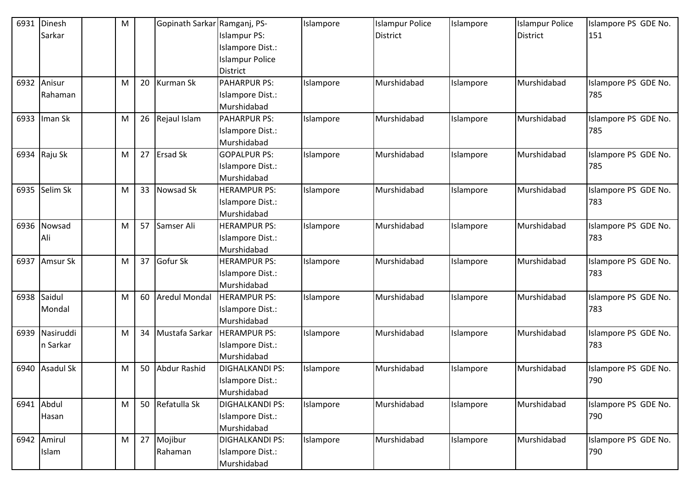| 6931 | Dinesh           | M |           | Gopinath Sarkar Ramganj, PS- |                        | Islampore | <b>Islampur Police</b> | Islampore | <b>Islampur Police</b> | Islampore PS GDE No. |
|------|------------------|---|-----------|------------------------------|------------------------|-----------|------------------------|-----------|------------------------|----------------------|
|      | Sarkar           |   |           |                              | <b>Islampur PS:</b>    |           | <b>District</b>        |           | <b>District</b>        | 151                  |
|      |                  |   |           |                              | Islampore Dist.:       |           |                        |           |                        |                      |
|      |                  |   |           |                              | <b>Islampur Police</b> |           |                        |           |                        |                      |
|      |                  |   |           |                              | <b>District</b>        |           |                        |           |                        |                      |
| 6932 | Anisur           | M | 20        | <b>Kurman Sk</b>             | <b>PAHARPUR PS:</b>    | Islampore | Murshidabad            | Islampore | Murshidabad            | Islampore PS GDE No. |
|      | Rahaman          |   |           |                              | Islampore Dist.:       |           |                        |           |                        | 785                  |
|      |                  |   |           |                              | Murshidabad            |           |                        |           |                        |                      |
| 6933 | Iman Sk          | M | 26        | Rejaul Islam                 | <b>PAHARPUR PS:</b>    | Islampore | Murshidabad            | Islampore | Murshidabad            | Islampore PS GDE No. |
|      |                  |   |           |                              | Islampore Dist.:       |           |                        |           |                        | 785                  |
|      |                  |   |           |                              | Murshidabad            |           |                        |           |                        |                      |
| 6934 | Raju Sk          | M | 27        | <b>Ersad Sk</b>              | <b>GOPALPUR PS:</b>    | Islampore | Murshidabad            | Islampore | Murshidabad            | Islampore PS GDE No. |
|      |                  |   |           |                              | Islampore Dist.:       |           |                        |           |                        | 785                  |
|      |                  |   |           |                              | Murshidabad            |           |                        |           |                        |                      |
| 6935 | Selim Sk         | M | 33        | Nowsad Sk                    | <b>HERAMPUR PS:</b>    | Islampore | Murshidabad            | Islampore | Murshidabad            | Islampore PS GDE No. |
|      |                  |   |           |                              | Islampore Dist.:       |           |                        |           |                        | 783                  |
|      |                  |   |           |                              | Murshidabad            |           |                        |           |                        |                      |
| 6936 | Nowsad           | M | 57        | Samser Ali                   | <b>HERAMPUR PS:</b>    | Islampore | Murshidabad            | Islampore | Murshidabad            | Islampore PS GDE No. |
|      | Ali              |   |           |                              | Islampore Dist.:       |           |                        |           |                        | 783                  |
|      |                  |   |           |                              | Murshidabad            |           |                        |           |                        |                      |
| 6937 | Amsur Sk         | M | 37        | Gofur Sk                     | <b>HERAMPUR PS:</b>    | Islampore | Murshidabad            | Islampore | Murshidabad            | Islampore PS GDE No. |
|      |                  |   |           |                              | Islampore Dist.:       |           |                        |           |                        | 783                  |
|      |                  |   |           |                              | Murshidabad            |           |                        |           |                        |                      |
| 6938 | Saidul           | M | 60        | <b>Aredul Mondal</b>         | <b>HERAMPUR PS:</b>    | Islampore | Murshidabad            | Islampore | Murshidabad            | Islampore PS GDE No. |
|      | Mondal           |   |           |                              | Islampore Dist.:       |           |                        |           |                        | 783                  |
|      |                  |   |           |                              | Murshidabad            |           |                        |           |                        |                      |
| 6939 | Nasiruddi        | M | 34        | Mustafa Sarkar               | <b>HERAMPUR PS:</b>    | Islampore | Murshidabad            | Islampore | Murshidabad            | Islampore PS GDE No. |
|      | n Sarkar         |   |           |                              | Islampore Dist.:       |           |                        |           |                        | 783                  |
|      |                  |   |           |                              | Murshidabad            |           |                        |           |                        |                      |
| 6940 | <b>Asadul Sk</b> | M | 50        | Abdur Rashid                 | <b>DIGHALKANDI PS:</b> | Islampore | Murshidabad            | Islampore | Murshidabad            | Islampore PS GDE No. |
|      |                  |   |           |                              | Islampore Dist.:       |           |                        |           |                        | 790                  |
|      |                  |   |           |                              | Murshidabad            |           |                        |           |                        |                      |
|      | 6941 Abdul       | M | 50        | Refatulla Sk                 | <b>DIGHALKANDI PS:</b> | Islampore | Murshidabad            | Islampore | Murshidabad            | Islampore PS GDE No. |
|      | Hasan            |   |           |                              | Islampore Dist.:       |           |                        |           |                        | 790                  |
|      |                  |   |           |                              | Murshidabad            |           |                        |           |                        |                      |
|      | 6942 Amirul      | M | $27 \mid$ | Mojibur                      | <b>DIGHALKANDI PS:</b> | Islampore | Murshidabad            | Islampore | Murshidabad            | Islampore PS GDE No. |
|      | Islam            |   |           | Rahaman                      | Islampore Dist.:       |           |                        |           |                        | 790                  |
|      |                  |   |           |                              | Murshidabad            |           |                        |           |                        |                      |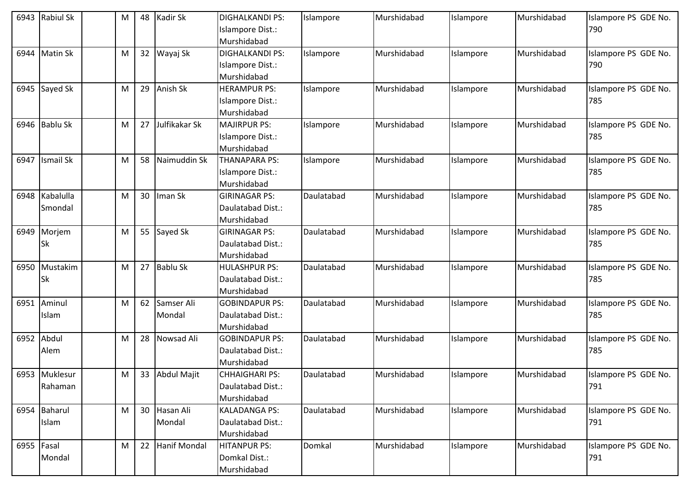| 6943       | <b>Rabiul Sk</b> | M |                 | 48 Kadir Sk     | <b>DIGHALKANDI PS:</b> | Islampore  | Murshidabad | Islampore | Murshidabad | Islampore PS GDE No. |
|------------|------------------|---|-----------------|-----------------|------------------------|------------|-------------|-----------|-------------|----------------------|
|            |                  |   |                 |                 | Islampore Dist.:       |            |             |           |             | 790                  |
|            |                  |   |                 |                 | Murshidabad            |            |             |           |             |                      |
| 6944       | <b>Matin Sk</b>  | M |                 | 32 Wayaj Sk     | <b>DIGHALKANDI PS:</b> | Islampore  | Murshidabad | Islampore | Murshidabad | Islampore PS GDE No. |
|            |                  |   |                 |                 | Islampore Dist.:       |            |             |           |             | 790                  |
|            |                  |   |                 |                 | Murshidabad            |            |             |           |             |                      |
|            | 6945 Sayed Sk    | M | 29              | Anish Sk        | <b>HERAMPUR PS:</b>    | Islampore  | Murshidabad | Islampore | Murshidabad | Islampore PS GDE No. |
|            |                  |   |                 |                 | Islampore Dist.:       |            |             |           |             | 785                  |
|            |                  |   |                 |                 | Murshidabad            |            |             |           |             |                      |
| 6946       | <b>Bablu Sk</b>  | M | 27              | Julfikakar Sk   | <b>MAJIRPUR PS:</b>    | Islampore  | Murshidabad | Islampore | Murshidabad | Islampore PS GDE No. |
|            |                  |   |                 |                 | Islampore Dist.:       |            |             |           |             | 785                  |
|            |                  |   |                 |                 | Murshidabad            |            |             |           |             |                      |
| 6947       | <b>Ismail Sk</b> | M | 58              | Naimuddin Sk    | <b>THANAPARA PS:</b>   | Islampore  | Murshidabad | Islampore | Murshidabad | Islampore PS GDE No. |
|            |                  |   |                 |                 | Islampore Dist.:       |            |             |           |             | 785                  |
|            |                  |   |                 |                 | Murshidabad            |            |             |           |             |                      |
| 6948       | Kabalulla        | M | 30 <sup>°</sup> | Iman Sk         | <b>GIRINAGAR PS:</b>   | Daulatabad | Murshidabad | Islampore | Murshidabad | Islampore PS GDE No. |
|            | Smondal          |   |                 |                 | Daulatabad Dist.:      |            |             |           |             | 785                  |
|            |                  |   |                 |                 | Murshidabad            |            |             |           |             |                      |
| 6949       | Morjem           | M |                 | 55 Sayed Sk     | <b>GIRINAGAR PS:</b>   | Daulatabad | Murshidabad | Islampore | Murshidabad | Islampore PS GDE No. |
|            | Sk               |   |                 |                 | Daulatabad Dist.:      |            |             |           |             | 785                  |
|            |                  |   |                 |                 | Murshidabad            |            |             |           |             |                      |
| 6950       | Mustakim         | M |                 | 27 Bablu Sk     | <b>HULASHPUR PS:</b>   | Daulatabad | Murshidabad | Islampore | Murshidabad | Islampore PS GDE No. |
|            | <b>Sk</b>        |   |                 |                 | Daulatabad Dist.:      |            |             |           |             | 785                  |
|            |                  |   |                 |                 | Murshidabad            |            |             |           |             |                      |
| 6951       | Aminul           | M |                 | 62 Samser Ali   | <b>GOBINDAPUR PS:</b>  | Daulatabad | Murshidabad | Islampore | Murshidabad | Islampore PS GDE No. |
|            | Islam            |   |                 | Mondal          | Daulatabad Dist.:      |            |             |           |             | 785                  |
|            |                  |   |                 |                 | Murshidabad            |            |             |           |             |                      |
| 6952       | Abdul            | M | 28              | Nowsad Ali      | <b>GOBINDAPUR PS:</b>  | Daulatabad | Murshidabad | Islampore | Murshidabad | Islampore PS GDE No. |
|            | Alem             |   |                 |                 | Daulatabad Dist.:      |            |             |           |             | 785                  |
|            |                  |   |                 |                 | Murshidabad            |            |             |           |             |                      |
|            | 6953 Muklesur    | M |                 | 33 Abdul Majit  | <b>CHHAIGHARI PS:</b>  | Daulatabad | Murshidabad | Islampore | Murshidabad | Islampore PS GDE No. |
|            | Rahaman          |   |                 |                 | Daulatabad Dist.:      |            |             |           |             | 791                  |
|            |                  |   |                 |                 | Murshidabad            |            |             |           |             |                      |
|            | 6954 Baharul     | M |                 | 30 Hasan Ali    | <b>KALADANGA PS:</b>   | Daulatabad | Murshidabad | Islampore | Murshidabad | Islampore PS GDE No. |
|            | Islam            |   |                 | Mondal          | Daulatabad Dist.:      |            |             |           |             | 791                  |
|            |                  |   |                 |                 | Murshidabad            |            |             |           |             |                      |
| 6955 Fasal |                  | M |                 | 22 Hanif Mondal | <b>HITANPUR PS:</b>    | Domkal     | Murshidabad | Islampore | Murshidabad | Islampore PS GDE No. |
|            | Mondal           |   |                 |                 | Domkal Dist.:          |            |             |           |             | 791                  |
|            |                  |   |                 |                 | Murshidabad            |            |             |           |             |                      |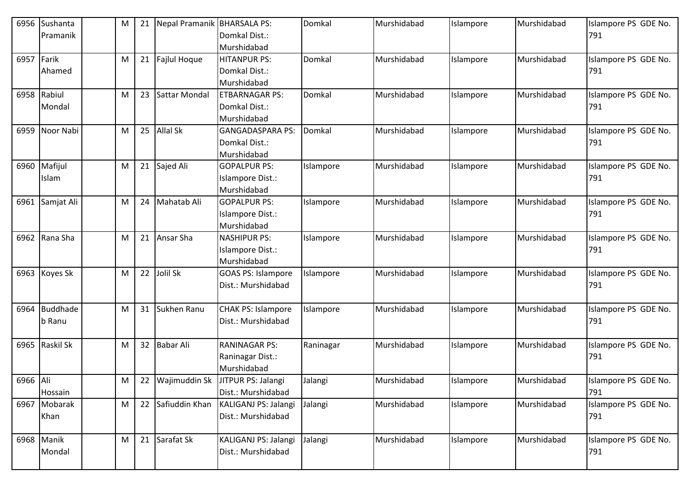| 6956     | Sushanta        | M | 21              | Nepal Pramanik BHARSALA PS: |                           | Domkal    | Murshidabad | Islampore | Murshidabad | Islampore PS GDE No. |
|----------|-----------------|---|-----------------|-----------------------------|---------------------------|-----------|-------------|-----------|-------------|----------------------|
|          | Pramanik        |   |                 |                             | Domkal Dist.:             |           |             |           |             | 791                  |
|          |                 |   |                 |                             | Murshidabad               |           |             |           |             |                      |
| 6957     | Farik           | M | 21              | Fajlul Hoque                | HITANPUR PS:              | Domkal    | Murshidabad | Islampore | Murshidabad | Islampore PS GDE No. |
|          | Ahamed          |   |                 |                             | Domkal Dist.:             |           |             |           |             | 791                  |
|          |                 |   |                 |                             | Murshidabad               |           |             |           |             |                      |
| 6958     | Rabiul          | M | 23              | Sattar Mondal               | <b>ETBARNAGAR PS:</b>     | Domkal    | Murshidabad | Islampore | Murshidabad | Islampore PS GDE No. |
|          | Mondal          |   |                 |                             | Domkal Dist.:             |           |             |           |             | 791                  |
|          |                 |   |                 |                             | Murshidabad               |           |             |           |             |                      |
| 6959     | Noor Nabi       | M | 25              | <b>Allal Sk</b>             | <b>GANGADASPARA PS:</b>   | Domkal    | Murshidabad | Islampore | Murshidabad | Islampore PS GDE No. |
|          |                 |   |                 |                             | Domkal Dist.:             |           |             |           |             | 791                  |
|          |                 |   |                 |                             | Murshidabad               |           |             |           |             |                      |
| 6960     | Mafijul         | M |                 | 21 Sajed Ali                | <b>GOPALPUR PS:</b>       | Islampore | Murshidabad | Islampore | Murshidabad | Islampore PS GDE No. |
|          | Islam           |   |                 |                             | Islampore Dist.:          |           |             |           |             | 791                  |
|          |                 |   |                 |                             | Murshidabad               |           |             |           |             |                      |
| 6961     | Samjat Ali      | M | 24              | Mahatab Ali                 | <b>GOPALPUR PS:</b>       | Islampore | Murshidabad | Islampore | Murshidabad | Islampore PS GDE No. |
|          |                 |   |                 |                             | Islampore Dist.:          |           |             |           |             | 791                  |
|          |                 |   |                 |                             | Murshidabad               |           |             |           |             |                      |
| 6962     | Rana Sha        | M | 21              | Ansar Sha                   | <b>NASHIPUR PS:</b>       | Islampore | Murshidabad | Islampore | Murshidabad | Islampore PS GDE No. |
|          |                 |   |                 |                             | Islampore Dist.:          |           |             |           |             | 791                  |
|          |                 |   |                 |                             | Murshidabad               |           |             |           |             |                      |
| 6963     | Koyes Sk        | M | 22              | Jolil Sk                    | <b>GOAS PS: Islampore</b> | Islampore | Murshidabad | Islampore | Murshidabad | Islampore PS GDE No. |
|          |                 |   |                 |                             | Dist.: Murshidabad        |           |             |           |             | 791                  |
|          |                 |   |                 |                             |                           |           |             |           |             |                      |
| 6964     | <b>Buddhade</b> | M |                 | 31 Sukhen Ranu              | <b>CHAK PS: Islampore</b> | Islampore | Murshidabad | Islampore | Murshidabad | Islampore PS GDE No. |
|          | b Ranu          |   |                 |                             | Dist.: Murshidabad        |           |             |           |             | 791                  |
|          |                 |   |                 |                             |                           |           |             |           |             |                      |
| 6965     | Raskil Sk       | M | 32 <sup>2</sup> | <b>Babar Ali</b>            | <b>RANINAGAR PS:</b>      | Raninagar | Murshidabad | Islampore | Murshidabad | Islampore PS GDE No. |
|          |                 |   |                 |                             | Raninagar Dist.:          |           |             |           |             | 791                  |
|          |                 |   |                 |                             | Murshidabad               |           |             |           |             |                      |
| 6966 Ali |                 | M | 22              | Wajimuddin Sk               | JITPUR PS: Jalangi        | Jalangi   | Murshidabad | Islampore | Murshidabad | Islampore PS GDE No. |
|          | Hossain         |   |                 |                             | Dist.: Murshidabad        |           |             |           |             | 791                  |
|          | 6967 Mobarak    | M |                 | 22 Safiuddin Khan           | KALIGANJ PS: Jalangi      | Jalangi   | Murshidabad | Islampore | Murshidabad | Islampore PS GDE No. |
|          | Khan            |   |                 |                             | Dist.: Murshidabad        |           |             |           |             | 791                  |
|          |                 |   |                 |                             |                           |           |             |           |             |                      |
|          | 6968 Manik      | M |                 | 21 Sarafat Sk               | KALIGANJ PS: Jalangi      | Jalangi   | Murshidabad | Islampore | Murshidabad | Islampore PS GDE No. |
|          | Mondal          |   |                 |                             | Dist.: Murshidabad        |           |             |           |             | 791                  |
|          |                 |   |                 |                             |                           |           |             |           |             |                      |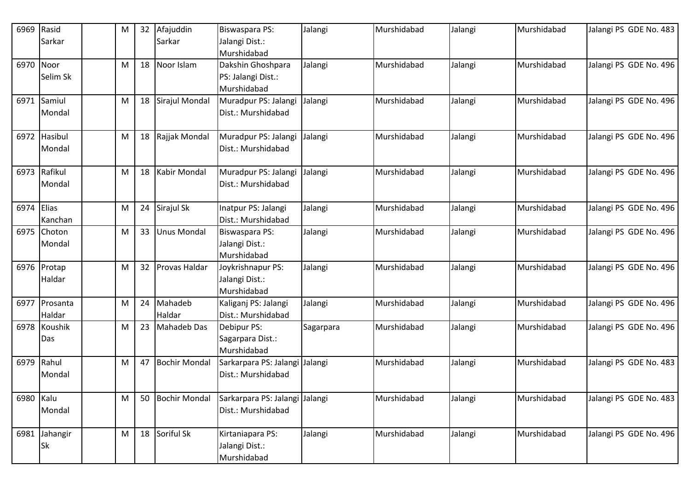| 6969       | Rasid         | M | 32 | Afajuddin            | <b>Biswaspara PS:</b>         | Jalangi   | Murshidabad | Jalangi | Murshidabad | Jalangi PS GDE No. 483 |
|------------|---------------|---|----|----------------------|-------------------------------|-----------|-------------|---------|-------------|------------------------|
|            | Sarkar        |   |    | Sarkar               | Jalangi Dist.:                |           |             |         |             |                        |
|            |               |   |    |                      | Murshidabad                   |           |             |         |             |                        |
| 6970 Noor  |               | M | 18 | Noor Islam           | Dakshin Ghoshpara             | Jalangi   | Murshidabad | Jalangi | Murshidabad | Jalangi PS GDE No. 496 |
|            | Selim Sk      |   |    |                      | PS: Jalangi Dist.:            |           |             |         |             |                        |
|            |               |   |    |                      | Murshidabad                   |           |             |         |             |                        |
|            | 6971 Samiul   | M | 18 | Sirajul Mondal       | Muradpur PS: Jalangi          | Jalangi   | Murshidabad | Jalangi | Murshidabad | Jalangi PS GDE No. 496 |
|            | Mondal        |   |    |                      | Dist.: Murshidabad            |           |             |         |             |                        |
|            |               |   |    |                      |                               |           |             |         |             |                        |
|            | 6972 Hasibul  | M | 18 | Rajjak Mondal        | Muradpur PS: Jalangi          | Jalangi   | Murshidabad | Jalangi | Murshidabad | Jalangi PS GDE No. 496 |
|            | <b>Mondal</b> |   |    |                      | Dist.: Murshidabad            |           |             |         |             |                        |
|            |               |   |    |                      |                               |           |             |         |             |                        |
|            | 6973 Rafikul  | M | 18 | Kabir Mondal         | Muradpur PS: Jalangi          | Jalangi   | Murshidabad | Jalangi | Murshidabad | Jalangi PS GDE No. 496 |
|            | Mondal        |   |    |                      | Dist.: Murshidabad            |           |             |         |             |                        |
|            |               |   |    |                      |                               |           |             |         |             |                        |
| 6974 Elias |               | M | 24 | Sirajul Sk           | Inatpur PS: Jalangi           | Jalangi   | Murshidabad | Jalangi | Murshidabad | Jalangi PS GDE No. 496 |
|            | Kanchan       |   |    |                      | Dist.: Murshidabad            |           |             |         |             |                        |
|            | 6975 Choton   | M | 33 | <b>Unus Mondal</b>   | <b>Biswaspara PS:</b>         | Jalangi   | Murshidabad | Jalangi | Murshidabad | Jalangi PS GDE No. 496 |
|            | Mondal        |   |    |                      | Jalangi Dist.:                |           |             |         |             |                        |
|            |               |   |    |                      | Murshidabad                   |           |             |         |             |                        |
|            | 6976 Protap   | M | 32 | <b>Provas Haldar</b> | Joykrishnapur PS:             | Jalangi   | Murshidabad | Jalangi | Murshidabad | Jalangi PS GDE No. 496 |
|            | Haldar        |   |    |                      | Jalangi Dist.:<br>Murshidabad |           |             |         |             |                        |
|            | 6977 Prosanta | M | 24 | Mahadeb              | Kaliganj PS: Jalangi          | Jalangi   | Murshidabad | Jalangi | Murshidabad | Jalangi PS GDE No. 496 |
|            | Haldar        |   |    | Haldar               | Dist.: Murshidabad            |           |             |         |             |                        |
|            | 6978 Koushik  | M | 23 | Mahadeb Das          | Debipur PS:                   | Sagarpara | Murshidabad | Jalangi | Murshidabad | Jalangi PS GDE No. 496 |
|            | Das           |   |    |                      | Sagarpara Dist.:              |           |             |         |             |                        |
|            |               |   |    |                      | Murshidabad                   |           |             |         |             |                        |
|            | 6979 Rahul    | M | 47 | <b>Bochir Mondal</b> | Sarkarpara PS: Jalangi        | Jalangi   | Murshidabad | Jalangi | Murshidabad | Jalangi PS GDE No. 483 |
|            | <b>Mondal</b> |   |    |                      | Dist.: Murshidabad            |           |             |         |             |                        |
|            |               |   |    |                      |                               |           |             |         |             |                        |
| 6980 Kalu  |               | M | 50 | <b>Bochir Mondal</b> | Sarkarpara PS: Jalangi        | Jalangi   | Murshidabad | Jalangi | Murshidabad | Jalangi PS GDE No. 483 |
|            | Mondal        |   |    |                      | Dist.: Murshidabad            |           |             |         |             |                        |
|            |               |   |    |                      |                               |           |             |         |             |                        |
|            | 6981 Jahangir | M |    | 18 Soriful Sk        | Kirtaniapara PS:              | Jalangi   | Murshidabad | Jalangi | Murshidabad | Jalangi PS GDE No. 496 |
|            | <b>Sk</b>     |   |    |                      | Jalangi Dist.:                |           |             |         |             |                        |
|            |               |   |    |                      | Murshidabad                   |           |             |         |             |                        |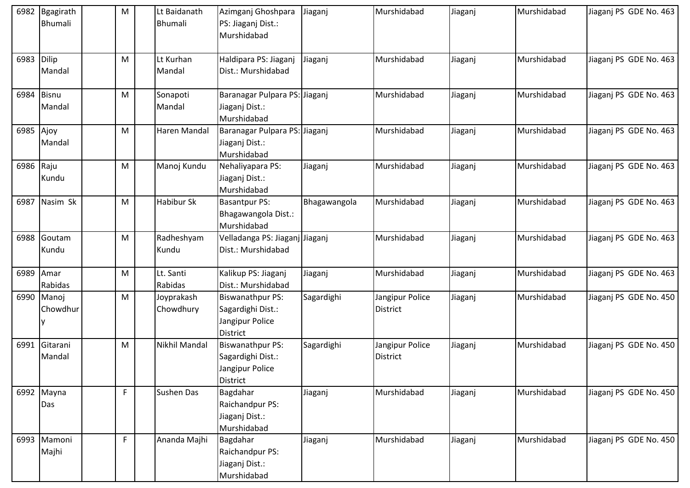| 6982       | Bgagirath<br><b>Bhumali</b> | M  | Lt Baidanath<br>Bhumali | Azimganj Ghoshpara<br>PS: Jiaganj Dist.:<br>Murshidabad                            | Jiaganj      | Murshidabad                        | Jiaganj | Murshidabad | Jiaganj PS GDE No. 463 |
|------------|-----------------------------|----|-------------------------|------------------------------------------------------------------------------------|--------------|------------------------------------|---------|-------------|------------------------|
| 6983 Dilip | Mandal                      | M  | Lt Kurhan<br>Mandal     | Haldipara PS: Jiaganj<br>Dist.: Murshidabad                                        | Jiaganj      | Murshidabad                        | Jiaganj | Murshidabad | Jiaganj PS GDE No. 463 |
| 6984       | <b>Bisnu</b><br>Mandal      | M  | Sonapoti<br>Mandal      | Baranagar Pulpara PS: Jiaganj<br>Jiaganj Dist.:<br>Murshidabad                     |              | Murshidabad                        | Jiaganj | Murshidabad | Jiaganj PS GDE No. 463 |
| 6985 Ajoy  | Mandal                      | M  | Haren Mandal            | Baranagar Pulpara PS: Jiaganj<br>Jiaganj Dist.:<br>Murshidabad                     |              | Murshidabad                        | Jiaganj | Murshidabad | Jiaganj PS GDE No. 463 |
| 6986 Raju  | Kundu                       | M  | Manoj Kundu             | Nehaliyapara PS:<br>Jiaganj Dist.:<br>Murshidabad                                  | Jiaganj      | Murshidabad                        | Jiaganj | Murshidabad | Jiaganj PS GDE No. 463 |
| 6987       | Nasim Sk                    | M  | Habibur Sk              | <b>Basantpur PS:</b><br>Bhagawangola Dist.:<br>Murshidabad                         | Bhagawangola | Murshidabad                        | Jiaganj | Murshidabad | Jiaganj PS GDE No. 463 |
|            | 6988 Goutam<br>Kundu        | M  | Radheshyam<br>Kundu     | Velladanga PS: Jiaganj Jiaganj<br>Dist.: Murshidabad                               |              | Murshidabad                        | Jiaganj | Murshidabad | Jiaganj PS GDE No. 463 |
| 6989       | Amar<br>Rabidas             | M  | Lt. Santi<br>Rabidas    | Kalikup PS: Jiaganj<br>Dist.: Murshidabad                                          | Jiaganj      | Murshidabad                        | Jiaganj | Murshidabad | Jiaganj PS GDE No. 463 |
| 6990       | Manoj<br>Chowdhur           | M  | Joyprakash<br>Chowdhury | <b>Biswanathpur PS:</b><br>Sagardighi Dist.:<br>Jangipur Police<br><b>District</b> | Sagardighi   | Jangipur Police<br><b>District</b> | Jiaganj | Murshidabad | Jiaganj PS GDE No. 450 |
| 6991       | Gitarani<br>Mandal          | M  | Nikhil Mandal           | <b>Biswanathpur PS:</b><br>Sagardighi Dist.:<br>Jangipur Police<br>District        | Sagardighi   | Jangipur Police<br>District        | Jiaganj | Murshidabad | Jiaganj PS GDE No. 450 |
|            | 6992 Mayna<br>Das           | F. | <b>Sushen Das</b>       | Bagdahar<br>Raichandpur PS:<br>Jiaganj Dist.:<br>Murshidabad                       | Jiaganj      | Murshidabad                        | Jiaganj | Murshidabad | Jiaganj PS GDE No. 450 |
|            | 6993 Mamoni<br>Majhi        | F  | Ananda Majhi            | Bagdahar<br>Raichandpur PS:<br>Jiaganj Dist.:<br>Murshidabad                       | Jiaganj      | Murshidabad                        | Jiaganj | Murshidabad | Jiaganj PS GDE No. 450 |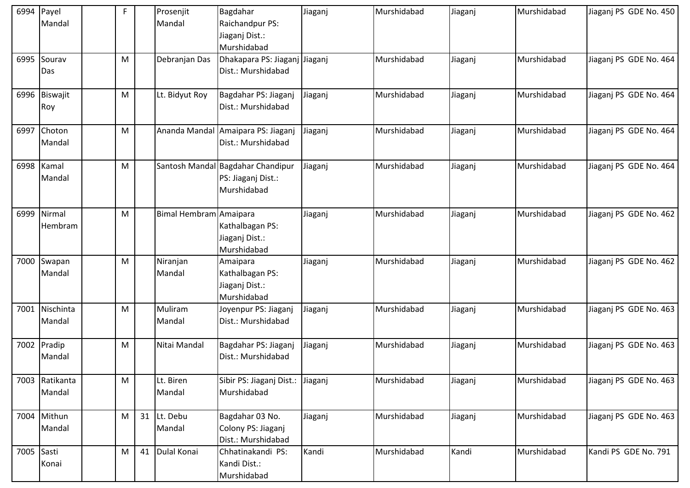| 6994       | Payel<br>Mandal          | F | Prosenjit<br>Mandal    | Bagdahar<br>Raichandpur PS:<br>Jiaganj Dist.:                          | Jiaganj | Murshidabad | Jiaganj | Murshidabad | Jiaganj PS GDE No. 450 |
|------------|--------------------------|---|------------------------|------------------------------------------------------------------------|---------|-------------|---------|-------------|------------------------|
| 6995       | Sourav<br>Das            | M | Debranjan Das          | Murshidabad<br>Dhakapara PS: Jiaganj Jiaganj<br>Dist.: Murshidabad     |         | Murshidabad | Jiaganj | Murshidabad | Jiaganj PS GDE No. 464 |
| 6996       | Biswajit                 | M | Lt. Bidyut Roy         | Bagdahar PS: Jiaganj                                                   | Jiaganj | Murshidabad | Jiaganj | Murshidabad | Jiaganj PS GDE No. 464 |
|            | Roy                      |   |                        | Dist.: Murshidabad                                                     |         |             |         |             |                        |
|            | 6997 Choton<br>Mandal    | M | Ananda Mandal          | Amaipara PS: Jiaganj<br>Dist.: Murshidabad                             | Jiaganj | Murshidabad | Jiaganj | Murshidabad | Jiaganj PS GDE No. 464 |
| 6998       | Kamal<br>Mandal          | M |                        | Santosh Mandal Bagdahar Chandipur<br>PS: Jiaganj Dist.:<br>Murshidabad | Jiaganj | Murshidabad | Jiaganj | Murshidabad | Jiaganj PS GDE No. 464 |
| 6999       | Nirmal<br>Hembram        | M | Bimal Hembram Amaipara | Kathalbagan PS:<br>Jiaganj Dist.:<br>Murshidabad                       | Jiaganj | Murshidabad | Jiaganj | Murshidabad | Jiaganj PS GDE No. 462 |
| 7000       | Swapan<br>Mandal         | M | Niranjan<br>Mandal     | Amaipara<br>Kathalbagan PS:<br>Jiaganj Dist.:<br>Murshidabad           | Jiaganj | Murshidabad | Jiaganj | Murshidabad | Jiaganj PS GDE No. 462 |
|            | 7001 Nischinta<br>Mandal | M | Muliram<br>Mandal      | Joyenpur PS: Jiaganj<br>Dist.: Murshidabad                             | Jiaganj | Murshidabad | Jiaganj | Murshidabad | Jiaganj PS GDE No. 463 |
| 7002       | Pradip<br>Mandal         | M | Nitai Mandal           | Bagdahar PS: Jiaganj<br>Dist.: Murshidabad                             | Jiaganj | Murshidabad | Jiaganj | Murshidabad | Jiaganj PS GDE No. 463 |
| 7003       | Ratikanta<br>Mandal      | M | Lt. Biren<br>Mandal    | Sibir PS: Jiaganj Dist.:<br>Murshidabad                                | Jiaganj | Murshidabad | Jiaganj | Murshidabad | Jiaganj PS GDE No. 463 |
|            | 7004 Mithun<br>Mandal    | M | 31 Lt. Debu<br>Mandal  | Bagdahar 03 No.<br>Colony PS: Jiaganj<br>Dist.: Murshidabad            | Jiaganj | Murshidabad | Jiaganj | Murshidabad | Jiaganj PS GDE No. 463 |
| 7005 Sasti | Konai                    | M | 41 Dulal Konai         | Chhatinakandi PS:<br>Kandi Dist.:<br>Murshidabad                       | Kandi   | Murshidabad | Kandi   | Murshidabad | Kandi PS GDE No. 791   |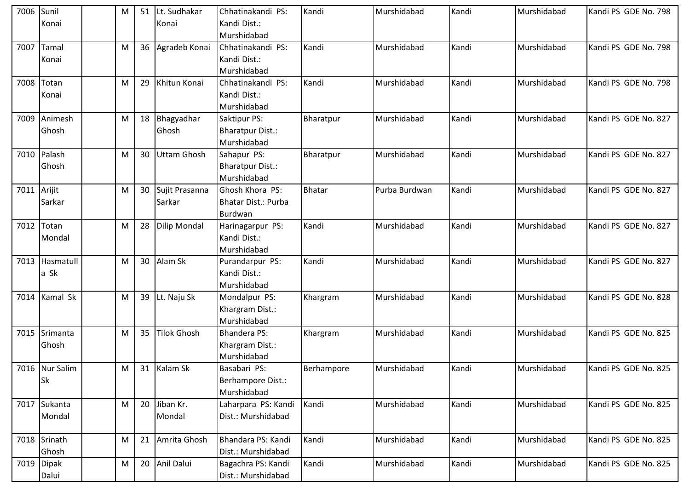| 7006 | Sunil          | M | 51 | Lt. Sudhakar        | Chhatinakandi PS:          | Kandi         | Murshidabad   | Kandi | Murshidabad | Kandi PS GDE No. 798 |
|------|----------------|---|----|---------------------|----------------------------|---------------|---------------|-------|-------------|----------------------|
|      | Konai          |   |    | Konai               | Kandi Dist.:               |               |               |       |             |                      |
|      |                |   |    |                     | Murshidabad                |               |               |       |             |                      |
| 7007 | Tamal          | M |    | 36 Agradeb Konai    | Chhatinakandi PS:          | Kandi         | Murshidabad   | Kandi | Murshidabad | Kandi PS GDE No. 798 |
|      | Konai          |   |    |                     | Kandi Dist.:               |               |               |       |             |                      |
|      |                |   |    |                     | Murshidabad                |               |               |       |             |                      |
| 7008 | Totan          | M | 29 | Khitun Konai        | Chhatinakandi PS:          | Kandi         | Murshidabad   | Kandi | Murshidabad | Kandi PS GDE No. 798 |
|      | Konai          |   |    |                     | Kandi Dist.:               |               |               |       |             |                      |
|      |                |   |    |                     | Murshidabad                |               |               |       |             |                      |
| 7009 | Animesh        | M |    | 18 Bhagyadhar       | Saktipur PS:               | Bharatpur     | Murshidabad   | Kandi | Murshidabad | Kandi PS GDE No. 827 |
|      | Ghosh          |   |    | Ghosh               | <b>Bharatpur Dist.:</b>    |               |               |       |             |                      |
|      |                |   |    |                     | Murshidabad                |               |               |       |             |                      |
| 7010 | Palash         | M | 30 | Uttam Ghosh         | Sahapur PS:                | Bharatpur     | Murshidabad   | Kandi | Murshidabad | Kandi PS GDE No. 827 |
|      | Ghosh          |   |    |                     | <b>Bharatpur Dist.:</b>    |               |               |       |             |                      |
|      |                |   |    |                     | Murshidabad                |               |               |       |             |                      |
| 7011 | Arijit         | M |    | 30 Sujit Prasanna   | Ghosh Khora PS:            | <b>Bhatar</b> | Purba Burdwan | Kandi | Murshidabad | Kandi PS GDE No. 827 |
|      | Sarkar         |   |    | Sarkar              | <b>Bhatar Dist.: Purba</b> |               |               |       |             |                      |
|      |                |   |    |                     | Burdwan                    |               |               |       |             |                      |
| 7012 | Totan          | M | 28 | <b>Dilip Mondal</b> | Harinagarpur PS:           | Kandi         | Murshidabad   | Kandi | Murshidabad | Kandi PS GDE No. 827 |
|      | Mondal         |   |    |                     | Kandi Dist.:               |               |               |       |             |                      |
|      |                |   |    |                     | Murshidabad                |               |               |       |             |                      |
| 7013 | Hasmatull      | M |    | 30 Alam Sk          | Purandarpur PS:            | Kandi         | Murshidabad   | Kandi | Murshidabad | Kandi PS GDE No. 827 |
|      | a Sk           |   |    |                     | Kandi Dist.:               |               |               |       |             |                      |
|      |                |   |    |                     | Murshidabad                |               |               |       |             |                      |
| 7014 | Kamal Sk       | M |    | 39 Lt. Naju Sk      | Mondalpur PS:              | Khargram      | Murshidabad   | Kandi | Murshidabad | Kandi PS GDE No. 828 |
|      |                |   |    |                     | Khargram Dist.:            |               |               |       |             |                      |
|      |                |   |    |                     | Murshidabad                |               |               |       |             |                      |
| 7015 | Srimanta       | M | 35 | <b>Tilok Ghosh</b>  | <b>Bhandera PS:</b>        | Khargram      | Murshidabad   | Kandi | Murshidabad | Kandi PS GDE No. 825 |
|      | Ghosh          |   |    |                     | Khargram Dist.:            |               |               |       |             |                      |
|      |                |   |    |                     | Murshidabad                |               |               |       |             |                      |
|      | 7016 Nur Salim | M |    | 31 Kalam Sk         | Basabari PS:               | Berhampore    | Murshidabad   | Kandi | Murshidabad | Kandi PS GDE No. 825 |
|      | <b>Sk</b>      |   |    |                     | Berhampore Dist.:          |               |               |       |             |                      |
|      |                |   |    |                     | Murshidabad                |               |               |       |             |                      |
|      | 7017 Sukanta   | M |    | 20 Jiban Kr.        | Laharpara PS: Kandi        | Kandi         | Murshidabad   | Kandi | Murshidabad | Kandi PS GDE No. 825 |
|      | Mondal         |   |    | Mondal              | Dist.: Murshidabad         |               |               |       |             |                      |
|      |                |   |    |                     |                            |               |               |       |             |                      |
|      | 7018 Srinath   | M | 21 | Amrita Ghosh        | Bhandara PS: Kandi         | Kandi         | Murshidabad   | Kandi | Murshidabad | Kandi PS GDE No. 825 |
|      | Ghosh          |   |    |                     | Dist.: Murshidabad         |               |               |       |             |                      |
| 7019 | <b>Dipak</b>   | M |    | 20 Anil Dalui       | Bagachra PS: Kandi         | Kandi         | Murshidabad   | Kandi | Murshidabad | Kandi PS GDE No. 825 |
|      | Dalui          |   |    |                     | Dist.: Murshidabad         |               |               |       |             |                      |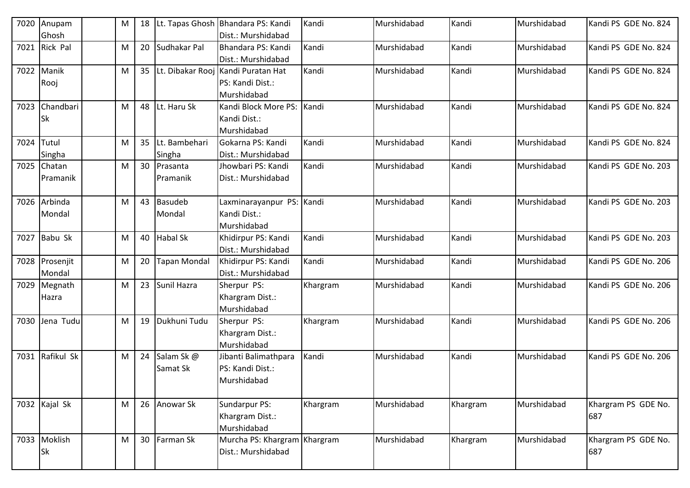| 7020 | Anupam         | M |    |                     | 18 Lt. Tapas Ghosh Bhandara PS: Kandi | Kandi    | Murshidabad | Kandi    | Murshidabad | Kandi PS GDE No. 824 |
|------|----------------|---|----|---------------------|---------------------------------------|----------|-------------|----------|-------------|----------------------|
|      | Ghosh          |   |    |                     | Dist.: Murshidabad                    |          |             |          |             |                      |
| 7021 | Rick Pal       | M |    | 20 Sudhakar Pal     | Bhandara PS: Kandi                    | Kandi    | Murshidabad | Kandi    | Murshidabad | Kandi PS GDE No. 824 |
|      |                |   |    |                     | Dist.: Murshidabad                    |          |             |          |             |                      |
| 7022 | Manik          | M |    |                     | 35 Lt. Dibakar Rooj Kandi Puratan Hat | Kandi    | Murshidabad | Kandi    | Murshidabad | Kandi PS GDE No. 824 |
|      | Rooj           |   |    |                     | PS: Kandi Dist.:                      |          |             |          |             |                      |
|      |                |   |    |                     | Murshidabad                           |          |             |          |             |                      |
| 7023 | Chandbari      | M | 48 | Lt. Haru Sk         | Kandi Block More PS: Kandi            |          | Murshidabad | Kandi    | Murshidabad | Kandi PS GDE No. 824 |
|      | Sk             |   |    |                     | Kandi Dist.:                          |          |             |          |             |                      |
|      |                |   |    |                     | Murshidabad                           |          |             |          |             |                      |
| 7024 | Tutul          | M |    | 35 Lt. Bambehari    | Gokarna PS: Kandi                     | Kandi    | Murshidabad | Kandi    | Murshidabad | Kandi PS GDE No. 824 |
|      | Singha         |   |    | Singha              | Dist.: Murshidabad                    |          |             |          |             |                      |
| 7025 | Chatan         | M |    | 30 Prasanta         | Jhowbari PS: Kandi                    | Kandi    | Murshidabad | Kandi    | Murshidabad | Kandi PS GDE No. 203 |
|      | Pramanik       |   |    | Pramanik            | Dist.: Murshidabad                    |          |             |          |             |                      |
|      |                |   |    |                     |                                       |          |             |          |             |                      |
| 7026 | Arbinda        | M |    | 43 Basudeb          | Laxminarayanpur PS: Kandi             |          | Murshidabad | Kandi    | Murshidabad | Kandi PS GDE No. 203 |
|      | Mondal         |   |    | Mondal              | Kandi Dist.:                          |          |             |          |             |                      |
|      |                |   |    |                     | Murshidabad                           |          |             |          |             |                      |
| 7027 | Babu Sk        | M |    | 40 Habal Sk         | Khidirpur PS: Kandi                   | Kandi    | Murshidabad | Kandi    | Murshidabad | Kandi PS GDE No. 203 |
|      |                |   |    |                     | Dist.: Murshidabad                    |          |             |          |             |                      |
|      | 7028 Prosenjit | M | 20 | <b>Tapan Mondal</b> | Khidirpur PS: Kandi                   | Kandi    | Murshidabad | Kandi    | Murshidabad | Kandi PS GDE No. 206 |
|      | Mondal         |   |    |                     | Dist.: Murshidabad                    |          |             |          |             |                      |
| 7029 | Megnath        | M |    | 23 Sunil Hazra      | Sherpur PS:                           | Khargram | Murshidabad | Kandi    | Murshidabad | Kandi PS GDE No. 206 |
|      | Hazra          |   |    |                     | Khargram Dist.:                       |          |             |          |             |                      |
|      |                |   |    |                     | Murshidabad                           |          |             |          |             |                      |
| 7030 | Jena Tudu      | M | 19 | Dukhuni Tudu        | Sherpur PS:                           | Khargram | Murshidabad | Kandi    | Murshidabad | Kandi PS GDE No. 206 |
|      |                |   |    |                     | Khargram Dist.:                       |          |             |          |             |                      |
|      |                |   |    |                     | Murshidabad                           |          |             |          |             |                      |
| 7031 | Rafikul Sk     | M |    | 24 Salam Sk @       | Jibanti Balimathpara                  | Kandi    | Murshidabad | Kandi    | Murshidabad | Kandi PS GDE No. 206 |
|      |                |   |    | Samat Sk            | PS: Kandi Dist.:                      |          |             |          |             |                      |
|      |                |   |    |                     | Murshidabad                           |          |             |          |             |                      |
|      |                |   |    |                     |                                       |          |             |          |             |                      |
|      | 7032 Kajal Sk  | M |    | 26 Anowar Sk        | Sundarpur PS:                         | Khargram | Murshidabad | Khargram | Murshidabad | Khargram PS GDE No.  |
|      |                |   |    |                     | Khargram Dist.:                       |          |             |          |             | 687                  |
|      |                |   |    |                     | Murshidabad                           |          |             |          |             |                      |
|      | 7033 Moklish   | M |    | 30 Farman Sk        | Murcha PS: Khargram Khargram          |          | Murshidabad | Khargram | Murshidabad | Khargram PS GDE No.  |
|      | Sk             |   |    |                     | Dist.: Murshidabad                    |          |             |          |             | 687                  |
|      |                |   |    |                     |                                       |          |             |          |             |                      |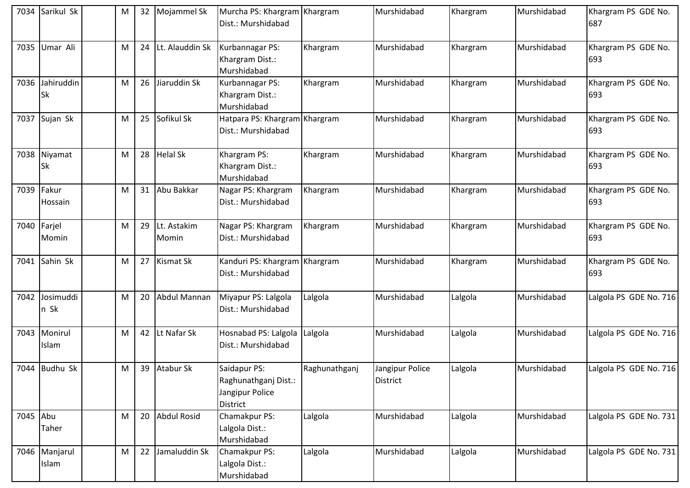| 7034        | Sarikul Sk                   | м | 32              | Mojammel Sk          | Murcha PS: Khargram Khargram<br>Dist.: Murshidabad                         |               | Murshidabad                        | Khargram | Murshidabad | Khargram PS GDE No.<br>687 |
|-------------|------------------------------|---|-----------------|----------------------|----------------------------------------------------------------------------|---------------|------------------------------------|----------|-------------|----------------------------|
| 7035        | Umar Ali                     | M |                 | 24 Lt. Alauddin Sk   | Kurbannagar PS:<br>Khargram Dist.:<br>Murshidabad                          | Khargram      | Murshidabad                        | Khargram | Murshidabad | Khargram PS GDE No.<br>693 |
|             | 7036 Jahiruddin<br><b>Sk</b> | M | 26              | Jiaruddin Sk         | Kurbannagar PS:<br>Khargram Dist.:<br>Murshidabad                          | Khargram      | Murshidabad                        | Khargram | Murshidabad | Khargram PS GDE No.<br>693 |
|             | 7037 Sujan Sk                | м | 25              | Sofikul Sk           | Hatpara PS: Khargram Khargram<br>Dist.: Murshidabad                        |               | Murshidabad                        | Khargram | Murshidabad | Khargram PS GDE No.<br>693 |
|             | 7038 Niyamat<br>Sk           | M |                 | 28 Helal Sk          | Khargram PS:<br>Khargram Dist.:<br>Murshidabad                             | Khargram      | Murshidabad                        | Khargram | Murshidabad | Khargram PS GDE No.<br>693 |
| 7039 Fakur  | Hossain                      | M | 31              | Abu Bakkar           | Nagar PS: Khargram<br>Dist.: Murshidabad                                   | Khargram      | Murshidabad                        | Khargram | Murshidabad | Khargram PS GDE No.<br>693 |
| 7040 Farjel | Momin                        | M | 29              | Lt. Astakim<br>Momin | Nagar PS: Khargram<br>Dist.: Murshidabad                                   | Khargram      | Murshidabad                        | Khargram | Murshidabad | Khargram PS GDE No.<br>693 |
|             | 7041 Sahin Sk                | м | 27              | Kismat Sk            | Kanduri PS: Khargram Khargram<br>Dist.: Murshidabad                        |               | Murshidabad                        | Khargram | Murshidabad | Khargram PS GDE No.<br>693 |
|             | 7042 Josimuddi<br>n Sk       | м | 20 <sub>2</sub> | <b>Abdul Mannan</b>  | Miyapur PS: Lalgola<br>Dist.: Murshidabad                                  | Lalgola       | Murshidabad                        | Lalgola  | Murshidabad | Lalgola PS GDE No. 716     |
| 7043        | Monirul<br>Islam             | M | 42              | Lt Nafar Sk          | Hosnabad PS: Lalgola<br>Dist.: Murshidabad                                 | Lalgola       | Murshidabad                        | Lalgola  | Murshidabad | Lalgola PS GDE No. 716     |
|             | 7044 Budhu Sk                | м |                 | 39 Atabur Sk         | Saidapur PS:<br>Raghunathganj Dist.:<br>Jangipur Police<br><b>District</b> | Raghunathganj | Jangipur Police<br><b>District</b> | Lalgola  | Murshidabad | Lalgola PS GDE No. 716     |
| 7045 Abu    | Taher                        | M |                 | 20 Abdul Rosid       | Chamakpur PS:<br>Lalgola Dist.:<br>Murshidabad                             | Lalgola       | Murshidabad                        | Lalgola  | Murshidabad | Lalgola PS GDE No. 731     |
|             | 7046 Manjarul<br>Islam       | м | 22              | Jamaluddin Sk        | Chamakpur PS:<br>Lalgola Dist.:<br>Murshidabad                             | Lalgola       | Murshidabad                        | Lalgola  | Murshidabad | Lalgola PS GDE No. 731     |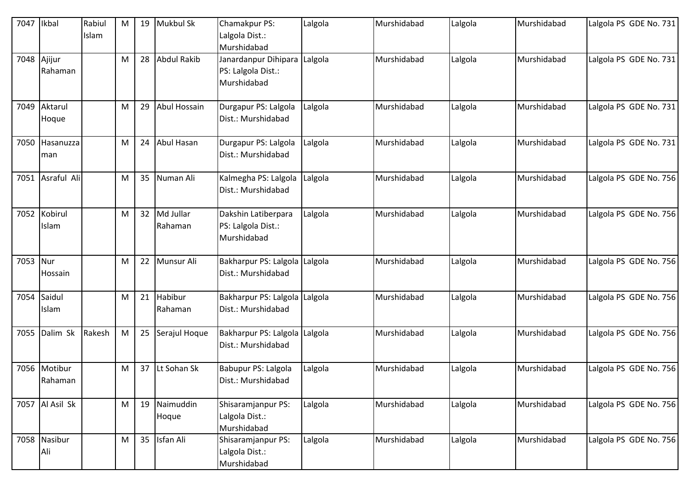| 7047        | Ikbal                   | Rabiul<br>Islam | M | 19 | Mukbul Sk               | Chamakpur PS:<br>Lalgola Dist.:<br>Murshidabad                    | Lalgola | Murshidabad | Lalgola | Murshidabad | Lalgola PS GDE No. 731 |
|-------------|-------------------------|-----------------|---|----|-------------------------|-------------------------------------------------------------------|---------|-------------|---------|-------------|------------------------|
| 7048 Ajijur | Rahaman                 |                 | M | 28 | <b>Abdul Rakib</b>      | Janardanpur Dihipara Lalgola<br>PS: Lalgola Dist.:<br>Murshidabad |         | Murshidabad | Lalgola | Murshidabad | Lalgola PS GDE No. 731 |
| 7049        | Aktarul<br>Hoque        |                 | M | 29 | Abul Hossain            | Durgapur PS: Lalgola<br>Dist.: Murshidabad                        | Lalgola | Murshidabad | Lalgola | Murshidabad | Lalgola PS GDE No. 731 |
|             | 7050 Hasanuzza<br>man   |                 | M | 24 | Abul Hasan              | Durgapur PS: Lalgola<br>Dist.: Murshidabad                        | Lalgola | Murshidabad | Lalgola | Murshidabad | Lalgola PS GDE No. 731 |
|             | 7051 Asraful Ali        |                 | M | 35 | Numan Ali               | Kalmegha PS: Lalgola<br>Dist.: Murshidabad                        | Lalgola | Murshidabad | Lalgola | Murshidabad | Lalgola PS GDE No. 756 |
| 7052        | Kobirul<br>Islam        |                 | M |    | 32 Md Jullar<br>Rahaman | Dakshin Latiberpara<br>PS: Lalgola Dist.:<br>Murshidabad          | Lalgola | Murshidabad | Lalgola | Murshidabad | Lalgola PS GDE No. 756 |
| 7053 Nur    | Hossain                 |                 | M | 22 | Munsur Ali              | Bakharpur PS: Lalgola Lalgola<br>Dist.: Murshidabad               |         | Murshidabad | Lalgola | Murshidabad | Lalgola PS GDE No. 756 |
|             | 7054 Saidul<br>Islam    |                 | M | 21 | Habibur<br>Rahaman      | Bakharpur PS: Lalgola Lalgola<br>Dist.: Murshidabad               |         | Murshidabad | Lalgola | Murshidabad | Lalgola PS GDE No. 756 |
| 7055        | Dalim Sk                | Rakesh          | M | 25 | Serajul Hoque           | Bakharpur PS: Lalgola Lalgola<br>Dist.: Murshidabad               |         | Murshidabad | Lalgola | Murshidabad | Lalgola PS GDE No. 756 |
|             | 7056 Motibur<br>Rahaman |                 | M | 37 | Lt Sohan Sk             | Babupur PS: Lalgola<br>Dist.: Murshidabad                         | Lalgola | Murshidabad | Lalgola | Murshidabad | Lalgola PS GDE No. 756 |
|             | 7057 Al Asil Sk         |                 | M |    | 19 Naimuddin<br>Hoque   | Shisaramjanpur PS:<br>Lalgola Dist.:<br>Murshidabad               | Lalgola | Murshidabad | Lalgola | Murshidabad | Lalgola PS GDE No. 756 |
|             | 7058 Nasibur<br>Ali     |                 | M |    | 35 Isfan Ali            | Shisaramjanpur PS:<br>Lalgola Dist.:<br>Murshidabad               | Lalgola | Murshidabad | Lalgola | Murshidabad | Lalgola PS GDE No. 756 |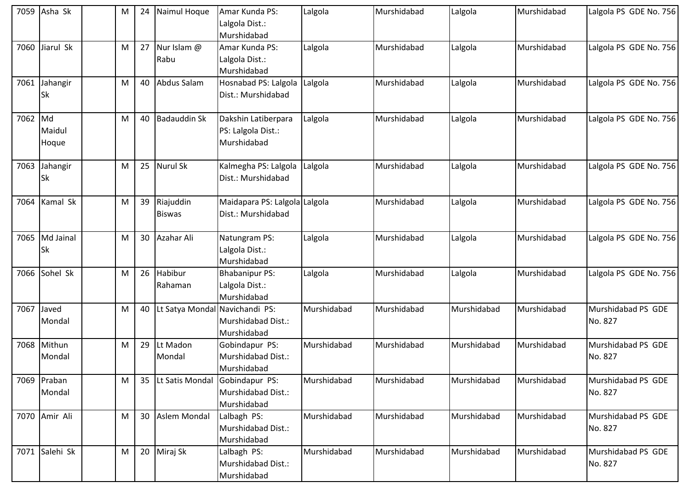|            | 7059 Asha Sk          | M | 24   | Naimul Hoque                          | Amar Kunda PS:<br>Lalgola Dist.:<br>Murshidabad          | Lalgola     | Murshidabad | Lalgola     | Murshidabad | Lalgola PS GDE No. 756        |
|------------|-----------------------|---|------|---------------------------------------|----------------------------------------------------------|-------------|-------------|-------------|-------------|-------------------------------|
| 7060       | Jiarul Sk             | M |      | 27 Nur Islam @<br>Rabu                | Amar Kunda PS:<br>Lalgola Dist.:<br>Murshidabad          | Lalgola     | Murshidabad | Lalgola     | Murshidabad | Lalgola PS GDE No. 756        |
|            | 7061 Jahangir<br>Sk   | M |      | 40 Abdus Salam                        | Hosnabad PS: Lalgola<br>Dist.: Murshidabad               | Lalgola     | Murshidabad | Lalgola     | Murshidabad | Lalgola PS GDE No. 756        |
| 7062 Md    | Maidul<br>Hoque       | M |      | 40 Badauddin Sk                       | Dakshin Latiberpara<br>PS: Lalgola Dist.:<br>Murshidabad | Lalgola     | Murshidabad | Lalgola     | Murshidabad | Lalgola PS GDE No. 756        |
| 7063       | Jahangir<br>Sk        | M |      | 25 Nurul Sk                           | Kalmegha PS: Lalgola<br>Dist.: Murshidabad               | Lalgola     | Murshidabad | Lalgola     | Murshidabad | Lalgola PS GDE No. 756        |
| 7064       | Kamal Sk              | M | 39   | Riajuddin<br><b>Biswas</b>            | Maidapara PS: Lalgola Lalgola<br>Dist.: Murshidabad      |             | Murshidabad | Lalgola     | Murshidabad | Lalgola PS GDE No. 756        |
| 7065       | Md Jainal<br>Sk       | M |      | 30 Azahar Ali                         | Natungram PS:<br>Lalgola Dist.:<br>Murshidabad           | Lalgola     | Murshidabad | Lalgola     | Murshidabad | Lalgola PS GDE No. 756        |
| 7066       | Sohel Sk              | M | 26   | Habibur<br>Rahaman                    | <b>Bhabanipur PS:</b><br>Lalgola Dist.:<br>Murshidabad   | Lalgola     | Murshidabad | Lalgola     | Murshidabad | Lalgola PS GDE No. 756        |
| 7067 Javed | Mondal                | M | $40$ | Lt Satya Mondal Navichandi PS:        | Murshidabad Dist.:<br>Murshidabad                        | Murshidabad | Murshidabad | Murshidabad | Murshidabad | Murshidabad PS GDE<br>No. 827 |
|            | 7068 Mithun<br>Mondal | M | 29   | Lt Madon<br>Mondal                    | Gobindapur PS:<br>Murshidabad Dist.:<br>Murshidabad      | Murshidabad | Murshidabad | Murshidabad | Murshidabad | Murshidabad PS GDE<br>No. 827 |
|            | 7069 Praban<br>Mondal | M |      | 35   Lt Satis Mondal   Gobindapur PS: | Murshidabad Dist.:<br>Murshidabad                        | Murshidabad | Murshidabad | Murshidabad | Murshidabad | Murshidabad PS GDE<br>No. 827 |
|            | 7070 Amir Ali         | M |      | 30 Aslem Mondal                       | Lalbagh PS:<br>Murshidabad Dist.:<br>Murshidabad         | Murshidabad | Murshidabad | Murshidabad | Murshidabad | Murshidabad PS GDE<br>No. 827 |
|            | 7071 Salehi Sk        | M |      | 20 Miraj Sk                           | Lalbagh PS:<br>Murshidabad Dist.:<br>Murshidabad         | Murshidabad | Murshidabad | Murshidabad | Murshidabad | Murshidabad PS GDE<br>No. 827 |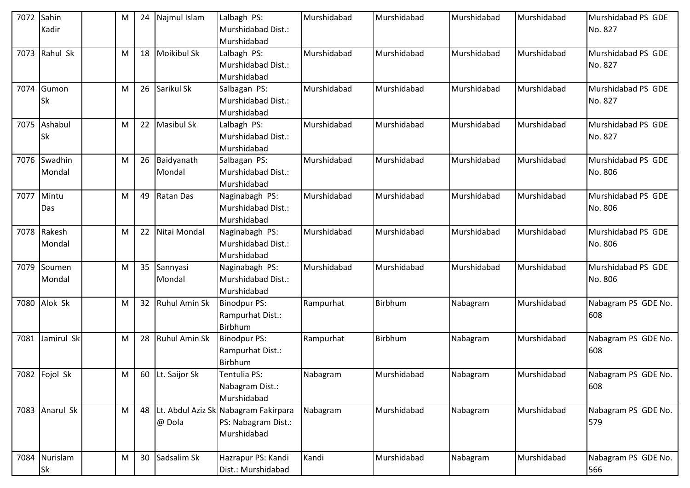| 7072 | Sahin<br>Kadir      | M | 24 | Najmul Islam          | Lalbagh PS:<br>Murshidabad Dist.:<br>Murshidabad                              | Murshidabad | Murshidabad | Murshidabad | Murshidabad | Murshidabad PS GDE<br>No. 827 |
|------|---------------------|---|----|-----------------------|-------------------------------------------------------------------------------|-------------|-------------|-------------|-------------|-------------------------------|
| 7073 | Rahul Sk            | M | 18 | <b>Moikibul Sk</b>    | Lalbagh PS:<br>Murshidabad Dist.:<br>Murshidabad                              | Murshidabad | Murshidabad | Murshidabad | Murshidabad | Murshidabad PS GDE<br>No. 827 |
| 7074 | Gumon<br>Sk         | M | 26 | Sarikul Sk            | Salbagan PS:<br>Murshidabad Dist.:<br>Murshidabad                             | Murshidabad | Murshidabad | Murshidabad | Murshidabad | Murshidabad PS GDE<br>No. 827 |
| 7075 | Ashabul<br>Sk       | M | 22 | <b>Masibul Sk</b>     | Lalbagh PS:<br>Murshidabad Dist.:<br>Murshidabad                              | Murshidabad | Murshidabad | Murshidabad | Murshidabad | Murshidabad PS GDE<br>No. 827 |
| 7076 | Swadhin<br>Mondal   | M | 26 | Baidyanath<br>Mondal  | Salbagan PS:<br>Murshidabad Dist.:<br>Murshidabad                             | Murshidabad | Murshidabad | Murshidabad | Murshidabad | Murshidabad PS GDE<br>No. 806 |
| 7077 | Mintu<br>Das        | M |    | 49 Ratan Das          | Naginabagh PS:<br>Murshidabad Dist.:<br>Murshidabad                           | Murshidabad | Murshidabad | Murshidabad | Murshidabad | Murshidabad PS GDE<br>No. 806 |
| 7078 | Rakesh<br>Mondal    | M | 22 | Nitai Mondal          | Naginabagh PS:<br>Murshidabad Dist.:<br>Murshidabad                           | Murshidabad | Murshidabad | Murshidabad | Murshidabad | Murshidabad PS GDE<br>No. 806 |
| 7079 | Soumen<br>Mondal    | M |    | 35 Sannyasi<br>Mondal | Naginabagh PS:<br>Murshidabad Dist.:<br>Murshidabad                           | Murshidabad | Murshidabad | Murshidabad | Murshidabad | Murshidabad PS GDE<br>No. 806 |
| 7080 | Alok Sk             | M |    | 32 Ruhul Amin Sk      | <b>Binodpur PS:</b><br>Rampurhat Dist.:<br>Birbhum                            | Rampurhat   | Birbhum     | Nabagram    | Murshidabad | Nabagram PS GDE No.<br>608    |
| 7081 | Jamirul Sk          | M |    | 28 Ruhul Amin Sk      | <b>Binodpur PS:</b><br>Rampurhat Dist.:<br>Birbhum                            | Rampurhat   | Birbhum     | Nabagram    | Murshidabad | Nabagram PS GDE No.<br>608    |
|      | 7082 Fojol Sk       | M |    | 60 Lt. Saijor Sk      | Tentulia PS:<br>Nabagram Dist.:<br>Murshidabad                                | Nabagram    | Murshidabad | Nabagram    | Murshidabad | Nabagram PS GDE No.<br>608    |
|      | 7083 Anarul Sk      | M |    | @ Dola                | 48 Lt. Abdul Aziz Sk Nabagram Fakirpara<br>PS: Nabagram Dist.:<br>Murshidabad | Nabagram    | Murshidabad | Nabagram    | Murshidabad | Nabagram PS GDE No.<br>579    |
|      | 7084 Nurislam<br>Sk | M |    | 30 Sadsalim Sk        | Hazrapur PS: Kandi<br>Dist.: Murshidabad                                      | Kandi       | Murshidabad | Nabagram    | Murshidabad | Nabagram PS GDE No.<br>566    |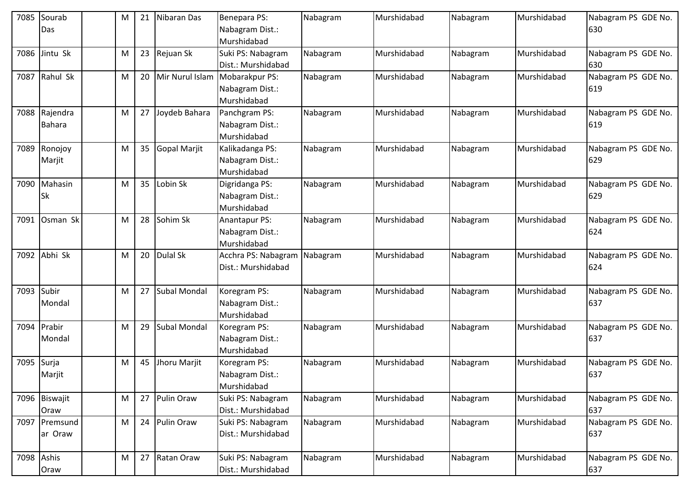|            | 7085 Sourab   | M | 21 | Nibaran Das         | Benepara PS:        | Nabagram | Murshidabad | Nabagram | Murshidabad | Nabagram PS GDE No. |
|------------|---------------|---|----|---------------------|---------------------|----------|-------------|----------|-------------|---------------------|
|            | Das           |   |    |                     | Nabagram Dist.:     |          |             |          |             | 630                 |
|            |               |   |    |                     | Murshidabad         |          |             |          |             |                     |
|            | 7086 Jintu Sk | M | 23 | Rejuan Sk           | Suki PS: Nabagram   | Nabagram | Murshidabad | Nabagram | Murshidabad | Nabagram PS GDE No. |
|            |               |   |    |                     | Dist.: Murshidabad  |          |             |          |             | 630                 |
| 7087       | Rahul Sk      | M | 20 | Mir Nurul Islam     | Mobarakpur PS:      | Nabagram | Murshidabad | Nabagram | Murshidabad | Nabagram PS GDE No. |
|            |               |   |    |                     | Nabagram Dist.:     |          |             |          |             | 619                 |
|            |               |   |    |                     | Murshidabad         |          |             |          |             |                     |
|            | 7088 Rajendra | M | 27 | Joydeb Bahara       | Panchgram PS:       | Nabagram | Murshidabad | Nabagram | Murshidabad | Nabagram PS GDE No. |
|            | <b>Bahara</b> |   |    |                     | Nabagram Dist.:     |          |             |          |             | 619                 |
|            |               |   |    |                     | Murshidabad         |          |             |          |             |                     |
|            | 7089 Ronojoy  | M | 35 | <b>Gopal Marjit</b> | Kalikadanga PS:     | Nabagram | Murshidabad | Nabagram | Murshidabad | Nabagram PS GDE No. |
|            | Marjit        |   |    |                     | Nabagram Dist.:     |          |             |          |             | 629                 |
|            |               |   |    |                     | Murshidabad         |          |             |          |             |                     |
|            | 7090 Mahasin  | M | 35 | Lobin Sk            | Digridanga PS:      | Nabagram | Murshidabad | Nabagram | Murshidabad | Nabagram PS GDE No. |
|            | <b>Sk</b>     |   |    |                     | Nabagram Dist.:     |          |             |          |             | 629                 |
|            |               |   |    |                     | Murshidabad         |          |             |          |             |                     |
| 7091       | Osman Sk      | M | 28 | Sohim Sk            | Anantapur PS:       | Nabagram | Murshidabad | Nabagram | Murshidabad | Nabagram PS GDE No. |
|            |               |   |    |                     | Nabagram Dist.:     |          |             |          |             | 624                 |
|            |               |   |    |                     | Murshidabad         |          |             |          |             |                     |
|            | 7092 Abhi Sk  | M | 20 | <b>Dulal Sk</b>     | Acchra PS: Nabagram | Nabagram | Murshidabad | Nabagram | Murshidabad | Nabagram PS GDE No. |
|            |               |   |    |                     | Dist.: Murshidabad  |          |             |          |             | 624                 |
|            |               |   |    |                     |                     |          |             |          |             |                     |
| 7093 Subir |               | M | 27 | <b>Subal Mondal</b> | Koregram PS:        | Nabagram | Murshidabad | Nabagram | Murshidabad | Nabagram PS GDE No. |
|            | Mondal        |   |    |                     | Nabagram Dist.:     |          |             |          |             | 637                 |
|            |               |   |    |                     | Murshidabad         |          |             |          |             |                     |
|            | 7094 Prabir   | M | 29 | <b>Subal Mondal</b> | Koregram PS:        | Nabagram | Murshidabad | Nabagram | Murshidabad | Nabagram PS GDE No. |
|            | Mondal        |   |    |                     | Nabagram Dist.:     |          |             |          |             | 637                 |
|            |               |   |    |                     | Murshidabad         |          |             |          |             |                     |
| 7095 Surja |               | M | 45 | Jhoru Marjit        | Koregram PS:        | Nabagram | Murshidabad | Nabagram | Murshidabad | Nabagram PS GDE No. |
|            | Marjit        |   |    |                     | Nabagram Dist.:     |          |             |          |             | 637                 |
|            |               |   |    |                     | Murshidabad         |          |             |          |             |                     |
|            | 7096 Biswajit | M | 27 | Pulin Oraw          | Suki PS: Nabagram   | Nabagram | Murshidabad | Nabagram | Murshidabad | Nabagram PS GDE No. |
|            | Oraw          |   |    |                     | Dist.: Murshidabad  |          |             |          |             | 637                 |
|            | 7097 Premsund | M | 24 | Pulin Oraw          | Suki PS: Nabagram   | Nabagram | Murshidabad | Nabagram | Murshidabad | Nabagram PS GDE No. |
|            | ar Oraw       |   |    |                     | Dist.: Murshidabad  |          |             |          |             | 637                 |
|            |               |   |    |                     |                     |          |             |          |             |                     |
|            | 7098 Ashis    | M | 27 | Ratan Oraw          | Suki PS: Nabagram   | Nabagram | Murshidabad | Nabagram | Murshidabad | Nabagram PS GDE No. |
|            | Oraw          |   |    |                     | Dist.: Murshidabad  |          |             |          |             | 637                 |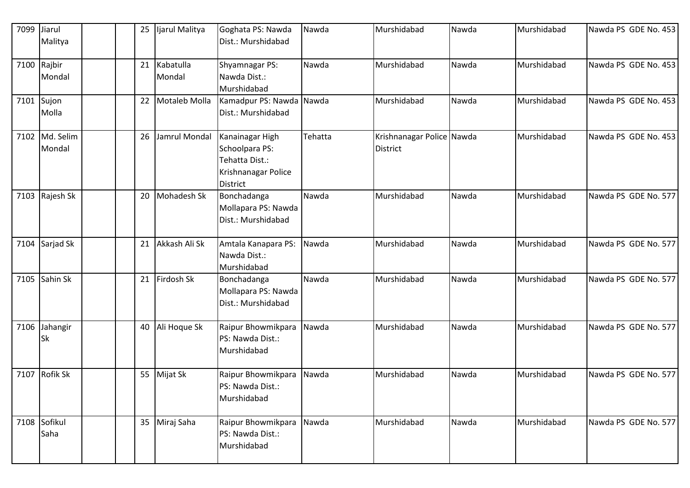| 7099 | Jiarul                     |  | Ijarul Malitya<br>25 | Goghata PS: Nawda                                                                             | Nawda   | Murshidabad                                  | Nawda | Murshidabad | Nawda PS GDE No. 453 |
|------|----------------------------|--|----------------------|-----------------------------------------------------------------------------------------------|---------|----------------------------------------------|-------|-------------|----------------------|
|      | Malitya                    |  |                      | Dist.: Murshidabad                                                                            |         |                                              |       |             |                      |
|      | 7100 Rajbir                |  | Kabatulla<br>21      | Shyamnagar PS:                                                                                | Nawda   | Murshidabad                                  | Nawda | Murshidabad | Nawda PS GDE No. 453 |
|      | Mondal                     |  | Mondal               | Nawda Dist.:                                                                                  |         |                                              |       |             |                      |
|      |                            |  | Motaleb Molla<br>22  | Murshidabad                                                                                   |         | Murshidabad                                  | Nawda | Murshidabad | Nawda PS GDE No. 453 |
|      | 7101 Sujon<br>Molla        |  |                      | Kamadpur PS: Nawda Nawda<br>Dist.: Murshidabad                                                |         |                                              |       |             |                      |
|      | 7102 Md. Selim<br>Mondal   |  | 26<br>Jamrul Mondal  | Kanainagar High<br>Schoolpara PS:<br>Tehatta Dist.:<br>Krishnanagar Police<br><b>District</b> | Tehatta | Krishnanagar Police Nawda<br><b>District</b> |       | Murshidabad | Nawda PS GDE No. 453 |
|      | 7103 Rajesh Sk             |  | Mohadesh Sk<br>20    | Bonchadanga<br>Mollapara PS: Nawda<br>Dist.: Murshidabad                                      | Nawda   | Murshidabad                                  | Nawda | Murshidabad | Nawda PS GDE No. 577 |
|      | 7104 Sarjad Sk             |  | Akkash Ali Sk<br>21  | Amtala Kanapara PS:<br>Nawda Dist.:<br>Murshidabad                                            | Nawda   | Murshidabad                                  | Nawda | Murshidabad | Nawda PS GDE No. 577 |
| 7105 | Sahin Sk                   |  | Firdosh Sk<br>21     | Bonchadanga<br>Mollapara PS: Nawda<br>Dist.: Murshidabad                                      | Nawda   | Murshidabad                                  | Nawda | Murshidabad | Nawda PS GDE No. 577 |
|      | 7106 Jahangir<br><b>Sk</b> |  | Ali Hoque Sk<br>40   | Raipur Bhowmikpara<br>PS: Nawda Dist.:<br>Murshidabad                                         | Nawda   | Murshidabad                                  | Nawda | Murshidabad | Nawda PS GDE No. 577 |
|      | 7107 Rofik Sk              |  | 55 Mijat Sk          | Raipur Bhowmikpara<br>PS: Nawda Dist.:<br>Murshidabad                                         | Nawda   | Murshidabad                                  | Nawda | Murshidabad | Nawda PS GDE No. 577 |
|      | 7108 Sofikul<br>Saha       |  | 35 Miraj Saha        | Raipur Bhowmikpara<br>PS: Nawda Dist.:<br>Murshidabad                                         | Nawda   | Murshidabad                                  | Nawda | Murshidabad | Nawda PS GDE No. 577 |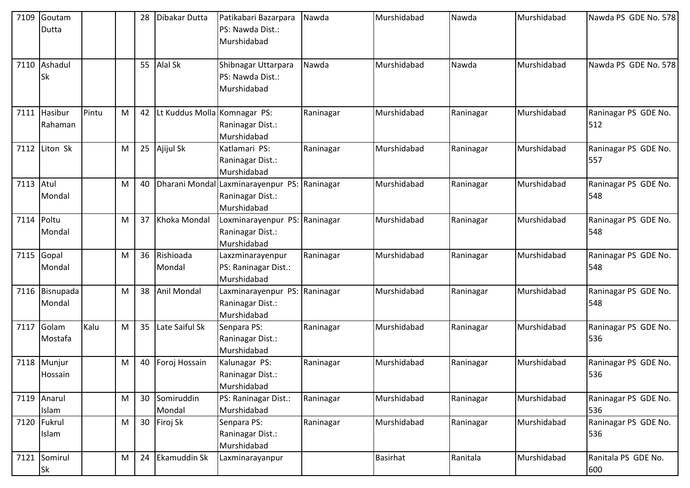| 7109 | Goutam<br>Dutta  |       |   | 28 | Dibakar Dutta                | Patikabari Bazarpara<br>PS: Nawda Dist.: | Nawda     | Murshidabad     | Nawda     | Murshidabad | Nawda PS GDE No. 578        |
|------|------------------|-------|---|----|------------------------------|------------------------------------------|-----------|-----------------|-----------|-------------|-----------------------------|
|      |                  |       |   |    |                              | Murshidabad                              |           |                 |           |             |                             |
| 7110 | Ashadul          |       |   |    | 55 Alal Sk                   | Shibnagar Uttarpara                      | Nawda     | Murshidabad     | Nawda     | Murshidabad | Nawda PS GDE No. 578        |
|      | Sk               |       |   |    |                              | PS: Nawda Dist.:                         |           |                 |           |             |                             |
|      |                  |       |   |    |                              | Murshidabad                              |           |                 |           |             |                             |
| 7111 | Hasibur          | Pintu | M | 42 | Lt Kuddus Molla Komnagar PS: |                                          | Raninagar | Murshidabad     | Raninagar | Murshidabad | Raninagar PS GDE No.        |
|      | Rahaman          |       |   |    |                              | Raninagar Dist.:                         |           |                 |           |             | 512                         |
|      |                  |       |   |    |                              | Murshidabad                              |           |                 |           |             |                             |
|      | 7112 Liton Sk    |       | M |    | 25 Ajijul Sk                 | Katlamari PS:                            | Raninagar | Murshidabad     | Raninagar | Murshidabad | Raninagar PS GDE No.        |
|      |                  |       |   |    |                              | Raninagar Dist.:                         |           |                 |           |             | 557                         |
| 7113 | Atul             |       | M | 40 | Dharani Mondal               | Murshidabad                              | Raninagar | Murshidabad     | Raninagar | Murshidabad | Raninagar PS GDE No.        |
|      | Mondal           |       |   |    |                              | Laxminarayenpur PS:<br>Raninagar Dist.:  |           |                 |           |             | 548                         |
|      |                  |       |   |    |                              | Murshidabad                              |           |                 |           |             |                             |
| 7114 | Poltu            |       | M | 37 | Khoka Mondal                 | Loxminarayenpur PS:                      | Raninagar | Murshidabad     | Raninagar | Murshidabad | Raninagar PS GDE No.        |
|      | Mondal           |       |   |    |                              | Raninagar Dist.:                         |           |                 |           |             | 548                         |
|      |                  |       |   |    |                              | Murshidabad                              |           |                 |           |             |                             |
| 7115 | Gopal            |       | M |    | 36 Rishioada                 | Laxzminarayenpur                         | Raninagar | Murshidabad     | Raninagar | Murshidabad | Raninagar PS GDE No.        |
|      | Mondal           |       |   |    | Mondal                       | PS: Raninagar Dist.:                     |           |                 |           |             | 548                         |
|      |                  |       |   |    |                              | Murshidabad                              |           |                 |           |             |                             |
| 7116 | Bisnupada        |       | M |    | 38 Anil Mondal               | Laxminarayenpur PS:                      | Raninagar | Murshidabad     | Raninagar | Murshidabad | Raninagar PS GDE No.        |
|      | Mondal           |       |   |    |                              | Raninagar Dist.:                         |           |                 |           |             | 548                         |
|      |                  |       |   |    |                              | Murshidabad                              |           |                 |           |             |                             |
| 7117 | Golam<br>Mostafa | Kalu  | M | 35 | Late Saiful Sk               | Senpara PS:<br>Raninagar Dist.:          | Raninagar | Murshidabad     | Raninagar | Murshidabad | Raninagar PS GDE No.<br>536 |
|      |                  |       |   |    |                              | Murshidabad                              |           |                 |           |             |                             |
| 7118 | Munjur           |       | M | 40 | Foroj Hossain                | Kalunagar PS:                            | Raninagar | Murshidabad     | Raninagar | Murshidabad | Raninagar PS GDE No.        |
|      | Hossain          |       |   |    |                              | Raninagar Dist.:                         |           |                 |           |             | 536                         |
|      |                  |       |   |    |                              | Murshidabad                              |           |                 |           |             |                             |
|      | 7119 Anarul      |       | M |    | 30 Somiruddin                | PS: Raninagar Dist.:                     | Raninagar | Murshidabad     | Raninagar | Murshidabad | Raninagar PS GDE No.        |
|      | Islam            |       |   |    | Mondal                       | Murshidabad                              |           |                 |           |             | 536                         |
| 7120 | Fukrul           |       | M |    | 30 Firoj Sk                  | Senpara PS:                              | Raninagar | Murshidabad     | Raninagar | Murshidabad | Raninagar PS GDE No.        |
|      | Islam            |       |   |    |                              | Raninagar Dist.:                         |           |                 |           |             | 536                         |
|      |                  |       |   |    |                              | Murshidabad                              |           |                 |           |             |                             |
| 7121 | Somirul<br>Sk    |       | M | 24 | <b>Ekamuddin Sk</b>          | Laxminarayanpur                          |           | <b>Basirhat</b> | Ranitala  | Murshidabad | Ranitala PS GDE No.<br>600  |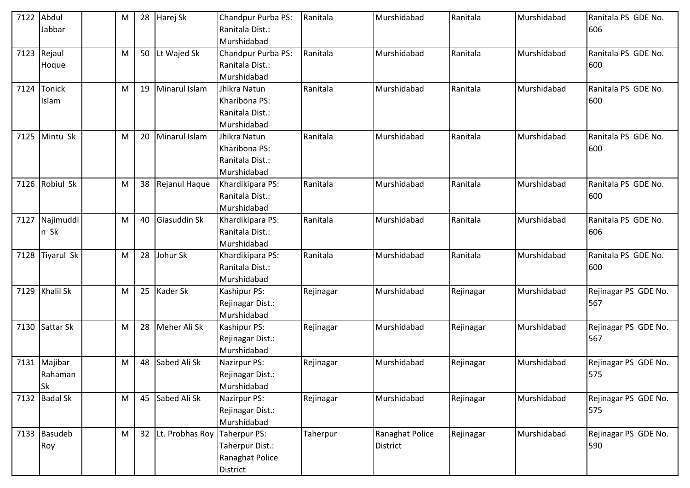| 7122 | Abdul             | M |    | 28 Harej Sk        | Chandpur Purba PS: | Ranitala  | Murshidabad     | Ranitala  | Murshidabad | Ranitala PS GDE No.  |
|------|-------------------|---|----|--------------------|--------------------|-----------|-----------------|-----------|-------------|----------------------|
|      | Jabbar            |   |    |                    | Ranitala Dist.:    |           |                 |           |             | 606                  |
|      |                   |   |    |                    | Murshidabad        |           |                 |           |             |                      |
| 7123 | Rejaul            | M |    | 50 Lt Wajed Sk     | Chandpur Purba PS: | Ranitala  | Murshidabad     | Ranitala  | Murshidabad | Ranitala PS GDE No.  |
|      | Hoque             |   |    |                    | Ranitala Dist.:    |           |                 |           |             | 600                  |
|      |                   |   |    |                    | Murshidabad        |           |                 |           |             |                      |
| 7124 | Tonick            | M | 19 | Minarul Islam      | Jhikra Natun       | Ranitala  | Murshidabad     | Ranitala  | Murshidabad | Ranitala PS GDE No.  |
|      | Islam             |   |    |                    | Kharibona PS:      |           |                 |           |             | 600                  |
|      |                   |   |    |                    | Ranitala Dist.:    |           |                 |           |             |                      |
|      |                   |   |    |                    | Murshidabad        |           |                 |           |             |                      |
| 7125 | Mintu Sk          | M | 20 | Minarul Islam      | Jhikra Natun       | Ranitala  | Murshidabad     | Ranitala  | Murshidabad | Ranitala PS GDE No.  |
|      |                   |   |    |                    | Kharibona PS:      |           |                 |           |             | 600                  |
|      |                   |   |    |                    | Ranitala Dist.:    |           |                 |           |             |                      |
|      |                   |   |    |                    | Murshidabad        |           |                 |           |             |                      |
| 7126 | Robiul Sk         | M |    | 38 Rejanul Haque   | Khardikipara PS:   | Ranitala  | Murshidabad     | Ranitala  | Murshidabad | Ranitala PS GDE No.  |
|      |                   |   |    |                    | Ranitala Dist.:    |           |                 |           |             | 600                  |
|      |                   |   |    |                    | Murshidabad        |           |                 |           |             |                      |
| 7127 | Najimuddi         | M | 40 | Giasuddin Sk       | Khardikipara PS:   | Ranitala  | Murshidabad     | Ranitala  | Murshidabad | Ranitala PS GDE No.  |
|      | n Sk              |   |    |                    | Ranitala Dist.:    |           |                 |           |             | 606                  |
|      |                   |   |    |                    | Murshidabad        |           |                 |           |             |                      |
| 7128 | <b>Tiyarul Sk</b> | M | 28 | Johur Sk           | Khardikipara PS:   | Ranitala  | Murshidabad     | Ranitala  | Murshidabad | Ranitala PS GDE No.  |
|      |                   |   |    |                    | Ranitala Dist.:    |           |                 |           |             | 600                  |
|      |                   |   |    |                    | Murshidabad        |           |                 |           |             |                      |
| 7129 | <b>Khalil Sk</b>  | M | 25 | Kader Sk           | Kashipur PS:       | Rejinagar | Murshidabad     | Rejinagar | Murshidabad | Rejinagar PS GDE No. |
|      |                   |   |    |                    | Rejinagar Dist.:   |           |                 |           |             | 567                  |
|      |                   |   |    |                    | Murshidabad        |           |                 |           |             |                      |
| 7130 | Sattar Sk         | M | 28 | Meher Ali Sk       | Kashipur PS:       | Rejinagar | Murshidabad     | Rejinagar | Murshidabad | Rejinagar PS GDE No. |
|      |                   |   |    |                    | Rejinagar Dist.:   |           |                 |           |             | 567                  |
|      |                   |   |    |                    | Murshidabad        |           |                 |           |             |                      |
| 7131 | Majibar           | M |    | 48 Sabed Ali Sk    | Nazirpur PS:       | Rejinagar | Murshidabad     | Rejinagar | Murshidabad | Rejinagar PS GDE No. |
|      | Rahaman           |   |    |                    | Rejinagar Dist.:   |           |                 |           |             | 575                  |
|      | <b>Sk</b>         |   |    |                    | Murshidabad        |           |                 |           |             |                      |
|      | 7132 Badal Sk     | M |    | 45 Sabed Ali Sk    | Nazirpur PS:       | Rejinagar | Murshidabad     | Rejinagar | Murshidabad | Rejinagar PS GDE No. |
|      |                   |   |    |                    | Rejinagar Dist.:   |           |                 |           |             | 575                  |
|      |                   |   |    |                    | Murshidabad        |           |                 |           |             |                      |
|      | 7133 Basudeb      | M |    | 32 Lt. Probhas Roy | Taherpur PS:       | Taherpur  | Ranaghat Police | Rejinagar | Murshidabad | Rejinagar PS GDE No. |
|      | Roy               |   |    |                    | Taherpur Dist.:    |           | <b>District</b> |           |             | 590                  |
|      |                   |   |    |                    | Ranaghat Police    |           |                 |           |             |                      |
|      |                   |   |    |                    | District           |           |                 |           |             |                      |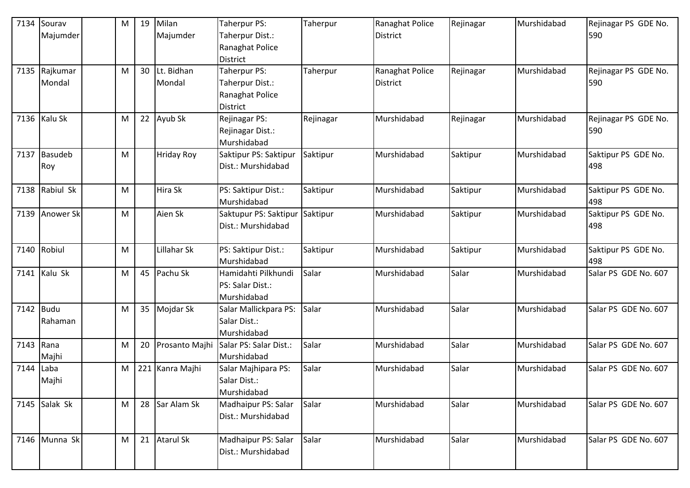| 7134      | Sourav        | M | 19 | Milan             | Taherpur PS:           | Taherpur  | Ranaghat Police | Rejinagar | Murshidabad | Rejinagar PS GDE No. |
|-----------|---------------|---|----|-------------------|------------------------|-----------|-----------------|-----------|-------------|----------------------|
|           | Majumder      |   |    | Majumder          | Taherpur Dist.:        |           | <b>District</b> |           |             | 590                  |
|           |               |   |    |                   | Ranaghat Police        |           |                 |           |             |                      |
|           |               |   |    |                   | District               |           |                 |           |             |                      |
| 7135      | Rajkumar      | M |    | 30 Lt. Bidhan     | Taherpur PS:           | Taherpur  | Ranaghat Police | Rejinagar | Murshidabad | Rejinagar PS GDE No. |
|           | Mondal        |   |    | Mondal            | Taherpur Dist.:        |           | <b>District</b> |           |             | 590                  |
|           |               |   |    |                   | Ranaghat Police        |           |                 |           |             |                      |
|           |               |   |    |                   | District               |           |                 |           |             |                      |
|           | 7136 Kalu Sk  | M |    | 22 Ayub Sk        | Rejinagar PS:          | Rejinagar | Murshidabad     | Rejinagar | Murshidabad | Rejinagar PS GDE No. |
|           |               |   |    |                   | Rejinagar Dist.:       |           |                 |           |             | 590                  |
|           |               |   |    |                   | Murshidabad            |           |                 |           |             |                      |
| 7137      | Basudeb       | M |    | <b>Hriday Roy</b> | Saktipur PS: Saktipur  | Saktipur  | Murshidabad     | Saktipur  | Murshidabad | Saktipur PS GDE No.  |
|           | Roy           |   |    |                   | Dist.: Murshidabad     |           |                 |           |             | 498                  |
|           |               |   |    |                   |                        |           |                 |           |             |                      |
| 7138      | Rabiul Sk     | M |    | Hira Sk           | PS: Saktipur Dist.:    | Saktipur  | Murshidabad     | Saktipur  | Murshidabad | Saktipur PS GDE No.  |
|           |               |   |    |                   | Murshidabad            |           |                 |           |             | 498                  |
| 7139      | Anower Sk     | M |    | Aien Sk           | Saktupur PS: Saktipur  | Saktipur  | Murshidabad     | Saktipur  | Murshidabad | Saktipur PS GDE No.  |
|           |               |   |    |                   | Dist.: Murshidabad     |           |                 |           |             | 498                  |
|           |               |   |    |                   |                        |           |                 |           |             |                      |
| 7140      | Robiul        | M |    | Lillahar Sk       | PS: Saktipur Dist.:    | Saktipur  | Murshidabad     | Saktipur  | Murshidabad | Saktipur PS GDE No.  |
|           |               |   |    |                   | Murshidabad            |           |                 |           |             | 498                  |
|           | 7141 Kalu Sk  | M |    | 45 Pachu Sk       | Hamidahti Pilkhundi    | Salar     | Murshidabad     | Salar     | Murshidabad | Salar PS GDE No. 607 |
|           |               |   |    |                   | PS: Salar Dist.:       |           |                 |           |             |                      |
|           |               |   |    |                   | Murshidabad            |           |                 |           |             |                      |
| 7142 Budu |               | M |    | 35 Mojdar Sk      | Salar Mallickpara PS:  | Salar     | Murshidabad     | Salar     | Murshidabad | Salar PS GDE No. 607 |
|           | Rahaman       |   |    |                   | Salar Dist.:           |           |                 |           |             |                      |
|           |               |   |    |                   | Murshidabad            |           |                 |           |             |                      |
| 7143      | Rana          | M | 20 | Prosanto Majhi    | Salar PS: Salar Dist.: | Salar     | Murshidabad     | Salar     | Murshidabad | Salar PS GDE No. 607 |
|           | Majhi         |   |    |                   | Murshidabad            |           |                 |           |             |                      |
| 7144      | Laba          | M |    | 221 Kanra Majhi   | Salar Majhipara PS:    | Salar     | Murshidabad     | Salar     | Murshidabad | Salar PS GDE No. 607 |
|           | Majhi         |   |    |                   | Salar Dist.:           |           |                 |           |             |                      |
|           |               |   |    |                   | Murshidabad            |           |                 |           |             |                      |
|           | 7145 Salak Sk | M |    | 28 Sar Alam Sk    | Madhaipur PS: Salar    | Salar     | Murshidabad     | Salar     | Murshidabad | Salar PS GDE No. 607 |
|           |               |   |    |                   | Dist.: Murshidabad     |           |                 |           |             |                      |
|           |               |   |    |                   |                        |           |                 |           |             |                      |
|           | 7146 Munna Sk | M |    | 21 Atarul Sk      | Madhaipur PS: Salar    | Salar     | Murshidabad     | Salar     | Murshidabad | Salar PS GDE No. 607 |
|           |               |   |    |                   | Dist.: Murshidabad     |           |                 |           |             |                      |
|           |               |   |    |                   |                        |           |                 |           |             |                      |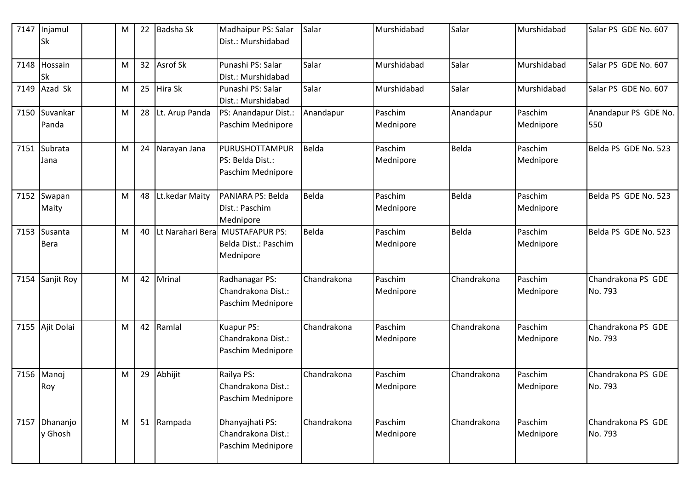| 7147 | Injamul<br>Sk          | M | 22              | Badsha Sk        | Madhaipur PS: Salar<br>Dist.: Murshidabad                  | Salar       | Murshidabad          | Salar       | Murshidabad          | Salar PS GDE No. 607          |
|------|------------------------|---|-----------------|------------------|------------------------------------------------------------|-------------|----------------------|-------------|----------------------|-------------------------------|
| 7148 | Hossain<br>Sk          | M | 32 <sup>2</sup> | <b>Asrof Sk</b>  | Punashi PS: Salar<br>Dist.: Murshidabad                    | Salar       | Murshidabad          | Salar       | Murshidabad          | Salar PS GDE No. 607          |
| 7149 | Azad Sk                | M | 25              | Hira Sk          | Punashi PS: Salar<br>Dist.: Murshidabad                    | Salar       | Murshidabad          | Salar       | Murshidabad          | Salar PS GDE No. 607          |
| 7150 | Suvankar<br>Panda      | M | 28              | Lt. Arup Panda   | PS: Anandapur Dist.:<br>Paschim Mednipore                  | Anandapur   | Paschim<br>Mednipore | Anandapur   | Paschim<br>Mednipore | Anandapur PS GDE No.<br>550   |
| 7151 | Subrata<br>Jana        | M | 24              | Narayan Jana     | PURUSHOTTAMPUR<br>PS: Belda Dist.:<br>Paschim Mednipore    | Belda       | Paschim<br>Mednipore | Belda       | Paschim<br>Mednipore | Belda PS GDE No. 523          |
| 7152 | Swapan<br>Maity        | M | 48              | Lt.kedar Maity   | PANIARA PS: Belda<br>Dist.: Paschim<br>Mednipore           | Belda       | Paschim<br>Mednipore | Belda       | Paschim<br>Mednipore | Belda PS GDE No. 523          |
| 7153 | Susanta<br><b>Bera</b> | M | 40              | Lt Narahari Bera | <b>MUSTAFAPUR PS:</b><br>Belda Dist.: Paschim<br>Mednipore | Belda       | Paschim<br>Mednipore | Belda       | Paschim<br>Mednipore | Belda PS GDE No. 523          |
| 7154 | Sanjit Roy             | M | 42              | Mrinal           | Radhanagar PS:<br>Chandrakona Dist.:<br>Paschim Mednipore  | Chandrakona | Paschim<br>Mednipore | Chandrakona | Paschim<br>Mednipore | Chandrakona PS GDE<br>No. 793 |
|      | 7155 Ajit Dolai        | M |                 | 42 Ramlal        | Kuapur PS:<br>Chandrakona Dist.:<br>Paschim Mednipore      | Chandrakona | Paschim<br>Mednipore | Chandrakona | Paschim<br>Mednipore | Chandrakona PS GDE<br>No. 793 |
| 7156 | Manoj<br>Roy           | M | 29              | Abhijit          | Railya PS:<br>Chandrakona Dist.:<br>Paschim Mednipore      | Chandrakona | Paschim<br>Mednipore | Chandrakona | Paschim<br>Mednipore | Chandrakona PS GDE<br>No. 793 |
| 7157 | Dhananjo<br>y Ghosh    | M |                 | 51 Rampada       | Dhanyajhati PS:<br>Chandrakona Dist.:<br>Paschim Mednipore | Chandrakona | Paschim<br>Mednipore | Chandrakona | Paschim<br>Mednipore | Chandrakona PS GDE<br>No. 793 |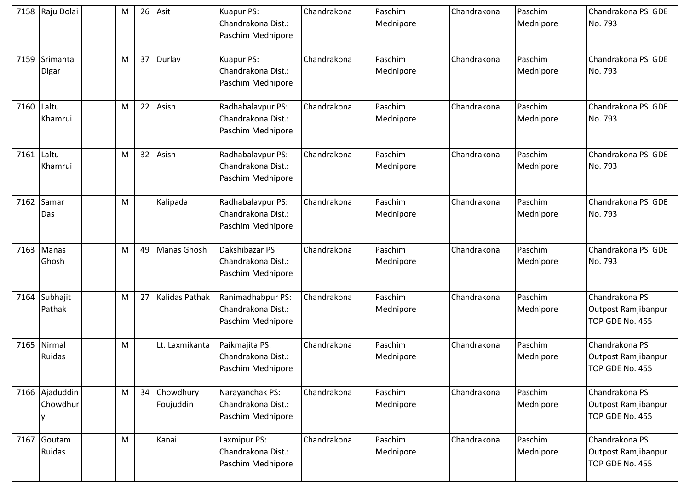| 7158 | Raju Dolai                 | M | 26 | Asit                      | Kuapur PS:<br>Chandrakona Dist.:<br>Paschim Mednipore        | Chandrakona | Paschim<br>Mednipore | Chandrakona | Paschim<br>Mednipore | Chandrakona PS GDE<br>No. 793                            |
|------|----------------------------|---|----|---------------------------|--------------------------------------------------------------|-------------|----------------------|-------------|----------------------|----------------------------------------------------------|
| 7159 | Srimanta<br>Digar          | M |    | 37 Durlav                 | Kuapur PS:<br>Chandrakona Dist.:<br>Paschim Mednipore        | Chandrakona | Paschim<br>Mednipore | Chandrakona | Paschim<br>Mednipore | Chandrakona PS GDE<br>No. 793                            |
| 7160 | Laltu<br>Khamrui           | м | 22 | Asish                     | Radhabalavpur PS:<br>Chandrakona Dist.:<br>Paschim Mednipore | Chandrakona | Paschim<br>Mednipore | Chandrakona | Paschim<br>Mednipore | Chandrakona PS GDE<br>No. 793                            |
| 7161 | Laltu<br>Khamrui           | M | 32 | Asish                     | Radhabalavpur PS:<br>Chandrakona Dist.:<br>Paschim Mednipore | Chandrakona | Paschim<br>Mednipore | Chandrakona | Paschim<br>Mednipore | Chandrakona PS GDE<br>No. 793                            |
| 7162 | Samar<br>Das               | м |    | Kalipada                  | Radhabalavpur PS:<br>Chandrakona Dist.:<br>Paschim Mednipore | Chandrakona | Paschim<br>Mednipore | Chandrakona | Paschim<br>Mednipore | Chandrakona PS GDE<br>No. 793                            |
| 7163 | Manas<br>Ghosh             | M | 49 | Manas Ghosh               | Dakshibazar PS:<br>Chandrakona Dist.:<br>Paschim Mednipore   | Chandrakona | Paschim<br>Mednipore | Chandrakona | Paschim<br>Mednipore | Chandrakona PS GDE<br>No. 793                            |
| 7164 | Subhajit<br>Pathak         | M | 27 | <b>Kalidas Pathak</b>     | Ranimadhabpur PS:<br>Chandrakona Dist.:<br>Paschim Mednipore | Chandrakona | Paschim<br>Mednipore | Chandrakona | Paschim<br>Mednipore | Chandrakona PS<br>Outpost Ramjibanpur<br>TOP GDE No. 455 |
|      | 7165 Nirmal<br>Ruidas      | м |    | Lt. Laxmikanta            | Paikmajita PS:<br>Chandrakona Dist.:<br>Paschim Mednipore    | Chandrakona | Paschim<br>Mednipore | Chandrakona | Paschim<br>Mednipore | Chandrakona PS<br>Outpost Ramjibanpur<br>TOP GDE No. 455 |
|      | 7166 Ajaduddin<br>Chowdhur | M |    | 34 Chowdhury<br>Foujuddin | Narayanchak PS:<br>Chandrakona Dist.:<br>Paschim Mednipore   | Chandrakona | Paschim<br>Mednipore | Chandrakona | Paschim<br>Mednipore | Chandrakona PS<br>Outpost Ramjibanpur<br>TOP GDE No. 455 |
| 7167 | Goutam<br>Ruidas           | M |    | Kanai                     | Laxmipur PS:<br>Chandrakona Dist.:<br>Paschim Mednipore      | Chandrakona | Paschim<br>Mednipore | Chandrakona | Paschim<br>Mednipore | Chandrakona PS<br>Outpost Ramjibanpur<br>TOP GDE No. 455 |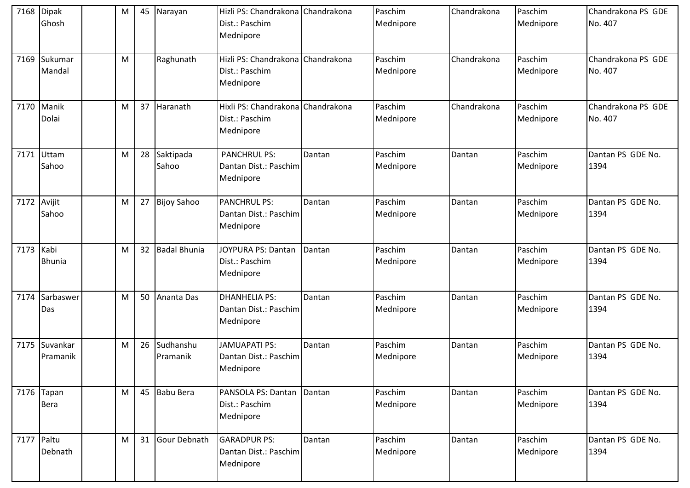| 7168        | <b>Dipak</b><br>Ghosh | M |    | 45 Narayan            | Hizli PS: Chandrakona Chandrakona<br>Dist.: Paschim<br>Mednipore |        | Paschim<br>Mednipore | Chandrakona | Paschim<br>Mednipore | Chandrakona PS GDE<br>No. 407 |
|-------------|-----------------------|---|----|-----------------------|------------------------------------------------------------------|--------|----------------------|-------------|----------------------|-------------------------------|
| 7169        | Sukumar<br>Mandal     | M |    | Raghunath             | Hizli PS: Chandrakona Chandrakona<br>Dist.: Paschim<br>Mednipore |        | Paschim<br>Mednipore | Chandrakona | Paschim<br>Mednipore | Chandrakona PS GDE<br>No. 407 |
| 7170        | Manik<br>Dolai        | M |    | 37 Haranath           | Hixli PS: Chandrakona Chandrakona<br>Dist.: Paschim<br>Mednipore |        | Paschim<br>Mednipore | Chandrakona | Paschim<br>Mednipore | Chandrakona PS GDE<br>No. 407 |
| 7171        | Uttam<br>Sahoo        | M | 28 | Saktipada<br>Sahoo    | <b>PANCHRUL PS:</b><br>Dantan Dist.: Paschim<br>Mednipore        | Dantan | Paschim<br>Mednipore | Dantan      | Paschim<br>Mednipore | Dantan PS GDE No.<br>1394     |
| 7172 Avijit | Sahoo                 | M |    | 27 Bijoy Sahoo        | <b>PANCHRUL PS:</b><br>Dantan Dist.: Paschim<br>Mednipore        | Dantan | Paschim<br>Mednipore | Dantan      | Paschim<br>Mednipore | Dantan PS GDE No.<br>1394     |
| 7173        | Kabi<br><b>Bhunia</b> | M |    | 32 Badal Bhunia       | JOYPURA PS: Dantan<br>Dist.: Paschim<br>Mednipore                | Dantan | Paschim<br>Mednipore | Dantan      | Paschim<br>Mednipore | Dantan PS GDE No.<br>1394     |
| 7174        | Sarbaswer<br>Das      | M |    | 50 Ananta Das         | <b>DHANHELIA PS:</b><br>Dantan Dist.: Paschim<br>Mednipore       | Dantan | Paschim<br>Mednipore | Dantan      | Paschim<br>Mednipore | Dantan PS GDE No.<br>1394     |
| 7175        | Suvankar<br>Pramanik  | M | 26 | Sudhanshu<br>Pramanik | <b>JAMUAPATI PS:</b><br>Dantan Dist.: Paschim<br>Mednipore       | Dantan | Paschim<br>Mednipore | Dantan      | Paschim<br>Mednipore | Dantan PS GDE No.<br>1394     |
| 7176        | Tapan<br><b>Bera</b>  | M |    | 45 Babu Bera          | PANSOLA PS: Dantan<br>Dist.: Paschim<br>Mednipore                | Dantan | Paschim<br>Mednipore | Dantan      | Paschim<br>Mednipore | Dantan PS GDE No.<br>1394     |
| 7177 Paltu  | Debnath               | M |    | 31 Gour Debnath       | <b>GARADPUR PS:</b><br>Dantan Dist.: Paschim<br>Mednipore        | Dantan | Paschim<br>Mednipore | Dantan      | Paschim<br>Mednipore | Dantan PS GDE No.<br>1394     |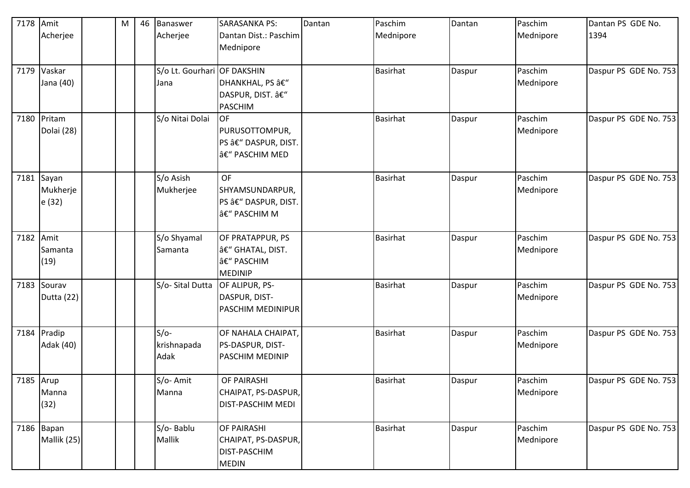| 7178      | Amit                               | M | 46 Banaswer                   | <b>SARASANKA PS:</b>                                                   | Dantan | Paschim         | Dantan | Paschim              | Dantan PS GDE No.     |
|-----------|------------------------------------|---|-------------------------------|------------------------------------------------------------------------|--------|-----------------|--------|----------------------|-----------------------|
|           | Acherjee                           |   | Acherjee                      | Dantan Dist.: Paschim<br>Mednipore                                     |        | Mednipore       |        | Mednipore            | 1394                  |
|           | 7179 Vaskar                        |   | S/o Lt. Gourhari OF DAKSHIN   |                                                                        |        | <b>Basirhat</b> | Daspur | Paschim              | Daspur PS GDE No. 753 |
|           | Jana (40)                          |   | Jana                          | DHANKHAL, PS –<br>DASPUR, DIST. â€"<br><b>PASCHIM</b>                  |        |                 |        | Mednipore            |                       |
|           | 7180 Pritam<br>Dolai (28)          |   | S/o Nitai Dolai               | <b>OF</b><br>PURUSOTTOMPUR,<br>PS â€" DASPUR, DIST.<br>â€" PASCHIM MED |        | <b>Basirhat</b> | Daspur | Paschim<br>Mednipore | Daspur PS GDE No. 753 |
|           | $7181$ Sayan<br>Mukherje<br>e (32) |   | S/o Asish<br>Mukherjee        | <b>OF</b><br>SHYAMSUNDARPUR,<br>PS â€" DASPUR, DIST.<br>– PASCHIM M    |        | <b>Basirhat</b> | Daspur | Paschim<br>Mednipore | Daspur PS GDE No. 753 |
| 7182 Amit | Samanta<br>(19)                    |   | S/o Shyamal<br>Samanta        | OF PRATAPPUR, PS<br>â€" GHATAL, DIST.<br>– PASCHIM<br><b>MEDINIP</b>   |        | <b>Basirhat</b> | Daspur | Paschim<br>Mednipore | Daspur PS GDE No. 753 |
| 7183      | Sourav<br>Dutta (22)               |   | S/o- Sital Dutta              | OF ALIPUR, PS-<br>DASPUR, DIST-<br>PASCHIM MEDINIPUR                   |        | Basirhat        | Daspur | Paschim<br>Mednipore | Daspur PS GDE No. 753 |
| 7184      | Pradip<br>Adak (40)                |   | $S/O-$<br>krishnapada<br>Adak | OF NAHALA CHAIPAT,<br>PS-DASPUR, DIST-<br><b>PASCHIM MEDINIP</b>       |        | <b>Basirhat</b> | Daspur | Paschim<br>Mednipore | Daspur PS GDE No. 753 |
| 7185 Arup | Manna<br>(32)                      |   | S/o-Amit<br>Manna             | OF PAIRASHI<br>CHAIPAT, PS-DASPUR,<br>DIST-PASCHIM MEDI                |        | <b>Basirhat</b> | Daspur | Paschim<br>Mednipore | Daspur PS GDE No. 753 |
|           | 7186 Bapan<br>Mallik (25)          |   | S/o-Bablu<br><b>Mallik</b>    | OF PAIRASHI<br>CHAIPAT, PS-DASPUR,<br>DIST-PASCHIM<br><b>MEDIN</b>     |        | <b>Basirhat</b> | Daspur | Paschim<br>Mednipore | Daspur PS GDE No. 753 |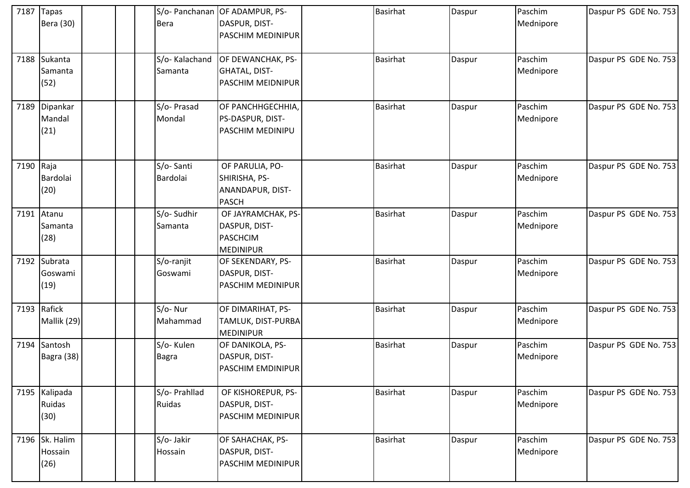| 7187      | <b>Tapas</b><br>Bera (30)         | <b>Bera</b>               | S/o- Panchanan OF ADAMPUR, PS-<br>DASPUR, DIST-<br>PASCHIM MEDINIPUR       | Basirhat        | Daspur | Paschim<br>Mednipore | Daspur PS GDE No. 753 |
|-----------|-----------------------------------|---------------------------|----------------------------------------------------------------------------|-----------------|--------|----------------------|-----------------------|
|           | 7188 Sukanta<br>Samanta<br>(52)   | S/o-Kalachand<br>Samanta  | OF DEWANCHAK, PS-<br><b>GHATAL, DIST-</b><br><b>PASCHIM MEIDNIPUR</b>      | <b>Basirhat</b> | Daspur | Paschim<br>Mednipore | Daspur PS GDE No. 753 |
| 7189      | Dipankar<br>Mandal<br>(21)        | S/o- Prasad<br>Mondal     | OF PANCHHGECHHIA,<br>PS-DASPUR, DIST-<br><b>PASCHIM MEDINIPU</b>           | <b>Basirhat</b> | Daspur | Paschim<br>Mednipore | Daspur PS GDE No. 753 |
| 7190 Raja | Bardolai<br>(20)                  | S/o-Santi<br>Bardolai     | OF PARULIA, PO-<br>SHIRISHA, PS-<br>ANANDAPUR, DIST-<br><b>PASCH</b>       | <b>Basirhat</b> | Daspur | Paschim<br>Mednipore | Daspur PS GDE No. 753 |
|           | 7191 Atanu<br>Samanta<br>(28)     | S/o-Sudhir<br>Samanta     | OF JAYRAMCHAK, PS-<br>DASPUR, DIST-<br><b>PASCHCIM</b><br><b>MEDINIPUR</b> | <b>Basirhat</b> | Daspur | Paschim<br>Mednipore | Daspur PS GDE No. 753 |
|           | 7192 Subrata<br>Goswami<br>(19)   | S/o-ranjit<br>Goswami     | OF SEKENDARY, PS-<br>DASPUR, DIST-<br><b>PASCHIM MEDINIPUR</b>             | <b>Basirhat</b> | Daspur | Paschim<br>Mednipore | Daspur PS GDE No. 753 |
|           | 7193 Rafick<br>Mallik (29)        | S/o-Nur<br>Mahammad       | OF DIMARIHAT, PS-<br>TAMLUK, DIST-PURBA<br><b>MEDINIPUR</b>                | <b>Basirhat</b> | Daspur | Paschim<br>Mednipore | Daspur PS GDE No. 753 |
|           | 7194 Santosh<br>Bagra (38)        | S/o-Kulen<br><b>Bagra</b> | OF DANIKOLA, PS-<br>DASPUR, DIST-<br><b>PASCHIM EMDINIPUR</b>              | <b>Basirhat</b> | Daspur | Paschim<br>Mednipore | Daspur PS GDE No. 753 |
|           | 7195 Kalipada<br>Ruidas<br>(30)   | S/o- Prahllad<br>Ruidas   | OF KISHOREPUR, PS-<br>DASPUR, DIST-<br><b>PASCHIM MEDINIPUR</b>            | <b>Basirhat</b> | Daspur | Paschim<br>Mednipore | Daspur PS GDE No. 753 |
|           | 7196 Sk. Halim<br>Hossain<br>(26) | S/o-Jakir<br>Hossain      | OF SAHACHAK, PS-<br>DASPUR, DIST-<br><b>PASCHIM MEDINIPUR</b>              | <b>Basirhat</b> | Daspur | Paschim<br>Mednipore | Daspur PS GDE No. 753 |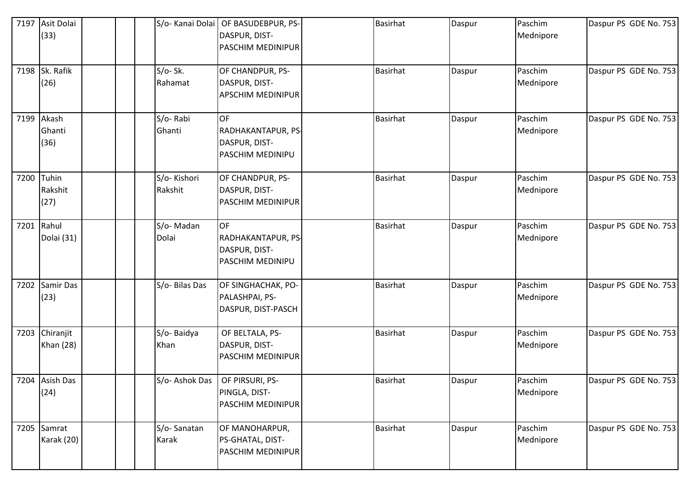|      | 7197 Asit Dolai<br>(33)       | S/o- Kanai Dolai       | OF BASUDEBPUR, PS-<br>DASPUR, DIST-<br>PASCHIM MEDINIPUR             | <b>Basirhat</b> | Daspur | Paschim<br>Mednipore | Daspur PS GDE No. 753 |
|------|-------------------------------|------------------------|----------------------------------------------------------------------|-----------------|--------|----------------------|-----------------------|
|      | 7198 Sk. Rafik<br>(26)        | $S/O-Sk.$<br>Rahamat   | OF CHANDPUR, PS-<br>DASPUR, DIST-<br><b>APSCHIM MEDINIPUR</b>        | <b>Basirhat</b> | Daspur | Paschim<br>Mednipore | Daspur PS GDE No. 753 |
|      | 7199 Akash<br>Ghanti<br>(36)  | S/o-Rabi<br>Ghanti     | <b>OF</b><br>RADHAKANTAPUR, PS-<br>DASPUR, DIST-<br>PASCHIM MEDINIPU | <b>Basirhat</b> | Daspur | Paschim<br>Mednipore | Daspur PS GDE No. 753 |
|      | 7200 Tuhin<br>Rakshit<br>(27) | S/o-Kishori<br>Rakshit | OF CHANDPUR, PS-<br>DASPUR, DIST-<br>PASCHIM MEDINIPUR               | <b>Basirhat</b> | Daspur | Paschim<br>Mednipore | Daspur PS GDE No. 753 |
|      | 7201 Rahul<br>Dolai (31)      | S/o-Madan<br>Dolai     | <b>OF</b><br>RADHAKANTAPUR, PS-<br>DASPUR, DIST-<br>PASCHIM MEDINIPU | <b>Basirhat</b> | Daspur | Paschim<br>Mednipore | Daspur PS GDE No. 753 |
| 7202 | <b>Samir Das</b><br>(23)      | S/o- Bilas Das         | OF SINGHACHAK, PO-<br>PALASHPAI, PS-<br>DASPUR, DIST-PASCH           | <b>Basirhat</b> | Daspur | Paschim<br>Mednipore | Daspur PS GDE No. 753 |
| 7203 | Chiranjit<br><b>Khan (28)</b> | S/o-Baidya<br>Khan     | OF BELTALA, PS-<br>DASPUR, DIST-<br>PASCHIM MEDINIPUR                | <b>Basirhat</b> | Daspur | Paschim<br>Mednipore | Daspur PS GDE No. 753 |
|      | 7204 Asish Das<br>(24)        | S/o-Ashok Das          | OF PIRSURI, PS-<br>PINGLA, DIST-<br>PASCHIM MEDINIPUR                | <b>Basirhat</b> | Daspur | Paschim<br>Mednipore | Daspur PS GDE No. 753 |
|      | 7205 Samrat<br>Karak (20)     | S/o-Sanatan<br>Karak   | OF MANOHARPUR,<br>PS-GHATAL, DIST-<br>PASCHIM MEDINIPUR              | <b>Basirhat</b> | Daspur | Paschim<br>Mednipore | Daspur PS GDE No. 753 |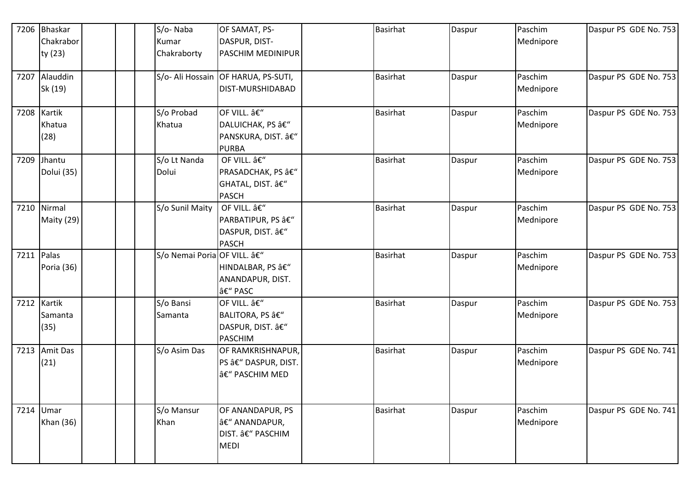| 7206 | <b>Bhaskar</b><br>Chakrabor |  | S/o-Naba<br>Kumar          | OF SAMAT, PS-<br>DASPUR, DIST-                                         | <b>Basirhat</b> | Daspur | Paschim<br>Mednipore | Daspur PS GDE No. 753 |
|------|-----------------------------|--|----------------------------|------------------------------------------------------------------------|-----------------|--------|----------------------|-----------------------|
|      | ty (23)                     |  | Chakraborty                | <b>PASCHIM MEDINIPUR</b>                                               |                 |        |                      |                       |
|      | 7207 Alauddin<br>Sk (19)    |  |                            | S/o- Ali Hossain OF HARUA, PS-SUTI,<br>DIST-MURSHIDABAD                | <b>Basirhat</b> | Daspur | Paschim<br>Mednipore | Daspur PS GDE No. 753 |
| 7208 | Kartik<br>Khatua<br>(28)    |  | S/o Probad<br>Khatua       | OF VILL. –<br>DALUICHAK, PS â€"<br>PANSKURA, DIST. –<br><b>PURBA</b>   | <b>Basirhat</b> | Daspur | Paschim<br>Mednipore | Daspur PS GDE No. 753 |
| 7209 | Jhantu<br>Dolui (35)        |  | S/o Lt Nanda<br>Dolui      | OF VILL. –<br>PRASADCHAK, PS –<br>GHATAL, DIST. â€"<br><b>PASCH</b>    | <b>Basirhat</b> | Daspur | Paschim<br>Mednipore | Daspur PS GDE No. 753 |
| 7210 | Nirmal<br>Maity (29)        |  | S/o Sunil Maity            | OF VILL. –<br>PARBATIPUR, PS â€"<br>DASPUR, DIST. â€"<br><b>PASCH</b>  | <b>Basirhat</b> | Daspur | Paschim<br>Mednipore | Daspur PS GDE No. 753 |
|      | 7211 Palas<br>Poria (36)    |  | S/o Nemai Poria OF VILL. – | HINDALBAR, PS â€"<br>ANANDAPUR, DIST.<br>– PASC                        | <b>Basirhat</b> | Daspur | Paschim<br>Mednipore | Daspur PS GDE No. 753 |
| 7212 | Kartik<br>Samanta<br>(35)   |  | S/o Bansi<br>Samanta       | OF VILL. –<br>BALITORA, PS â€"<br>DASPUR, DIST. â€"<br><b>PASCHIM</b>  | <b>Basirhat</b> | Daspur | Paschim<br>Mednipore | Daspur PS GDE No. 753 |
| 7213 | <b>Amit Das</b><br>(21)     |  | S/o Asim Das               | OF RAMKRISHNAPUR,<br>PS â€" DASPUR, DIST.<br>– PASCHIM MED             | <b>Basirhat</b> | Daspur | Paschim<br>Mednipore | Daspur PS GDE No. 741 |
|      | 7214 Umar<br>Khan (36)      |  | S/o Mansur<br>Khan         | OF ANANDAPUR, PS<br>â€" ANANDAPUR,<br>DIST. â€" PASCHIM<br><b>MEDI</b> | <b>Basirhat</b> | Daspur | Paschim<br>Mednipore | Daspur PS GDE No. 741 |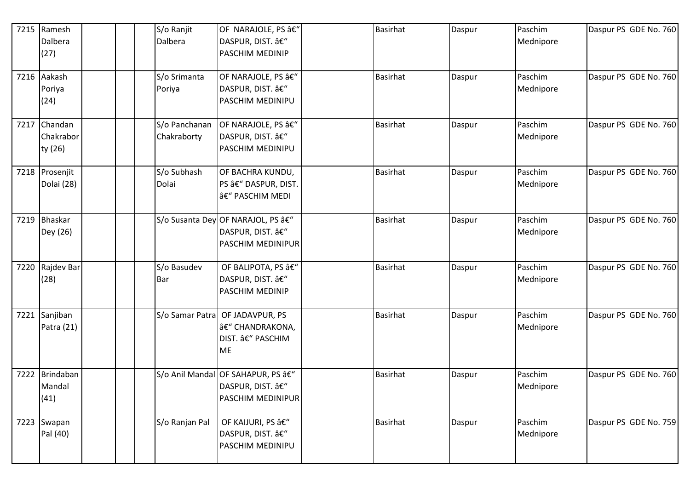|      | 7215 Ramesh<br>Dalbera<br>(27)       |  | S/o Ranjit<br>Dalbera        | OF NARAJOLE, PS â€"<br>DASPUR, DIST. â€"<br>PASCHIM MEDINIP                | <b>Basirhat</b> | Daspur | Paschim<br>Mednipore | Daspur PS GDE No. 760 |
|------|--------------------------------------|--|------------------------------|----------------------------------------------------------------------------|-----------------|--------|----------------------|-----------------------|
|      | 7216 Aakash<br>Poriya<br>(24)        |  | S/o Srimanta<br>Poriya       | OF NARAJOLE, PS –<br>DASPUR, DIST. –<br>PASCHIM MEDINIPU                   | <b>Basirhat</b> | Daspur | Paschim<br>Mednipore | Daspur PS GDE No. 760 |
|      | 7217 Chandan<br>Chakrabor<br>ty (26) |  | S/o Panchanan<br>Chakraborty | OF NARAJOLE, PS –<br>DASPUR, DIST. â€"<br>PASCHIM MEDINIPU                 | <b>Basirhat</b> | Daspur | Paschim<br>Mednipore | Daspur PS GDE No. 760 |
|      | 7218 Prosenjit<br>Dolai (28)         |  | S/o Subhash<br>Dolai         | OF BACHRA KUNDU,<br>PS â€" DASPUR, DIST.<br>â€" PASCHIM MEDI               | <b>Basirhat</b> | Daspur | Paschim<br>Mednipore | Daspur PS GDE No. 760 |
| 7219 | <b>Bhaskar</b><br>Dey (26)           |  | S/o Susanta Dey              | OF NARAJOL, PS â€"<br>DASPUR, DIST. –<br>PASCHIM MEDINIPUR                 | <b>Basirhat</b> | Daspur | Paschim<br>Mednipore | Daspur PS GDE No. 760 |
| 7220 | Rajdev Bar<br>(28)                   |  | S/o Basudev<br>Bar           | OF BALIPOTA, PS â€"<br>DASPUR, DIST. â€"<br><b>PASCHIM MEDINIP</b>         | <b>Basirhat</b> | Daspur | Paschim<br>Mednipore | Daspur PS GDE No. 760 |
|      | 7221 Sanjiban<br>Patra (21)          |  | S/o Samar Patra              | OF JADAVPUR, PS<br>â€" CHANDRAKONA,<br>DIST. â€" PASCHIM<br><b>ME</b>      | <b>Basirhat</b> | Daspur | Paschim<br>Mednipore | Daspur PS GDE No. 760 |
| 7222 | Brindaban<br>Mandal<br>(41)          |  |                              | S/o Anil Mandal OF SAHAPUR, PS â€"<br>DASPUR, DIST. –<br>PASCHIM MEDINIPUR | <b>Basirhat</b> | Daspur | Paschim<br>Mednipore | Daspur PS GDE No. 760 |
| 7223 | Swapan<br>Pal (40)                   |  | S/o Ranjan Pal               | OF KAIJURI, PS â€"<br>DASPUR, DIST. –<br>PASCHIM MEDINIPU                  | <b>Basirhat</b> | Daspur | Paschim<br>Mednipore | Daspur PS GDE No. 759 |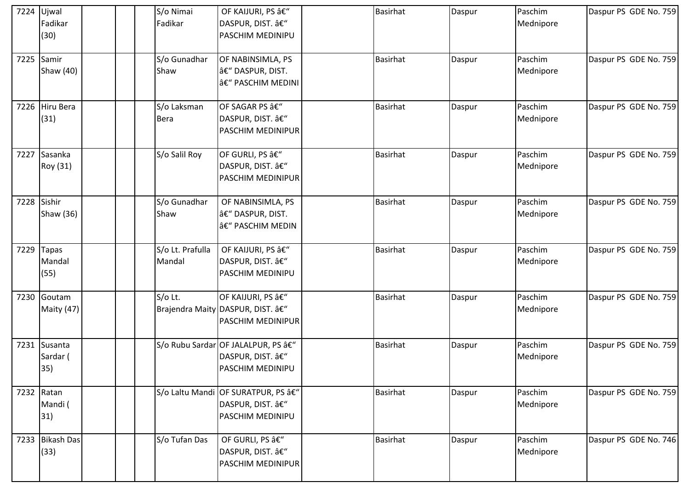| 7224 | Ujwal<br>Fadikar<br>(30)        | S/o Nimai<br>Fadikar       | OF KAIJURI, PS –<br>DASPUR, DIST. â€"<br><b>PASCHIM MEDINIPU</b>                    | <b>Basirhat</b> | Daspur | Paschim<br>Mednipore | Daspur PS GDE No. 759 |
|------|---------------------------------|----------------------------|-------------------------------------------------------------------------------------|-----------------|--------|----------------------|-----------------------|
|      | 7225 Samir<br>Shaw (40)         | S/o Gunadhar<br>Shaw       | OF NABINSIMLA, PS<br>â€" DASPUR, DIST.<br><b>â€</b> " PASCHIM MEDINI                | <b>Basirhat</b> | Daspur | Paschim<br>Mednipore | Daspur PS GDE No. 759 |
| 7226 | Hiru Bera<br>(31)               | S/o Laksman<br><b>Bera</b> | OF SAGAR PS â€"<br>DASPUR, DIST. â€"<br><b>PASCHIM MEDINIPUR</b>                    | <b>Basirhat</b> | Daspur | Paschim<br>Mednipore | Daspur PS GDE No. 759 |
| 7227 | Sasanka<br>Roy (31)             | S/o Salil Roy              | OF GURLI, PS â€"<br>DASPUR, DIST. â€"<br><b>PASCHIM MEDINIPUR</b>                   | <b>Basirhat</b> | Daspur | Paschim<br>Mednipore | Daspur PS GDE No. 759 |
|      | 7228 Sishir<br>Shaw (36)        | S/o Gunadhar<br>Shaw       | OF NABINSIMLA, PS<br>â€" DASPUR, DIST.<br><b>a€</b> " PASCHIM MEDIN                 | <b>Basirhat</b> | Daspur | Paschim<br>Mednipore | Daspur PS GDE No. 759 |
| 7229 | <b>Tapas</b><br>Mandal<br>(55)  | S/o Lt. Prafulla<br>Mandal | OF KAIJURI, PS â€"<br>DASPUR, DIST. â€"<br><b>PASCHIM MEDINIPU</b>                  | <b>Basirhat</b> | Daspur | Paschim<br>Mednipore | Daspur PS GDE No. 759 |
|      | 7230 Goutam<br>Maity (47)       | S/o Lt.                    | OF KAIJURI, PS –<br>Brajendra Maity DASPUR, DIST. â€"<br><b>PASCHIM MEDINIPUR</b>   | <b>Basirhat</b> | Daspur | Paschim<br>Mednipore | Daspur PS GDE No. 759 |
|      | 7231 Susanta<br>Sardar (<br>35) |                            | S/o Rubu Sardar OF JALALPUR, PS â€"<br>DASPUR, DIST. –<br><b>PASCHIM MEDINIPU</b>   | <b>Basirhat</b> | Daspur | Paschim<br>Mednipore | Daspur PS GDE No. 759 |
|      | 7232 Ratan<br>Mandi (<br>31)    |                            | S/o Laltu Mandi OF SURATPUR, PS â€"<br>DASPUR, DIST. â€"<br><b>PASCHIM MEDINIPU</b> | <b>Basirhat</b> | Daspur | Paschim<br>Mednipore | Daspur PS GDE No. 759 |
|      | 7233 Bikash Das<br>(33)         | S/o Tufan Das              | OF GURLI, PS â€"<br>DASPUR, DIST. â€"<br><b>PASCHIM MEDINIPUR</b>                   | <b>Basirhat</b> | Daspur | Paschim<br>Mednipore | Daspur PS GDE No. 746 |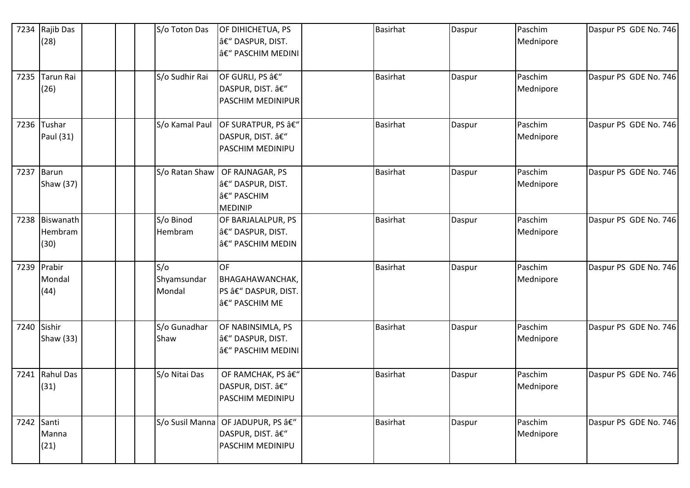| 7234 | Rajib Das<br>(28)             |  | S/o Toton Das                | OF DIHICHETUA, PS<br>â€" DASPUR, DIST.<br>– PASCHIM MEDINI           | <b>Basirhat</b> | Daspur | Paschim<br>Mednipore | Daspur PS GDE No. 746 |
|------|-------------------------------|--|------------------------------|----------------------------------------------------------------------|-----------------|--------|----------------------|-----------------------|
| 7235 | Tarun Rai<br>(26)             |  | S/o Sudhir Rai               | OF GURLI, PS â€"<br>DASPUR, DIST. â€"<br><b>PASCHIM MEDINIPUR</b>    | <b>Basirhat</b> | Daspur | Paschim<br>Mednipore | Daspur PS GDE No. 746 |
|      | 7236 Tushar<br>Paul (31)      |  | S/o Kamal Paul               | <b>OF SURATPUR, PS â€"</b><br>DASPUR, DIST. â€"<br>PASCHIM MEDINIPU  | <b>Basirhat</b> | Daspur | Paschim<br>Mednipore | Daspur PS GDE No. 746 |
| 7237 | Barun<br>Shaw (37)            |  | S/o Ratan Shaw               | OF RAJNAGAR, PS<br>â€" DASPUR, DIST.<br>– PASCHIM<br><b>MEDINIP</b>  | <b>Basirhat</b> | Daspur | Paschim<br>Mednipore | Daspur PS GDE No. 746 |
| 7238 | Biswanath<br>Hembram<br>(30)  |  | S/o Binod<br>Hembram         | OF BARJALALPUR, PS<br>â€" DASPUR, DIST.<br>– PASCHIM MEDIN           | <b>Basirhat</b> | Daspur | Paschim<br>Mednipore | Daspur PS GDE No. 746 |
|      | 7239 Prabir<br>Mondal<br>(44) |  | S/O<br>Shyamsundar<br>Mondal | <b>OF</b><br>BHAGAHAWANCHAK,<br>PS â€" DASPUR, DIST.<br>– PASCHIM ME | <b>Basirhat</b> | Daspur | Paschim<br>Mednipore | Daspur PS GDE No. 746 |
|      | 7240 Sishir<br>Shaw (33)      |  | S/o Gunadhar<br>Shaw         | OF NABINSIMLA, PS<br>â€" DASPUR, DIST.<br>â€" PASCHIM MEDINI         | <b>Basirhat</b> | Daspur | Paschim<br>Mednipore | Daspur PS GDE No. 746 |
| 7241 | Rahul Das<br>(31)             |  | S/o Nitai Das                | OF RAMCHAK, PS –<br>DASPUR, DIST. –<br>PASCHIM MEDINIPU              | <b>Basirhat</b> | Daspur | Paschim<br>Mednipore | Daspur PS GDE No. 746 |
|      | 7242 Santi<br>Manna<br>(21)   |  | S/o Susil Manna              | OF JADUPUR, PS –<br>DASPUR, DIST. –<br>PASCHIM MEDINIPU              | <b>Basirhat</b> | Daspur | Paschim<br>Mednipore | Daspur PS GDE No. 746 |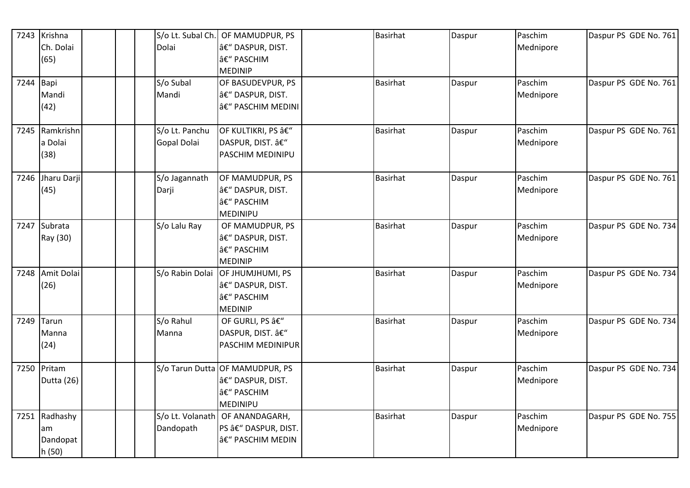|             | 7243 Krishna   |  | S/o Lt. Subal Ch. | OF MAMUDPUR, PS                    | Basirhat        | Daspur | Paschim   | Daspur PS GDE No. 761 |
|-------------|----------------|--|-------------------|------------------------------------|-----------------|--------|-----------|-----------------------|
|             | Ch. Dolai      |  | Dolai             | â€" DASPUR, DIST.                  |                 |        | Mednipore |                       |
|             | (65)           |  |                   | – PASCHIM                          |                 |        |           |                       |
|             |                |  |                   | <b>MEDINIP</b>                     |                 |        |           |                       |
| $7244$ Bapi |                |  | S/o Subal         | OF BASUDEVPUR, PS                  | <b>Basirhat</b> | Daspur | Paschim   | Daspur PS GDE No. 761 |
|             | Mandi          |  | Mandi             | â€" DASPUR, DIST.                  |                 |        | Mednipore |                       |
|             | (42)           |  |                   | â€" PASCHIM MEDINI                 |                 |        |           |                       |
|             | 7245 Ramkrishn |  | S/o Lt. Panchu    | OF KULTIKRI, PS â€"                | <b>Basirhat</b> | Daspur | Paschim   | Daspur PS GDE No. 761 |
|             | a Dolai        |  | Gopal Dolai       | DASPUR, DIST. â€"                  |                 |        | Mednipore |                       |
|             | (38)           |  |                   | PASCHIM MEDINIPU                   |                 |        |           |                       |
| 7246        | Jharu Darji    |  | S/o Jagannath     | OF MAMUDPUR, PS                    | <b>Basirhat</b> | Daspur | Paschim   | Daspur PS GDE No. 761 |
|             | (45)           |  | Darji             | â€" DASPUR, DIST.                  |                 |        | Mednipore |                       |
|             |                |  |                   | – PASCHIM                          |                 |        |           |                       |
|             |                |  |                   | <b>MEDINIPU</b>                    |                 |        |           |                       |
| 7247        | Subrata        |  | S/o Lalu Ray      | OF MAMUDPUR, PS                    | <b>Basirhat</b> | Daspur | Paschim   | Daspur PS GDE No. 734 |
|             | Ray (30)       |  |                   | â€" DASPUR, DIST.                  |                 |        | Mednipore |                       |
|             |                |  |                   | – PASCHIM                          |                 |        |           |                       |
|             |                |  |                   | <b>MEDINIP</b>                     |                 |        |           |                       |
| 7248        | Amit Dolai     |  |                   | S/o Rabin Dolai OF JHUMJHUMI, PS   | <b>Basirhat</b> | Daspur | Paschim   | Daspur PS GDE No. 734 |
|             | (26)           |  |                   | â€" DASPUR, DIST.                  |                 |        | Mednipore |                       |
|             |                |  |                   | – PASCHIM                          |                 |        |           |                       |
|             | 7249 Tarun     |  | S/o Rahul         | <b>MEDINIP</b><br>OF GURLI, PS â€" | <b>Basirhat</b> |        | Paschim   | Daspur PS GDE No. 734 |
|             | Manna          |  | Manna             | DASPUR, DIST. â€"                  |                 | Daspur | Mednipore |                       |
|             | (24)           |  |                   | PASCHIM MEDINIPUR                  |                 |        |           |                       |
|             |                |  |                   |                                    |                 |        |           |                       |
| 7250        | Pritam         |  |                   | S/o Tarun Dutta OF MAMUDPUR, PS    | <b>Basirhat</b> | Daspur | Paschim   | Daspur PS GDE No. 734 |
|             | Dutta (26)     |  |                   | â€" DASPUR, DIST.                  |                 |        | Mednipore |                       |
|             |                |  |                   | â€" PASCHIM                        |                 |        |           |                       |
|             |                |  |                   | MEDINIPU                           |                 |        |           |                       |
|             | 7251 Radhashy  |  |                   | S/o Lt. Volanath   OF ANANDAGARH,  | <b>Basirhat</b> | Daspur | Paschim   | Daspur PS GDE No. 755 |
|             | am             |  | Dandopath         | PS â€" DASPUR, DIST.               |                 |        | Mednipore |                       |
|             | Dandopat       |  |                   | – PASCHIM MEDIN                    |                 |        |           |                       |
|             | h(50)          |  |                   |                                    |                 |        |           |                       |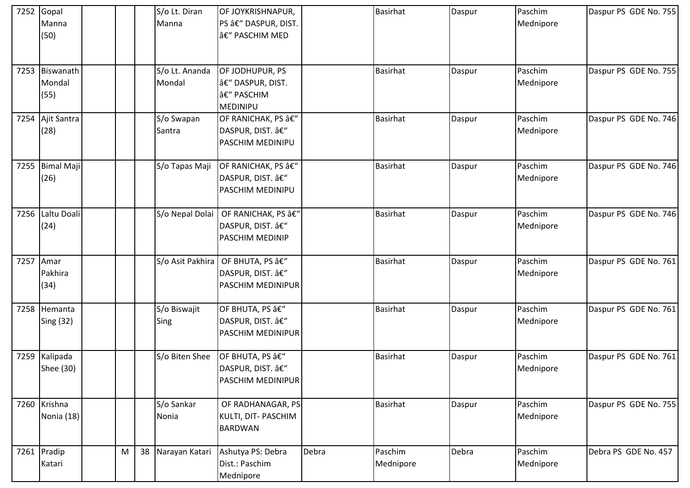|      | 7252 Gopal<br>Manna<br>(50)  |           |    | S/o Lt. Diran<br>Manna   | OF JOYKRISHNAPUR,<br>PS â€" DASPUR, DIST.<br>– PASCHIM MED              |       | <b>Basirhat</b>      | Daspur | Paschim<br>Mednipore | Daspur PS GDE No. 755 |
|------|------------------------------|-----------|----|--------------------------|-------------------------------------------------------------------------|-------|----------------------|--------|----------------------|-----------------------|
| 7253 | Biswanath<br>Mondal<br>(55)  |           |    | S/o Lt. Ananda<br>Mondal | OF JODHUPUR, PS<br> â€" DASPUR, DIST.<br>â€" PASCHIM<br><b>MEDINIPU</b> |       | <b>Basirhat</b>      | Daspur | Paschim<br>Mednipore | Daspur PS GDE No. 755 |
| 7254 | Ajit Santra<br>(28)          |           |    | S/o Swapan<br>Santra     | OF RANICHAK, PS â€"<br>DASPUR, DIST. â€"<br><b>PASCHIM MEDINIPU</b>     |       | <b>Basirhat</b>      | Daspur | Paschim<br>Mednipore | Daspur PS GDE No. 746 |
| 7255 | <b>Bimal Maji</b><br>(26)    |           |    | S/o Tapas Maji           | OF RANICHAK, PS â€"<br>DASPUR, DIST. â€"<br><b>PASCHIM MEDINIPU</b>     |       | <b>Basirhat</b>      | Daspur | Paschim<br>Mednipore | Daspur PS GDE No. 746 |
| 7256 | Laltu Doali<br>(24)          |           |    | S/o Nepal Dolai          | OF RANICHAK, PS â€"<br>DASPUR, DIST. â€"<br><b>PASCHIM MEDINIP</b>      |       | <b>Basirhat</b>      | Daspur | Paschim<br>Mednipore | Daspur PS GDE No. 746 |
|      | 7257 Amar<br>Pakhira<br>(34) |           |    | S/o Asit Pakhira         | OF BHUTA, PS â€"<br>DASPUR, DIST. â€"<br><b>PASCHIM MEDINIPUR</b>       |       | <b>Basirhat</b>      | Daspur | Paschim<br>Mednipore | Daspur PS GDE No. 761 |
| 7258 | Hemanta<br>Sing (32)         |           |    | S/o Biswajit<br>Sing     | OF BHUTA, PS â€"<br>DASPUR, DIST. â€"<br><b>PASCHIM MEDINIPUR</b>       |       | <b>Basirhat</b>      | Daspur | Paschim<br>Mednipore | Daspur PS GDE No. 761 |
| 7259 | Kalipada<br>Shee (30)        |           |    | S/o Biten Shee           | OF BHUTA, PS â€"<br>DASPUR, DIST. â€"<br>PASCHIM MEDINIPUR              |       | <b>Basirhat</b>      | Daspur | Paschim<br>Mednipore | Daspur PS GDE No. 761 |
|      | 7260 Krishna<br>Nonia (18)   |           |    | S/o Sankar<br>Nonia      | OF RADHANAGAR, PS-<br>KULTI, DIT- PASCHIM<br><b>BARDWAN</b>             |       | <b>Basirhat</b>      | Daspur | Paschim<br>Mednipore | Daspur PS GDE No. 755 |
|      | 7261 Pradip<br>Katari        | ${\sf M}$ | 38 | Narayan Katari           | Ashutya PS: Debra<br>Dist.: Paschim<br>Mednipore                        | Debra | Paschim<br>Mednipore | Debra  | Paschim<br>Mednipore | Debra PS GDE No. 457  |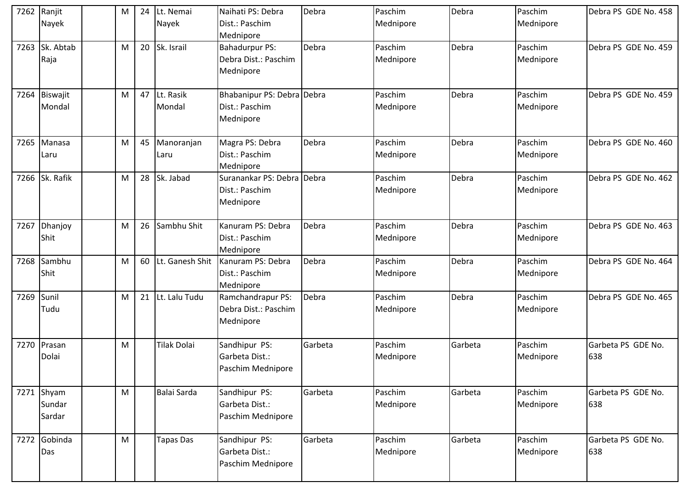| 7262 | Ranjit<br>Nayek                  | M | 24 | Lt. Nemai<br>Nayek  | Naihati PS: Debra<br>Dist.: Paschim                        | Debra   | Paschim<br>Mednipore | Debra   | Paschim<br>Mednipore | Debra PS GDE No. 458      |
|------|----------------------------------|---|----|---------------------|------------------------------------------------------------|---------|----------------------|---------|----------------------|---------------------------|
|      |                                  |   |    |                     | Mednipore                                                  |         |                      |         |                      |                           |
| 7263 | Sk. Abtab<br>Raja                | M | 20 | Sk. Israil          | <b>Bahadurpur PS:</b><br>Debra Dist.: Paschim<br>Mednipore | Debra   | Paschim<br>Mednipore | Debra   | Paschim<br>Mednipore | Debra PS GDE No. 459      |
| 7264 | Biswajit<br>Mondal               | M | 47 | Lt. Rasik<br>Mondal | Bhabanipur PS: Debra Debra<br>Dist.: Paschim<br>Mednipore  |         | Paschim<br>Mednipore | Debra   | Paschim<br>Mednipore | Debra PS GDE No. 459      |
| 7265 | Manasa<br>Laru                   | M | 45 | Manoranjan<br>Laru  | Magra PS: Debra<br>Dist.: Paschim<br>Mednipore             | Debra   | Paschim<br>Mednipore | Debra   | Paschim<br>Mednipore | Debra PS GDE No. 460      |
| 7266 | Sk. Rafik                        | M | 28 | Sk. Jabad           | Suranankar PS: Debra Debra<br>Dist.: Paschim<br>Mednipore  |         | Paschim<br>Mednipore | Debra   | Paschim<br>Mednipore | Debra PS GDE No. 462      |
| 7267 | Dhanjoy<br>Shit                  | M | 26 | Sambhu Shit         | Kanuram PS: Debra<br>Dist.: Paschim<br>Mednipore           | Debra   | Paschim<br>Mednipore | Debra   | Paschim<br>Mednipore | Debra PS GDE No. 463      |
| 7268 | Sambhu<br>Shit                   | M | 60 | Lt. Ganesh Shit     | Kanuram PS: Debra<br>Dist.: Paschim<br>Mednipore           | Debra   | Paschim<br>Mednipore | Debra   | Paschim<br>Mednipore | Debra PS GDE No. 464      |
| 7269 | Sunil<br>Tudu                    | M | 21 | Lt. Lalu Tudu       | Ramchandrapur PS:<br>Debra Dist.: Paschim<br>Mednipore     | Debra   | Paschim<br>Mednipore | Debra   | Paschim<br>Mednipore | Debra PS GDE No. 465      |
|      | 7270 Prasan<br>Dolai             | M |    | <b>Tilak Dolai</b>  | Sandhipur PS:<br>Garbeta Dist.:<br>Paschim Mednipore       | Garbeta | Paschim<br>Mednipore | Garbeta | Paschim<br>Mednipore | Garbeta PS GDE No.<br>638 |
|      | $7271$ Shyam<br>Sundar<br>Sardar | M |    | Balai Sarda         | Sandhipur PS:<br>Garbeta Dist.:<br>Paschim Mednipore       | Garbeta | Paschim<br>Mednipore | Garbeta | Paschim<br>Mednipore | Garbeta PS GDE No.<br>638 |
|      | 7272 Gobinda<br>Das              | M |    | <b>Tapas Das</b>    | Sandhipur PS:<br>Garbeta Dist.:<br>Paschim Mednipore       | Garbeta | Paschim<br>Mednipore | Garbeta | Paschim<br>Mednipore | Garbeta PS GDE No.<br>638 |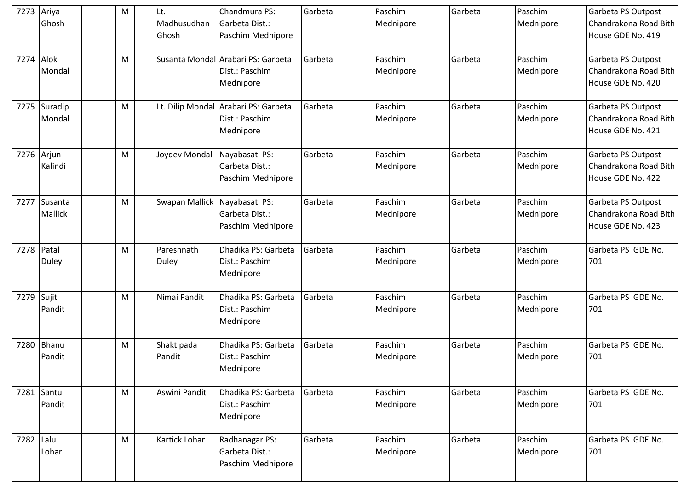| 7273      | Ariya             | M | Lt.                  | Chandmura PS:                                                       | Garbeta | Paschim              | Garbeta | Paschim              | Garbeta PS Outpost                                               |
|-----------|-------------------|---|----------------------|---------------------------------------------------------------------|---------|----------------------|---------|----------------------|------------------------------------------------------------------|
|           | Ghosh             |   | Madhusudhan<br>Ghosh | Garbeta Dist.:<br>Paschim Mednipore                                 |         | Mednipore            |         | Mednipore            | Chandrakona Road Bith<br>House GDE No. 419                       |
| 7274      | Alok              | M |                      | Susanta Mondal Arabari PS: Garbeta                                  | Garbeta | Paschim              | Garbeta | Paschim              | Garbeta PS Outpost                                               |
|           | Mondal            |   |                      | Dist.: Paschim<br>Mednipore                                         |         | Mednipore            |         | Mednipore            | Chandrakona Road Bith<br>House GDE No. 420                       |
| 7275      | Suradip<br>Mondal | M |                      | Lt. Dilip Mondal Arabari PS: Garbeta<br>Dist.: Paschim<br>Mednipore | Garbeta | Paschim<br>Mednipore | Garbeta | Paschim<br>Mednipore | Garbeta PS Outpost<br>Chandrakona Road Bith<br>House GDE No. 421 |
| 7276      | Arjun             | M | Joydev Mondal        | Nayabasat PS:                                                       | Garbeta | Paschim              | Garbeta | Paschim              | Garbeta PS Outpost                                               |
|           | Kalindi           |   |                      | Garbeta Dist.:<br>Paschim Mednipore                                 |         | Mednipore            |         | Mednipore            | Chandrakona Road Bith<br>House GDE No. 422                       |
| 7277      | Susanta           | M | Swapan Mallick       | Nayabasat PS:                                                       | Garbeta | Paschim              | Garbeta | Paschim              | Garbeta PS Outpost                                               |
|           | Mallick           |   |                      | Garbeta Dist.:<br>Paschim Mednipore                                 |         | Mednipore            |         | Mednipore            | Chandrakona Road Bith<br>House GDE No. 423                       |
| 7278      | Patal             | M | Pareshnath           | Dhadika PS: Garbeta                                                 | Garbeta | Paschim              | Garbeta | Paschim              | Garbeta PS GDE No.                                               |
|           | <b>Duley</b>      |   | Duley                | Dist.: Paschim<br>Mednipore                                         |         | Mednipore            |         | Mednipore            | 701                                                              |
| 7279      | Sujit             | M | Nimai Pandit         | Dhadika PS: Garbeta                                                 | Garbeta | Paschim              | Garbeta | Paschim              | Garbeta PS GDE No.                                               |
|           | Pandit            |   |                      | Dist.: Paschim<br>Mednipore                                         |         | Mednipore            |         | Mednipore            | 701                                                              |
| 7280      | Bhanu<br>Pandit   | M | Shaktipada<br>Pandit | Dhadika PS: Garbeta<br>Dist.: Paschim                               | Garbeta | Paschim<br>Mednipore | Garbeta | Paschim<br>Mednipore | Garbeta PS GDE No.<br>701                                        |
|           |                   |   |                      | Mednipore                                                           |         |                      |         |                      |                                                                  |
|           | 7281 Santu        | M | Aswini Pandit        | Dhadika PS: Garbeta                                                 | Garbeta | Paschim              | Garbeta | Paschim              | Garbeta PS GDE No.                                               |
|           | Pandit            |   |                      | Dist.: Paschim<br>Mednipore                                         |         | Mednipore            |         | Mednipore            | 701                                                              |
| 7282 Lalu |                   | M | Kartick Lohar        | Radhanagar PS:                                                      | Garbeta | Paschim              | Garbeta | Paschim              | Garbeta PS GDE No.                                               |
|           | Lohar             |   |                      | Garbeta Dist.:<br>Paschim Mednipore                                 |         | Mednipore            |         | Mednipore            | 701                                                              |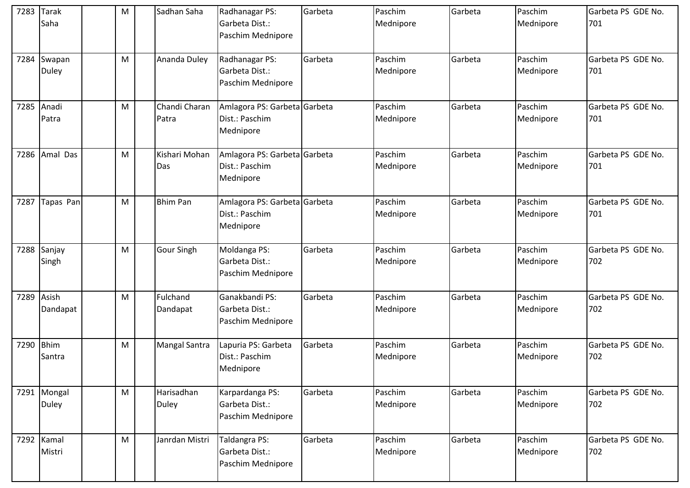| 7283      | <b>Tarak</b><br>Saha        | M         | Sadhan Saha                | Radhanagar PS:<br>Garbeta Dist.:<br>Paschim Mednipore       | Garbeta | Paschim<br>Mednipore | Garbeta | Paschim<br>Mednipore | Garbeta PS GDE No.<br>701 |
|-----------|-----------------------------|-----------|----------------------------|-------------------------------------------------------------|---------|----------------------|---------|----------------------|---------------------------|
| 7284      | Swapan<br><b>Duley</b>      | M         | Ananda Duley               | Radhanagar PS:<br>Garbeta Dist.:<br>Paschim Mednipore       | Garbeta | Paschim<br>Mednipore | Garbeta | Paschim<br>Mednipore | Garbeta PS GDE No.<br>701 |
| 7285      | Anadi<br>Patra              | ${\sf M}$ | Chandi Charan<br>Patra     | Amlagora PS: Garbeta Garbeta<br>Dist.: Paschim<br>Mednipore |         | Paschim<br>Mednipore | Garbeta | Paschim<br>Mednipore | Garbeta PS GDE No.<br>701 |
| 7286      | Amal Das                    | M         | Kishari Mohan<br>Das       | Amlagora PS: Garbeta Garbeta<br>Dist.: Paschim<br>Mednipore |         | Paschim<br>Mednipore | Garbeta | Paschim<br>Mednipore | Garbeta PS GDE No.<br>701 |
| 7287      | Tapas Pan                   | M         | <b>Bhim Pan</b>            | Amlagora PS: Garbeta Garbeta<br>Dist.: Paschim<br>Mednipore |         | Paschim<br>Mednipore | Garbeta | Paschim<br>Mednipore | Garbeta PS GDE No.<br>701 |
| 7288      | Sanjay<br>Singh             | ${\sf M}$ | Gour Singh                 | Moldanga PS:<br>Garbeta Dist.:<br>Paschim Mednipore         | Garbeta | Paschim<br>Mednipore | Garbeta | Paschim<br>Mednipore | Garbeta PS GDE No.<br>702 |
| 7289      | Asish<br>Dandapat           | M         | Fulchand<br>Dandapat       | Ganakbandi PS:<br>Garbeta Dist.:<br>Paschim Mednipore       | Garbeta | Paschim<br>Mednipore | Garbeta | Paschim<br>Mednipore | Garbeta PS GDE No.<br>702 |
| 7290 Bhim | Santra                      | M         | Mangal Santra              | Lapuria PS: Garbeta<br>Dist.: Paschim<br>Mednipore          | Garbeta | Paschim<br>Mednipore | Garbeta | Paschim<br>Mednipore | Garbeta PS GDE No.<br>702 |
|           | 7291 Mongal<br><b>Duley</b> | M         | Harisadhan<br><b>Duley</b> | Karpardanga PS:<br>Garbeta Dist.:<br>Paschim Mednipore      | Garbeta | Paschim<br>Mednipore | Garbeta | Paschim<br>Mednipore | Garbeta PS GDE No.<br>702 |
|           | 7292 Kamal<br>Mistri        | M         | Janrdan Mistri             | Taldangra PS:<br>Garbeta Dist.:<br>Paschim Mednipore        | Garbeta | Paschim<br>Mednipore | Garbeta | Paschim<br>Mednipore | Garbeta PS GDE No.<br>702 |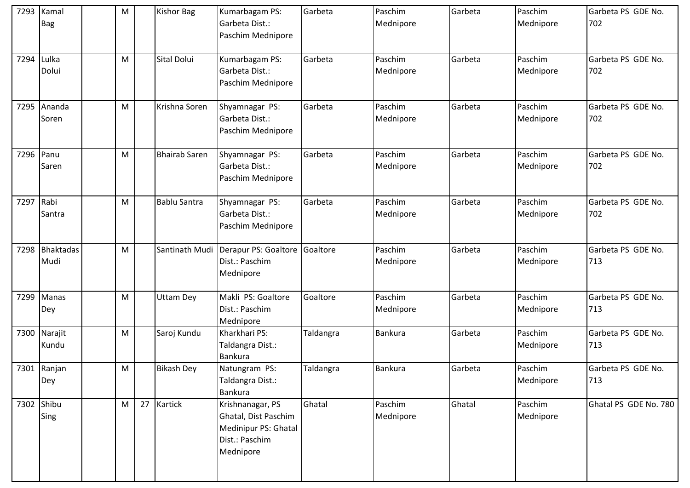| 7293 | Kamal<br><b>Bag</b> | M         | <b>Kishor Bag</b>    | Kumarbagam PS:<br>Garbeta Dist.:<br>Paschim Mednipore                                           | Garbeta   | Paschim<br>Mednipore | Garbeta | Paschim<br>Mednipore | Garbeta PS GDE No.<br>702 |
|------|---------------------|-----------|----------------------|-------------------------------------------------------------------------------------------------|-----------|----------------------|---------|----------------------|---------------------------|
| 7294 | Lulka<br>Dolui      | M         | Sital Dolui          | Kumarbagam PS:<br>Garbeta Dist.:<br>Paschim Mednipore                                           | Garbeta   | Paschim<br>Mednipore | Garbeta | Paschim<br>Mednipore | Garbeta PS GDE No.<br>702 |
| 7295 | Ananda<br>Soren     | ${\sf M}$ | Krishna Soren        | Shyamnagar PS:<br>Garbeta Dist.:<br>Paschim Mednipore                                           | Garbeta   | Paschim<br>Mednipore | Garbeta | Paschim<br>Mednipore | Garbeta PS GDE No.<br>702 |
| 7296 | Panu<br>Saren       | M         | <b>Bhairab Saren</b> | Shyamnagar PS:<br>Garbeta Dist.:<br>Paschim Mednipore                                           | Garbeta   | Paschim<br>Mednipore | Garbeta | Paschim<br>Mednipore | Garbeta PS GDE No.<br>702 |
| 7297 | Rabi<br>Santra      | M         | <b>Bablu Santra</b>  | Shyamnagar PS:<br>Garbeta Dist.:<br>Paschim Mednipore                                           | Garbeta   | Paschim<br>Mednipore | Garbeta | Paschim<br>Mednipore | Garbeta PS GDE No.<br>702 |
| 7298 | Bhaktadas<br>Mudi   | M         | Santinath Mudi       | Derapur PS: Goaltore<br>Dist.: Paschim<br>Mednipore                                             | Goaltore  | Paschim<br>Mednipore | Garbeta | Paschim<br>Mednipore | Garbeta PS GDE No.<br>713 |
| 7299 | <b>Manas</b><br>Dey | M         | <b>Uttam Dey</b>     | Makli PS: Goaltore<br>Dist.: Paschim<br>Mednipore                                               | Goaltore  | Paschim<br>Mednipore | Garbeta | Paschim<br>Mednipore | Garbeta PS GDE No.<br>713 |
| 7300 | Narajit<br>Kundu    | ${\sf M}$ | Saroj Kundu          | Kharkhari PS:<br>Taldangra Dist.:<br><b>Bankura</b>                                             | Taldangra | <b>Bankura</b>       | Garbeta | Paschim<br>Mednipore | Garbeta PS GDE No.<br>713 |
|      | 7301 Ranjan<br>Dey  | M         | <b>Bikash Dey</b>    | Natungram PS:<br>Taldangra Dist.:<br>Bankura                                                    | Taldangra | <b>Bankura</b>       | Garbeta | Paschim<br>Mednipore | Garbeta PS GDE No.<br>713 |
|      | 7302 Shibu<br>Sing  | M         | 27 Kartick           | Krishnanagar, PS<br>Ghatal, Dist Paschim<br>Medinipur PS: Ghatal<br>Dist.: Paschim<br>Mednipore | Ghatal    | Paschim<br>Mednipore | Ghatal  | Paschim<br>Mednipore | Ghatal PS GDE No. 780     |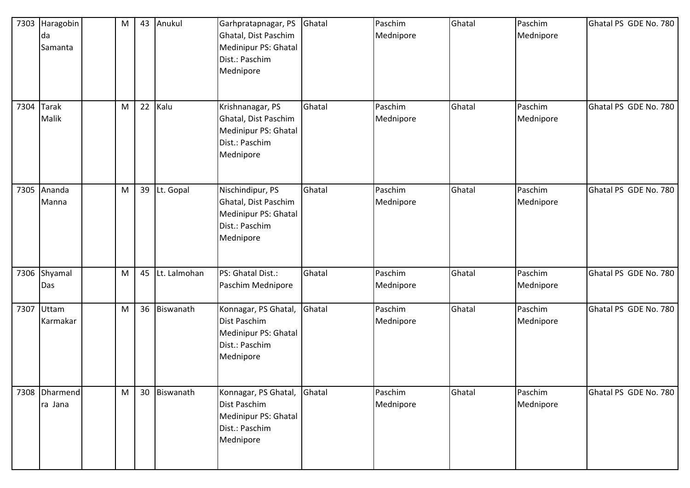| 7303 | Haragobin<br>da<br>Samanta | M | 43 Anukul       | Garhpratapnagar, PS<br>Ghatal, Dist Paschim<br>Medinipur PS: Ghatal<br>Dist.: Paschim<br>Mednipore | Ghatal | Paschim<br>Mednipore | Ghatal | Paschim<br>Mednipore | Ghatal PS GDE No. 780 |
|------|----------------------------|---|-----------------|----------------------------------------------------------------------------------------------------|--------|----------------------|--------|----------------------|-----------------------|
| 7304 | <b>Tarak</b><br>Malik      | M | 22 Kalu         | Krishnanagar, PS<br>Ghatal, Dist Paschim<br>Medinipur PS: Ghatal<br>Dist.: Paschim<br>Mednipore    | Ghatal | Paschim<br>Mednipore | Ghatal | Paschim<br>Mednipore | Ghatal PS GDE No. 780 |
| 7305 | Ananda<br>Manna            | M | 39 Lt. Gopal    | Nischindipur, PS<br>Ghatal, Dist Paschim<br>Medinipur PS: Ghatal<br>Dist.: Paschim<br>Mednipore    | Ghatal | Paschim<br>Mednipore | Ghatal | Paschim<br>Mednipore | Ghatal PS GDE No. 780 |
|      | 7306 Shyamal<br>Das        | M | 45 Lt. Lalmohan | PS: Ghatal Dist.:<br>Paschim Mednipore                                                             | Ghatal | Paschim<br>Mednipore | Ghatal | Paschim<br>Mednipore | Ghatal PS GDE No. 780 |
|      | 7307 Uttam<br>Karmakar     | M | 36 Biswanath    | Konnagar, PS Ghatal,<br>Dist Paschim<br>Medinipur PS: Ghatal<br>Dist.: Paschim<br>Mednipore        | Ghatal | Paschim<br>Mednipore | Ghatal | Paschim<br>Mednipore | Ghatal PS GDE No. 780 |
|      | 7308 Dharmend<br>ra Jana   | M | 30 Biswanath    | Konnagar, PS Ghatal,<br>Dist Paschim<br>Medinipur PS: Ghatal<br>Dist.: Paschim<br>Mednipore        | Ghatal | Paschim<br>Mednipore | Ghatal | Paschim<br>Mednipore | Ghatal PS GDE No. 780 |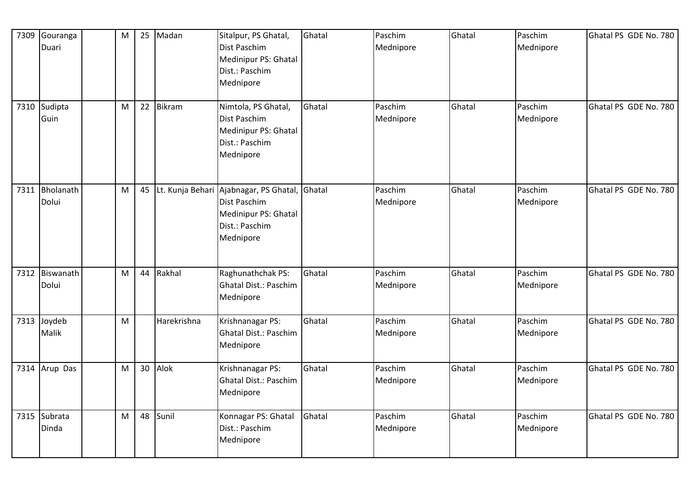| 7309 | Gouranga<br>Duari       | M         | 25              | Madan            | Sitalpur, PS Ghatal,<br>Dist Paschim<br>Medinipur PS: Ghatal<br>Dist.: Paschim<br>Mednipore  | Ghatal | Paschim<br>Mednipore | Ghatal | Paschim<br>Mednipore | Ghatal PS GDE No. 780 |
|------|-------------------------|-----------|-----------------|------------------|----------------------------------------------------------------------------------------------|--------|----------------------|--------|----------------------|-----------------------|
|      | 7310 Sudipta<br>Guin    | M         |                 | 22 Bikram        | Nimtola, PS Ghatal,<br>Dist Paschim<br>Medinipur PS: Ghatal<br>Dist.: Paschim<br>Mednipore   | Ghatal | Paschim<br>Mednipore | Ghatal | Paschim<br>Mednipore | Ghatal PS GDE No. 780 |
| 7311 | Bholanath<br>Dolui      | M         | 45              | Lt. Kunja Behari | Ajabnagar, PS Ghatal,<br>Dist Paschim<br>Medinipur PS: Ghatal<br>Dist.: Paschim<br>Mednipore | Ghatal | Paschim<br>Mednipore | Ghatal | Paschim<br>Mednipore | Ghatal PS GDE No. 780 |
|      | 7312 Biswanath<br>Dolui | M         |                 | 44 Rakhal        | Raghunathchak PS:<br><b>Ghatal Dist.: Paschim</b><br>Mednipore                               | Ghatal | Paschim<br>Mednipore | Ghatal | Paschim<br>Mednipore | Ghatal PS GDE No. 780 |
|      | 7313 Joydeb<br>Malik    | ${\sf M}$ |                 | Harekrishna      | Krishnanagar PS:<br>Ghatal Dist.: Paschim<br>Mednipore                                       | Ghatal | Paschim<br>Mednipore | Ghatal | Paschim<br>Mednipore | Ghatal PS GDE No. 780 |
|      | 7314 Arup Das           | M         | 30 <sup>°</sup> | Alok             | Krishnanagar PS:<br>Ghatal Dist.: Paschim<br>Mednipore                                       | Ghatal | Paschim<br>Mednipore | Ghatal | Paschim<br>Mednipore | Ghatal PS GDE No. 780 |
|      | 7315 Subrata<br>Dinda   | M         | 48              | Sunil            | Konnagar PS: Ghatal<br>Dist.: Paschim<br>Mednipore                                           | Ghatal | Paschim<br>Mednipore | Ghatal | Paschim<br>Mednipore | Ghatal PS GDE No. 780 |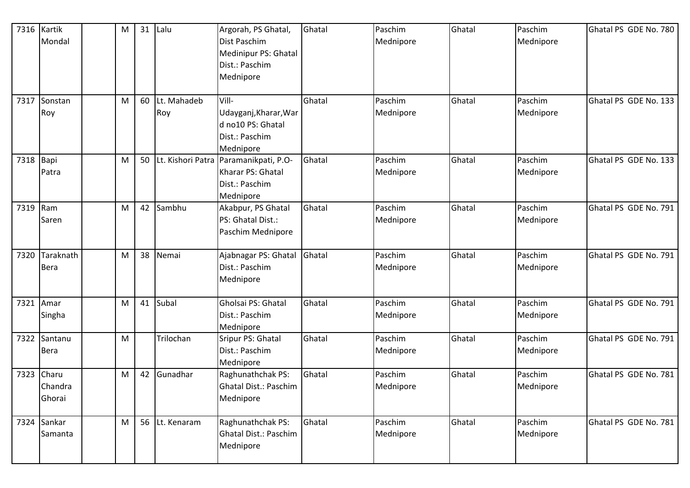| 7316 Kartik |              | M | 31 | Lalu              | Argorah, PS Ghatal,                      | Ghatal | Paschim   | Ghatal | Paschim   | Ghatal PS GDE No. 780 |
|-------------|--------------|---|----|-------------------|------------------------------------------|--------|-----------|--------|-----------|-----------------------|
|             | Mondal       |   |    |                   | Dist Paschim                             |        | Mednipore |        | Mednipore |                       |
|             |              |   |    |                   | Medinipur PS: Ghatal<br>Dist.: Paschim   |        |           |        |           |                       |
|             |              |   |    |                   | Mednipore                                |        |           |        |           |                       |
|             |              |   |    |                   |                                          |        |           |        |           |                       |
|             | 7317 Sonstan | M | 60 | Lt. Mahadeb       | Vill-                                    | Ghatal | Paschim   | Ghatal | Paschim   | Ghatal PS GDE No. 133 |
|             | Roy          |   |    | Roy               | Udayganj, Kharar, War                    |        | Mednipore |        | Mednipore |                       |
|             |              |   |    |                   | d no10 PS: Ghatal                        |        |           |        |           |                       |
|             |              |   |    |                   | Dist.: Paschim                           |        |           |        |           |                       |
|             |              |   | 50 | Lt. Kishori Patra | Mednipore                                | Ghatal | Paschim   | Ghatal | Paschim   | Ghatal PS GDE No. 133 |
| 7318 Bapi   | Patra        | M |    |                   | Paramanikpati, P.O-<br>Kharar PS: Ghatal |        | Mednipore |        | Mednipore |                       |
|             |              |   |    |                   | Dist.: Paschim                           |        |           |        |           |                       |
|             |              |   |    |                   | Mednipore                                |        |           |        |           |                       |
| 7319 Ram    |              | M | 42 | Sambhu            | Akabpur, PS Ghatal                       | Ghatal | Paschim   | Ghatal | Paschim   | Ghatal PS GDE No. 791 |
|             | Saren        |   |    |                   | PS: Ghatal Dist.:                        |        | Mednipore |        | Mednipore |                       |
|             |              |   |    |                   | Paschim Mednipore                        |        |           |        |           |                       |
|             |              |   |    |                   |                                          |        |           |        |           |                       |
| 7320        | Taraknath    | M | 38 | Nemai             | Ajabnagar PS: Ghatal                     | Ghatal | Paschim   | Ghatal | Paschim   | Ghatal PS GDE No. 791 |
|             | <b>Bera</b>  |   |    |                   | Dist.: Paschim                           |        | Mednipore |        | Mednipore |                       |
|             |              |   |    |                   | Mednipore                                |        |           |        |           |                       |
| 7321 Amar   |              | M | 41 | Subal             | Gholsai PS: Ghatal                       | Ghatal | Paschim   | Ghatal | Paschim   | Ghatal PS GDE No. 791 |
|             | Singha       |   |    |                   | Dist.: Paschim                           |        | Mednipore |        | Mednipore |                       |
|             |              |   |    |                   | Mednipore                                |        |           |        |           |                       |
| 7322        | Santanu      | M |    | Trilochan         | Sripur PS: Ghatal                        | Ghatal | Paschim   | Ghatal | Paschim   | Ghatal PS GDE No. 791 |
|             | <b>Bera</b>  |   |    |                   | Dist.: Paschim                           |        | Mednipore |        | Mednipore |                       |
|             |              |   |    |                   | Mednipore                                |        |           |        |           |                       |
|             | 7323 Charu   | M | 42 | Gunadhar          | Raghunathchak PS:                        | Ghatal | Paschim   | Ghatal | Paschim   | Ghatal PS GDE No. 781 |
|             | Chandra      |   |    |                   | Ghatal Dist.: Paschim                    |        | Mednipore |        | Mednipore |                       |
|             | Ghorai       |   |    |                   | Mednipore                                |        |           |        |           |                       |
|             | 7324 Sankar  | M |    | 56 Lt. Kenaram    | Raghunathchak PS:                        | Ghatal | Paschim   | Ghatal | Paschim   | Ghatal PS GDE No. 781 |
|             | Samanta      |   |    |                   | Ghatal Dist.: Paschim                    |        | Mednipore |        | Mednipore |                       |
|             |              |   |    |                   | Mednipore                                |        |           |        |           |                       |
|             |              |   |    |                   |                                          |        |           |        |           |                       |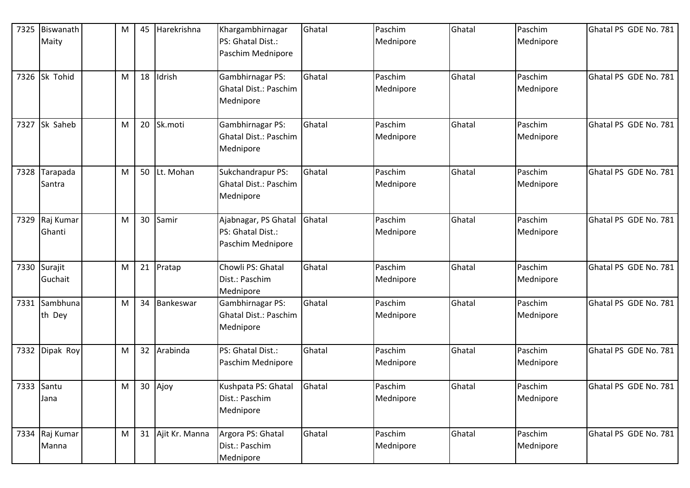| 7325 | Biswanath<br>Maity      | M | 45 | Harekrishna       | Khargambhirnagar<br>PS: Ghatal Dist.:<br>Paschim Mednipore     | Ghatal | Paschim<br>Mednipore | Ghatal | Paschim<br>Mednipore | Ghatal PS GDE No. 781 |
|------|-------------------------|---|----|-------------------|----------------------------------------------------------------|--------|----------------------|--------|----------------------|-----------------------|
| 7326 | Sk Tohid                | M | 18 | Idrish            | Gambhirnagar PS:<br>Ghatal Dist.: Paschim<br>Mednipore         | Ghatal | Paschim<br>Mednipore | Ghatal | Paschim<br>Mednipore | Ghatal PS GDE No. 781 |
| 7327 | Sk Saheb                | M | 20 | Sk.moti           | Gambhirnagar PS:<br>Ghatal Dist.: Paschim<br>Mednipore         | Ghatal | Paschim<br>Mednipore | Ghatal | Paschim<br>Mednipore | Ghatal PS GDE No. 781 |
| 7328 | Tarapada<br>Santra      | M |    | 50 Lt. Mohan      | Sukchandrapur PS:<br>Ghatal Dist.: Paschim<br>Mednipore        | Ghatal | Paschim<br>Mednipore | Ghatal | Paschim<br>Mednipore | Ghatal PS GDE No. 781 |
| 7329 | Raj Kumar<br>Ghanti     | M |    | 30 Samir          | Ajabnagar, PS Ghatal<br>PS: Ghatal Dist.:<br>Paschim Mednipore | Ghatal | Paschim<br>Mednipore | Ghatal | Paschim<br>Mednipore | Ghatal PS GDE No. 781 |
|      | 7330 Surajit<br>Guchait | M |    | 21 Pratap         | Chowli PS: Ghatal<br>Dist.: Paschim<br>Mednipore               | Ghatal | Paschim<br>Mednipore | Ghatal | Paschim<br>Mednipore | Ghatal PS GDE No. 781 |
| 7331 | Sambhuna<br>th Dey      | M |    | 34 Bankeswar      | Gambhirnagar PS:<br>Ghatal Dist.: Paschim<br>Mednipore         | Ghatal | Paschim<br>Mednipore | Ghatal | Paschim<br>Mednipore | Ghatal PS GDE No. 781 |
| 7332 | Dipak Roy               | M |    | 32 Arabinda       | PS: Ghatal Dist.:<br>Paschim Mednipore                         | Ghatal | Paschim<br>Mednipore | Ghatal | Paschim<br>Mednipore | Ghatal PS GDE No. 781 |
|      | 7333 Santu<br>Jana      | M |    | 30 Ajoy           | Kushpata PS: Ghatal<br>Dist.: Paschim<br>Mednipore             | Ghatal | Paschim<br>Mednipore | Ghatal | Paschim<br>Mednipore | Ghatal PS GDE No. 781 |
|      | 7334 Raj Kumar<br>Manna | M |    | 31 Ajit Kr. Manna | Argora PS: Ghatal<br>Dist.: Paschim<br>Mednipore               | Ghatal | Paschim<br>Mednipore | Ghatal | Paschim<br>Mednipore | Ghatal PS GDE No. 781 |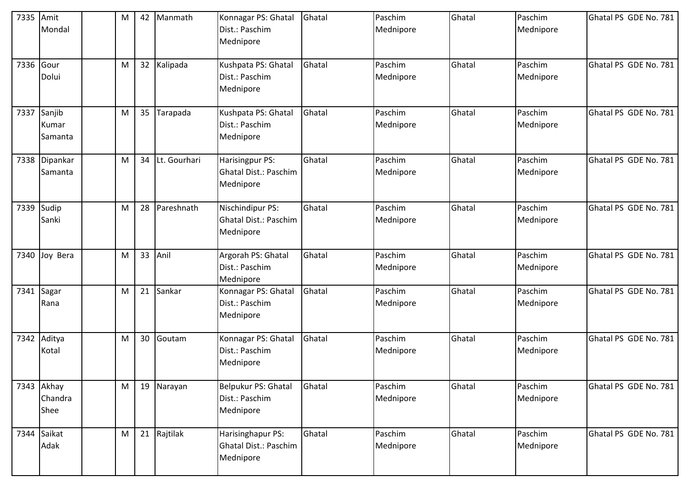| 7335 Amit  | Mondal                        | M | 42              | Manmath      | Konnagar PS: Ghatal<br>Dist.: Paschim<br>Mednipore      | Ghatal | Paschim<br>Mednipore | Ghatal | Paschim<br>Mednipore | Ghatal PS GDE No. 781 |
|------------|-------------------------------|---|-----------------|--------------|---------------------------------------------------------|--------|----------------------|--------|----------------------|-----------------------|
| 7336 Gour  | Dolui                         | M |                 | 32 Kalipada  | Kushpata PS: Ghatal<br>Dist.: Paschim<br>Mednipore      | Ghatal | Paschim<br>Mednipore | Ghatal | Paschim<br>Mednipore | Ghatal PS GDE No. 781 |
| 7337       | Sanjib<br>Kumar<br>Samanta    | M | 35 <sub>1</sub> | Tarapada     | Kushpata PS: Ghatal<br>Dist.: Paschim<br>Mednipore      | Ghatal | Paschim<br>Mednipore | Ghatal | Paschim<br>Mednipore | Ghatal PS GDE No. 781 |
|            | 7338 Dipankar<br>Samanta      | M | 34              | Lt. Gourhari | Harisingpur PS:<br>Ghatal Dist.: Paschim<br>Mednipore   | Ghatal | Paschim<br>Mednipore | Ghatal | Paschim<br>Mednipore | Ghatal PS GDE No. 781 |
| 7339 Sudip | Sanki                         | M | 28              | Pareshnath   | Nischindipur PS:<br>Ghatal Dist.: Paschim<br>Mednipore  | Ghatal | Paschim<br>Mednipore | Ghatal | Paschim<br>Mednipore | Ghatal PS GDE No. 781 |
|            | 7340 Joy Bera                 | M | 33              | Anil         | Argorah PS: Ghatal<br>Dist.: Paschim<br>Mednipore       | Ghatal | Paschim<br>Mednipore | Ghatal | Paschim<br>Mednipore | Ghatal PS GDE No. 781 |
|            | 7341 Sagar<br>Rana            | M | 21              | Sankar       | Konnagar PS: Ghatal<br>Dist.: Paschim<br>Mednipore      | Ghatal | Paschim<br>Mednipore | Ghatal | Paschim<br>Mednipore | Ghatal PS GDE No. 781 |
| 7342       | Aditya<br>Kotal               | M | 30              | Goutam       | Konnagar PS: Ghatal<br>Dist.: Paschim<br>Mednipore      | Ghatal | Paschim<br>Mednipore | Ghatal | Paschim<br>Mednipore | Ghatal PS GDE No. 781 |
|            | 7343 Akhay<br>Chandra<br>Shee | M |                 | 19 Narayan   | Belpukur PS: Ghatal<br>Dist.: Paschim<br>Mednipore      | Ghatal | Paschim<br>Mednipore | Ghatal | Paschim<br>Mednipore | Ghatal PS GDE No. 781 |
|            | 7344 Saikat<br>Adak           | M |                 | 21 Rajtilak  | Harisinghapur PS:<br>Ghatal Dist.: Paschim<br>Mednipore | Ghatal | Paschim<br>Mednipore | Ghatal | Paschim<br>Mednipore | Ghatal PS GDE No. 781 |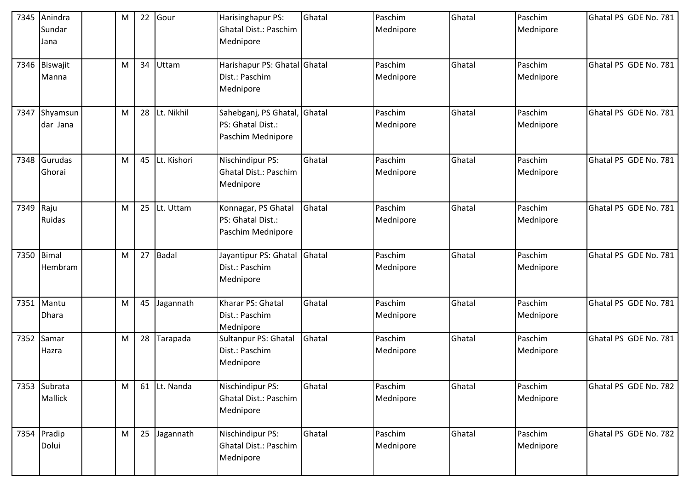| 7345      | Anindra<br>Sundar<br>Jana | M | 22 | Gour         | Harisinghapur PS:<br><b>Ghatal Dist.: Paschim</b><br>Mednipore  | Ghatal | Paschim<br>Mednipore | Ghatal | Paschim<br>Mednipore | Ghatal PS GDE No. 781 |
|-----------|---------------------------|---|----|--------------|-----------------------------------------------------------------|--------|----------------------|--------|----------------------|-----------------------|
|           | 7346 Biswajit<br>Manna    | M | 34 | Uttam        | Harishapur PS: Ghatal Ghatal<br>Dist.: Paschim<br>Mednipore     |        | Paschim<br>Mednipore | Ghatal | Paschim<br>Mednipore | Ghatal PS GDE No. 781 |
| 7347      | Shyamsun<br>dar Jana      | M | 28 | Lt. Nikhil   | Sahebganj, PS Ghatal,<br>PS: Ghatal Dist.:<br>Paschim Mednipore | Ghatal | Paschim<br>Mednipore | Ghatal | Paschim<br>Mednipore | Ghatal PS GDE No. 781 |
| 7348      | Gurudas<br>Ghorai         | M | 45 | Lt. Kishori  | Nischindipur PS:<br><b>Ghatal Dist.: Paschim</b><br>Mednipore   | Ghatal | Paschim<br>Mednipore | Ghatal | Paschim<br>Mednipore | Ghatal PS GDE No. 781 |
| 7349 Raju | Ruidas                    | M | 25 | Lt. Uttam    | Konnagar, PS Ghatal<br>PS: Ghatal Dist.:<br>Paschim Mednipore   | Ghatal | Paschim<br>Mednipore | Ghatal | Paschim<br>Mednipore | Ghatal PS GDE No. 781 |
| 7350      | <b>Bimal</b><br>Hembram   | M |    | 27 Badal     | Jayantipur PS: Ghatal<br>Dist.: Paschim<br>Mednipore            | Ghatal | Paschim<br>Mednipore | Ghatal | Paschim<br>Mednipore | Ghatal PS GDE No. 781 |
|           | 7351 Mantu<br>Dhara       | M |    | 45 Jagannath | Kharar PS: Ghatal<br>Dist.: Paschim<br>Mednipore                | Ghatal | Paschim<br>Mednipore | Ghatal | Paschim<br>Mednipore | Ghatal PS GDE No. 781 |
| 7352      | Samar<br>Hazra            | M | 28 | Tarapada     | Sultanpur PS: Ghatal<br>Dist.: Paschim<br>Mednipore             | Ghatal | Paschim<br>Mednipore | Ghatal | Paschim<br>Mednipore | Ghatal PS GDE No. 781 |
|           | 7353 Subrata<br>Mallick   | M |    | 61 Lt. Nanda | Nischindipur PS:<br>Ghatal Dist.: Paschim<br>Mednipore          | Ghatal | Paschim<br>Mednipore | Ghatal | Paschim<br>Mednipore | Ghatal PS GDE No. 782 |
|           | 7354 Pradip<br>Dolui      | M |    | 25 Jagannath | Nischindipur PS:<br>Ghatal Dist.: Paschim<br>Mednipore          | Ghatal | Paschim<br>Mednipore | Ghatal | Paschim<br>Mednipore | Ghatal PS GDE No. 782 |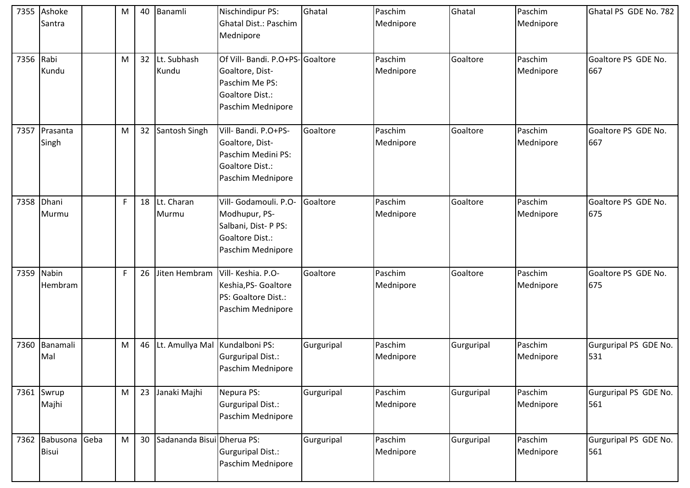|           | 7355 Ashoke<br>Santra  |      | M | 40 | Banamli                           | Nischindipur PS:<br>Ghatal Dist.: Paschim<br>Mednipore                                                       | Ghatal     | Paschim<br>Mednipore | Ghatal     | Paschim<br>Mednipore | Ghatal PS GDE No. 782        |
|-----------|------------------------|------|---|----|-----------------------------------|--------------------------------------------------------------------------------------------------------------|------------|----------------------|------------|----------------------|------------------------------|
| 7356 Rabi | Kundu                  |      | M | 32 | Lt. Subhash<br>Kundu              | Of Vill- Bandi. P.O+PS-Goaltore<br>Goaltore, Dist-<br>Paschim Me PS:<br>Goaltore Dist.:<br>Paschim Mednipore |            | Paschim<br>Mednipore | Goaltore   | Paschim<br>Mednipore | Goaltore PS GDE No.<br>667   |
| 7357      | Prasanta<br>Singh      |      | M | 32 | Santosh Singh                     | Vill- Bandi. P.O+PS-<br>Goaltore, Dist-<br>Paschim Medini PS:<br>Goaltore Dist.:<br>Paschim Mednipore        | Goaltore   | Paschim<br>Mednipore | Goaltore   | Paschim<br>Mednipore | Goaltore PS GDE No.<br>667   |
|           | 7358 Dhani<br>Murmu    |      | F |    | 18 Lt. Charan<br>Murmu            | Vill- Godamouli. P.O-<br>Modhupur, PS-<br>Salbani, Dist-P PS:<br>Goaltore Dist.:<br>Paschim Mednipore        | Goaltore   | Paschim<br>Mednipore | Goaltore   | Paschim<br>Mednipore | Goaltore PS GDE No.<br>675   |
| 7359      | Nabin<br>Hembram       |      | F | 26 | Jiten Hembram                     | Vill- Keshia. P.O-<br>Keshia, PS- Goaltore<br>PS: Goaltore Dist.:<br>Paschim Mednipore                       | Goaltore   | Paschim<br>Mednipore | Goaltore   | Paschim<br>Mednipore | Goaltore PS GDE No.<br>675   |
| 7360      | Banamali<br>Mal        |      | M |    | 46 Lt. Amullya Mal Kundalboni PS: | Gurguripal Dist.:<br>Paschim Mednipore                                                                       | Gurguripal | Paschim<br>Mednipore | Gurguripal | Paschim<br>Mednipore | Gurguripal PS GDE No.<br>531 |
|           | 7361 Swrup<br>Majhi    |      | M | 23 | Janaki Majhi                      | Nepura PS:<br>Gurguripal Dist.:<br>Paschim Mednipore                                                         | Gurguripal | Paschim<br>Mednipore | Gurguripal | Paschim<br>Mednipore | Gurguripal PS GDE No.<br>561 |
|           | 7362 Babusona<br>Bisui | Geba | M | 30 | Sadananda Bisui Dherua PS:        | Gurguripal Dist.:<br>Paschim Mednipore                                                                       | Gurguripal | Paschim<br>Mednipore | Gurguripal | Paschim<br>Mednipore | Gurguripal PS GDE No.<br>561 |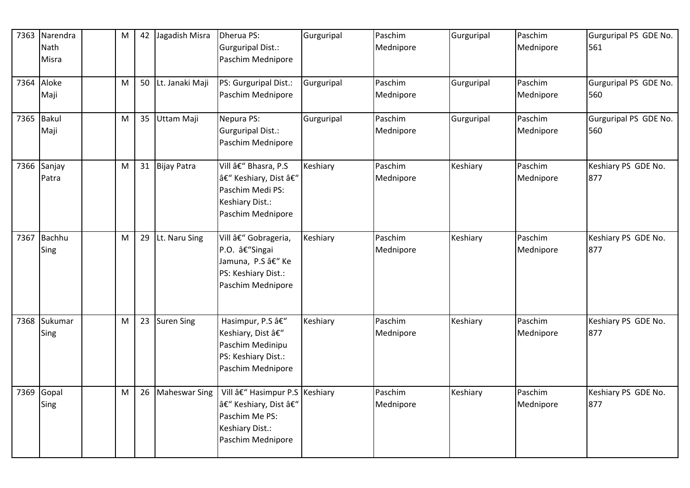| 7363 | Narendra<br>Nath<br>Misra | M |    | 42 Jagadish Misra  | Dherua PS:<br><b>Gurguripal Dist.:</b><br>Paschim Mednipore                                                  | Gurguripal | Paschim<br>Mednipore | Gurguripal | Paschim<br>Mednipore | Gurguripal PS GDE No.<br>561 |
|------|---------------------------|---|----|--------------------|--------------------------------------------------------------------------------------------------------------|------------|----------------------|------------|----------------------|------------------------------|
|      | 7364 Aloke<br>Maji        | M |    | 50 Lt. Janaki Maji | PS: Gurguripal Dist.:<br>Paschim Mednipore                                                                   | Gurguripal | Paschim<br>Mednipore | Gurguripal | Paschim<br>Mednipore | Gurguripal PS GDE No.<br>560 |
|      | 7365 Bakul<br>Maji        | M |    | 35 Uttam Maji      | Nepura PS:<br><b>Gurguripal Dist.:</b><br>Paschim Mednipore                                                  | Gurguripal | Paschim<br>Mednipore | Gurguripal | Paschim<br>Mednipore | Gurguripal PS GDE No.<br>560 |
| 7366 | Sanjay<br>Patra           | M |    | 31 Bijay Patra     | Vill – Bhasra, P.S<br>– Keshiary, Dist –<br>Paschim Medi PS:<br>Keshiary Dist.:<br>Paschim Mednipore         | Keshiary   | Paschim<br>Mednipore | Keshiary   | Paschim<br>Mednipore | Keshiary PS GDE No.<br>877   |
| 7367 | Bachhu<br>Sing            | M | 29 | Lt. Naru Sing      | Vill – Gobrageria,<br>P.O. â€"Singai<br>Jamuna, P.S â€" Ke<br>PS: Keshiary Dist.:<br>Paschim Mednipore       | Keshiary   | Paschim<br>Mednipore | Keshiary   | Paschim<br>Mednipore | Keshiary PS GDE No.<br>877   |
| 7368 | Sukumar<br>Sing           | M |    | 23 Suren Sing      | Hasimpur, P.S –<br>Keshiary, Dist –<br>Paschim Medinipu<br>PS: Keshiary Dist.:<br>Paschim Mednipore          | Keshiary   | Paschim<br>Mednipore | Keshiary   | Paschim<br>Mednipore | Keshiary PS GDE No.<br>877   |
| 7369 | Gopal<br>Sing             | M |    | 26 Maheswar Sing   | Vill – Hasimpur P.S Keshiary<br>– Keshiary, Dist –<br>Paschim Me PS:<br>Keshiary Dist.:<br>Paschim Mednipore |            | Paschim<br>Mednipore | Keshiary   | Paschim<br>Mednipore | Keshiary PS GDE No.<br>877   |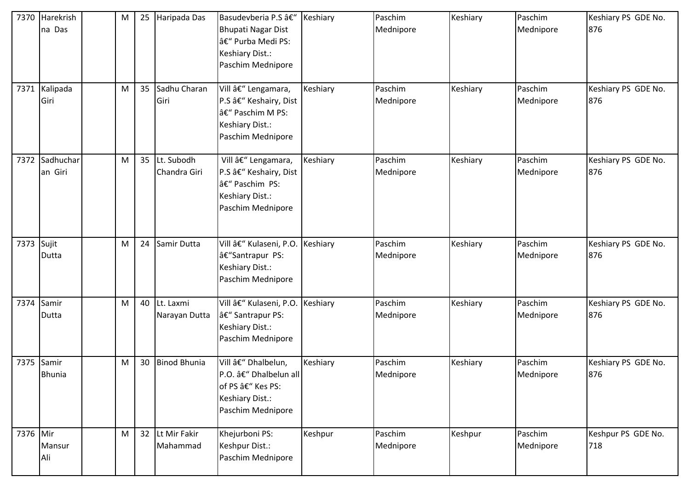| 7370     | Harekrish<br>na Das<br>7371 Kalipada | M<br>M | 25<br>35 | Haripada Das<br>Sadhu Charan  | Basudevberia P.S –<br>Bhupati Nagar Dist<br>– Purba Medi PS:<br>Keshiary Dist.:<br>Paschim Mednipore<br>Vill – Lengamara, | Keshiary<br>Keshiary | Paschim<br>Mednipore<br>Paschim | Keshiary<br>Keshiary | Paschim<br>Mednipore<br>Paschim | Keshiary PS GDE No.<br>876<br>Keshiary PS GDE No. |
|----------|--------------------------------------|--------|----------|-------------------------------|---------------------------------------------------------------------------------------------------------------------------|----------------------|---------------------------------|----------------------|---------------------------------|---------------------------------------------------|
|          | Giri                                 |        |          | Giri                          | P.S â€" Keshairy, Dist<br>– Paschim M PS:<br>Keshiary Dist.:<br>Paschim Mednipore                                         |                      | Mednipore                       |                      | Mednipore                       | 876                                               |
| 7372     | Sadhuchar<br>an Giri                 | M      | 35       | Lt. Subodh<br>Chandra Giri    | Vill – Lengamara,<br>P.S â€" Keshairy, Dist<br>– Paschim PS:<br>Keshiary Dist.:<br>Paschim Mednipore                      | Keshiary             | Paschim<br>Mednipore            | Keshiary             | Paschim<br>Mednipore            | Keshiary PS GDE No.<br>876                        |
| 7373     | Sujit<br>Dutta                       | M      | 24       | Samir Dutta                   | Vill – Kulaseni, P.O.<br>â€"Santrapur PS:<br>Keshiary Dist.:<br>Paschim Mednipore                                         | Keshiary             | Paschim<br>Mednipore            | Keshiary             | Paschim<br>Mednipore            | Keshiary PS GDE No.<br>876                        |
| 7374     | Samir<br>Dutta                       | M      |          | 40 Lt. Laxmi<br>Narayan Dutta | Vill – Kulaseni, P.O.<br>â€" Santrapur PS:<br>Keshiary Dist.:<br>Paschim Mednipore                                        | Keshiary             | Paschim<br>Mednipore            | Keshiary             | Paschim<br>Mednipore            | Keshiary PS GDE No.<br>876                        |
| 7375     | Samir<br><b>Bhunia</b>               | M      | 30       | <b>Binod Bhunia</b>           | Vill – Dhalbelun,<br>P.O. – Dhalbelun all<br>of PS – Kes PS:<br>Keshiary Dist.:<br>Paschim Mednipore                      | Keshiary             | Paschim<br>Mednipore            | Keshiary             | Paschim<br>Mednipore            | Keshiary PS GDE No.<br>876                        |
| 7376 Mir | Mansur<br>Ali                        | M      |          | 32 Lt Mir Fakir<br>Mahammad   | Khejurboni PS:<br>Keshpur Dist.:<br>Paschim Mednipore                                                                     | Keshpur              | Paschim<br>Mednipore            | Keshpur              | Paschim<br>Mednipore            | Keshpur PS GDE No.<br>718                         |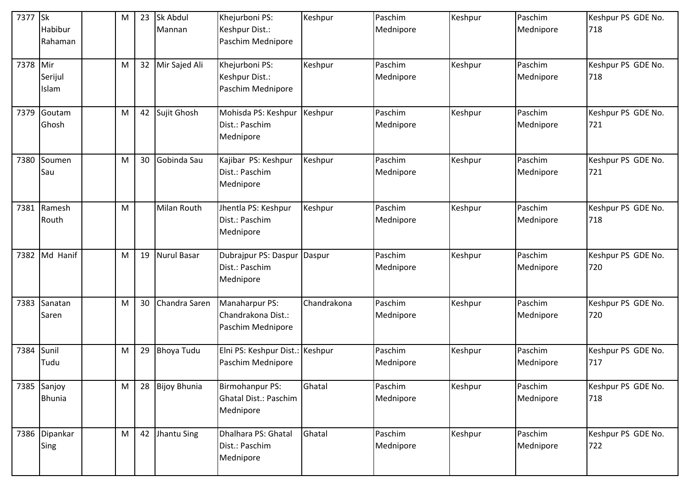| 7377 Sk  | Habibur<br>Rahaman           | M | 23              | Sk Abdul<br>Mannan | Khejurboni PS:<br>Keshpur Dist.:<br>Paschim Mednipore     | Keshpur     | Paschim<br>Mednipore | Keshpur | Paschim<br>Mednipore | Keshpur PS GDE No.<br>718 |
|----------|------------------------------|---|-----------------|--------------------|-----------------------------------------------------------|-------------|----------------------|---------|----------------------|---------------------------|
| 7378 Mir | Serijul<br>Islam             | M |                 | 32 Mir Sajed Ali   | Khejurboni PS:<br>Keshpur Dist.:<br>Paschim Mednipore     | Keshpur     | Paschim<br>Mednipore | Keshpur | Paschim<br>Mednipore | Keshpur PS GDE No.<br>718 |
| 7379     | Goutam<br>Ghosh              | M | 42              | Sujit Ghosh        | Mohisda PS: Keshpur<br>Dist.: Paschim<br>Mednipore        | Keshpur     | Paschim<br>Mednipore | Keshpur | Paschim<br>Mednipore | Keshpur PS GDE No.<br>721 |
| 7380     | Soumen<br>Sau                | M | 30              | Gobinda Sau        | Kajibar PS: Keshpur<br>Dist.: Paschim<br>Mednipore        | Keshpur     | Paschim<br>Mednipore | Keshpur | Paschim<br>Mednipore | Keshpur PS GDE No.<br>721 |
|          | 7381 Ramesh<br>Routh         | M |                 | <b>Milan Routh</b> | Jhentla PS: Keshpur<br>Dist.: Paschim<br>Mednipore        | Keshpur     | Paschim<br>Mednipore | Keshpur | Paschim<br>Mednipore | Keshpur PS GDE No.<br>718 |
| 7382     | Md Hanif                     | M | 19              | <b>Nurul Basar</b> | Dubrajpur PS: Daspur<br>Dist.: Paschim<br>Mednipore       | Daspur      | Paschim<br>Mednipore | Keshpur | Paschim<br>Mednipore | Keshpur PS GDE No.<br>720 |
| 7383     | Sanatan<br>Saren             | M | 30 <sub>2</sub> | Chandra Saren      | Manaharpur PS:<br>Chandrakona Dist.:<br>Paschim Mednipore | Chandrakona | Paschim<br>Mednipore | Keshpur | Paschim<br>Mednipore | Keshpur PS GDE No.<br>720 |
| 7384     | Sunil<br>Tudu                | M | 29              | <b>Bhoya Tudu</b>  | Elni PS: Keshpur Dist.: Keshpur<br>Paschim Mednipore      |             | Paschim<br>Mednipore | Keshpur | Paschim<br>Mednipore | Keshpur PS GDE No.<br>717 |
|          | 7385 Sanjoy<br><b>Bhunia</b> | M |                 | 28 Bijoy Bhunia    | Birmohanpur PS:<br>Ghatal Dist.: Paschim<br>Mednipore     | Ghatal      | Paschim<br>Mednipore | Keshpur | Paschim<br>Mednipore | Keshpur PS GDE No.<br>718 |
|          | 7386 Dipankar<br>Sing        | M |                 | 42 Jhantu Sing     | Dhalhara PS: Ghatal<br>Dist.: Paschim<br>Mednipore        | Ghatal      | Paschim<br>Mednipore | Keshpur | Paschim<br>Mednipore | Keshpur PS GDE No.<br>722 |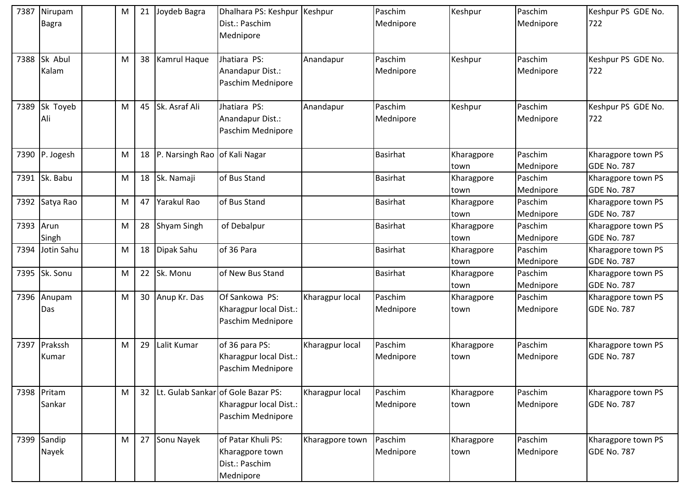| 7387 | Nirupam<br>Bagra      | M | 21 | Joydeb Bagra       | Dhalhara PS: Keshpur<br>Dist.: Paschim<br>Mednipore                                  | Keshpur         | Paschim<br>Mednipore | Keshpur            | Paschim<br>Mednipore | Keshpur PS GDE No.<br>722                |
|------|-----------------------|---|----|--------------------|--------------------------------------------------------------------------------------|-----------------|----------------------|--------------------|----------------------|------------------------------------------|
| 7388 | Sk Abul<br>Kalam      | M | 38 | Kamrul Haque       | Jhatiara PS:<br>Anandapur Dist.:<br>Paschim Mednipore                                | Anandapur       | Paschim<br>Mednipore | Keshpur            | Paschim<br>Mednipore | Keshpur PS GDE No.<br>722                |
| 7389 | Sk Toyeb<br>Ali       | M |    | 45 Sk. Asraf Ali   | Jhatiara PS:<br>Anandapur Dist.:<br>Paschim Mednipore                                | Anandapur       | Paschim<br>Mednipore | Keshpur            | Paschim<br>Mednipore | Keshpur PS GDE No.<br>722                |
|      | 7390 P. Jogesh        | M |    | 18 P. Narsingh Rao | of Kali Nagar                                                                        |                 | <b>Basirhat</b>      | Kharagpore<br>town | Paschim<br>Mednipore | Kharagpore town PS<br>GDE No. 787        |
| 7391 | Sk. Babu              | M |    | 18 Sk. Namaji      | of Bus Stand                                                                         |                 | <b>Basirhat</b>      | Kharagpore<br>town | Paschim<br>Mednipore | Kharagpore town PS<br>GDE No. 787        |
|      | 7392 Satya Rao        | M | 47 | Yarakul Rao        | of Bus Stand                                                                         |                 | <b>Basirhat</b>      | Kharagpore<br>town | Paschim<br>Mednipore | Kharagpore town PS<br>GDE No. 787        |
| 7393 | Arun<br>Singh         | M |    | 28 Shyam Singh     | of Debalpur                                                                          |                 | <b>Basirhat</b>      | Kharagpore<br>town | Paschim<br>Mednipore | Kharagpore town PS<br><b>GDE No. 787</b> |
| 7394 | Jotin Sahu            | M |    | 18 Dipak Sahu      | of 36 Para                                                                           |                 | <b>Basirhat</b>      | Kharagpore<br>town | Paschim<br>Mednipore | Kharagpore town PS<br>GDE No. 787        |
|      | 7395 Sk. Sonu         | M |    | 22 Sk. Monu        | of New Bus Stand                                                                     |                 | <b>Basirhat</b>      | Kharagpore<br>town | Paschim<br>Mednipore | Kharagpore town PS<br>GDE No. 787        |
| 7396 | Anupam<br>Das         | M |    | 30 Anup Kr. Das    | Of Sankowa PS:<br>Kharagpur local Dist.:<br>Paschim Mednipore                        | Kharagpur local | Paschim<br>Mednipore | Kharagpore<br>town | Paschim<br>Mednipore | Kharagpore town PS<br>GDE No. 787        |
|      | 7397 Prakssh<br>Kumar | M | 29 | Lalit Kumar        | of 36 para PS:<br>Kharagpur local Dist.:<br>Paschim Mednipore                        | Kharagpur local | Paschim<br>Mednipore | Kharagpore<br>town | Paschim<br>Mednipore | Kharagpore town PS<br><b>GDE No. 787</b> |
|      | 7398 Pritam<br>Sankar | M |    |                    | 32 Lt. Gulab Sankar of Gole Bazar PS:<br>Kharagpur local Dist.:<br>Paschim Mednipore | Kharagpur local | Paschim<br>Mednipore | Kharagpore<br>town | Paschim<br>Mednipore | Kharagpore town PS<br>GDE No. 787        |
| 7399 | Sandip<br>Nayek       | M |    | 27 Sonu Nayek      | of Patar Khuli PS:<br>Kharagpore town<br>Dist.: Paschim<br>Mednipore                 | Kharagpore town | Paschim<br>Mednipore | Kharagpore<br>town | Paschim<br>Mednipore | Kharagpore town PS<br>GDE No. 787        |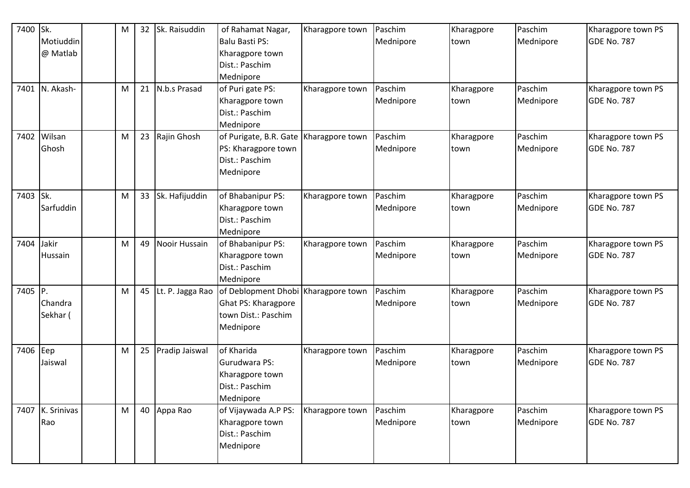| 7400     | Sk.              | M | 32 <sup>2</sup> | Sk. Raisuddin        | of Rahamat Nagar,                                           | Kharagpore town | Paschim   | Kharagpore | Paschim   | Kharagpore town PS |
|----------|------------------|---|-----------------|----------------------|-------------------------------------------------------------|-----------------|-----------|------------|-----------|--------------------|
|          | Motiuddin        |   |                 |                      | <b>Balu Basti PS:</b>                                       |                 | Mednipore | town       | Mednipore | <b>GDE No. 787</b> |
|          | @ Matlab         |   |                 |                      | Kharagpore town                                             |                 |           |            |           |                    |
|          |                  |   |                 |                      | Dist.: Paschim                                              |                 |           |            |           |                    |
|          |                  |   |                 |                      | Mednipore                                                   |                 |           |            |           |                    |
| 7401     | N. Akash-        | M |                 | 21 N.b.s Prasad      | of Puri gate PS:                                            | Kharagpore town | Paschim   | Kharagpore | Paschim   | Kharagpore town PS |
|          |                  |   |                 |                      | Kharagpore town                                             |                 | Mednipore | town       | Mednipore | <b>GDE No. 787</b> |
|          |                  |   |                 |                      | Dist.: Paschim                                              |                 |           |            |           |                    |
|          |                  |   |                 |                      | Mednipore                                                   |                 |           |            |           |                    |
| 7402     | Wilsan           | M |                 | 23 Rajin Ghosh       | of Purigate, B.R. Gate Kharagpore town                      |                 | Paschim   | Kharagpore | Paschim   | Kharagpore town PS |
|          | Ghosh            |   |                 |                      | PS: Kharagpore town                                         |                 | Mednipore | town       | Mednipore | <b>GDE No. 787</b> |
|          |                  |   |                 |                      | Dist.: Paschim                                              |                 |           |            |           |                    |
|          |                  |   |                 |                      | Mednipore                                                   |                 |           |            |           |                    |
|          |                  |   |                 |                      |                                                             |                 |           |            |           |                    |
| 7403 Sk. |                  | M |                 | 33 Sk. Hafijuddin    | of Bhabanipur PS:                                           | Kharagpore town | Paschim   | Kharagpore | Paschim   | Kharagpore town PS |
|          | Sarfuddin        |   |                 |                      | Kharagpore town                                             |                 | Mednipore | town       | Mednipore | <b>GDE No. 787</b> |
|          |                  |   |                 |                      | Dist.: Paschim                                              |                 |           |            |           |                    |
|          |                  |   |                 |                      | Mednipore                                                   |                 |           |            |           |                    |
| 7404     | Jakir            | M | 49              | <b>Nooir Hussain</b> | of Bhabanipur PS:                                           | Kharagpore town | Paschim   | Kharagpore | Paschim   | Kharagpore town PS |
|          | Hussain          |   |                 |                      | Kharagpore town                                             |                 | Mednipore | town       | Mednipore | <b>GDE No. 787</b> |
|          |                  |   |                 |                      | Dist.: Paschim                                              |                 |           |            |           |                    |
|          |                  |   |                 |                      | Mednipore                                                   |                 |           |            |           |                    |
| 7405 P.  |                  | M |                 |                      | 45 Lt. P. Jagga Rao   of Deblopment Dhobi   Kharagpore town |                 | Paschim   | Kharagpore | Paschim   | Kharagpore town PS |
|          | Chandra          |   |                 |                      | Ghat PS: Kharagpore                                         |                 | Mednipore | town       | Mednipore | <b>GDE No. 787</b> |
|          | Sekhar (         |   |                 |                      | town Dist.: Paschim                                         |                 |           |            |           |                    |
|          |                  |   |                 |                      | Mednipore                                                   |                 |           |            |           |                    |
| 7406 Eep |                  | M | 25              | Pradip Jaiswal       | of Kharida                                                  | Kharagpore town | Paschim   | Kharagpore | Paschim   | Kharagpore town PS |
|          | Jaiswal          |   |                 |                      | <b>Gurudwara PS:</b>                                        |                 | Mednipore | town       | Mednipore | <b>GDE No. 787</b> |
|          |                  |   |                 |                      | Kharagpore town                                             |                 |           |            |           |                    |
|          |                  |   |                 |                      | Dist.: Paschim                                              |                 |           |            |           |                    |
|          |                  |   |                 |                      | Mednipore                                                   |                 |           |            |           |                    |
|          | 7407 K. Srinivas | M |                 | 40 Appa Rao          | of Vijaywada A.P PS:                                        | Kharagpore town | Paschim   | Kharagpore | Paschim   | Kharagpore town PS |
|          | Rao              |   |                 |                      | Kharagpore town                                             |                 | Mednipore | town       | Mednipore | <b>GDE No. 787</b> |
|          |                  |   |                 |                      | Dist.: Paschim                                              |                 |           |            |           |                    |
|          |                  |   |                 |                      | Mednipore                                                   |                 |           |            |           |                    |
|          |                  |   |                 |                      |                                                             |                 |           |            |           |                    |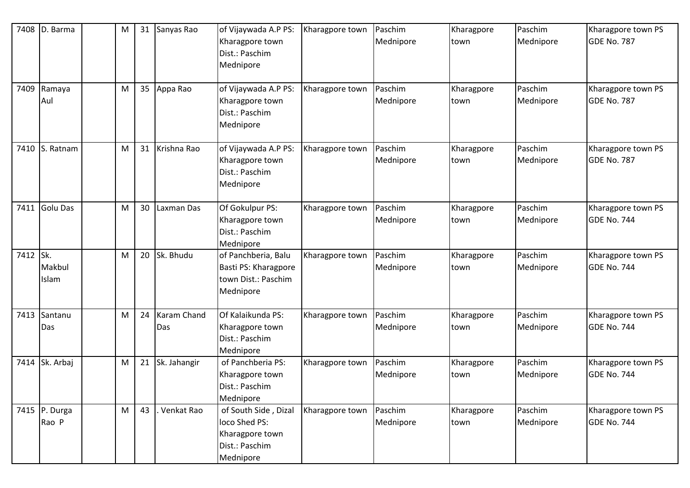| 7408     | D. Barma               | M |    | 31 Sanyas Rao      | of Vijaywada A.P PS:                                                                    | Kharagpore town | Paschim              | Kharagpore         | Paschim              | Kharagpore town PS                       |
|----------|------------------------|---|----|--------------------|-----------------------------------------------------------------------------------------|-----------------|----------------------|--------------------|----------------------|------------------------------------------|
|          |                        |   |    |                    | Kharagpore town<br>Dist.: Paschim<br>Mednipore                                          |                 | Mednipore            | town               | Mednipore            | GDE No. 787                              |
| 7409     | Ramaya<br>Aul          | M |    | 35 Appa Rao        | of Vijaywada A.P PS:<br>Kharagpore town<br>Dist.: Paschim<br>Mednipore                  | Kharagpore town | Paschim<br>Mednipore | Kharagpore<br>town | Paschim<br>Mednipore | Kharagpore town PS<br>GDE No. 787        |
| 7410     | S. Ratnam              | M |    | 31 Krishna Rao     | of Vijaywada A.P PS:<br>Kharagpore town<br>Dist.: Paschim<br>Mednipore                  | Kharagpore town | Paschim<br>Mednipore | Kharagpore<br>town | Paschim<br>Mednipore | Kharagpore town PS<br><b>GDE No. 787</b> |
| 7411     | Golu Das               | M | 30 | Laxman Das         | Of Gokulpur PS:<br>Kharagpore town<br>Dist.: Paschim<br>Mednipore                       | Kharagpore town | Paschim<br>Mednipore | Kharagpore<br>town | Paschim<br>Mednipore | Kharagpore town PS<br><b>GDE No. 744</b> |
| 7412 Sk. | Makbul<br>Islam        | M |    | 20 Sk. Bhudu       | of Panchberia, Balu<br>Basti PS: Kharagpore<br>town Dist.: Paschim<br>Mednipore         | Kharagpore town | Paschim<br>Mednipore | Kharagpore<br>town | Paschim<br>Mednipore | Kharagpore town PS<br>GDE No. 744        |
| 7413     | Santanu<br>Das         | M | 24 | Karam Chand<br>Das | Of Kalaikunda PS:<br>Kharagpore town<br>Dist.: Paschim<br>Mednipore                     | Kharagpore town | Paschim<br>Mednipore | Kharagpore<br>town | Paschim<br>Mednipore | Kharagpore town PS<br><b>GDE No. 744</b> |
|          | 7414 Sk. Arbaj         | M |    | 21 Sk. Jahangir    | of Panchberia PS:<br>Kharagpore town<br>Dist.: Paschim<br>Mednipore                     | Kharagpore town | Paschim<br>Mednipore | Kharagpore<br>town | Paschim<br>Mednipore | Kharagpore town PS<br>GDE No. 744        |
|          | 7415 P. Durga<br>Rao P | M | 43 | Venkat Rao         | of South Side, Dizal<br>loco Shed PS:<br>Kharagpore town<br>Dist.: Paschim<br>Mednipore | Kharagpore town | Paschim<br>Mednipore | Kharagpore<br>town | Paschim<br>Mednipore | Kharagpore town PS<br><b>GDE No. 744</b> |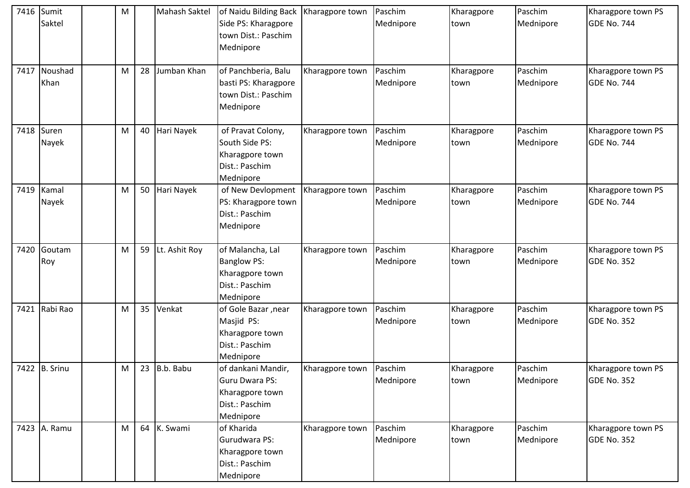| 7416 | Sumit<br>Saktel | M |                 | <b>Mahash Saktel</b> | of Naidu Bilding Back<br>Side PS: Kharagpore<br>town Dist.: Paschim<br>Mednipore         | Kharagpore town | Paschim<br>Mednipore | Kharagpore<br>town | Paschim<br>Mednipore | Kharagpore town PS<br>GDE No. 744        |
|------|-----------------|---|-----------------|----------------------|------------------------------------------------------------------------------------------|-----------------|----------------------|--------------------|----------------------|------------------------------------------|
| 7417 | Noushad<br>Khan | M | 28              | Jumban Khan          | of Panchberia, Balu<br>basti PS: Kharagpore<br>town Dist.: Paschim<br>Mednipore          | Kharagpore town | Paschim<br>Mednipore | Kharagpore<br>town | Paschim<br>Mednipore | Kharagpore town PS<br>GDE No. 744        |
| 7418 | Suren<br>Nayek  | M | 40              | Hari Nayek           | of Pravat Colony,<br>South Side PS:<br>Kharagpore town<br>Dist.: Paschim<br>Mednipore    | Kharagpore town | Paschim<br>Mednipore | Kharagpore<br>town | Paschim<br>Mednipore | Kharagpore town PS<br><b>GDE No. 744</b> |
| 7419 | Kamal<br>Nayek  | M | 50              | Hari Nayek           | of New Devlopment<br>PS: Kharagpore town<br>Dist.: Paschim<br>Mednipore                  | Kharagpore town | Paschim<br>Mednipore | Kharagpore<br>town | Paschim<br>Mednipore | Kharagpore town PS<br><b>GDE No. 744</b> |
| 7420 | Goutam<br>Roy   | M | 59              | Lt. Ashit Roy        | of Malancha, Lal<br><b>Banglow PS:</b><br>Kharagpore town<br>Dist.: Paschim<br>Mednipore | Kharagpore town | Paschim<br>Mednipore | Kharagpore<br>town | Paschim<br>Mednipore | Kharagpore town PS<br><b>GDE No. 352</b> |
| 7421 | Rabi Rao        | M | 35 <sub>2</sub> | Venkat               | of Gole Bazar, near<br>Masjid PS:<br>Kharagpore town<br>Dist.: Paschim<br>Mednipore      | Kharagpore town | Paschim<br>Mednipore | Kharagpore<br>town | Paschim<br>Mednipore | Kharagpore town PS<br><b>GDE No. 352</b> |
|      | 7422 B. Srinu   | M |                 | 23 $B.b.$ Babu       | of dankani Mandir,<br>Guru Dwara PS:<br>Kharagpore town<br>Dist.: Paschim<br>Mednipore   | Kharagpore town | Paschim<br>Mednipore | Kharagpore<br>town | Paschim<br>Mednipore | Kharagpore town PS<br><b>GDE No. 352</b> |
|      | 7423 A. Ramu    | M |                 | 64 K. Swami          | of Kharida<br>Gurudwara PS:<br>Kharagpore town<br>Dist.: Paschim<br>Mednipore            | Kharagpore town | Paschim<br>Mednipore | Kharagpore<br>town | Paschim<br>Mednipore | Kharagpore town PS<br>GDE No. 352        |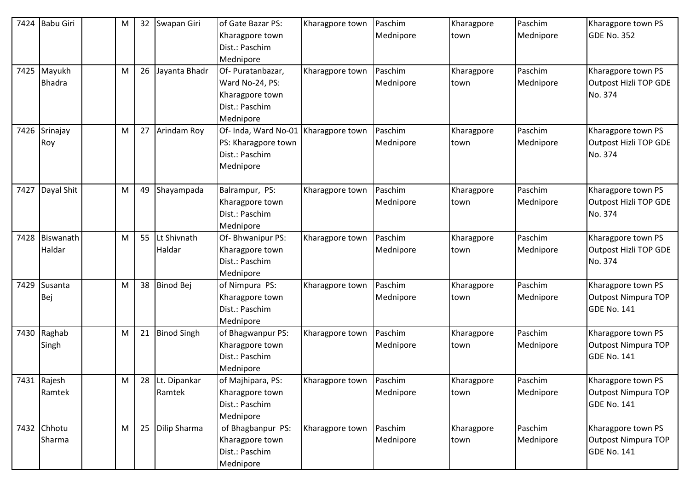| 7424 | <b>Babu Giri</b> | М | 32 | Swapan Giri        | of Gate Bazar PS:    | Kharagpore town | Paschim   | Kharagpore | Paschim   | Kharagpore town PS           |
|------|------------------|---|----|--------------------|----------------------|-----------------|-----------|------------|-----------|------------------------------|
|      |                  |   |    |                    | Kharagpore town      |                 | Mednipore | town       | Mednipore | <b>GDE No. 352</b>           |
|      |                  |   |    |                    | Dist.: Paschim       |                 |           |            |           |                              |
|      |                  |   |    |                    | Mednipore            |                 |           |            |           |                              |
|      | 7425 Mayukh      | M | 26 | Jayanta Bhadr      | Of-Puratanbazar,     | Kharagpore town | Paschim   | Kharagpore | Paschim   | Kharagpore town PS           |
|      | <b>Bhadra</b>    |   |    |                    | Ward No-24, PS:      |                 | Mednipore | town       | Mednipore | Outpost Hizli TOP GDE        |
|      |                  |   |    |                    | Kharagpore town      |                 |           |            |           | No. 374                      |
|      |                  |   |    |                    | Dist.: Paschim       |                 |           |            |           |                              |
|      |                  |   |    |                    | Mednipore            |                 |           |            |           |                              |
| 7426 | Srinajay         | M | 27 | Arindam Roy        | Of- Inda, Ward No-01 | Kharagpore town | Paschim   | Kharagpore | Paschim   | Kharagpore town PS           |
|      | Roy              |   |    |                    | PS: Kharagpore town  |                 | Mednipore | town       | Mednipore | Outpost Hizli TOP GDE        |
|      |                  |   |    |                    | Dist.: Paschim       |                 |           |            |           | No. 374                      |
|      |                  |   |    |                    | Mednipore            |                 |           |            |           |                              |
|      |                  |   |    |                    |                      |                 |           |            |           |                              |
| 7427 | Dayal Shit       | M | 49 | Shayampada         | Balrampur, PS:       | Kharagpore town | Paschim   | Kharagpore | Paschim   | Kharagpore town PS           |
|      |                  |   |    |                    | Kharagpore town      |                 | Mednipore | town       | Mednipore | Outpost Hizli TOP GDE        |
|      |                  |   |    |                    | Dist.: Paschim       |                 |           |            |           | No. 374                      |
|      |                  |   |    |                    | Mednipore            |                 |           |            |           |                              |
| 7428 | Biswanath        | M | 55 | Lt Shivnath        | Of-Bhwanipur PS:     | Kharagpore town | Paschim   | Kharagpore | Paschim   | Kharagpore town PS           |
|      | Haldar           |   |    | Haldar             | Kharagpore town      |                 | Mednipore | town       | Mednipore | <b>Outpost Hizli TOP GDE</b> |
|      |                  |   |    |                    | Dist.: Paschim       |                 |           |            |           | No. 374                      |
|      |                  |   |    |                    | Mednipore            |                 |           |            |           |                              |
| 7429 | Susanta          | M | 38 | <b>Binod Bej</b>   | of Nimpura PS:       | Kharagpore town | Paschim   | Kharagpore | Paschim   | Kharagpore town PS           |
|      | Bej              |   |    |                    | Kharagpore town      |                 | Mednipore | town       | Mednipore | <b>Outpost Nimpura TOP</b>   |
|      |                  |   |    |                    | Dist.: Paschim       |                 |           |            |           | <b>GDE No. 141</b>           |
|      |                  |   |    |                    | Mednipore            |                 |           |            |           |                              |
| 7430 | Raghab           | M | 21 | <b>Binod Singh</b> | of Bhagwanpur PS:    | Kharagpore town | Paschim   | Kharagpore | Paschim   | Kharagpore town PS           |
|      | Singh            |   |    |                    | Kharagpore town      |                 | Mednipore | town       | Mednipore | <b>Outpost Nimpura TOP</b>   |
|      |                  |   |    |                    | Dist.: Paschim       |                 |           |            |           | <b>GDE No. 141</b>           |
|      |                  |   |    |                    | Mednipore            |                 |           |            |           |                              |
|      | 7431 Rajesh      | M | 28 | Lt. Dipankar       | of Majhipara, PS:    | Kharagpore town | Paschim   | Kharagpore | Paschim   | Kharagpore town PS           |
|      | Ramtek           |   |    | Ramtek             | Kharagpore town      |                 | Mednipore | town       | Mednipore | <b>Outpost Nimpura TOP</b>   |
|      |                  |   |    |                    | Dist.: Paschim       |                 |           |            |           | <b>GDE No. 141</b>           |
|      |                  |   |    |                    | Mednipore            |                 |           |            |           |                              |
|      | 7432 Chhotu      | M | 25 | Dilip Sharma       | of Bhagbanpur PS:    | Kharagpore town | Paschim   | Kharagpore | Paschim   | Kharagpore town PS           |
|      | Sharma           |   |    |                    | Kharagpore town      |                 | Mednipore | town       | Mednipore | Outpost Nimpura TOP          |
|      |                  |   |    |                    | Dist.: Paschim       |                 |           |            |           | <b>GDE No. 141</b>           |
|      |                  |   |    |                    | Mednipore            |                 |           |            |           |                              |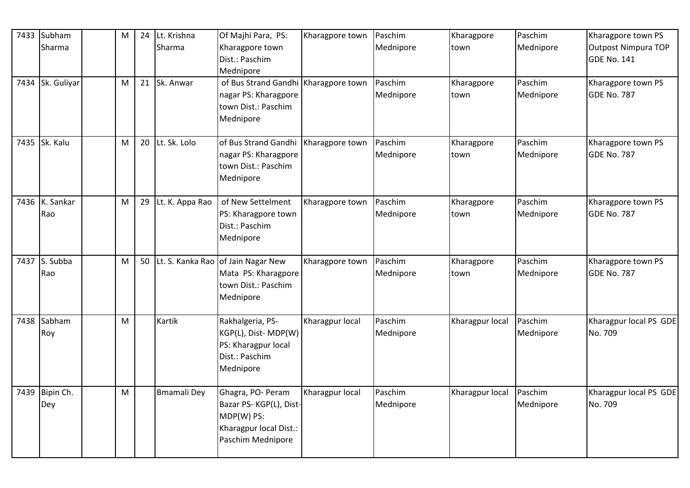| 7433 | Subham                | M |    | 24 Lt. Krishna     | Of Majhi Para, PS:                                                                                       | Kharagpore town | Paschim              | Kharagpore         | Paschim              | Kharagpore town PS                               |
|------|-----------------------|---|----|--------------------|----------------------------------------------------------------------------------------------------------|-----------------|----------------------|--------------------|----------------------|--------------------------------------------------|
|      | Sharma                |   |    | Sharma             | Kharagpore town<br>Dist.: Paschim                                                                        |                 | Mednipore            | town               | Mednipore            | <b>Outpost Nimpura TOP</b><br><b>GDE No. 141</b> |
|      |                       |   |    |                    | Mednipore                                                                                                |                 |                      |                    |                      |                                                  |
|      | 7434 Sk. Guliyar      | M |    | 21 Sk. Anwar       | of Bus Strand Gandhi Kharagpore town<br>nagar PS: Kharagpore<br>town Dist.: Paschim<br>Mednipore         |                 | Paschim<br>Mednipore | Kharagpore<br>town | Paschim<br>Mednipore | Kharagpore town PS<br><b>GDE No. 787</b>         |
|      | 7435 Sk. Kalu         | M | 20 | Lt. Sk. Lolo       | of Bus Strand Gandhi<br>nagar PS: Kharagpore<br>town Dist.: Paschim<br>Mednipore                         | Kharagpore town | Paschim<br>Mednipore | Kharagpore<br>town | Paschim<br>Mednipore | Kharagpore town PS<br><b>GDE No. 787</b>         |
| 7436 | K. Sankar<br>Rao      | M | 29 | Lt. K. Appa Rao    | of New Settelment<br>PS: Kharagpore town<br>Dist.: Paschim<br>Mednipore                                  | Kharagpore town | Paschim<br>Mednipore | Kharagpore<br>town | Paschim<br>Mednipore | Kharagpore town PS<br><b>GDE No. 787</b>         |
|      | 7437 S. Subba<br>Rao  | М |    |                    | 50 Lt. S. Kanka Rao of Jain Nagar New<br>Mata PS: Kharagpore<br>town Dist.: Paschim<br>Mednipore         | Kharagpore town | Paschim<br>Mednipore | Kharagpore<br>town | Paschim<br>Mednipore | Kharagpore town PS<br><b>GDE No. 787</b>         |
| 7438 | Sabham<br>Roy         | M |    | Kartik             | Rakhalgeria, PS-<br>KGP(L), Dist- MDP(W)<br>PS: Kharagpur local<br>Dist.: Paschim<br>Mednipore           | Kharagpur local | Paschim<br>Mednipore | Kharagpur local    | Paschim<br>Mednipore | Kharagpur local PS GDE<br>No. 709                |
|      | 7439 Bipin Ch.<br>Dey | M |    | <b>Bmamali Dey</b> | Ghagra, PO- Peram<br>Bazar PS-KGP(L), Dist-<br>MDP(W) PS:<br>Kharagpur local Dist.:<br>Paschim Mednipore | Kharagpur local | Paschim<br>Mednipore | Kharagpur local    | Paschim<br>Mednipore | Kharagpur local PS GDE<br>No. 709                |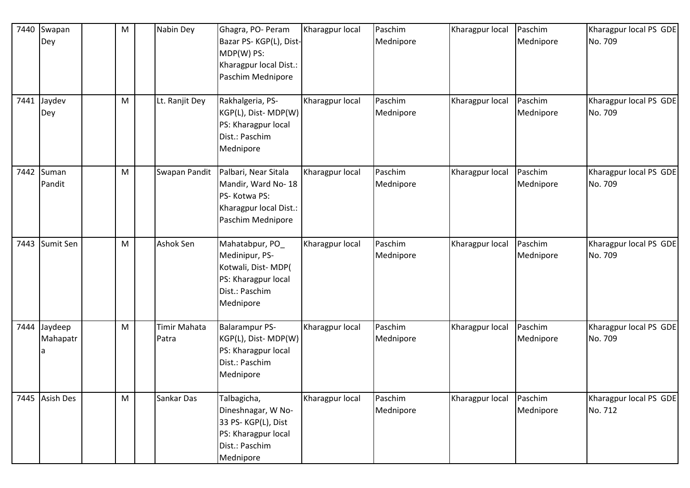| 7440 | Swapan<br>Dey            | M | Nabin Dey                    | Ghagra, PO- Peram<br>Bazar PS-KGP(L), Dist-<br>MDP(W) PS:<br>Kharagpur local Dist.:<br>Paschim Mednipore      | Kharagpur local | Paschim<br>Mednipore | Kharagpur local | Paschim<br>Mednipore | Kharagpur local PS GDE<br>No. 709 |
|------|--------------------------|---|------------------------------|---------------------------------------------------------------------------------------------------------------|-----------------|----------------------|-----------------|----------------------|-----------------------------------|
|      | 7441 Jaydev<br>Dey       | M | Lt. Ranjit Dey               | Rakhalgeria, PS-<br>KGP(L), Dist-MDP(W)<br>PS: Kharagpur local<br>Dist.: Paschim<br>Mednipore                 | Kharagpur local | Paschim<br>Mednipore | Kharagpur local | Paschim<br>Mednipore | Kharagpur local PS GDE<br>No. 709 |
| 7442 | Suman<br>Pandit          | M | Swapan Pandit                | Palbari, Near Sitala<br>Mandir, Ward No-18<br>PS-Kotwa PS:<br>Kharagpur local Dist.:<br>Paschim Mednipore     | Kharagpur local | Paschim<br>Mednipore | Kharagpur local | Paschim<br>Mednipore | Kharagpur local PS GDE<br>No. 709 |
| 7443 | Sumit Sen                | M | Ashok Sen                    | Mahatabpur, PO<br>Medinipur, PS-<br>Kotwali, Dist-MDP(<br>PS: Kharagpur local<br>Dist.: Paschim<br>Mednipore  | Kharagpur local | Paschim<br>Mednipore | Kharagpur local | Paschim<br>Mednipore | Kharagpur local PS GDE<br>No. 709 |
|      | 7444 Jaydeep<br>Mahapatr | M | <b>Timir Mahata</b><br>Patra | Balarampur PS-<br>KGP(L), Dist-MDP(W)<br>PS: Kharagpur local<br>Dist.: Paschim<br>Mednipore                   | Kharagpur local | Paschim<br>Mednipore | Kharagpur local | Paschim<br>Mednipore | Kharagpur local PS GDE<br>No. 709 |
|      | 7445 Asish Des           | M | Sankar Das                   | Talbagicha,<br>Dineshnagar, W No-<br>33 PS-KGP(L), Dist<br>PS: Kharagpur local<br>Dist.: Paschim<br>Mednipore | Kharagpur local | Paschim<br>Mednipore | Kharagpur local | Paschim<br>Mednipore | Kharagpur local PS GDE<br>No. 712 |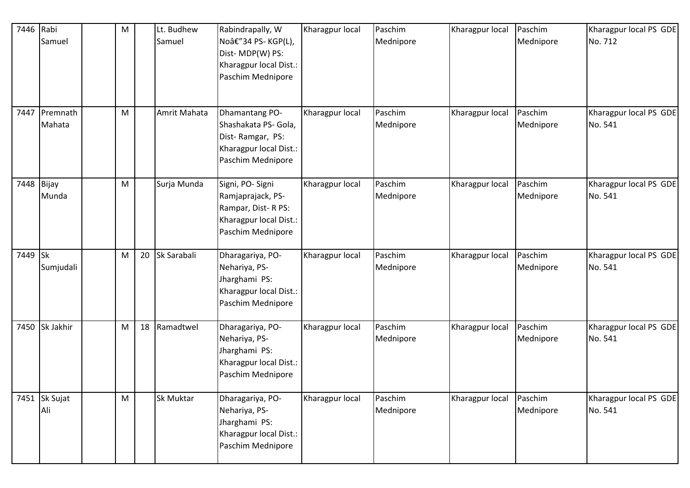| 7446       | Rabi<br>Samuel     | M         | Lt. Budhew<br>Samuel | Rabindrapally, W<br>Noâ€"34 PS-KGP(L),<br>Dist-MDP(W) PS:<br>Kharagpur local Dist.:<br>Paschim Mednipore   | Kharagpur local | Paschim<br>Mednipore | Kharagpur local | Paschim<br>Mednipore | Kharagpur local PS GDE<br>No. 712 |
|------------|--------------------|-----------|----------------------|------------------------------------------------------------------------------------------------------------|-----------------|----------------------|-----------------|----------------------|-----------------------------------|
| 7447       | Premnath<br>Mahata | M         | Amrit Mahata         | Dhamantang PO-<br>Shashakata PS- Gola,<br>Dist-Ramgar, PS:<br>Kharagpur local Dist.:<br>Paschim Mednipore  | Kharagpur local | Paschim<br>Mednipore | Kharagpur local | Paschim<br>Mednipore | Kharagpur local PS GDE<br>No. 541 |
| 7448 Bijay | Munda              | M         | Surja Munda          | Signi, PO- Signi<br>Ramjaprajack, PS-<br>Rampar, Dist-R PS:<br>Kharagpur local Dist.:<br>Paschim Mednipore | Kharagpur local | Paschim<br>Mednipore | Kharagpur local | Paschim<br>Mednipore | Kharagpur local PS GDE<br>No. 541 |
| 7449 Sk    | Sumjudali          | M         | 20 Sk Sarabali       | Dharagariya, PO-<br>Nehariya, PS-<br>Jharghami PS:<br>Kharagpur local Dist.:<br>Paschim Mednipore          | Kharagpur local | Paschim<br>Mednipore | Kharagpur local | Paschim<br>Mednipore | Kharagpur local PS GDE<br>No. 541 |
| 7450       | Sk Jakhir          | M         | 18 Ramadtwel         | Dharagariya, PO-<br>Nehariya, PS-<br>Jharghami PS:<br>Kharagpur local Dist.:<br>Paschim Mednipore          | Kharagpur local | Paschim<br>Mednipore | Kharagpur local | Paschim<br>Mednipore | Kharagpur local PS GDE<br>No. 541 |
| 7451       | Sk Sujat<br>Ali    | ${\sf M}$ | Sk Muktar            | Dharagariya, PO-<br>Nehariya, PS-<br>Jharghami PS:<br>Kharagpur local Dist.:<br>Paschim Mednipore          | Kharagpur local | Paschim<br>Mednipore | Kharagpur local | Paschim<br>Mednipore | Kharagpur local PS GDE<br>No. 541 |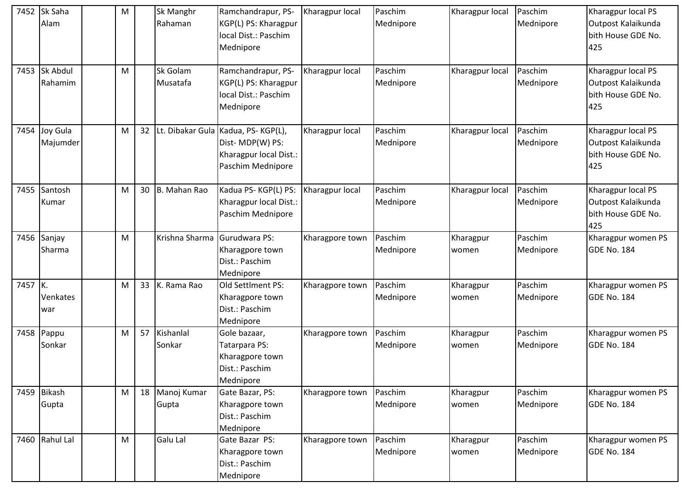|         | 7452 Sk Saha<br>Alam     | M |                 | Sk Manghr<br>Rahaman    | Ramchandrapur, PS-<br>KGP(L) PS: Kharagpur<br>local Dist.: Paschim<br>Mednipore                      | Kharagpur local | Paschim<br>Mednipore | Kharagpur local    | Paschim<br>Mednipore | Kharagpur local PS<br>Outpost Kalaikunda<br>bith House GDE No.<br>425 |
|---------|--------------------------|---|-----------------|-------------------------|------------------------------------------------------------------------------------------------------|-----------------|----------------------|--------------------|----------------------|-----------------------------------------------------------------------|
|         | 7453 Sk Abdul<br>Rahamim | M |                 | Sk Golam<br>Musatafa    | Ramchandrapur, PS-<br>KGP(L) PS: Kharagpur<br>local Dist.: Paschim<br>Mednipore                      | Kharagpur local | Paschim<br>Mednipore | Kharagpur local    | Paschim<br>Mednipore | Kharagpur local PS<br>Outpost Kalaikunda<br>bith House GDE No.<br>425 |
| 7454    | Joy Gula<br>Majumder     | M | 32 <sub>2</sub> |                         | Lt. Dibakar Gula Kadua, PS-KGP(L),<br>Dist-MDP(W) PS:<br>Kharagpur local Dist.:<br>Paschim Mednipore | Kharagpur local | Paschim<br>Mednipore | Kharagpur local    | Paschim<br>Mednipore | Kharagpur local PS<br>Outpost Kalaikunda<br>bith House GDE No.<br>425 |
|         | 7455 Santosh<br>Kumar    | M | 30              | B. Mahan Rao            | Kadua PS-KGP(L) PS:<br>Kharagpur local Dist.:<br>Paschim Mednipore                                   | Kharagpur local | Paschim<br>Mednipore | Kharagpur local    | Paschim<br>Mednipore | Kharagpur local PS<br>Outpost Kalaikunda<br>bith House GDE No.<br>425 |
|         | 7456 Sanjay<br>Sharma    | M |                 | Krishna Sharma          | Gurudwara PS:<br>Kharagpore town<br>Dist.: Paschim<br>Mednipore                                      | Kharagpore town | Paschim<br>Mednipore | Kharagpur<br>women | Paschim<br>Mednipore | Kharagpur women PS<br><b>GDE No. 184</b>                              |
| 7457 K. | Venkates<br>war          | M | 33              | K. Rama Rao             | Old Settlment PS:<br>Kharagpore town<br>Dist.: Paschim<br>Mednipore                                  | Kharagpore town | Paschim<br>Mednipore | Kharagpur<br>women | Paschim<br>Mednipore | Kharagpur women PS<br><b>GDE No. 184</b>                              |
|         | 7458 Pappu<br>Sonkar     | M | 57              | Kishanlal<br>Sonkar     | Gole bazaar,<br>Tatarpara PS:<br>Kharagpore town<br>Dist.: Paschim<br>Mednipore                      | Kharagpore town | Paschim<br>Mednipore | Kharagpur<br>women | Paschim<br>Mednipore | Kharagpur women PS<br><b>GDE No. 184</b>                              |
|         | 7459 Bikash<br>Gupta     | M |                 | 18 Manoj Kumar<br>Gupta | Gate Bazar, PS:<br>Kharagpore town<br>Dist.: Paschim<br>Mednipore                                    | Kharagpore town | Paschim<br>Mednipore | Kharagpur<br>women | Paschim<br>Mednipore | Kharagpur women PS<br><b>GDE No. 184</b>                              |
|         | 7460 Rahul Lal           | M |                 | Galu Lal                | Gate Bazar PS:<br>Kharagpore town<br>Dist.: Paschim<br>Mednipore                                     | Kharagpore town | Paschim<br>Mednipore | Kharagpur<br>women | Paschim<br>Mednipore | Kharagpur women PS<br><b>GDE No. 184</b>                              |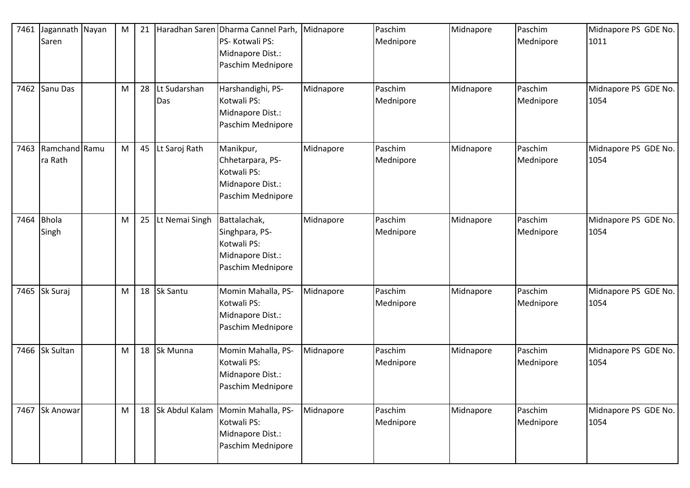| 7461 | Jagannath Nayan<br>Saren | M | 21 |                     | Haradhan Saren Dharma Cannel Parh,<br>PS- Kotwali PS:<br>Midnapore Dist.:<br>Paschim Mednipore | Midnapore | Paschim<br>Mednipore | Midnapore | Paschim<br>Mednipore | Midnapore PS GDE No.<br>1011 |
|------|--------------------------|---|----|---------------------|------------------------------------------------------------------------------------------------|-----------|----------------------|-----------|----------------------|------------------------------|
|      | 7462 Sanu Das            | M | 28 | Lt Sudarshan<br>Das | Harshandighi, PS-<br>Kotwali PS:<br>Midnapore Dist.:<br>Paschim Mednipore                      | Midnapore | Paschim<br>Mednipore | Midnapore | Paschim<br>Mednipore | Midnapore PS GDE No.<br>1054 |
| 7463 | Ramchand Ramu<br>ra Rath | M | 45 | Lt Saroj Rath       | Manikpur,<br>Chhetarpara, PS-<br>Kotwali PS:<br>Midnapore Dist.:<br>Paschim Mednipore          | Midnapore | Paschim<br>Mednipore | Midnapore | Paschim<br>Mednipore | Midnapore PS GDE No.<br>1054 |
| 7464 | <b>Bhola</b><br>Singh    | M | 25 | Lt Nemai Singh      | Battalachak,<br>Singhpara, PS-<br>Kotwali PS:<br>Midnapore Dist.:<br>Paschim Mednipore         | Midnapore | Paschim<br>Mednipore | Midnapore | Paschim<br>Mednipore | Midnapore PS GDE No.<br>1054 |
| 7465 | Sk Suraj                 | M | 18 | Sk Santu            | Momin Mahalla, PS-<br>Kotwali PS:<br>Midnapore Dist.:<br>Paschim Mednipore                     | Midnapore | Paschim<br>Mednipore | Midnapore | Paschim<br>Mednipore | Midnapore PS GDE No.<br>1054 |
|      | 7466 Sk Sultan           | M | 18 | Sk Munna            | Momin Mahalla, PS-<br>Kotwali PS:<br>Midnapore Dist.:<br>Paschim Mednipore                     | Midnapore | Paschim<br>Mednipore | Midnapore | Paschim<br>Mednipore | Midnapore PS GDE No.<br>1054 |
|      | 7467 Sk Anowar           | M | 18 | Sk Abdul Kalam      | Momin Mahalla, PS-<br>Kotwali PS:<br>Midnapore Dist.:<br>Paschim Mednipore                     | Midnapore | Paschim<br>Mednipore | Midnapore | Paschim<br>Mednipore | Midnapore PS GDE No.<br>1054 |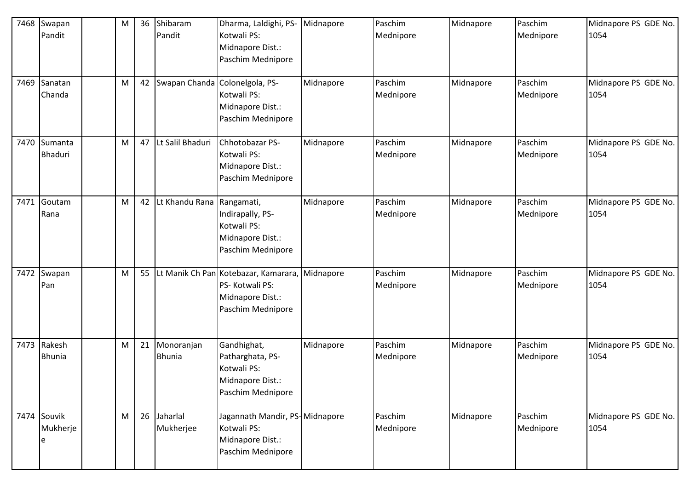| 7468<br>7469 | Swapan<br>Pandit<br>Sanatan  | M<br>M | 36 | Shibaram<br>Pandit<br>42 Swapan Chanda | Dharma, Laldighi, PS-<br>Kotwali PS:<br>Midnapore Dist.:<br>Paschim Mednipore<br>Colonelgola, PS- | Midnapore<br>Midnapore | Paschim<br>Mednipore<br>Paschim | Midnapore<br>Midnapore | Paschim<br>Mednipore<br>Paschim | Midnapore PS GDE No.<br>1054<br>Midnapore PS GDE No. |
|--------------|------------------------------|--------|----|----------------------------------------|---------------------------------------------------------------------------------------------------|------------------------|---------------------------------|------------------------|---------------------------------|------------------------------------------------------|
|              | Chanda                       |        |    |                                        | Kotwali PS:<br>Midnapore Dist.:<br>Paschim Mednipore                                              |                        | Mednipore                       |                        | Mednipore                       | 1054                                                 |
| 7470         | Sumanta<br><b>Bhaduri</b>    | M      |    | 47 Lt Salil Bhaduri                    | Chhotobazar PS-<br>Kotwali PS:<br>Midnapore Dist.:<br>Paschim Mednipore                           | Midnapore              | Paschim<br>Mednipore            | Midnapore              | Paschim<br>Mednipore            | Midnapore PS GDE No.<br>1054                         |
| 7471         | Goutam<br>Rana               | M      |    | 42 Lt Khandu Rana                      | Rangamati,<br>Indirapally, PS-<br>Kotwali PS:<br>Midnapore Dist.:<br>Paschim Mednipore            | Midnapore              | Paschim<br>Mednipore            | Midnapore              | Paschim<br>Mednipore            | Midnapore PS GDE No.<br>1054                         |
| 7472         | Swapan<br>Pan                | M      | 55 |                                        | Lt Manik Ch Pan Kotebazar, Kamarara,<br>PS-Kotwali PS:<br>Midnapore Dist.:<br>Paschim Mednipore   | Midnapore              | Paschim<br>Mednipore            | Midnapore              | Paschim<br>Mednipore            | Midnapore PS GDE No.<br>1054                         |
| 7473         | Rakesh<br><b>Bhunia</b>      | M      | 21 | Monoranjan<br><b>Bhunia</b>            | Gandhighat,<br>Patharghata, PS-<br>Kotwali PS:<br>Midnapore Dist.:<br>Paschim Mednipore           | Midnapore              | Paschim<br>Mednipore            | Midnapore              | Paschim<br>Mednipore            | Midnapore PS GDE No.<br>1054                         |
|              | 7474 Souvik<br>Mukherje<br>e | M      |    | 26 Jaharlal<br>Mukherjee               | Jagannath Mandir, PS-Midnapore<br>Kotwali PS:<br>Midnapore Dist.:<br>Paschim Mednipore            |                        | Paschim<br>Mednipore            | Midnapore              | Paschim<br>Mednipore            | Midnapore PS GDE No.<br>1054                         |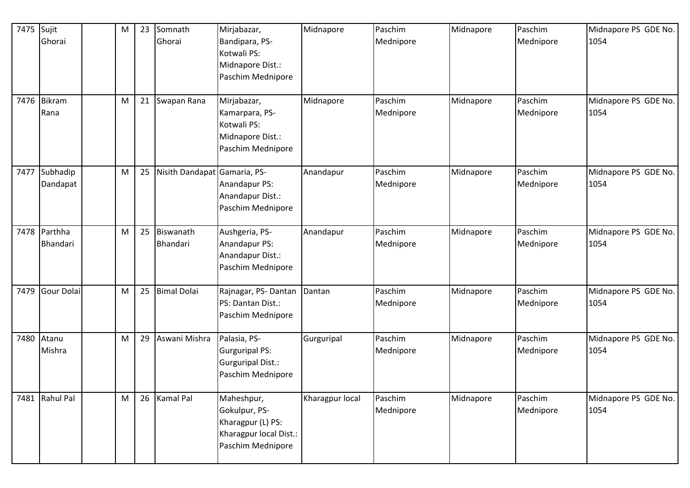| 7475 Sujit | Ghorai                   | M | 23 | Somnath<br>Ghorai            | Mirjabazar,<br>Bandipara, PS-<br>Kotwali PS:<br>Midnapore Dist.:                                | Midnapore       | Paschim<br>Mednipore | Midnapore | Paschim<br>Mednipore | Midnapore PS GDE No.<br>1054 |
|------------|--------------------------|---|----|------------------------------|-------------------------------------------------------------------------------------------------|-----------------|----------------------|-----------|----------------------|------------------------------|
|            |                          |   |    |                              | Paschim Mednipore                                                                               |                 |                      |           |                      |                              |
|            | 7476 Bikram<br>Rana      | M | 21 | Swapan Rana                  | Mirjabazar,<br>Kamarpara, PS-<br>Kotwali PS:<br>Midnapore Dist.:<br>Paschim Mednipore           | Midnapore       | Paschim<br>Mednipore | Midnapore | Paschim<br>Mednipore | Midnapore PS GDE No.<br>1054 |
| 7477       | Subhadip<br>Dandapat     | M | 25 | Nisith Dandapat Gamaria, PS- | Anandapur PS:<br>Anandapur Dist.:<br>Paschim Mednipore                                          | Anandapur       | Paschim<br>Mednipore | Midnapore | Paschim<br>Mednipore | Midnapore PS GDE No.<br>1054 |
|            | 7478 Parthha<br>Bhandari | M | 25 | Biswanath<br>Bhandari        | Aushgeria, PS-<br>Anandapur PS:<br>Anandapur Dist.:<br>Paschim Mednipore                        | Anandapur       | Paschim<br>Mednipore | Midnapore | Paschim<br>Mednipore | Midnapore PS GDE No.<br>1054 |
| 7479       | Gour Dolai               | M | 25 | <b>Bimal Dolai</b>           | Rajnagar, PS-Dantan<br>PS: Dantan Dist.:<br>Paschim Mednipore                                   | Dantan          | Paschim<br>Mednipore | Midnapore | Paschim<br>Mednipore | Midnapore PS GDE No.<br>1054 |
| 7480       | Atanu<br>Mishra          | M | 29 | Aswani Mishra                | Palasia, PS-<br><b>Gurguripal PS:</b><br><b>Gurguripal Dist.:</b><br>Paschim Mednipore          | Gurguripal      | Paschim<br>Mednipore | Midnapore | Paschim<br>Mednipore | Midnapore PS GDE No.<br>1054 |
|            | 7481 Rahul Pal           | M | 26 | <b>Kamal Pal</b>             | Maheshpur,<br>Gokulpur, PS-<br>Kharagpur (L) PS:<br>Kharagpur local Dist.:<br>Paschim Mednipore | Kharagpur local | Paschim<br>Mednipore | Midnapore | Paschim<br>Mednipore | Midnapore PS GDE No.<br>1054 |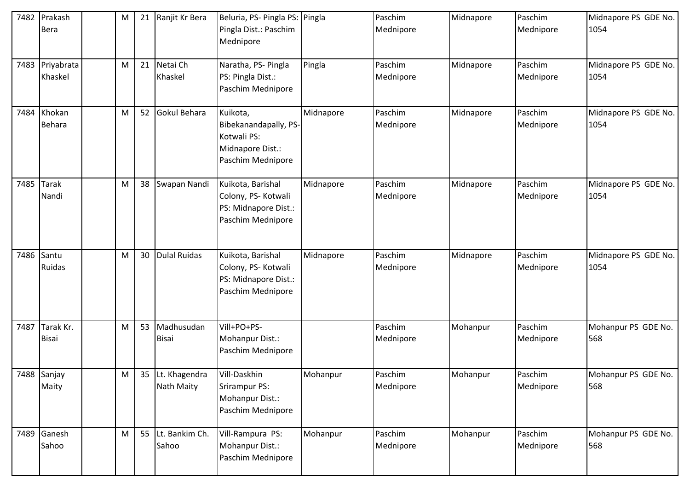| 7482 | Prakash<br><b>Bera</b>     | M | 21 | Ranjit Kr Bera                 | Beluria, PS- Pingla PS:<br>Pingla Dist.: Paschim<br>Mednipore                             | Pingla    | Paschim<br>Mednipore | Midnapore | Paschim<br>Mednipore | Midnapore PS GDE No.<br>1054 |
|------|----------------------------|---|----|--------------------------------|-------------------------------------------------------------------------------------------|-----------|----------------------|-----------|----------------------|------------------------------|
|      | 7483 Priyabrata<br>Khaskel | M | 21 | Netai Ch<br>Khaskel            | Naratha, PS- Pingla<br>PS: Pingla Dist.:<br>Paschim Mednipore                             | Pingla    | Paschim<br>Mednipore | Midnapore | Paschim<br>Mednipore | Midnapore PS GDE No.<br>1054 |
| 7484 | Khokan<br><b>Behara</b>    | M | 52 | Gokul Behara                   | Kuikota,<br>Bibekanandapally, PS-<br>Kotwali PS:<br>Midnapore Dist.:<br>Paschim Mednipore | Midnapore | Paschim<br>Mednipore | Midnapore | Paschim<br>Mednipore | Midnapore PS GDE No.<br>1054 |
| 7485 | <b>Tarak</b><br>Nandi      | M | 38 | Swapan Nandi                   | Kuikota, Barishal<br>Colony, PS- Kotwali<br>PS: Midnapore Dist.:<br>Paschim Mednipore     | Midnapore | Paschim<br>Mednipore | Midnapore | Paschim<br>Mednipore | Midnapore PS GDE No.<br>1054 |
| 7486 | Santu<br>Ruidas            | M | 30 | <b>Dulal Ruidas</b>            | Kuikota, Barishal<br>Colony, PS- Kotwali<br>PS: Midnapore Dist.:<br>Paschim Mednipore     | Midnapore | Paschim<br>Mednipore | Midnapore | Paschim<br>Mednipore | Midnapore PS GDE No.<br>1054 |
| 7487 | Tarak Kr.<br><b>Bisai</b>  | M | 53 | Madhusudan<br><b>Bisai</b>     | Vill+PO+PS-<br>Mohanpur Dist.:<br>Paschim Mednipore                                       |           | Paschim<br>Mednipore | Mohanpur  | Paschim<br>Mednipore | Mohanpur PS GDE No.<br>568   |
|      | 7488 Sanjay<br>Maity       | M |    | 35 Lt. Khagendra<br>Nath Maity | Vill-Daskhin<br>Srirampur PS:<br>Mohanpur Dist.:<br>Paschim Mednipore                     | Mohanpur  | Paschim<br>Mednipore | Mohanpur  | Paschim<br>Mednipore | Mohanpur PS GDE No.<br>568   |
|      | 7489 Ganesh<br>Sahoo       | M |    | 55 Lt. Bankim Ch.<br>Sahoo     | Vill-Rampura PS:<br>Mohanpur Dist.:<br>Paschim Mednipore                                  | Mohanpur  | Paschim<br>Mednipore | Mohanpur  | Paschim<br>Mednipore | Mohanpur PS GDE No.<br>568   |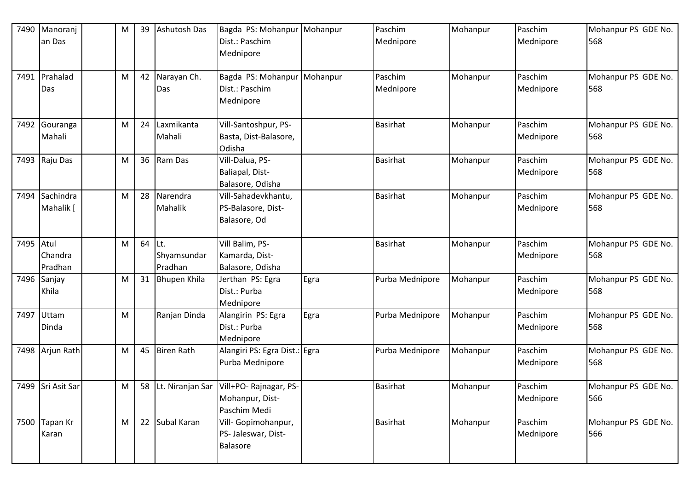| 7490 | Manoranj<br>an Das | M | 39     | Ashutosh Das        | Bagda PS: Mohanpur<br>Dist.: Paschim         | Mohanpur | Paschim<br>Mednipore | Mohanpur | Paschim<br>Mednipore | Mohanpur PS GDE No.<br>568 |
|------|--------------------|---|--------|---------------------|----------------------------------------------|----------|----------------------|----------|----------------------|----------------------------|
|      |                    |   |        |                     | Mednipore                                    |          |                      |          |                      |                            |
| 7491 | Prahalad           | M |        | 42 Narayan Ch.      | Bagda PS: Mohanpur                           | Mohanpur | Paschim              | Mohanpur | Paschim              | Mohanpur PS GDE No.        |
|      | Das                |   |        | Das                 | Dist.: Paschim<br>Mednipore                  |          | Mednipore            |          | Mednipore            | 568                        |
| 7492 | Gouranga           | M | 24     | Laxmikanta          | Vill-Santoshpur, PS-                         |          | <b>Basirhat</b>      | Mohanpur | Paschim              | Mohanpur PS GDE No.        |
|      | Mahali             |   |        | Mahali              | Basta, Dist-Balasore,<br>Odisha              |          |                      |          | Mednipore            | 568                        |
|      | 7493 Raju Das      | M |        | 36 Ram Das          | Vill-Dalua, PS-                              |          | <b>Basirhat</b>      | Mohanpur | Paschim              | Mohanpur PS GDE No.        |
|      |                    |   |        |                     | Baliapal, Dist-<br>Balasore, Odisha          |          |                      |          | Mednipore            | 568                        |
| 7494 | Sachindra          | M | 28     | Narendra            | Vill-Sahadevkhantu,                          |          | <b>Basirhat</b>      | Mohanpur | Paschim              | Mohanpur PS GDE No.        |
|      | Mahalik [          |   |        | <b>Mahalik</b>      | PS-Balasore, Dist-                           |          |                      |          | Mednipore            | 568                        |
|      |                    |   |        |                     | Balasore, Od                                 |          |                      |          |                      |                            |
| 7495 | Atul               | M | 64 Lt. |                     | Vill Balim, PS-                              |          | <b>Basirhat</b>      | Mohanpur | Paschim              | Mohanpur PS GDE No.        |
|      | Chandra            |   |        | Shyamsundar         | Kamarda, Dist-                               |          |                      |          | Mednipore            | 568                        |
|      | Pradhan            |   |        | Pradhan             | Balasore, Odisha                             |          |                      |          |                      |                            |
| 7496 | Sanjay             | M | 31     | <b>Bhupen Khila</b> | Jerthan PS: Egra                             | Egra     | Purba Mednipore      | Mohanpur | Paschim              | Mohanpur PS GDE No.        |
|      | Khila              |   |        |                     | Dist.: Purba                                 |          |                      |          | Mednipore            | 568                        |
|      |                    |   |        |                     | Mednipore                                    |          |                      |          |                      |                            |
| 7497 | Uttam              | M |        | Ranjan Dinda        | Alangirin PS: Egra                           | Egra     | Purba Mednipore      | Mohanpur | Paschim              | Mohanpur PS GDE No.        |
|      | Dinda              |   |        |                     | Dist.: Purba<br>Mednipore                    |          |                      |          | Mednipore            | 568                        |
|      | 7498 Arjun Rath    | M |        | 45 Biren Rath       | Alangiri PS: Egra Dist.: Egra                |          | Purba Mednipore      | Mohanpur | Paschim              | Mohanpur PS GDE No.        |
|      |                    |   |        |                     | Purba Mednipore                              |          |                      |          | Mednipore            | 568                        |
|      | 7499 Sri Asit Sar  | M |        |                     | 58 Lt. Niranjan Sar   Vill+PO- Rajnagar, PS- |          | <b>Basirhat</b>      | Mohanpur | Paschim              | Mohanpur PS GDE No.        |
|      |                    |   |        |                     | Mohanpur, Dist-                              |          |                      |          | Mednipore            | 566                        |
|      |                    |   |        |                     | Paschim Medi                                 |          |                      |          |                      |                            |
| 7500 | Tapan Kr           | M |        | 22 Subal Karan      | Vill- Gopimohanpur,                          |          | <b>Basirhat</b>      | Mohanpur | Paschim              | Mohanpur PS GDE No.        |
|      | Karan              |   |        |                     | PS- Jaleswar, Dist-                          |          |                      |          | Mednipore            | 566                        |
|      |                    |   |        |                     | <b>Balasore</b>                              |          |                      |          |                      |                            |
|      |                    |   |        |                     |                                              |          |                      |          |                      |                            |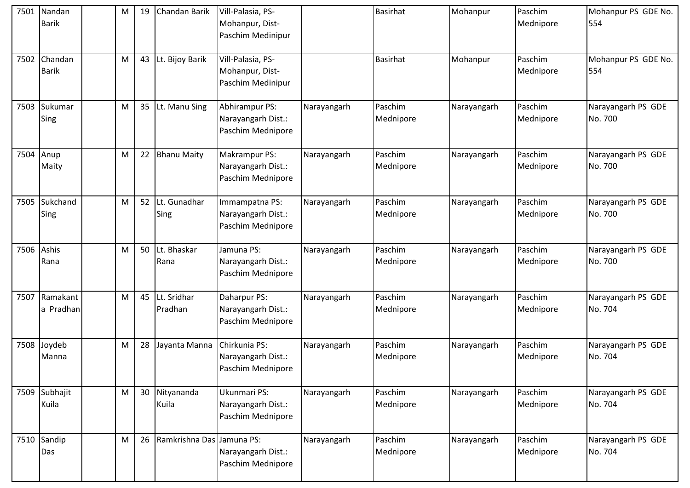| 7501 | Nandan<br><b>Barik</b>  | М | 19 | <b>Chandan Barik</b>      | Vill-Palasia, PS-<br>Mohanpur, Dist-<br>Paschim Medinipur       |             | <b>Basirhat</b>      | Mohanpur    | Paschim<br>Mednipore | Mohanpur PS GDE No.<br>554    |
|------|-------------------------|---|----|---------------------------|-----------------------------------------------------------------|-------------|----------------------|-------------|----------------------|-------------------------------|
| 7502 | Chandan<br><b>Barik</b> | M | 43 | Lt. Bijoy Barik           | Vill-Palasia, PS-<br>Mohanpur, Dist-<br>Paschim Medinipur       |             | <b>Basirhat</b>      | Mohanpur    | Paschim<br>Mednipore | Mohanpur PS GDE No.<br>554    |
| 7503 | Sukumar<br>Sing         | M | 35 | Lt. Manu Sing             | Abhirampur PS:<br>Narayangarh Dist.:<br>Paschim Mednipore       | Narayangarh | Paschim<br>Mednipore | Narayangarh | Paschim<br>Mednipore | Narayangarh PS GDE<br>No. 700 |
| 7504 | Anup<br>Maity           | M | 22 | <b>Bhanu Maity</b>        | <b>Makrampur PS:</b><br>Narayangarh Dist.:<br>Paschim Mednipore | Narayangarh | Paschim<br>Mednipore | Narayangarh | Paschim<br>Mednipore | Narayangarh PS GDE<br>No. 700 |
| 7505 | Sukchand<br>Sing        | M | 52 | Lt. Gunadhar<br>Sing      | Immampatna PS:<br>Narayangarh Dist.:<br>Paschim Mednipore       | Narayangarh | Paschim<br>Mednipore | Narayangarh | Paschim<br>Mednipore | Narayangarh PS GDE<br>No. 700 |
| 7506 | Ashis<br>Rana           | M | 50 | Lt. Bhaskar<br>Rana       | Jamuna PS:<br>Narayangarh Dist.:<br>Paschim Mednipore           | Narayangarh | Paschim<br>Mednipore | Narayangarh | Paschim<br>Mednipore | Narayangarh PS GDE<br>No. 700 |
| 7507 | Ramakant<br>a Pradhan   | M | 45 | Lt. Sridhar<br>Pradhan    | Daharpur PS:<br>Narayangarh Dist.:<br>Paschim Mednipore         | Narayangarh | Paschim<br>Mednipore | Narayangarh | Paschim<br>Mednipore | Narayangarh PS GDE<br>No. 704 |
| 7508 | Joydeb<br>Manna         | M | 28 | Jayanta Manna             | Chirkunia PS:<br>Narayangarh Dist.:<br>Paschim Mednipore        | Narayangarh | Paschim<br>Mednipore | Narayangarh | Paschim<br>Mednipore | Narayangarh PS GDE<br>No. 704 |
| 7509 | Subhajit<br>Kuila       | M | 30 | Nityananda<br>Kuila       | Ukunmari PS:<br>Narayangarh Dist.:<br>Paschim Mednipore         | Narayangarh | Paschim<br>Mednipore | Narayangarh | Paschim<br>Mednipore | Narayangarh PS GDE<br>No. 704 |
| 7510 | Sandip<br>Das           | M | 26 | Ramkrishna Das Jamuna PS: | Narayangarh Dist.:<br>Paschim Mednipore                         | Narayangarh | Paschim<br>Mednipore | Narayangarh | Paschim<br>Mednipore | Narayangarh PS GDE<br>No. 704 |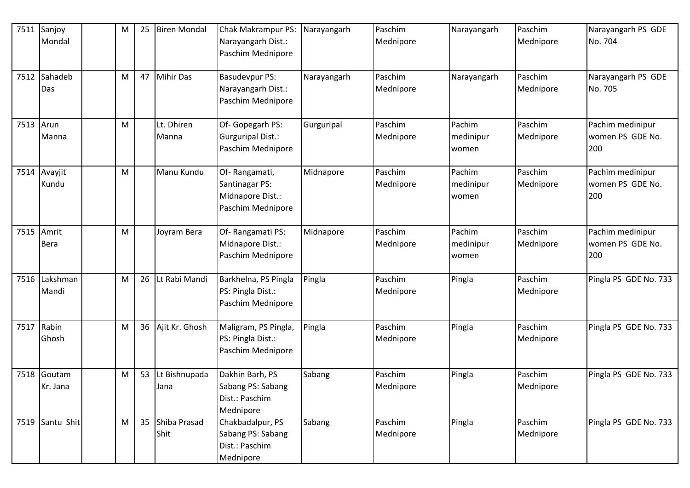| 7511      | Sanjoy<br>Mondal   | M | 25 | <b>Biren Mondal</b>     | Chak Makrampur PS:<br>Narayangarh Dist.:<br>Paschim Mednipore            | Narayangarh | Paschim<br>Mednipore | Narayangarh                  | Paschim<br>Mednipore | Narayangarh PS GDE<br>No. 704               |
|-----------|--------------------|---|----|-------------------------|--------------------------------------------------------------------------|-------------|----------------------|------------------------------|----------------------|---------------------------------------------|
| 7512      | Sahadeb<br>Das     | M | 47 | <b>Mihir Das</b>        | <b>Basudevpur PS:</b><br>Narayangarh Dist.:<br>Paschim Mednipore         | Narayangarh | Paschim<br>Mednipore | Narayangarh                  | Paschim<br>Mednipore | Narayangarh PS GDE<br>No. 705               |
| 7513 Arun | Manna              | M |    | Lt. Dhiren<br>Manna     | Of-Gopegarh PS:<br>Gurguripal Dist.:<br>Paschim Mednipore                | Gurguripal  | Paschim<br>Mednipore | Pachim<br>medinipur<br>women | Paschim<br>Mednipore | Pachim medinipur<br>women PS GDE No.<br>200 |
| 7514      | Avayjit<br>Kundu   | M |    | Manu Kundu              | Of-Rangamati,<br>Santinagar PS:<br>Midnapore Dist.:<br>Paschim Mednipore | Midnapore   | Paschim<br>Mednipore | Pachim<br>medinipur<br>women | Paschim<br>Mednipore | Pachim medinipur<br>women PS GDE No.<br>200 |
| 7515      | Amrit<br>Bera      | M |    | Joyram Bera             | Of-Rangamati PS:<br>Midnapore Dist.:<br>Paschim Mednipore                | Midnapore   | Paschim<br>Mednipore | Pachim<br>medinipur<br>women | Paschim<br>Mednipore | Pachim medinipur<br>women PS GDE No.<br>200 |
| 7516      | Lakshman<br>Mandi  | M | 26 | Lt Rabi Mandi           | Barkhelna, PS Pingla<br>PS: Pingla Dist.:<br>Paschim Mednipore           | Pingla      | Paschim<br>Mednipore | Pingla                       | Paschim<br>Mednipore | Pingla PS GDE No. 733                       |
| 7517      | Rabin<br>Ghosh     | M | 36 | Ajit Kr. Ghosh          | Maligram, PS Pingla,<br>PS: Pingla Dist.:<br>Paschim Mednipore           | Pingla      | Paschim<br>Mednipore | Pingla                       | Paschim<br>Mednipore | Pingla PS GDE No. 733                       |
| 7518      | Goutam<br>Kr. Jana | M | 53 | Lt Bishnupada<br>Jana   | Dakhin Barh, PS<br>Sabang PS: Sabang<br>Dist.: Paschim<br>Mednipore      | Sabang      | Paschim<br>Mednipore | Pingla                       | Paschim<br>Mednipore | Pingla PS GDE No. 733                       |
|           | 7519 Santu Shit    | M |    | 35 Shiba Prasad<br>Shit | Chakbadalpur, PS<br>Sabang PS: Sabang<br>Dist.: Paschim<br>Mednipore     | Sabang      | Paschim<br>Mednipore | Pingla                       | Paschim<br>Mednipore | Pingla PS GDE No. 733                       |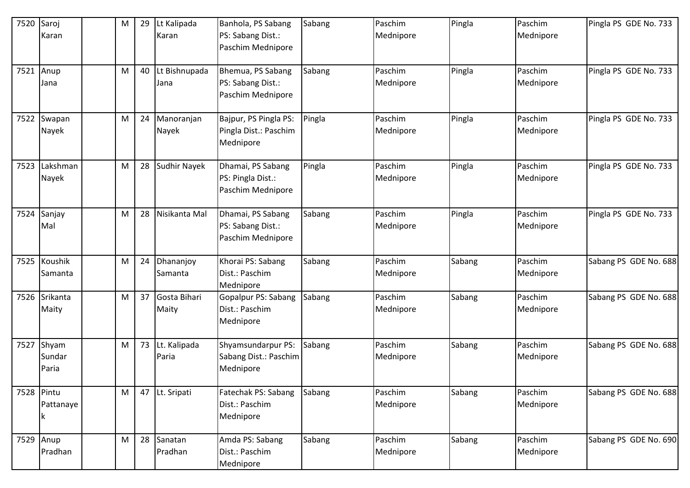| 7520       | Saroj<br>Karan                | M | 29 | Lt Kalipada<br>Karan     | Banhola, PS Sabang<br>PS: Sabang Dist.:<br>Paschim Mednipore | Sabang | Paschim<br>Mednipore | Pingla | Paschim<br>Mednipore | Pingla PS GDE No. 733 |
|------------|-------------------------------|---|----|--------------------------|--------------------------------------------------------------|--------|----------------------|--------|----------------------|-----------------------|
| 7521       | Anup<br>Jana                  | M | 40 | Lt Bishnupada<br>Jana    | Bhemua, PS Sabang<br>PS: Sabang Dist.:<br>Paschim Mednipore  | Sabang | Paschim<br>Mednipore | Pingla | Paschim<br>Mednipore | Pingla PS GDE No. 733 |
| 7522       | Swapan<br>Nayek               | M |    | 24 Manoranjan<br>Nayek   | Bajpur, PS Pingla PS:<br>Pingla Dist.: Paschim<br>Mednipore  | Pingla | Paschim<br>Mednipore | Pingla | Paschim<br>Mednipore | Pingla PS GDE No. 733 |
| 7523       | Lakshman<br>Nayek             | M |    | 28 Sudhir Nayek          | Dhamai, PS Sabang<br>PS: Pingla Dist.:<br>Paschim Mednipore  | Pingla | Paschim<br>Mednipore | Pingla | Paschim<br>Mednipore | Pingla PS GDE No. 733 |
| 7524       | Sanjay<br>Mal                 | M | 28 | Nisikanta Mal            | Dhamai, PS Sabang<br>PS: Sabang Dist.:<br>Paschim Mednipore  | Sabang | Paschim<br>Mednipore | Pingla | Paschim<br>Mednipore | Pingla PS GDE No. 733 |
|            | 7525 Koushik<br>Samanta       | M | 24 | Dhananjoy<br>Samanta     | Khorai PS: Sabang<br>Dist.: Paschim<br>Mednipore             | Sabang | Paschim<br>Mednipore | Sabang | Paschim<br>Mednipore | Sabang PS GDE No. 688 |
| 7526       | Srikanta<br>Maity             | M |    | 37 Gosta Bihari<br>Maity | <b>Gopalpur PS: Sabang</b><br>Dist.: Paschim<br>Mednipore    | Sabang | Paschim<br>Mednipore | Sabang | Paschim<br>Mednipore | Sabang PS GDE No. 688 |
|            | 7527 Shyam<br>Sundar<br>Paria | M |    | 73 Lt. Kalipada<br>Paria | Shyamsundarpur PS:<br>Sabang Dist.: Paschim<br>Mednipore     | Sabang | Paschim<br>Mednipore | Sabang | Paschim<br>Mednipore | Sabang PS GDE No. 688 |
| 7528 Pintu | Pattanaye                     | M |    | 47 Lt. Sripati           | Fatechak PS: Sabang<br>Dist.: Paschim<br>Mednipore           | Sabang | Paschim<br>Mednipore | Sabang | Paschim<br>Mednipore | Sabang PS GDE No. 688 |
| 7529       | Anup<br>Pradhan               | M |    | 28 Sanatan<br>Pradhan    | Amda PS: Sabang<br>Dist.: Paschim<br>Mednipore               | Sabang | Paschim<br>Mednipore | Sabang | Paschim<br>Mednipore | Sabang PS GDE No. 690 |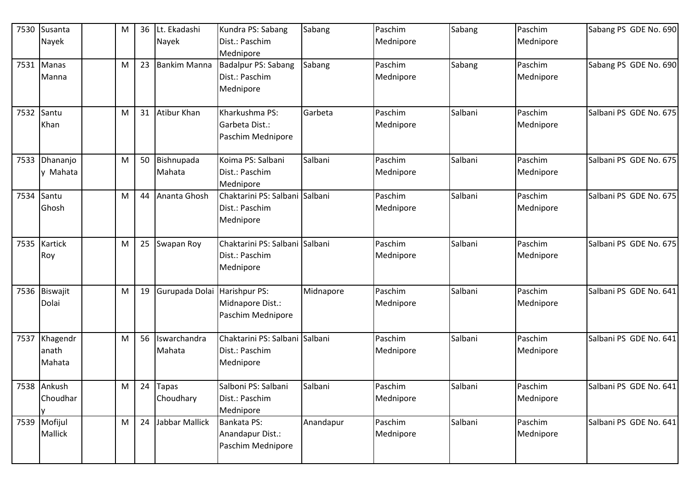|      | 7530 Susanta<br>Nayek       | M | 36 | Lt. Ekadashi<br>Nayek   | Kundra PS: Sabang<br>Dist.: Paschim<br>Mednipore              | Sabang    | Paschim<br>Mednipore | Sabang  | Paschim<br>Mednipore | Sabang PS GDE No. 690  |
|------|-----------------------------|---|----|-------------------------|---------------------------------------------------------------|-----------|----------------------|---------|----------------------|------------------------|
|      | 7531 Manas<br>Manna         | M | 23 | <b>Bankim Manna</b>     | Badalpur PS: Sabang<br>Dist.: Paschim<br>Mednipore            | Sabang    | Paschim<br>Mednipore | Sabang  | Paschim<br>Mednipore | Sabang PS GDE No. 690  |
| 7532 | Santu<br>Khan               | M |    | 31 Atibur Khan          | Kharkushma PS:<br>Garbeta Dist.:<br>Paschim Mednipore         | Garbeta   | Paschim<br>Mednipore | Salbani | Paschim<br>Mednipore | Salbani PS GDE No. 675 |
| 7533 | Dhananjo<br>y Mahata        | M |    | 50 Bishnupada<br>Mahata | Koima PS: Salbani<br>Dist.: Paschim<br>Mednipore              | Salbani   | Paschim<br>Mednipore | Salbani | Paschim<br>Mednipore | Salbani PS GDE No. 675 |
| 7534 | Santu<br>Ghosh              | M | 44 | Ananta Ghosh            | Chaktarini PS: Salbani Salbani<br>Dist.: Paschim<br>Mednipore |           | Paschim<br>Mednipore | Salbani | Paschim<br>Mednipore | Salbani PS GDE No. 675 |
|      | 7535 Kartick<br>Roy         | M |    | 25 Swapan Roy           | Chaktarini PS: Salbani Salbani<br>Dist.: Paschim<br>Mednipore |           | Paschim<br>Mednipore | Salbani | Paschim<br>Mednipore | Salbani PS GDE No. 675 |
|      | 7536 Biswajit<br>Dolai      | M | 19 | Gurupada Dolai          | Harishpur PS:<br>Midnapore Dist.:<br>Paschim Mednipore        | Midnapore | Paschim<br>Mednipore | Salbani | Paschim<br>Mednipore | Salbani PS GDE No. 641 |
| 7537 | Khagendr<br>anath<br>Mahata | M | 56 | Iswarchandra<br>Mahata  | Chaktarini PS: Salbani Salbani<br>Dist.: Paschim<br>Mednipore |           | Paschim<br>Mednipore | Salbani | Paschim<br>Mednipore | Salbani PS GDE No. 641 |
|      | 7538 Ankush<br>Choudhar     | M |    | 24 Tapas<br>Choudhary   | Salboni PS: Salbani<br>Dist.: Paschim<br>Mednipore            | Salbani   | Paschim<br>Mednipore | Salbani | Paschim<br>Mednipore | Salbani PS GDE No. 641 |
|      | 7539 Mofijul<br>Mallick     | M | 24 | Jabbar Mallick          | Bankata PS:<br>Anandapur Dist.:<br>Paschim Mednipore          | Anandapur | Paschim<br>Mednipore | Salbani | Paschim<br>Mednipore | Salbani PS GDE No. 641 |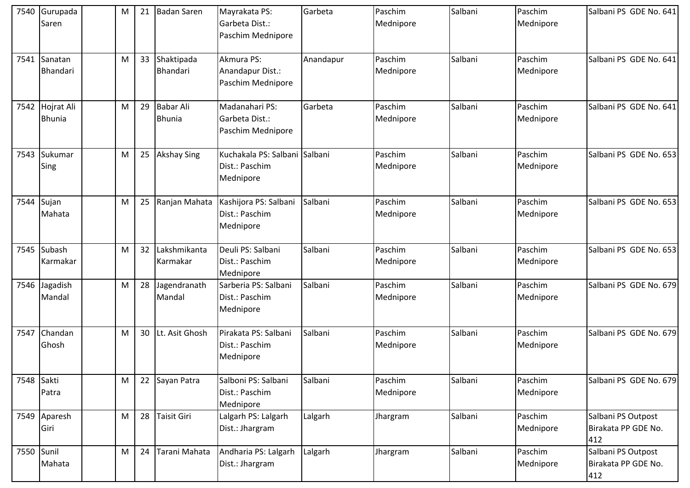| 7540       | Gurupada<br>Saren           | M | 21              | <b>Badan Saren</b>                | Mayrakata PS:<br>Garbeta Dist.:<br>Paschim Mednipore         | Garbeta   | Paschim<br>Mednipore | Salbani | Paschim<br>Mednipore | Salbani PS GDE No. 641                           |
|------------|-----------------------------|---|-----------------|-----------------------------------|--------------------------------------------------------------|-----------|----------------------|---------|----------------------|--------------------------------------------------|
| 7541       | Sanatan<br>Bhandari         | M | 33              | Shaktipada<br>Bhandari            | Akmura PS:<br>Anandapur Dist.:<br>Paschim Mednipore          | Anandapur | Paschim<br>Mednipore | Salbani | Paschim<br>Mednipore | Salbani PS GDE No. 641                           |
| 7542       | Hojrat Ali<br><b>Bhunia</b> | M | 29              | <b>Babar Ali</b><br><b>Bhunia</b> | Madanahari PS:<br>Garbeta Dist.:<br>Paschim Mednipore        | Garbeta   | Paschim<br>Mednipore | Salbani | Paschim<br>Mednipore | Salbani PS GDE No. 641                           |
| 7543       | Sukumar<br>Sing             | M | 25              | <b>Akshay Sing</b>                | Kuchakala PS: Salbani Salbani<br>Dist.: Paschim<br>Mednipore |           | Paschim<br>Mednipore | Salbani | Paschim<br>Mednipore | Salbani PS GDE No. 653                           |
| 7544       | Sujan<br>Mahata             | M | 25              | Ranjan Mahata                     | Kashijora PS: Salbani<br>Dist.: Paschim<br>Mednipore         | Salbani   | Paschim<br>Mednipore | Salbani | Paschim<br>Mednipore | Salbani PS GDE No. 653                           |
| 7545       | Subash<br>Karmakar          | M | 32              | Lakshmikanta<br>Karmakar          | Deuli PS: Salbani<br>Dist.: Paschim<br>Mednipore             | Salbani   | Paschim<br>Mednipore | Salbani | Paschim<br>Mednipore | Salbani PS GDE No. 653                           |
| 7546       | Jagadish<br>Mandal          | M | 28              | Jagendranath<br>Mandal            | Sarberia PS: Salbani<br>Dist.: Paschim<br>Mednipore          | Salbani   | Paschim<br>Mednipore | Salbani | Paschim<br>Mednipore | Salbani PS GDE No. 679                           |
| 7547       | Chandan<br>Ghosh            | M | 30 <sub>2</sub> | Lt. Asit Ghosh                    | Pirakata PS: Salbani<br>Dist.: Paschim<br>Mednipore          | Salbani   | Paschim<br>Mednipore | Salbani | Paschim<br>Mednipore | Salbani PS GDE No. 679                           |
| 7548 Sakti | Patra                       | M |                 | 22 Sayan Patra                    | Salboni PS: Salbani<br>Dist.: Paschim<br>Mednipore           | Salbani   | Paschim<br>Mednipore | Salbani | Paschim<br>Mednipore | Salbani PS GDE No. 679                           |
|            | 7549 Aparesh<br>Giri        | M |                 | 28 Taisit Giri                    | Lalgarh PS: Lalgarh<br>Dist.: Jhargram                       | Lalgarh   | Jhargram             | Salbani | Paschim<br>Mednipore | Salbani PS Outpost<br>Birakata PP GDE No.<br>412 |
| 7550 Sunil | Mahata                      | M | 24              | Tarani Mahata                     | Andharia PS: Lalgarh<br>Dist.: Jhargram                      | Lalgarh   | Jhargram             | Salbani | Paschim<br>Mednipore | Salbani PS Outpost<br>Birakata PP GDE No.<br>412 |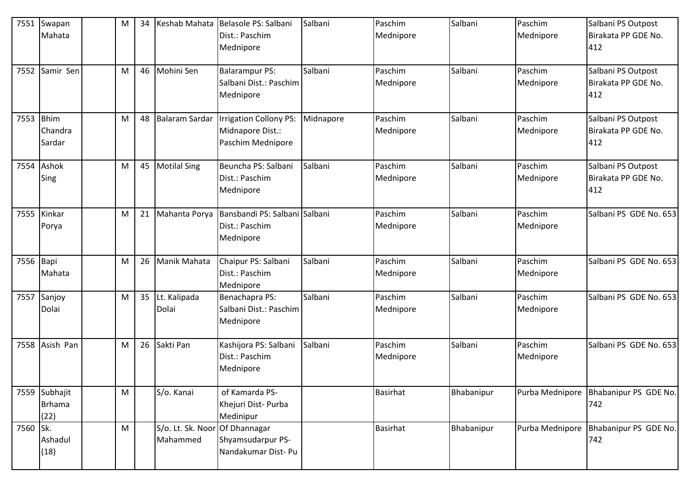| 7551      | Swapan        | M | 34 | Keshab Mahata                  | Belasole PS: Salbani                    | Salbani   | Paschim         | Salbani    | Paschim         | Salbani PS Outpost     |
|-----------|---------------|---|----|--------------------------------|-----------------------------------------|-----------|-----------------|------------|-----------------|------------------------|
|           | Mahata        |   |    |                                | Dist.: Paschim                          |           | Mednipore       |            | Mednipore       | Birakata PP GDE No.    |
|           |               |   |    |                                | Mednipore                               |           |                 |            |                 | 412                    |
|           |               |   |    |                                |                                         |           |                 |            |                 |                        |
| 7552      | Samir Sen     | M | 46 | Mohini Sen                     | <b>Balarampur PS:</b>                   | Salbani   | Paschim         | Salbani    | Paschim         | Salbani PS Outpost     |
|           |               |   |    |                                | Salbani Dist.: Paschim                  |           | Mednipore       |            | Mednipore       | Birakata PP GDE No.    |
|           |               |   |    |                                | Mednipore                               |           |                 |            |                 | 412                    |
|           |               |   |    |                                |                                         |           |                 |            |                 |                        |
| 7553      | <b>Bhim</b>   | M |    | 48 Balaram Sardar              | <b>Irrigation Collony PS:</b>           | Midnapore | Paschim         | Salbani    | Paschim         | Salbani PS Outpost     |
|           | Chandra       |   |    |                                | Midnapore Dist.:                        |           | Mednipore       |            | Mednipore       | Birakata PP GDE No.    |
|           | Sardar        |   |    |                                | Paschim Mednipore                       |           |                 |            |                 | 412                    |
|           |               |   |    |                                |                                         |           |                 |            |                 |                        |
| 7554      | Ashok         | M |    | 45 Motilal Sing                | Beuncha PS: Salbani                     | Salbani   | Paschim         | Salbani    | Paschim         | Salbani PS Outpost     |
|           | Sing          |   |    |                                | Dist.: Paschim                          |           | Mednipore       |            | Mednipore       | Birakata PP GDE No.    |
|           |               |   |    |                                | Mednipore                               |           |                 |            |                 | 412                    |
|           |               |   |    |                                |                                         |           |                 |            |                 |                        |
| 7555      | Kinkar        | M | 21 | Mahanta Porya                  | Bansbandi PS: Salbani                   | Salbani   | Paschim         | Salbani    | Paschim         | Salbani PS GDE No. 653 |
|           | Porya         |   |    |                                | Dist.: Paschim                          |           | Mednipore       |            | Mednipore       |                        |
|           |               |   |    |                                | Mednipore                               |           |                 |            |                 |                        |
|           |               |   |    |                                |                                         |           |                 |            |                 |                        |
| 7556 Bapi |               | M | 26 | <b>Manik Mahata</b>            | Chaipur PS: Salbani                     | Salbani   | Paschim         | Salbani    | Paschim         | Salbani PS GDE No. 653 |
|           | Mahata        |   |    |                                | Dist.: Paschim                          |           | Mednipore       |            | Mednipore       |                        |
|           |               |   |    |                                | Mednipore                               |           |                 |            |                 |                        |
| 7557      | Sanjoy        | M |    | 35 Lt. Kalipada                | Benachapra PS:                          | Salbani   | Paschim         | Salbani    | Paschim         | Salbani PS GDE No. 653 |
|           | Dolai         |   |    | Dolai                          | Salbani Dist.: Paschim                  |           | Mednipore       |            | Mednipore       |                        |
|           |               |   |    |                                | Mednipore                               |           |                 |            |                 |                        |
|           |               |   |    | 26 Sakti Pan                   |                                         |           | Paschim         | Salbani    | Paschim         |                        |
| 7558      | Asish Pan     | M |    |                                | Kashijora PS: Salbani<br>Dist.: Paschim | Salbani   |                 |            |                 | Salbani PS GDE No. 653 |
|           |               |   |    |                                | Mednipore                               |           | Mednipore       |            | Mednipore       |                        |
|           |               |   |    |                                |                                         |           |                 |            |                 |                        |
|           | 7559 Subhajit | M |    | S/o. Kanai                     | of Kamarda PS-                          |           | Basirhat        | Bhabanipur | Purba Mednipore | Bhabanipur PS GDE No.  |
|           | <b>Brhama</b> |   |    |                                | Khejuri Dist- Purba                     |           |                 |            |                 | 742                    |
|           | (22)          |   |    |                                | Medinipur                               |           |                 |            |                 |                        |
| 7560 Sk.  |               | M |    | S/o. Lt. Sk. Noor Of Dhannagar |                                         |           | <b>Basirhat</b> | Bhabanipur | Purba Mednipore | Bhabanipur PS GDE No.  |
|           | Ashadul       |   |    | Mahammed                       | Shyamsudarpur PS-                       |           |                 |            |                 | 742                    |
|           | (18)          |   |    |                                | Nandakumar Dist- Pu                     |           |                 |            |                 |                        |
|           |               |   |    |                                |                                         |           |                 |            |                 |                        |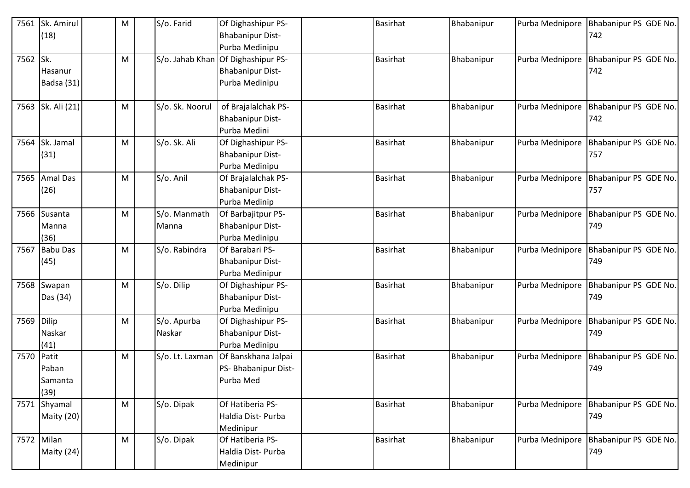| 7561       | Sk. Amirul<br>(18)                | M | S/o. Farid            | Of Dighashipur PS-<br><b>Bhabanipur Dist-</b><br>Purba Medinipu                 | <b>Basirhat</b> | Bhabanipur | Purba Mednipore | Bhabanipur PS GDE No.<br>742 |
|------------|-----------------------------------|---|-----------------------|---------------------------------------------------------------------------------|-----------------|------------|-----------------|------------------------------|
| 7562 Sk.   | Hasanur<br>Badsa (31)             | M |                       | S/o. Jahab Khan Of Dighashipur PS-<br><b>Bhabanipur Dist-</b><br>Purba Medinipu | <b>Basirhat</b> | Bhabanipur | Purba Mednipore | Bhabanipur PS GDE No.<br>742 |
| 7563       | Sk. Ali (21)                      | M | S/o. Sk. Noorul       | of Brajalalchak PS-<br><b>Bhabanipur Dist-</b><br>Purba Medini                  | <b>Basirhat</b> | Bhabanipur | Purba Mednipore | Bhabanipur PS GDE No.<br>742 |
| 7564       | Sk. Jamal<br>(31)                 | M | S/o. Sk. Ali          | Of Dighashipur PS-<br><b>Bhabanipur Dist-</b><br>Purba Medinipu                 | <b>Basirhat</b> | Bhabanipur | Purba Mednipore | Bhabanipur PS GDE No.<br>757 |
|            | 7565 Amal Das<br>(26)             | M | S/o. Anil             | Of Brajalalchak PS-<br><b>Bhabanipur Dist-</b><br>Purba Medinip                 | <b>Basirhat</b> | Bhabanipur | Purba Mednipore | Bhabanipur PS GDE No.<br>757 |
| 7566       | Susanta<br>Manna<br>(36)          | M | S/o. Manmath<br>Manna | Of Barbajitpur PS-<br><b>Bhabanipur Dist-</b><br>Purba Medinipu                 | <b>Basirhat</b> | Bhabanipur | Purba Mednipore | Bhabanipur PS GDE No.<br>749 |
| 7567       | <b>Babu Das</b><br>(45)           | M | S/o. Rabindra         | Of Barabari PS-<br><b>Bhabanipur Dist-</b><br>Purba Medinipur                   | <b>Basirhat</b> | Bhabanipur | Purba Mednipore | Bhabanipur PS GDE No.<br>749 |
|            | 7568 Swapan<br>Das (34)           | M | S/o. Dilip            | Of Dighashipur PS-<br><b>Bhabanipur Dist-</b><br>Purba Medinipu                 | <b>Basirhat</b> | Bhabanipur | Purba Mednipore | Bhabanipur PS GDE No.<br>749 |
| 7569 Dilip | Naskar<br>(41)                    | M | S/o. Apurba<br>Naskar | Of Dighashipur PS-<br><b>Bhabanipur Dist-</b><br>Purba Medinipu                 | <b>Basirhat</b> | Bhabanipur | Purba Mednipore | Bhabanipur PS GDE No.<br>749 |
| 7570       | Patit<br>Paban<br>Samanta<br>(39) | M | S/o. Lt. Laxman       | Of Banskhana Jalpai<br>PS- Bhabanipur Dist-<br>Purba Med                        | <b>Basirhat</b> | Bhabanipur | Purba Mednipore | Bhabanipur PS GDE No.<br>749 |
| 7571       | Shyamal<br>Maity (20)             | M | S/o. Dipak            | Of Hatiberia PS-<br>Haldia Dist-Purba<br>Medinipur                              | <b>Basirhat</b> | Bhabanipur | Purba Mednipore | Bhabanipur PS GDE No.<br>749 |
|            | 7572 Milan<br>Maity (24)          | M | S/o. Dipak            | Of Hatiberia PS-<br>Haldia Dist- Purba<br>Medinipur                             | <b>Basirhat</b> | Bhabanipur | Purba Mednipore | Bhabanipur PS GDE No.<br>749 |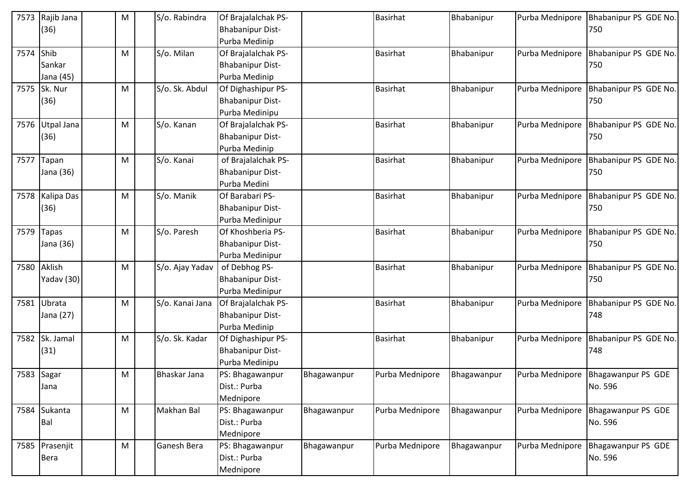| 7573 | Rajib Jana        | M | S/o. Rabindra   | Of Brajalalchak PS-     |             | <b>Basirhat</b> | Bhabanipur  | Purba Mednipore | Bhabanipur PS GDE No.                |
|------|-------------------|---|-----------------|-------------------------|-------------|-----------------|-------------|-----------------|--------------------------------------|
|      | (36)              |   |                 | <b>Bhabanipur Dist-</b> |             |                 |             |                 | 750                                  |
|      |                   |   |                 | Purba Medinip           |             |                 |             |                 |                                      |
| 7574 | Shib              | M | S/o. Milan      | Of Brajalalchak PS-     |             | <b>Basirhat</b> | Bhabanipur  | Purba Mednipore | Bhabanipur PS GDE No.                |
|      | Sankar            |   |                 | <b>Bhabanipur Dist-</b> |             |                 |             |                 | 750                                  |
|      | Jana (45)         |   |                 | Purba Medinip           |             |                 |             |                 |                                      |
| 7575 | Sk. Nur           | м | S/o. Sk. Abdul  | Of Dighashipur PS-      |             | <b>Basirhat</b> | Bhabanipur  | Purba Mednipore | Bhabanipur PS GDE No.                |
|      | (36)              |   |                 | <b>Bhabanipur Dist-</b> |             |                 |             |                 | 750                                  |
|      |                   |   |                 | Purba Medinipu          |             |                 |             |                 |                                      |
| 7576 | <b>Utpal Jana</b> | M | S/o. Kanan      | Of Brajalalchak PS-     |             | <b>Basirhat</b> | Bhabanipur  | Purba Mednipore | Bhabanipur PS GDE No.                |
|      | (36)              |   |                 | <b>Bhabanipur Dist-</b> |             |                 |             |                 | 750                                  |
|      |                   |   |                 | Purba Medinip           |             |                 |             |                 |                                      |
| 7577 | Tapan             | M | S/o. Kanai      | of Brajalalchak PS-     |             | <b>Basirhat</b> | Bhabanipur  | Purba Mednipore | Bhabanipur PS GDE No.                |
|      | Jana (36)         |   |                 | <b>Bhabanipur Dist-</b> |             |                 |             |                 | 750                                  |
|      |                   |   |                 | Purba Medini            |             |                 |             |                 |                                      |
| 7578 | Kalipa Das        | M | S/o. Manik      | Of Barabari PS-         |             | <b>Basirhat</b> | Bhabanipur  | Purba Mednipore | Bhabanipur PS GDE No.                |
|      | (36)              |   |                 | <b>Bhabanipur Dist-</b> |             |                 |             |                 | 750                                  |
|      |                   |   |                 | Purba Medinipur         |             |                 |             |                 |                                      |
| 7579 | <b>Tapas</b>      | M | S/o. Paresh     | Of Khoshberia PS-       |             | <b>Basirhat</b> | Bhabanipur  | Purba Mednipore | Bhabanipur PS GDE No.                |
|      | Jana (36)         |   |                 | <b>Bhabanipur Dist-</b> |             |                 |             |                 | 750                                  |
|      |                   |   |                 | Purba Medinipur         |             |                 |             |                 |                                      |
| 7580 | Aklish            | M | S/o. Ajay Yadav | of Debhog PS-           |             | <b>Basirhat</b> | Bhabanipur  | Purba Mednipore | Bhabanipur PS GDE No.                |
|      | Yadav (30)        |   |                 | <b>Bhabanipur Dist-</b> |             |                 |             |                 | 750                                  |
|      |                   |   |                 | Purba Medinipur         |             |                 |             |                 |                                      |
| 7581 | Ubrata            | м | S/o. Kanai Jana | Of Brajalalchak PS-     |             | <b>Basirhat</b> | Bhabanipur  | Purba Mednipore | Bhabanipur PS GDE No.                |
|      | Jana (27)         |   |                 | <b>Bhabanipur Dist-</b> |             |                 |             |                 | 748                                  |
|      |                   |   |                 | Purba Medinip           |             |                 |             |                 |                                      |
| 7582 | Sk. Jamal         | M | S/o. Sk. Kadar  | Of Dighashipur PS-      |             | <b>Basirhat</b> | Bhabanipur  | Purba Mednipore | Bhabanipur PS GDE No.                |
|      | (31)              |   |                 | <b>Bhabanipur Dist-</b> |             |                 |             |                 | 748                                  |
|      |                   |   |                 | Purba Medinipu          |             |                 |             |                 |                                      |
|      | 7583 Sagar        | M | Bhaskar Jana    | PS: Bhagawanpur         | Bhagawanpur | Purba Mednipore | Bhagawanpur |                 | Purba Mednipore   Bhagawanpur PS GDE |
|      | Jana              |   |                 | Dist.: Purba            |             |                 |             |                 | No. 596                              |
|      |                   |   |                 | Mednipore               |             |                 |             |                 |                                      |
| 7584 | Sukanta           | M | Makhan Bal      | PS: Bhagawanpur         | Bhagawanpur | Purba Mednipore | Bhagawanpur | Purba Mednipore | Bhagawanpur PS GDE                   |
|      | Bal               |   |                 | Dist.: Purba            |             |                 |             |                 | No. 596                              |
|      |                   |   |                 | Mednipore               |             |                 |             |                 |                                      |
| 7585 | Prasenjit         | M | Ganesh Bera     | PS: Bhagawanpur         | Bhagawanpur | Purba Mednipore | Bhagawanpur | Purba Mednipore | Bhagawanpur PS GDE                   |
|      | Bera              |   |                 | Dist.: Purba            |             |                 |             |                 | No. 596                              |
|      |                   |   |                 | Mednipore               |             |                 |             |                 |                                      |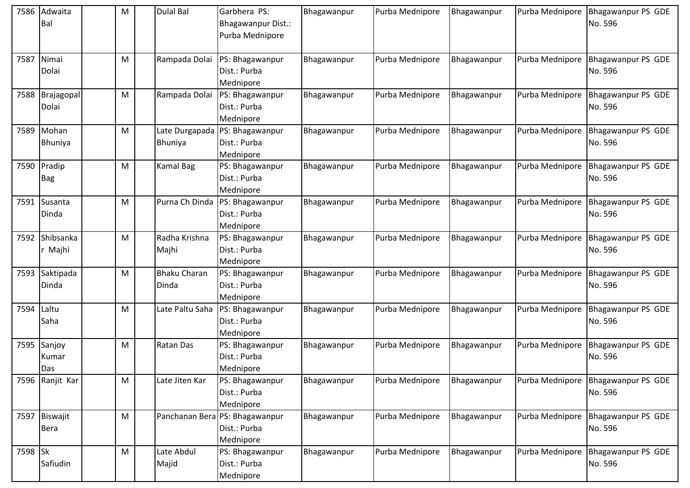| 7586    | Adwaita<br>Bal               | M | <b>Dulal Bal</b>             | Garbhera PS:<br>Bhagawanpur Dist.:<br>Purba Mednipore       | Bhagawanpur | Purba Mednipore | Bhagawanpur | Purba Mednipore | <b>Bhagawanpur PS GDE</b><br>No. 596 |
|---------|------------------------------|---|------------------------------|-------------------------------------------------------------|-------------|-----------------|-------------|-----------------|--------------------------------------|
|         | 7587 Nimai<br>Dolai          | м | Rampada Dolai                | PS: Bhagawanpur<br>Dist.: Purba<br>Mednipore                | Bhagawanpur | Purba Mednipore | Bhagawanpur | Purba Mednipore | Bhagawanpur PS GDE<br>No. 596        |
| 7588    | Brajagopal<br>Dolai          | м | Rampada Dolai                | PS: Bhagawanpur<br>Dist.: Purba<br>Mednipore                | Bhagawanpur | Purba Mednipore | Bhagawanpur | Purba Mednipore | Bhagawanpur PS GDE<br>No. 596        |
|         | 7589 Mohan<br>Bhuniya        | M | Late Durgapada<br>Bhuniya    | PS: Bhagawanpur<br>Dist.: Purba<br>Mednipore                | Bhagawanpur | Purba Mednipore | Bhagawanpur | Purba Mednipore | Bhagawanpur PS GDE<br>No. 596        |
| 7590    | Pradip<br><b>Bag</b>         | M | <b>Kamal Bag</b>             | PS: Bhagawanpur<br>Dist.: Purba<br>Mednipore                | Bhagawanpur | Purba Mednipore | Bhagawanpur | Purba Mednipore | <b>Bhagawanpur PS GDE</b><br>No. 596 |
|         | 7591 Susanta<br>Dinda        | м | Purna Ch Dinda               | PS: Bhagawanpur<br>Dist.: Purba<br>Mednipore                | Bhagawanpur | Purba Mednipore | Bhagawanpur | Purba Mednipore | <b>Bhagawanpur PS GDE</b><br>No. 596 |
| 7592    | Shibsanka<br>Majhi           | M | Radha Krishna<br>Majhi       | PS: Bhagawanpur<br>Dist.: Purba<br>Mednipore                | Bhagawanpur | Purba Mednipore | Bhagawanpur | Purba Mednipore | Bhagawanpur PS GDE<br>No. 596        |
| 7593    | Saktipada<br>Dinda           | M | <b>Bhaku Charan</b><br>Dinda | PS: Bhagawanpur<br>Dist.: Purba<br>Mednipore                | Bhagawanpur | Purba Mednipore | Bhagawanpur | Purba Mednipore | Bhagawanpur PS GDE<br>No. 596        |
| 7594    | Laltu<br>Saha                | м | Late Paltu Saha              | PS: Bhagawanpur<br>Dist.: Purba<br>Mednipore                | Bhagawanpur | Purba Mednipore | Bhagawanpur | Purba Mednipore | Bhagawanpur PS GDE<br>No. 596        |
|         | 7595 Sanjoy<br>Kumar<br>Das  | M | Ratan Das                    | PS: Bhagawanpur<br>Dist.: Purba<br>Mednipore                | Bhagawanpur | Purba Mednipore | Bhagawanpur | Purba Mednipore | <b>Bhagawanpur PS GDE</b><br>No. 596 |
|         | 7596 Ranjit Kar              | M | Late Jiten Kar               | PS: Bhagawanpur<br>Dist.: Purba<br>Mednipore                | Bhagawanpur | Purba Mednipore | Bhagawanpur | Purba Mednipore | <b>Bhagawanpur PS GDE</b><br>No. 596 |
|         | 7597 Biswajit<br><b>Bera</b> | M |                              | Panchanan Bera PS: Bhagawanpur<br>Dist.: Purba<br>Mednipore | Bhagawanpur | Purba Mednipore | Bhagawanpur | Purba Mednipore | <b>Bhagawanpur PS GDE</b><br>No. 596 |
| 7598 Sk | Safiudin                     | M | Late Abdul<br>Majid          | PS: Bhagawanpur<br>Dist.: Purba<br>Mednipore                | Bhagawanpur | Purba Mednipore | Bhagawanpur | Purba Mednipore | Bhagawanpur PS GDE<br>No. 596        |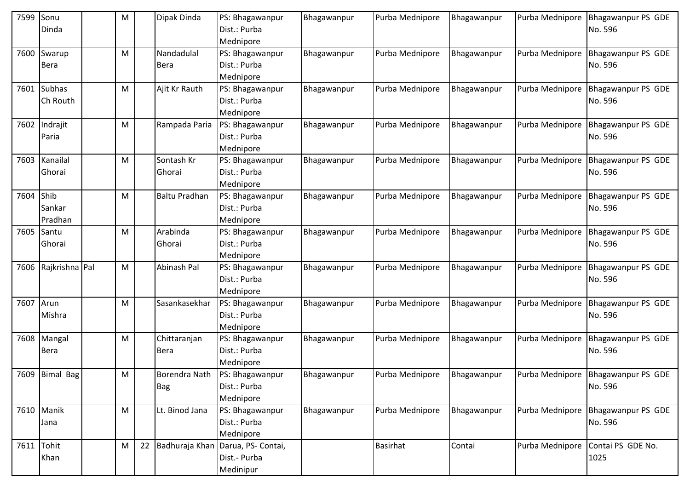| 7599 | Sonu<br>Dinda     | M         | Dipak Dinda          | PS: Bhagawanpur<br>Dist.: Purba | Bhagawanpur | Purba Mednipore | Bhagawanpur | Purba Mednipore | Bhagawanpur PS GDE<br>No. 596        |
|------|-------------------|-----------|----------------------|---------------------------------|-------------|-----------------|-------------|-----------------|--------------------------------------|
|      |                   |           |                      | Mednipore                       |             |                 |             |                 |                                      |
| 7600 | Swarup            | M         | Nandadulal           | PS: Bhagawanpur                 | Bhagawanpur | Purba Mednipore | Bhagawanpur | Purba Mednipore | <b>Bhagawanpur PS GDE</b>            |
|      | Bera              |           | <b>Bera</b>          | Dist.: Purba                    |             |                 |             |                 | No. 596                              |
|      |                   |           |                      | Mednipore                       |             |                 |             |                 |                                      |
| 7601 | <b>Subhas</b>     | M         | Ajit Kr Rauth        | PS: Bhagawanpur                 | Bhagawanpur | Purba Mednipore | Bhagawanpur | Purba Mednipore | Bhagawanpur PS GDE                   |
|      | Ch Routh          |           |                      | Dist.: Purba                    |             |                 |             |                 | No. 596                              |
|      |                   |           |                      | Mednipore                       |             |                 |             |                 |                                      |
| 7602 | Indrajit          | M         | Rampada Paria        | PS: Bhagawanpur                 | Bhagawanpur | Purba Mednipore | Bhagawanpur | Purba Mednipore | Bhagawanpur PS GDE                   |
|      | Paria             |           |                      | Dist.: Purba                    |             |                 |             |                 | No. 596                              |
|      |                   |           |                      | Mednipore                       |             |                 |             |                 |                                      |
| 7603 | Kanailal          | M         | Sontash Kr           | PS: Bhagawanpur                 | Bhagawanpur | Purba Mednipore | Bhagawanpur | Purba Mednipore | Bhagawanpur PS GDE                   |
|      | Ghorai            |           | Ghorai               | Dist.: Purba                    |             |                 |             |                 | No. 596                              |
|      |                   |           |                      | Mednipore                       |             |                 |             |                 |                                      |
| 7604 | Shib              | M         | <b>Baltu Pradhan</b> | PS: Bhagawanpur<br>Dist.: Purba | Bhagawanpur | Purba Mednipore | Bhagawanpur | Purba Mednipore | Bhagawanpur PS GDE                   |
|      | Sankar<br>Pradhan |           |                      | Mednipore                       |             |                 |             |                 | No. 596                              |
| 7605 | Santu             | M         | Arabinda             | PS: Bhagawanpur                 | Bhagawanpur | Purba Mednipore | Bhagawanpur | Purba Mednipore | Bhagawanpur PS GDE                   |
|      | Ghorai            |           | Ghorai               | Dist.: Purba                    |             |                 |             |                 | No. 596                              |
|      |                   |           |                      | Mednipore                       |             |                 |             |                 |                                      |
| 7606 | Rajkrishna Pal    | M         | Abinash Pal          | PS: Bhagawanpur                 | Bhagawanpur | Purba Mednipore | Bhagawanpur | Purba Mednipore | Bhagawanpur PS GDE                   |
|      |                   |           |                      | Dist.: Purba                    |             |                 |             |                 | No. 596                              |
|      |                   |           |                      | Mednipore                       |             |                 |             |                 |                                      |
| 7607 | Arun              | M         | Sasankasekhar        | PS: Bhagawanpur                 | Bhagawanpur | Purba Mednipore | Bhagawanpur | Purba Mednipore | Bhagawanpur PS GDE                   |
|      | Mishra            |           |                      | Dist.: Purba                    |             |                 |             |                 | No. 596                              |
|      |                   |           |                      | Mednipore                       |             |                 |             |                 |                                      |
| 7608 | Mangal            | M         | Chittaranjan         | PS: Bhagawanpur                 | Bhagawanpur | Purba Mednipore | Bhagawanpur | Purba Mednipore | <b>Bhagawanpur PS GDE</b>            |
|      | Bera              |           | <b>Bera</b>          | Dist.: Purba                    |             |                 |             |                 | No. 596                              |
|      |                   |           |                      | Mednipore                       |             |                 |             |                 |                                      |
|      | 7609 Bimal Bag    | ${\sf M}$ | Borendra Nath        | PS: Bhagawanpur                 | Bhagawanpur | Purba Mednipore | Bhagawanpur |                 | Purba Mednipore   Bhagawanpur PS GDE |
|      |                   |           | <b>Bag</b>           | Dist.: Purba                    |             |                 |             |                 | No. 596                              |
|      |                   |           |                      | Mednipore                       |             |                 |             |                 |                                      |
| 7610 | Manik             | M         | Lt. Binod Jana       | PS: Bhagawanpur                 | Bhagawanpur | Purba Mednipore | Bhagawanpur | Purba Mednipore | Bhagawanpur PS GDE                   |
|      | Jana              |           |                      | Dist.: Purba                    |             |                 |             |                 | No. 596                              |
|      |                   |           |                      | Mednipore                       |             |                 |             |                 |                                      |
| 7611 | Tohit             | M         | 22 Badhuraja Khan    | Darua, PS- Contai,              |             | <b>Basirhat</b> | Contai      | Purba Mednipore | Contai PS GDE No.                    |
|      | Khan              |           |                      | Dist.- Purba                    |             |                 |             |                 | 1025                                 |
|      |                   |           |                      | Medinipur                       |             |                 |             |                 |                                      |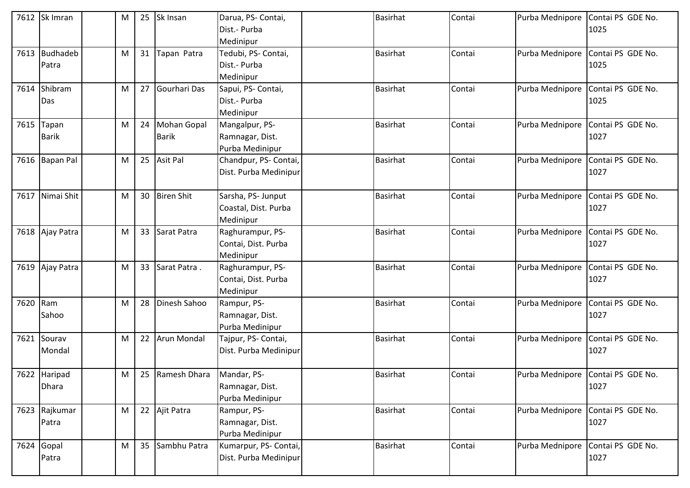|          | 7612 Sk Imran   | M |    | 25 Sk Insan         | Darua, PS- Contai,    | Basirhat        | Contai | Purba Mednipore | Contai PS GDE No.                 |
|----------|-----------------|---|----|---------------------|-----------------------|-----------------|--------|-----------------|-----------------------------------|
|          |                 |   |    |                     | Dist.- Purba          |                 |        |                 | 1025                              |
|          |                 |   |    |                     | Medinipur             |                 |        |                 |                                   |
| 7613     | Budhadeb        | M | 31 | Tapan Patra         | Tedubi, PS- Contai,   | <b>Basirhat</b> | Contai | Purba Mednipore | Contai PS GDE No.                 |
|          | Patra           |   |    |                     | Dist.- Purba          |                 |        |                 | 1025                              |
|          |                 |   |    |                     | Medinipur             |                 |        |                 |                                   |
| 7614     | Shibram         | M |    | 27 Gourhari Das     | Sapui, PS- Contai,    | <b>Basirhat</b> | Contai | Purba Mednipore | Contai PS GDE No.                 |
|          | Das             |   |    |                     | Dist.- Purba          |                 |        |                 | 1025                              |
|          |                 |   |    |                     | Medinipur             |                 |        |                 |                                   |
|          | 7615 Tapan      | M |    | 24 Mohan Gopal      | Mangalpur, PS-        | <b>Basirhat</b> | Contai | Purba Mednipore | Contai PS GDE No.                 |
|          | <b>Barik</b>    |   |    | <b>Barik</b>        | Ramnagar, Dist.       |                 |        |                 | 1027                              |
|          |                 |   |    |                     | Purba Medinipur       |                 |        |                 |                                   |
|          | 7616 Bapan Pal  | M |    | 25 Asit Pal         | Chandpur, PS- Contai, | <b>Basirhat</b> | Contai | Purba Mednipore | Contai PS GDE No.                 |
|          |                 |   |    |                     | Dist. Purba Medinipur |                 |        |                 | 1027                              |
|          |                 |   |    |                     |                       |                 |        |                 |                                   |
|          | 7617 Nimai Shit | M |    | 30 Biren Shit       | Sarsha, PS- Junput    | <b>Basirhat</b> | Contai | Purba Mednipore | Contai PS GDE No.                 |
|          |                 |   |    |                     | Coastal, Dist. Purba  |                 |        |                 | 1027                              |
|          |                 |   |    |                     | Medinipur             |                 |        |                 |                                   |
|          | 7618 Ajay Patra | M |    | 33 Sarat Patra      | Raghurampur, PS-      | <b>Basirhat</b> | Contai | Purba Mednipore | Contai PS GDE No.                 |
|          |                 |   |    |                     | Contai, Dist. Purba   |                 |        |                 | 1027                              |
|          |                 |   |    |                     | Medinipur             |                 |        |                 |                                   |
|          | 7619 Ajay Patra | M |    | 33 Sarat Patra.     | Raghurampur, PS-      | <b>Basirhat</b> | Contai | Purba Mednipore | Contai PS GDE No.                 |
|          |                 |   |    |                     | Contai, Dist. Purba   |                 |        |                 | 1027                              |
|          |                 |   |    |                     | Medinipur             |                 |        |                 |                                   |
| 7620 Ram |                 | M | 28 | <b>Dinesh Sahoo</b> | Rampur, PS-           | <b>Basirhat</b> | Contai | Purba Mednipore | Contai PS GDE No.                 |
|          | Sahoo           |   |    |                     | Ramnagar, Dist.       |                 |        |                 | 1027                              |
|          |                 |   |    |                     | Purba Medinipur       |                 |        |                 |                                   |
| 7621     | Sourav          | M |    | 22 Arun Mondal      | Tajpur, PS- Contai,   | <b>Basirhat</b> | Contai | Purba Mednipore | Contai PS GDE No.                 |
|          | Mondal          |   |    |                     | Dist. Purba Medinipur |                 |        |                 | 1027                              |
|          |                 |   |    |                     |                       |                 |        |                 |                                   |
|          | 7622 Haripad    | M |    | 25 Ramesh Dhara     | Mandar, PS-           | <b>Basirhat</b> | Contai |                 | Purba Mednipore Contai PS GDE No. |
|          | <b>Dhara</b>    |   |    |                     | Ramnagar, Dist.       |                 |        |                 | 1027                              |
|          |                 |   |    |                     | Purba Medinipur       |                 |        |                 |                                   |
|          | 7623 Rajkumar   | M |    | 22 Ajit Patra       | Rampur, PS-           | <b>Basirhat</b> | Contai | Purba Mednipore | Contai PS GDE No.                 |
|          | Patra           |   |    |                     | Ramnagar, Dist.       |                 |        |                 | 1027                              |
|          |                 |   |    |                     | Purba Medinipur       |                 |        |                 |                                   |
|          | 7624 Gopal      | M |    | 35 Sambhu Patra     | Kumarpur, PS- Contai, | Basirhat        | Contai | Purba Mednipore | Contai PS GDE No.                 |
|          | Patra           |   |    |                     | Dist. Purba Medinipur |                 |        |                 | 1027                              |
|          |                 |   |    |                     |                       |                 |        |                 |                                   |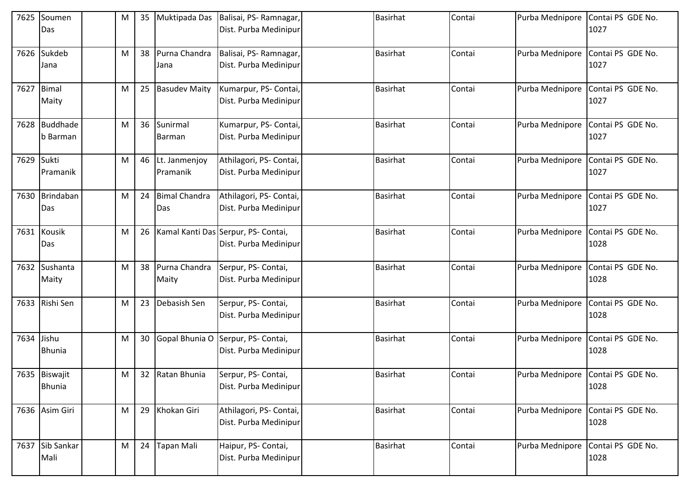| 7625       | Soumen<br>Das               | M | 35 | Muktipada Das               | Balisai, PS-Ramnagar,<br>Dist. Purba Medinipur               | <b>Basirhat</b> | Contai | Purba Mednipore | Contai PS GDE No.<br>1027                 |
|------------|-----------------------------|---|----|-----------------------------|--------------------------------------------------------------|-----------------|--------|-----------------|-------------------------------------------|
| 7626       | Sukdeb<br>Jana              | M | 38 | Purna Chandra<br>Jana       | Balisai, PS-Ramnagar,<br>Dist. Purba Medinipur               | <b>Basirhat</b> | Contai | Purba Mednipore | Contai PS GDE No.<br>1027                 |
| 7627 Bimal | Maity                       | M | 25 | <b>Basudev Maity</b>        | Kumarpur, PS- Contai,<br>Dist. Purba Medinipur               | <b>Basirhat</b> | Contai | Purba Mednipore | Contai PS GDE No.<br>1027                 |
| 7628       | <b>Buddhade</b><br>b Barman | M |    | 36 Sunirmal<br>Barman       | Kumarpur, PS- Contai,<br>Dist. Purba Medinipur               | <b>Basirhat</b> | Contai | Purba Mednipore | Contai PS GDE No.<br>1027                 |
| 7629       | Sukti<br>Pramanik           | M | 46 | Lt. Janmenjoy<br>Pramanik   | Athilagori, PS- Contai,<br>Dist. Purba Medinipur             | Basirhat        | Contai | Purba Mednipore | Contai PS GDE No.<br>1027                 |
| 7630       | Brindaban<br>Das            | M | 24 | <b>Bimal Chandra</b><br>Das | Athilagori, PS- Contai,<br>Dist. Purba Medinipur             | <b>Basirhat</b> | Contai | Purba Mednipore | Contai PS GDE No.<br>1027                 |
|            | 7631 Kousik<br>Das          | M | 26 |                             | Kamal Kanti Das Serpur, PS- Contai,<br>Dist. Purba Medinipur | <b>Basirhat</b> | Contai | Purba Mednipore | Contai PS GDE No.<br>1028                 |
| 7632       | Sushanta<br>Maity           | M | 38 | Purna Chandra<br>Maity      | Serpur, PS- Contai,<br>Dist. Purba Medinipur                 | <b>Basirhat</b> | Contai | Purba Mednipore | Contai PS GDE No.<br>1028                 |
|            | 7633 Rishi Sen              | M | 23 | Debasish Sen                | Serpur, PS- Contai,<br>Dist. Purba Medinipur                 | Basirhat        | Contai | Purba Mednipore | Contai PS GDE No.<br>1028                 |
| 7634       | Jishu<br><b>Bhunia</b>      | M | 30 |                             | Gopal Bhunia O Serpur, PS- Contai,<br>Dist. Purba Medinipur  | <b>Basirhat</b> | Contai | Purba Mednipore | Contai PS GDE No.<br>1028                 |
|            | 7635 Biswajit<br>Bhunia     | M |    | 32 Ratan Bhunia             | Serpur, PS- Contai,<br>Dist. Purba Medinipur                 | <b>Basirhat</b> | Contai |                 | Purba Mednipore Contai PS GDE No.<br>1028 |
|            | 7636 Asim Giri              | M |    | 29 Khokan Giri              | Athilagori, PS- Contai,<br>Dist. Purba Medinipur             | Basirhat        | Contai | Purba Mednipore | Contai PS GDE No.<br>1028                 |
|            | 7637 Sib Sankar<br>Mali     | M | 24 | Tapan Mali                  | Haipur, PS- Contai,<br>Dist. Purba Medinipur                 | Basirhat        | Contai | Purba Mednipore | Contai PS GDE No.<br>1028                 |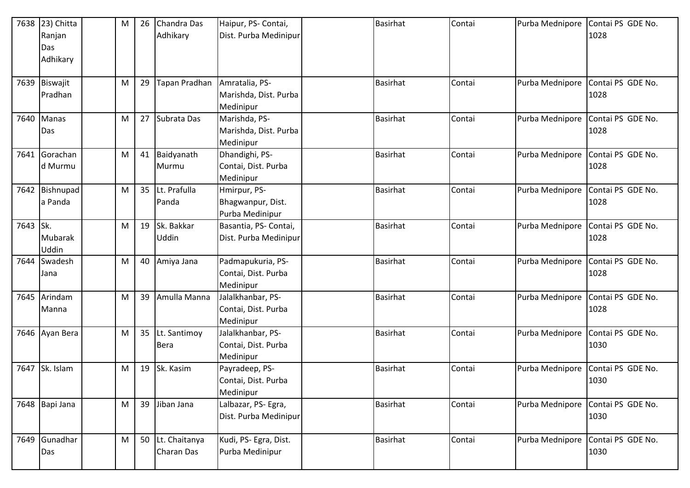| 7638 | 23) Chitta     | M | 26 | Chandra Das      | Haipur, PS- Contai,   | <b>Basirhat</b> | Contai | Purba Mednipore | Contai PS GDE No. |
|------|----------------|---|----|------------------|-----------------------|-----------------|--------|-----------------|-------------------|
|      | Ranjan         |   |    | Adhikary         | Dist. Purba Medinipur |                 |        |                 | 1028              |
|      | Das            |   |    |                  |                       |                 |        |                 |                   |
|      | Adhikary       |   |    |                  |                       |                 |        |                 |                   |
|      |                |   |    |                  |                       |                 |        |                 |                   |
|      | 7639 Biswajit  | M | 29 | Tapan Pradhan    | Amratalia, PS-        | <b>Basirhat</b> | Contai | Purba Mednipore | Contai PS GDE No. |
|      | Pradhan        |   |    |                  | Marishda, Dist. Purba |                 |        |                 | 1028              |
|      |                |   |    |                  | Medinipur             |                 |        |                 |                   |
| 7640 | Manas          | M |    | 27 Subrata Das   | Marishda, PS-         | <b>Basirhat</b> | Contai | Purba Mednipore | Contai PS GDE No. |
|      | Das            |   |    |                  | Marishda, Dist. Purba |                 |        |                 | 1028              |
|      |                |   |    |                  | Medinipur             |                 |        |                 |                   |
| 7641 | Gorachan       | M |    | 41 Baidyanath    | Dhandighi, PS-        | <b>Basirhat</b> | Contai | Purba Mednipore | Contai PS GDE No. |
|      | d Murmu        |   |    | Murmu            | Contai, Dist. Purba   |                 |        |                 | 1028              |
|      |                |   |    |                  | Medinipur             |                 |        |                 |                   |
| 7642 | Bishnupad      | M |    | 35 Lt. Prafulla  | Hmirpur, PS-          | <b>Basirhat</b> | Contai | Purba Mednipore | Contai PS GDE No. |
|      | a Panda        |   |    | Panda            | Bhagwanpur, Dist.     |                 |        |                 | 1028              |
|      |                |   |    |                  | Purba Medinipur       |                 |        |                 |                   |
| 7643 | Sk.            | M |    | 19 Sk. Bakkar    | Basantia, PS- Contai, | <b>Basirhat</b> | Contai | Purba Mednipore | Contai PS GDE No. |
|      | Mubarak        |   |    | Uddin            | Dist. Purba Medinipur |                 |        |                 | 1028              |
|      | Uddin          |   |    |                  |                       |                 |        |                 |                   |
| 7644 | Swadesh        | M | 40 | Amiya Jana       | Padmapukuria, PS-     | <b>Basirhat</b> | Contai | Purba Mednipore | Contai PS GDE No. |
|      | Jana           |   |    |                  | Contai, Dist. Purba   |                 |        |                 | 1028              |
|      |                |   |    |                  | Medinipur             |                 |        |                 |                   |
| 7645 | Arindam        | M | 39 | Amulla Manna     | Jalalkhanbar, PS-     | <b>Basirhat</b> | Contai | Purba Mednipore | Contai PS GDE No. |
|      | Manna          |   |    |                  | Contai, Dist. Purba   |                 |        |                 | 1028              |
|      |                |   |    |                  | Medinipur             |                 |        |                 |                   |
|      | 7646 Ayan Bera | M |    | 35 Lt. Santimoy  | Jalalkhanbar, PS-     | <b>Basirhat</b> | Contai | Purba Mednipore | Contai PS GDE No. |
|      |                |   |    | <b>Bera</b>      | Contai, Dist. Purba   |                 |        |                 | 1030              |
|      |                |   |    |                  | Medinipur             |                 |        |                 |                   |
| 7647 | Sk. Islam      | M |    | 19 Sk. Kasim     | Payradeep, PS-        | <b>Basirhat</b> | Contai | Purba Mednipore | Contai PS GDE No. |
|      |                |   |    |                  | Contai, Dist. Purba   |                 |        |                 | 1030              |
|      |                |   |    |                  | Medinipur             |                 |        |                 |                   |
|      | 7648 Bapi Jana | M |    | 39 Jiban Jana    | Lalbazar, PS- Egra,   | <b>Basirhat</b> | Contai | Purba Mednipore | Contai PS GDE No. |
|      |                |   |    |                  | Dist. Purba Medinipur |                 |        |                 | 1030              |
|      |                |   |    |                  |                       |                 |        |                 |                   |
| 7649 | Gunadhar       | M |    | 50 Lt. Chaitanya | Kudi, PS- Egra, Dist. | <b>Basirhat</b> | Contai | Purba Mednipore | Contai PS GDE No. |
|      | Das            |   |    | Charan Das       | Purba Medinipur       |                 |        |                 | 1030              |
|      |                |   |    |                  |                       |                 |        |                 |                   |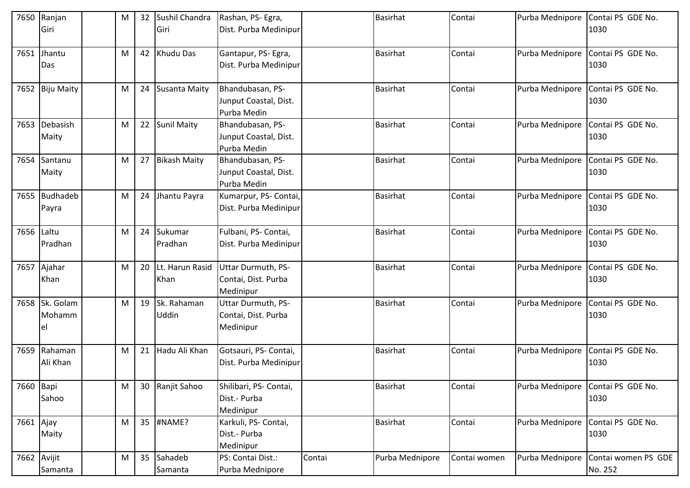| 7650        | Ranjan<br>Giri                 | M         | 32 | Sushil Chandra<br>Giri  | Rashan, PS- Egra,<br>Dist. Purba Medinipur               |        | <b>Basirhat</b> | Contai       | Purba Mednipore | Contai PS GDE No.<br>1030      |
|-------------|--------------------------------|-----------|----|-------------------------|----------------------------------------------------------|--------|-----------------|--------------|-----------------|--------------------------------|
| 7651        | Jhantu<br>Das                  | M         | 42 | Khudu Das               | Gantapur, PS-Egra,<br>Dist. Purba Medinipur              |        | <b>Basirhat</b> | Contai       | Purba Mednipore | Contai PS GDE No.<br>1030      |
|             | 7652 Biju Maity                | M         | 24 | <b>Susanta Maity</b>    | Bhandubasan, PS-<br>Junput Coastal, Dist.<br>Purba Medin |        | <b>Basirhat</b> | Contai       | Purba Mednipore | Contai PS GDE No.<br>1030      |
| 7653        | Debasish<br>Maity              | M         | 22 | <b>Sunil Maity</b>      | Bhandubasan, PS-<br>Junput Coastal, Dist.<br>Purba Medin |        | <b>Basirhat</b> | Contai       | Purba Mednipore | Contai PS GDE No.<br>1030      |
| 7654        | Santanu<br>Maity               | M         | 27 | <b>Bikash Maity</b>     | Bhandubasan, PS-<br>Junput Coastal, Dist.<br>Purba Medin |        | Basirhat        | Contai       | Purba Mednipore | Contai PS GDE No.<br>1030      |
|             | 7655 Budhadeb<br>Payra         | M         | 24 | Jhantu Payra            | Kumarpur, PS- Contai,<br>Dist. Purba Medinipur           |        | <b>Basirhat</b> | Contai       | Purba Mednipore | Contai PS GDE No.<br>1030      |
| 7656 Laltu  | Pradhan                        | M         | 24 | Sukumar<br>Pradhan      | Fulbani, PS- Contai,<br>Dist. Purba Medinipur            |        | <b>Basirhat</b> | Contai       | Purba Mednipore | Contai PS GDE No.<br>1030      |
|             | 7657 Ajahar<br>Khan            | M         | 20 | Lt. Harun Rasid<br>Khan | Uttar Durmuth, PS-<br>Contai, Dist. Purba<br>Medinipur   |        | <b>Basirhat</b> | Contai       | Purba Mednipore | Contai PS GDE No.<br>1030      |
|             | 7658 Sk. Golam<br>Mohamm<br>el | M         | 19 | Sk. Rahaman<br>Uddin    | Uttar Durmuth, PS-<br>Contai, Dist. Purba<br>Medinipur   |        | <b>Basirhat</b> | Contai       | Purba Mednipore | Contai PS GDE No.<br>1030      |
| 7659        | Rahaman<br>Ali Khan            | M         | 21 | Hadu Ali Khan           | Gotsauri, PS- Contai,<br>Dist. Purba Medinipur           |        | <b>Basirhat</b> | Contai       | Purba Mednipore | Contai PS GDE No.<br>1030      |
| 7660 Bapi   | Sahoo                          | M         | 30 | Ranjit Sahoo            | Shilibari, PS- Contai,<br>Dist.- Purba<br>Medinipur      |        | Basirhat        | Contai       | Purba Mednipore | Contai PS GDE No.<br>1030      |
| 7661 Ajay   | Maity                          | M         |    | 35 #NAME?               | Karkuli, PS- Contai,<br>Dist.- Purba<br>Medinipur        |        | Basirhat        | Contai       | Purba Mednipore | Contai PS GDE No.<br>1030      |
| 7662 Avijit | Samanta                        | ${\sf M}$ | 35 | Sahadeb<br>Samanta      | PS: Contai Dist.:<br>Purba Mednipore                     | Contai | Purba Mednipore | Contai women | Purba Mednipore | Contai women PS GDE<br>No. 252 |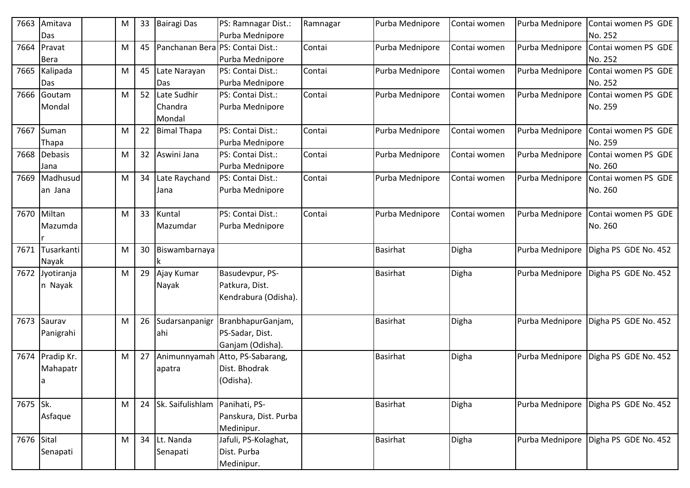| 7663       | Amitava    | M |    | 33 Bairagi Das      | PS: Ramnagar Dist.:   | Ramnagar | Purba Mednipore | Contai women | Purba Mednipore | Contai women PS GDE  |
|------------|------------|---|----|---------------------|-----------------------|----------|-----------------|--------------|-----------------|----------------------|
|            | Das        |   |    |                     | Purba Mednipore       |          |                 |              |                 | No. 252              |
| 7664       | Pravat     | M | 45 | Panchanan Bera      | PS: Contai Dist.:     | Contai   | Purba Mednipore | Contai women | Purba Mednipore | Contai women PS GDE  |
|            | Bera       |   |    |                     | Purba Mednipore       |          |                 |              |                 | No. 252              |
| 7665       | Kalipada   | M | 45 | Late Narayan        | PS: Contai Dist.:     | Contai   | Purba Mednipore | Contai women | Purba Mednipore | Contai women PS GDE  |
|            | Das        |   |    | Das                 | Purba Mednipore       |          |                 |              |                 | No. 252              |
| 7666       | Goutam     | M | 52 | Late Sudhir         | PS: Contai Dist.:     | Contai   | Purba Mednipore | Contai women | Purba Mednipore | Contai women PS GDE  |
|            | Mondal     |   |    | Chandra             | Purba Mednipore       |          |                 |              |                 | No. 259              |
|            |            |   |    | Mondal              |                       |          |                 |              |                 |                      |
| 7667       | Suman      | M | 22 | <b>Bimal Thapa</b>  | PS: Contai Dist.:     | Contai   | Purba Mednipore | Contai women | Purba Mednipore | Contai women PS GDE  |
|            | Thapa      |   |    |                     | Purba Mednipore       |          |                 |              |                 | No. 259              |
| 7668       | Debasis    | M | 32 | Aswini Jana         | PS: Contai Dist.:     | Contai   | Purba Mednipore | Contai women | Purba Mednipore | Contai women PS GDE  |
|            | Jana       |   |    |                     | Purba Mednipore       |          |                 |              |                 | No. 260              |
| 7669       | Madhusud   | M | 34 | Late Raychand       | PS: Contai Dist.:     | Contai   | Purba Mednipore | Contai women | Purba Mednipore | Contai women PS GDE  |
|            | an Jana    |   |    | Jana                | Purba Mednipore       |          |                 |              |                 | No. 260              |
|            |            |   |    |                     |                       |          |                 |              |                 |                      |
| 7670       | Miltan     | M | 33 | Kuntal              | PS: Contai Dist.:     | Contai   | Purba Mednipore | Contai women | Purba Mednipore | Contai women PS GDE  |
|            | Mazumda    |   |    | Mazumdar            | Purba Mednipore       |          |                 |              |                 | No. 260              |
|            |            |   |    |                     |                       |          |                 |              |                 |                      |
| 7671       | Tusarkanti | M | 30 | Biswambarnaya       |                       |          | <b>Basirhat</b> | Digha        | Purba Mednipore | Digha PS GDE No. 452 |
|            | Nayak      |   |    | k                   |                       |          |                 |              |                 |                      |
| 7672       | Jyotiranja | M | 29 | Ajay Kumar          | Basudevpur, PS-       |          | <b>Basirhat</b> | Digha        | Purba Mednipore | Digha PS GDE No. 452 |
|            | n Nayak    |   |    | Nayak               | Patkura, Dist.        |          |                 |              |                 |                      |
|            |            |   |    |                     | Kendrabura (Odisha).  |          |                 |              |                 |                      |
|            |            |   |    |                     |                       |          |                 |              |                 |                      |
| 7673       | Saurav     | M | 26 | Sudarsanpanigr      | BranbhapurGanjam,     |          | <b>Basirhat</b> | Digha        | Purba Mednipore | Digha PS GDE No. 452 |
|            | Panigrahi  |   |    | lahi                | PS-Sadar, Dist.       |          |                 |              |                 |                      |
|            |            |   |    |                     | Ganjam (Odisha).      |          |                 |              |                 |                      |
| 7674       | Pradip Kr. | M | 27 | Animunnyamah        | Atto, PS-Sabarang,    |          | <b>Basirhat</b> | Digha        | Purba Mednipore | Digha PS GDE No. 452 |
|            | Mahapatr   |   |    | apatra              | Dist. Bhodrak         |          |                 |              |                 |                      |
|            | a          |   |    |                     | (Odisha).             |          |                 |              |                 |                      |
|            |            |   |    |                     |                       |          |                 |              |                 |                      |
| 7675 Sk.   |            | M |    | 24 Sk. Saifulishlam | Panihati, PS-         |          | <b>Basirhat</b> | Digha        | Purba Mednipore | Digha PS GDE No. 452 |
|            | Asfaque    |   |    |                     | Panskura, Dist. Purba |          |                 |              |                 |                      |
|            |            |   |    |                     | Medinipur.            |          |                 |              |                 |                      |
| 7676 Sital |            | M |    | 34 Lt. Nanda        | Jafuli, PS-Kolaghat,  |          | Basirhat        | Digha        | Purba Mednipore | Digha PS GDE No. 452 |
|            | Senapati   |   |    | Senapati            | Dist. Purba           |          |                 |              |                 |                      |
|            |            |   |    |                     | Medinipur.            |          |                 |              |                 |                      |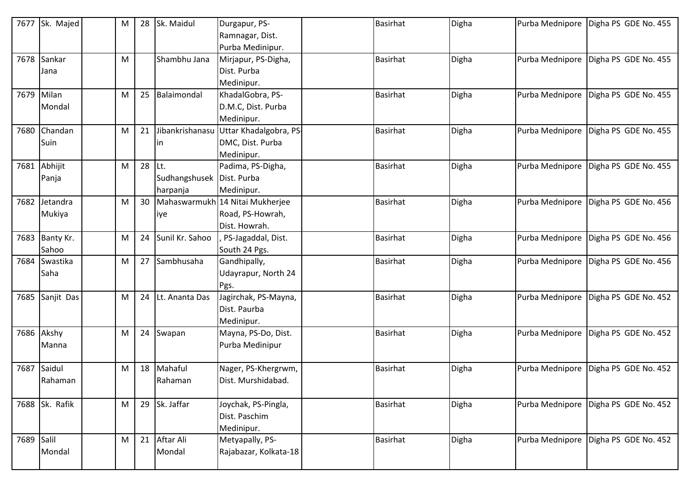| 7677       | Sk. Majed      | M |                 | 28 Sk. Maidul               | Durgapur, PS-<br>Ramnagar, Dist.    | <b>Basirhat</b> | Digha | Purba Mednipore | Digha PS GDE No. 455 |
|------------|----------------|---|-----------------|-----------------------------|-------------------------------------|-----------------|-------|-----------------|----------------------|
|            |                |   |                 |                             | Purba Medinipur.                    |                 |       |                 |                      |
| 7678       | Sankar         | M |                 | Shambhu Jana                | Mirjapur, PS-Digha,                 | <b>Basirhat</b> | Digha | Purba Mednipore | Digha PS GDE No. 455 |
|            | Jana           |   |                 |                             | Dist. Purba                         |                 |       |                 |                      |
|            |                |   |                 |                             | Medinipur.                          |                 |       |                 |                      |
|            | 7679 Milan     | M |                 | 25 Balaimondal              | KhadalGobra, PS-                    | <b>Basirhat</b> | Digha | Purba Mednipore | Digha PS GDE No. 455 |
|            | Mondal         |   |                 |                             | D.M.C, Dist. Purba                  |                 |       |                 |                      |
|            |                |   |                 |                             | Medinipur.                          |                 |       |                 |                      |
| 7680       | Chandan        | M | 21              | Jibankrishanasu             | Uttar Khadalgobra, PS-              | <b>Basirhat</b> | Digha | Purba Mednipore | Digha PS GDE No. 455 |
|            | Suin           |   |                 | In                          | DMC, Dist. Purba                    |                 |       |                 |                      |
|            |                |   |                 |                             | Medinipur.                          |                 |       |                 |                      |
| 7681       | Abhijit        | M | 28 Lt.          |                             | Padima, PS-Digha,                   | <b>Basirhat</b> | Digha | Purba Mednipore | Digha PS GDE No. 455 |
|            | Panja          |   |                 | Sudhangshusek   Dist. Purba |                                     |                 |       |                 |                      |
|            |                |   |                 | harpanja                    | Medinipur.                          |                 |       |                 |                      |
| 7682       | Jetandra       | M | 30 <sup>°</sup> |                             | Mahaswarmukh 14 Nitai Mukherjee     | <b>Basirhat</b> | Digha | Purba Mednipore | Digha PS GDE No. 456 |
|            | Mukiya         |   |                 | liye                        | Road, PS-Howrah,                    |                 |       |                 |                      |
|            | 7683 Banty Kr. | M | 24              | Sunil Kr. Sahoo             | Dist. Howrah.<br>PS-Jagaddal, Dist. | <b>Basirhat</b> | Digha | Purba Mednipore | Digha PS GDE No. 456 |
|            | Sahoo          |   |                 |                             | South 24 Pgs.                       |                 |       |                 |                      |
| 7684       | Swastika       | M |                 | 27 Sambhusaha               | Gandhipally,                        | <b>Basirhat</b> | Digha | Purba Mednipore | Digha PS GDE No. 456 |
|            | Saha           |   |                 |                             | Udayrapur, North 24                 |                 |       |                 |                      |
|            |                |   |                 |                             | Pgs.                                |                 |       |                 |                      |
| 7685       | Sanjit Das     | M |                 | 24 Lt. Ananta Das           | Jagirchak, PS-Mayna,                | <b>Basirhat</b> | Digha | Purba Mednipore | Digha PS GDE No. 452 |
|            |                |   |                 |                             | Dist. Paurba                        |                 |       |                 |                      |
|            |                |   |                 |                             | Medinipur.                          |                 |       |                 |                      |
| 7686       | Akshy          | M |                 | 24 Swapan                   | Mayna, PS-Do, Dist.                 | <b>Basirhat</b> | Digha | Purba Mednipore | Digha PS GDE No. 452 |
|            | Manna          |   |                 |                             | Purba Medinipur                     |                 |       |                 |                      |
|            |                |   |                 |                             |                                     |                 |       |                 |                      |
| 7687       | Saidul         | M | 18              | Mahaful                     | Nager, PS-Khergrwm,                 | <b>Basirhat</b> | Digha | Purba Mednipore | Digha PS GDE No. 452 |
|            | Rahaman        |   |                 | Rahaman                     | Dist. Murshidabad.                  |                 |       |                 |                      |
|            |                |   |                 |                             |                                     |                 |       |                 |                      |
|            | 7688 Sk. Rafik | M |                 | 29 Sk. Jaffar               | Joychak, PS-Pingla,                 | <b>Basirhat</b> | Digha | Purba Mednipore | Digha PS GDE No. 452 |
|            |                |   |                 |                             | Dist. Paschim                       |                 |       |                 |                      |
|            |                |   |                 |                             | Medinipur.                          |                 |       |                 |                      |
| 7689 Salil |                | M |                 | 21 Aftar Ali                | Metyapally, PS-                     | <b>Basirhat</b> | Digha | Purba Mednipore | Digha PS GDE No. 452 |
|            | Mondal         |   |                 | Mondal                      | Rajabazar, Kolkata-18               |                 |       |                 |                      |
|            |                |   |                 |                             |                                     |                 |       |                 |                      |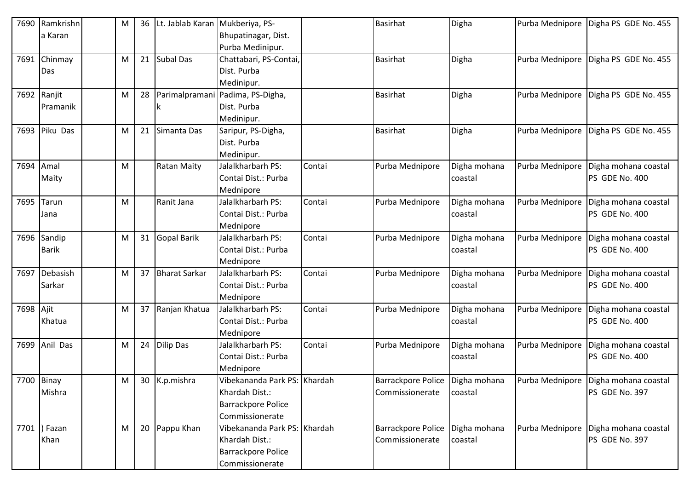| 7690      | Ramkrishn     | M | 36 | Lt. Jablab Karan     | Mukberiya, PS-               |        | <b>Basirhat</b>                 | Digha        | Purba Mednipore | Digha PS GDE No. 455                 |
|-----------|---------------|---|----|----------------------|------------------------------|--------|---------------------------------|--------------|-----------------|--------------------------------------|
|           | a Karan       |   |    |                      | Bhupatinagar, Dist.          |        |                                 |              |                 |                                      |
|           |               |   |    |                      | Purba Medinipur.             |        |                                 |              |                 |                                      |
| 7691      | Chinmay       | M |    | 21 Subal Das         | Chattabari, PS-Contai,       |        | <b>Basirhat</b>                 | Digha        | Purba Mednipore | Digha PS GDE No. 455                 |
|           | Das           |   |    |                      | Dist. Purba                  |        |                                 |              |                 |                                      |
|           |               |   |    |                      | Medinipur.                   |        |                                 |              |                 |                                      |
| 7692      | Ranjit        | M | 28 | Parimalpramani       | Padima, PS-Digha,            |        | <b>Basirhat</b>                 | Digha        | Purba Mednipore | Digha PS GDE No. 455                 |
|           | Pramanik      |   |    | Ιk                   | Dist. Purba                  |        |                                 |              |                 |                                      |
|           |               |   |    |                      | Medinipur.                   |        |                                 |              |                 |                                      |
|           | 7693 Piku Das | M | 21 | Simanta Das          | Saripur, PS-Digha,           |        | <b>Basirhat</b>                 | Digha        | Purba Mednipore | Digha PS GDE No. 455                 |
|           |               |   |    |                      | Dist. Purba                  |        |                                 |              |                 |                                      |
|           |               |   |    |                      | Medinipur.                   |        |                                 |              |                 |                                      |
| 7694      | Amal          | M |    | <b>Ratan Maity</b>   | Jalalkharbarh PS:            | Contai | Purba Mednipore                 | Digha mohana | Purba Mednipore | Digha mohana coastal                 |
|           | Maity         |   |    |                      | Contai Dist.: Purba          |        |                                 | coastal      |                 | PS GDE No. 400                       |
|           |               |   |    |                      | Mednipore                    |        |                                 |              |                 |                                      |
| 7695      | Tarun         | M |    | Ranit Jana           | Jalalkharbarh PS:            | Contai | Purba Mednipore                 | Digha mohana | Purba Mednipore | Digha mohana coastal                 |
|           | Jana          |   |    |                      | Contai Dist.: Purba          |        |                                 | coastal      |                 | PS GDE No. 400                       |
|           |               |   |    |                      | Mednipore                    |        |                                 |              |                 |                                      |
|           | 7696 Sandip   | M |    | 31 Gopal Barik       | Jalalkharbarh PS:            | Contai | Purba Mednipore                 | Digha mohana | Purba Mednipore | Digha mohana coastal                 |
|           | <b>Barik</b>  |   |    |                      | Contai Dist.: Purba          |        |                                 | coastal      |                 | PS GDE No. 400                       |
|           |               |   |    |                      | Mednipore                    |        |                                 |              |                 |                                      |
| 7697      | Debasish      | M | 37 | <b>Bharat Sarkar</b> | Jalalkharbarh PS:            | Contai | Purba Mednipore                 | Digha mohana | Purba Mednipore | Digha mohana coastal                 |
|           | Sarkar        |   |    |                      | Contai Dist.: Purba          |        |                                 | coastal      |                 | PS GDE No. 400                       |
|           |               |   |    |                      | Mednipore                    |        |                                 |              |                 |                                      |
| 7698 Ajit |               | M |    | 37 Ranjan Khatua     | Jalalkharbarh PS:            | Contai | Purba Mednipore                 | Digha mohana | Purba Mednipore | Digha mohana coastal                 |
|           | Khatua        |   |    |                      | Contai Dist.: Purba          |        |                                 | coastal      |                 | PS GDE No. 400                       |
|           |               |   |    |                      | Mednipore                    |        |                                 |              |                 |                                      |
|           | 7699 Anil Das | M | 24 | <b>Dilip Das</b>     | Jalalkharbarh PS:            | Contai | Purba Mednipore                 | Digha mohana | Purba Mednipore | Digha mohana coastal                 |
|           |               |   |    |                      | Contai Dist.: Purba          |        |                                 | coastal      |                 | PS GDE No. 400                       |
|           |               |   |    |                      | Mednipore                    |        |                                 |              |                 |                                      |
|           | 7700 Binay    | M |    | 30 K.p.mishra        | Vibekananda Park PS: Khardah |        | Barrackpore Police Digha mohana |              |                 | Purba Mednipore Digha mohana coastal |
|           | Mishra        |   |    |                      | Khardah Dist.:               |        | Commissionerate                 | coastal      |                 | PS GDE No. 397                       |
|           |               |   |    |                      | <b>Barrackpore Police</b>    |        |                                 |              |                 |                                      |
|           |               |   |    |                      | Commissionerate              |        |                                 |              |                 |                                      |
|           | 7701  ) Fazan | M |    | 20 Pappu Khan        | Vibekananda Park PS: Khardah |        | <b>Barrackpore Police</b>       | Digha mohana | Purba Mednipore | Digha mohana coastal                 |
|           | Khan          |   |    |                      | Khardah Dist.:               |        | Commissionerate                 | coastal      |                 | PS GDE No. 397                       |
|           |               |   |    |                      | <b>Barrackpore Police</b>    |        |                                 |              |                 |                                      |
|           |               |   |    |                      | Commissionerate              |        |                                 |              |                 |                                      |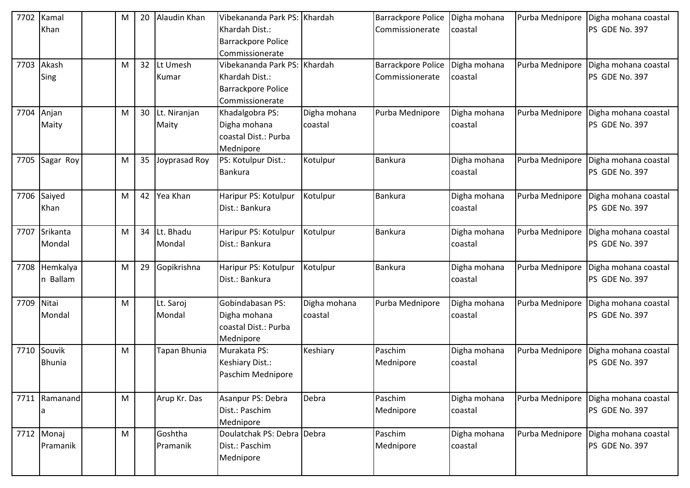| 7702       | Kamal         | M | 20              | Alaudin Khan    | Vibekananda Park PS: Khardah |              | <b>Barrackpore Police</b> | Digha mohana | Purba Mednipore | Digha mohana coastal |
|------------|---------------|---|-----------------|-----------------|------------------------------|--------------|---------------------------|--------------|-----------------|----------------------|
|            | Khan          |   |                 |                 | Khardah Dist.:               |              | Commissionerate           | coastal      |                 | PS GDE No. 397       |
|            |               |   |                 |                 | <b>Barrackpore Police</b>    |              |                           |              |                 |                      |
|            |               |   |                 |                 | Commissionerate              |              |                           |              |                 |                      |
| 7703       | Akash         | M | 32 <sup>2</sup> | Lt Umesh        | Vibekananda Park PS: Khardah |              | <b>Barrackpore Police</b> | Digha mohana | Purba Mednipore | Digha mohana coastal |
|            | Sing          |   |                 | Kumar           | Khardah Dist.:               |              | Commissionerate           | coastal      |                 | PS GDE No. 397       |
|            |               |   |                 |                 | <b>Barrackpore Police</b>    |              |                           |              |                 |                      |
|            |               |   |                 |                 | Commissionerate              |              |                           |              |                 |                      |
| 7704 Anjan |               | M |                 | 30 Lt. Niranjan | Khadalgobra PS:              | Digha mohana | Purba Mednipore           | Digha mohana | Purba Mednipore | Digha mohana coastal |
|            | Maity         |   |                 | Maity           | Digha mohana                 | coastal      |                           | coastal      |                 | PS GDE No. 397       |
|            |               |   |                 |                 | coastal Dist.: Purba         |              |                           |              |                 |                      |
|            |               |   |                 |                 | Mednipore                    |              |                           |              |                 |                      |
| 7705       | Sagar Roy     | M | 35              | Joyprasad Roy   | PS: Kotulpur Dist.:          | Kotulpur     | Bankura                   | Digha mohana | Purba Mednipore | Digha mohana coastal |
|            |               |   |                 |                 | <b>Bankura</b>               |              |                           | coastal      |                 | PS GDE No. 397       |
|            |               |   |                 |                 |                              |              |                           |              |                 |                      |
|            | 7706 Saiyed   | M | 42              | Yea Khan        | Haripur PS: Kotulpur         | Kotulpur     | Bankura                   | Digha mohana | Purba Mednipore | Digha mohana coastal |
|            | Khan          |   |                 |                 | Dist.: Bankura               |              |                           | coastal      |                 | PS GDE No. 397       |
|            |               |   |                 |                 |                              |              |                           |              |                 |                      |
|            | 7707 Srikanta | M | 34              | Lt. Bhadu       | Haripur PS: Kotulpur         | Kotulpur     | Bankura                   | Digha mohana | Purba Mednipore | Digha mohana coastal |
|            | Mondal        |   |                 | Mondal          | Dist.: Bankura               |              |                           | coastal      |                 | PS GDE No. 397       |
|            |               |   |                 |                 |                              |              |                           |              |                 |                      |
| 7708       | Hemkalya      | M | 29              | Gopikrishna     | Haripur PS: Kotulpur         | Kotulpur     | Bankura                   | Digha mohana | Purba Mednipore | Digha mohana coastal |
|            | n Ballam      |   |                 |                 | Dist.: Bankura               |              |                           | coastal      |                 | PS GDE No. 397       |
|            |               |   |                 |                 |                              |              |                           |              |                 |                      |
| 7709       | Nitai         | M |                 | Lt. Saroj       | Gobindabasan PS:             | Digha mohana | Purba Mednipore           | Digha mohana | Purba Mednipore | Digha mohana coastal |
|            | Mondal        |   |                 | Mondal          | Digha mohana                 | coastal      |                           | coastal      |                 | PS GDE No. 397       |
|            |               |   |                 |                 | coastal Dist.: Purba         |              |                           |              |                 |                      |
|            |               |   |                 |                 | Mednipore                    |              |                           |              |                 |                      |
| 7710       | Souvik        | M |                 | Tapan Bhunia    | Murakata PS:                 | Keshiary     | Paschim                   | Digha mohana | Purba Mednipore | Digha mohana coastal |
|            | <b>Bhunia</b> |   |                 |                 | Keshiary Dist.:              |              | Mednipore                 | coastal      |                 | PS GDE No. 397       |
|            |               |   |                 |                 | Paschim Mednipore            |              |                           |              |                 |                      |
|            | 7711 Ramanand | M |                 | Arup Kr. Das    | Asanpur PS: Debra            | Debra        | Paschim                   | Digha mohana | Purba Mednipore | Digha mohana coastal |
|            |               |   |                 |                 |                              |              |                           |              |                 | PS GDE No. 397       |
|            | а             |   |                 |                 | Dist.: Paschim<br>Mednipore  |              | Mednipore                 | coastal      |                 |                      |
|            | 7712 Monaj    | M |                 | Goshtha         | Doulatchak PS: Debra Debra   |              | Paschim                   | Digha mohana | Purba Mednipore | Digha mohana coastal |
|            | Pramanik      |   |                 | Pramanik        | Dist.: Paschim               |              | Mednipore                 | coastal      |                 | PS GDE No. 397       |
|            |               |   |                 |                 | Mednipore                    |              |                           |              |                 |                      |
|            |               |   |                 |                 |                              |              |                           |              |                 |                      |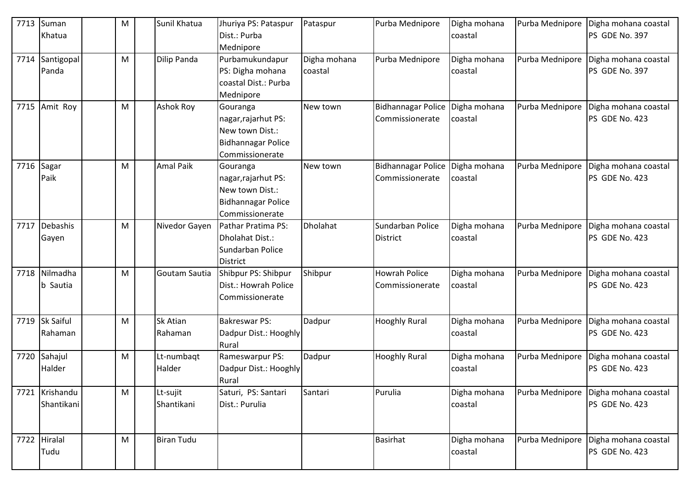| 7713 | Suman          | M | Sunil Khatua         | Jhuriya PS: Pataspur                     | Pataspur     | Purba Mednipore           | Digha mohana | Purba Mednipore | Digha mohana coastal |
|------|----------------|---|----------------------|------------------------------------------|--------------|---------------------------|--------------|-----------------|----------------------|
|      | Khatua         |   |                      | Dist.: Purba                             |              |                           | coastal      |                 | PS GDE No. 397       |
|      |                |   |                      | Mednipore                                |              |                           |              |                 |                      |
| 7714 | Santigopal     | M | Dilip Panda          | Purbamukundapur                          | Digha mohana | Purba Mednipore           | Digha mohana | Purba Mednipore | Digha mohana coastal |
|      | Panda          |   |                      | PS: Digha mohana<br>coastal Dist.: Purba | coastal      |                           | coastal      |                 | PS GDE No. 397       |
|      |                |   |                      | Mednipore                                |              |                           |              |                 |                      |
| 7715 | Amit Roy       | M | <b>Ashok Roy</b>     | Gouranga                                 | New town     | <b>Bidhannagar Police</b> | Digha mohana | Purba Mednipore | Digha mohana coastal |
|      |                |   |                      | nagar, rajarhut PS:                      |              | Commissionerate           | coastal      |                 | PS GDE No. 423       |
|      |                |   |                      | New town Dist.:                          |              |                           |              |                 |                      |
|      |                |   |                      | Bidhannagar Police                       |              |                           |              |                 |                      |
|      |                |   |                      | Commissionerate                          |              |                           |              |                 |                      |
| 7716 | Sagar          | M | <b>Amal Paik</b>     | Gouranga                                 | New town     | <b>Bidhannagar Police</b> | Digha mohana | Purba Mednipore | Digha mohana coastal |
|      | Paik           |   |                      | nagar, rajarhut PS:                      |              | Commissionerate           | coastal      |                 | PS GDE No. 423       |
|      |                |   |                      | New town Dist.:                          |              |                           |              |                 |                      |
|      |                |   |                      | <b>Bidhannagar Police</b>                |              |                           |              |                 |                      |
|      |                |   |                      | Commissionerate                          |              |                           |              |                 |                      |
| 7717 | Debashis       | M | Nivedor Gayen        | Pathar Pratima PS:                       | Dholahat     | Sundarban Police          | Digha mohana | Purba Mednipore | Digha mohana coastal |
|      | Gayen          |   |                      | Dholahat Dist.:                          |              | <b>District</b>           | coastal      |                 | PS GDE No. 423       |
|      |                |   |                      | Sundarban Police                         |              |                           |              |                 |                      |
| 7718 | Nilmadha       |   | <b>Goutam Sautia</b> | <b>District</b><br>Shibpur PS: Shibpur   |              | <b>Howrah Police</b>      | Digha mohana |                 | Digha mohana coastal |
|      | b Sautia       | M |                      | Dist.: Howrah Police                     | Shibpur      | Commissionerate           | coastal      | Purba Mednipore | PS GDE No. 423       |
|      |                |   |                      | Commissionerate                          |              |                           |              |                 |                      |
|      |                |   |                      |                                          |              |                           |              |                 |                      |
|      | 7719 Sk Saiful | M | <b>Sk Atian</b>      | <b>Bakreswar PS:</b>                     | Dadpur       | <b>Hooghly Rural</b>      | Digha mohana | Purba Mednipore | Digha mohana coastal |
|      | Rahaman        |   | Rahaman              | Dadpur Dist.: Hooghly                    |              |                           | coastal      |                 | PS GDE No. 423       |
|      |                |   |                      | Rural                                    |              |                           |              |                 |                      |
| 7720 | Sahajul        | M | Lt-numbagt           | Rameswarpur PS:                          | Dadpur       | <b>Hooghly Rural</b>      | Digha mohana | Purba Mednipore | Digha mohana coastal |
|      | Halder         |   | Halder               | Dadpur Dist.: Hooghly                    |              |                           | coastal      |                 | PS GDE No. 423       |
|      |                |   |                      | Rural                                    |              |                           |              |                 |                      |
|      | 7721 Krishandu | M | Lt-sujit             | Saturi, PS: Santari                      | Santari      | Purulia                   | Digha mohana | Purba Mednipore | Digha mohana coastal |
|      | Shantikani     |   | Shantikani           | Dist.: Purulia                           |              |                           | coastal      |                 | PS GDE No. 423       |
|      |                |   |                      |                                          |              |                           |              |                 |                      |
|      | 7722 Hiralal   | M | <b>Biran Tudu</b>    |                                          |              | <b>Basirhat</b>           | Digha mohana | Purba Mednipore | Digha mohana coastal |
|      | Tudu           |   |                      |                                          |              |                           | coastal      |                 | PS GDE No. 423       |
|      |                |   |                      |                                          |              |                           |              |                 |                      |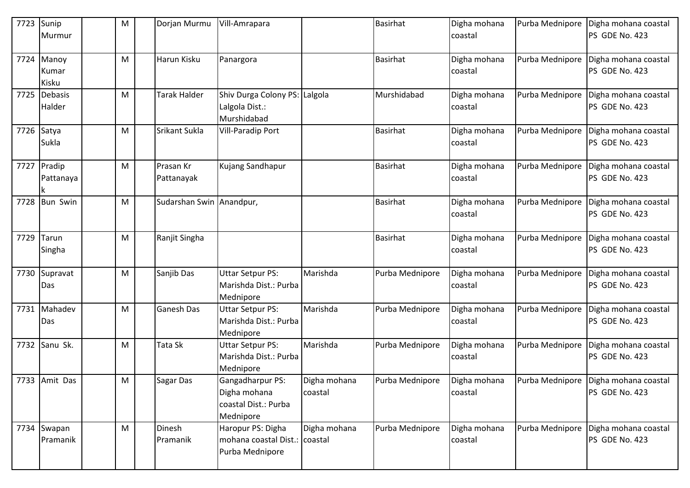| 7723       | Sunip<br>Murmur              | M | Dorjan Murmu             | Vill-Amrapara                                                         |                         | Basirhat        | Digha mohana<br>coastal | Purba Mednipore | Digha mohana coastal<br>PS GDE No. 423                 |
|------------|------------------------------|---|--------------------------|-----------------------------------------------------------------------|-------------------------|-----------------|-------------------------|-----------------|--------------------------------------------------------|
|            | 7724 Manoy<br>Kumar<br>Kisku | М | Harun Kisku              | Panargora                                                             |                         | <b>Basirhat</b> | Digha mohana<br>coastal | Purba Mednipore | Digha mohana coastal<br>PS GDE No. 423                 |
|            | 7725 Debasis<br>Halder       | M | <b>Tarak Halder</b>      | Shiv Durga Colony PS: Lalgola<br>Lalgola Dist.:<br>Murshidabad        |                         | Murshidabad     | Digha mohana<br>coastal | Purba Mednipore | Digha mohana coastal<br>PS GDE No. 423                 |
| 7726 Satya | Sukla                        | M | Srikant Sukla            | <b>Vill-Paradip Port</b>                                              |                         | <b>Basirhat</b> | Digha mohana<br>coastal | Purba Mednipore | Digha mohana coastal<br>PS GDE No. 423                 |
|            | 7727 Pradip<br>Pattanaya     | M | Prasan Kr<br>Pattanayak  | Kujang Sandhapur                                                      |                         | <b>Basirhat</b> | Digha mohana<br>coastal | Purba Mednipore | Digha mohana coastal<br>PS GDE No. 423                 |
|            | 7728 Bun Swin                | м | Sudarshan Swin Anandpur, |                                                                       |                         | <b>Basirhat</b> | Digha mohana<br>coastal | Purba Mednipore | Digha mohana coastal<br>PS GDE No. 423                 |
| 7729       | Tarun<br>Singha              | M | Ranjit Singha            |                                                                       |                         | <b>Basirhat</b> | Digha mohana<br>coastal | Purba Mednipore | Digha mohana coastal<br>PS GDE No. 423                 |
| 7730       | Supravat<br>Das              | Μ | Sanjib Das               | <b>Uttar Setpur PS:</b><br>Marishda Dist.: Purba<br>Mednipore         | Marishda                | Purba Mednipore | Digha mohana<br>coastal | Purba Mednipore | Digha mohana coastal<br>PS GDE No. 423                 |
| 7731       | Mahadev<br>Das               | M | Ganesh Das               | <b>Uttar Setpur PS:</b><br>Marishda Dist.: Purba<br>Mednipore         | Marishda                | Purba Mednipore | Digha mohana<br>coastal | Purba Mednipore | Digha mohana coastal<br>PS GDE No. 423                 |
|            | 7732 Sanu Sk.                | м | Tata Sk                  | <b>Uttar Setpur PS:</b><br>Marishda Dist.: Purba<br>Mednipore         | Marishda                | Purba Mednipore | Digha mohana<br>coastal | Purba Mednipore | Digha mohana coastal<br>PS GDE No. 423                 |
|            | 7733 Amit Das                | M | Sagar Das                | Gangadharpur PS:<br>Digha mohana<br>coastal Dist.: Purba<br>Mednipore | Digha mohana<br>coastal | Purba Mednipore | Digha mohana<br>coastal |                 | Purba Mednipore Digha mohana coastal<br>PS GDE No. 423 |
|            | 7734 Swapan<br>Pramanik      | M | Dinesh<br>Pramanik       | Haropur PS: Digha<br>mohana coastal Dist.:<br>Purba Mednipore         | Digha mohana<br>coastal | Purba Mednipore | Digha mohana<br>coastal | Purba Mednipore | Digha mohana coastal<br>PS GDE No. 423                 |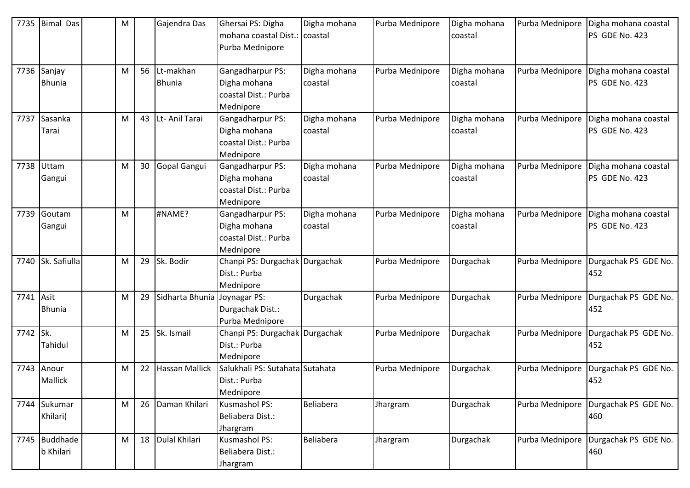| 7735      | <b>Bimal Das</b> | M |    | Gajendra Das          | Ghersai PS: Digha                   | Digha mohana | Purba Mednipore | Digha mohana | Purba Mednipore | Digha mohana coastal |
|-----------|------------------|---|----|-----------------------|-------------------------------------|--------------|-----------------|--------------|-----------------|----------------------|
|           |                  |   |    |                       | mohana coastal Dist.: coastal       |              |                 | coastal      |                 | PS GDE No. 423       |
|           |                  |   |    |                       | Purba Mednipore                     |              |                 |              |                 |                      |
| 7736      | Sanjay           | M | 56 | Lt-makhan             | Gangadharpur PS:                    | Digha mohana | Purba Mednipore | Digha mohana | Purba Mednipore | Digha mohana coastal |
|           | <b>Bhunia</b>    |   |    | <b>Bhunia</b>         | Digha mohana                        | coastal      |                 | coastal      |                 | PS GDE No. 423       |
|           |                  |   |    |                       | coastal Dist.: Purba                |              |                 |              |                 |                      |
|           |                  |   |    |                       | Mednipore                           |              |                 |              |                 |                      |
| 7737      | Sasanka          | M |    | 43 Lt- Anil Tarai     | Gangadharpur PS:                    | Digha mohana | Purba Mednipore | Digha mohana | Purba Mednipore | Digha mohana coastal |
|           | Tarai            |   |    |                       | Digha mohana                        | coastal      |                 | coastal      |                 | PS GDE No. 423       |
|           |                  |   |    |                       | coastal Dist.: Purba                |              |                 |              |                 |                      |
|           |                  |   |    |                       | Mednipore                           |              |                 |              |                 |                      |
| 7738      | Uttam            | M | 30 | Gopal Gangui          | Gangadharpur PS:                    | Digha mohana | Purba Mednipore | Digha mohana | Purba Mednipore | Digha mohana coastal |
|           | Gangui           |   |    |                       | Digha mohana                        | coastal      |                 | coastal      |                 | PS GDE No. 423       |
|           |                  |   |    |                       | coastal Dist.: Purba                |              |                 |              |                 |                      |
|           |                  |   |    |                       | Mednipore                           |              |                 |              |                 |                      |
| 7739      | Goutam           | M |    | #NAME?                | Gangadharpur PS:                    | Digha mohana | Purba Mednipore | Digha mohana | Purba Mednipore | Digha mohana coastal |
|           | Gangui           |   |    |                       | Digha mohana                        | coastal      |                 | coastal      |                 | PS GDE No. 423       |
|           |                  |   |    |                       | coastal Dist.: Purba                |              |                 |              |                 |                      |
|           |                  |   |    |                       | Mednipore                           |              |                 |              |                 |                      |
| 7740      | Sk. Safiulla     | M |    | 29 Sk. Bodir          | Chanpi PS: Durgachak Durgachak      |              | Purba Mednipore | Durgachak    | Purba Mednipore | Durgachak PS GDE No. |
|           |                  |   |    |                       | Dist.: Purba                        |              |                 |              |                 | 452                  |
|           |                  |   |    |                       | Mednipore                           |              |                 |              |                 |                      |
| 7741 Asit |                  | M | 29 | Sidharta Bhunia       | Joynagar PS:                        | Durgachak    | Purba Mednipore | Durgachak    | Purba Mednipore | Durgachak PS GDE No. |
|           | <b>Bhunia</b>    |   |    |                       | Durgachak Dist.:<br>Purba Mednipore |              |                 |              |                 | 452                  |
| 7742 Sk.  |                  | M |    | 25 Sk. Ismail         | Chanpi PS: Durgachak Durgachak      |              | Purba Mednipore | Durgachak    | Purba Mednipore | Durgachak PS GDE No. |
|           | Tahidul          |   |    |                       | Dist.: Purba                        |              |                 |              |                 | 452                  |
|           |                  |   |    |                       | Mednipore                           |              |                 |              |                 |                      |
| 7743      | Anour            | M | 22 | <b>Hassan Mallick</b> | Salukhali PS: Sutahata Sutahata     |              | Purba Mednipore | Durgachak    | Purba Mednipore | Durgachak PS GDE No. |
|           | <b>Mallick</b>   |   |    |                       | Dist.: Purba                        |              |                 |              |                 | 452                  |
|           |                  |   |    |                       | Mednipore                           |              |                 |              |                 |                      |
|           | 7744 Sukumar     | M |    | 26 Daman Khilari      | Kusmashol PS:                       | Beliabera    | Jhargram        | Durgachak    | Purba Mednipore | Durgachak PS GDE No. |
|           | Khilari(         |   |    |                       | Beliabera Dist.:                    |              |                 |              |                 | 460                  |
|           |                  |   |    |                       | Jhargram                            |              |                 |              |                 |                      |
|           | 7745 Buddhade    | M |    | 18 Dulal Khilari      | Kusmashol PS:                       | Beliabera    | Jhargram        | Durgachak    | Purba Mednipore | Durgachak PS GDE No. |
|           | b Khilari        |   |    |                       | Beliabera Dist.:                    |              |                 |              |                 | 460                  |
|           |                  |   |    |                       | Jhargram                            |              |                 |              |                 |                      |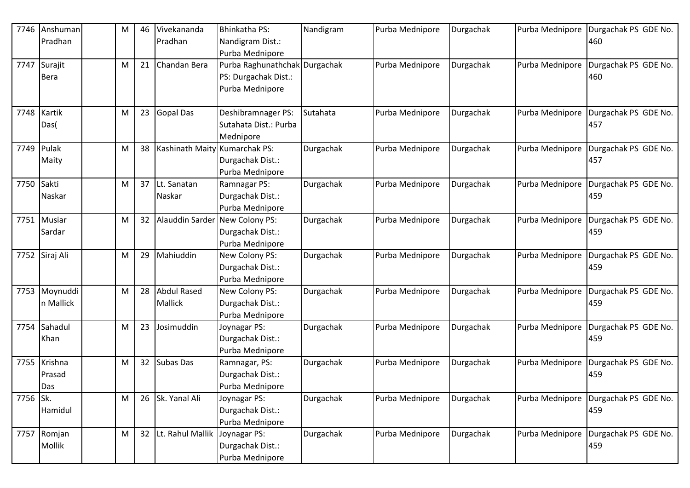| 7746       | Anshuman       | M | 46              | Vivekananda                      | Bhinkatha PS:                 | Nandigram | Purba Mednipore | Durgachak | Purba Mednipore | Durgachak PS GDE No.                 |
|------------|----------------|---|-----------------|----------------------------------|-------------------------------|-----------|-----------------|-----------|-----------------|--------------------------------------|
|            | Pradhan        |   |                 | Pradhan                          | Nandigram Dist.:              |           |                 |           |                 | 460                                  |
|            |                |   |                 |                                  | Purba Mednipore               |           |                 |           |                 |                                      |
| 7747       | Surajit        | M | 21              | Chandan Bera                     | Purba Raghunathchak Durgachak |           | Purba Mednipore | Durgachak | Purba Mednipore | Durgachak PS GDE No.                 |
|            | <b>Bera</b>    |   |                 |                                  | PS: Durgachak Dist.:          |           |                 |           |                 | 460                                  |
|            |                |   |                 |                                  | Purba Mednipore               |           |                 |           |                 |                                      |
|            |                |   |                 |                                  |                               |           |                 |           |                 |                                      |
| 7748       | Kartik         | M | 23              | <b>Gopal Das</b>                 | Deshibramnager PS:            | Sutahata  | Purba Mednipore | Durgachak | Purba Mednipore | Durgachak PS GDE No.                 |
|            | Das(           |   |                 |                                  | Sutahata Dist.: Purba         |           |                 |           |                 | 457                                  |
|            |                |   |                 |                                  | Mednipore                     |           |                 |           |                 |                                      |
| 7749       | Pulak          | M | 38              | Kashinath Maity Kumarchak PS:    |                               | Durgachak | Purba Mednipore | Durgachak | Purba Mednipore | Durgachak PS GDE No.                 |
|            | Maity          |   |                 |                                  | Durgachak Dist.:              |           |                 |           |                 | 457                                  |
|            |                |   |                 |                                  | Purba Mednipore               |           |                 |           |                 |                                      |
| 7750 Sakti |                | M | 37              | Lt. Sanatan                      | Ramnagar PS:                  | Durgachak | Purba Mednipore | Durgachak | Purba Mednipore | Durgachak PS GDE No.                 |
|            | Naskar         |   |                 | Naskar                           | Durgachak Dist.:              |           |                 |           |                 | 459                                  |
|            |                |   |                 |                                  | Purba Mednipore               |           |                 |           |                 |                                      |
| 7751       | Musiar         | M | 32              | Alauddin Sarder New Colony PS:   |                               | Durgachak | Purba Mednipore | Durgachak | Purba Mednipore | Durgachak PS GDE No.                 |
|            | Sardar         |   |                 |                                  | Durgachak Dist.:              |           |                 |           |                 | 459                                  |
|            |                |   |                 |                                  | Purba Mednipore               |           |                 |           |                 |                                      |
|            | 7752 Siraj Ali | M | 29              | Mahiuddin                        | New Colony PS:                | Durgachak | Purba Mednipore | Durgachak | Purba Mednipore | Durgachak PS GDE No.                 |
|            |                |   |                 |                                  | Durgachak Dist.:              |           |                 |           |                 | 459                                  |
|            |                |   |                 |                                  | Purba Mednipore               |           |                 |           |                 |                                      |
| 7753       | Moynuddi       | M | 28              | <b>Abdul Rased</b>               | New Colony PS:                | Durgachak | Purba Mednipore | Durgachak | Purba Mednipore | Durgachak PS GDE No.                 |
|            | n Mallick      |   |                 | Mallick                          | Durgachak Dist.:              |           |                 |           |                 | 459                                  |
|            |                |   |                 |                                  | Purba Mednipore               |           |                 |           |                 |                                      |
| 7754       | Sahadul        | M | 23              | Josimuddin                       | Joynagar PS:                  | Durgachak | Purba Mednipore | Durgachak | Purba Mednipore | Durgachak PS GDE No.                 |
|            | Khan           |   |                 |                                  | Durgachak Dist.:              |           |                 |           |                 | 459                                  |
|            |                |   |                 |                                  | Purba Mednipore               |           |                 |           |                 |                                      |
|            | 7755 Krishna   | M | 32 <sup>2</sup> | <b>Subas Das</b>                 | Ramnagar, PS:                 | Durgachak | Purba Mednipore | Durgachak | Purba Mednipore | Durgachak PS GDE No.                 |
|            | Prasad         |   |                 |                                  | Durgachak Dist.:              |           |                 |           |                 | 459                                  |
|            | Das            |   |                 |                                  | Purba Mednipore               |           |                 |           |                 |                                      |
| 7756 Sk.   |                | M |                 | 26 Sk. Yanal Ali                 | Joynagar PS:                  | Durgachak | Purba Mednipore | Durgachak | Purba Mednipore | Durgachak PS GDE No.                 |
|            | Hamidul        |   |                 |                                  | Durgachak Dist.:              |           |                 |           |                 | 459                                  |
|            |                |   |                 |                                  | Purba Mednipore               |           |                 |           |                 |                                      |
|            | 7757 Romjan    | M |                 | 32 Lt. Rahul Mallik Joynagar PS: |                               | Durgachak | Purba Mednipore | Durgachak |                 | Purba Mednipore Durgachak PS GDE No. |
|            | Mollik         |   |                 |                                  | Durgachak Dist.:              |           |                 |           |                 | 459                                  |
|            |                |   |                 |                                  | Purba Mednipore               |           |                 |           |                 |                                      |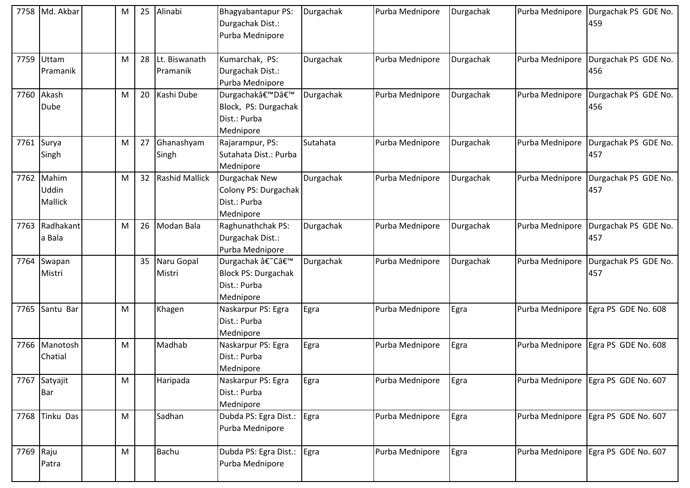| 7758      | Md. Akbar                      | M | 25 | Alinabi                   | Bhagyabantapur PS:<br>Durgachak Dist.:<br>Purba Mednipore                  | Durgachak | Purba Mednipore | Durgachak | Purba Mednipore | Durgachak PS GDE No.<br>459         |
|-----------|--------------------------------|---|----|---------------------------|----------------------------------------------------------------------------|-----------|-----------------|-----------|-----------------|-------------------------------------|
|           | 7759 Uttam<br>Pramanik         | M | 28 | Lt. Biswanath<br>Pramanik | Kumarchak, PS:<br>Durgachak Dist.:<br>Purba Mednipore                      | Durgachak | Purba Mednipore | Durgachak | Purba Mednipore | Durgachak PS GDE No.<br>456         |
| 7760      | Akash<br>Dube                  | М |    | 20 Kashi Dube             | Durgachak'D'<br>Block, PS: Durgachak<br>Dist.: Purba<br>Mednipore          | Durgachak | Purba Mednipore | Durgachak | Purba Mednipore | Durgachak PS GDE No.<br>456         |
|           | 7761 Surya<br>Singh            | м | 27 | Ghanashyam<br>Singh       | Rajarampur, PS:<br>Sutahata Dist.: Purba<br>Mednipore                      | Sutahata  | Purba Mednipore | Durgachak | Purba Mednipore | Durgachak PS GDE No.<br>457         |
|           | 7762 Mahim<br>Uddin<br>Mallick | M |    | 32 Rashid Mallick         | Durgachak New<br>Colony PS: Durgachak<br>Dist.: Purba<br>Mednipore         | Durgachak | Purba Mednipore | Durgachak | Purba Mednipore | Durgachak PS GDE No.<br>457         |
| 7763      | Radhakant<br>a Bala            | M |    | 26 Modan Bala             | Raghunathchak PS:<br>Durgachak Dist.:<br>Purba Mednipore                   | Durgachak | Purba Mednipore | Durgachak | Purba Mednipore | Durgachak PS GDE No.<br>457         |
| 7764      | Swapan<br>Mistri               |   |    | 35 Naru Gopal<br>Mistri   | Durgachak â€~C'<br><b>Block PS: Durgachak</b><br>Dist.: Purba<br>Mednipore | Durgachak | Purba Mednipore | Durgachak | Purba Mednipore | Durgachak PS GDE No.<br>457         |
| 7765      | Santu Bar                      | M |    | Khagen                    | Naskarpur PS: Egra<br>Dist.: Purba<br>Mednipore                            | Egra      | Purba Mednipore | Egra      | Purba Mednipore | Egra PS GDE No. 608                 |
|           | 7766 Manotosh<br>Chatial       | М |    | Madhab                    | Naskarpur PS: Egra<br>Dist.: Purba<br>Mednipore                            | Egra      | Purba Mednipore | Egra      | Purba Mednipore | Egra PS GDE No. 608                 |
| 7767      | Satyajit<br><b>Bar</b>         | M |    | Haripada                  | Naskarpur PS: Egra<br>Dist.: Purba<br>Mednipore                            | Egra      | Purba Mednipore | Egra      | Purba Mednipore | Egra PS GDE No. 607                 |
| 7768      | <b>Tinku Das</b>               | M |    | Sadhan                    | Dubda PS: Egra Dist.:<br>Purba Mednipore                                   | Egra      | Purba Mednipore | Egra      | Purba Mednipore | Egra PS GDE No. 607                 |
| 7769 Raju | Patra                          | M |    | <b>Bachu</b>              | Dubda PS: Egra Dist.:<br>Purba Mednipore                                   | Egra      | Purba Mednipore | Egra      |                 | Purba Mednipore Egra PS GDE No. 607 |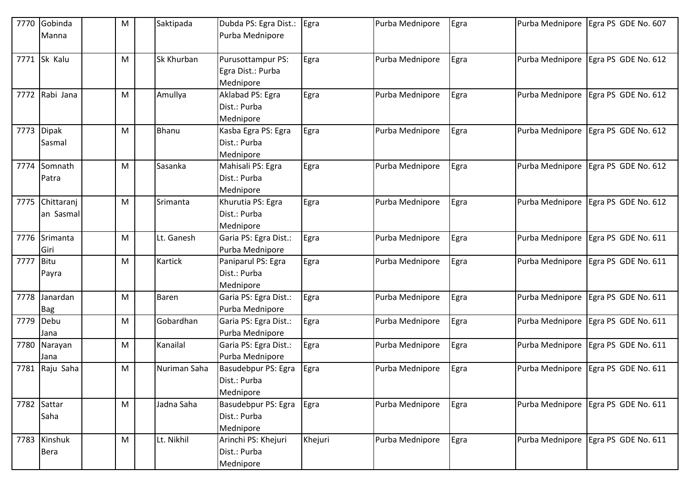| 7770      | Gobinda        | M         | Saktipada      | Dubda PS: Egra Dist.: | Egra    | Purba Mednipore | Egra | Purba Mednipore | Egra PS GDE No. 607                 |
|-----------|----------------|-----------|----------------|-----------------------|---------|-----------------|------|-----------------|-------------------------------------|
|           | Manna          |           |                | Purba Mednipore       |         |                 |      |                 |                                     |
|           |                |           |                |                       |         |                 |      |                 |                                     |
| 7771      | Sk Kalu        | M         | Sk Khurban     | Purusottampur PS:     | Egra    | Purba Mednipore | Egra | Purba Mednipore | Egra PS GDE No. 612                 |
|           |                |           |                | Egra Dist.: Purba     |         |                 |      |                 |                                     |
|           |                |           |                | Mednipore             |         |                 |      |                 |                                     |
|           | 7772 Rabi Jana | M         | Amullya        | Aklabad PS: Egra      | Egra    | Purba Mednipore | Egra | Purba Mednipore | Egra PS GDE No. 612                 |
|           |                |           |                | Dist.: Purba          |         |                 |      |                 |                                     |
|           |                |           |                | Mednipore             |         |                 |      |                 |                                     |
| 7773      | <b>Dipak</b>   | M         | Bhanu          | Kasba Egra PS: Egra   | Egra    | Purba Mednipore | Egra | Purba Mednipore | Egra PS GDE No. 612                 |
|           | Sasmal         |           |                | Dist.: Purba          |         |                 |      |                 |                                     |
|           |                |           |                | Mednipore             |         |                 |      |                 |                                     |
| 7774      | Somnath        | M         | Sasanka        | Mahisali PS: Egra     | Egra    | Purba Mednipore | Egra | Purba Mednipore | Egra PS GDE No. 612                 |
|           | Patra          |           |                | Dist.: Purba          |         |                 |      |                 |                                     |
|           |                |           |                | Mednipore             |         |                 |      |                 |                                     |
| 7775      | Chittaranj     | M         | Srimanta       | Khurutia PS: Egra     | Egra    | Purba Mednipore | Egra |                 | Purba Mednipore Egra PS GDE No. 612 |
|           | an Sasmal      |           |                | Dist.: Purba          |         |                 |      |                 |                                     |
|           |                |           |                | Mednipore             |         |                 |      |                 |                                     |
| 7776      | Srimanta       | M         | Lt. Ganesh     | Garia PS: Egra Dist.: | Egra    | Purba Mednipore | Egra | Purba Mednipore | Egra PS GDE No. 611                 |
|           | Giri           |           |                | Purba Mednipore       |         |                 |      |                 |                                     |
| 7777 Bitu |                | M         | <b>Kartick</b> | Paniparul PS: Egra    | Egra    | Purba Mednipore | Egra | Purba Mednipore | Egra PS GDE No. 611                 |
|           | Payra          |           |                | Dist.: Purba          |         |                 |      |                 |                                     |
|           |                |           |                | Mednipore             |         |                 |      |                 |                                     |
| 7778      | Janardan       | M         | <b>Baren</b>   | Garia PS: Egra Dist.: | Egra    | Purba Mednipore | Egra | Purba Mednipore | Egra PS GDE No. 611                 |
|           | <b>Bag</b>     |           |                | Purba Mednipore       |         |                 |      |                 |                                     |
|           | 7779 Debu      | M         | Gobardhan      | Garia PS: Egra Dist.: | Egra    | Purba Mednipore | Egra | Purba Mednipore | Egra PS GDE No. 611                 |
|           | Jana           |           |                | Purba Mednipore       |         |                 |      |                 |                                     |
| 7780      | Narayan        | M         | Kanailal       | Garia PS: Egra Dist.: | Egra    | Purba Mednipore | Egra | Purba Mednipore | Egra PS GDE No. 611                 |
|           | Jana           |           |                | Purba Mednipore       |         |                 |      |                 |                                     |
| 7781      | Raju Saha      | M         | Nuriman Saha   | Basudebpur PS: Egra   | Egra    | Purba Mednipore | Egra | Purba Mednipore | Egra PS GDE No. 611                 |
|           |                |           |                | Dist.: Purba          |         |                 |      |                 |                                     |
|           |                |           |                | Mednipore             |         |                 |      |                 |                                     |
|           | 7782 Sattar    | ${\sf M}$ | Jadna Saha     | Basudebpur PS: Egra   | Egra    | Purba Mednipore | Egra | Purba Mednipore | Egra PS GDE No. 611                 |
|           | Saha           |           |                | Dist.: Purba          |         |                 |      |                 |                                     |
|           |                |           |                | Mednipore             |         |                 |      |                 |                                     |
|           | 7783 Kinshuk   | M         | Lt. Nikhil     | Arinchi PS: Khejuri   | Khejuri | Purba Mednipore | Egra | Purba Mednipore | Egra PS GDE No. 611                 |
|           | Bera           |           |                | Dist.: Purba          |         |                 |      |                 |                                     |
|           |                |           |                | Mednipore             |         |                 |      |                 |                                     |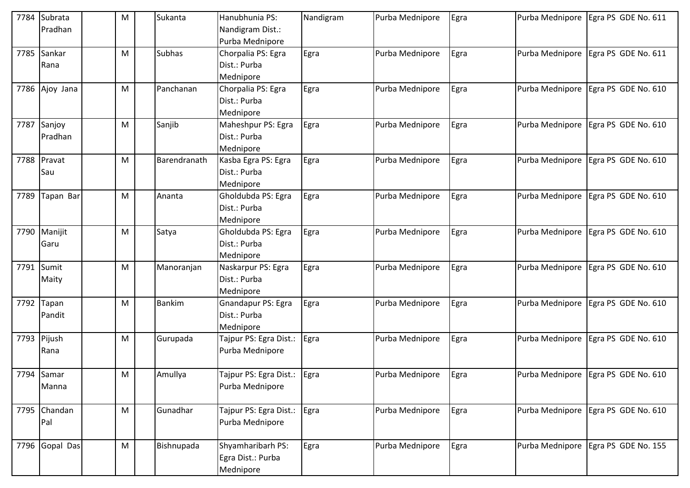| 7784 | Subrata        | M | Sukanta       | Hanubhunia PS:                | Nandigram | Purba Mednipore | Egra | Purba Mednipore | Egra PS GDE No. 611                 |
|------|----------------|---|---------------|-------------------------------|-----------|-----------------|------|-----------------|-------------------------------------|
|      | Pradhan        |   |               | Nandigram Dist.:              |           |                 |      |                 |                                     |
|      |                |   |               | Purba Mednipore               |           |                 |      |                 |                                     |
| 7785 | Sankar         | M | <b>Subhas</b> | Chorpalia PS: Egra            | Egra      | Purba Mednipore | Egra | Purba Mednipore | Egra PS GDE No. 611                 |
|      | Rana           |   |               | Dist.: Purba                  |           |                 |      |                 |                                     |
|      |                |   |               | Mednipore                     |           |                 |      |                 |                                     |
|      | 7786 Ajoy Jana | M | Panchanan     | Chorpalia PS: Egra            | Egra      | Purba Mednipore | Egra | Purba Mednipore | Egra PS GDE No. 610                 |
|      |                |   |               | Dist.: Purba                  |           |                 |      |                 |                                     |
|      |                |   |               | Mednipore                     |           |                 |      |                 |                                     |
|      | 7787 Sanjoy    | M | Sanjib        | Maheshpur PS: Egra            | Egra      | Purba Mednipore | Egra | Purba Mednipore | Egra PS GDE No. 610                 |
|      | Pradhan        |   |               | Dist.: Purba                  |           |                 |      |                 |                                     |
|      |                |   |               | Mednipore                     |           |                 |      |                 |                                     |
| 7788 | Pravat         | M | Barendranath  | Kasba Egra PS: Egra           | Egra      | Purba Mednipore | Egra | Purba Mednipore | Egra PS GDE No. 610                 |
|      | Sau            |   |               | Dist.: Purba                  |           |                 |      |                 |                                     |
|      |                |   |               | Mednipore                     |           |                 |      |                 |                                     |
| 7789 | Tapan Bar      | M | Ananta        | Gholdubda PS: Egra            | Egra      | Purba Mednipore | Egra | Purba Mednipore | Egra PS GDE No. 610                 |
|      |                |   |               | Dist.: Purba                  |           |                 |      |                 |                                     |
|      |                |   |               | Mednipore                     |           |                 |      |                 |                                     |
| 7790 | Manijit        | M | Satya         | Gholdubda PS: Egra            | Egra      | Purba Mednipore | Egra | Purba Mednipore | Egra PS GDE No. 610                 |
|      | Garu           |   |               | Dist.: Purba                  |           |                 |      |                 |                                     |
|      |                |   |               | Mednipore                     |           |                 |      |                 |                                     |
| 7791 | Sumit          | M | Manoranjan    | Naskarpur PS: Egra            | Egra      | Purba Mednipore | Egra | Purba Mednipore | Egra PS GDE No. 610                 |
|      | Maity          |   |               | Dist.: Purba                  |           |                 |      |                 |                                     |
|      |                |   |               | Mednipore                     |           |                 |      |                 |                                     |
| 7792 | Tapan          | M | <b>Bankim</b> | <b>Gnandapur PS: Egra</b>     | Egra      | Purba Mednipore | Egra | Purba Mednipore | Egra PS GDE No. 610                 |
|      | Pandit         |   |               | Dist.: Purba                  |           |                 |      |                 |                                     |
|      |                |   |               | Mednipore                     |           |                 |      |                 |                                     |
|      | 7793 Pijush    | M | Gurupada      | Tajpur PS: Egra Dist.:        | Egra      | Purba Mednipore | Egra | Purba Mednipore | Egra PS GDE No. 610                 |
|      | Rana           |   |               | Purba Mednipore               |           |                 |      |                 |                                     |
|      |                |   |               |                               |           |                 |      |                 |                                     |
|      | 7794 Samar     | M | Amullya       | Tajpur PS: Egra Dist.:   Egra |           | Purba Mednipore | Egra |                 | Purba Mednipore Egra PS GDE No. 610 |
|      | Manna          |   |               | Purba Mednipore               |           |                 |      |                 |                                     |
|      |                |   |               |                               |           |                 |      |                 |                                     |
|      | 7795 Chandan   | M | Gunadhar      | Tajpur PS: Egra Dist.:        | Egra      | Purba Mednipore | Egra | Purba Mednipore | Egra PS GDE No. 610                 |
|      | Pal            |   |               | Purba Mednipore               |           |                 |      |                 |                                     |
|      |                |   |               |                               |           |                 |      |                 |                                     |
|      | 7796 Gopal Das | M | Bishnupada    | Shyamharibarh PS:             | Egra      | Purba Mednipore | Egra | Purba Mednipore | Egra PS GDE No. 155                 |
|      |                |   |               | Egra Dist.: Purba             |           |                 |      |                 |                                     |
|      |                |   |               | Mednipore                     |           |                 |      |                 |                                     |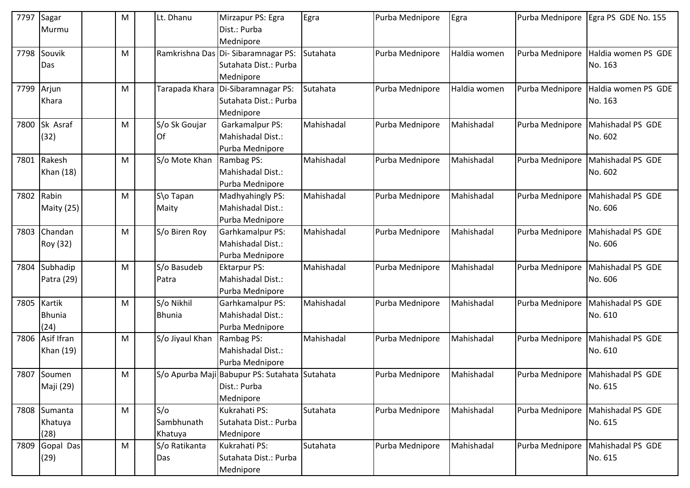| 7797       | Sagar         | M | Lt. Dhanu       | Mirzapur PS: Egra                             | Egra       | Purba Mednipore | Egra         | Purba Mednipore | Egra PS GDE No. 155               |
|------------|---------------|---|-----------------|-----------------------------------------------|------------|-----------------|--------------|-----------------|-----------------------------------|
|            | Murmu         |   |                 | Dist.: Purba                                  |            |                 |              |                 |                                   |
|            |               |   |                 | Mednipore                                     |            |                 |              |                 |                                   |
| 7798       | Souvik        | M |                 | Ramkrishna Das Di-Sibaramnagar PS:            | Sutahata   | Purba Mednipore | Haldia women | Purba Mednipore | Haldia women PS GDE               |
|            | Das           |   |                 | Sutahata Dist.: Purba                         |            |                 |              |                 | No. 163                           |
|            |               |   |                 | Mednipore                                     |            |                 |              |                 |                                   |
| 7799 Arjun |               | M |                 | Tarapada Khara Di-Sibaramnagar PS:            | Sutahata   | Purba Mednipore | Haldia women | Purba Mednipore | Haldia women PS GDE               |
|            | Khara         |   |                 | Sutahata Dist.: Purba                         |            |                 |              |                 | No. 163                           |
|            |               |   |                 | Mednipore                                     |            |                 |              |                 |                                   |
| 7800       | Sk Asraf      | M | S/o Sk Goujar   | Garkamalpur PS:                               | Mahishadal | Purba Mednipore | Mahishadal   | Purba Mednipore | Mahishadal PS GDE                 |
|            | (32)          |   | <b>Of</b>       | Mahishadal Dist.:                             |            |                 |              |                 | No. 602                           |
|            |               |   |                 | Purba Mednipore                               |            |                 |              |                 |                                   |
| 7801       | Rakesh        | м | S/o Mote Khan   | Rambag PS:                                    | Mahishadal | Purba Mednipore | Mahishadal   | Purba Mednipore | Mahishadal PS GDE                 |
|            | Khan (18)     |   |                 | Mahishadal Dist.:                             |            |                 |              |                 | No. 602                           |
|            |               |   |                 | Purba Mednipore                               |            |                 |              |                 |                                   |
| 7802       | Rabin         | M | S\o Tapan       | Madhyahingly PS:                              | Mahishadal | Purba Mednipore | Mahishadal   | Purba Mednipore | Mahishadal PS GDE                 |
|            | Maity (25)    |   | Maity           | Mahishadal Dist.:                             |            |                 |              |                 | No. 606                           |
|            |               |   |                 | Purba Mednipore                               |            |                 |              |                 |                                   |
| 7803       | Chandan       | M | S/o Biren Roy   | Garhkamalpur PS:                              | Mahishadal | Purba Mednipore | Mahishadal   | Purba Mednipore | Mahishadal PS GDE                 |
|            | Roy (32)      |   |                 | Mahishadal Dist.:                             |            |                 |              |                 | No. 606                           |
|            |               |   |                 | Purba Mednipore                               |            |                 |              |                 |                                   |
| 7804       | Subhadip      | M | S/o Basudeb     | <b>Ektarpur PS:</b>                           | Mahishadal | Purba Mednipore | Mahishadal   | Purba Mednipore | Mahishadal PS GDE                 |
|            | Patra (29)    |   | Patra           | Mahishadal Dist.:                             |            |                 |              |                 | No. 606                           |
|            |               |   |                 | Purba Mednipore                               |            |                 |              |                 |                                   |
| 7805       | Kartik        | M | S/o Nikhil      | Garhkamalpur PS:                              | Mahishadal | Purba Mednipore | Mahishadal   | Purba Mednipore | Mahishadal PS GDE                 |
|            | <b>Bhunia</b> |   | <b>Bhunia</b>   | Mahishadal Dist.:                             |            |                 |              |                 | No. 610                           |
|            | (24)          |   |                 | Purba Mednipore                               |            |                 |              |                 |                                   |
| 7806       | Asif Ifran    | M | S/o Jiyaul Khan | Rambag PS:                                    | Mahishadal | Purba Mednipore | Mahishadal   | Purba Mednipore | Mahishadal PS GDE                 |
|            | Khan (19)     |   |                 | Mahishadal Dist.:                             |            |                 |              |                 | No. 610                           |
|            |               |   |                 | Purba Mednipore                               |            |                 |              |                 |                                   |
|            | 7807 Soumen   | M |                 | S/o Apurba Maji Babupur PS: Sutahata Sutahata |            | Purba Mednipore | Mahishadal   |                 | Purba Mednipore Mahishadal PS GDE |
|            | Maji (29)     |   |                 | Dist.: Purba                                  |            |                 |              |                 | No. 615                           |
|            |               |   |                 | Mednipore                                     |            |                 |              |                 |                                   |
|            | 7808 Sumanta  | M | S/O             | Kukrahati PS:                                 | Sutahata   | Purba Mednipore | Mahishadal   | Purba Mednipore | Mahishadal PS GDE                 |
|            | Khatuya       |   | Sambhunath      | Sutahata Dist.: Purba                         |            |                 |              |                 | No. 615                           |
|            | (28)          |   | Khatuya         | Mednipore                                     |            |                 |              |                 |                                   |
| 7809       | Gopal Das     | M | S/o Ratikanta   | Kukrahati PS:                                 | Sutahata   | Purba Mednipore | Mahishadal   | Purba Mednipore | Mahishadal PS GDE                 |
|            | (29)          |   | Das             | Sutahata Dist.: Purba                         |            |                 |              |                 | No. 615                           |
|            |               |   |                 | Mednipore                                     |            |                 |              |                 |                                   |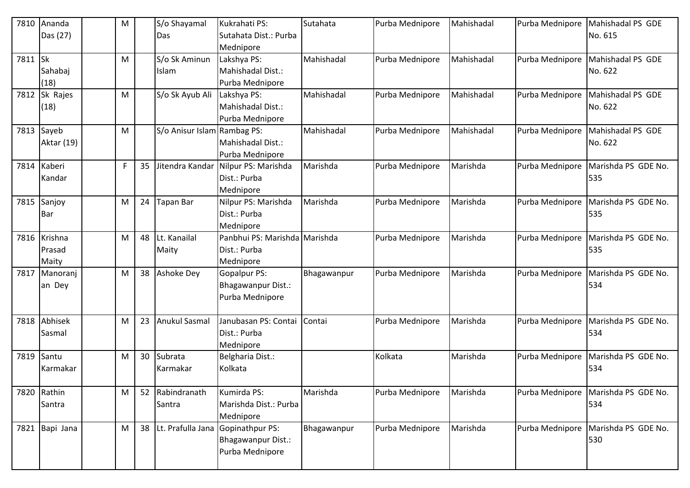| 7810    | Ananda            | M  |    | S/o Shayamal                | Kukrahati PS:                          | Sutahata    | Purba Mednipore | Mahishadal | Purba Mednipore | Mahishadal PS GDE                 |
|---------|-------------------|----|----|-----------------------------|----------------------------------------|-------------|-----------------|------------|-----------------|-----------------------------------|
|         | Das (27)          |    |    | Das                         | Sutahata Dist.: Purba                  |             |                 |            |                 | No. 615                           |
| 7811 Sk |                   | M  |    | S/o Sk Aminun               | Mednipore<br>Lakshya PS:               | Mahishadal  | Purba Mednipore | Mahishadal |                 | Purba Mednipore Mahishadal PS GDE |
|         | Sahabaj           |    |    | Islam                       | Mahishadal Dist.:                      |             |                 |            |                 | No. 622                           |
|         | (18)              |    |    |                             | Purba Mednipore                        |             |                 |            |                 |                                   |
| 7812    | Sk Rajes          | M  |    | S/o Sk Ayub Ali             | Lakshya PS:                            | Mahishadal  | Purba Mednipore | Mahishadal | Purba Mednipore | Mahishadal PS GDE                 |
|         | (18)              |    |    |                             | Mahishadal Dist.:                      |             |                 |            |                 | No. 622                           |
|         |                   |    |    |                             | Purba Mednipore                        |             |                 |            |                 |                                   |
|         | 7813 Sayeb        | M  |    | S/o Anisur Islam Rambag PS: |                                        | Mahishadal  | Purba Mednipore | Mahishadal | Purba Mednipore | Mahishadal PS GDE                 |
|         | <b>Aktar (19)</b> |    |    |                             | Mahishadal Dist.:                      |             |                 |            |                 | No. 622                           |
|         |                   |    |    |                             | Purba Mednipore                        |             |                 |            |                 |                                   |
| 7814    | Kaberi            | F. | 35 | Jitendra Kandar             | Nilpur PS: Marishda                    | Marishda    | Purba Mednipore | Marishda   | Purba Mednipore | Marishda PS GDE No.               |
|         | Kandar            |    |    |                             | Dist.: Purba                           |             |                 |            |                 | 535                               |
|         |                   |    |    |                             | Mednipore                              |             |                 |            |                 |                                   |
|         | 7815 Sanjoy       | M  | 24 | Tapan Bar                   | Nilpur PS: Marishda                    | Marishda    | Purba Mednipore | Marishda   | Purba Mednipore | Marishda PS GDE No.               |
|         | Bar               |    |    |                             | Dist.: Purba                           |             |                 |            |                 | 535                               |
|         |                   |    |    |                             | Mednipore                              |             |                 |            |                 |                                   |
|         | 7816 Krishna      | M  | 48 | Lt. Kanailal                | Panbhui PS: Marishda Marishda          |             | Purba Mednipore | Marishda   | Purba Mednipore | Marishda PS GDE No.               |
|         | Prasad            |    |    | Maity                       | Dist.: Purba                           |             |                 |            |                 | 535                               |
| 7817    | Maity<br>Manoranj | M  | 38 | Ashoke Dey                  | Mednipore<br>Gopalpur PS:              | Bhagawanpur | Purba Mednipore | Marishda   | Purba Mednipore | Marishda PS GDE No.               |
|         | an Dey            |    |    |                             | <b>Bhagawanpur Dist.:</b>              |             |                 |            |                 | 534                               |
|         |                   |    |    |                             | Purba Mednipore                        |             |                 |            |                 |                                   |
|         |                   |    |    |                             |                                        |             |                 |            |                 |                                   |
| 7818    | Abhisek           | M  | 23 | <b>Anukul Sasmal</b>        | Janubasan PS: Contai                   | Contai      | Purba Mednipore | Marishda   | Purba Mednipore | Marishda PS GDE No.               |
|         | Sasmal            |    |    |                             | Dist.: Purba                           |             |                 |            |                 | 534                               |
|         |                   |    |    |                             | Mednipore                              |             |                 |            |                 |                                   |
| 7819    | Santu             | M  |    | 30 Subrata                  | Belgharia Dist.:                       |             | Kolkata         | Marishda   | Purba Mednipore | Marishda PS GDE No.               |
|         | Karmakar          |    |    | Karmakar                    | Kolkata                                |             |                 |            |                 | 534                               |
|         |                   |    |    |                             |                                        |             |                 |            |                 |                                   |
| 7820    | Rathin            | M  |    | 52 Rabindranath             | Kumirda PS:                            | Marishda    | Purba Mednipore | Marishda   | Purba Mednipore | Marishda PS GDE No.               |
|         | Santra            |    |    | Santra                      | Marishda Dist.: Purba                  |             |                 |            |                 | 534                               |
|         |                   |    |    |                             | Mednipore                              |             |                 |            |                 |                                   |
|         | 7821 Bapi Jana    | M  |    |                             | 38   Lt. Prafulla Jana Gopinathpur PS: | Bhagawanpur | Purba Mednipore | Marishda   | Purba Mednipore | Marishda PS GDE No.               |
|         |                   |    |    |                             | Bhagawanpur Dist.:                     |             |                 |            |                 | 530                               |
|         |                   |    |    |                             | Purba Mednipore                        |             |                 |            |                 |                                   |
|         |                   |    |    |                             |                                        |             |                 |            |                 |                                   |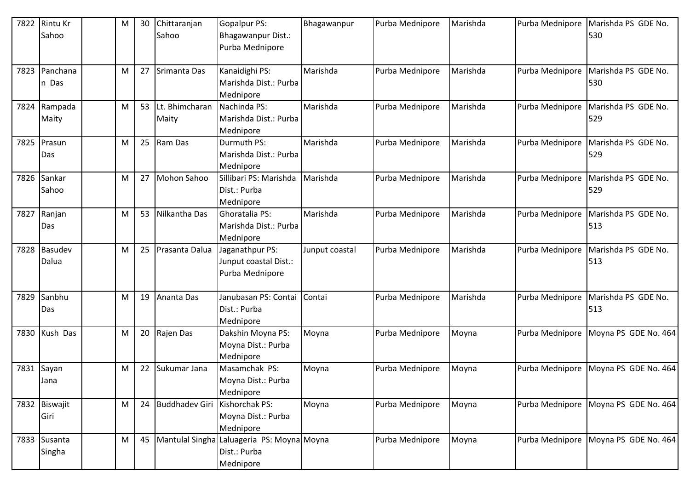| 7822 | <b>Rintu Kr</b> | M | 30 | Chittaranjan      | Gopalpur PS:                                    | Bhagawanpur    | Purba Mednipore | Marishda | Purba Mednipore | Marishda PS GDE No.  |
|------|-----------------|---|----|-------------------|-------------------------------------------------|----------------|-----------------|----------|-----------------|----------------------|
|      | Sahoo           |   |    | Sahoo             | Bhagawanpur Dist.:                              |                |                 |          |                 | 530                  |
|      |                 |   |    |                   | Purba Mednipore                                 |                |                 |          |                 |                      |
|      |                 |   |    |                   |                                                 |                |                 |          |                 |                      |
| 7823 | Panchana        | M | 27 | Srimanta Das      | Kanaidighi PS:                                  | Marishda       | Purba Mednipore | Marishda | Purba Mednipore | Marishda PS GDE No.  |
|      | n Das           |   |    |                   | Marishda Dist.: Purba                           |                |                 |          |                 | 530                  |
|      |                 |   |    |                   | Mednipore                                       |                |                 |          |                 |                      |
| 7824 | Rampada         | M | 53 | Lt. Bhimcharan    | Nachinda PS:                                    | Marishda       | Purba Mednipore | Marishda | Purba Mednipore | Marishda PS GDE No.  |
|      | Maity           |   |    | Maity             | Marishda Dist.: Purba                           |                |                 |          |                 | 529                  |
|      |                 |   |    |                   | Mednipore                                       |                |                 |          |                 |                      |
| 7825 | Prasun          | M |    | 25 Ram Das        | Durmuth PS:                                     | Marishda       | Purba Mednipore | Marishda | Purba Mednipore | Marishda PS GDE No.  |
|      | Das             |   |    |                   | Marishda Dist.: Purba                           |                |                 |          |                 | 529                  |
|      |                 |   |    |                   | Mednipore                                       |                |                 |          |                 |                      |
| 7826 | Sankar          | M | 27 | Mohon Sahoo       | Sillibari PS: Marishda                          | Marishda       | Purba Mednipore | Marishda | Purba Mednipore | Marishda PS GDE No.  |
|      | Sahoo           |   |    |                   | Dist.: Purba                                    |                |                 |          |                 | 529                  |
|      |                 |   |    |                   | Mednipore                                       |                |                 |          |                 |                      |
| 7827 | Ranjan          | M | 53 | Nilkantha Das     | <b>Ghoratalia PS:</b>                           | Marishda       | Purba Mednipore | Marishda | Purba Mednipore | Marishda PS GDE No.  |
|      | Das             |   |    |                   | Marishda Dist.: Purba                           |                |                 |          |                 | 513                  |
|      |                 |   |    |                   | Mednipore                                       |                |                 |          |                 |                      |
| 7828 | Basudev         | M | 25 | Prasanta Dalua    | Jaganathpur PS:                                 | Junput coastal | Purba Mednipore | Marishda | Purba Mednipore | Marishda PS GDE No.  |
|      | Dalua           |   |    |                   | Junput coastal Dist.:                           |                |                 |          |                 | 513                  |
|      |                 |   |    |                   | Purba Mednipore                                 |                |                 |          |                 |                      |
|      |                 |   |    |                   |                                                 |                |                 |          |                 |                      |
| 7829 | Sanbhu          | M | 19 | Ananta Das        | Janubasan PS: Contai                            | Contai         | Purba Mednipore | Marishda | Purba Mednipore | Marishda PS GDE No.  |
|      | Das             |   |    |                   | Dist.: Purba                                    |                |                 |          |                 | 513                  |
|      |                 |   |    |                   | Mednipore                                       |                |                 |          |                 |                      |
| 7830 | Kush Das        | M | 20 | Rajen Das         | Dakshin Moyna PS:                               | Moyna          | Purba Mednipore | Moyna    | Purba Mednipore | Moyna PS GDE No. 464 |
|      |                 |   |    |                   | Moyna Dist.: Purba                              |                |                 |          |                 |                      |
|      |                 |   |    |                   | Mednipore                                       |                |                 |          |                 |                      |
| 7831 | Sayan           | M | 22 | Sukumar Jana      | Masamchak PS:                                   | Moyna          | Purba Mednipore | Moyna    | Purba Mednipore | Moyna PS GDE No. 464 |
|      | Jana            |   |    |                   | Moyna Dist.: Purba                              |                |                 |          |                 |                      |
|      |                 |   |    |                   | Mednipore                                       |                |                 |          |                 |                      |
|      | 7832 Biswajit   | M |    | 24 Buddhadev Giri | Kishorchak PS:                                  | Moyna          | Purba Mednipore | Moyna    | Purba Mednipore | Moyna PS GDE No. 464 |
|      | Giri            |   |    |                   | Moyna Dist.: Purba                              |                |                 |          |                 |                      |
|      |                 |   |    |                   | Mednipore                                       |                |                 |          |                 |                      |
|      | 7833 Susanta    | M |    |                   | 45   Mantulal Singha Laluageria PS: Moyna Moyna |                | Purba Mednipore | Moyna    | Purba Mednipore | Moyna PS GDE No. 464 |
|      | Singha          |   |    |                   | Dist.: Purba                                    |                |                 |          |                 |                      |
|      |                 |   |    |                   | Mednipore                                       |                |                 |          |                 |                      |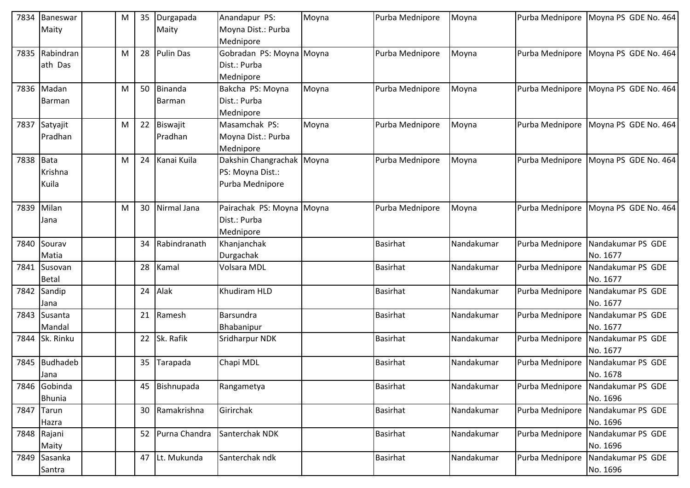| 7834 | Baneswar        | M | 35 | Durgapada     | Anandapur PS:             | Moyna | Purba Mednipore | Moyna      | Purba Mednipore | Moyna PS GDE No. 464 |
|------|-----------------|---|----|---------------|---------------------------|-------|-----------------|------------|-----------------|----------------------|
|      | Maity           |   |    | Maity         | Moyna Dist.: Purba        |       |                 |            |                 |                      |
|      |                 |   |    |               | Mednipore                 |       |                 |            |                 |                      |
| 7835 | Rabindran       | M | 28 | Pulin Das     | Gobradan PS: Moyna Moyna  |       | Purba Mednipore | Moyna      | Purba Mednipore | Moyna PS GDE No. 464 |
|      | ath Das         |   |    |               | Dist.: Purba              |       |                 |            |                 |                      |
|      |                 |   |    |               | Mednipore                 |       |                 |            |                 |                      |
|      | 7836 Madan      | M | 50 | Binanda       | Bakcha PS: Moyna          | Moyna | Purba Mednipore | Moyna      | Purba Mednipore | Moyna PS GDE No. 464 |
|      | <b>Barman</b>   |   |    | Barman        | Dist.: Purba              |       |                 |            |                 |                      |
|      |                 |   |    |               | Mednipore                 |       |                 |            |                 |                      |
| 7837 | Satyajit        | M | 22 | Biswajit      | Masamchak PS:             | Moyna | Purba Mednipore | Moyna      | Purba Mednipore | Moyna PS GDE No. 464 |
|      | Pradhan         |   |    | Pradhan       | Moyna Dist.: Purba        |       |                 |            |                 |                      |
|      |                 |   |    |               | Mednipore                 |       |                 |            |                 |                      |
| 7838 | Bata            | M | 24 | Kanai Kuila   | Dakshin Changrachak Moyna |       | Purba Mednipore | Moyna      | Purba Mednipore | Moyna PS GDE No. 464 |
|      | Krishna         |   |    |               | PS: Moyna Dist.:          |       |                 |            |                 |                      |
|      | Kuila           |   |    |               | Purba Mednipore           |       |                 |            |                 |                      |
|      |                 |   |    |               |                           |       |                 |            |                 |                      |
| 7839 | Milan           | M | 30 | Nirmal Jana   | Pairachak PS: Moyna Moyna |       | Purba Mednipore | Moyna      | Purba Mednipore | Moyna PS GDE No. 464 |
|      | Jana            |   |    |               | Dist.: Purba              |       |                 |            |                 |                      |
|      |                 |   |    |               | Mednipore                 |       |                 |            |                 |                      |
| 7840 | Sourav          |   | 34 | Rabindranath  | Khanjanchak               |       | Basirhat        | Nandakumar | Purba Mednipore | Nandakumar PS GDE    |
|      | Matia           |   |    |               | Durgachak                 |       |                 |            |                 | No. 1677             |
| 7841 | Susovan         |   | 28 | Kamal         | Volsara MDL               |       | <b>Basirhat</b> | Nandakumar | Purba Mednipore | Nandakumar PS GDE    |
|      | <b>Betal</b>    |   |    |               |                           |       |                 |            |                 | No. 1677             |
| 7842 | Sandip          |   | 24 | Alak          | Khudiram HLD              |       | <b>Basirhat</b> | Nandakumar | Purba Mednipore | Nandakumar PS GDE    |
|      | Jana            |   |    |               |                           |       |                 |            |                 | No. 1677             |
| 7843 | Susanta         |   | 21 | Ramesh        | Barsundra                 |       | <b>Basirhat</b> | Nandakumar | Purba Mednipore | Nandakumar PS GDE    |
|      | Mandal          |   |    |               | Bhabanipur                |       |                 |            |                 | No. 1677             |
| 7844 | Sk. Rinku       |   | 22 | Sk. Rafik     | Sridharpur NDK            |       | <b>Basirhat</b> | Nandakumar | Purba Mednipore | Nandakumar PS GDE    |
|      |                 |   |    |               |                           |       |                 |            |                 | No. 1677             |
| 7845 | <b>Budhadeb</b> |   | 35 | Tarapada      | Chapi MDL                 |       | <b>Basirhat</b> | Nandakumar | Purba Mednipore | Nandakumar PS GDE    |
|      | Jana            |   |    |               |                           |       |                 |            |                 | No. 1678             |
|      | 7846 Gobinda    |   | 45 | Bishnupada    | Rangametya                |       | <b>Basirhat</b> | Nandakumar | Purba Mednipore | Nandakumar PS GDE    |
|      | <b>Bhunia</b>   |   |    |               |                           |       |                 |            |                 | No. 1696             |
|      | 7847 Tarun      |   | 30 | Ramakrishna   | Girirchak                 |       | Basirhat        | Nandakumar | Purba Mednipore | Nandakumar PS GDE    |
|      | Hazra           |   |    |               |                           |       |                 |            |                 | No. 1696             |
|      | 7848 Rajani     |   | 52 | Purna Chandra | Santerchak NDK            |       | <b>Basirhat</b> | Nandakumar | Purba Mednipore | Nandakumar PS GDE    |
|      | Maity           |   |    |               |                           |       |                 |            |                 | No. 1696             |
|      | 7849 Sasanka    |   | 47 | Lt. Mukunda   | Santerchak ndk            |       | <b>Basirhat</b> | Nandakumar | Purba Mednipore | Nandakumar PS GDE    |
|      | Santra          |   |    |               |                           |       |                 |            |                 | No. 1696             |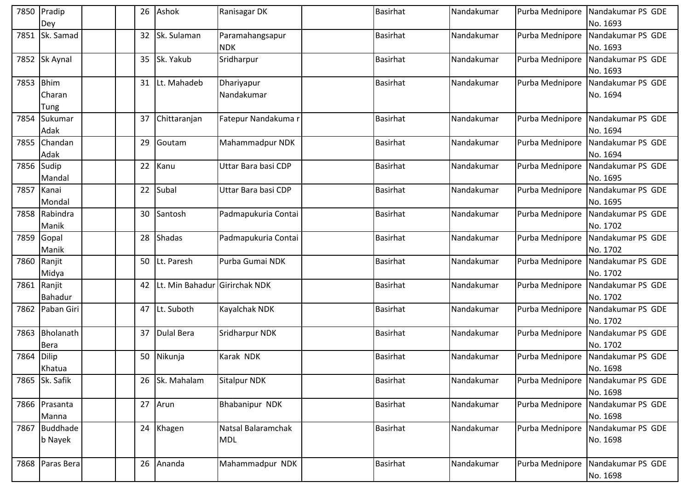|      | 7850 Pradip<br>Dey            | 26 | Ashok                         | Ranisagar DK                     | <b>Basirhat</b> | Nandakumar |                 | Purba Mednipore Nandakumar PS GDE<br>No. 1693 |
|------|-------------------------------|----|-------------------------------|----------------------------------|-----------------|------------|-----------------|-----------------------------------------------|
| 7851 | Sk. Samad                     | 32 | Sk. Sulaman                   | Paramahangsapur<br><b>NDK</b>    | <b>Basirhat</b> | Nandakumar | Purba Mednipore | Nandakumar PS GDE<br>No. 1693                 |
|      | 7852 Sk Aynal                 |    | 35 Sk. Yakub                  | Sridharpur                       | <b>Basirhat</b> | Nandakumar |                 | Purba Mednipore Nandakumar PS GDE<br>No. 1693 |
| 7853 | <b>Bhim</b><br>Charan<br>Tung |    | 31 Lt. Mahadeb                | Dhariyapur<br>Nandakumar         | <b>Basirhat</b> | Nandakumar | Purba Mednipore | Nandakumar PS GDE<br>No. 1694                 |
| 7854 | Sukumar<br>Adak               | 37 | Chittaranjan                  | Fatepur Nandakuma r              | <b>Basirhat</b> | Nandakumar | Purba Mednipore | Nandakumar PS GDE<br>No. 1694                 |
| 7855 | Chandan<br>Adak               | 29 | Goutam                        | Mahammadpur NDK                  | <b>Basirhat</b> | Nandakumar | Purba Mednipore | Nandakumar PS GDE<br>No. 1694                 |
| 7856 | Sudip<br>Mandal               | 22 | Kanu                          | Uttar Bara basi CDP              | <b>Basirhat</b> | Nandakumar | Purba Mednipore | Nandakumar PS GDE<br>No. 1695                 |
| 7857 | Kanai<br>Mondal               | 22 | Subal                         | Uttar Bara basi CDP              | <b>Basirhat</b> | Nandakumar | Purba Mednipore | Nandakumar PS GDE<br>No. 1695                 |
| 7858 | Rabindra<br>Manik             | 30 | Santosh                       | Padmapukuria Contai              | <b>Basirhat</b> | Nandakumar | Purba Mednipore | Nandakumar PS GDE<br>No. 1702                 |
| 7859 | Gopal<br>Manik                | 28 | Shadas                        | Padmapukuria Contai              | <b>Basirhat</b> | Nandakumar | Purba Mednipore | Nandakumar PS GDE<br>No. 1702                 |
| 7860 | Ranjit<br>Midya               |    | 50 Lt. Paresh                 | Purba Gumai NDK                  | <b>Basirhat</b> | Nandakumar | Purba Mednipore | Nandakumar PS GDE<br>No. 1702                 |
| 7861 | Ranjit<br>Bahadur             | 42 | Lt. Min Bahadur Girirchak NDK |                                  | <b>Basirhat</b> | Nandakumar |                 | Purba Mednipore Nandakumar PS GDE<br>No. 1702 |
| 7862 | Paban Giri                    |    | 47 Lt. Suboth                 | Kayalchak NDK                    | <b>Basirhat</b> | Nandakumar | Purba Mednipore | Nandakumar PS GDE<br>No. 1702                 |
| 7863 | Bholanath<br>Bera             | 37 | <b>Dulal Bera</b>             | Sridharpur NDK                   | <b>Basirhat</b> | Nandakumar | Purba Mednipore | Nandakumar PS GDE<br>No. 1702                 |
| 7864 | <b>Dilip</b><br>Khatua        |    | 50 Nikunja                    | Karak NDK                        | <b>Basirhat</b> | Nandakumar | Purba Mednipore | Nandakumar PS GDE<br>No. 1698                 |
|      | 7865 Sk. Safik                |    | 26 Sk. Mahalam                | <b>Sitalpur NDK</b>              | <b>Basirhat</b> | Nandakumar |                 | Purba Mednipore Nandakumar PS GDE<br>No. 1698 |
|      | 7866 Prasanta<br>Manna        |    | 27 Arun                       | Bhabanipur NDK                   | <b>Basirhat</b> | Nandakumar |                 | Purba Mednipore Nandakumar PS GDE<br>No. 1698 |
|      | 7867 Buddhade<br>b Nayek      |    | 24 Khagen                     | Natsal Balaramchak<br><b>MDL</b> | <b>Basirhat</b> | Nandakumar |                 | Purba Mednipore Nandakumar PS GDE<br>No. 1698 |
|      | 7868 Paras Bera               |    | 26 Ananda                     | Mahammadpur NDK                  | <b>Basirhat</b> | Nandakumar | Purba Mednipore | Nandakumar PS GDE<br>No. 1698                 |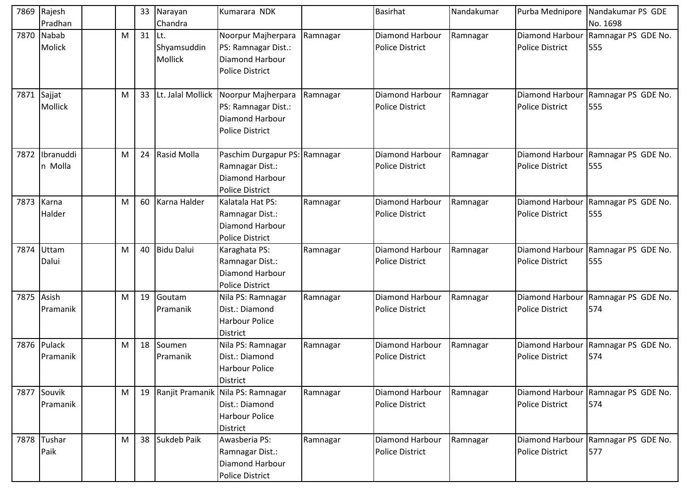| 7869       | Rajesh      |   |    | 33 Narayan        | Kumarara NDK                         |          | <b>Basirhat</b>        | Nandakumar | Purba Mednipore        | Nandakumar PS GDE                   |
|------------|-------------|---|----|-------------------|--------------------------------------|----------|------------------------|------------|------------------------|-------------------------------------|
|            | Pradhan     |   |    | Chandra           |                                      |          |                        |            |                        | No. 1698                            |
|            | 7870 Nabab  | M | 31 | lLt.              | Noorpur Majherpara                   | Ramnagar | <b>Diamond Harbour</b> | Ramnagar   | Diamond Harbour        | Ramnagar PS GDE No.                 |
|            | Molick      |   |    | Shyamsuddin       | PS: Ramnagar Dist.:                  |          | <b>Police District</b> |            | <b>Police District</b> | 555                                 |
|            |             |   |    | Mollick           | Diamond Harbour                      |          |                        |            |                        |                                     |
|            |             |   |    |                   | <b>Police District</b>               |          |                        |            |                        |                                     |
|            |             |   |    |                   |                                      |          |                        |            |                        |                                     |
| 7871       | Sajjat      | M | 33 | Lt. Jalal Mollick | Noorpur Majherpara                   | Ramnagar | <b>Diamond Harbour</b> | Ramnagar   | Diamond Harbour        | Ramnagar PS GDE No.                 |
|            | Mollick     |   |    |                   | PS: Ramnagar Dist.:                  |          | <b>Police District</b> |            | <b>Police District</b> | 555                                 |
|            |             |   |    |                   | Diamond Harbour                      |          |                        |            |                        |                                     |
|            |             |   |    |                   | <b>Police District</b>               |          |                        |            |                        |                                     |
|            |             |   |    |                   |                                      |          |                        |            |                        |                                     |
| 7872       | Ibranuddi   | M |    | 24 Rasid Molla    | Paschim Durgapur PS: Ramnagar        |          | <b>Diamond Harbour</b> | Ramnagar   | Diamond Harbour        | Ramnagar PS GDE No.                 |
|            | n Molla     |   |    |                   | Ramnagar Dist.:                      |          | <b>Police District</b> |            | <b>Police District</b> | 555                                 |
|            |             |   |    |                   | Diamond Harbour                      |          |                        |            |                        |                                     |
|            |             |   |    |                   | <b>Police District</b>               |          |                        |            |                        |                                     |
|            | 7873 Karna  | M |    | 60 Karna Halder   | Kalatala Hat PS:                     | Ramnagar | <b>Diamond Harbour</b> | Ramnagar   | <b>Diamond Harbour</b> | Ramnagar PS GDE No.                 |
|            | Halder      |   |    |                   | Ramnagar Dist.:                      |          | <b>Police District</b> |            | <b>Police District</b> | 555                                 |
|            |             |   |    |                   | Diamond Harbour                      |          |                        |            |                        |                                     |
|            |             |   |    |                   | <b>Police District</b>               |          |                        |            |                        |                                     |
| 7874       | Uttam       | M |    | 40 Bidu Dalui     | Karaghata PS:                        | Ramnagar | Diamond Harbour        | Ramnagar   | Diamond Harbour        | Ramnagar PS GDE No.                 |
|            | Dalui       |   |    |                   | Ramnagar Dist.:                      |          | <b>Police District</b> |            | <b>Police District</b> | 555                                 |
|            |             |   |    |                   | Diamond Harbour                      |          |                        |            |                        |                                     |
|            |             |   |    |                   | <b>Police District</b>               |          |                        |            |                        |                                     |
| 7875 Asish |             | M | 19 | Goutam            | Nila PS: Ramnagar                    | Ramnagar | <b>Diamond Harbour</b> | Ramnagar   | Diamond Harbour        | Ramnagar PS GDE No.                 |
|            | Pramanik    |   |    | Pramanik          | Dist.: Diamond                       |          | <b>Police District</b> |            | <b>Police District</b> | 574                                 |
|            |             |   |    |                   | <b>Harbour Police</b>                |          |                        |            |                        |                                     |
|            |             |   |    |                   | District                             |          |                        |            |                        |                                     |
|            | 7876 Pulack | M |    | 18 Soumen         | Nila PS: Ramnagar                    | Ramnagar | <b>Diamond Harbour</b> | Ramnagar   | Diamond Harbour        | Ramnagar PS GDE No.                 |
|            | Pramanik    |   |    | Pramanik          | Dist.: Diamond                       |          | <b>Police District</b> |            | <b>Police District</b> | 574                                 |
|            |             |   |    |                   | <b>Harbour Police</b>                |          |                        |            |                        |                                     |
|            |             |   |    |                   | District                             |          |                        |            |                        |                                     |
|            | 7877 Souvik | M |    |                   | 19 Ranjit Pramanik Nila PS: Ramnagar | Ramnagar | <b>Diamond Harbour</b> | Ramnagar   |                        | Diamond Harbour Ramnagar PS GDE No. |
|            | Pramanik    |   |    |                   | Dist.: Diamond                       |          | <b>Police District</b> |            | <b>Police District</b> | 574                                 |
|            |             |   |    |                   | <b>Harbour Police</b>                |          |                        |            |                        |                                     |
|            |             |   |    |                   | <b>District</b>                      |          |                        |            |                        |                                     |
|            | 7878 Tushar | M |    | 38 Sukdeb Paik    | Awasberia PS:                        | Ramnagar | <b>Diamond Harbour</b> | Ramnagar   | Diamond Harbour        | Ramnagar PS GDE No.                 |
|            | Paik        |   |    |                   | Ramnagar Dist.:                      |          | <b>Police District</b> |            | <b>Police District</b> | 577                                 |
|            |             |   |    |                   | Diamond Harbour                      |          |                        |            |                        |                                     |
|            |             |   |    |                   | <b>Police District</b>               |          |                        |            |                        |                                     |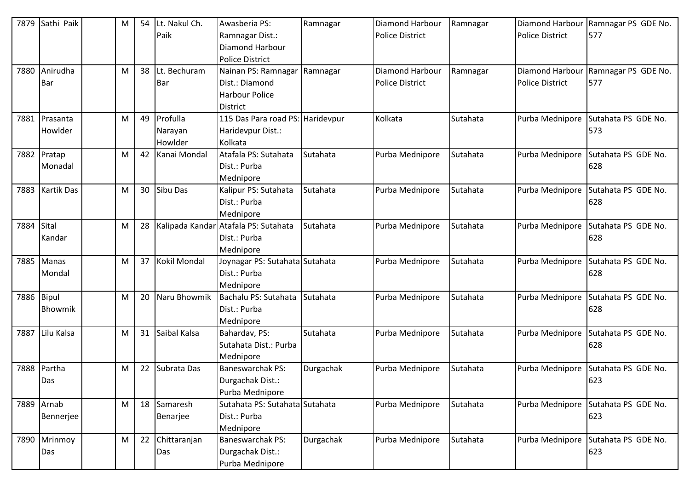| 7879 | Sathi Paik        | M | 54 | Lt. Nakul Ch.   | Awasberia PS:                        | Ramnagar  | Diamond Harbour        | Ramnagar | Diamond Harbour        | Ramnagar PS GDE No. |
|------|-------------------|---|----|-----------------|--------------------------------------|-----------|------------------------|----------|------------------------|---------------------|
|      |                   |   |    | Paik            | Ramnagar Dist.:                      |           | <b>Police District</b> |          | <b>Police District</b> | 577                 |
|      |                   |   |    |                 | Diamond Harbour                      |           |                        |          |                        |                     |
|      |                   |   |    |                 | <b>Police District</b>               |           |                        |          |                        |                     |
| 7880 | Anirudha          | M | 38 | Lt. Bechuram    | Nainan PS: Ramnagar                  | Ramnagar  | Diamond Harbour        | Ramnagar | Diamond Harbour        | Ramnagar PS GDE No. |
|      | Bar               |   |    | <b>Bar</b>      | Dist.: Diamond                       |           | <b>Police District</b> |          | <b>Police District</b> | 577                 |
|      |                   |   |    |                 | <b>Harbour Police</b>                |           |                        |          |                        |                     |
|      |                   |   |    |                 | District                             |           |                        |          |                        |                     |
| 7881 | Prasanta          | M |    | 49 Profulla     | 115 Das Para road PS: Haridevpur     |           | Kolkata                | Sutahata | Purba Mednipore        | Sutahata PS GDE No. |
|      | Howlder           |   |    | Narayan         | Haridevpur Dist.:                    |           |                        |          |                        | 573                 |
|      |                   |   |    | Howlder         | Kolkata                              |           |                        |          |                        |                     |
|      | 7882 Pratap       | M | 42 | Kanai Mondal    | Atafala PS: Sutahata                 | Sutahata  | Purba Mednipore        | Sutahata | Purba Mednipore        | Sutahata PS GDE No. |
|      | Monadal           |   |    |                 | Dist.: Purba                         |           |                        |          |                        | 628                 |
|      |                   |   |    |                 | Mednipore                            |           |                        |          |                        |                     |
| 7883 | <b>Kartik Das</b> | M |    | 30 Sibu Das     | Kalipur PS: Sutahata                 | Sutahata  | Purba Mednipore        | Sutahata | Purba Mednipore        | Sutahata PS GDE No. |
|      |                   |   |    |                 | Dist.: Purba                         |           |                        |          |                        | 628                 |
|      |                   |   |    |                 | Mednipore                            |           |                        |          |                        |                     |
| 7884 | Sital             | M | 28 |                 | Kalipada Kandar Atafala PS: Sutahata | Sutahata  | Purba Mednipore        | Sutahata | Purba Mednipore        | Sutahata PS GDE No. |
|      | Kandar            |   |    |                 | Dist.: Purba                         |           |                        |          |                        | 628                 |
|      |                   |   |    |                 | Mednipore                            |           |                        |          |                        |                     |
|      | 7885 Manas        | M |    | 37 Kokil Mondal | Joynagar PS: Sutahata Sutahata       |           | Purba Mednipore        | Sutahata | Purba Mednipore        | Sutahata PS GDE No. |
|      | Mondal            |   |    |                 | Dist.: Purba                         |           |                        |          |                        | 628                 |
|      |                   |   |    |                 | Mednipore                            |           |                        |          |                        |                     |
| 7886 | Bipul             | M | 20 | Naru Bhowmik    | Bachalu PS: Sutahata                 | Sutahata  | Purba Mednipore        | Sutahata | Purba Mednipore        | Sutahata PS GDE No. |
|      | Bhowmik           |   |    |                 | Dist.: Purba                         |           |                        |          |                        | 628                 |
|      |                   |   |    |                 | Mednipore                            |           |                        |          |                        |                     |
| 7887 | Lilu Kalsa        | M | 31 | Saibal Kalsa    | Bahardav, PS:                        | Sutahata  | Purba Mednipore        | Sutahata | Purba Mednipore        | Sutahata PS GDE No. |
|      |                   |   |    |                 | Sutahata Dist.: Purba                |           |                        |          |                        | 628                 |
|      |                   |   |    |                 | Mednipore                            |           |                        |          |                        |                     |
| 7888 | Partha            | M |    | 22 Subrata Das  | <b>Baneswarchak PS:</b>              | Durgachak | Purba Mednipore        | Sutahata | Purba Mednipore        | Sutahata PS GDE No. |
|      | Das               |   |    |                 | Durgachak Dist.:                     |           |                        |          |                        | 623                 |
|      |                   |   |    |                 | Purba Mednipore                      |           |                        |          |                        |                     |
|      | 7889 Arnab        | M |    | 18 Samaresh     | Sutahata PS: Sutahata Sutahata       |           | Purba Mednipore        | Sutahata | Purba Mednipore        | Sutahata PS GDE No. |
|      | Bennerjee         |   |    | Benarjee        | Dist.: Purba                         |           |                        |          |                        | 623                 |
|      |                   |   |    |                 | Mednipore                            |           |                        |          |                        |                     |
| 7890 | Mrinmoy           | M | 22 | Chittaranjan    | <b>Baneswarchak PS:</b>              | Durgachak | Purba Mednipore        | Sutahata | Purba Mednipore        | Sutahata PS GDE No. |
|      | Das               |   |    | Das             | Durgachak Dist.:                     |           |                        |          |                        | 623                 |
|      |                   |   |    |                 | Purba Mednipore                      |           |                        |          |                        |                     |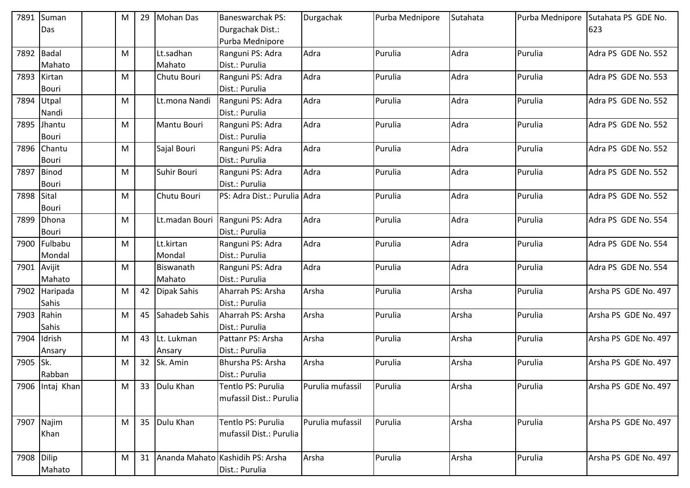| 7891       | Suman         | M         | 29              | <b>Mohan Das</b> | <b>Baneswarchak PS:</b>          | Durgachak        | Purba Mednipore | Sutahata | Purba Mednipore | Sutahata PS GDE No.  |
|------------|---------------|-----------|-----------------|------------------|----------------------------------|------------------|-----------------|----------|-----------------|----------------------|
|            | Das           |           |                 |                  | Durgachak Dist.:                 |                  |                 |          |                 | 623                  |
|            |               |           |                 |                  | Purba Mednipore                  |                  |                 |          |                 |                      |
| 7892       | Badal         | ${\sf M}$ |                 | Lt.sadhan        | Ranguni PS: Adra                 | Adra             | Purulia         | Adra     | Purulia         | Adra PS GDE No. 552  |
|            | Mahato        |           |                 | Mahato           | Dist.: Purulia                   |                  |                 |          |                 |                      |
| 7893       | Kirtan        | M         |                 | Chutu Bouri      | Ranguni PS: Adra                 | Adra             | Purulia         | Adra     | Purulia         | Adra PS GDE No. 553  |
|            | <b>Bouri</b>  |           |                 |                  | Dist.: Purulia                   |                  |                 |          |                 |                      |
| 7894       | Utpal         | M         |                 | Lt.mona Nandi    | Ranguni PS: Adra                 | Adra             | Purulia         | Adra     | Purulia         | Adra PS GDE No. 552  |
|            | Nandi         |           |                 |                  | Dist.: Purulia                   |                  |                 |          |                 |                      |
| 7895       | Jhantu        | M         |                 | Mantu Bouri      | Ranguni PS: Adra                 | Adra             | Purulia         | Adra     | Purulia         | Adra PS GDE No. 552  |
|            | Bouri         |           |                 |                  | Dist.: Purulia                   |                  |                 |          |                 |                      |
|            | 7896 Chantu   | M         |                 | Sajal Bouri      | Ranguni PS: Adra                 | Adra             | Purulia         | Adra     | Purulia         | Adra PS GDE No. 552  |
|            | <b>Bouri</b>  |           |                 |                  | Dist.: Purulia                   |                  |                 |          |                 |                      |
| 7897       | Binod         | M         |                 | Suhir Bouri      | Ranguni PS: Adra                 | Adra             | Purulia         | Adra     | Purulia         | Adra PS GDE No. 552  |
|            | <b>Bouri</b>  |           |                 |                  | Dist.: Purulia                   |                  |                 |          |                 |                      |
| 7898 Sital |               | M         |                 | Chutu Bouri      | PS: Adra Dist.: Purulia          | Adra             | Purulia         | Adra     | Purulia         | Adra PS GDE No. 552  |
|            | <b>Bouri</b>  |           |                 |                  |                                  |                  |                 |          |                 |                      |
| 7899       | Dhona         | M         |                 | Lt.madan Bouri   | Ranguni PS: Adra                 | Adra             | Purulia         | Adra     | Purulia         | Adra PS GDE No. 554  |
|            | <b>Bouri</b>  |           |                 |                  | Dist.: Purulia                   |                  |                 |          |                 |                      |
| 7900       | Fulbabu       | M         |                 | Lt.kirtan        | Ranguni PS: Adra                 | Adra             | Purulia         | Adra     | Purulia         | Adra PS GDE No. 554  |
|            | Mondal        |           |                 | Mondal           | Dist.: Purulia                   |                  |                 |          |                 |                      |
| 7901       | Avijit        | M         |                 | Biswanath        | Ranguni PS: Adra                 | Adra             | Purulia         | Adra     | Purulia         | Adra PS GDE No. 554  |
|            | Mahato        |           |                 | Mahato           | Dist.: Purulia                   |                  |                 |          |                 |                      |
|            | 7902 Haripada | M         | 42              | Dipak Sahis      | Aharrah PS: Arsha                | Arsha            | Purulia         | Arsha    | Purulia         | Arsha PS GDE No. 497 |
|            | Sahis         |           |                 |                  | Dist.: Purulia                   |                  |                 |          |                 |                      |
| 7903       | Rahin         | M         | 45              | Sahadeb Sahis    | Aharrah PS: Arsha                | Arsha            | Purulia         | Arsha    | Purulia         | Arsha PS GDE No. 497 |
|            | Sahis         |           |                 |                  | Dist.: Purulia                   |                  |                 |          |                 |                      |
| 7904       | Idrish        | M         | 43              | Lt. Lukman       | Pattanr PS: Arsha                | Arsha            | Purulia         | Arsha    | Purulia         | Arsha PS GDE No. 497 |
|            | Ansary        |           |                 | Ansary           | Dist.: Purulia                   |                  |                 |          |                 |                      |
| 7905 Sk.   |               | M         | 32 <sub>2</sub> | Sk. Amin         | Bhursha PS: Arsha                | Arsha            | Purulia         | Arsha    | Purulia         | Arsha PS GDE No. 497 |
|            | Rabban        |           |                 |                  | Dist.: Purulia                   |                  |                 |          |                 |                      |
| 7906       | Intaj Khan    | M         | 33              | Dulu Khan        | Tentlo PS: Purulia               | Purulia mufassil | Purulia         | Arsha    | Purulia         | Arsha PS GDE No. 497 |
|            |               |           |                 |                  | mufassil Dist.: Purulia          |                  |                 |          |                 |                      |
|            |               |           |                 |                  |                                  |                  |                 |          |                 |                      |
|            | 7907 Najim    | M         |                 | 35 Dulu Khan     | Tentlo PS: Purulia               | Purulia mufassil | Purulia         | Arsha    | Purulia         | Arsha PS GDE No. 497 |
|            | Khan          |           |                 |                  | mufassil Dist.: Purulia          |                  |                 |          |                 |                      |
|            |               |           |                 |                  |                                  |                  |                 |          |                 |                      |
| 7908 Dilip |               | M         | 31              |                  | Ananda Mahato Kashidih PS: Arsha | Arsha            | Purulia         | Arsha    | Purulia         | Arsha PS GDE No. 497 |
|            | Mahato        |           |                 |                  | Dist.: Purulia                   |                  |                 |          |                 |                      |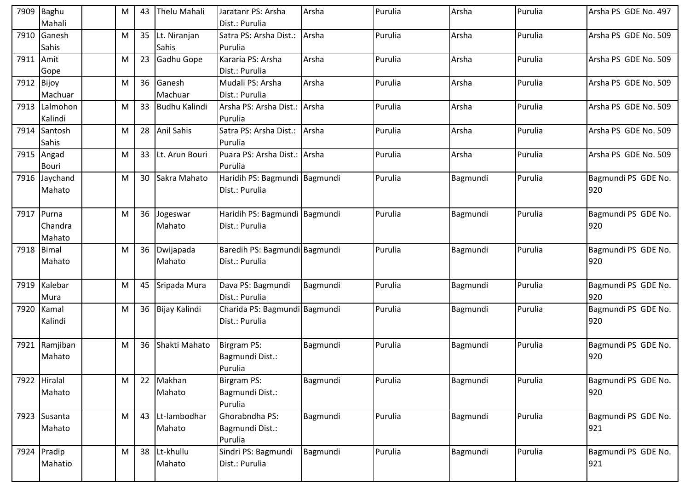| 7909       | <b>Baghu</b><br>Mahali | м | 43 | <b>Thelu Mahali</b>  | Jaratanr PS: Arsha<br>Dist.: Purulia            | Arsha    | Purulia | Arsha    | Purulia | Arsha PS GDE No. 497       |
|------------|------------------------|---|----|----------------------|-------------------------------------------------|----------|---------|----------|---------|----------------------------|
| 7910       | Ganesh                 | м | 35 | Lt. Niranjan         | Satra PS: Arsha Dist.:                          | Arsha    | Purulia | Arsha    | Purulia | Arsha PS GDE No. 509       |
|            | Sahis                  |   |    | Sahis                | Purulia                                         |          |         |          |         |                            |
| 7911 Amit  |                        | М | 23 | Gadhu Gope           | Kararia PS: Arsha                               | Arsha    | Purulia | Arsha    | Purulia | Arsha PS GDE No. 509       |
|            | Gope                   |   |    |                      | Dist.: Purulia                                  |          |         |          |         |                            |
| 7912 Bijoy |                        | M | 36 | Ganesh               | Mudali PS: Arsha                                | Arsha    | Purulia | Arsha    | Purulia | Arsha PS GDE No. 509       |
|            | Machuar                |   |    | Machuar              | Dist.: Purulia                                  |          |         |          |         |                            |
| 7913       | Lalmohon               | M | 33 | <b>Budhu Kalindi</b> | Arsha PS: Arsha Dist.: Arsha                    |          | Purulia | Arsha    | Purulia | Arsha PS GDE No. 509       |
|            | Kalindi                |   |    |                      | Purulia                                         |          |         |          |         |                            |
| 7914       | Santosh                | м | 28 | <b>Anil Sahis</b>    | Satra PS: Arsha Dist.:                          | Arsha    | Purulia | Arsha    | Purulia | Arsha PS GDE No. 509       |
|            | Sahis                  |   |    |                      | Purulia                                         |          |         |          |         |                            |
|            | 7915 Angad             | M | 33 | Lt. Arun Bouri       | Puara PS: Arsha Dist.: Arsha                    |          | Purulia | Arsha    | Purulia | Arsha PS GDE No. 509       |
|            | <b>Bouri</b>           |   |    |                      | Purulia                                         |          |         |          |         |                            |
|            | 7916 Jaychand          | м | 30 | Sakra Mahato         | Haridih PS: Bagmundi Bagmundi                   |          | Purulia | Bagmundi | Purulia | Bagmundi PS GDE No.        |
|            | Mahato                 |   |    |                      | Dist.: Purulia                                  |          |         |          |         | 920                        |
|            |                        |   |    |                      |                                                 |          |         |          |         |                            |
| 7917       | Purna                  | м | 36 | Jogeswar             | Haridih PS: Bagmundi Bagmundi                   |          | Purulia | Bagmundi | Purulia | Bagmundi PS GDE No.        |
|            | Chandra                |   |    | Mahato               | Dist.: Purulia                                  |          |         |          |         | 920                        |
|            | Mahato                 |   |    |                      |                                                 |          |         |          | Purulia |                            |
| 7918 Bimal |                        | м | 36 | Dwijapada<br>Mahato  | Baredih PS: Bagmundi Bagmundi<br>Dist.: Purulia |          | Purulia | Bagmundi |         | Bagmundi PS GDE No.<br>920 |
|            | Mahato                 |   |    |                      |                                                 |          |         |          |         |                            |
| 7919       | Kalebar                | M | 45 | Sripada Mura         | Dava PS: Bagmundi                               | Bagmundi | Purulia | Bagmundi | Purulia | Bagmundi PS GDE No.        |
|            | Mura                   |   |    |                      | Dist.: Purulia                                  |          |         |          |         | 920                        |
|            | 7920 Kamal             | M | 36 | Bijay Kalindi        | Charida PS: Bagmundi Bagmundi                   |          | Purulia | Bagmundi | Purulia | Bagmundi PS GDE No.        |
|            | Kalindi                |   |    |                      | Dist.: Purulia                                  |          |         |          |         | 920                        |
|            |                        |   |    |                      |                                                 |          |         |          |         |                            |
| 7921       | Ramjiban               | м | 36 | Shakti Mahato        | Birgram PS:                                     | Bagmundi | Purulia | Bagmundi | Purulia | Bagmundi PS GDE No.        |
|            | Mahato                 |   |    |                      | Bagmundi Dist.:                                 |          |         |          |         | 920                        |
|            |                        |   |    |                      | Purulia                                         |          |         |          |         |                            |
|            | 7922 Hiralal           | M |    | 22 Makhan            | <b>Birgram PS:</b>                              | Bagmundi | Purulia | Bagmundi | Purulia | Bagmundi PS GDE No.        |
|            | Mahato                 |   |    | Mahato               | Bagmundi Dist.:                                 |          |         |          |         | 920                        |
|            |                        |   |    |                      | Purulia                                         |          |         |          |         |                            |
|            | 7923 Susanta           | M | 43 | Lt-lambodhar         | Ghorabndha PS:                                  | Bagmundi | Purulia | Bagmundi | Purulia | Bagmundi PS GDE No.        |
|            | Mahato                 |   |    | Mahato               | Bagmundi Dist.:                                 |          |         |          |         | 921                        |
|            |                        |   |    |                      | Purulia                                         |          |         |          |         |                            |
|            | 7924 Pradip            | м | 38 | Lt-khullu            | Sindri PS: Bagmundi                             | Bagmundi | Purulia | Bagmundi | Purulia | Bagmundi PS GDE No.        |
|            | Mahatio                |   |    | Mahato               | Dist.: Purulia                                  |          |         |          |         | 921                        |
|            |                        |   |    |                      |                                                 |          |         |          |         |                            |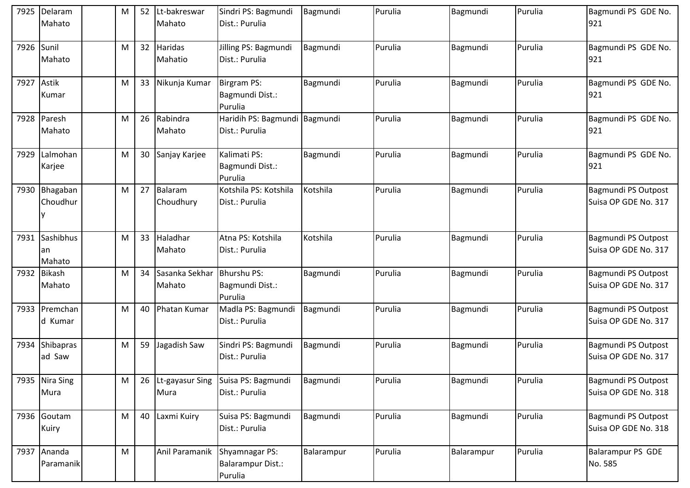| 7925       | Delaram<br>Mahato         | M | 52              | Lt-bakreswar<br>Mahato      | Sindri PS: Bagmundi<br>Dist.: Purulia                        | Bagmundi   | Purulia | Bagmundi   | Purulia | Bagmundi PS GDE No.<br>921                         |
|------------|---------------------------|---|-----------------|-----------------------------|--------------------------------------------------------------|------------|---------|------------|---------|----------------------------------------------------|
| 7926       | Sunil<br>Mahato           | M | 32 <sup>2</sup> | Haridas<br>Mahatio          | Jilling PS: Bagmundi<br>Dist.: Purulia                       | Bagmundi   | Purulia | Bagmundi   | Purulia | Bagmundi PS GDE No.<br>921                         |
| 7927 Astik | Kumar                     | M |                 | 33 Nikunja Kumar            | <b>Birgram PS:</b><br>Bagmundi Dist.:<br>Purulia             | Bagmundi   | Purulia | Bagmundi   | Purulia | Bagmundi PS GDE No.<br>921                         |
|            | 7928 Paresh<br>Mahato     | M |                 | 26 Rabindra<br>Mahato       | Haridih PS: Bagmundi Bagmundi<br>Dist.: Purulia              |            | Purulia | Bagmundi   | Purulia | Bagmundi PS GDE No.<br>921                         |
| 7929       | Lalmohan<br>Karjee        | M |                 | 30 Sanjay Karjee            | Kalimati PS:<br>Bagmundi Dist.:<br>Purulia                   | Bagmundi   | Purulia | Bagmundi   | Purulia | Bagmundi PS GDE No.<br>921                         |
| 7930       | Bhagaban<br>Choudhur      | M |                 | 27 Balaram<br>Choudhury     | Kotshila PS: Kotshila<br>Dist.: Purulia                      | Kotshila   | Purulia | Bagmundi   | Purulia | Bagmundi PS Outpost<br>Suisa OP GDE No. 317        |
| 7931       | Sashibhus<br>an<br>Mahato | M |                 | 33 Haladhar<br>Mahato       | Atna PS: Kotshila<br>Dist.: Purulia                          | Kotshila   | Purulia | Bagmundi   | Purulia | Bagmundi PS Outpost<br>Suisa OP GDE No. 317        |
|            | 7932 Bikash<br>Mahato     | M |                 | 34 Sasanka Sekhar<br>Mahato | <b>Bhurshu PS:</b><br>Bagmundi Dist.:<br>Purulia             | Bagmundi   | Purulia | Bagmundi   | Purulia | Bagmundi PS Outpost<br>Suisa OP GDE No. 317        |
|            | 7933 Premchan<br>d Kumar  | M |                 | 40 Phatan Kumar             | Madla PS: Bagmundi<br>Dist.: Purulia                         | Bagmundi   | Purulia | Bagmundi   | Purulia | Bagmundi PS Outpost<br>Suisa OP GDE No. 317        |
| 7934       | Shibapras<br>ad Saw       | M |                 | 59 Jagadish Saw             | Sindri PS: Bagmundi<br>Dist.: Purulia                        | Bagmundi   | Purulia | Bagmundi   | Purulia | Bagmundi PS Outpost<br>Suisa OP GDE No. 317        |
|            | 7935 Nira Sing<br>Mura    | M |                 | 26 Lt-gayasur Sing<br>Mura  | Suisa PS: Bagmundi<br>Dist.: Purulia                         | Bagmundi   | Purulia | Bagmundi   | Purulia | <b>Bagmundi PS Outpost</b><br>Suisa OP GDE No. 318 |
|            | 7936 Goutam<br>Kuiry      | M |                 | 40 Laxmi Kuiry              | Suisa PS: Bagmundi<br>Dist.: Purulia                         | Bagmundi   | Purulia | Bagmundi   | Purulia | Bagmundi PS Outpost<br>Suisa OP GDE No. 318        |
|            | 7937 Ananda<br>Paramanik  | M |                 | Anil Paramanik              | <b>Shyamnagar PS:</b><br><b>Balarampur Dist.:</b><br>Purulia | Balarampur | Purulia | Balarampur | Purulia | <b>Balarampur PS GDE</b><br>No. 585                |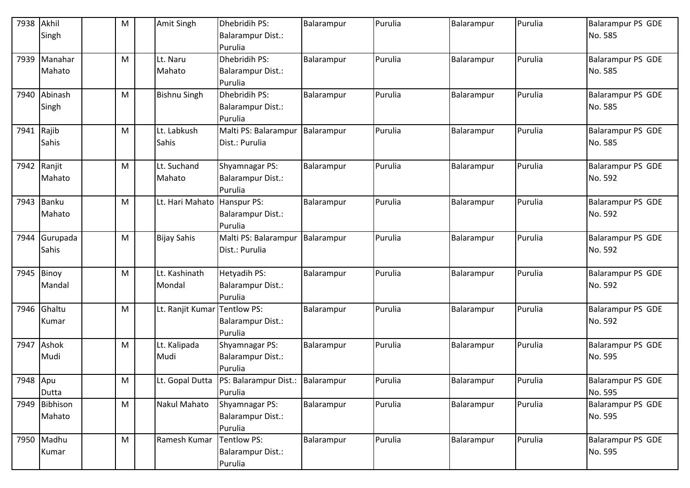| 7938     | Akhil<br>Singh          | M | Amit Singh              | Dhebridih PS:<br><b>Balarampur Dist.:</b><br>Purulia         | Balarampur | Purulia | Balarampur | Purulia | Balarampur PS GDE<br>No. 585        |
|----------|-------------------------|---|-------------------------|--------------------------------------------------------------|------------|---------|------------|---------|-------------------------------------|
| 7939     | Manahar<br>Mahato       | M | Lt. Naru<br>Mahato      | Dhebridih PS:<br><b>Balarampur Dist.:</b><br>Purulia         | Balarampur | Purulia | Balarampur | Purulia | Balarampur PS GDE<br>No. 585        |
| 7940     | Abinash<br>Singh        | M | <b>Bishnu Singh</b>     | Dhebridih PS:<br><b>Balarampur Dist.:</b><br>Purulia         | Balarampur | Purulia | Balarampur | Purulia | <b>Balarampur PS GDE</b><br>No. 585 |
| 7941     | Rajib<br>Sahis          | M | Lt. Labkush<br>Sahis    | Malti PS: Balarampur<br>Dist.: Purulia                       | Balarampur | Purulia | Balarampur | Purulia | <b>Balarampur PS GDE</b><br>No. 585 |
| 7942     | Ranjit<br>Mahato        | M | Lt. Suchand<br>Mahato   | Shyamnagar PS:<br><b>Balarampur Dist.:</b><br>Purulia        | Balarampur | Purulia | Balarampur | Purulia | Balarampur PS GDE<br>No. 592        |
|          | 7943 Banku<br>Mahato    | M | Lt. Hari Mahato         | Hanspur PS:<br><b>Balarampur Dist.:</b><br>Purulia           | Balarampur | Purulia | Balarampur | Purulia | Balarampur PS GDE<br>No. 592        |
| 7944     | Gurupada<br>Sahis       | M | <b>Bijay Sahis</b>      | Malti PS: Balarampur<br>Dist.: Purulia                       | Balarampur | Purulia | Balarampur | Purulia | <b>Balarampur PS GDE</b><br>No. 592 |
| 7945     | Binoy<br>Mandal         | M | Lt. Kashinath<br>Mondal | Hetyadih PS:<br><b>Balarampur Dist.:</b><br>Purulia          | Balarampur | Purulia | Balarampur | Purulia | <b>Balarampur PS GDE</b><br>No. 592 |
| 7946     | Ghaltu<br>Kumar         | M | Lt. Ranjit Kumar        | Tentlow PS:<br><b>Balarampur Dist.:</b><br>Purulia           | Balarampur | Purulia | Balarampur | Purulia | <b>Balarampur PS GDE</b><br>No. 592 |
|          | 7947 Ashok<br>Mudi      | M | Lt. Kalipada<br>Mudi    | <b>Shyamnagar PS:</b><br><b>Balarampur Dist.:</b><br>Purulia | Balarampur | Purulia | Balarampur | Purulia | <b>Balarampur PS GDE</b><br>No. 595 |
| 7948 Apu | Dutta                   | M | Lt. Gopal Dutta         | PS: Balarampur Dist.: Balarampur<br>Purulia                  |            | Purulia | Balarampur | Purulia | <b>Balarampur PS GDE</b><br>No. 595 |
|          | 7949 Bibhison<br>Mahato | M | <b>Nakul Mahato</b>     | Shyamnagar PS:<br><b>Balarampur Dist.:</b><br>Purulia        | Balarampur | Purulia | Balarampur | Purulia | <b>Balarampur PS GDE</b><br>No. 595 |
| 7950     | Madhu<br>Kumar          | M | Ramesh Kumar            | Tentlow PS:<br>Balarampur Dist.:<br>Purulia                  | Balarampur | Purulia | Balarampur | Purulia | Balarampur PS GDE<br>No. 595        |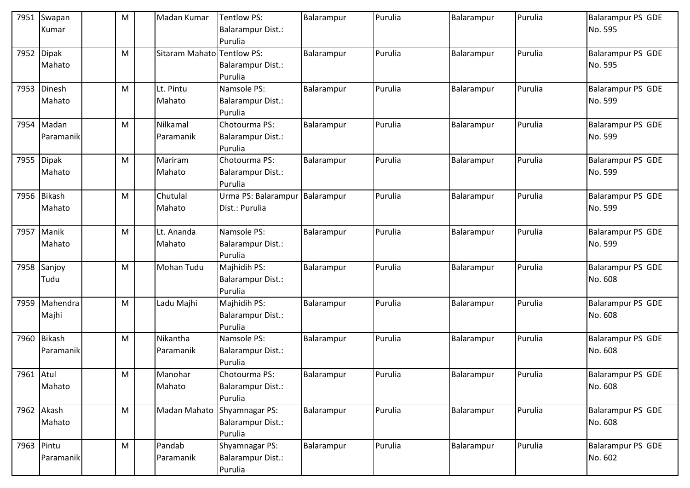|            | 7951 Swapan<br>Kumar    | ${\sf M}$ | Madan Kumar                | Tentlow PS:<br>Balarampur Dist.: | Balarampur | Purulia | Balarampur | Purulia | Balarampur PS GDE<br>No. 595        |
|------------|-------------------------|-----------|----------------------------|----------------------------------|------------|---------|------------|---------|-------------------------------------|
|            |                         |           |                            | Purulia                          |            |         |            |         |                                     |
|            | 7952 Dipak              | M         | Sitaram Mahato Tentlow PS: |                                  | Balarampur | Purulia | Balarampur | Purulia | <b>Balarampur PS GDE</b>            |
|            | Mahato                  |           |                            | Balarampur Dist.:                |            |         |            |         | No. 595                             |
|            |                         |           |                            | Purulia                          |            |         |            |         |                                     |
|            | 7953 Dinesh             | M         | Lt. Pintu                  | Namsole PS:                      | Balarampur | Purulia | Balarampur | Purulia | <b>Balarampur PS GDE</b>            |
|            | Mahato                  |           | Mahato                     | <b>Balarampur Dist.:</b>         |            |         |            |         | No. 599                             |
|            |                         |           |                            | Purulia                          |            |         |            |         |                                     |
|            | 7954 Madan<br>Paramanik | M         | Nilkamal                   | Chotourma PS:                    | Balarampur | Purulia | Balarampur | Purulia | <b>Balarampur PS GDE</b><br>No. 599 |
|            |                         |           | Paramanik                  | Balarampur Dist.:<br>Purulia     |            |         |            |         |                                     |
| 7955       | Dipak                   | M         | Mariram                    | Chotourma PS:                    | Balarampur | Purulia | Balarampur | Purulia | <b>Balarampur PS GDE</b>            |
|            | Mahato                  |           | Mahato                     | Balarampur Dist.:                |            |         |            |         | No. 599                             |
|            |                         |           |                            | Purulia                          |            |         |            |         |                                     |
|            | 7956 Bikash             | M         | Chutulal                   | Urma PS: Balarampur              | Balarampur | Purulia | Balarampur | Purulia | <b>Balarampur PS GDE</b>            |
|            | Mahato                  |           | Mahato                     | Dist.: Purulia                   |            |         |            |         | No. 599                             |
|            |                         |           |                            |                                  |            |         |            |         |                                     |
|            | 7957 Manik              | M         | Lt. Ananda                 | Namsole PS:                      | Balarampur | Purulia | Balarampur | Purulia | <b>Balarampur PS GDE</b>            |
|            | Mahato                  |           | Mahato                     | Balarampur Dist.:                |            |         |            |         | No. 599                             |
|            |                         |           |                            | Purulia                          |            |         |            |         |                                     |
|            | 7958 Sanjoy             | M         | Mohan Tudu                 | Majhidih PS:                     | Balarampur | Purulia | Balarampur | Purulia | <b>Balarampur PS GDE</b>            |
|            | Tudu                    |           |                            | Balarampur Dist.:                |            |         |            |         | No. 608                             |
|            | 7959 Mahendra           | M         | Ladu Majhi                 | Purulia<br>Majhidih PS:          | Balarampur | Purulia | Balarampur | Purulia | Balarampur PS GDE                   |
|            | Majhi                   |           |                            | Balarampur Dist.:                |            |         |            |         | No. 608                             |
|            |                         |           |                            | Purulia                          |            |         |            |         |                                     |
|            | 7960 Bikash             | M         | Nikantha                   | Namsole PS:                      | Balarampur | Purulia | Balarampur | Purulia | Balarampur PS GDE                   |
|            | Paramanik               |           | Paramanik                  | Balarampur Dist.:                |            |         |            |         | No. 608                             |
|            |                         |           |                            | Purulia                          |            |         |            |         |                                     |
| 7961 Atul  |                         | M         | Manohar                    | Chotourma PS:                    | Balarampur | Purulia | Balarampur | Purulia | <b>Balarampur PS GDE</b>            |
|            | Mahato                  |           | Mahato                     | Balarampur Dist.:                |            |         |            |         | No. 608                             |
|            |                         |           |                            | Purulia                          |            |         |            |         |                                     |
|            | 7962 Akash              | M         | Madan Mahato               | Shyamnagar PS:                   | Balarampur | Purulia | Balarampur | Purulia | Balarampur PS GDE                   |
|            | Mahato                  |           |                            | Balarampur Dist.:                |            |         |            |         | No. 608                             |
|            |                         |           |                            | Purulia                          |            |         |            |         |                                     |
| 7963 Pintu |                         | M         | Pandab                     | Shyamnagar PS:                   | Balarampur | Purulia | Balarampur | Purulia | Balarampur PS GDE                   |
|            | Paramanik               |           | Paramanik                  | Balarampur Dist.:                |            |         |            |         | No. 602                             |
|            |                         |           |                            | Purulia                          |            |         |            |         |                                     |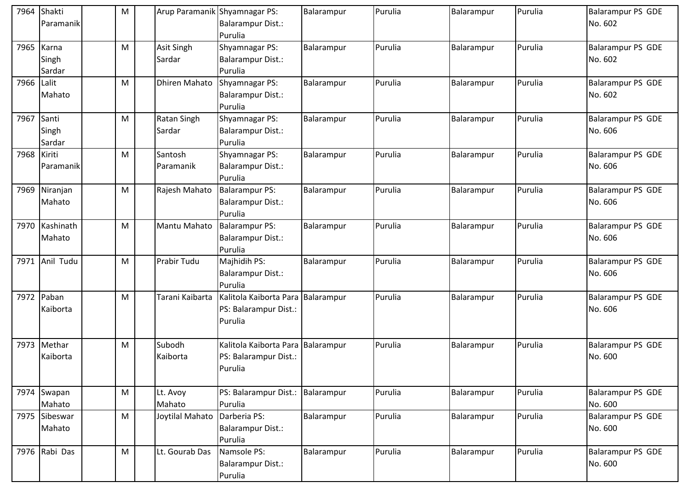| 7964        | Shakti<br>Paramanik      | M |                       | Arup Paramanik Shyamnagar PS:<br>Balarampur Dist.:                    | Balarampur | Purulia | Balarampur | Purulia | <b>Balarampur PS GDE</b><br>No. 602 |
|-------------|--------------------------|---|-----------------------|-----------------------------------------------------------------------|------------|---------|------------|---------|-------------------------------------|
|             |                          |   |                       | Purulia                                                               |            |         |            |         |                                     |
| 7965        | Karna<br>Singh<br>Sardar | M | Asit Singh<br>Sardar  | <b>Shyamnagar PS:</b><br><b>Balarampur Dist.:</b><br>Purulia          | Balarampur | Purulia | Balarampur | Purulia | <b>Balarampur PS GDE</b><br>No. 602 |
| 7966 Lalit  | Mahato                   | M | <b>Dhiren Mahato</b>  | Shyamnagar PS:<br><b>Balarampur Dist.:</b><br>Purulia                 | Balarampur | Purulia | Balarampur | Purulia | <b>Balarampur PS GDE</b><br>No. 602 |
| 7967 Santi  | Singh<br>Sardar          | M | Ratan Singh<br>Sardar | <b>Shyamnagar PS:</b><br>Balarampur Dist.:<br>Purulia                 | Balarampur | Purulia | Balarampur | Purulia | <b>Balarampur PS GDE</b><br>No. 606 |
| 7968 Kiriti | l Paramanik              | M | Santosh<br>Paramanik  | <b>Shyamnagar PS:</b><br>Balarampur Dist.:<br>Purulia                 | Balarampur | Purulia | Balarampur | Purulia | <b>Balarampur PS GDE</b><br>No. 606 |
|             | 7969 Niranjan<br>Mahato  | M | Rajesh Mahato         | Balarampur PS:<br><b>Balarampur Dist.:</b><br>Purulia                 | Balarampur | Purulia | Balarampur | Purulia | <b>Balarampur PS GDE</b><br>No. 606 |
| 7970        | Kashinath<br>Mahato      | M | Mantu Mahato          | <b>Balarampur PS:</b><br><b>Balarampur Dist.:</b><br>Purulia          | Balarampur | Purulia | Balarampur | Purulia | <b>Balarampur PS GDE</b><br>No. 606 |
| 7971        | Anil Tudu                | M | Prabir Tudu           | Majhidih PS:<br>Balarampur Dist.:<br>Purulia                          | Balarampur | Purulia | Balarampur | Purulia | <b>Balarampur PS GDE</b><br>No. 606 |
| 7972        | Paban<br>Kaiborta        | M | Tarani Kaibarta       | Kalitola Kaiborta Para Balarampur<br>PS: Balarampur Dist.:<br>Purulia |            | Purulia | Balarampur | Purulia | <b>Balarampur PS GDE</b><br>No. 606 |
|             | 7973 Methar<br>Kaiborta  | M | Subodh<br>Kaiborta    | Kalitola Kaiborta Para Balarampur<br>PS: Balarampur Dist.:<br>Purulia |            | Purulia | Balarampur | Purulia | <b>Balarampur PS GDE</b><br>No. 600 |
|             | 7974 Swapan<br>Mahato    | M | Lt. Avoy<br>Mahato    | PS: Balarampur Dist.: Balarampur<br>Purulia                           |            | Purulia | Balarampur | Purulia | <b>Balarampur PS GDE</b><br>No. 600 |
|             | 7975 Sibeswar<br>Mahato  | M | Joytilal Mahato       | Darberia PS:<br>Balarampur Dist.:<br>Purulia                          | Balarampur | Purulia | Balarampur | Purulia | <b>Balarampur PS GDE</b><br>No. 600 |
|             | 7976 Rabi Das            | M | Lt. Gourab Das        | Namsole PS:<br>Balarampur Dist.:<br>Purulia                           | Balarampur | Purulia | Balarampur | Purulia | Balarampur PS GDE<br>No. 600        |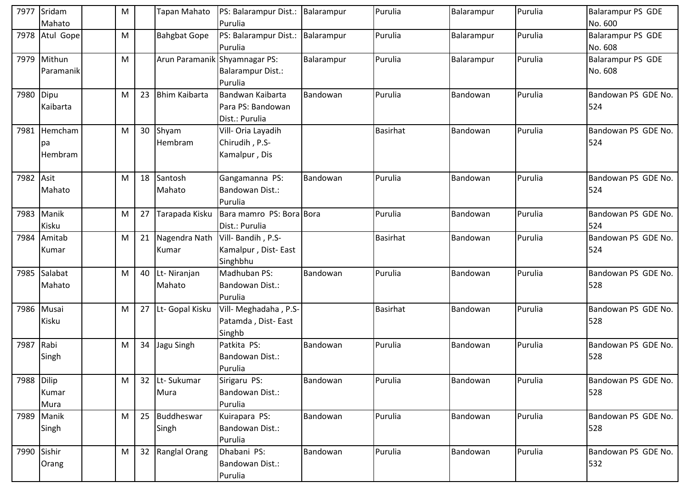|             | 7977 Sridam<br>Mahato    | M |    | <b>Tapan Mahato</b>           | PS: Balarampur Dist.:<br>Purulia                        | Balarampur | Purulia         | Balarampur | Purulia | <b>Balarampur PS GDE</b><br>No. 600 |
|-------------|--------------------------|---|----|-------------------------------|---------------------------------------------------------|------------|-----------------|------------|---------|-------------------------------------|
|             | 7978 Atul Gope           | M |    | <b>Bahgbat Gope</b>           | PS: Balarampur Dist.:<br>Purulia                        | Balarampur | Purulia         | Balarampur | Purulia | <b>Balarampur PS GDE</b><br>No. 608 |
|             | 7979 Mithun<br>Paramanik | M |    | Arun Paramanik Shyamnagar PS: | <b>Balarampur Dist.:</b><br>Purulia                     | Balarampur | Purulia         | Balarampur | Purulia | <b>Balarampur PS GDE</b><br>No. 608 |
| 7980        | Dipu<br>Kaibarta         | M | 23 | <b>Bhim Kaibarta</b>          | Bandwan Kaibarta<br>Para PS: Bandowan<br>Dist.: Purulia | Bandowan   | Purulia         | Bandowan   | Purulia | Bandowan PS GDE No.<br>524          |
| 7981        | Hemcham<br>pa<br>Hembram | M |    | 30 Shyam<br>Hembram           | Vill- Oria Layadih<br>Chirudih, P.S-<br>Kamalpur, Dis   |            | <b>Basirhat</b> | Bandowan   | Purulia | Bandowan PS GDE No.<br>524          |
| 7982        | Asit<br>Mahato           | M |    | 18 Santosh<br>Mahato          | Gangamanna PS:<br><b>Bandowan Dist.:</b><br>Purulia     | Bandowan   | Purulia         | Bandowan   | Purulia | Bandowan PS GDE No.<br>524          |
| 7983        | Manik<br>Kisku           | M | 27 | Tarapada Kisku                | Bara mamro PS: Bora Bora<br>Dist.: Purulia              |            | Purulia         | Bandowan   | Purulia | Bandowan PS GDE No.<br>524          |
| 7984        | Amitab<br>Kumar          | M | 21 | Nagendra Nath<br>Kumar        | Vill-Bandih, P.S-<br>Kamalpur, Dist-East<br>Singhbhu    |            | Basirhat        | Bandowan   | Purulia | Bandowan PS GDE No.<br>524          |
| 7985        | Salabat<br>Mahato        | M |    | 40 Lt-Niranjan<br>Mahato      | Madhuban PS:<br>Bandowan Dist.:<br>Purulia              | Bandowan   | Purulia         | Bandowan   | Purulia | Bandowan PS GDE No.<br>528          |
|             | 7986 Musai<br>Kisku      | M |    | 27 Lt- Gopal Kisku            | Vill- Meghadaha, P.S-<br>Patamda, Dist-East<br>Singhb   |            | <b>Basirhat</b> | Bandowan   | Purulia | Bandowan PS GDE No.<br>528          |
| 7987 Rabi   | Singh                    | M |    | 34 Jagu Singh                 | Patkita PS:<br>Bandowan Dist.:<br>Purulia               | Bandowan   | Purulia         | Bandowan   | Purulia | Bandowan PS GDE No.<br>528          |
| 7988 Dilip  | Kumar<br>Mura            | M |    | 32 Lt-Sukumar<br>Mura         | Sirigaru PS:<br>Bandowan Dist.:<br>Purulia              | Bandowan   | Purulia         | Bandowan   | Purulia | Bandowan PS GDE No.<br>528          |
|             | 7989 Manik<br>Singh      | M |    | 25 Buddheswar<br>Singh        | Kuirapara PS:<br>Bandowan Dist.:<br>Purulia             | Bandowan   | Purulia         | Bandowan   | Purulia | Bandowan PS GDE No.<br>528          |
| 7990 Sishir | Orang                    | M |    | 32 Ranglal Orang              | Dhabani PS:<br><b>Bandowan Dist.:</b><br>Purulia        | Bandowan   | Purulia         | Bandowan   | Purulia | Bandowan PS GDE No.<br>532          |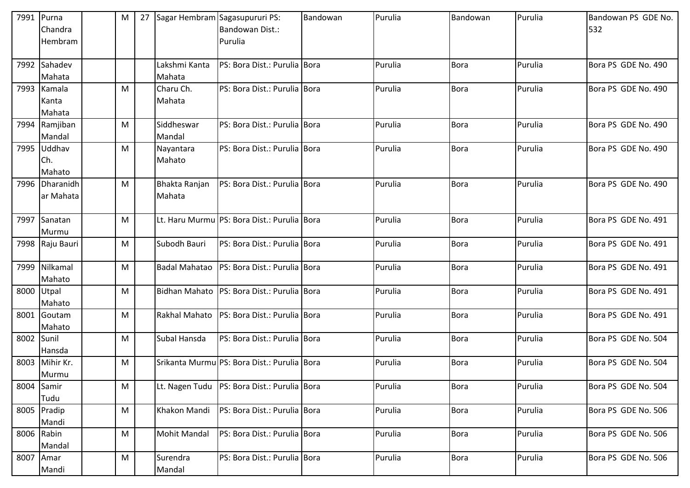|            | 7991 Purna      | M | 27 | Sagar Hembram Sagasupururi PS: |                                                 | Bandowan | Purulia | Bandowan    | Purulia | Bandowan PS GDE No. |
|------------|-----------------|---|----|--------------------------------|-------------------------------------------------|----------|---------|-------------|---------|---------------------|
|            | Chandra         |   |    |                                | Bandowan Dist.:                                 |          |         |             |         | 532                 |
|            | Hembram         |   |    |                                | Purulia                                         |          |         |             |         |                     |
|            |                 |   |    |                                |                                                 |          |         |             |         |                     |
|            | 7992 Sahadev    |   |    | Lakshmi Kanta                  | PS: Bora Dist.: Purulia Bora                    |          | Purulia | Bora        | Purulia | Bora PS GDE No. 490 |
|            | Mahata          |   |    | Mahata                         |                                                 |          |         |             |         |                     |
|            | 7993 Kamala     | M |    | Charu Ch.                      | PS: Bora Dist.: Purulia Bora                    |          | Purulia | <b>Bora</b> | Purulia | Bora PS GDE No. 490 |
|            | Kanta           |   |    | Mahata                         |                                                 |          |         |             |         |                     |
|            | Mahata          |   |    |                                |                                                 |          |         |             |         |                     |
| 7994       | Ramjiban        | M |    | Siddheswar                     | PS: Bora Dist.: Purulia Bora                    |          | Purulia | <b>Bora</b> | Purulia | Bora PS GDE No. 490 |
|            | Mandal          |   |    | Mandal                         |                                                 |          |         |             |         |                     |
|            | 7995 Uddhav     | M |    | Nayantara                      | PS: Bora Dist.: Purulia Bora                    |          | Purulia | <b>Bora</b> | Purulia | Bora PS GDE No. 490 |
|            | Ch.             |   |    | Mahato                         |                                                 |          |         |             |         |                     |
|            | Mahato          |   |    |                                |                                                 |          |         |             |         |                     |
|            | 7996 Dharanidh  | M |    | Bhakta Ranjan                  | PS: Bora Dist.: Purulia Bora                    |          | Purulia | <b>Bora</b> | Purulia | Bora PS GDE No. 490 |
|            | ar Mahata       |   |    | Mahata                         |                                                 |          |         |             |         |                     |
|            |                 |   |    |                                |                                                 |          |         |             |         |                     |
| 7997       | Sanatan         | M |    |                                | Lt. Haru Murmu PS: Bora Dist.: Purulia Bora     |          | Purulia | <b>Bora</b> | Purulia | Bora PS GDE No. 491 |
|            | Murmu           |   |    |                                |                                                 |          |         |             |         |                     |
|            | 7998 Raju Bauri | M |    | Subodh Bauri                   | PS: Bora Dist.: Purulia Bora                    |          | Purulia | <b>Bora</b> | Purulia | Bora PS GDE No. 491 |
|            |                 |   |    |                                |                                                 |          |         |             |         |                     |
|            | 7999 Nilkamal   | M |    | <b>Badal Mahatao</b>           | PS: Bora Dist.: Purulia Bora                    |          | Purulia | Bora        | Purulia | Bora PS GDE No. 491 |
|            | Mahato          |   |    |                                |                                                 |          |         |             |         |                     |
| 8000 Utpal |                 | M |    |                                | Bidhan Mahato   PS: Bora Dist.: Purulia   Bora  |          | Purulia | <b>Bora</b> | Purulia | Bora PS GDE No. 491 |
|            | Mahato          |   |    |                                |                                                 |          |         |             |         |                     |
|            | 8001 Goutam     | M |    | Rakhal Mahato                  | PS: Bora Dist.: Purulia Bora                    |          | Purulia | <b>Bora</b> | Purulia | Bora PS GDE No. 491 |
|            | Mahato          |   |    |                                |                                                 |          |         |             |         |                     |
| 8002 Sunil |                 | M |    | Subal Hansda                   | PS: Bora Dist.: Purulia Bora                    |          | Purulia | <b>Bora</b> | Purulia | Bora PS GDE No. 504 |
|            | Hansda          |   |    |                                |                                                 |          |         |             |         |                     |
|            | 8003 Mihir Kr.  | M |    |                                | Srikanta Murmu PS: Bora Dist.: Purulia Bora     |          | Purulia | <b>Bora</b> | Purulia | Bora PS GDE No. 504 |
|            | Murmu           |   |    |                                |                                                 |          |         |             |         |                     |
|            | 8004 Samir      | M |    |                                | Lt. Nagen Tudu   PS: Bora Dist.: Purulia   Bora |          | Purulia | <b>Bora</b> | Purulia | Bora PS GDE No. 504 |
|            | Tudu            |   |    |                                |                                                 |          |         |             |         |                     |
|            | 8005 Pradip     | M |    | Khakon Mandi                   | PS: Bora Dist.: Purulia Bora                    |          | Purulia | <b>Bora</b> | Purulia | Bora PS GDE No. 506 |
|            | Mandi           |   |    |                                |                                                 |          |         |             |         |                     |
|            | 8006 Rabin      | M |    | <b>Mohit Mandal</b>            | PS: Bora Dist.: Purulia Bora                    |          | Purulia | <b>Bora</b> | Purulia | Bora PS GDE No. 506 |
|            | Mandal          |   |    |                                |                                                 |          |         |             |         |                     |
|            | 8007 Amar       | M |    | Surendra                       | PS: Bora Dist.: Purulia Bora                    |          | Purulia | <b>Bora</b> | Purulia | Bora PS GDE No. 506 |
|            | Mandi           |   |    | Mandal                         |                                                 |          |         |             |         |                     |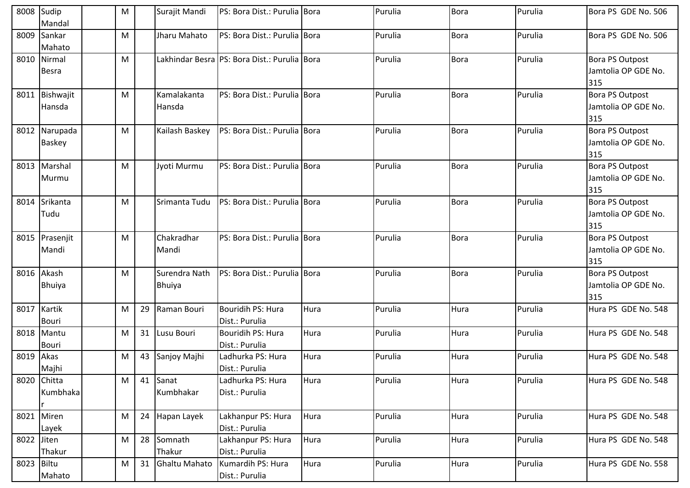| 8008       | Sudip<br>Mandal             | M |    | Surajit Mandi                  | PS: Bora Dist.: Purulia Bora                 |      | Purulia | <b>Bora</b> | Purulia | Bora PS GDE No. 506                                  |
|------------|-----------------------------|---|----|--------------------------------|----------------------------------------------|------|---------|-------------|---------|------------------------------------------------------|
| 8009       | Sankar<br>Mahato            | M |    | Jharu Mahato                   | PS: Bora Dist.: Purulia Bora                 |      | Purulia | <b>Bora</b> | Purulia | Bora PS GDE No. 506                                  |
|            | 8010 Nirmal<br><b>Besra</b> | м |    |                                | Lakhindar Besra PS: Bora Dist.: Purulia Bora |      | Purulia | <b>Bora</b> | Purulia | <b>Bora PS Outpost</b><br>Jamtolia OP GDE No.<br>315 |
| 8011       | Bishwajit<br>Hansda         | M |    | Kamalakanta<br>Hansda          | PS: Bora Dist.: Purulia Bora                 |      | Purulia | <b>Bora</b> | Purulia | Bora PS Outpost<br>Jamtolia OP GDE No.<br>315        |
| 8012       | Narupada<br><b>Baskey</b>   | M |    | Kailash Baskey                 | PS: Bora Dist.: Purulia Bora                 |      | Purulia | <b>Bora</b> | Purulia | <b>Bora PS Outpost</b><br>Jamtolia OP GDE No.<br>315 |
| 8013       | Marshal<br>Murmu            | M |    | Jyoti Murmu                    | PS: Bora Dist.: Purulia Bora                 |      | Purulia | <b>Bora</b> | Purulia | <b>Bora PS Outpost</b><br>Jamtolia OP GDE No.<br>315 |
| 8014       | Srikanta<br>Tudu            | M |    | Srimanta Tudu                  | PS: Bora Dist.: Purulia Bora                 |      | Purulia | <b>Bora</b> | Purulia | <b>Bora PS Outpost</b><br>Jamtolia OP GDE No.<br>315 |
| 8015       | Prasenjit<br>Mandi          | M |    | Chakradhar<br>Mandi            | PS: Bora Dist.: Purulia Bora                 |      | Purulia | <b>Bora</b> | Purulia | <b>Bora PS Outpost</b><br>Jamtolia OP GDE No.<br>315 |
| 8016       | Akash<br><b>Bhuiya</b>      | M |    | Surendra Nath<br><b>Bhuiya</b> | PS: Bora Dist.: Purulia Bora                 |      | Purulia | <b>Bora</b> | Purulia | <b>Bora PS Outpost</b><br>Jamtolia OP GDE No.<br>315 |
|            | 8017 Kartik<br><b>Bouri</b> | M | 29 | Raman Bouri                    | Bouridih PS: Hura<br>Dist.: Purulia          | Hura | Purulia | Hura        | Purulia | Hura PS GDE No. 548                                  |
| 8018       | Mantu<br><b>Bouri</b>       | M | 31 | Lusu Bouri                     | Bouridih PS: Hura<br>Dist.: Purulia          | Hura | Purulia | Hura        | Purulia | Hura PS GDE No. 548                                  |
| 8019       | Akas<br>Majhi               | M | 43 | Sanjoy Majhi                   | Ladhurka PS: Hura<br>Dist.: Purulia          | Hura | Purulia | Hura        | Purulia | Hura PS GDE No. 548                                  |
|            | 8020 Chitta<br>Kumbhaka     | M |    | 41 Sanat<br>Kumbhakar          | Ladhurka PS: Hura<br>Dist.: Purulia          | Hura | Purulia | Hura        | Purulia | Hura PS GDE No. 548                                  |
|            | 8021 Miren<br>Layek         | M |    | 24 Hapan Layek                 | Lakhanpur PS: Hura<br>Dist.: Purulia         | Hura | Purulia | Hura        | Purulia | Hura PS GDE No. 548                                  |
| 8022 Jiten | Thakur                      | M |    | 28 Somnath<br>Thakur           | Lakhanpur PS: Hura<br>Dist.: Purulia         | Hura | Purulia | Hura        | Purulia | Hura PS GDE No. 548                                  |
| 8023 Biltu | Mahato                      | M | 31 | <b>Ghaltu Mahato</b>           | Kumardih PS: Hura<br>Dist.: Purulia          | Hura | Purulia | Hura        | Purulia | Hura PS GDE No. 558                                  |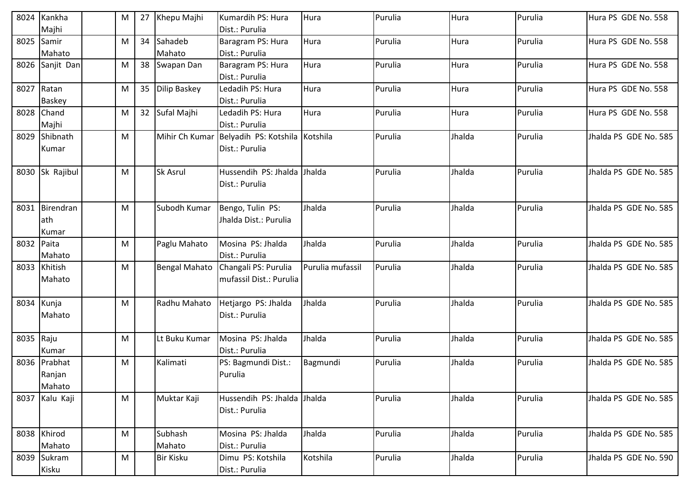|             | 8024 Kankha     | M | 27 | Khepu Majhi          | Kumardih PS: Hura              | Hura             | Purulia | Hura   | Purulia | Hura PS GDE No. 558   |
|-------------|-----------------|---|----|----------------------|--------------------------------|------------------|---------|--------|---------|-----------------------|
|             | Majhi           |   |    |                      | Dist.: Purulia                 |                  |         |        |         |                       |
| 8025 Samir  |                 | M | 34 | Sahadeb              | Baragram PS: Hura              | Hura             | Purulia | Hura   | Purulia | Hura PS GDE No. 558   |
|             | Mahato          |   |    | Mahato               | Dist.: Purulia                 |                  |         |        |         |                       |
|             | 8026 Sanjit Dan | M |    | 38 Swapan Dan        | Baragram PS: Hura              | Hura             | Purulia | Hura   | Purulia | Hura PS GDE No. 558   |
|             |                 |   |    |                      | Dist.: Purulia                 |                  |         |        |         |                       |
| 8027 Ratan  |                 | M |    | 35 Dilip Baskey      | Ledadih PS: Hura               | Hura             | Purulia | Hura   | Purulia | Hura PS GDE No. 558   |
|             | <b>Baskey</b>   |   |    |                      | Dist.: Purulia                 |                  |         |        |         |                       |
| 8028 Chand  |                 | M |    | 32 Sufal Majhi       | Ledadih PS: Hura               | Hura             | Purulia | Hura   | Purulia | Hura PS GDE No. 558   |
|             | Majhi           |   |    |                      | Dist.: Purulia                 |                  |         |        |         |                       |
|             | 8029 Shibnath   | M |    | Mihir Ch Kumar       | Belyadih PS: Kotshila Kotshila |                  | Purulia | Jhalda | Purulia | Jhalda PS GDE No. 585 |
|             | Kumar           |   |    |                      | Dist.: Purulia                 |                  |         |        |         |                       |
|             |                 |   |    |                      |                                |                  |         |        |         |                       |
|             | 8030 Sk Rajibul | M |    | <b>Sk Asrul</b>      | Hussendih PS: Jhalda           | Jhalda           | Purulia | Jhalda | Purulia | Jhalda PS GDE No. 585 |
|             |                 |   |    |                      | Dist.: Purulia                 |                  |         |        |         |                       |
|             |                 |   |    |                      |                                |                  |         |        |         |                       |
|             | 8031 Birendran  | M |    | Subodh Kumar         | Bengo, Tulin PS:               | Jhalda           | Purulia | Jhalda | Purulia | Jhalda PS GDE No. 585 |
|             | lath            |   |    |                      | Jhalda Dist.: Purulia          |                  |         |        |         |                       |
|             | Kumar           |   |    |                      |                                |                  |         |        |         |                       |
| 8032 Paita  |                 | M |    | Paglu Mahato         | Mosina PS: Jhalda              | Jhalda           | Purulia | Jhalda | Purulia | Jhalda PS GDE No. 585 |
|             | Mahato          |   |    |                      | Dist.: Purulia                 |                  |         |        |         |                       |
|             | 8033 Khitish    | M |    | <b>Bengal Mahato</b> | Changali PS: Purulia           | Purulia mufassil | Purulia | Jhalda | Purulia | Jhalda PS GDE No. 585 |
|             | Mahato          |   |    |                      | mufassil Dist.: Purulia        |                  |         |        |         |                       |
|             |                 |   |    |                      |                                |                  |         |        |         |                       |
| 8034 Kunja  |                 | M |    | Radhu Mahato         | Hetjargo PS: Jhalda            | Jhalda           | Purulia | Jhalda | Purulia | Jhalda PS GDE No. 585 |
|             | Mahato          |   |    |                      | Dist.: Purulia                 |                  |         |        |         |                       |
|             |                 |   |    |                      |                                |                  |         |        |         |                       |
| 8035 Raju   |                 | M |    | Lt Buku Kumar        | Mosina PS: Jhalda              | Jhalda           | Purulia | Jhalda | Purulia | Jhalda PS GDE No. 585 |
|             | Kumar           |   |    |                      | Dist.: Purulia                 |                  |         |        |         |                       |
|             | 8036 Prabhat    | M |    | Kalimati             | PS: Bagmundi Dist.:            | Bagmundi         | Purulia | Jhalda | Purulia | Jhalda PS GDE No. 585 |
|             | Ranjan          |   |    |                      | Purulia                        |                  |         |        |         |                       |
|             | Mahato          |   |    |                      |                                |                  |         |        |         |                       |
|             | 8037 Kalu Kaji  | M |    | Muktar Kaji          | Hussendih PS: Jhalda           | Jhalda           | Purulia | Jhalda | Purulia | Jhalda PS GDE No. 585 |
|             |                 |   |    |                      | Dist.: Purulia                 |                  |         |        |         |                       |
|             |                 |   |    |                      |                                |                  |         |        |         |                       |
| 8038 Khirod |                 | M |    | Subhash              | Mosina PS: Jhalda              | Jhalda           | Purulia | Jhalda | Purulia | Jhalda PS GDE No. 585 |
|             | Mahato          |   |    | Mahato               | Dist.: Purulia                 |                  |         |        |         |                       |
|             | 8039 Sukram     | M |    | <b>Bir Kisku</b>     | Dimu PS: Kotshila              | Kotshila         | Purulia | Jhalda | Purulia | Jhalda PS GDE No. 590 |
| Kisku       |                 |   |    |                      |                                |                  |         |        |         |                       |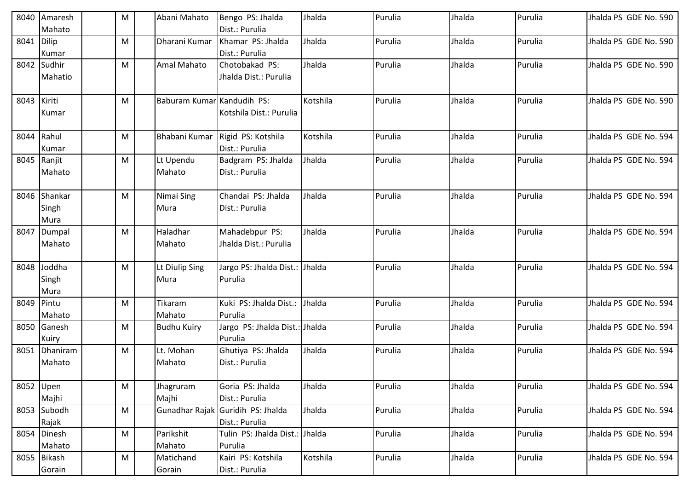| 8040        | Amaresh<br>Mahato             | ${\sf M}$ | Abani Mahato               | Bengo PS: Jhalda<br>Dist.: Purulia                  | Jhalda   | Purulia | Jhalda | Purulia | Jhalda PS GDE No. 590 |
|-------------|-------------------------------|-----------|----------------------------|-----------------------------------------------------|----------|---------|--------|---------|-----------------------|
| 8041        | Dilip<br>Kumar                | M         | Dharani Kumar              | Khamar PS: Jhalda<br>Dist.: Purulia                 | Jhalda   | Purulia | Jhalda | Purulia | Jhalda PS GDE No. 590 |
|             | 8042 Sudhir<br>Mahatio        | ${\sf M}$ | Amal Mahato                | Chotobakad PS:<br>Jhalda Dist.: Purulia             | Jhalda   | Purulia | Jhalda | Purulia | Jhalda PS GDE No. 590 |
| 8043 Kiriti | Kumar                         | M         | Baburam Kumar Kandudih PS: | Kotshila Dist.: Purulia                             | Kotshila | Purulia | Jhalda | Purulia | Jhalda PS GDE No. 590 |
| 8044        | Rahul<br>Kumar                | M         | <b>Bhabani Kumar</b>       | Rigid PS: Kotshila<br>Dist.: Purulia                | Kotshila | Purulia | Jhalda | Purulia | Jhalda PS GDE No. 594 |
| 8045        | Ranjit<br>Mahato              | M         | Lt Upendu<br>Mahato        | Badgram PS: Jhalda<br>Dist.: Purulia                | Jhalda   | Purulia | Jhalda | Purulia | Jhalda PS GDE No. 594 |
|             | 8046 Shankar<br>Singh<br>Mura | M         | Nimai Sing<br>Mura         | Chandai PS: Jhalda<br>Dist.: Purulia                | Jhalda   | Purulia | Jhalda | Purulia | Jhalda PS GDE No. 594 |
| 8047        | Dumpal<br>Mahato              | ${\sf M}$ | Haladhar<br>Mahato         | Mahadebpur PS:<br>Jhalda Dist.: Purulia             | Jhalda   | Purulia | Jhalda | Purulia | Jhalda PS GDE No. 594 |
| 8048        | Joddha<br>Singh<br>Mura       | M         | Lt Diulip Sing<br>Mura     | Jargo PS: Jhalda Dist.: Jhalda<br>Purulia           |          | Purulia | Jhalda | Purulia | Jhalda PS GDE No. 594 |
| 8049        | Pintu<br>Mahato               | ${\sf M}$ | Tikaram<br>Mahato          | Kuki PS: Jhalda Dist.:<br>Purulia                   | Jhalda   | Purulia | Jhalda | Purulia | Jhalda PS GDE No. 594 |
|             | 8050 Ganesh<br>Kuiry          | M         | <b>Budhu Kuiry</b>         | Jargo PS: Jhalda Dist.: Jhalda<br>Purulia           |          | Purulia | Jhalda | Purulia | Jhalda PS GDE No. 594 |
| 8051        | Dhaniram<br>Mahato            | ${\sf M}$ | Lt. Mohan<br>Mahato        | Ghutiya PS: Jhalda<br>Dist.: Purulia                | Jhalda   | Purulia | Jhalda | Purulia | Jhalda PS GDE No. 594 |
| 8052 Upen   | Majhi                         | M         | Jhagruram<br>Majhi         | Goria PS: Jhalda<br>Dist.: Purulia                  | Jhalda   | Purulia | Jhalda | Purulia | Jhalda PS GDE No. 594 |
|             | 8053 Subodh<br>Rajak          | ${\sf M}$ |                            | Gunadhar Rajak Guridih PS: Jhalda<br>Dist.: Purulia | Jhalda   | Purulia | Jhalda | Purulia | Jhalda PS GDE No. 594 |
|             | 8054 Dinesh<br>Mahato         | ${\sf M}$ | Parikshit<br>Mahato        | Tulin PS: Jhalda Dist.: Jhalda<br>Purulia           |          | Purulia | Jhalda | Purulia | Jhalda PS GDE No. 594 |
|             | 8055 Bikash<br>Gorain         | M         | Matichand<br>Gorain        | Kairi PS: Kotshila<br>Dist.: Purulia                | Kotshila | Purulia | Jhalda | Purulia | Jhalda PS GDE No. 594 |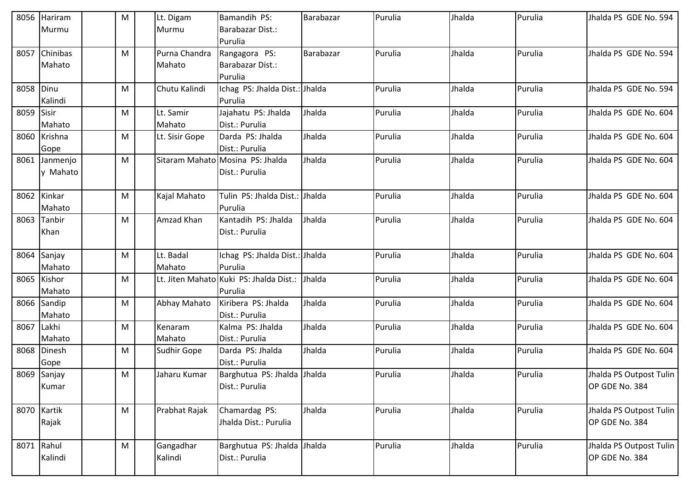|            | 8056 Hariram  | M | Lt. Digam      | Bamandih PS:                            | Barabazar | Purulia | Jhalda | Purulia | Jhalda PS GDE No. 594   |
|------------|---------------|---|----------------|-----------------------------------------|-----------|---------|--------|---------|-------------------------|
|            | Murmu         |   | Murmu          | Barabazar Dist.:                        |           |         |        |         |                         |
|            |               |   |                | Purulia                                 |           |         |        |         |                         |
| 8057       | Chinibas      | M | Purna Chandra  | Rangagora PS:                           | Barabazar | Purulia | Jhalda | Purulia | Jhalda PS GDE No. 594   |
|            | Mahato        |   | Mahato         | Barabazar Dist.:                        |           |         |        |         |                         |
|            |               |   |                | Purulia                                 |           |         |        |         |                         |
| 8058 Dinu  |               | M | Chutu Kalindi  | Ichag PS: Jhalda Dist.: Jhalda          |           | Purulia | Jhalda | Purulia | Jhalda PS GDE No. 594   |
|            | Kalindi       |   |                | Purulia                                 |           |         |        |         |                         |
| 8059 Sisir |               | M | Lt. Samir      | Jajahatu PS: Jhalda                     | Jhalda    | Purulia | Jhalda | Purulia | Jhalda PS GDE No. 604   |
|            | Mahato        |   | Mahato         | Dist.: Purulia                          |           |         |        |         |                         |
|            | 8060 Krishna  | M | Lt. Sisir Gope | Darda PS: Jhalda                        | Jhalda    | Purulia | Jhalda | Purulia | Jhalda PS GDE No. 604   |
|            | Gope          |   |                | Dist.: Purulia                          |           |         |        |         |                         |
|            | 8061 Janmenjo | м |                | Sitaram Mahato Mosina PS: Jhalda        | Jhalda    | Purulia | Jhalda | Purulia | Jhalda PS GDE No. 604   |
|            | y Mahato      |   |                | Dist.: Purulia                          |           |         |        |         |                         |
|            |               |   |                |                                         |           |         |        |         |                         |
|            | 8062 Kinkar   | M | Kajal Mahato   | Tulin PS: Jhalda Dist.: Jhalda          |           | Purulia | Jhalda | Purulia | Jhalda PS GDE No. 604   |
|            | Mahato        |   |                | Purulia                                 |           |         |        |         |                         |
|            | 8063 Tanbir   | M | Amzad Khan     | Kantadih PS: Jhalda                     | Jhalda    | Purulia | Jhalda | Purulia | Jhalda PS GDE No. 604   |
|            | Khan          |   |                | Dist.: Purulia                          |           |         |        |         |                         |
|            |               |   |                |                                         |           |         |        |         |                         |
|            | 8064 Sanjay   | M | Lt. Badal      | Ichag PS: Jhalda Dist.: Jhalda          |           | Purulia | Jhalda | Purulia | Jhalda PS GDE No. 604   |
|            | Mahato        |   | Mahato         | Purulia                                 |           |         |        |         |                         |
|            | 8065 Kishor   | M |                | Lt. Jiten Mahato Kuki PS: Jhalda Dist.: | Jhalda    | Purulia | Jhalda | Purulia | Jhalda PS GDE No. 604   |
|            | Mahato        |   |                | Purulia                                 |           |         |        |         |                         |
|            | 8066 Sandip   | M | Abhay Mahato   | Kiribera PS: Jhalda                     | Jhalda    | Purulia | Jhalda | Purulia | Jhalda PS GDE No. 604   |
|            | Mahato        |   |                | Dist.: Purulia                          |           |         |        |         |                         |
| 8067 Lakhi |               | M | Kenaram        | Kalma PS: Jhalda                        | Jhalda    | Purulia | Jhalda | Purulia | Jhalda PS GDE No. 604   |
|            | Mahato        |   | Mahato         | Dist.: Purulia                          |           |         |        |         |                         |
|            | 8068 Dinesh   | M | Sudhir Gope    | Darda PS: Jhalda                        | Jhalda    | Purulia | Jhalda | Purulia | Jhalda PS GDE No. 604   |
|            | Gope          |   |                | Dist.: Purulia                          |           |         |        |         |                         |
|            | 8069 Sanjay   | M | Jaharu Kumar   | Barghutua PS: Jhalda Jhalda             |           | Purulia | Jhalda | Purulia | Jhalda PS Outpost Tulin |
|            | Kumar         |   |                | Dist.: Purulia                          |           |         |        |         | OP GDE No. 384          |
|            |               |   |                |                                         |           |         |        |         |                         |
|            | 8070 Kartik   | M | Prabhat Rajak  | Chamardag PS:                           | Jhalda    | Purulia | Jhalda | Purulia | Jhalda PS Outpost Tulin |
|            | Rajak         |   |                | Jhalda Dist.: Purulia                   |           |         |        |         | OP GDE No. 384          |
|            |               |   |                |                                         |           |         |        |         |                         |
|            | 8071 Rahul    | M | Gangadhar      | Barghutua PS: Jhalda Jhalda             |           | Purulia | Jhalda | Purulia | Jhalda PS Outpost Tulin |
|            | Kalindi       |   | Kalindi        | Dist.: Purulia                          |           |         |        |         | OP GDE No. 384          |
|            |               |   |                |                                         |           |         |        |         |                         |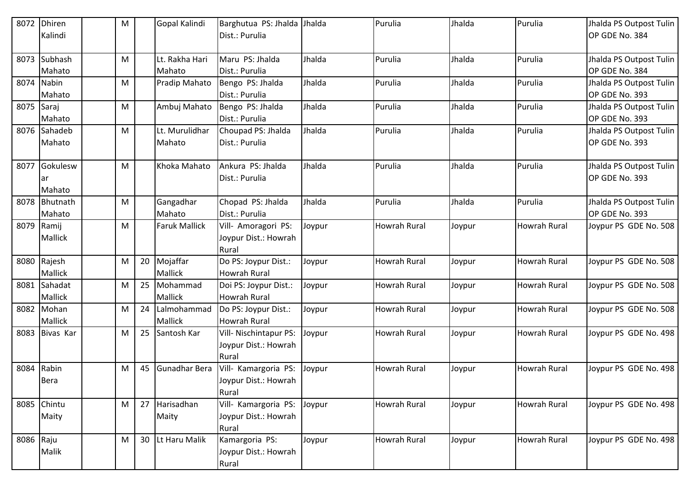| 8072      | <b>Dhiren</b><br>Kalindi | M |    | Gopal Kalindi            | Barghutua PS: Jhalda<br>Dist.: Purulia                  | Jhalda | Purulia             | Jhalda | Purulia             | Jhalda PS Outpost Tulin<br>OP GDE No. 384 |
|-----------|--------------------------|---|----|--------------------------|---------------------------------------------------------|--------|---------------------|--------|---------------------|-------------------------------------------|
| 8073      | Subhash<br>Mahato        | M |    | Lt. Rakha Hari<br>Mahato | Maru PS: Jhalda<br>Dist.: Purulia                       | Jhalda | Purulia             | Jhalda | Purulia             | Jhalda PS Outpost Tulin<br>OP GDE No. 384 |
| 8074      | Nabin<br>Mahato          | M |    | Pradip Mahato            | Bengo PS: Jhalda<br>Dist.: Purulia                      | Jhalda | Purulia             | Jhalda | Purulia             | Jhalda PS Outpost Tulin<br>OP GDE No. 393 |
| 8075      | Saraj<br>Mahato          | M |    | Ambuj Mahato             | Bengo PS: Jhalda<br>Dist.: Purulia                      | Jhalda | Purulia             | Jhalda | Purulia             | Jhalda PS Outpost Tulin<br>OP GDE No. 393 |
| 8076      | Sahadeb<br>Mahato        | M |    | Lt. Murulidhar<br>Mahato | Choupad PS: Jhalda<br>Dist.: Purulia                    | Jhalda | Purulia             | Jhalda | Purulia             | Jhalda PS Outpost Tulin<br>OP GDE No. 393 |
| 8077      | Gokulesw<br>ar<br>Mahato | M |    | Khoka Mahato             | Ankura PS: Jhalda<br>Dist.: Purulia                     | Jhalda | Purulia             | Jhalda | Purulia             | Jhalda PS Outpost Tulin<br>OP GDE No. 393 |
|           | 8078 Bhutnath<br>Mahato  | M |    | Gangadhar<br>Mahato      | Chopad PS: Jhalda<br>Dist.: Purulia                     | Jhalda | Purulia             | Jhalda | Purulia             | Jhalda PS Outpost Tulin<br>OP GDE No. 393 |
| 8079      | Ramij<br>Mallick         | M |    | <b>Faruk Mallick</b>     | Vill- Amoragori PS:<br>Joypur Dist.: Howrah<br>Rural    | Joypur | Howrah Rural        | Joypur | <b>Howrah Rural</b> | Joypur PS GDE No. 508                     |
|           | 8080 Rajesh<br>Mallick   | M | 20 | Mojaffar<br>Mallick      | Do PS: Joypur Dist.:<br><b>Howrah Rural</b>             | Joypur | <b>Howrah Rural</b> | Joypur | <b>Howrah Rural</b> | Joypur PS GDE No. 508                     |
| 8081      | Sahadat<br>Mallick       | M |    | 25 Mohammad<br>Mallick   | Doi PS: Joypur Dist.:<br><b>Howrah Rural</b>            | Joypur | <b>Howrah Rural</b> | Joypur | <b>Howrah Rural</b> | Joypur PS GDE No. 508                     |
|           | 8082 Mohan<br>Mallick    | M | 24 | Lalmohammad<br>Mallick   | Do PS: Joypur Dist.:<br><b>Howrah Rural</b>             | Joypur | <b>Howrah Rural</b> | Joypur | <b>Howrah Rural</b> | Joypur PS GDE No. 508                     |
| 8083      | Bivas Kar                | M | 25 | Santosh Kar              | Vill- Nischintapur PS:<br>Joypur Dist.: Howrah<br>Rural | Joypur | <b>Howrah Rural</b> | Joypur | <b>Howrah Rural</b> | Joypur PS GDE No. 498                     |
| 8084      | Rabin<br><b>Bera</b>     | M |    | 45 Gunadhar Bera         | Vill- Kamargoria PS:<br>Joypur Dist.: Howrah<br>Rural   | Joypur | <b>Howrah Rural</b> | Joypur | <b>Howrah Rural</b> | Joypur PS GDE No. 498                     |
|           | 8085 Chintu<br>Maity     | M |    | 27 Harisadhan<br>Maity   | Vill- Kamargoria PS:<br>Joypur Dist.: Howrah<br>Rural   | Joypur | <b>Howrah Rural</b> | Joypur | <b>Howrah Rural</b> | Joypur PS GDE No. 498                     |
| 8086 Raju | Malik                    | M |    | 30  Lt Haru Malik        | Kamargoria PS:<br>Joypur Dist.: Howrah<br>Rural         | Joypur | <b>Howrah Rural</b> | Joypur | Howrah Rural        | Joypur PS GDE No. 498                     |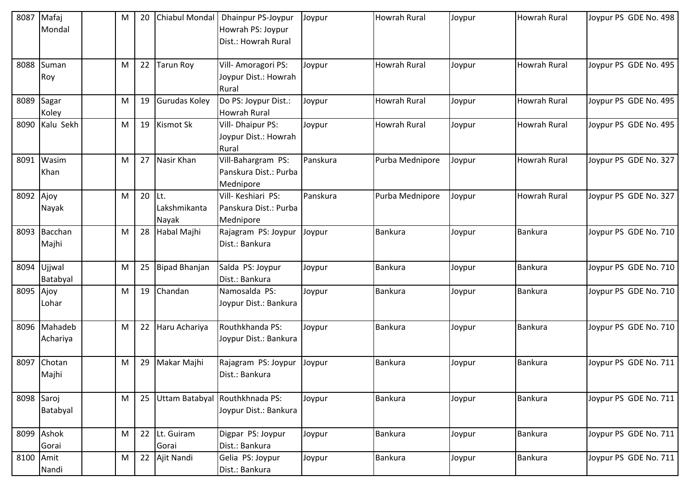| 8087       | Mafaj                    | M | 20 | Chiabul Mondal                | Dhainpur PS-Joypur                                       | Joypur   | <b>Howrah Rural</b> | Joypur | <b>Howrah Rural</b> | Joypur PS GDE No. 498 |
|------------|--------------------------|---|----|-------------------------------|----------------------------------------------------------|----------|---------------------|--------|---------------------|-----------------------|
|            | Mondal                   |   |    |                               | Howrah PS: Joypur<br>Dist.: Howrah Rural                 |          |                     |        |                     |                       |
|            | 8088 Suman               | M | 22 | <b>Tarun Roy</b>              | Vill-Amoragori PS:                                       | Joypur   | <b>Howrah Rural</b> | Joypur | <b>Howrah Rural</b> | Joypur PS GDE No. 495 |
|            | Roy                      |   |    |                               | Joypur Dist.: Howrah<br>Rural                            |          |                     |        |                     |                       |
| 8089       | Sagar<br>Koley           | M | 19 | <b>Gurudas Koley</b>          | Do PS: Joypur Dist.:<br>Howrah Rural                     | Joypur   | <b>Howrah Rural</b> | Joypur | Howrah Rural        | Joypur PS GDE No. 495 |
|            | 8090 Kalu Sekh           | M | 19 | <b>Kismot Sk</b>              | Vill- Dhaipur PS:<br>Joypur Dist.: Howrah<br>Rural       | Joypur   | Howrah Rural        | Joypur | <b>Howrah Rural</b> | Joypur PS GDE No. 495 |
|            | 8091 Wasim<br>Khan       | M | 27 | Nasir Khan                    | Vill-Bahargram PS:<br>Panskura Dist.: Purba<br>Mednipore | Panskura | Purba Mednipore     | Joypur | <b>Howrah Rural</b> | Joypur PS GDE No. 327 |
| 8092 Ajoy  | Nayak                    | M | 20 | ILt.<br>Lakshmikanta<br>Nayak | Vill-Keshiari PS:<br>Panskura Dist.: Purba<br>Mednipore  | Panskura | Purba Mednipore     | Joypur | <b>Howrah Rural</b> | Joypur PS GDE No. 327 |
|            | 8093 Bacchan<br>Majhi    | M | 28 | Habal Majhi                   | Rajagram PS: Joypur<br>Dist.: Bankura                    | Joypur   | <b>Bankura</b>      | Joypur | <b>Bankura</b>      | Joypur PS GDE No. 710 |
| 8094       | Ujjwal<br>Batabyal       | M | 25 | <b>Bipad Bhanjan</b>          | Salda PS: Joypur<br>Dist.: Bankura                       | Joypur   | <b>Bankura</b>      | Joypur | Bankura             | Joypur PS GDE No. 710 |
| 8095 Ajoy  | Lohar                    | M | 19 | Chandan                       | Namosalda PS:<br>Joypur Dist.: Bankura                   | Joypur   | <b>Bankura</b>      | Joypur | <b>Bankura</b>      | Joypur PS GDE No. 710 |
|            | 8096 Mahadeb<br>Achariya | M | 22 | Haru Achariya                 | Routhkhanda PS:<br>Joypur Dist.: Bankura                 | Joypur   | <b>Bankura</b>      | Joypur | Bankura             | Joypur PS GDE No. 710 |
| 8097       | Chotan<br>Majhi          | M | 29 | Makar Majhi                   | Rajagram PS: Joypur<br>Dist.: Bankura                    | Joypur   | <b>Bankura</b>      | Joypur | Bankura             | Joypur PS GDE No. 711 |
| 8098 Saroj | Batabyal                 | M | 25 |                               | Uttam Batabyal Routhkhnada PS:<br>Joypur Dist.: Bankura  | Joypur   | <b>Bankura</b>      | Joypur | <b>Bankura</b>      | Joypur PS GDE No. 711 |
|            | 8099 Ashok<br>Gorai      | M | 22 | Lt. Guiram<br>Gorai           | Digpar PS: Joypur<br>Dist.: Bankura                      | Joypur   | <b>Bankura</b>      | Joypur | <b>Bankura</b>      | Joypur PS GDE No. 711 |
| 8100 Amit  | Nandi                    | M | 22 | Ajit Nandi                    | Gelia PS: Joypur<br>Dist.: Bankura                       | Joypur   | <b>Bankura</b>      | Joypur | <b>Bankura</b>      | Joypur PS GDE No. 711 |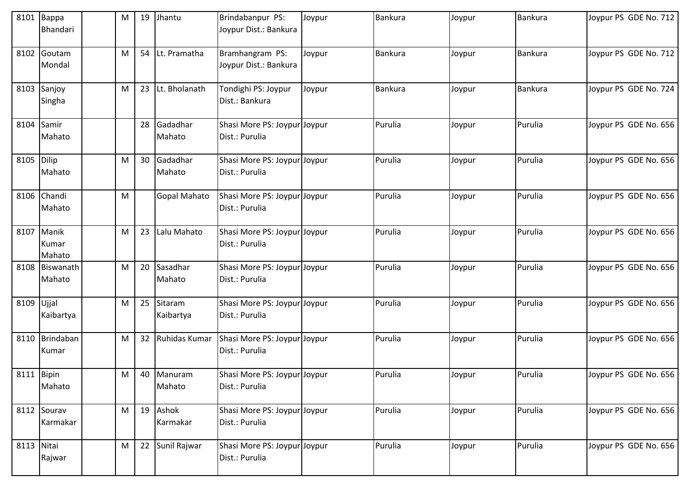|            | 8101 Bappa<br>Bhandari        | M | 19 | Jhantu                | Brindabanpur PS:<br>Joypur Dist.: Bankura      | Joypur | <b>Bankura</b> | Joypur | Bankura        | Joypur PS GDE No. 712 |
|------------|-------------------------------|---|----|-----------------------|------------------------------------------------|--------|----------------|--------|----------------|-----------------------|
|            | 8102 Goutam<br>Mondal         | M |    | 54 Lt. Pramatha       | Bramhangram PS:<br>Joypur Dist.: Bankura       | Joypur | Bankura        | Joypur | <b>Bankura</b> | Joypur PS GDE No. 712 |
|            | 8103 Sanjoy<br>Singha         | M |    | 23 Lt. Bholanath      | Tondighi PS: Joypur<br>Dist.: Bankura          | Joypur | Bankura        | Joypur | <b>Bankura</b> | Joypur PS GDE No. 724 |
| 8104 Samir | Mahato                        |   | 28 | Gadadhar<br>Mahato    | Shasi More PS: Joypur Joypur<br>Dist.: Purulia |        | Purulia        | Joypur | Purulia        | Joypur PS GDE No. 656 |
| 8105 Dilip | Mahato                        | M |    | 30 Gadadhar<br>Mahato | Shasi More PS: Joypur Joypur<br>Dist.: Purulia |        | Purulia        | Joypur | Purulia        | Joypur PS GDE No. 656 |
|            | 8106 Chandi<br>Mahato         | M |    | <b>Gopal Mahato</b>   | Shasi More PS: Joypur Joypur<br>Dist.: Purulia |        | Purulia        | Joypur | Purulia        | Joypur PS GDE No. 656 |
|            | 8107 Manik<br>Kumar<br>Mahato | M | 23 | Lalu Mahato           | Shasi More PS: Joypur Joypur<br>Dist.: Purulia |        | Purulia        | Joypur | Purulia        | Joypur PS GDE No. 656 |
|            | 8108 Biswanath<br>Mahato      | M | 20 | Sasadhar<br>Mahato    | Shasi More PS: Joypur Joypur<br>Dist.: Purulia |        | Purulia        | Joypur | Purulia        | Joypur PS GDE No. 656 |
| 8109 Ujjal | Kaibartya                     | M | 25 | Sitaram<br>Kaibartya  | Shasi More PS: Joypur Joypur<br>Dist.: Purulia |        | Purulia        | Joypur | Purulia        | Joypur PS GDE No. 656 |
|            | 8110 Brindaban<br>Kumar       | M |    | 32 Ruhidas Kumar      | Shasi More PS: Joypur Joypur<br>Dist.: Purulia |        | Purulia        | Joypur | Purulia        | Joypur PS GDE No. 656 |
| 8111 Bipin | Mahato                        | M |    | 40 Manuram<br>Mahato  | Shasi More PS: Joypur Joypur<br>Dist.: Purulia |        | Purulia        | Joypur | Purulia        | Joypur PS GDE No. 656 |
|            | 8112 Sourav<br>Karmakar       | M |    | 19 Ashok<br>Karmakar  | Shasi More PS: Joypur Joypur<br>Dist.: Purulia |        | Purulia        | Joypur | Purulia        | Joypur PS GDE No. 656 |
| 8113 Nitai | Rajwar                        | M |    | 22 Sunil Rajwar       | Shasi More PS: Joypur Joypur<br>Dist.: Purulia |        | Purulia        | Joypur | Purulia        | Joypur PS GDE No. 656 |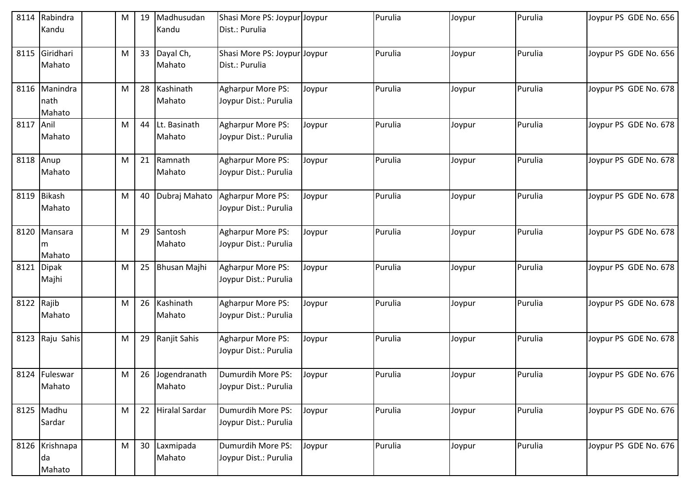| 8114       | Rabindra<br>Kandu               | M |    | 19 Madhusudan<br>Kandu    | Shasi More PS: Joypur Joypur<br>Dist.: Purulia    |        | Purulia | Joypur | Purulia | Joypur PS GDE No. 656 |
|------------|---------------------------------|---|----|---------------------------|---------------------------------------------------|--------|---------|--------|---------|-----------------------|
| 8115       | Giridhari<br>Mahato             | M |    | 33 Dayal Ch,<br>Mahato    | Shasi More PS: Joypur Joypur<br>Dist.: Purulia    |        | Purulia | Joypur | Purulia | Joypur PS GDE No. 656 |
|            | 8116 Manindra<br>nath<br>Mahato | M |    | 28 Kashinath<br>Mahato    | Agharpur More PS:<br>Joypur Dist.: Purulia        | Joypur | Purulia | Joypur | Purulia | Joypur PS GDE No. 678 |
| 8117 Anil  | Mahato                          | M | 44 | Lt. Basinath<br>Mahato    | Agharpur More PS:<br>Joypur Dist.: Purulia        | Joypur | Purulia | Joypur | Purulia | Joypur PS GDE No. 678 |
| 8118       | Anup<br>Mahato                  | M |    | 21 Ramnath<br>Mahato      | Agharpur More PS:<br>Joypur Dist.: Purulia        | Joypur | Purulia | Joypur | Purulia | Joypur PS GDE No. 678 |
|            | 8119 Bikash<br>Mahato           | M | 40 | Dubraj Mahato             | <b>Agharpur More PS:</b><br>Joypur Dist.: Purulia | Joypur | Purulia | Joypur | Purulia | Joypur PS GDE No. 678 |
| 8120       | Mansara<br>m<br>Mahato          | M |    | 29 Santosh<br>Mahato      | Agharpur More PS:<br>Joypur Dist.: Purulia        | Joypur | Purulia | Joypur | Purulia | Joypur PS GDE No. 678 |
| 8121       | <b>Dipak</b><br>Majhi           | M | 25 | <b>Bhusan Majhi</b>       | Agharpur More PS:<br>Joypur Dist.: Purulia        | Joypur | Purulia | Joypur | Purulia | Joypur PS GDE No. 678 |
| 8122 Rajib | Mahato                          | M |    | 26 Kashinath<br>Mahato    | Agharpur More PS:<br>Joypur Dist.: Purulia        | Joypur | Purulia | Joypur | Purulia | Joypur PS GDE No. 678 |
| 8123       | Raju Sahis                      | M |    | 29 Ranjit Sahis           | Agharpur More PS:<br>Joypur Dist.: Purulia        | Joypur | Purulia | Joypur | Purulia | Joypur PS GDE No. 678 |
|            | 8124 Fuleswar<br>Mahato         | M |    | 26 Jogendranath<br>Mahato | Dumurdih More PS:<br>Joypur Dist.: Purulia        | Joypur | Purulia | Joypur | Purulia | Joypur PS GDE No. 676 |
|            | 8125 Madhu<br>Sardar            | M |    | 22 Hiralal Sardar         | Dumurdih More PS:<br>Joypur Dist.: Purulia        | Joypur | Purulia | Joypur | Purulia | Joypur PS GDE No. 676 |
|            | 8126 Krishnapa<br>da<br>Mahato  | M |    | 30 Laxmipada<br>Mahato    | Dumurdih More PS:<br>Joypur Dist.: Purulia        | Joypur | Purulia | Joypur | Purulia | Joypur PS GDE No. 676 |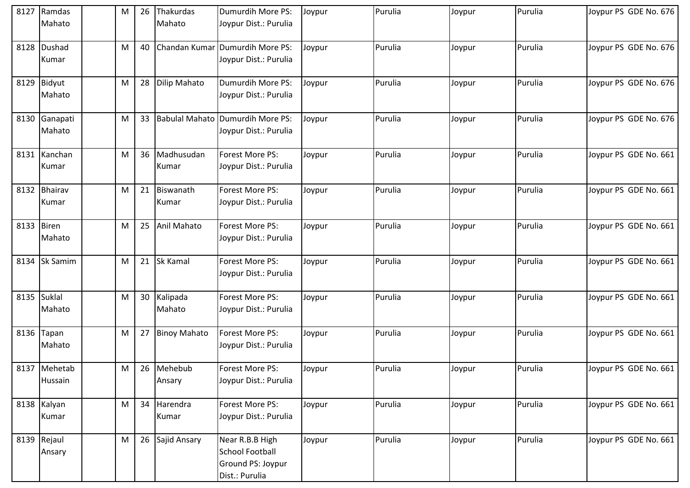| 8127       | Ramdas                  | M | 26 | Thakurdas             | Dumurdih More PS:                                                                | Joypur | Purulia | Joypur | Purulia | Joypur PS GDE No. 676 |
|------------|-------------------------|---|----|-----------------------|----------------------------------------------------------------------------------|--------|---------|--------|---------|-----------------------|
|            | Mahato                  |   |    | Mahato                | Joypur Dist.: Purulia                                                            |        |         |        |         |                       |
| 8128       | Dushad<br>Kumar         | M | 40 |                       | Chandan Kumar Dumurdih More PS:<br>Joypur Dist.: Purulia                         | Joypur | Purulia | Joypur | Purulia | Joypur PS GDE No. 676 |
|            | 8129 Bidyut<br>Mahato   | M | 28 | <b>Dilip Mahato</b>   | Dumurdih More PS:<br>Joypur Dist.: Purulia                                       | Joypur | Purulia | Joypur | Purulia | Joypur PS GDE No. 676 |
| 8130       | Ganapati<br>Mahato      | M |    |                       | 33 Babulal Mahato Dumurdih More PS:<br>Joypur Dist.: Purulia                     | Joypur | Purulia | Joypur | Purulia | Joypur PS GDE No. 676 |
|            | 8131 Kanchan<br>Kumar   | M | 36 | Madhusudan<br>Kumar   | Forest More PS:<br>Joypur Dist.: Purulia                                         | Joypur | Purulia | Joypur | Purulia | Joypur PS GDE No. 661 |
|            | 8132 Bhairav<br>Kumar   | M | 21 | Biswanath<br>Kumar    | Forest More PS:<br>Joypur Dist.: Purulia                                         | Joypur | Purulia | Joypur | Purulia | Joypur PS GDE No. 661 |
| 8133 Biren | Mahato                  | M | 25 | Anil Mahato           | Forest More PS:<br>Joypur Dist.: Purulia                                         | Joypur | Purulia | Joypur | Purulia | Joypur PS GDE No. 661 |
| 8134       | <b>Sk Samim</b>         | M | 21 | <b>Sk Kamal</b>       | Forest More PS:<br>Joypur Dist.: Purulia                                         | Joypur | Purulia | Joypur | Purulia | Joypur PS GDE No. 661 |
|            | 8135 Suklal<br>Mahato   | M |    | 30 Kalipada<br>Mahato | Forest More PS:<br>Joypur Dist.: Purulia                                         | Joypur | Purulia | Joypur | Purulia | Joypur PS GDE No. 661 |
| 8136       | Tapan<br>Mahato         | M | 27 | <b>Binoy Mahato</b>   | Forest More PS:<br>Joypur Dist.: Purulia                                         | Joypur | Purulia | Joypur | Purulia | Joypur PS GDE No. 661 |
|            | 8137 Mehetab<br>Hussain | M | 26 | Mehebub<br>Ansary     | Forest More PS:<br>Joypur Dist.: Purulia                                         | Joypur | Purulia | Joypur | Purulia | Joypur PS GDE No. 661 |
|            | 8138 Kalyan<br>Kumar    | M |    | 34 Harendra<br>Kumar  | Forest More PS:<br>Joypur Dist.: Purulia                                         | Joypur | Purulia | Joypur | Purulia | Joypur PS GDE No. 661 |
|            | 8139 Rejaul<br>Ansary   | M |    | 26 Sajid Ansary       | Near R.B.B High<br><b>School Football</b><br>Ground PS: Joypur<br>Dist.: Purulia | Joypur | Purulia | Joypur | Purulia | Joypur PS GDE No. 661 |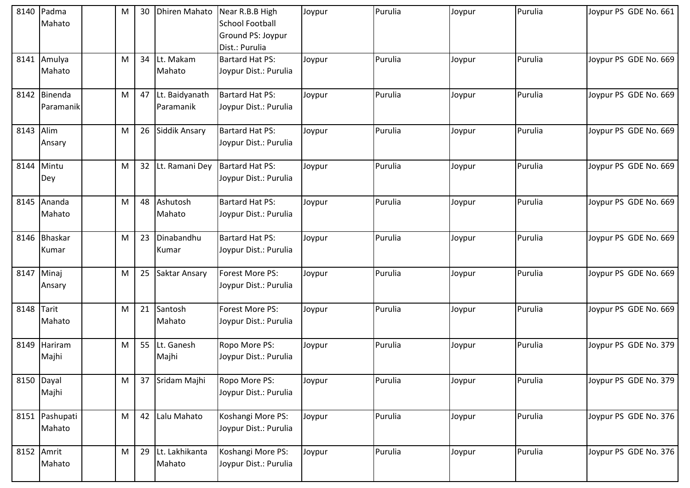|            | 8140 Padma<br>Mahato     | M | 30              | <b>Dhiren Mahato</b>        | Near R.B.B High<br><b>School Football</b><br>Ground PS: Joypur<br>Dist.: Purulia | Joypur | Purulia | Joypur | Purulia | Joypur PS GDE No. 661 |
|------------|--------------------------|---|-----------------|-----------------------------|----------------------------------------------------------------------------------|--------|---------|--------|---------|-----------------------|
|            | 8141 Amulya<br>Mahato    | М | 34              | Lt. Makam<br>Mahato         | <b>Bartard Hat PS:</b><br>Joypur Dist.: Purulia                                  | Joypur | Purulia | Joypur | Purulia | Joypur PS GDE No. 669 |
| 8142       | Binenda<br>Paramanik     | M | 47              | Lt. Baidyanath<br>Paramanik | <b>Bartard Hat PS:</b><br>Joypur Dist.: Purulia                                  | Joypur | Purulia | Joypur | Purulia | Joypur PS GDE No. 669 |
| 8143       | Alim<br>Ansary           | M | 26              | Siddik Ansary               | <b>Bartard Hat PS:</b><br>Joypur Dist.: Purulia                                  | Joypur | Purulia | Joypur | Purulia | Joypur PS GDE No. 669 |
| 8144       | Mintu<br>Dey             | M | 32 <sup>2</sup> | Lt. Ramani Dey              | <b>Bartard Hat PS:</b><br>Joypur Dist.: Purulia                                  | Joypur | Purulia | Joypur | Purulia | Joypur PS GDE No. 669 |
|            | 8145 Ananda<br>Mahato    | M | 48              | Ashutosh<br>Mahato          | <b>Bartard Hat PS:</b><br>Joypur Dist.: Purulia                                  | Joypur | Purulia | Joypur | Purulia | Joypur PS GDE No. 669 |
|            | 8146 Bhaskar<br>Kumar    | M | 23              | Dinabandhu<br>Kumar         | <b>Bartard Hat PS:</b><br>Joypur Dist.: Purulia                                  | Joypur | Purulia | Joypur | Purulia | Joypur PS GDE No. 669 |
|            | 8147 Minaj<br>Ansary     | M | 25              | Saktar Ansary               | Forest More PS:<br>Joypur Dist.: Purulia                                         | Joypur | Purulia | Joypur | Purulia | Joypur PS GDE No. 669 |
| 8148 Tarit | Mahato                   | M | 21              | Santosh<br>Mahato           | Forest More PS:<br>Joypur Dist.: Purulia                                         | Joypur | Purulia | Joypur | Purulia | Joypur PS GDE No. 669 |
| 8149       | Hariram<br>Majhi         | M | 55              | Lt. Ganesh<br>Majhi         | Ropo More PS:<br>Joypur Dist.: Purulia                                           | Joypur | Purulia | Joypur | Purulia | Joypur PS GDE No. 379 |
|            | 8150 Dayal<br>Majhi      | M | 37              | Sridam Majhi                | Ropo More PS:<br>Joypur Dist.: Purulia                                           | Joypur | Purulia | Joypur | Purulia | Joypur PS GDE No. 379 |
|            | 8151 Pashupati<br>Mahato | M | 42              | Lalu Mahato                 | Koshangi More PS:<br>Joypur Dist.: Purulia                                       | Joypur | Purulia | Joypur | Purulia | Joypur PS GDE No. 376 |
|            | 8152 Amrit<br>Mahato     | M | 29              | Lt. Lakhikanta<br>Mahato    | Koshangi More PS:<br>Joypur Dist.: Purulia                                       | Joypur | Purulia | Joypur | Purulia | Joypur PS GDE No. 376 |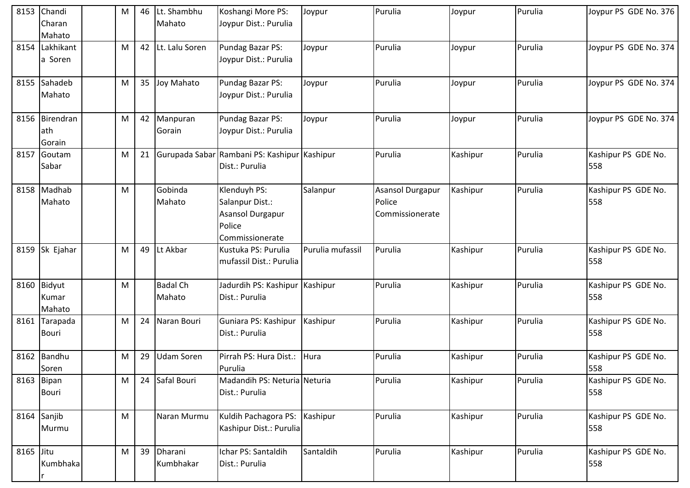| 8153      | Chandi         | M | 46 | Lt. Shambhu       | Koshangi More PS:                            | Joypur           | Purulia          | Joypur   | Purulia | Joypur PS GDE No. 376 |
|-----------|----------------|---|----|-------------------|----------------------------------------------|------------------|------------------|----------|---------|-----------------------|
|           | Charan         |   |    | Mahato            | Joypur Dist.: Purulia                        |                  |                  |          |         |                       |
|           | Mahato         |   |    |                   |                                              |                  |                  |          |         |                       |
|           | 8154 Lakhikant | M | 42 | Lt. Lalu Soren    | Pundag Bazar PS:                             | Joypur           | Purulia          | Joypur   | Purulia | Joypur PS GDE No. 374 |
|           | a Soren        |   |    |                   | Joypur Dist.: Purulia                        |                  |                  |          |         |                       |
|           |                |   |    |                   |                                              |                  |                  |          |         |                       |
|           | 8155 Sahadeb   | M | 35 | Joy Mahato        | Pundag Bazar PS:                             | Joypur           | Purulia          | Joypur   | Purulia | Joypur PS GDE No. 374 |
|           | Mahato         |   |    |                   | Joypur Dist.: Purulia                        |                  |                  |          |         |                       |
|           |                |   |    |                   |                                              |                  |                  |          |         |                       |
|           | 8156 Birendran | M | 42 | Manpuran          | Pundag Bazar PS:                             | Joypur           | Purulia          | Joypur   | Purulia | Joypur PS GDE No. 374 |
|           | ath            |   |    | Gorain            | Joypur Dist.: Purulia                        |                  |                  |          |         |                       |
|           | Gorain         |   |    |                   |                                              |                  |                  |          |         |                       |
| 8157      | Goutam         | M | 21 |                   | Gurupada Sabar Rambani PS: Kashipur Kashipur |                  | Purulia          | Kashipur | Purulia | Kashipur PS GDE No.   |
|           | Sabar          |   |    |                   | Dist.: Purulia                               |                  |                  |          |         | 558                   |
|           |                |   |    |                   |                                              |                  |                  |          |         |                       |
|           | 8158 Madhab    | M |    | Gobinda           | Klenduyh PS:                                 | Salanpur         | Asansol Durgapur | Kashipur | Purulia | Kashipur PS GDE No.   |
|           | Mahato         |   |    | Mahato            | Salanpur Dist.:                              |                  | Police           |          |         | 558                   |
|           |                |   |    |                   | Asansol Durgapur                             |                  | Commissionerate  |          |         |                       |
|           |                |   |    |                   | Police                                       |                  |                  |          |         |                       |
|           |                |   |    |                   | Commissionerate                              |                  |                  |          |         |                       |
|           | 8159 Sk Ejahar | M | 49 | Lt Akbar          | Kustuka PS: Purulia                          | Purulia mufassil | Purulia          | Kashipur | Purulia | Kashipur PS GDE No.   |
|           |                |   |    |                   | mufassil Dist.: Purulia                      |                  |                  |          |         | 558                   |
|           |                |   |    |                   |                                              |                  |                  |          |         |                       |
|           | 8160 Bidyut    | M |    | <b>Badal Ch</b>   | Jadurdih PS: Kashipur Kashipur               |                  | Purulia          | Kashipur | Purulia | Kashipur PS GDE No.   |
|           | Kumar          |   |    | Mahato            | Dist.: Purulia                               |                  |                  |          |         | 558                   |
|           | Mahato         |   |    |                   |                                              |                  |                  |          |         |                       |
|           | 8161 Tarapada  | M | 24 | Naran Bouri       | Guniara PS: Kashipur                         | Kashipur         | Purulia          | Kashipur | Purulia | Kashipur PS GDE No.   |
|           | <b>Bouri</b>   |   |    |                   | Dist.: Purulia                               |                  |                  |          |         | 558                   |
|           |                |   |    |                   |                                              |                  |                  |          |         |                       |
| 8162      | Bandhu         | M | 29 | <b>Udam Soren</b> | Pirrah PS: Hura Dist.:                       | Hura             | Purulia          | Kashipur | Purulia | Kashipur PS GDE No.   |
|           | Soren          |   |    |                   | Purulia                                      |                  |                  |          |         | 558                   |
|           | 8163 Bipan     | M | 24 | Safal Bouri       | Madandih PS: Neturia Neturia                 |                  | Purulia          | Kashipur | Purulia | Kashipur PS GDE No.   |
|           | Bouri          |   |    |                   | Dist.: Purulia                               |                  |                  |          |         | 558                   |
|           |                |   |    |                   |                                              |                  |                  |          |         |                       |
|           | 8164 Sanjib    | M |    | Naran Murmu       | Kuldih Pachagora PS:                         | Kashipur         | Purulia          | Kashipur | Purulia | Kashipur PS GDE No.   |
|           | Murmu          |   |    |                   | Kashipur Dist.: Purulia                      |                  |                  |          |         | 558                   |
|           |                |   |    |                   |                                              |                  |                  |          |         |                       |
| 8165 Jitu |                | M | 39 | Dharani           | Ichar PS: Santaldih                          | Santaldih        | Purulia          | Kashipur | Purulia | Kashipur PS GDE No.   |
|           | Kumbhaka       |   |    | Kumbhakar         | Dist.: Purulia                               |                  |                  |          |         | 558                   |
|           |                |   |    |                   |                                              |                  |                  |          |         |                       |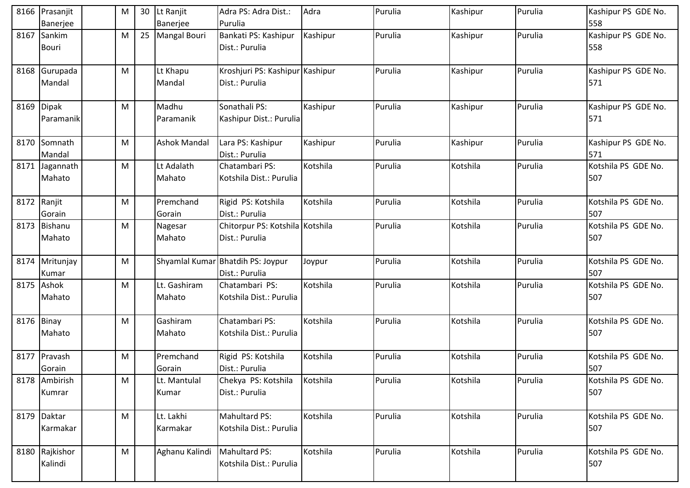|            | 8166 Prasanjit | M | 30 | Lt Ranjit           | Adra PS: Adra Dist.:              | Adra     | Purulia | Kashipur | Purulia | Kashipur PS GDE No. |
|------------|----------------|---|----|---------------------|-----------------------------------|----------|---------|----------|---------|---------------------|
|            | Banerjee       |   |    | Banerjee            | Purulia                           |          |         |          |         | 558                 |
|            | 8167 Sankim    | M |    | 25 Mangal Bouri     | Bankati PS: Kashipur              | Kashipur | Purulia | Kashipur | Purulia | Kashipur PS GDE No. |
|            | <b>Bouri</b>   |   |    |                     | Dist.: Purulia                    |          |         |          |         | 558                 |
|            |                |   |    |                     |                                   |          |         |          |         |                     |
|            | 8168 Gurupada  | M |    | Lt Khapu            | Kroshjuri PS: Kashipur Kashipur   |          | Purulia | Kashipur | Purulia | Kashipur PS GDE No. |
|            | Mandal         |   |    | Mandal              | Dist.: Purulia                    |          |         |          |         | 571                 |
|            |                |   |    | Madhu               | Sonathali PS:                     | Kashipur | Purulia |          | Purulia |                     |
|            | 8169 Dipak     | M |    |                     |                                   |          |         | Kashipur |         | Kashipur PS GDE No. |
|            | Paramanik      |   |    | Paramanik           | Kashipur Dist.: Purulia           |          |         |          |         | 571                 |
|            | 8170 Somnath   | М |    | <b>Ashok Mandal</b> | Lara PS: Kashipur                 | Kashipur | Purulia | Kashipur | Purulia | Kashipur PS GDE No. |
|            | Mandal         |   |    |                     | Dist.: Purulia                    |          |         |          |         | 571                 |
|            | 8171 Jagannath | M |    | Lt Adalath          | Chatambari PS:                    | Kotshila | Purulia | Kotshila | Purulia | Kotshila PS GDE No. |
|            | Mahato         |   |    | Mahato              | Kotshila Dist.: Purulia           |          |         |          |         | 507                 |
|            |                |   |    |                     |                                   |          |         |          |         |                     |
|            | 8172 Ranjit    | М |    | Premchand           | Rigid PS: Kotshila                | Kotshila | Purulia | Kotshila | Purulia | Kotshila PS GDE No. |
|            | Gorain         |   |    | Gorain              | Dist.: Purulia                    |          |         |          |         | 507                 |
| 8173       | Bishanu        | M |    | Nagesar             | Chitorpur PS: Kotshila Kotshila   |          | Purulia | Kotshila | Purulia | Kotshila PS GDE No. |
|            | Mahato         |   |    | Mahato              | Dist.: Purulia                    |          |         |          |         | 507                 |
|            |                |   |    |                     |                                   |          |         |          |         |                     |
|            | 8174 Mritunjay | M |    |                     | Shyamlal Kumar Bhatdih PS: Joypur | Joypur   | Purulia | Kotshila | Purulia | Kotshila PS GDE No. |
|            | Kumar          |   |    |                     | Dist.: Purulia                    |          |         |          |         | 507                 |
|            | 8175 Ashok     | M |    | Lt. Gashiram        | Chatambari PS:                    | Kotshila | Purulia | Kotshila | Purulia | Kotshila PS GDE No. |
|            | Mahato         |   |    | Mahato              | Kotshila Dist.: Purulia           |          |         |          |         | 507                 |
|            |                |   |    |                     |                                   |          |         |          |         |                     |
| 8176 Binay |                | M |    | Gashiram            | Chatambari PS:                    | Kotshila | Purulia | Kotshila | Purulia | Kotshila PS GDE No. |
|            | Mahato         |   |    | Mahato              | Kotshila Dist.: Purulia           |          |         |          |         | 507                 |
|            |                |   |    |                     |                                   |          |         |          |         |                     |
| 8177       | Pravash        | M |    | Premchand           | Rigid PS: Kotshila                | Kotshila | Purulia | Kotshila | Purulia | Kotshila PS GDE No. |
|            | Gorain         |   |    | Gorain              | Dist.: Purulia                    |          |         |          |         | 507                 |
|            | 8178 Ambirish  | M |    | Lt. Mantulal        | Chekya PS: Kotshila               | Kotshila | Purulia | Kotshila | Purulia | Kotshila PS GDE No. |
|            | Kumrar         |   |    | Kumar               | Dist.: Purulia                    |          |         |          |         | 507                 |
|            |                |   |    |                     |                                   |          |         |          |         |                     |
|            | 8179 Daktar    | M |    | Lt. Lakhi           | Mahultard PS:                     | Kotshila | Purulia | Kotshila | Purulia | Kotshila PS GDE No. |
|            | Karmakar       |   |    | Karmakar            | Kotshila Dist.: Purulia           |          |         |          |         | 507                 |
|            |                |   |    |                     |                                   |          |         |          |         |                     |
|            | 8180 Rajkishor | M |    | Aghanu Kalindi      | Mahultard PS:                     | Kotshila | Purulia | Kotshila | Purulia | Kotshila PS GDE No. |
|            | Kalindi        |   |    |                     | Kotshila Dist.: Purulia           |          |         |          |         | 507                 |
|            |                |   |    |                     |                                   |          |         |          |         |                     |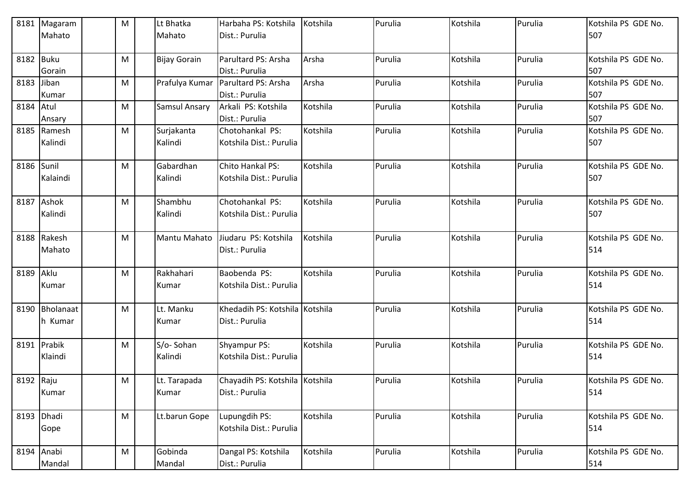|            | 8181 Magaram<br>Mahato    | M         | Lt Bhatka<br>Mahato   | Harbaha PS: Kotshila<br>Dist.: Purulia           | Kotshila | Purulia | Kotshila | Purulia | Kotshila PS GDE No.<br>507 |
|------------|---------------------------|-----------|-----------------------|--------------------------------------------------|----------|---------|----------|---------|----------------------------|
| 8182 Buku  | Gorain                    | M         | <b>Bijay Gorain</b>   | Parultard PS: Arsha<br>Dist.: Purulia            | Arsha    | Purulia | Kotshila | Purulia | Kotshila PS GDE No.<br>507 |
| 8183 Jiban | Kumar                     | M         | Prafulya Kumar        | Parultard PS: Arsha<br>Dist.: Purulia            | Arsha    | Purulia | Kotshila | Purulia | Kotshila PS GDE No.<br>507 |
| 8184 Atul  | Ansary                    | M         | <b>Samsul Ansary</b>  | Arkali PS: Kotshila<br>Dist.: Purulia            | Kotshila | Purulia | Kotshila | Purulia | Kotshila PS GDE No.<br>507 |
|            | 8185 Ramesh<br>Kalindi    | M         | Surjakanta<br>Kalindi | Chotohankal PS:<br>Kotshila Dist.: Purulia       | Kotshila | Purulia | Kotshila | Purulia | Kotshila PS GDE No.<br>507 |
| 8186 Sunil | Kalaindi                  | M         | Gabardhan<br>Kalindi  | Chito Hankal PS:<br>Kotshila Dist.: Purulia      | Kotshila | Purulia | Kotshila | Purulia | Kotshila PS GDE No.<br>507 |
|            | 8187 Ashok<br>Kalindi     | M         | Shambhu<br>Kalindi    | Chotohankal PS:<br>Kotshila Dist.: Purulia       | Kotshila | Purulia | Kotshila | Purulia | Kotshila PS GDE No.<br>507 |
|            | 8188 Rakesh<br>Mahato     | M         | Mantu Mahato          | Jiudaru PS: Kotshila<br>Dist.: Purulia           | Kotshila | Purulia | Kotshila | Purulia | Kotshila PS GDE No.<br>514 |
| 8189 Aklu  | Kumar                     | M         | Rakhahari<br>Kumar    | Baobenda PS:<br>Kotshila Dist.: Purulia          | Kotshila | Purulia | Kotshila | Purulia | Kotshila PS GDE No.<br>514 |
|            | 8190 Bholanaat<br>h Kumar | M         | Lt. Manku<br>Kumar    | Khedadih PS: Kotshila Kotshila<br>Dist.: Purulia |          | Purulia | Kotshila | Purulia | Kotshila PS GDE No.<br>514 |
|            | 8191 Prabik<br>Klaindi    | M         | S/o-Sohan<br>Kalindi  | Shyampur PS:<br>Kotshila Dist.: Purulia          | Kotshila | Purulia | Kotshila | Purulia | Kotshila PS GDE No.<br>514 |
| 8192 Raju  | Kumar                     | M         | Lt. Tarapada<br>Kumar | Chayadih PS: Kotshila Kotshila<br>Dist.: Purulia |          | Purulia | Kotshila | Purulia | Kotshila PS GDE No.<br>514 |
| 8193 Dhadi | Gope                      | M         | Lt.barun Gope         | Lupungdih PS:<br>Kotshila Dist.: Purulia         | Kotshila | Purulia | Kotshila | Purulia | Kotshila PS GDE No.<br>514 |
|            | 8194 Anabi<br>Mandal      | ${\sf M}$ | Gobinda<br>Mandal     | Dangal PS: Kotshila<br>Dist.: Purulia            | Kotshila | Purulia | Kotshila | Purulia | Kotshila PS GDE No.<br>514 |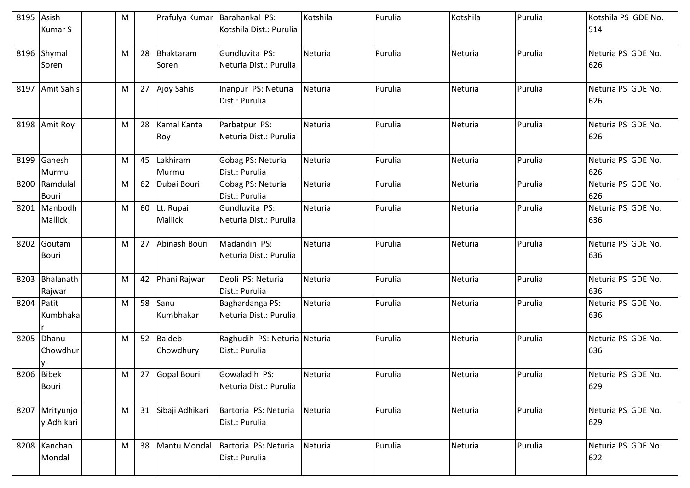| 8195       | Asish<br><b>Kumar S</b>      | M |    | Prafulya Kumar                 | Barahankal PS:<br>Kotshila Dist.: Purulia      | Kotshila | Purulia | Kotshila | Purulia | Kotshila PS GDE No.<br>514 |
|------------|------------------------------|---|----|--------------------------------|------------------------------------------------|----------|---------|----------|---------|----------------------------|
| 8196       | Shymal<br>Soren              | M | 28 | Bhaktaram<br>Soren             | Gundluvita PS:<br>Neturia Dist.: Purulia       | Neturia  | Purulia | Neturia  | Purulia | Neturia PS GDE No.<br>626  |
|            | 8197 Amit Sahis              | M |    | 27 Ajoy Sahis                  | Inanpur PS: Neturia<br>Dist.: Purulia          | Neturia  | Purulia | Neturia  | Purulia | Neturia PS GDE No.<br>626  |
|            | 8198 Amit Roy                | M | 28 | Kamal Kanta<br>Roy             | Parbatpur PS:<br>Neturia Dist.: Purulia        | Neturia  | Purulia | Neturia  | Purulia | Neturia PS GDE No.<br>626  |
| 8199       | Ganesh<br>Murmu              | M | 45 | Lakhiram<br>Murmu              | Gobag PS: Neturia<br>Dist.: Purulia            | Neturia  | Purulia | Neturia  | Purulia | Neturia PS GDE No.<br>626  |
| 8200       | Ramdulal<br><b>Bouri</b>     | M | 62 | Dubai Bouri                    | Gobag PS: Neturia<br>Dist.: Purulia            | Neturia  | Purulia | Neturia  | Purulia | Neturia PS GDE No.<br>626  |
| 8201       | Manbodh<br>Mallick           | M |    | 60 Lt. Rupai<br><b>Mallick</b> | Gundluvita PS:<br>Neturia Dist.: Purulia       | Neturia  | Purulia | Neturia  | Purulia | Neturia PS GDE No.<br>636  |
|            | 8202 Goutam<br><b>Bouri</b>  | M | 27 | Abinash Bouri                  | Madandih PS:<br>Neturia Dist.: Purulia         | Neturia  | Purulia | Neturia  | Purulia | Neturia PS GDE No.<br>636  |
| 8203       | Bhalanath<br>Rajwar          | M |    | 42 Phani Rajwar                | Deoli PS: Neturia<br>Dist.: Purulia            | Neturia  | Purulia | Neturia  | Purulia | Neturia PS GDE No.<br>636  |
| 8204 Patit | Kumbhaka                     | M |    | 58 Sanu<br>Kumbhakar           | Baghardanga PS:<br>Neturia Dist.: Purulia      | Neturia  | Purulia | Neturia  | Purulia | Neturia PS GDE No.<br>636  |
| 8205       | Dhanu<br>Chowdhur            | M |    | 52 Baldeb<br>Chowdhury         | Raghudih PS: Neturia Neturia<br>Dist.: Purulia |          | Purulia | Neturia  | Purulia | Neturia PS GDE No.<br>636  |
| 8206 Bibek | Bouri                        | M |    | 27 Gopal Bouri                 | Gowaladih PS:<br>Neturia Dist.: Purulia        | Neturia  | Purulia | Neturia  | Purulia | Neturia PS GDE No.<br>629  |
|            | 8207 Mrityunjo<br>y Adhikari | M |    | 31 Sibaji Adhikari             | Bartoria PS: Neturia<br>Dist.: Purulia         | Neturia  | Purulia | Neturia  | Purulia | Neturia PS GDE No.<br>629  |
|            | 8208 Kanchan<br>Mondal       | M |    | 38 Mantu Mondal                | Bartoria PS: Neturia<br>Dist.: Purulia         | Neturia  | Purulia | Neturia  | Purulia | Neturia PS GDE No.<br>622  |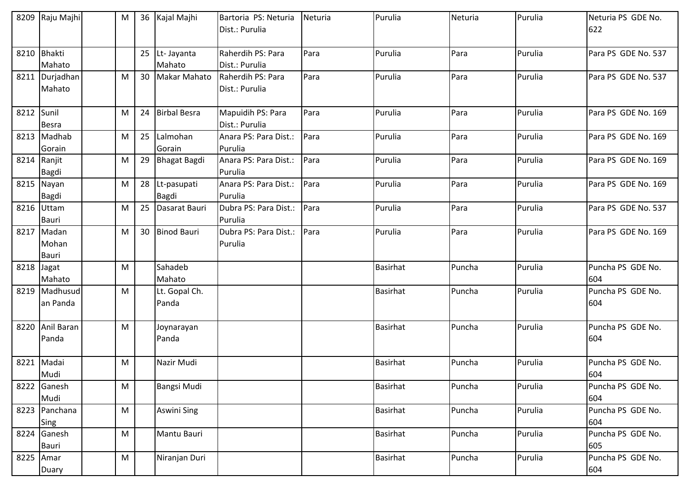|            | 8209 Raju Majhi | M |    | 36 Kajal Majhi      | Bartoria PS: Neturia  | Neturia | Purulia         | Neturia | Purulia | Neturia PS GDE No.  |
|------------|-----------------|---|----|---------------------|-----------------------|---------|-----------------|---------|---------|---------------------|
|            |                 |   |    |                     | Dist.: Purulia        |         |                 |         |         | 622                 |
|            |                 |   |    |                     |                       |         |                 |         |         |                     |
|            | 8210 Bhakti     |   |    | 25 Lt- Jayanta      | Raherdih PS: Para     | Para    | Purulia         | Para    | Purulia | Para PS GDE No. 537 |
|            | Mahato          |   |    | Mahato              | Dist.: Purulia        |         |                 |         |         |                     |
|            | 8211 Durjadhan  | M | 30 | <b>Makar Mahato</b> | Raherdih PS: Para     | Para    | Purulia         | Para    | Purulia | Para PS GDE No. 537 |
|            | Mahato          |   |    |                     | Dist.: Purulia        |         |                 |         |         |                     |
|            |                 |   |    |                     |                       |         |                 |         |         |                     |
| 8212 Sunil |                 | M | 24 | <b>Birbal Besra</b> | Mapuidih PS: Para     | Para    | Purulia         | Para    | Purulia | Para PS GDE No. 169 |
|            | <b>Besra</b>    |   |    |                     | Dist.: Purulia        |         |                 |         |         |                     |
|            | 8213 Madhab     | M | 25 | Lalmohan            | Anara PS: Para Dist.: | Para    | Purulia         | Para    | Purulia | Para PS GDE No. 169 |
|            | Gorain          |   |    | Gorain              | Purulia               |         |                 |         |         |                     |
|            | 8214 Ranjit     | M | 29 | Bhagat Bagdi        | Anara PS: Para Dist.: | Para    | Purulia         | Para    | Purulia | Para PS GDE No. 169 |
|            | <b>Bagdi</b>    |   |    |                     | Purulia               |         |                 |         |         |                     |
|            | 8215 Nayan      | M |    | 28 Lt-pasupati      | Anara PS: Para Dist.: | Para    | Purulia         | Para    | Purulia | Para PS GDE No. 169 |
|            | <b>Bagdi</b>    |   |    | Bagdi               | Purulia               |         |                 |         |         |                     |
|            | 8216 Uttam      | M | 25 | Dasarat Bauri       | Dubra PS: Para Dist.: | Para    | Purulia         | Para    | Purulia | Para PS GDE No. 537 |
|            | <b>Bauri</b>    |   |    |                     | Purulia               |         |                 |         |         |                     |
|            | 8217 Madan      | M |    | 30 Binod Bauri      | Dubra PS: Para Dist.: | Para    | Purulia         | Para    | Purulia | Para PS GDE No. 169 |
|            | Mohan           |   |    |                     | Purulia               |         |                 |         |         |                     |
|            | <b>Bauri</b>    |   |    |                     |                       |         |                 |         |         |                     |
| 8218 Jagat |                 | M |    | Sahadeb             |                       |         | <b>Basirhat</b> | Puncha  | Purulia | Puncha PS GDE No.   |
|            | Mahato          |   |    | Mahato              |                       |         |                 |         |         | 604                 |
|            | 8219 Madhusud   | M |    | Lt. Gopal Ch.       |                       |         | <b>Basirhat</b> | Puncha  | Purulia | Puncha PS GDE No.   |
|            | an Panda        |   |    | Panda               |                       |         |                 |         |         | 604                 |
|            |                 |   |    |                     |                       |         |                 |         |         |                     |
|            | 8220 Anil Baran | M |    | Joynarayan          |                       |         | <b>Basirhat</b> | Puncha  | Purulia | Puncha PS GDE No.   |
|            | Panda           |   |    | Panda               |                       |         |                 |         |         | 604                 |
|            |                 |   |    |                     |                       |         |                 |         |         |                     |
|            | 8221 Madai      | M |    | Nazir Mudi          |                       |         | <b>Basirhat</b> | Puncha  | Purulia | Puncha PS GDE No.   |
|            | Mudi            |   |    |                     |                       |         |                 |         |         | 604                 |
|            | 8222 Ganesh     | M |    | <b>Bangsi Mudi</b>  |                       |         | Basirhat        | Puncha  | Purulia | Puncha PS GDE No.   |
|            | Mudi            |   |    |                     |                       |         |                 |         |         | 604                 |
|            | 8223 Panchana   | M |    | Aswini Sing         |                       |         | <b>Basirhat</b> | Puncha  | Purulia | Puncha PS GDE No.   |
|            | Sing            |   |    |                     |                       |         |                 |         |         | 604                 |
|            | 8224 Ganesh     | M |    | Mantu Bauri         |                       |         | <b>Basirhat</b> | Puncha  | Purulia | Puncha PS GDE No.   |
|            | Bauri           |   |    |                     |                       |         |                 |         |         | 605                 |
|            | 8225 Amar       | M |    | Niranjan Duri       |                       |         | Basirhat        | Puncha  | Purulia | Puncha PS GDE No.   |
|            | Duary           |   |    |                     |                       |         |                 |         |         | 604                 |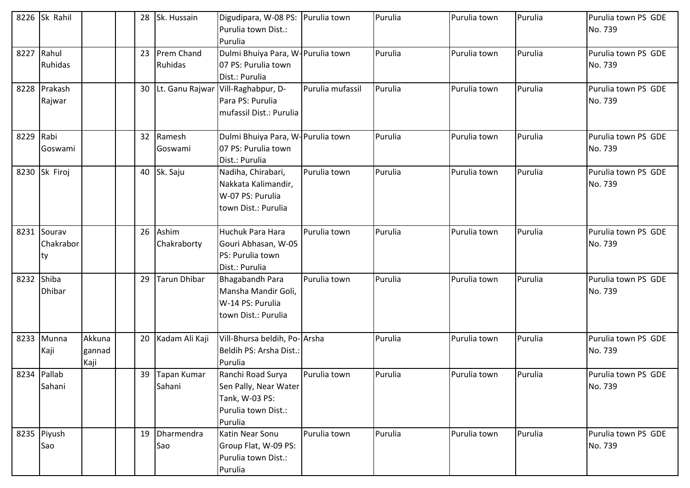|           | 8226 Sk Rahil                   |                          |    | 28 Sk. Hussain           | Digudipara, W-08 PS:<br>Purulia town Dist.:<br>Purulia                                         | Purulia town     | Purulia | Purulia town | Purulia | Purulia town PS GDE<br>No. 739 |
|-----------|---------------------------------|--------------------------|----|--------------------------|------------------------------------------------------------------------------------------------|------------------|---------|--------------|---------|--------------------------------|
| 8227      | Rahul<br>Ruhidas                |                          |    | 23 Prem Chand<br>Ruhidas | Dulmi Bhuiya Para, W-Purulia town<br>07 PS: Purulia town<br>Dist.: Purulia                     |                  | Purulia | Purulia town | Purulia | Purulia town PS GDE<br>No. 739 |
|           | 8228 Prakash<br>Rajwar          |                          |    |                          | 30 Lt. Ganu Rajwar Vill-Raghabpur, D-<br>Para PS: Purulia<br>mufassil Dist.: Purulia           | Purulia mufassil | Purulia | Purulia town | Purulia | Purulia town PS GDE<br>No. 739 |
| 8229 Rabi | Goswami                         |                          |    | 32 Ramesh<br>Goswami     | Dulmi Bhuiya Para, W-Purulia town<br>07 PS: Purulia town<br>Dist.: Purulia                     |                  | Purulia | Purulia town | Purulia | Purulia town PS GDE<br>No. 739 |
|           | 8230 Sk Firoj                   |                          |    | 40 Sk. Saju              | Nadiha, Chirabari,<br>Nakkata Kalimandir,<br>W-07 PS: Purulia<br>town Dist.: Purulia           | Purulia town     | Purulia | Purulia town | Purulia | Purulia town PS GDE<br>No. 739 |
|           | 8231 Sourav<br>Chakrabor<br>Ity |                          |    | 26 Ashim<br>Chakraborty  | Huchuk Para Hara<br>Gouri Abhasan, W-05<br>PS: Purulia town<br>Dist.: Purulia                  | Purulia town     | Purulia | Purulia town | Purulia | Purulia town PS GDE<br>No. 739 |
| 8232      | Shiba<br><b>Dhibar</b>          |                          | 29 | Tarun Dhibar             | Bhagabandh Para<br>Mansha Mandir Goli,<br>W-14 PS: Purulia<br>town Dist.: Purulia              | Purulia town     | Purulia | Purulia town | Purulia | Purulia town PS GDE<br>No. 739 |
| 8233      | Munna<br>Kaji                   | Akkuna<br>gannad<br>Kaji |    | 20 Kadam Ali Kaji        | Vill-Bhursa beldih, Po-Arsha<br>Beldih PS: Arsha Dist.:<br>Purulia                             |                  | Purulia | Purulia town | Purulia | Purulia town PS GDE<br>No. 739 |
|           | 8234 Pallab<br>Sahani           |                          |    | 39 Tapan Kumar<br>Sahani | Ranchi Road Surya<br>Sen Pally, Near Water<br>Tank, W-03 PS:<br>Purulia town Dist.:<br>Purulia | Purulia town     | Purulia | Purulia town | Purulia | Purulia town PS GDE<br>No. 739 |
|           | 8235 Piyush<br>Sao              |                          |    | 19 Dharmendra<br>Sao     | Katin Near Sonu<br>Group Flat, W-09 PS:<br>Purulia town Dist.:<br>Purulia                      | Purulia town     | Purulia | Purulia town | Purulia | Purulia town PS GDE<br>No. 739 |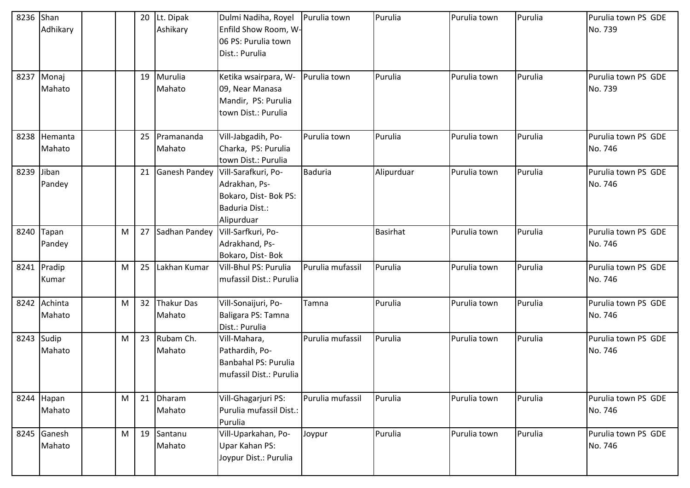| 8236 Shan | Adhikary               |   |    | 20 Lt. Dipak<br>Ashikary | Dulmi Nadiha, Royel<br>Enfild Show Room, W-<br>06 PS: Purulia town<br>Dist.: Purulia          | Purulia town     | Purulia         | Purulia town | Purulia | Purulia town PS GDE<br>No. 739 |
|-----------|------------------------|---|----|--------------------------|-----------------------------------------------------------------------------------------------|------------------|-----------------|--------------|---------|--------------------------------|
|           | 8237 Monaj<br>Mahato   |   |    | 19 Murulia<br>Mahato     | Ketika wsairpara, W-<br>09, Near Manasa<br>Mandir, PS: Purulia<br>town Dist.: Purulia         | Purulia town     | Purulia         | Purulia town | Purulia | Purulia town PS GDE<br>No. 739 |
|           | 8238 Hemanta<br>Mahato |   |    | 25 Pramananda<br>Mahato  | Vill-Jabgadih, Po-<br>Charka, PS: Purulia<br>town Dist.: Purulia                              | Purulia town     | Purulia         | Purulia town | Purulia | Purulia town PS GDE<br>No. 746 |
| 8239      | Jiban<br>Pandey        |   | 21 | <b>Ganesh Pandey</b>     | Vill-Sarafkuri, Po-<br>Adrakhan, Ps-<br>Bokaro, Dist- Bok PS:<br>Baduria Dist.:<br>Alipurduar | Baduria          | Alipurduar      | Purulia town | Purulia | Purulia town PS GDE<br>No. 746 |
| 8240      | Tapan<br>Pandey        | M |    | 27 Sadhan Pandey         | Vill-Sarfkuri, Po-<br>Adrakhand, Ps-<br>Bokaro, Dist-Bok                                      |                  | <b>Basirhat</b> | Purulia town | Purulia | Purulia town PS GDE<br>No. 746 |
|           | 8241 Pradip<br>Kumar   | M | 25 | Lakhan Kumar             | Vill-Bhul PS: Purulia<br>mufassil Dist.: Purulia                                              | Purulia mufassil | Purulia         | Purulia town | Purulia | Purulia town PS GDE<br>No. 746 |
|           | 8242 Achinta<br>Mahato | M |    | 32 Thakur Das<br>Mahato  | Vill-Sonaijuri, Po-<br>Baligara PS: Tamna<br>Dist.: Purulia                                   | Tamna            | Purulia         | Purulia town | Purulia | Purulia town PS GDE<br>No. 746 |
|           | 8243 Sudip<br>Mahato   | M |    | 23 Rubam Ch.<br>Mahato   | Vill-Mahara,<br>Pathardih, Po-<br>Banbahal PS: Purulia<br>mufassil Dist.: Purulia             | Purulia mufassil | Purulia         | Purulia town | Purulia | Purulia town PS GDE<br>No. 746 |
|           | 8244 Hapan<br>Mahato   | M |    | 21 Dharam<br>Mahato      | Vill-Ghagarjuri PS:<br>Purulia mufassil Dist.:<br>Purulia                                     | Purulia mufassil | Purulia         | Purulia town | Purulia | Purulia town PS GDE<br>No. 746 |
|           | 8245 Ganesh<br>Mahato  | M |    | 19 Santanu<br>Mahato     | Vill-Uparkahan, Po-<br>Upar Kahan PS:<br>Joypur Dist.: Purulia                                | Joypur           | Purulia         | Purulia town | Purulia | Purulia town PS GDE<br>No. 746 |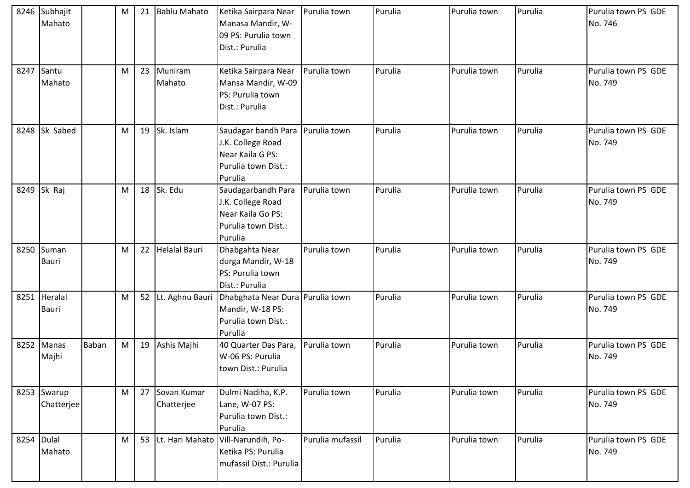|            | 8246 Subhajit<br>Mahato      |              | М |    | 21 Bablu Mahato           | Ketika Sairpara Near<br>Manasa Mandir, W-<br>09 PS: Purulia town<br>Dist.: Purulia                            | Purulia town     | Purulia | Purulia town | Purulia | Purulia town PS GDE<br>No. 746 |
|------------|------------------------------|--------------|---|----|---------------------------|---------------------------------------------------------------------------------------------------------------|------------------|---------|--------------|---------|--------------------------------|
| 8247       | Santu<br>Mahato              |              | M |    | 23 Muniram<br>Mahato      | Ketika Sairpara Near<br>Mansa Mandir, W-09<br>PS: Purulia town<br>Dist.: Purulia                              | Purulia town     | Purulia | Purulia town | Purulia | Purulia town PS GDE<br>No. 749 |
|            | 8248 Sk Sabed                |              | M |    | 19 Sk. Islam              | Saudagar bandh Para   Purulia town<br>J.K. College Road<br>Near Kaila G PS:<br>Purulia town Dist.:<br>Purulia |                  | Purulia | Purulia town | Purulia | Purulia town PS GDE<br>No. 749 |
|            | 8249 Sk Raj                  |              | M |    | 18 Sk. Edu                | Saudagarbandh Para<br>J.K. College Road<br>Near Kaila Go PS:<br>Purulia town Dist.:<br>Purulia                | Purulia town     | Purulia | Purulia town | Purulia | Purulia town PS GDE<br>No. 749 |
| 8250       | Suman<br><b>Bauri</b>        |              | M | 22 | <b>Helalal Bauri</b>      | Dhabgahta Near<br>durga Mandir, W-18<br>PS: Purulia town<br>Dist.: Purulia                                    | Purulia town     | Purulia | Purulia town | Purulia | Purulia town PS GDE<br>No. 749 |
|            | 8251 Heralal<br><b>Bauri</b> |              | M |    | 52 Lt. Aghnu Bauri        | Dhabghata Near Dura Purulia town<br>Mandir, W-18 PS:<br>Purulia town Dist.:<br>Purulia                        |                  | Purulia | Purulia town | Purulia | Purulia town PS GDE<br>No. 749 |
|            | 8252 Manas<br>Majhi          | <b>Baban</b> | M |    | 19 Ashis Majhi            | 40 Quarter Das Para,<br>W-06 PS: Purulia<br>town Dist.: Purulia                                               | Purulia town     | Purulia | Purulia town | Purulia | Purulia town PS GDE<br>No. 749 |
|            | 8253 Swarup<br>Chatterjee    |              | M | 27 | Sovan Kumar<br>Chatterjee | Dulmi Nadiha, K.P.<br>Lane, W-07 PS:<br>Purulia town Dist.:<br>Purulia                                        | Purulia town     | Purulia | Purulia town | Purulia | Purulia town PS GDE<br>No. 749 |
| 8254 Dulal | Mahato                       |              | M | 53 | Lt. Hari Mahato           | Vill-Narundih, Po-<br>Ketika PS: Purulia<br>mufassil Dist.: Purulia                                           | Purulia mufassil | Purulia | Purulia town | Purulia | Purulia town PS GDE<br>No. 749 |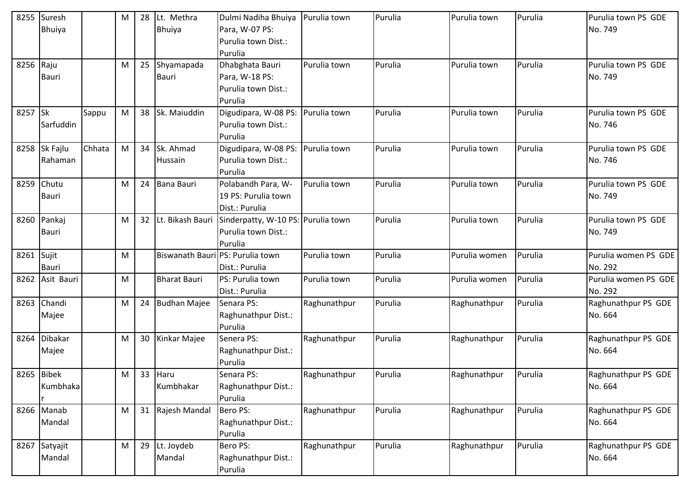| 8255       | Suresh        |        | M | 28              | Lt. Methra                       | Dulmi Nadiha Bhuiya                | Purulia town | Purulia | Purulia town  | Purulia | Purulia town PS GDE  |
|------------|---------------|--------|---|-----------------|----------------------------------|------------------------------------|--------------|---------|---------------|---------|----------------------|
|            | <b>Bhuiya</b> |        |   |                 | <b>Bhuiya</b>                    | Para, W-07 PS:                     |              |         |               |         | No. 749              |
|            |               |        |   |                 |                                  | Purulia town Dist.:                |              |         |               |         |                      |
|            |               |        |   |                 |                                  | Purulia                            |              |         |               |         |                      |
| 8256       | Raju          |        | M |                 | 25 Shyamapada                    | Dhabghata Bauri                    | Purulia town | Purulia | Purulia town  | Purulia | Purulia town PS GDE  |
|            | Bauri         |        |   |                 | <b>Bauri</b>                     | Para, W-18 PS:                     |              |         |               |         | No. 749              |
|            |               |        |   |                 |                                  | Purulia town Dist.:                |              |         |               |         |                      |
|            |               |        |   |                 |                                  | Purulia                            |              |         |               |         |                      |
| 8257 Sk    |               | Sappu  | M |                 | 38 Sk. Maiuddin                  | Digudipara, W-08 PS:               | Purulia town | Purulia | Purulia town  | Purulia | Purulia town PS GDE  |
|            | Sarfuddin     |        |   |                 |                                  | Purulia town Dist.:                |              |         |               |         | No. 746              |
|            |               |        |   |                 |                                  | Purulia                            |              |         |               |         |                      |
| 8258       | Sk Fajlu      | Chhata | M |                 | 34 Sk. Ahmad                     | Digudipara, W-08 PS:               | Purulia town | Purulia | Purulia town  | Purulia | Purulia town PS GDE  |
|            | Rahaman       |        |   |                 | Hussain                          | Purulia town Dist.:                |              |         |               |         | No. 746              |
|            |               |        |   |                 |                                  | Purulia                            |              |         |               |         |                      |
| 8259       | Chutu         |        | M |                 | 24 Bana Bauri                    | Polabandh Para, W-                 | Purulia town | Purulia | Purulia town  | Purulia | Purulia town PS GDE  |
|            | Bauri         |        |   |                 |                                  | 19 PS: Purulia town                |              |         |               |         | No. 749              |
|            |               |        |   |                 |                                  | Dist.: Purulia                     |              |         |               |         |                      |
| 8260       | Pankaj        |        | M | 32 <sup>2</sup> | Lt. Bikash Bauri                 | Sinderpatty, W-10 PS: Purulia town |              | Purulia | Purulia town  | Purulia | Purulia town PS GDE  |
|            | Bauri         |        |   |                 |                                  | Purulia town Dist.:                |              |         |               |         | No. 749              |
|            |               |        |   |                 |                                  | Purulia                            |              |         |               |         |                      |
| 8261 Sujit |               |        | M |                 | Biswanath Bauri PS: Purulia town |                                    | Purulia town | Purulia | Purulia women | Purulia | Purulia women PS GDE |
|            | Bauri         |        |   |                 |                                  | Dist.: Purulia                     |              |         |               |         | No. 292              |
| 8262       | Asit Bauri    |        | M |                 | <b>Bharat Bauri</b>              | PS: Purulia town                   | Purulia town | Purulia | Purulia women | Purulia | Purulia women PS GDE |
|            |               |        |   |                 |                                  | Dist.: Purulia                     |              |         |               |         | No. 292              |
| 8263       | Chandi        |        | M |                 | 24 Budhan Majee                  | Senara PS:                         | Raghunathpur | Purulia | Raghunathpur  | Purulia | Raghunathpur PS GDE  |
|            | Majee         |        |   |                 |                                  | Raghunathpur Dist.:                |              |         |               |         | No. 664              |
|            | 8264 Dibakar  |        | M |                 | 30 Kinkar Majee                  | Purulia<br>Senera PS:              | Raghunathpur | Purulia | Raghunathpur  | Purulia | Raghunathpur PS GDE  |
|            |               |        |   |                 |                                  |                                    |              |         |               |         | No. 664              |
|            | Majee         |        |   |                 |                                  | Raghunathpur Dist.:<br>Purulia     |              |         |               |         |                      |
|            | 8265 Bibek    |        | M |                 | 33 Haru                          | Senara PS:                         | Raghunathpur | Purulia | Raghunathpur  | Purulia | Raghunathpur PS GDE  |
|            | Kumbhaka      |        |   |                 | Kumbhakar                        | Raghunathpur Dist.:                |              |         |               |         | No. 664              |
|            |               |        |   |                 |                                  | Purulia                            |              |         |               |         |                      |
|            | 8266 Manab    |        | M |                 | 31 Rajesh Mandal                 | Bero PS:                           | Raghunathpur | Purulia | Raghunathpur  | Purulia | Raghunathpur PS GDE  |
|            | Mandal        |        |   |                 |                                  | Raghunathpur Dist.:                |              |         |               |         | No. 664              |
|            |               |        |   |                 |                                  | Purulia                            |              |         |               |         |                      |
|            | 8267 Satyajit |        | M |                 | 29 Lt. Joydeb                    | Bero PS:                           | Raghunathpur | Purulia | Raghunathpur  | Purulia | Raghunathpur PS GDE  |
|            | Mandal        |        |   |                 | Mandal                           | Raghunathpur Dist.:                |              |         |               |         | No. 664              |
|            |               |        |   |                 |                                  | Purulia                            |              |         |               |         |                      |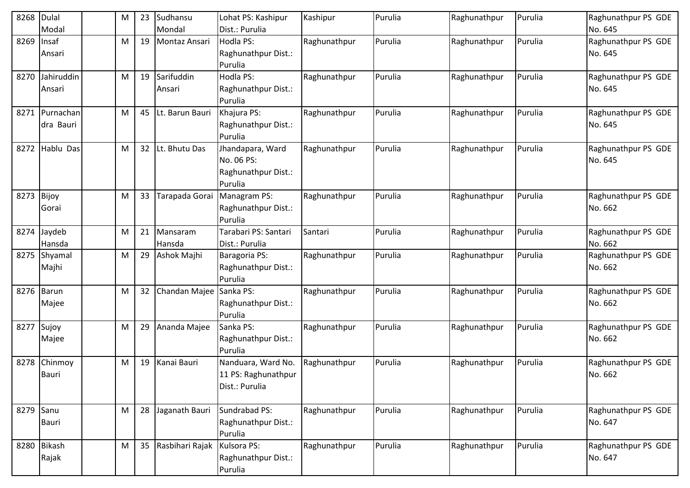| 8268      | Dulal        | M | 23 | Sudhansu                | Lohat PS: Kashipur   | Kashipur     | Purulia | Raghunathpur | Purulia | Raghunathpur PS GDE |
|-----------|--------------|---|----|-------------------------|----------------------|--------------|---------|--------------|---------|---------------------|
|           | Modal        |   |    | Mondal                  | Dist.: Purulia       |              |         |              |         | No. 645             |
| 8269      | Insaf        | м | 19 | Montaz Ansari           | Hodla PS:            | Raghunathpur | Purulia | Raghunathpur | Purulia | Raghunathpur PS GDE |
|           | Ansari       |   |    |                         | Raghunathpur Dist.:  |              |         |              |         | No. 645             |
|           |              |   |    |                         | Purulia              |              |         |              |         |                     |
| 8270      | Jahiruddin   | M | 19 | Sarifuddin              | Hodla PS:            | Raghunathpur | Purulia | Raghunathpur | Purulia | Raghunathpur PS GDE |
|           | Ansari       |   |    | Ansari                  | Raghunathpur Dist.:  |              |         |              |         | No. 645             |
|           |              |   |    |                         | Purulia              |              |         |              |         |                     |
| 8271      | Purnachan    | M | 45 | Lt. Barun Bauri         | Khajura PS:          | Raghunathpur | Purulia | Raghunathpur | Purulia | Raghunathpur PS GDE |
|           | dra Bauri    |   |    |                         | Raghunathpur Dist.:  |              |         |              |         | No. 645             |
|           |              |   |    |                         | Purulia              |              |         |              |         |                     |
| 8272      | Hablu Das    | M |    | 32 Lt. Bhutu Das        | Jhandapara, Ward     | Raghunathpur | Purulia | Raghunathpur | Purulia | Raghunathpur PS GDE |
|           |              |   |    |                         | No. 06 PS:           |              |         |              |         | No. 645             |
|           |              |   |    |                         | Raghunathpur Dist.:  |              |         |              |         |                     |
|           |              |   |    |                         | Purulia              |              |         |              |         |                     |
| 8273      | Bijoy        | M | 33 | Tarapada Gorai          | Managram PS:         | Raghunathpur | Purulia | Raghunathpur | Purulia | Raghunathpur PS GDE |
|           | Gorai        |   |    |                         | Raghunathpur Dist.:  |              |         |              |         | No. 662             |
|           |              |   |    |                         | Purulia              |              |         |              |         |                     |
| 8274      | Jaydeb       | M | 21 | Mansaram                | Tarabari PS: Santari | Santari      | Purulia | Raghunathpur | Purulia | Raghunathpur PS GDE |
|           | Hansda       |   |    | Hansda                  | Dist.: Purulia       |              |         |              |         | No. 662             |
|           | 8275 Shyamal | M | 29 | Ashok Majhi             | Baragoria PS:        | Raghunathpur | Purulia | Raghunathpur | Purulia | Raghunathpur PS GDE |
|           | Majhi        |   |    |                         | Raghunathpur Dist.:  |              |         |              |         | No. 662             |
|           |              |   |    |                         | Purulia              |              |         |              |         |                     |
|           | 8276 Barun   | M | 32 | Chandan Majee Sanka PS: |                      | Raghunathpur | Purulia | Raghunathpur | Purulia | Raghunathpur PS GDE |
|           | Majee        |   |    |                         | Raghunathpur Dist.:  |              |         |              |         | No. 662             |
|           |              |   |    |                         | Purulia              |              |         |              |         |                     |
| 8277      | Sujoy        | M | 29 | Ananda Majee            | Sanka PS:            | Raghunathpur | Purulia | Raghunathpur | Purulia | Raghunathpur PS GDE |
|           | Majee        |   |    |                         | Raghunathpur Dist.:  |              |         |              |         | No. 662             |
|           |              |   |    |                         | Purulia              |              |         |              |         |                     |
| 8278      | Chinmoy      | M | 19 | Kanai Bauri             | Nanduara, Ward No.   | Raghunathpur | Purulia | Raghunathpur | Purulia | Raghunathpur PS GDE |
|           | <b>Bauri</b> |   |    |                         | 11 PS: Raghunathpur  |              |         |              |         | No. 662             |
|           |              |   |    |                         | Dist.: Purulia       |              |         |              |         |                     |
|           |              |   |    |                         |                      |              |         |              |         |                     |
| 8279 Sanu |              | M | 28 | Jaganath Bauri          | Sundrabad PS:        | Raghunathpur | Purulia | Raghunathpur | Purulia | Raghunathpur PS GDE |
|           | Bauri        |   |    |                         | Raghunathpur Dist.:  |              |         |              |         | No. 647             |
|           |              |   |    |                         | Purulia              |              |         |              |         |                     |
|           | 8280 Bikash  | M |    | 35 Rasbihari Rajak      | Kulsora PS:          | Raghunathpur | Purulia | Raghunathpur | Purulia | Raghunathpur PS GDE |
|           | Rajak        |   |    |                         | Raghunathpur Dist.:  |              |         |              |         | No. 647             |
|           |              |   |    |                         | Purulia              |              |         |              |         |                     |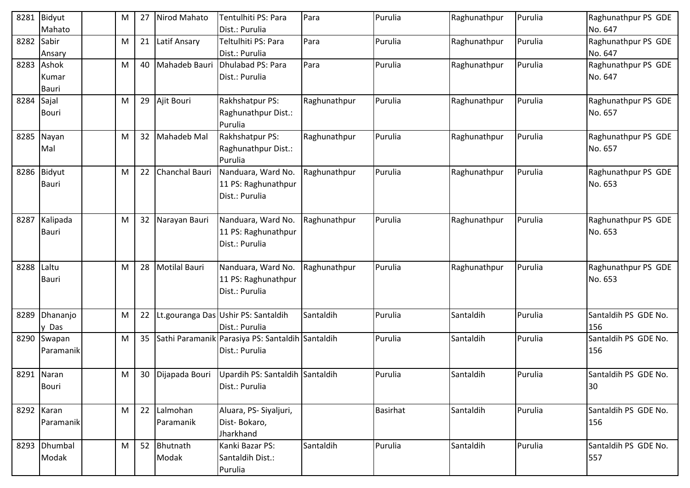| 8281 | Bidyut<br>Mahato        | м | 27              | Nirod Mahato             | Tentulhiti PS: Para<br>Dist.: Purulia                              | Para         | Purulia  | Raghunathpur | Purulia | Raghunathpur PS GDE<br>No. 647 |
|------|-------------------------|---|-----------------|--------------------------|--------------------------------------------------------------------|--------------|----------|--------------|---------|--------------------------------|
| 8282 | Sabir<br>Ansary         | м | 21              | Latif Ansary             | Teltulhiti PS: Para<br>Dist.: Purulia                              | Para         | Purulia  | Raghunathpur | Purulia | Raghunathpur PS GDE<br>No. 647 |
| 8283 | Ashok<br>Kumar<br>Bauri | M | 40              | Mahadeb Bauri            | Dhulabad PS: Para<br>Dist.: Purulia                                | Para         | Purulia  | Raghunathpur | Purulia | Raghunathpur PS GDE<br>No. 647 |
| 8284 | Sajal<br><b>Bouri</b>   | м | 29              | Ajit Bouri               | Rakhshatpur PS:<br>Raghunathpur Dist.:<br>Purulia                  | Raghunathpur | Purulia  | Raghunathpur | Purulia | Raghunathpur PS GDE<br>No. 657 |
|      | 8285 Nayan<br>Mal       | M | 32 <sup>2</sup> | Mahadeb Mal              | Rakhshatpur PS:<br>Raghunathpur Dist.:<br>Purulia                  | Raghunathpur | Purulia  | Raghunathpur | Purulia | Raghunathpur PS GDE<br>No. 657 |
|      | 8286 Bidyut<br>Bauri    | м | 22              | Chanchal Bauri           | Nanduara, Ward No.<br>11 PS: Raghunathpur<br>Dist.: Purulia        | Raghunathpur | Purulia  | Raghunathpur | Purulia | Raghunathpur PS GDE<br>No. 653 |
| 8287 | Kalipada<br>Bauri       | M | 32              | Narayan Bauri            | Nanduara, Ward No.<br>11 PS: Raghunathpur<br>Dist.: Purulia        | Raghunathpur | Purulia  | Raghunathpur | Purulia | Raghunathpur PS GDE<br>No. 653 |
| 8288 | Laltu<br><b>Bauri</b>   | M | 28              | <b>Motilal Bauri</b>     | Nanduara, Ward No.<br>11 PS: Raghunathpur<br>Dist.: Purulia        | Raghunathpur | Purulia  | Raghunathpur | Purulia | Raghunathpur PS GDE<br>No. 653 |
| 8289 | Dhananjo<br>y Das       | Μ | 22              |                          | Lt.gouranga Das Ushir PS: Santaldih<br>Dist.: Purulia              | Santaldih    | Purulia  | Santaldih    | Purulia | Santaldih PS GDE No.<br>156    |
| 8290 | Swapan<br>Paramanik     | M | 35              |                          | Sathi Paramanik Parasiya PS: Santaldih Santaldih<br>Dist.: Purulia |              | Purulia  | Santaldih    | Purulia | Santaldih PS GDE No.<br>156    |
|      | 8291 Naran<br>Bouri     | M |                 | 30 Dijapada Bouri        | Upardih PS: Santaldih Santaldih<br>Dist.: Purulia                  |              | Purulia  | Santaldih    | Purulia | Santaldih PS GDE No.<br>30     |
|      | 8292 Karan<br>Paramanik | M |                 | 22 Lalmohan<br>Paramanik | Aluara, PS- Siyaljuri,<br>Dist-Bokaro,<br>Jharkhand                |              | Basirhat | Santaldih    | Purulia | Santaldih PS GDE No.<br>156    |
|      | 8293 Dhumbal<br>Modak   | M |                 | 52 Bhutnath<br>Modak     | Kanki Bazar PS:<br>Santaldih Dist.:<br>Purulia                     | Santaldih    | Purulia  | Santaldih    | Purulia | Santaldih PS GDE No.<br>557    |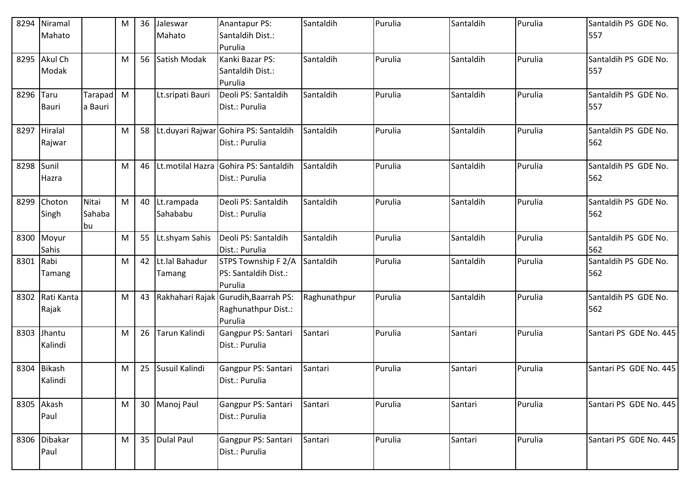| 8294      | Niramal      |           | M | 36 | Jaleswar           | Anantapur PS:                         | Santaldih    | Purulia | Santaldih | Purulia | Santaldih PS GDE No.   |
|-----------|--------------|-----------|---|----|--------------------|---------------------------------------|--------------|---------|-----------|---------|------------------------|
|           | Mahato       |           |   |    | Mahato             | Santaldih Dist.:                      |              |         |           |         | 557                    |
|           |              |           |   |    |                    | Purulia                               |              |         |           |         |                        |
| 8295      | Akul Ch      |           | M |    | 56 Satish Modak    | Kanki Bazar PS:                       | Santaldih    | Purulia | Santaldih | Purulia | Santaldih PS GDE No.   |
|           | Modak        |           |   |    |                    | Santaldih Dist.:                      |              |         |           |         | 557                    |
|           |              |           |   |    |                    | Purulia                               |              |         |           |         |                        |
| 8296      | Taru         | Tarapad M |   |    | Lt.sripati Bauri   | Deoli PS: Santaldih                   | Santaldih    | Purulia | Santaldih | Purulia | Santaldih PS GDE No.   |
|           | Bauri        | a Bauri   |   |    |                    | Dist.: Purulia                        |              |         |           |         | 557                    |
|           |              |           |   |    |                    |                                       |              |         |           |         |                        |
| 8297      | Hiralal      |           | M | 58 |                    | Lt.duyari Rajwar Gohira PS: Santaldih | Santaldih    | Purulia | Santaldih | Purulia | Santaldih PS GDE No.   |
|           | Rajwar       |           |   |    |                    | Dist.: Purulia                        |              |         |           |         | 562                    |
|           |              |           |   |    |                    |                                       |              |         |           |         |                        |
| 8298      | Sunil        |           | M | 46 | Lt.motilal Hazra   | Gohira PS: Santaldih                  | Santaldih    | Purulia | Santaldih | Purulia | Santaldih PS GDE No.   |
|           | Hazra        |           |   |    |                    | Dist.: Purulia                        |              |         |           |         | 562                    |
| 8299      | Choton       | Nitai     | M |    | 40 Lt.rampada      | Deoli PS: Santaldih                   | Santaldih    | Purulia | Santaldih | Purulia | Santaldih PS GDE No.   |
|           | Singh        | Sahaba    |   |    | Sahababu           | Dist.: Purulia                        |              |         |           |         | 562                    |
|           |              | bu        |   |    |                    |                                       |              |         |           |         |                        |
|           | 8300 Moyur   |           | M | 55 | Lt.shyam Sahis     | Deoli PS: Santaldih                   | Santaldih    | Purulia | Santaldih | Purulia | Santaldih PS GDE No.   |
|           | Sahis        |           |   |    |                    | Dist.: Purulia                        |              |         |           |         | 562                    |
| 8301 Rabi |              |           | M |    | 42 Lt.lal Bahadur  | STPS Township F 2/A                   | Santaldih    | Purulia | Santaldih | Purulia | Santaldih PS GDE No.   |
|           | Tamang       |           |   |    | Tamang             | PS: Santaldih Dist.:                  |              |         |           |         | 562                    |
|           |              |           |   |    |                    | Purulia                               |              |         |           |         |                        |
| 8302      | Rati Kanta   |           | M |    | 43 Rakhahari Rajak | Gurudih, Baarrah PS:                  | Raghunathpur | Purulia | Santaldih | Purulia | Santaldih PS GDE No.   |
|           | Rajak        |           |   |    |                    | Raghunathpur Dist.:                   |              |         |           |         | 562                    |
|           |              |           |   |    |                    | Purulia                               |              |         |           |         |                        |
| 8303      | Jhantu       |           | M | 26 | Tarun Kalindi      | Gangpur PS: Santari                   | Santari      | Purulia | Santari   | Purulia | Santari PS GDE No. 445 |
|           | Kalindi      |           |   |    |                    | Dist.: Purulia                        |              |         |           |         |                        |
|           |              |           |   |    |                    |                                       |              |         |           |         |                        |
| 8304      | Bikash       |           | M |    | 25 Susuil Kalindi  | Gangpur PS: Santari                   | Santari      | Purulia | Santari   | Purulia | Santari PS GDE No. 445 |
|           | Kalindi      |           |   |    |                    | Dist.: Purulia                        |              |         |           |         |                        |
|           |              |           |   |    |                    |                                       |              |         |           |         |                        |
|           | 8305 Akash   |           | M |    | 30 Manoj Paul      | Gangpur PS: Santari                   | Santari      | Purulia | Santari   | Purulia | Santari PS GDE No. 445 |
|           | Paul         |           |   |    |                    | Dist.: Purulia                        |              |         |           |         |                        |
|           |              |           |   |    |                    |                                       |              |         |           |         |                        |
|           | 8306 Dibakar |           | M |    | 35 Dulal Paul      | Gangpur PS: Santari                   | Santari      | Purulia | Santari   | Purulia | Santari PS GDE No. 445 |
|           | Paul         |           |   |    |                    | Dist.: Purulia                        |              |         |           |         |                        |
|           |              |           |   |    |                    |                                       |              |         |           |         |                        |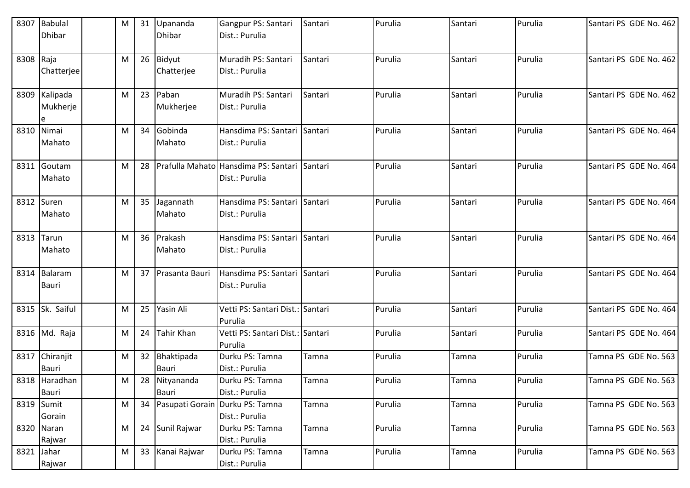| 8307       | Babulal<br>Dhibar              | M | 31 | Upananda<br><b>Dhibar</b> | Gangpur PS: Santari<br>Dist.: Purulia             | Santari | Purulia | Santari | Purulia | Santari PS GDE No. 462 |
|------------|--------------------------------|---|----|---------------------------|---------------------------------------------------|---------|---------|---------|---------|------------------------|
| 8308 Raja  | Chatterjee                     | M |    | 26 Bidyut<br>Chatterjee   | Muradih PS: Santari<br>Dist.: Purulia             | Santari | Purulia | Santari | Purulia | Santari PS GDE No. 462 |
|            | 8309 Kalipada<br>Mukherje<br>e | M |    | 23 Paban<br>Mukherjee     | Muradih PS: Santari<br>Dist.: Purulia             | Santari | Purulia | Santari | Purulia | Santari PS GDE No. 462 |
| 8310       | Nimai<br>Mahato                | M | 34 | Gobinda<br>Mahato         | Hansdima PS: Santari<br>Dist.: Purulia            | Santari | Purulia | Santari | Purulia | Santari PS GDE No. 464 |
| 8311       | Goutam<br>Mahato               | M | 28 | Prafulla Mahato           | Hansdima PS: Santari<br>Dist.: Purulia            | Santari | Purulia | Santari | Purulia | Santari PS GDE No. 464 |
|            | 8312 Suren<br>Mahato           | M |    | 35 Jagannath<br>Mahato    | Hansdima PS: Santari<br>Dist.: Purulia            | Santari | Purulia | Santari | Purulia | Santari PS GDE No. 464 |
|            | 8313 Tarun<br>Mahato           | M |    | 36 Prakash<br>Mahato      | Hansdima PS: Santari<br>Dist.: Purulia            | Santari | Purulia | Santari | Purulia | Santari PS GDE No. 464 |
| 8314       | Balaram<br>Bauri               | M | 37 | Prasanta Bauri            | Hansdima PS: Santari<br>Dist.: Purulia            | Santari | Purulia | Santari | Purulia | Santari PS GDE No. 464 |
|            | 8315 Sk. Saiful                | M | 25 | Yasin Ali                 | Vetti PS: Santari Dist.:<br>Purulia               | Santari | Purulia | Santari | Purulia | Santari PS GDE No. 464 |
|            | 8316 Md. Raja                  | M | 24 | Tahir Khan                | Vetti PS: Santari Dist.: Santari<br>Purulia       |         | Purulia | Santari | Purulia | Santari PS GDE No. 464 |
| 8317       | Chiranjit<br>Bauri             | M |    | 32 Bhaktipada<br>Bauri    | Durku PS: Tamna<br>Dist.: Purulia                 | Tamna   | Purulia | Tamna   | Purulia | Tamna PS GDE No. 563   |
|            | 8318 Haradhan<br>Bauri         | M |    | 28 Nityananda<br>Bauri    | Durku PS: Tamna<br>Dist.: Purulia                 | Tamna   | Purulia | Tamna   | Purulia | Tamna PS GDE No. 563   |
|            | 8319 Sumit<br>Gorain           | M | 34 |                           | Pasupati Gorain Durku PS: Tamna<br>Dist.: Purulia | Tamna   | Purulia | Tamna   | Purulia | Tamna PS GDE No. 563   |
|            | 8320 Naran<br>Rajwar           | M |    | 24 Sunil Rajwar           | Durku PS: Tamna<br>Dist.: Purulia                 | Tamna   | Purulia | Tamna   | Purulia | Tamna PS GDE No. 563   |
| 8321 Jahar | Rajwar                         | M |    | 33 Kanai Rajwar           | Durku PS: Tamna<br>Dist.: Purulia                 | Tamna   | Purulia | Tamna   | Purulia | Tamna PS GDE No. 563   |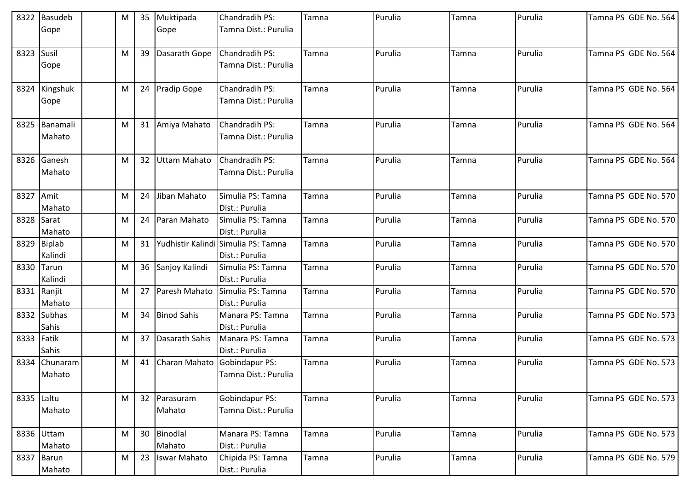| Gope<br>Tamna Dist.: Purulia<br>Gope<br>8323 Susil<br>39<br>Purulia<br>M<br>Dasarath Gope<br>Chandradih PS:<br>Tamna<br>Purulia<br>Tamna PS GDE No. 564<br>Tamna<br>Tamna Dist.: Purulia<br>Gope<br>Purulia<br>Purulia<br>8324 Kingshuk<br>24<br><b>Pradip Gope</b><br>Chandradih PS:<br>Tamna PS GDE No. 564<br>M<br>Tamna<br>Tamna<br>Tamna Dist.: Purulia<br>Gope<br>31 Amiya Mahato<br>Purulia<br>Purulia<br>8325 Banamali<br>M<br>Chandradih PS:<br>Tamna PS GDE No. 564<br>Tamna<br>Tamna<br>Mahato<br>Tamna Dist.: Purulia<br>8326 Ganesh<br>32<br><b>Uttam Mahato</b><br>Chandradih PS:<br>Purulia<br>Purulia<br>Tamna PS GDE No. 564<br>M<br>Tamna<br>Tamna<br>Mahato<br>Tamna Dist.: Purulia<br>8327 Amit<br>Jiban Mahato<br>Purulia<br>Purulia<br>Tamna PS GDE No. 570<br>M<br>24<br>Simulia PS: Tamna<br>Tamna<br>Tamna<br>Dist.: Purulia<br>Mahato<br>Purulia<br>8328 Sarat<br>M<br>24<br>Paran Mahato<br>Simulia PS: Tamna<br>Purulia<br>Tamna PS GDE No. 570<br>Tamna<br>Tamna<br>Dist.: Purulia<br>Mahato<br>8329 Biplab<br>Yudhistir Kalindi Simulia PS: Tamna<br>31<br>Purulia<br>Purulia<br>Tamna PS GDE No. 570<br>M<br>Tamna<br>Tamna<br>Kalindi<br>Dist.: Purulia<br>Purulia<br>Tamna PS GDE No. 570<br>8330<br>M<br>36<br>Sanjoy Kalindi<br>Purulia<br>Tarun<br>Simulia PS: Tamna<br>Tamna<br>Tamna<br>Kalindi<br>Dist.: Purulia<br>8331 Ranjit<br>Purulia<br>Purulia<br>M<br>27<br>Paresh Mahato<br>Simulia PS: Tamna<br>Tamna PS GDE No. 570<br>Tamna<br>Tamna<br>Mahato<br>Dist.: Purulia<br>8332 Subhas<br><b>Binod Sahis</b><br>Purulia<br>Purulia<br>Tamna PS GDE No. 573<br>34<br>Manara PS: Tamna<br>M<br>Tamna<br>Tamna<br>Sahis<br>Dist.: Purulia<br>8333 Fatik<br>Dasarath Sahis<br>Purulia<br>Purulia<br>M<br>37<br>Manara PS: Tamna<br>Tamna<br>Tamna PS GDE No. 573<br>Tamna<br>Sahis<br>Dist.: Purulia<br>Purulia<br>Purulia<br>8334<br>Chunaram<br>M<br>41<br>Charan Mahato<br>Gobindapur PS:<br>Tamna<br>Tamna PS GDE No. 573<br>Tamna<br>Tamna Dist.: Purulia<br>Mahato<br>Purulia<br>Purulia<br>8335 Laltu<br>Gobindapur PS:<br>M<br>32 Parasuram<br>Tamna PS GDE No. 573<br>Tamna<br>Tamna<br>Mahato<br>Mahato<br>Tamna Dist.: Purulia<br>30 Binodlal<br>Purulia<br>Purulia<br>8336 Uttam<br>M<br>Manara PS: Tamna<br>Tamna PS GDE No. 573<br>Tamna<br>Tamna<br>Mahato<br>Mahato<br>Dist.: Purulia<br>Purulia<br>Purulia<br>8337 Barun<br><b>Iswar Mahato</b><br>Chipida PS: Tamna<br>Tamna PS GDE No. 579<br>M<br>23<br>Tamna<br>Tamna<br>Mahato | 8322 Basudeb | M | 35 | Muktipada | Chandradih PS: | Tamna | Purulia | Tamna | Purulia | Tamna PS GDE No. 564 |
|----------------------------------------------------------------------------------------------------------------------------------------------------------------------------------------------------------------------------------------------------------------------------------------------------------------------------------------------------------------------------------------------------------------------------------------------------------------------------------------------------------------------------------------------------------------------------------------------------------------------------------------------------------------------------------------------------------------------------------------------------------------------------------------------------------------------------------------------------------------------------------------------------------------------------------------------------------------------------------------------------------------------------------------------------------------------------------------------------------------------------------------------------------------------------------------------------------------------------------------------------------------------------------------------------------------------------------------------------------------------------------------------------------------------------------------------------------------------------------------------------------------------------------------------------------------------------------------------------------------------------------------------------------------------------------------------------------------------------------------------------------------------------------------------------------------------------------------------------------------------------------------------------------------------------------------------------------------------------------------------------------------------------------------------------------------------------------------------------------------------------------------------------------------------------------------------------------------------------------------------------------------------------------------------------------------------------------------------------------------------------------------------------------------------------------------------------------------------------------------------|--------------|---|----|-----------|----------------|-------|---------|-------|---------|----------------------|
|                                                                                                                                                                                                                                                                                                                                                                                                                                                                                                                                                                                                                                                                                                                                                                                                                                                                                                                                                                                                                                                                                                                                                                                                                                                                                                                                                                                                                                                                                                                                                                                                                                                                                                                                                                                                                                                                                                                                                                                                                                                                                                                                                                                                                                                                                                                                                                                                                                                                                              |              |   |    |           |                |       |         |       |         |                      |
|                                                                                                                                                                                                                                                                                                                                                                                                                                                                                                                                                                                                                                                                                                                                                                                                                                                                                                                                                                                                                                                                                                                                                                                                                                                                                                                                                                                                                                                                                                                                                                                                                                                                                                                                                                                                                                                                                                                                                                                                                                                                                                                                                                                                                                                                                                                                                                                                                                                                                              |              |   |    |           |                |       |         |       |         |                      |
|                                                                                                                                                                                                                                                                                                                                                                                                                                                                                                                                                                                                                                                                                                                                                                                                                                                                                                                                                                                                                                                                                                                                                                                                                                                                                                                                                                                                                                                                                                                                                                                                                                                                                                                                                                                                                                                                                                                                                                                                                                                                                                                                                                                                                                                                                                                                                                                                                                                                                              |              |   |    |           |                |       |         |       |         |                      |
|                                                                                                                                                                                                                                                                                                                                                                                                                                                                                                                                                                                                                                                                                                                                                                                                                                                                                                                                                                                                                                                                                                                                                                                                                                                                                                                                                                                                                                                                                                                                                                                                                                                                                                                                                                                                                                                                                                                                                                                                                                                                                                                                                                                                                                                                                                                                                                                                                                                                                              |              |   |    |           |                |       |         |       |         |                      |
|                                                                                                                                                                                                                                                                                                                                                                                                                                                                                                                                                                                                                                                                                                                                                                                                                                                                                                                                                                                                                                                                                                                                                                                                                                                                                                                                                                                                                                                                                                                                                                                                                                                                                                                                                                                                                                                                                                                                                                                                                                                                                                                                                                                                                                                                                                                                                                                                                                                                                              |              |   |    |           |                |       |         |       |         |                      |
|                                                                                                                                                                                                                                                                                                                                                                                                                                                                                                                                                                                                                                                                                                                                                                                                                                                                                                                                                                                                                                                                                                                                                                                                                                                                                                                                                                                                                                                                                                                                                                                                                                                                                                                                                                                                                                                                                                                                                                                                                                                                                                                                                                                                                                                                                                                                                                                                                                                                                              |              |   |    |           |                |       |         |       |         |                      |
|                                                                                                                                                                                                                                                                                                                                                                                                                                                                                                                                                                                                                                                                                                                                                                                                                                                                                                                                                                                                                                                                                                                                                                                                                                                                                                                                                                                                                                                                                                                                                                                                                                                                                                                                                                                                                                                                                                                                                                                                                                                                                                                                                                                                                                                                                                                                                                                                                                                                                              |              |   |    |           |                |       |         |       |         |                      |
|                                                                                                                                                                                                                                                                                                                                                                                                                                                                                                                                                                                                                                                                                                                                                                                                                                                                                                                                                                                                                                                                                                                                                                                                                                                                                                                                                                                                                                                                                                                                                                                                                                                                                                                                                                                                                                                                                                                                                                                                                                                                                                                                                                                                                                                                                                                                                                                                                                                                                              |              |   |    |           |                |       |         |       |         |                      |
|                                                                                                                                                                                                                                                                                                                                                                                                                                                                                                                                                                                                                                                                                                                                                                                                                                                                                                                                                                                                                                                                                                                                                                                                                                                                                                                                                                                                                                                                                                                                                                                                                                                                                                                                                                                                                                                                                                                                                                                                                                                                                                                                                                                                                                                                                                                                                                                                                                                                                              |              |   |    |           |                |       |         |       |         |                      |
|                                                                                                                                                                                                                                                                                                                                                                                                                                                                                                                                                                                                                                                                                                                                                                                                                                                                                                                                                                                                                                                                                                                                                                                                                                                                                                                                                                                                                                                                                                                                                                                                                                                                                                                                                                                                                                                                                                                                                                                                                                                                                                                                                                                                                                                                                                                                                                                                                                                                                              |              |   |    |           |                |       |         |       |         |                      |
|                                                                                                                                                                                                                                                                                                                                                                                                                                                                                                                                                                                                                                                                                                                                                                                                                                                                                                                                                                                                                                                                                                                                                                                                                                                                                                                                                                                                                                                                                                                                                                                                                                                                                                                                                                                                                                                                                                                                                                                                                                                                                                                                                                                                                                                                                                                                                                                                                                                                                              |              |   |    |           |                |       |         |       |         |                      |
|                                                                                                                                                                                                                                                                                                                                                                                                                                                                                                                                                                                                                                                                                                                                                                                                                                                                                                                                                                                                                                                                                                                                                                                                                                                                                                                                                                                                                                                                                                                                                                                                                                                                                                                                                                                                                                                                                                                                                                                                                                                                                                                                                                                                                                                                                                                                                                                                                                                                                              |              |   |    |           |                |       |         |       |         |                      |
|                                                                                                                                                                                                                                                                                                                                                                                                                                                                                                                                                                                                                                                                                                                                                                                                                                                                                                                                                                                                                                                                                                                                                                                                                                                                                                                                                                                                                                                                                                                                                                                                                                                                                                                                                                                                                                                                                                                                                                                                                                                                                                                                                                                                                                                                                                                                                                                                                                                                                              |              |   |    |           |                |       |         |       |         |                      |
|                                                                                                                                                                                                                                                                                                                                                                                                                                                                                                                                                                                                                                                                                                                                                                                                                                                                                                                                                                                                                                                                                                                                                                                                                                                                                                                                                                                                                                                                                                                                                                                                                                                                                                                                                                                                                                                                                                                                                                                                                                                                                                                                                                                                                                                                                                                                                                                                                                                                                              |              |   |    |           |                |       |         |       |         |                      |
|                                                                                                                                                                                                                                                                                                                                                                                                                                                                                                                                                                                                                                                                                                                                                                                                                                                                                                                                                                                                                                                                                                                                                                                                                                                                                                                                                                                                                                                                                                                                                                                                                                                                                                                                                                                                                                                                                                                                                                                                                                                                                                                                                                                                                                                                                                                                                                                                                                                                                              |              |   |    |           |                |       |         |       |         |                      |
|                                                                                                                                                                                                                                                                                                                                                                                                                                                                                                                                                                                                                                                                                                                                                                                                                                                                                                                                                                                                                                                                                                                                                                                                                                                                                                                                                                                                                                                                                                                                                                                                                                                                                                                                                                                                                                                                                                                                                                                                                                                                                                                                                                                                                                                                                                                                                                                                                                                                                              |              |   |    |           |                |       |         |       |         |                      |
|                                                                                                                                                                                                                                                                                                                                                                                                                                                                                                                                                                                                                                                                                                                                                                                                                                                                                                                                                                                                                                                                                                                                                                                                                                                                                                                                                                                                                                                                                                                                                                                                                                                                                                                                                                                                                                                                                                                                                                                                                                                                                                                                                                                                                                                                                                                                                                                                                                                                                              |              |   |    |           |                |       |         |       |         |                      |
|                                                                                                                                                                                                                                                                                                                                                                                                                                                                                                                                                                                                                                                                                                                                                                                                                                                                                                                                                                                                                                                                                                                                                                                                                                                                                                                                                                                                                                                                                                                                                                                                                                                                                                                                                                                                                                                                                                                                                                                                                                                                                                                                                                                                                                                                                                                                                                                                                                                                                              |              |   |    |           |                |       |         |       |         |                      |
|                                                                                                                                                                                                                                                                                                                                                                                                                                                                                                                                                                                                                                                                                                                                                                                                                                                                                                                                                                                                                                                                                                                                                                                                                                                                                                                                                                                                                                                                                                                                                                                                                                                                                                                                                                                                                                                                                                                                                                                                                                                                                                                                                                                                                                                                                                                                                                                                                                                                                              |              |   |    |           |                |       |         |       |         |                      |
|                                                                                                                                                                                                                                                                                                                                                                                                                                                                                                                                                                                                                                                                                                                                                                                                                                                                                                                                                                                                                                                                                                                                                                                                                                                                                                                                                                                                                                                                                                                                                                                                                                                                                                                                                                                                                                                                                                                                                                                                                                                                                                                                                                                                                                                                                                                                                                                                                                                                                              |              |   |    |           |                |       |         |       |         |                      |
|                                                                                                                                                                                                                                                                                                                                                                                                                                                                                                                                                                                                                                                                                                                                                                                                                                                                                                                                                                                                                                                                                                                                                                                                                                                                                                                                                                                                                                                                                                                                                                                                                                                                                                                                                                                                                                                                                                                                                                                                                                                                                                                                                                                                                                                                                                                                                                                                                                                                                              |              |   |    |           |                |       |         |       |         |                      |
|                                                                                                                                                                                                                                                                                                                                                                                                                                                                                                                                                                                                                                                                                                                                                                                                                                                                                                                                                                                                                                                                                                                                                                                                                                                                                                                                                                                                                                                                                                                                                                                                                                                                                                                                                                                                                                                                                                                                                                                                                                                                                                                                                                                                                                                                                                                                                                                                                                                                                              |              |   |    |           |                |       |         |       |         |                      |
|                                                                                                                                                                                                                                                                                                                                                                                                                                                                                                                                                                                                                                                                                                                                                                                                                                                                                                                                                                                                                                                                                                                                                                                                                                                                                                                                                                                                                                                                                                                                                                                                                                                                                                                                                                                                                                                                                                                                                                                                                                                                                                                                                                                                                                                                                                                                                                                                                                                                                              |              |   |    |           |                |       |         |       |         |                      |
|                                                                                                                                                                                                                                                                                                                                                                                                                                                                                                                                                                                                                                                                                                                                                                                                                                                                                                                                                                                                                                                                                                                                                                                                                                                                                                                                                                                                                                                                                                                                                                                                                                                                                                                                                                                                                                                                                                                                                                                                                                                                                                                                                                                                                                                                                                                                                                                                                                                                                              |              |   |    |           |                |       |         |       |         |                      |
|                                                                                                                                                                                                                                                                                                                                                                                                                                                                                                                                                                                                                                                                                                                                                                                                                                                                                                                                                                                                                                                                                                                                                                                                                                                                                                                                                                                                                                                                                                                                                                                                                                                                                                                                                                                                                                                                                                                                                                                                                                                                                                                                                                                                                                                                                                                                                                                                                                                                                              |              |   |    |           |                |       |         |       |         |                      |
|                                                                                                                                                                                                                                                                                                                                                                                                                                                                                                                                                                                                                                                                                                                                                                                                                                                                                                                                                                                                                                                                                                                                                                                                                                                                                                                                                                                                                                                                                                                                                                                                                                                                                                                                                                                                                                                                                                                                                                                                                                                                                                                                                                                                                                                                                                                                                                                                                                                                                              |              |   |    |           |                |       |         |       |         |                      |
|                                                                                                                                                                                                                                                                                                                                                                                                                                                                                                                                                                                                                                                                                                                                                                                                                                                                                                                                                                                                                                                                                                                                                                                                                                                                                                                                                                                                                                                                                                                                                                                                                                                                                                                                                                                                                                                                                                                                                                                                                                                                                                                                                                                                                                                                                                                                                                                                                                                                                              |              |   |    |           |                |       |         |       |         |                      |
|                                                                                                                                                                                                                                                                                                                                                                                                                                                                                                                                                                                                                                                                                                                                                                                                                                                                                                                                                                                                                                                                                                                                                                                                                                                                                                                                                                                                                                                                                                                                                                                                                                                                                                                                                                                                                                                                                                                                                                                                                                                                                                                                                                                                                                                                                                                                                                                                                                                                                              |              |   |    |           |                |       |         |       |         |                      |
|                                                                                                                                                                                                                                                                                                                                                                                                                                                                                                                                                                                                                                                                                                                                                                                                                                                                                                                                                                                                                                                                                                                                                                                                                                                                                                                                                                                                                                                                                                                                                                                                                                                                                                                                                                                                                                                                                                                                                                                                                                                                                                                                                                                                                                                                                                                                                                                                                                                                                              |              |   |    |           |                |       |         |       |         |                      |
|                                                                                                                                                                                                                                                                                                                                                                                                                                                                                                                                                                                                                                                                                                                                                                                                                                                                                                                                                                                                                                                                                                                                                                                                                                                                                                                                                                                                                                                                                                                                                                                                                                                                                                                                                                                                                                                                                                                                                                                                                                                                                                                                                                                                                                                                                                                                                                                                                                                                                              |              |   |    |           |                |       |         |       |         |                      |
|                                                                                                                                                                                                                                                                                                                                                                                                                                                                                                                                                                                                                                                                                                                                                                                                                                                                                                                                                                                                                                                                                                                                                                                                                                                                                                                                                                                                                                                                                                                                                                                                                                                                                                                                                                                                                                                                                                                                                                                                                                                                                                                                                                                                                                                                                                                                                                                                                                                                                              |              |   |    |           |                |       |         |       |         |                      |
|                                                                                                                                                                                                                                                                                                                                                                                                                                                                                                                                                                                                                                                                                                                                                                                                                                                                                                                                                                                                                                                                                                                                                                                                                                                                                                                                                                                                                                                                                                                                                                                                                                                                                                                                                                                                                                                                                                                                                                                                                                                                                                                                                                                                                                                                                                                                                                                                                                                                                              |              |   |    |           |                |       |         |       |         |                      |
|                                                                                                                                                                                                                                                                                                                                                                                                                                                                                                                                                                                                                                                                                                                                                                                                                                                                                                                                                                                                                                                                                                                                                                                                                                                                                                                                                                                                                                                                                                                                                                                                                                                                                                                                                                                                                                                                                                                                                                                                                                                                                                                                                                                                                                                                                                                                                                                                                                                                                              |              |   |    |           |                |       |         |       |         |                      |
|                                                                                                                                                                                                                                                                                                                                                                                                                                                                                                                                                                                                                                                                                                                                                                                                                                                                                                                                                                                                                                                                                                                                                                                                                                                                                                                                                                                                                                                                                                                                                                                                                                                                                                                                                                                                                                                                                                                                                                                                                                                                                                                                                                                                                                                                                                                                                                                                                                                                                              |              |   |    |           |                |       |         |       |         |                      |
|                                                                                                                                                                                                                                                                                                                                                                                                                                                                                                                                                                                                                                                                                                                                                                                                                                                                                                                                                                                                                                                                                                                                                                                                                                                                                                                                                                                                                                                                                                                                                                                                                                                                                                                                                                                                                                                                                                                                                                                                                                                                                                                                                                                                                                                                                                                                                                                                                                                                                              |              |   |    |           |                |       |         |       |         |                      |
|                                                                                                                                                                                                                                                                                                                                                                                                                                                                                                                                                                                                                                                                                                                                                                                                                                                                                                                                                                                                                                                                                                                                                                                                                                                                                                                                                                                                                                                                                                                                                                                                                                                                                                                                                                                                                                                                                                                                                                                                                                                                                                                                                                                                                                                                                                                                                                                                                                                                                              |              |   |    |           | Dist.: Purulia |       |         |       |         |                      |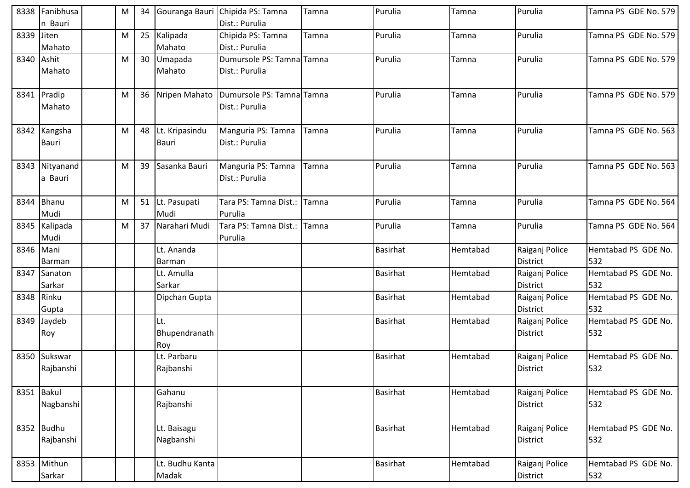|            | 8338 Fanibhusa | M |    | 34 Gouranga Bauri | Chipida PS: Tamna         | Tamna | Purulia         | Tamna    | Purulia         | Tamna PS GDE No. 579 |
|------------|----------------|---|----|-------------------|---------------------------|-------|-----------------|----------|-----------------|----------------------|
|            | n Bauri        |   |    |                   | Dist.: Purulia            |       |                 |          |                 |                      |
| 8339 Jiten |                | M |    | 25 Kalipada       | Chipida PS: Tamna         | Tamna | Purulia         | Tamna    | Purulia         | Tamna PS GDE No. 579 |
|            | Mahato         |   |    | Mahato            | Dist.: Purulia            |       |                 |          |                 |                      |
|            | 8340 Ashit     | M | 30 | Umapada           | Dumursole PS: Tamna Tamna |       | Purulia         | Tamna    | Purulia         | Tamna PS GDE No. 579 |
|            | Mahato         |   |    | Mahato            | Dist.: Purulia            |       |                 |          |                 |                      |
|            |                |   |    |                   |                           |       |                 |          |                 |                      |
|            | 8341 Pradip    | M |    | 36 Nripen Mahato  | Dumursole PS: Tamna Tamna |       | Purulia         | Tamna    | Purulia         | Tamna PS GDE No. 579 |
|            | Mahato         |   |    |                   | Dist.: Purulia            |       |                 |          |                 |                      |
|            | 8342 Kangsha   | M |    | 48 Lt. Kripasindu | Manguria PS: Tamna        | Tamna | Purulia         | Tamna    | Purulia         | Tamna PS GDE No. 563 |
|            | Bauri          |   |    | Bauri             | Dist.: Purulia            |       |                 |          |                 |                      |
|            |                |   |    |                   |                           |       |                 |          |                 |                      |
|            | 8343 Nityanand | M | 39 | Sasanka Bauri     | Manguria PS: Tamna        | Tamna | Purulia         | Tamna    | Purulia         | Tamna PS GDE No. 563 |
|            | a Bauri        |   |    |                   | Dist.: Purulia            |       |                 |          |                 |                      |
|            | 8344 Bhanu     |   |    | 51 Lt. Pasupati   | Tara PS: Tamna Dist.:     |       | Purulia         |          | Purulia         | Tamna PS GDE No. 564 |
|            | Mudi           | M |    | Mudi              | Purulia                   | Tamna |                 | Tamna    |                 |                      |
|            | 8345 Kalipada  | M | 37 | Narahari Mudi     | Tara PS: Tamna Dist.:     | Tamna | Purulia         | Tamna    | Purulia         | Tamna PS GDE No. 564 |
|            | Mudi           |   |    |                   | Purulia                   |       |                 |          |                 |                      |
|            | 8346 Mani      |   |    | Lt. Ananda        |                           |       | <b>Basirhat</b> | Hemtabad | Raiganj Police  | Hemtabad PS GDE No.  |
|            | Barman         |   |    | Barman            |                           |       |                 |          | <b>District</b> | 532                  |
| 8347       | Sanaton        |   |    | Lt. Amulla        |                           |       | <b>Basirhat</b> | Hemtabad | Raiganj Police  | Hemtabad PS GDE No.  |
|            | Sarkar         |   |    | Sarkar            |                           |       |                 |          | <b>District</b> | 532                  |
|            | 8348 Rinku     |   |    | Dipchan Gupta     |                           |       | <b>Basirhat</b> | Hemtabad | Raiganj Police  | Hemtabad PS GDE No.  |
|            | Gupta          |   |    |                   |                           |       |                 |          | <b>District</b> | 532                  |
| 8349       | Jaydeb         |   |    | Lt.               |                           |       | <b>Basirhat</b> | Hemtabad | Raiganj Police  | Hemtabad PS GDE No.  |
|            | Roy            |   |    | Bhupendranath     |                           |       |                 |          | <b>District</b> | 532                  |
|            |                |   |    | Roy               |                           |       |                 |          |                 |                      |
| 8350       | Sukswar        |   |    | Lt. Parbaru       |                           |       | <b>Basirhat</b> | Hemtabad | Raiganj Police  | Hemtabad PS GDE No.  |
|            | Rajbanshi      |   |    | Rajbanshi         |                           |       |                 |          | <b>District</b> | 532                  |
|            | 8351 Bakul     |   |    | Gahanu            |                           |       | <b>Basirhat</b> | Hemtabad | Raiganj Police  | Hemtabad PS GDE No.  |
|            | Nagbanshi      |   |    | Rajbanshi         |                           |       |                 |          | <b>District</b> | 532                  |
|            |                |   |    |                   |                           |       |                 |          |                 |                      |
|            | 8352 Budhu     |   |    | Lt. Baisagu       |                           |       | <b>Basirhat</b> | Hemtabad | Raiganj Police  | Hemtabad PS GDE No.  |
|            | Rajbanshi      |   |    | Nagbanshi         |                           |       |                 |          | <b>District</b> | 532                  |
|            | 8353 Mithun    |   |    | Lt. Budhu Kanta   |                           |       | <b>Basirhat</b> | Hemtabad | Raiganj Police  | Hemtabad PS GDE No.  |
|            | Sarkar         |   |    | Madak             |                           |       |                 |          | District        | 532                  |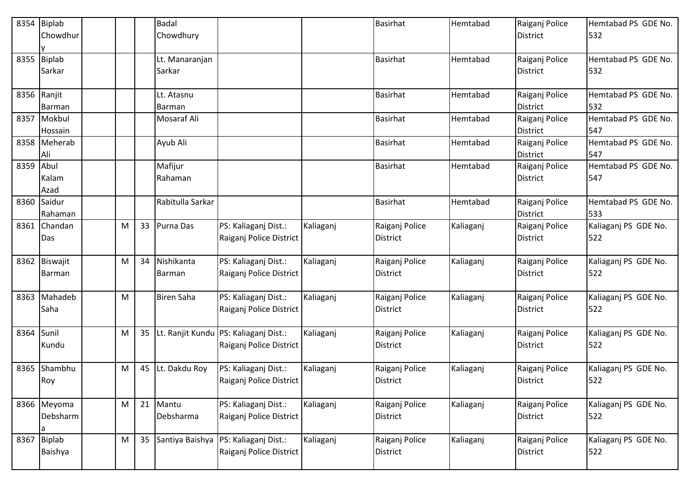|      | 8354 Biplab<br>Chowdhur      |   |    | <b>Badal</b><br>Chowdhury |                                                                    |           | Basirhat                          | Hemtabad  | Raiganj Police<br><b>District</b> | Hemtabad PS GDE No.<br>532  |
|------|------------------------------|---|----|---------------------------|--------------------------------------------------------------------|-----------|-----------------------------------|-----------|-----------------------------------|-----------------------------|
|      | 8355 Biplab<br>Sarkar        |   |    | Lt. Manaranjan<br>Sarkar  |                                                                    |           | <b>Basirhat</b>                   | Hemtabad  | Raiganj Police<br><b>District</b> | Hemtabad PS GDE No.<br>532  |
|      | 8356 Ranjit<br><b>Barman</b> |   |    | Lt. Atasnu<br>Barman      |                                                                    |           | <b>Basirhat</b>                   | Hemtabad  | Raiganj Police<br><b>District</b> | Hemtabad PS GDE No.<br>532  |
|      | 8357 Mokbul<br>Hossain       |   |    | Mosaraf Ali               |                                                                    |           | <b>Basirhat</b>                   | Hemtabad  | Raiganj Police<br><b>District</b> | Hemtabad PS GDE No.<br>547  |
|      | 8358 Meherab<br>Ali          |   |    | Ayub Ali                  |                                                                    |           | <b>Basirhat</b>                   | Hemtabad  | Raiganj Police<br><b>District</b> | Hemtabad PS GDE No.<br>547  |
| 8359 | Abul<br>Kalam<br>Azad        |   |    | Mafijur<br>Rahaman        |                                                                    |           | Basirhat                          | Hemtabad  | Raiganj Police<br><b>District</b> | Hemtabad PS GDE No.<br>547  |
|      | 8360 Saidur<br>Rahaman       |   |    | Rabitulla Sarkar          |                                                                    |           | <b>Basirhat</b>                   | Hemtabad  | Raiganj Police<br><b>District</b> | Hemtabad PS GDE No.<br>533  |
|      | 8361 Chandan<br>Das          | M | 33 | Purna Das                 | PS: Kaliaganj Dist.:<br>Raiganj Police District                    | Kaliaganj | Raiganj Police<br>District        | Kaliaganj | Raiganj Police<br><b>District</b> | Kaliaganj PS GDE No.<br>522 |
|      | 8362 Biswajit<br>Barman      | M | 34 | Nishikanta<br>Barman      | PS: Kaliaganj Dist.:<br>Raiganj Police District                    | Kaliaganj | Raiganj Police<br><b>District</b> | Kaliaganj | Raiganj Police<br><b>District</b> | Kaliaganj PS GDE No.<br>522 |
| 8363 | Mahadeb<br>Saha              | M |    | <b>Biren Saha</b>         | PS: Kaliaganj Dist.:<br>Raiganj Police District                    | Kaliaganj | Raiganj Police<br><b>District</b> | Kaliaganj | Raiganj Police<br><b>District</b> | Kaliaganj PS GDE No.<br>522 |
| 8364 | Sunil<br>Kundu               | M | 35 |                           | Lt. Ranjit Kundu   PS: Kaliaganj Dist.:<br>Raiganj Police District | Kaliaganj | Raiganj Police<br><b>District</b> | Kaliaganj | Raiganj Police<br><b>District</b> | Kaliaganj PS GDE No.<br>522 |
| 8365 | Shambhu<br>Roy               | M | 45 | Lt. Dakdu Roy             | PS: Kaliaganj Dist.:<br>Raiganj Police District                    | Kaliaganj | Raiganj Police<br>District        | Kaliaganj | Raiganj Police<br><b>District</b> | Kaliaganj PS GDE No.<br>522 |
|      | 8366 Meyoma<br>Debsharm<br>a | M |    | 21 Mantu<br>Debsharma     | PS: Kaliaganj Dist.:<br>Raiganj Police District                    | Kaliaganj | Raiganj Police<br><b>District</b> | Kaliaganj | Raiganj Police<br><b>District</b> | Kaliaganj PS GDE No.<br>522 |
|      | 8367 Biplab<br>Baishya       | M |    | 35 Santiya Baishya        | PS: Kaliaganj Dist.:<br>Raiganj Police District                    | Kaliaganj | Raiganj Police<br>District        | Kaliaganj | Raiganj Police<br>District        | Kaliaganj PS GDE No.<br>522 |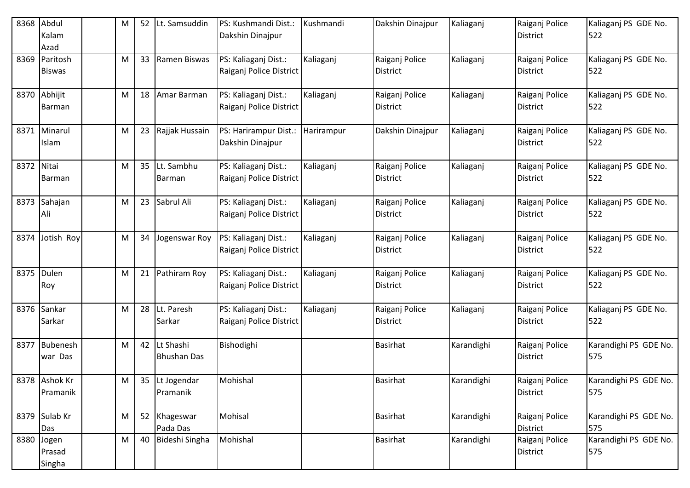| 8368 | Abdul<br>Kalam<br>Azad        | M | 52 | ILt. Samsuddin                     | PS: Kushmandi Dist.:<br>Dakshin Dinajpur        | Kushmandi  | Dakshin Dinajpur                  | Kaliaganj  | Raiganj Police<br><b>District</b> | Kaliaganj PS GDE No.<br>522  |
|------|-------------------------------|---|----|------------------------------------|-------------------------------------------------|------------|-----------------------------------|------------|-----------------------------------|------------------------------|
| 8369 | Paritosh<br><b>Biswas</b>     | M | 33 | Ramen Biswas                       | PS: Kaliaganj Dist.:<br>Raiganj Police District | Kaliaganj  | Raiganj Police<br>District        | Kaliaganj  | Raiganj Police<br><b>District</b> | Kaliaganj PS GDE No.<br>522  |
|      | 8370 Abhijit<br><b>Barman</b> | M | 18 | Amar Barman                        | PS: Kaliaganj Dist.:<br>Raiganj Police District | Kaliaganj  | Raiganj Police<br><b>District</b> | Kaliaganj  | Raiganj Police<br><b>District</b> | Kaliaganj PS GDE No.<br>522  |
|      | 8371 Minarul<br>Islam         | M | 23 | Rajjak Hussain                     | PS: Harirampur Dist.:<br>Dakshin Dinajpur       | Harirampur | Dakshin Dinajpur                  | Kaliaganj  | Raiganj Police<br><b>District</b> | Kaliaganj PS GDE No.<br>522  |
| 8372 | Nitai<br><b>Barman</b>        | M | 35 | Lt. Sambhu<br>Barman               | PS: Kaliaganj Dist.:<br>Raiganj Police District | Kaliaganj  | Raiganj Police<br>District        | Kaliaganj  | Raiganj Police<br><b>District</b> | Kaliaganj PS GDE No.<br>522  |
|      | 8373 Sahajan<br>Ali           | M | 23 | Sabrul Ali                         | PS: Kaliaganj Dist.:<br>Raiganj Police District | Kaliaganj  | Raiganj Police<br>District        | Kaliaganj  | Raiganj Police<br><b>District</b> | Kaliaganj PS GDE No.<br>522  |
| 8374 | Jotish Roy                    | M | 34 | Jogenswar Roy                      | PS: Kaliaganj Dist.:<br>Raiganj Police District | Kaliaganj  | Raiganj Police<br><b>District</b> | Kaliaganj  | Raiganj Police<br><b>District</b> | Kaliaganj PS GDE No.<br>522  |
| 8375 | Dulen<br>Roy                  | M | 21 | Pathiram Roy                       | PS: Kaliaganj Dist.:<br>Raiganj Police District | Kaliaganj  | Raiganj Police<br><b>District</b> | Kaliaganj  | Raiganj Police<br><b>District</b> | Kaliaganj PS GDE No.<br>522  |
| 8376 | Sankar<br>Sarkar              | M |    | 28 Lt. Paresh<br>Sarkar            | PS: Kaliaganj Dist.:<br>Raiganj Police District | Kaliaganj  | Raiganj Police<br>District        | Kaliaganj  | Raiganj Police<br><b>District</b> | Kaliaganj PS GDE No.<br>522  |
| 8377 | Bubenesh<br>war Das           | M |    | 42 Lt Shashi<br><b>Bhushan Das</b> | Bishodighi                                      |            | <b>Basirhat</b>                   | Karandighi | Raiganj Police<br>District        | Karandighi PS GDE No.<br>575 |
|      | 8378 Ashok Kr<br>Pramanik     | M |    | 35 Lt Jogendar<br>Pramanik         | Mohishal                                        |            | <b>Basirhat</b>                   | Karandighi | Raiganj Police<br><b>District</b> | Karandighi PS GDE No.<br>575 |
|      | 8379 Sulab Kr<br>Das          | M |    | 52 Khageswar<br>Pada Das           | Mohisal                                         |            | <b>Basirhat</b>                   | Karandighi | Raiganj Police<br>District        | Karandighi PS GDE No.<br>575 |
| 8380 | Jogen<br>Prasad<br>Singha     | M | 40 | Bideshi Singha                     | Mohishal                                        |            | <b>Basirhat</b>                   | Karandighi | Raiganj Police<br>District        | Karandighi PS GDE No.<br>575 |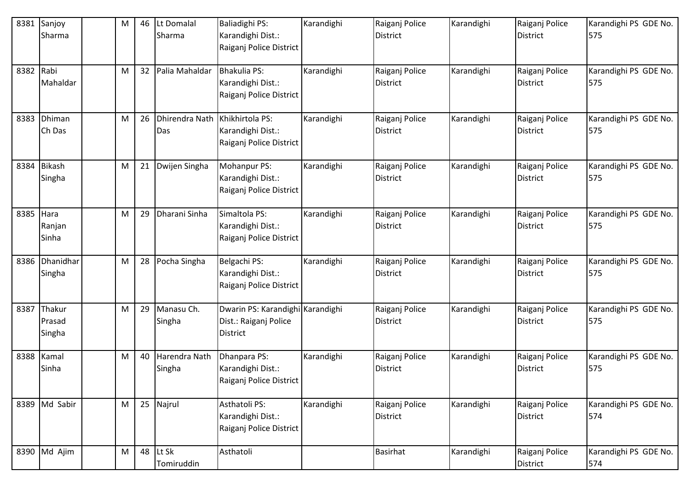| 8381 | Sanjoy<br>Sharma           | M | 46 | Lt Domalal<br>Sharma                  | Baliadighi PS:<br>Karandighi Dist.:<br>Raiganj Police District               | Karandighi | Raiganj Police<br><b>District</b> | Karandighi | Raiganj Police<br><b>District</b> | Karandighi PS GDE No.<br>575 |
|------|----------------------------|---|----|---------------------------------------|------------------------------------------------------------------------------|------------|-----------------------------------|------------|-----------------------------------|------------------------------|
| 8382 | Rabi<br>Mahaldar           | M |    | 32 Palia Mahaldar                     | Bhakulia PS:<br>Karandighi Dist.:<br>Raiganj Police District                 | Karandighi | Raiganj Police<br><b>District</b> | Karandighi | Raiganj Police<br><b>District</b> | Karandighi PS GDE No.<br>575 |
| 8383 | Dhiman<br>Ch Das           | M | 26 | Dhirendra Nath Khikhirtola PS:<br>Das | Karandighi Dist.:<br>Raiganj Police District                                 | Karandighi | Raiganj Police<br><b>District</b> | Karandighi | Raiganj Police<br><b>District</b> | Karandighi PS GDE No.<br>575 |
| 8384 | Bikash<br>Singha           | M | 21 | Dwijen Singha                         | Mohanpur PS:<br>Karandighi Dist.:<br>Raiganj Police District                 | Karandighi | Raiganj Police<br><b>District</b> | Karandighi | Raiganj Police<br><b>District</b> | Karandighi PS GDE No.<br>575 |
| 8385 | Hara<br>Ranjan<br>Sinha    | M | 29 | Dharani Sinha                         | Simaltola PS:<br>Karandighi Dist.:<br>Raiganj Police District                | Karandighi | Raiganj Police<br><b>District</b> | Karandighi | Raiganj Police<br><b>District</b> | Karandighi PS GDE No.<br>575 |
| 8386 | Dhanidhar<br>Singha        | M |    | 28 Pocha Singha                       | Belgachi PS:<br>Karandighi Dist.:<br>Raiganj Police District                 | Karandighi | Raiganj Police<br><b>District</b> | Karandighi | Raiganj Police<br><b>District</b> | Karandighi PS GDE No.<br>575 |
| 8387 | Thakur<br>Prasad<br>Singha | M |    | 29 Manasu Ch.<br>Singha               | Dwarin PS: Karandighi Karandighi<br>Dist.: Raiganj Police<br><b>District</b> |            | Raiganj Police<br><b>District</b> | Karandighi | Raiganj Police<br><b>District</b> | Karandighi PS GDE No.<br>575 |
| 8388 | Kamal<br>Sinha             | M | 40 | Harendra Nath<br>Singha               | Dhanpara PS:<br>Karandighi Dist.:<br>Raiganj Police District                 | Karandighi | Raiganj Police<br><b>District</b> | Karandighi | Raiganj Police<br><b>District</b> | Karandighi PS GDE No.<br>575 |
|      | 8389 Md Sabir              | M |    | 25 Najrul                             | Asthatoli PS:<br>Karandighi Dist.:<br>Raiganj Police District                | Karandighi | Raiganj Police<br><b>District</b> | Karandighi | Raiganj Police<br><b>District</b> | Karandighi PS GDE No.<br>574 |
|      | 8390 Md Ajim               | M | 48 | Lt Sk<br>Tomiruddin                   | Asthatoli                                                                    |            | <b>Basirhat</b>                   | Karandighi | Raiganj Police<br>District        | Karandighi PS GDE No.<br>574 |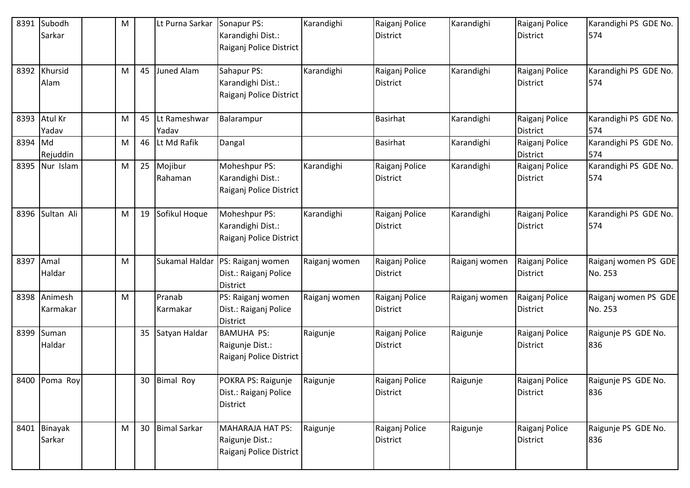| 8391      | Subodh<br>Sarkar       | M |    | Lt Purna Sarkar       | Sonapur PS:<br>Karandighi Dist.:<br>Raiganj Police District           | Karandighi    | Raiganj Police<br><b>District</b> | Karandighi    | Raiganj Police<br><b>District</b> | Karandighi PS GDE No.<br>574    |
|-----------|------------------------|---|----|-----------------------|-----------------------------------------------------------------------|---------------|-----------------------------------|---------------|-----------------------------------|---------------------------------|
| 8392      | Khursid<br>Alam        | M | 45 | Juned Alam            | Sahapur PS:<br>Karandighi Dist.:<br>Raiganj Police District           | Karandighi    | Raiganj Police<br><b>District</b> | Karandighi    | Raiganj Police<br><b>District</b> | Karandighi PS GDE No.<br>574    |
|           | 8393 Atul Kr<br>Yadav  | M | 45 | Lt Rameshwar<br>Yadav | Balarampur                                                            |               | <b>Basirhat</b>                   | Karandighi    | Raiganj Police<br><b>District</b> | Karandighi PS GDE No.<br>574    |
| 8394 Md   | Rejuddin               | M |    | 46 Lt Md Rafik        | Dangal                                                                |               | <b>Basirhat</b>                   | Karandighi    | Raiganj Police<br><b>District</b> | Karandighi PS GDE No.<br>574    |
| 8395      | Nur Islam              | M |    | 25 Mojibur<br>Rahaman | Moheshpur PS:<br>Karandighi Dist.:<br>Raiganj Police District         | Karandighi    | Raiganj Police<br>District        | Karandighi    | Raiganj Police<br><b>District</b> | Karandighi PS GDE No.<br>574    |
| 8396      | Sultan Ali             | M |    | 19 Sofikul Hoque      | Moheshpur PS:<br>Karandighi Dist.:<br>Raiganj Police District         | Karandighi    | Raiganj Police<br>District        | Karandighi    | Raiganj Police<br><b>District</b> | Karandighi PS GDE No.<br>574    |
| 8397 Amal | Haldar                 | M |    | Sukamal Haldar        | PS: Raiganj women<br>Dist.: Raiganj Police<br><b>District</b>         | Raiganj women | Raiganj Police<br>District        | Raiganj women | Raiganj Police<br><b>District</b> | Raiganj women PS GDE<br>No. 253 |
| 8398      | Animesh<br>Karmakar    | M |    | Pranab<br>Karmakar    | PS: Raiganj women<br>Dist.: Raiganj Police<br>District                | Raiganj women | Raiganj Police<br><b>District</b> | Raiganj women | Raiganj Police<br><b>District</b> | Raiganj women PS GDE<br>No. 253 |
| 8399      | Suman<br>Haldar        |   |    | 35 Satyan Haldar      | <b>BAMUHA PS:</b><br>Raigunje Dist.:<br>Raiganj Police District       | Raigunje      | Raiganj Police<br><b>District</b> | Raigunje      | Raiganj Police<br><b>District</b> | Raigunje PS GDE No.<br>836      |
|           | 8400 Poma Roy          |   |    | 30 Bimal Roy          | POKRA PS: Raigunje<br>Dist.: Raiganj Police<br>District               | Raigunje      | Raiganj Police<br><b>District</b> | Raigunje      | Raiganj Police<br><b>District</b> | Raigunje PS GDE No.<br>836      |
|           | 8401 Binayak<br>Sarkar | M |    | 30 Bimal Sarkar       | <b>MAHARAJA HAT PS:</b><br>Raigunje Dist.:<br>Raiganj Police District | Raigunje      | Raiganj Police<br>District        | Raigunje      | Raiganj Police<br>District        | Raigunje PS GDE No.<br>836      |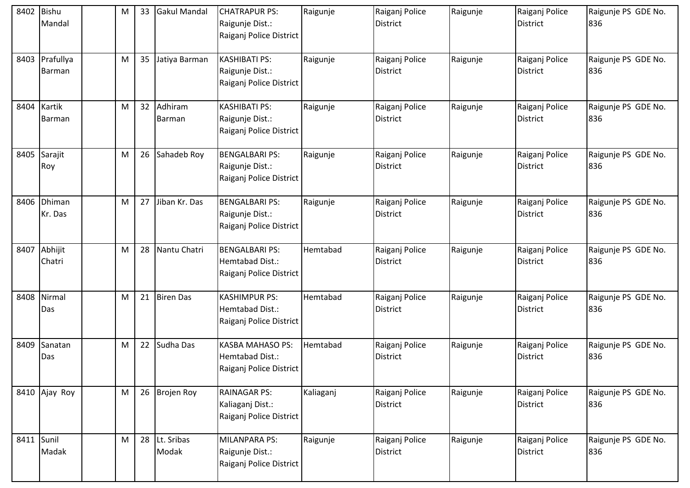| 8402       | <b>Bishu</b><br>Mandal | M | 33 | <b>Gakul Mandal</b>    | <b>CHATRAPUR PS:</b><br>Raigunje Dist.:<br>Raiganj Police District    | Raigunje  | Raiganj Police<br><b>District</b> | Raigunje | Raiganj Police<br><b>District</b> | Raigunje PS GDE No.<br>836 |
|------------|------------------------|---|----|------------------------|-----------------------------------------------------------------------|-----------|-----------------------------------|----------|-----------------------------------|----------------------------|
| 8403       | Prafullya<br>Barman    | M | 35 | Jatiya Barman          | <b>KASHIBATI PS:</b><br>Raigunje Dist.:<br>Raiganj Police District    | Raigunje  | Raiganj Police<br><b>District</b> | Raigunje | Raiganj Police<br><b>District</b> | Raigunje PS GDE No.<br>836 |
| 8404       | Kartik<br>Barman       | M | 32 | Adhiram<br>Barman      | <b>KASHIBATI PS:</b><br>Raigunje Dist.:<br>Raiganj Police District    | Raigunje  | Raiganj Police<br><b>District</b> | Raigunje | Raiganj Police<br><b>District</b> | Raigunje PS GDE No.<br>836 |
| 8405       | Sarajit<br>Roy         | M | 26 | Sahadeb Roy            | <b>BENGALBARI PS:</b><br>Raigunje Dist.:<br>Raiganj Police District   | Raigunje  | Raiganj Police<br><b>District</b> | Raigunje | Raiganj Police<br><b>District</b> | Raigunje PS GDE No.<br>836 |
| 8406       | Dhiman<br>Kr. Das      | M | 27 | Jiban Kr. Das          | <b>BENGALBARI PS:</b><br>Raigunje Dist.:<br>Raiganj Police District   | Raigunje  | Raiganj Police<br><b>District</b> | Raigunje | Raiganj Police<br><b>District</b> | Raigunje PS GDE No.<br>836 |
| 8407       | Abhijit<br>Chatri      | M | 28 | Nantu Chatri           | <b>BENGALBARI PS:</b><br>Hemtabad Dist.:<br>Raiganj Police District   | Hemtabad  | Raiganj Police<br><b>District</b> | Raigunje | Raiganj Police<br><b>District</b> | Raigunje PS GDE No.<br>836 |
| 8408       | Nirmal<br>Das          | M | 21 | <b>Biren Das</b>       | <b>KASHIMPUR PS:</b><br>Hemtabad Dist.:<br>Raiganj Police District    | Hemtabad  | Raiganj Police<br><b>District</b> | Raigunje | Raiganj Police<br><b>District</b> | Raigunje PS GDE No.<br>836 |
| 8409       | Sanatan<br>Das         | М | 22 | Sudha Das              | <b>KASBA MAHASO PS:</b><br>Hemtabad Dist.:<br>Raiganj Police District | Hemtabad  | Raiganj Police<br><b>District</b> | Raigunje | Raiganj Police<br><b>District</b> | Raigunje PS GDE No.<br>836 |
|            | 8410 Ajay Roy          | M | 26 | <b>Brojen Roy</b>      | <b>RAINAGAR PS:</b><br>Kaliaganj Dist.:<br>Raiganj Police District    | Kaliaganj | Raiganj Police<br><b>District</b> | Raigunje | Raiganj Police<br>District        | Raigunje PS GDE No.<br>836 |
| 8411 Sunil | Madak                  | M |    | 28 Lt. Sribas<br>Modak | MILANPARA PS:<br>Raigunje Dist.:<br>Raiganj Police District           | Raigunje  | Raiganj Police<br><b>District</b> | Raigunje | Raiganj Police<br><b>District</b> | Raigunje PS GDE No.<br>836 |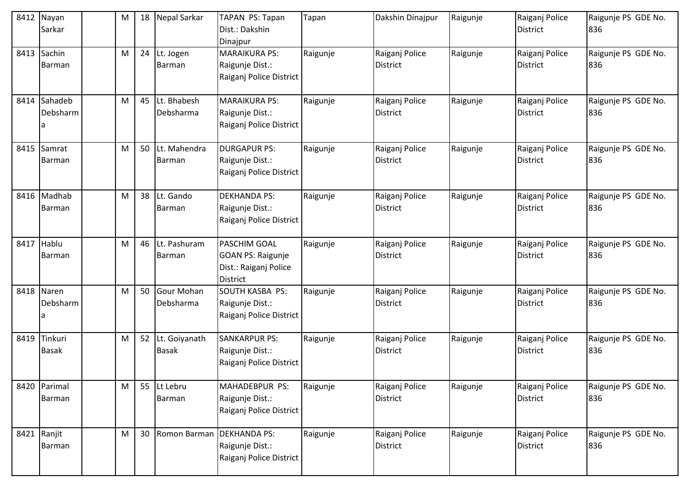| 8412 | Nayan<br>Sarkar         | M | 18 | Nepal Sarkar                     | TAPAN PS: Tapan<br>Dist.: Dakshin<br>Dinajpur                                        | Tapan    | Dakshin Dinajpur                  | Raigunje | Raiganj Police<br><b>District</b> | Raigunje PS GDE No.<br>836 |
|------|-------------------------|---|----|----------------------------------|--------------------------------------------------------------------------------------|----------|-----------------------------------|----------|-----------------------------------|----------------------------|
| 8413 | Sachin<br>Barman        | M |    | 24 Lt. Jogen<br>Barman           | <b>MARAIKURA PS:</b><br>Raigunje Dist.:<br>Raiganj Police District                   | Raigunje | Raiganj Police<br>District        | Raigunje | Raiganj Police<br><b>District</b> | Raigunje PS GDE No.<br>836 |
| 8414 | Sahadeb<br>Debsharm     | M |    | 45 Lt. Bhabesh<br>Debsharma      | <b>MARAIKURA PS:</b><br>Raigunje Dist.:<br>Raiganj Police District                   | Raigunje | Raiganj Police<br><b>District</b> | Raigunje | Raiganj Police<br><b>District</b> | Raigunje PS GDE No.<br>836 |
| 8415 | Samrat<br>Barman        | M |    | 50 Lt. Mahendra<br>Barman        | <b>DURGAPUR PS:</b><br>Raigunje Dist.:<br>Raiganj Police District                    | Raigunje | Raiganj Police<br><b>District</b> | Raigunje | Raiganj Police<br><b>District</b> | Raigunje PS GDE No.<br>836 |
| 8416 | Madhab<br>Barman        | M |    | 38 Lt. Gando<br>Barman           | <b>DEKHANDA PS:</b><br>Raigunje Dist.:<br>Raiganj Police District                    | Raigunje | Raiganj Police<br>District        | Raigunje | Raiganj Police<br><b>District</b> | Raigunje PS GDE No.<br>836 |
| 8417 | Hablu<br>Barman         | M |    | 46 Lt. Pashuram<br>Barman        | PASCHIM GOAL<br><b>GOAN PS: Raigunje</b><br>Dist.: Raiganj Police<br><b>District</b> | Raigunje | Raiganj Police<br><b>District</b> | Raigunje | Raiganj Police<br><b>District</b> | Raigunje PS GDE No.<br>836 |
|      | 8418 Naren<br>Debsharm  | M |    | 50 Gour Mohan<br>Debsharma       | <b>SOUTH KASBA PS:</b><br>Raigunje Dist.:<br>Raiganj Police District                 | Raigunje | Raiganj Police<br><b>District</b> | Raigunje | Raiganj Police<br><b>District</b> | Raigunje PS GDE No.<br>836 |
| 8419 | Tinkuri<br><b>Basak</b> | M |    | 52 Lt. Goiyanath<br><b>Basak</b> | <b>SANKARPUR PS:</b><br>Raigunje Dist.:<br>Raiganj Police District                   | Raigunje | Raiganj Police<br>District        | Raigunje | Raiganj Police<br><b>District</b> | Raigunje PS GDE No.<br>836 |
| 8420 | Parimal<br>Barman       | M |    | 55 Lt Lebru<br>Barman            | MAHADEBPUR PS:<br>Raigunje Dist.:<br>Raiganj Police District                         | Raigunje | Raiganj Police<br>District        | Raigunje | Raiganj Police<br><b>District</b> | Raigunje PS GDE No.<br>836 |
|      | 8421 Ranjit<br>Barman   | M |    | 30 Romon Barman                  | <b>DEKHANDA PS:</b><br>Raigunje Dist.:<br>Raiganj Police District                    | Raigunje | Raiganj Police<br><b>District</b> | Raigunje | Raiganj Police<br><b>District</b> | Raigunje PS GDE No.<br>836 |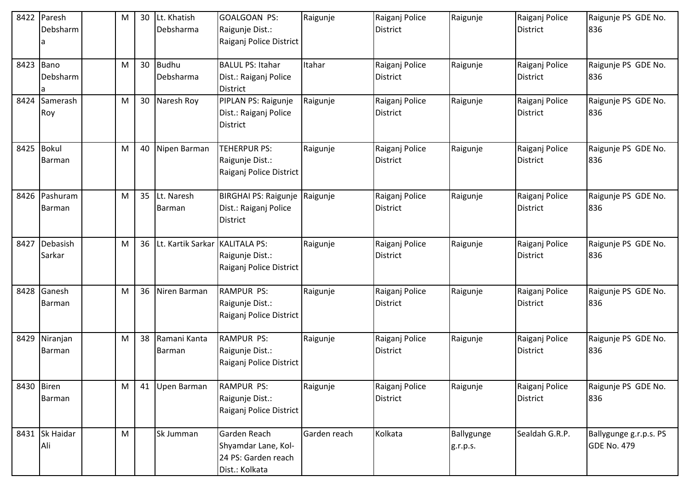| 8422       | Paresh<br>Debsharm    | M |    | 30 Lt. Khatish<br>Debsharma | <b>GOALGOAN PS:</b><br>Raigunje Dist.:<br>Raiganj Police District            | Raigunje     | Raiganj Police<br><b>District</b> | Raigunje               | Raiganj Police<br><b>District</b> | Raigunje PS GDE No.<br>836                   |
|------------|-----------------------|---|----|-----------------------------|------------------------------------------------------------------------------|--------------|-----------------------------------|------------------------|-----------------------------------|----------------------------------------------|
| 8423 Bano  | Debsharm              | M |    | 30 Budhu<br>Debsharma       | <b>BALUL PS: Itahar</b><br>Dist.: Raiganj Police<br>District                 | Itahar       | Raiganj Police<br><b>District</b> | Raigunje               | Raiganj Police<br><b>District</b> | Raigunje PS GDE No.<br>836                   |
| 8424       | Samerash<br>Roy       | M |    | 30 Naresh Roy               | PIPLAN PS: Raigunje<br>Dist.: Raiganj Police<br><b>District</b>              | Raigunje     | Raiganj Police<br><b>District</b> | Raigunje               | Raiganj Police<br><b>District</b> | Raigunje PS GDE No.<br>836                   |
| 8425 Bokul | Barman                | M |    | 40 Nipen Barman             | <b>TEHERPUR PS:</b><br>Raigunje Dist.:<br>Raiganj Police District            | Raigunje     | Raiganj Police<br>District        | Raigunje               | Raiganj Police<br><b>District</b> | Raigunje PS GDE No.<br>836                   |
| 8426       | Pashuram<br>Barman    | M |    | 35 Lt. Naresh<br>Barman     | <b>BIRGHAI PS: Raigunje</b><br>Dist.: Raiganj Police<br>District             | Raigunje     | Raiganj Police<br><b>District</b> | Raigunje               | Raiganj Police<br><b>District</b> | Raigunje PS GDE No.<br>836                   |
| 8427       | Debasish<br>Sarkar    | M |    | 36 Lt. Kartik Sarkar        | <b>KALITALA PS:</b><br>Raigunje Dist.:<br>Raiganj Police District            | Raigunje     | Raiganj Police<br><b>District</b> | Raigunje               | Raiganj Police<br><b>District</b> | Raigunje PS GDE No.<br>836                   |
| 8428       | Ganesh<br>Barman      | M | 36 | Niren Barman                | <b>RAMPUR PS:</b><br>Raigunje Dist.:<br>Raiganj Police District              | Raigunje     | Raiganj Police<br><b>District</b> | Raigunje               | Raiganj Police<br><b>District</b> | Raigunje PS GDE No.<br>836                   |
| 8429       | Niranjan<br>Barman    | M | 38 | Ramani Kanta<br>Barman      | RAMPUR PS:<br>Raigunje Dist.:<br>Raiganj Police District                     | Raigunje     | Raiganj Police<br>District        | Raigunje               | Raiganj Police<br><b>District</b> | Raigunje PS GDE No.<br>836                   |
| 8430       | Biren<br>Barman       | M |    | 41 Upen Barman              | <b>RAMPUR PS:</b><br>Raigunje Dist.:<br>Raiganj Police District              | Raigunje     | Raiganj Police<br><b>District</b> | Raigunje               | Raiganj Police<br><b>District</b> | Raigunje PS GDE No.<br>836                   |
|            | 8431 Sk Haidar<br>Ali | M |    | Sk Jumman                   | Garden Reach<br>Shyamdar Lane, Kol-<br>24 PS: Garden reach<br>Dist.: Kolkata | Garden reach | Kolkata                           | Ballygunge<br>g.r.p.s. | Sealdah G.R.P.                    | Ballygunge g.r.p.s. PS<br><b>GDE No. 479</b> |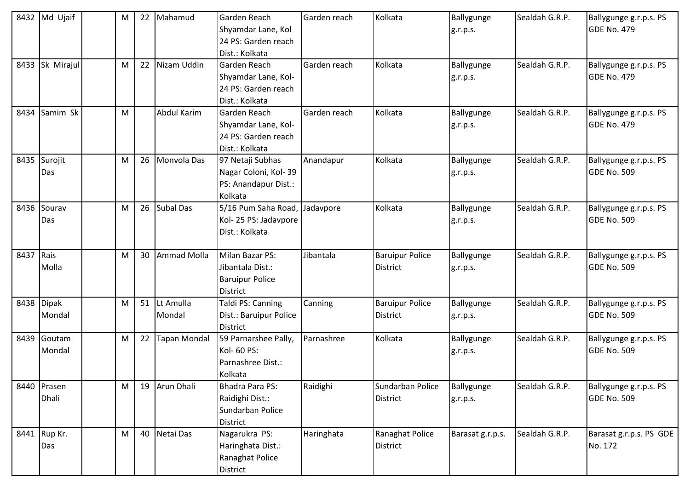|           | 8432 Md Ujaif        | M |    | 22 Mahamud             | Garden Reach<br>Shyamdar Lane, Kol<br>24 PS: Garden reach<br>Dist.: Kolkata      | Garden reach | Kolkata                                   | Ballygunge<br>g.r.p.s. | Sealdah G.R.P. | Ballygunge g.r.p.s. PS<br>GDE No. 479        |
|-----------|----------------------|---|----|------------------------|----------------------------------------------------------------------------------|--------------|-------------------------------------------|------------------------|----------------|----------------------------------------------|
|           | 8433 Sk Mirajul      | M | 22 | Nizam Uddin            | Garden Reach<br>Shyamdar Lane, Kol-<br>24 PS: Garden reach<br>Dist.: Kolkata     | Garden reach | Kolkata                                   | Ballygunge<br>g.r.p.s. | Sealdah G.R.P. | Ballygunge g.r.p.s. PS<br><b>GDE No. 479</b> |
| 8434      | Samim Sk             | M |    | Abdul Karim            | Garden Reach<br>Shyamdar Lane, Kol-<br>24 PS: Garden reach<br>Dist.: Kolkata     | Garden reach | Kolkata                                   | Ballygunge<br>g.r.p.s. | Sealdah G.R.P. | Ballygunge g.r.p.s. PS<br><b>GDE No. 479</b> |
| 8435      | Surojit<br>Das       | M |    | 26 Monvola Das         | 97 Netaji Subhas<br>Nagar Coloni, Kol-39<br>PS: Anandapur Dist.:<br>Kolkata      | Anandapur    | Kolkata                                   | Ballygunge<br>g.r.p.s. | Sealdah G.R.P. | Ballygunge g.r.p.s. PS<br><b>GDE No. 509</b> |
|           | 8436 Sourav<br>Das   | M |    | 26 Subal Das           | 5/16 Pum Saha Road,<br>Kol-25 PS: Jadavpore<br>Dist.: Kolkata                    | Jadavpore    | Kolkata                                   | Ballygunge<br>g.r.p.s. | Sealdah G.R.P. | Ballygunge g.r.p.s. PS<br>GDE No. 509        |
| 8437 Rais | Molla                | M |    | 30 Ammad Molla         | Milan Bazar PS:<br>Jibantala Dist.:<br><b>Baruipur Police</b><br><b>District</b> | Jibantala    | <b>Baruipur Police</b><br><b>District</b> | Ballygunge<br>g.r.p.s. | Sealdah G.R.P. | Ballygunge g.r.p.s. PS<br><b>GDE No. 509</b> |
|           | 8438 Dipak<br>Mondal | M |    | 51 Lt Amulla<br>Mondal | Taldi PS: Canning<br>Dist.: Baruipur Police<br><b>District</b>                   | Canning      | <b>Baruipur Police</b><br><b>District</b> | Ballygunge<br>g.r.p.s. | Sealdah G.R.P. | Ballygunge g.r.p.s. PS<br><b>GDE No. 509</b> |
| 8439      | Goutam<br>Mondal     | M |    | 22 Tapan Mondal        | 59 Parnarshee Pally,<br>Kol- 60 PS:<br>Parnashree Dist.:<br>Kolkata              | Parnashree   | Kolkata                                   | Ballygunge<br>g.r.p.s. | Sealdah G.R.P. | Ballygunge g.r.p.s. PS<br><b>GDE No. 509</b> |
|           | 8440 Prasen<br>Dhali | M |    | 19 Arun Dhali          | Bhadra Para PS:<br>Raidighi Dist.:<br>Sundarban Police<br><b>District</b>        | Raidighi     | Sundarban Police<br><b>District</b>       | Ballygunge<br>g.r.p.s. | Sealdah G.R.P. | Ballygunge g.r.p.s. PS<br>GDE No. 509        |
|           | 8441 Rup Kr.<br>Das  | M |    | 40 Netai Das           | Nagarukra PS:<br>Haringhata Dist.:<br>Ranaghat Police<br>District                | Haringhata   | Ranaghat Police<br><b>District</b>        | Barasat g.r.p.s.       | Sealdah G.R.P. | Barasat g.r.p.s. PS GDE<br>No. 172           |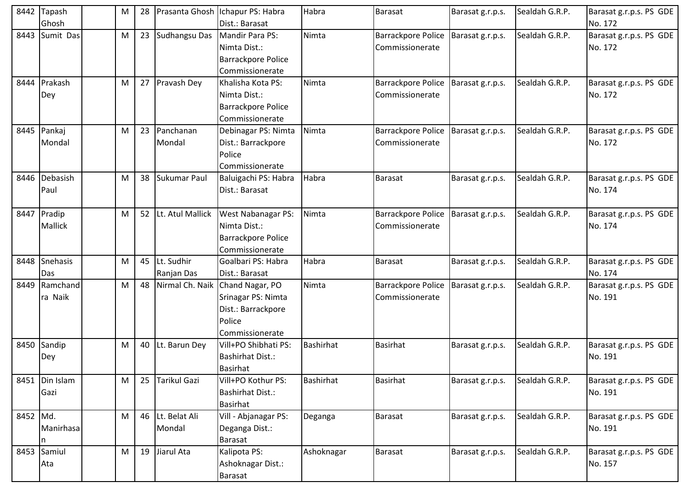| 8442     | Tapash<br>Ghosh          | M | 28              |                             | Prasanta Ghosh Ichapur PS: Habra<br>Dist.: Barasat                                                       | Habra            | Barasat                                      | Barasat g.r.p.s. | Sealdah G.R.P. | Barasat g.r.p.s. PS GDE<br>No. 172 |
|----------|--------------------------|---|-----------------|-----------------------------|----------------------------------------------------------------------------------------------------------|------------------|----------------------------------------------|------------------|----------------|------------------------------------|
| 8443     | Sumit Das                | M |                 | 23 Sudhangsu Das            | <b>Mandir Para PS:</b><br>Nimta Dist.:<br>Barrackpore Police<br>Commissionerate                          | Nimta            | <b>Barrackpore Police</b><br>Commissionerate | Barasat g.r.p.s. | Sealdah G.R.P. | Barasat g.r.p.s. PS GDE<br>No. 172 |
|          | 8444 Prakash<br>Dey      | M |                 | 27 Pravash Dey              | Khalisha Kota PS:<br>Nimta Dist.:<br><b>Barrackpore Police</b><br>Commissionerate                        | Nimta            | <b>Barrackpore Police</b><br>Commissionerate | Barasat g.r.p.s. | Sealdah G.R.P. | Barasat g.r.p.s. PS GDE<br>No. 172 |
|          | 8445 Pankaj<br>Mondal    | M |                 | 23 Panchanan<br>Mondal      | Debinagar PS: Nimta<br>Dist.: Barrackpore<br>Police<br>Commissionerate                                   | Nimta            | <b>Barrackpore Police</b><br>Commissionerate | Barasat g.r.p.s. | Sealdah G.R.P. | Barasat g.r.p.s. PS GDE<br>No. 172 |
| 8446     | Debasish<br>Paul         | м |                 | 38 Sukumar Paul             | Baluigachi PS: Habra<br>Dist.: Barasat                                                                   | Habra            | <b>Barasat</b>                               | Barasat g.r.p.s. | Sealdah G.R.P. | Barasat g.r.p.s. PS GDE<br>No. 174 |
| 8447     | Pradip<br>Mallick        | M |                 | 52 Lt. Atul Mallick         | West Nabanagar PS:<br>Nimta Dist.:<br><b>Barrackpore Police</b><br>Commissionerate                       | Nimta            | <b>Barrackpore Police</b><br>Commissionerate | Barasat g.r.p.s. | Sealdah G.R.P. | Barasat g.r.p.s. PS GDE<br>No. 174 |
| 8448     | Snehasis<br>Das          | M |                 | 45 Lt. Sudhir<br>Ranjan Das | Goalbari PS: Habra<br>Dist.: Barasat                                                                     | Habra            | Barasat                                      | Barasat g.r.p.s. | Sealdah G.R.P. | Barasat g.r.p.s. PS GDE<br>No. 174 |
| 8449     | Ramchand<br>ra Naik      | м | 48              |                             | Nirmal Ch. Naik Chand Nagar, PO<br>Srinagar PS: Nimta<br>Dist.: Barrackpore<br>Police<br>Commissionerate | Nimta            | <b>Barrackpore Police</b><br>Commissionerate | Barasat g.r.p.s. | Sealdah G.R.P. | Barasat g.r.p.s. PS GDE<br>No. 191 |
|          | 8450 Sandip<br>Dey       | M |                 | 40 Lt. Barun Dey            | Vill+PO Shibhati PS:<br><b>Bashirhat Dist.:</b><br><b>Basirhat</b>                                       | <b>Bashirhat</b> | <b>Basirhat</b>                              | Barasat g.r.p.s. | Sealdah G.R.P. | Barasat g.r.p.s. PS GDE<br>No. 191 |
|          | 8451   Din Islam<br>Gazi | M | 25 <sub>1</sub> | <b>Tarikul Gazi</b>         | Vill+PO Kothur PS:<br><b>Bashirhat Dist.:</b><br>Basirhat                                                | <b>Bashirhat</b> | <b>Basirhat</b>                              | Barasat g.r.p.s. | Sealdah G.R.P. | Barasat g.r.p.s. PS GDE<br>No. 191 |
| 8452 Md. | Manirhasa<br>n           | M |                 | 46 Lt. Belat Ali<br>Mondal  | Vill - Abjanagar PS:<br>Deganga Dist.:<br>Barasat                                                        | Deganga          | Barasat                                      | Barasat g.r.p.s. | Sealdah G.R.P. | Barasat g.r.p.s. PS GDE<br>No. 191 |
|          | 8453 Samiul<br>Ata       | M |                 | 19 Jiarul Ata               | Kalipota PS:<br>Ashoknagar Dist.:<br><b>Barasat</b>                                                      | Ashoknagar       | Barasat                                      | Barasat g.r.p.s. | Sealdah G.R.P. | Barasat g.r.p.s. PS GDE<br>No. 157 |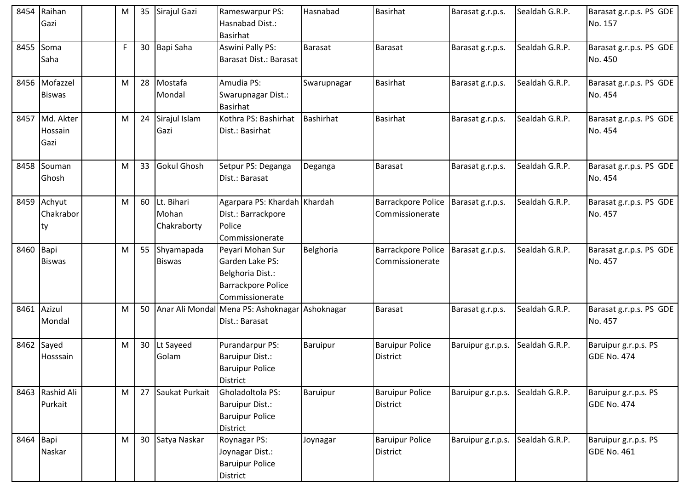| 8454 | Raihan<br>Gazi                    | M | 35              | Sirajul Gazi                       | Rameswarpur PS:<br>Hasnabad Dist.:<br><b>Basirhat</b>                                                   | Hasnabad       | <b>Basirhat</b>                              | Barasat g.r.p.s.  | Sealdah G.R.P. | Barasat g.r.p.s. PS GDE<br>No. 157         |
|------|-----------------------------------|---|-----------------|------------------------------------|---------------------------------------------------------------------------------------------------------|----------------|----------------------------------------------|-------------------|----------------|--------------------------------------------|
| 8455 | Soma<br>Saha                      | F | 30 <sup>°</sup> | Bapi Saha                          | <b>Aswini Pally PS:</b><br>Barasat Dist.: Barasat                                                       | <b>Barasat</b> | Barasat                                      | Barasat g.r.p.s.  | Sealdah G.R.P. | Barasat g.r.p.s. PS GDE<br>No. 450         |
|      | 8456 Mofazzel<br><b>Biswas</b>    | M | 28              | Mostafa<br>Mondal                  | Amudia PS:<br>Swarupnagar Dist.:<br><b>Basirhat</b>                                                     | Swarupnagar    | <b>Basirhat</b>                              | Barasat g.r.p.s.  | Sealdah G.R.P. | Barasat g.r.p.s. PS GDE<br>No. 454         |
|      | 8457 Md. Akter<br>Hossain<br>Gazi | M | 24              | Sirajul Islam<br>Gazi              | Kothra PS: Bashirhat<br>Dist.: Basirhat                                                                 | Bashirhat      | <b>Basirhat</b>                              | Barasat g.r.p.s.  | Sealdah G.R.P. | Barasat g.r.p.s. PS GDE<br>No. 454         |
| 8458 | Souman<br>Ghosh                   | M | 33              | <b>Gokul Ghosh</b>                 | Setpur PS: Deganga<br>Dist.: Barasat                                                                    | Deganga        | <b>Barasat</b>                               | Barasat g.r.p.s.  | Sealdah G.R.P. | Barasat g.r.p.s. PS GDE<br>No. 454         |
|      | 8459 Achyut<br>Chakrabor<br>ty    | M | 60              | Lt. Bihari<br>Mohan<br>Chakraborty | Agarpara PS: Khardah Khardah<br>Dist.: Barrackpore<br>Police<br>Commissionerate                         |                | <b>Barrackpore Police</b><br>Commissionerate | Barasat g.r.p.s.  | Sealdah G.R.P. | Barasat g.r.p.s. PS GDE<br>No. 457         |
| 8460 | Bapi<br><b>Biswas</b>             | M | 55              | Shyamapada<br><b>Biswas</b>        | Peyari Mohan Sur<br>Garden Lake PS:<br>Belghoria Dist.:<br><b>Barrackpore Police</b><br>Commissionerate | Belghoria      | <b>Barrackpore Police</b><br>Commissionerate | Barasat g.r.p.s.  | Sealdah G.R.P. | Barasat g.r.p.s. PS GDE<br>No. 457         |
|      | 8461 Azizul<br>Mondal             | M | 50              |                                    | Anar Ali Mondal Mena PS: Ashoknagar Ashoknagar<br>Dist.: Barasat                                        |                | Barasat                                      | Barasat g.r.p.s.  | Sealdah G.R.P. | Barasat g.r.p.s. PS GDE<br>No. 457         |
|      | 8462 Sayed<br>Hosssain            | M | 30              | Lt Sayeed<br>Golam                 | Purandarpur PS:<br><b>Baruipur Dist.:</b><br><b>Baruipur Police</b><br><b>District</b>                  | Baruipur       | <b>Baruipur Police</b><br><b>District</b>    | Baruipur g.r.p.s. | Sealdah G.R.P. | Baruipur g.r.p.s. PS<br><b>GDE No. 474</b> |
|      | 8463 Rashid Ali<br>Purkait        | M | 27              | Saukat Purkait                     | Gholadoltola PS:<br><b>Baruipur Dist.:</b><br><b>Baruipur Police</b><br><b>District</b>                 | Baruipur       | <b>Baruipur Police</b><br><b>District</b>    | Baruipur g.r.p.s. | Sealdah G.R.P. | Baruipur g.r.p.s. PS<br><b>GDE No. 474</b> |
| 8464 | Bapi<br>Naskar                    | M | 30 <sup>°</sup> | Satya Naskar                       | Roynagar PS:<br>Joynagar Dist.:<br><b>Baruipur Police</b><br>District                                   | Joynagar       | <b>Baruipur Police</b><br><b>District</b>    | Baruipur g.r.p.s. | Sealdah G.R.P. | Baruipur g.r.p.s. PS<br><b>GDE No. 461</b> |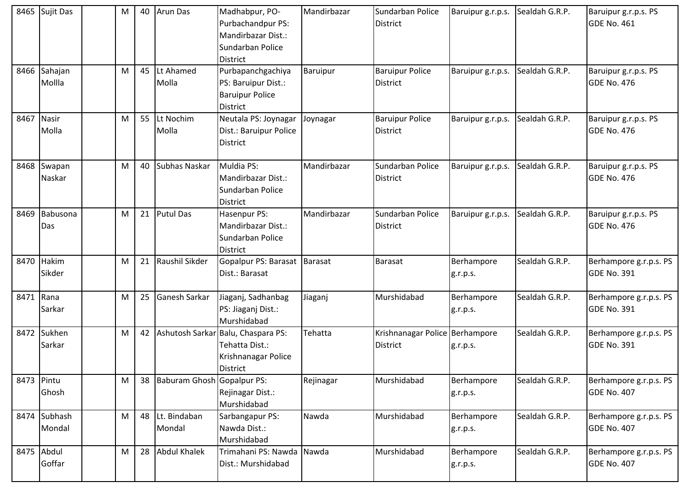|            | 8465 Sujit Das         | M |    | 40 Arun Das                | Madhabpur, PO-<br>Purbachandpur PS:<br>Mandirbazar Dist.:<br>Sundarban Police<br><b>District</b> | Mandirbazar | Sundarban Police<br><b>District</b>               | Baruipur g.r.p.s.      | Sealdah G.R.P. | Baruipur g.r.p.s. PS<br>GDE No. 461          |
|------------|------------------------|---|----|----------------------------|--------------------------------------------------------------------------------------------------|-------------|---------------------------------------------------|------------------------|----------------|----------------------------------------------|
|            | 8466 Sahajan<br>Mollla | M | 45 | Lt Ahamed<br>Molla         | Purbapanchgachiya<br>PS: Baruipur Dist.:<br><b>Baruipur Police</b><br><b>District</b>            | Baruipur    | <b>Baruipur Police</b><br><b>District</b>         | Baruipur g.r.p.s.      | Sealdah G.R.P. | Baruipur g.r.p.s. PS<br><b>GDE No. 476</b>   |
| 8467       | <b>Nasir</b><br>Molla  | M | 55 | Lt Nochim<br>Molla         | Neutala PS: Joynagar<br>Dist.: Baruipur Police<br><b>District</b>                                | Joynagar    | <b>Baruipur Police</b><br>District                | Baruipur g.r.p.s.      | Sealdah G.R.P. | Baruipur g.r.p.s. PS<br>GDE No. 476          |
| 8468       | Swapan<br>Naskar       | M | 40 | Subhas Naskar              | Muldia PS:<br>Mandirbazar Dist.:<br>Sundarban Police<br><b>District</b>                          | Mandirbazar | Sundarban Police<br><b>District</b>               | Baruipur g.r.p.s.      | Sealdah G.R.P. | Baruipur g.r.p.s. PS<br><b>GDE No. 476</b>   |
| 8469       | Babusona<br>Das        | M |    | 21 Putul Das               | Hasenpur PS:<br>Mandirbazar Dist.:<br>Sundarban Police<br><b>District</b>                        | Mandirbazar | Sundarban Police<br><b>District</b>               | Baruipur g.r.p.s.      | Sealdah G.R.P. | Baruipur g.r.p.s. PS<br><b>GDE No. 476</b>   |
|            | 8470 Hakim<br>Sikder   | M |    | 21 Raushil Sikder          | Gopalpur PS: Barasat   Barasat<br>Dist.: Barasat                                                 |             | <b>Barasat</b>                                    | Berhampore<br>g.r.p.s. | Sealdah G.R.P. | Berhampore g.r.p.s. PS<br>GDE No. 391        |
| 8471 Rana  | Sarkar                 | M | 25 | Ganesh Sarkar              | Jiaganj, Sadhanbag<br>PS: Jiaganj Dist.:<br>Murshidabad                                          | Jiaganj     | Murshidabad                                       | Berhampore<br>g.r.p.s. | Sealdah G.R.P. | Berhampore g.r.p.s. PS<br>GDE No. 391        |
| 8472       | Sukhen<br>Sarkar       | M | 42 |                            | Ashutosh Sarkar Balu, Chaspara PS:<br>Tehatta Dist.:<br>Krishnanagar Police<br>District          | Tehatta     | Krishnanagar Police Berhampore<br><b>District</b> | g.r.p.s.               | Sealdah G.R.P. | Berhampore g.r.p.s. PS<br><b>GDE No. 391</b> |
| 8473 Pintu | Ghosh                  | M | 38 | Baburam Ghosh Gopalpur PS: | Rejinagar Dist.:<br>Murshidabad                                                                  | Rejinagar   | Murshidabad                                       | Berhampore<br>g.r.p.s. | Sealdah G.R.P. | Berhampore g.r.p.s. PS<br><b>GDE No. 407</b> |
|            | 8474 Subhash<br>Mondal | M |    | 48 Lt. Bindaban<br>Mondal  | Sarbangapur PS:<br>Nawda Dist.:<br>Murshidabad                                                   | Nawda       | Murshidabad                                       | Berhampore<br>g.r.p.s. | Sealdah G.R.P. | Berhampore g.r.p.s. PS<br><b>GDE No. 407</b> |
|            | 8475 Abdul<br>Goffar   | M |    | 28 Abdul Khalek            | Trimahani PS: Nawda<br>Dist.: Murshidabad                                                        | Nawda       | Murshidabad                                       | Berhampore<br>g.r.p.s. | Sealdah G.R.P. | Berhampore g.r.p.s. PS<br><b>GDE No. 407</b> |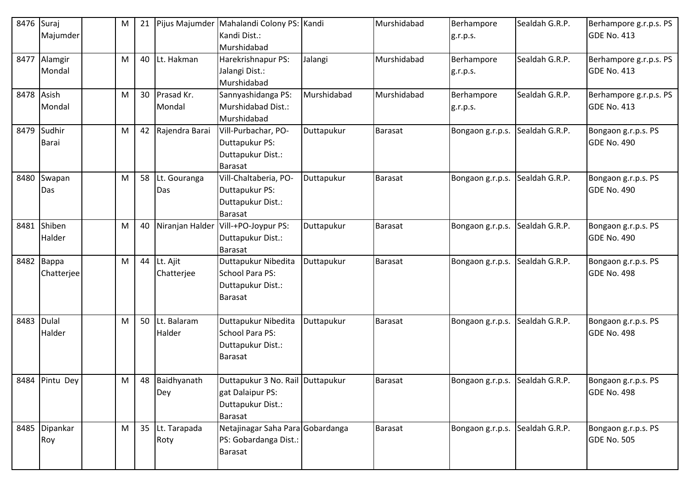| 8476 | Suraj<br>Majumder        | M |    | 21 Pijus Majumder         | Mahalandi Colony PS: Kandi<br>Kandi Dist.:<br>Murshidabad                                   |             | Murshidabad    | Berhampore<br>g.r.p.s. | Sealdah G.R.P. | Berhampore g.r.p.s. PS<br>GDE No. 413        |
|------|--------------------------|---|----|---------------------------|---------------------------------------------------------------------------------------------|-------------|----------------|------------------------|----------------|----------------------------------------------|
|      | 8477 Alamgir<br>Mondal   | M |    | 40 Lt. Hakman             | Harekrishnapur PS:<br>Jalangi Dist.:<br>Murshidabad                                         | Jalangi     | Murshidabad    | Berhampore<br>g.r.p.s. | Sealdah G.R.P. | Berhampore g.r.p.s. PS<br><b>GDE No. 413</b> |
| 8478 | Asish<br>Mondal          | M |    | 30 Prasad Kr.<br>Mondal   | Sannyashidanga PS:<br>Murshidabad Dist.:<br>Murshidabad                                     | Murshidabad | Murshidabad    | Berhampore<br>g.r.p.s. | Sealdah G.R.P. | Berhampore g.r.p.s. PS<br>GDE No. 413        |
| 8479 | Sudhir<br>Barai          | M |    | 42 Rajendra Barai         | Vill-Purbachar, PO-<br>Duttapukur PS:<br>Duttapukur Dist.:<br><b>Barasat</b>                | Duttapukur  | Barasat        | Bongaon g.r.p.s.       | Sealdah G.R.P. | Bongaon g.r.p.s. PS<br>GDE No. 490           |
| 8480 | Swapan<br>Das            | M | 58 | Lt. Gouranga<br>Das       | Vill-Chaltaberia, PO-<br>Duttapukur PS:<br>Duttapukur Dist.:<br>Barasat                     | Duttapukur  | <b>Barasat</b> | Bongaon g.r.p.s.       | Sealdah G.R.P. | Bongaon g.r.p.s. PS<br><b>GDE No. 490</b>    |
| 8481 | Shiben<br>Halder         | M |    |                           | 40 Niranjan Halder Vill-+PO-Joypur PS:<br>Duttapukur Dist.:<br><b>Barasat</b>               | Duttapukur  | <b>Barasat</b> | Bongaon g.r.p.s.       | Sealdah G.R.P. | Bongaon g.r.p.s. PS<br>GDE No. 490           |
|      | 8482 Bappa<br>Chatterjee | M |    | 44 Lt. Ajit<br>Chatterjee | Duttapukur Nibedita<br>School Para PS:<br>Duttapukur Dist.:<br>Barasat                      | Duttapukur  | <b>Barasat</b> | Bongaon g.r.p.s.       | Sealdah G.R.P. | Bongaon g.r.p.s. PS<br>GDE No. 498           |
| 8483 | Dulal<br>Halder          | M | 50 | Lt. Balaram<br>Halder     | Duttapukur Nibedita<br>School Para PS:<br>Duttapukur Dist.:<br>Barasat                      | Duttapukur  | <b>Barasat</b> | Bongaon g.r.p.s.       | Sealdah G.R.P. | Bongaon g.r.p.s. PS<br>GDE No. 498           |
|      | 8484 Pintu Dey           | M |    | 48 Baidhyanath<br>Dey     | Duttapukur 3 No. Rail Duttapukur<br>gat Dalaipur PS:<br>Duttapukur Dist.:<br><b>Barasat</b> |             | Barasat        | Bongaon g.r.p.s.       | Sealdah G.R.P. | Bongaon g.r.p.s. PS<br>GDE No. 498           |
|      | 8485 Dipankar<br>Roy     | M |    | 35 Lt. Tarapada<br>Roty   | Netajinagar Saha Para Gobardanga<br>PS: Gobardanga Dist.:<br><b>Barasat</b>                 |             | <b>Barasat</b> | Bongaon g.r.p.s.       | Sealdah G.R.P. | Bongaon g.r.p.s. PS<br><b>GDE No. 505</b>    |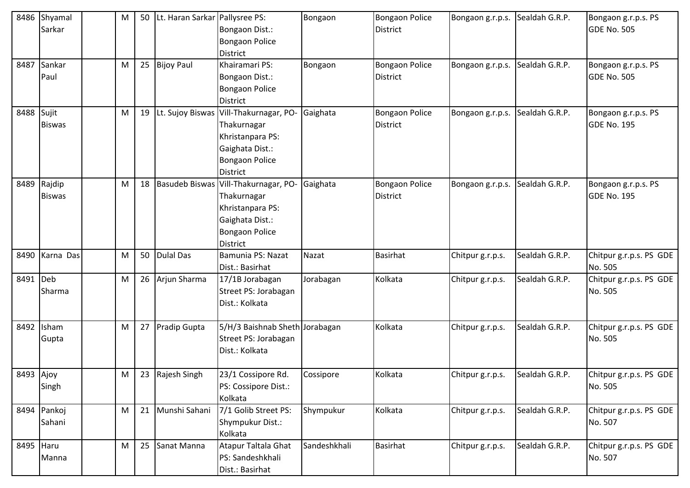|           | 8486 Shyamal<br>Sarkar  | M | 50 | Lt. Haran Sarkar Pallysree PS: | Bongaon Dist.:<br><b>Bongaon Police</b><br><b>District</b>                                                                                  | Bongaon      | <b>Bongaon Police</b><br><b>District</b> | Bongaon g.r.p.s. | Sealdah G.R.P. | Bongaon g.r.p.s. PS<br><b>GDE No. 505</b> |
|-----------|-------------------------|---|----|--------------------------------|---------------------------------------------------------------------------------------------------------------------------------------------|--------------|------------------------------------------|------------------|----------------|-------------------------------------------|
|           | 8487 Sankar<br>Paul     | M |    | 25 Bijoy Paul                  | Khairamari PS:<br>Bongaon Dist.:<br><b>Bongaon Police</b><br><b>District</b>                                                                | Bongaon      | Bongaon Police<br><b>District</b>        | Bongaon g.r.p.s. | Sealdah G.R.P. | Bongaon g.r.p.s. PS<br><b>GDE No. 505</b> |
| 8488      | Sujit<br><b>Biswas</b>  | M |    |                                | 19 Lt. Sujoy Biswas Vill-Thakurnagar, PO-<br>Thakurnagar<br>Khristanpara PS:<br>Gaighata Dist.:<br><b>Bongaon Police</b><br><b>District</b> | Gaighata     | <b>Bongaon Police</b><br><b>District</b> | Bongaon g.r.p.s. | Sealdah G.R.P. | Bongaon g.r.p.s. PS<br><b>GDE No. 195</b> |
| 8489      | Rajdip<br><b>Biswas</b> | M | 18 |                                | Basudeb Biswas Vill-Thakurnagar, PO-<br>Thakurnagar<br>Khristanpara PS:<br>Gaighata Dist.:<br><b>Bongaon Police</b><br><b>District</b>      | Gaighata     | <b>Bongaon Police</b><br><b>District</b> | Bongaon g.r.p.s. | Sealdah G.R.P. | Bongaon g.r.p.s. PS<br><b>GDE No. 195</b> |
| 8490      | Karna Das               | M |    | 50 Dulal Das                   | Bamunia PS: Nazat<br>Dist.: Basirhat                                                                                                        | Nazat        | <b>Basirhat</b>                          | Chitpur g.r.p.s. | Sealdah G.R.P. | Chitpur g.r.p.s. PS GDE<br>No. 505        |
| 8491      | Deb<br>Sharma           | M |    | 26 Arjun Sharma                | 17/1B Jorabagan<br>Street PS: Jorabagan<br>Dist.: Kolkata                                                                                   | Jorabagan    | Kolkata                                  | Chitpur g.r.p.s. | Sealdah G.R.P. | Chitpur g.r.p.s. PS GDE<br>No. 505        |
| 8492      | Isham<br>Gupta          | M | 27 | <b>Pradip Gupta</b>            | 5/H/3 Baishnab Sheth Jorabagan<br>Street PS: Jorabagan<br>Dist.: Kolkata                                                                    |              | Kolkata                                  | Chitpur g.r.p.s. | Sealdah G.R.P. | Chitpur g.r.p.s. PS GDE<br>No. 505        |
| 8493 Ajoy | Singh                   | M |    | 23 Rajesh Singh                | 23/1 Cossipore Rd.<br>PS: Cossipore Dist.:<br>Kolkata                                                                                       | Cossipore    | Kolkata                                  | Chitpur g.r.p.s. | Sealdah G.R.P. | Chitpur g.r.p.s. PS GDE<br>No. 505        |
|           | 8494 Pankoj<br>Sahani   | M |    | 21 Munshi Sahani               | 7/1 Golib Street PS:<br>Shympukur Dist.:<br>Kolkata                                                                                         | Shympukur    | Kolkata                                  | Chitpur g.r.p.s. | Sealdah G.R.P. | Chitpur g.r.p.s. PS GDE<br>No. 507        |
| 8495 Haru | Manna                   | M |    | 25 Sanat Manna                 | Atapur Taltala Ghat<br>PS: Sandeshkhali<br>Dist.: Basirhat                                                                                  | Sandeshkhali | Basirhat                                 | Chitpur g.r.p.s. | Sealdah G.R.P. | Chitpur g.r.p.s. PS GDE<br>No. 507        |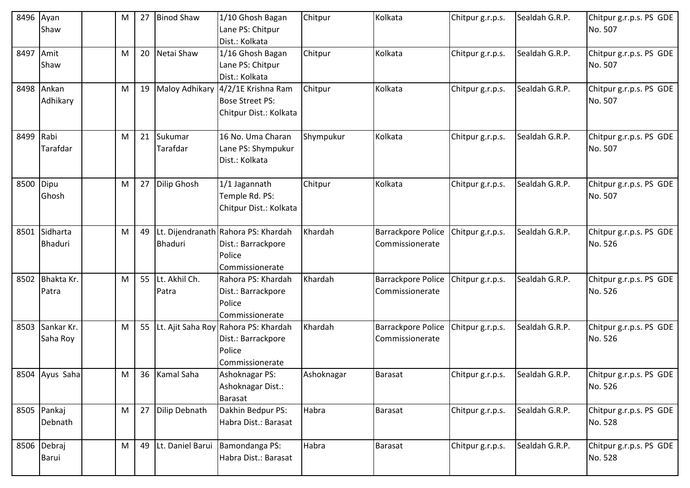| 8496 Ayan | Shaw                     | M | 27 | <b>Binod Shaw</b>         | 1/10 Ghosh Bagan<br>Lane PS: Chitpur<br>Dist.: Kolkata                                     | Chitpur    | Kolkata                                      | Chitpur g.r.p.s. | Sealdah G.R.P. | Chitpur g.r.p.s. PS GDE<br>No. 507 |
|-----------|--------------------------|---|----|---------------------------|--------------------------------------------------------------------------------------------|------------|----------------------------------------------|------------------|----------------|------------------------------------|
| 8497      | Amit<br>Shaw             | M | 20 | Netai Shaw                | 1/16 Ghosh Bagan<br>Lane PS: Chitpur<br>Dist.: Kolkata                                     | Chitpur    | Kolkata                                      | Chitpur g.r.p.s. | Sealdah G.R.P. | Chitpur g.r.p.s. PS GDE<br>No. 507 |
|           | 8498 Ankan<br>Adhikary   | M | 19 |                           | Maloy Adhikary 4/2/1E Krishna Ram<br><b>Bose Street PS:</b><br>Chitpur Dist.: Kolkata      | Chitpur    | Kolkata                                      | Chitpur g.r.p.s. | Sealdah G.R.P. | Chitpur g.r.p.s. PS GDE<br>No. 507 |
| 8499 Rabi | Tarafdar                 | M |    | 21 Sukumar<br>Tarafdar    | 16 No. Uma Charan<br>Lane PS: Shympukur<br>Dist.: Kolkata                                  | Shympukur  | Kolkata                                      | Chitpur g.r.p.s. | Sealdah G.R.P. | Chitpur g.r.p.s. PS GDE<br>No. 507 |
| 8500      | Dipu<br>Ghosh            | M |    | 27 Dilip Ghosh            | 1/1 Jagannath<br>Temple Rd. PS:<br>Chitpur Dist.: Kolkata                                  | Chitpur    | Kolkata                                      | Chitpur g.r.p.s. | Sealdah G.R.P. | Chitpur g.r.p.s. PS GDE<br>No. 507 |
|           | 8501 Sidharta<br>Bhaduri | M |    | <b>Bhaduri</b>            | 49 Lt. Dijendranath Rahora PS: Khardah<br>Dist.: Barrackpore<br>Police<br>Commissionerate  | Khardah    | <b>Barrackpore Police</b><br>Commissionerate | Chitpur g.r.p.s. | Sealdah G.R.P. | Chitpur g.r.p.s. PS GDE<br>No. 526 |
| 8502      | Bhakta Kr.<br>Patra      | M |    | 55 Lt. Akhil Ch.<br>Patra | Rahora PS: Khardah<br>Dist.: Barrackpore<br>Police<br>Commissionerate                      | Khardah    | Barrackpore Police<br>Commissionerate        | Chitpur g.r.p.s. | Sealdah G.R.P. | Chitpur g.r.p.s. PS GDE<br>No. 526 |
| 8503      | Sankar Kr.<br>Saha Roy   | M |    |                           | 55 Lt. Ajit Saha Roy Rahora PS: Khardah<br>Dist.: Barrackpore<br>Police<br>Commissionerate | Khardah    | <b>Barrackpore Police</b><br>Commissionerate | Chitpur g.r.p.s. | Sealdah G.R.P. | Chitpur g.r.p.s. PS GDE<br>No. 526 |
|           | 8504 Ayus Saha           | M |    | 36 Kamal Saha             | Ashoknagar PS:<br>Ashoknagar Dist.:<br><b>Barasat</b>                                      | Ashoknagar | Barasat                                      | Chitpur g.r.p.s. | Sealdah G.R.P. | Chitpur g.r.p.s. PS GDE<br>No. 526 |
|           | 8505 Pankaj<br>Debnath   | M |    | 27 Dilip Debnath          | Dakhin Bedpur PS:<br>Habra Dist.: Barasat                                                  | Habra      | Barasat                                      | Chitpur g.r.p.s. | Sealdah G.R.P. | Chitpur g.r.p.s. PS GDE<br>No. 528 |
|           | 8506 Debraj<br>Barui     | M |    | 49 Lt. Daniel Barui       | Bamondanga PS:<br>Habra Dist.: Barasat                                                     | Habra      | Barasat                                      | Chitpur g.r.p.s. | Sealdah G.R.P. | Chitpur g.r.p.s. PS GDE<br>No. 528 |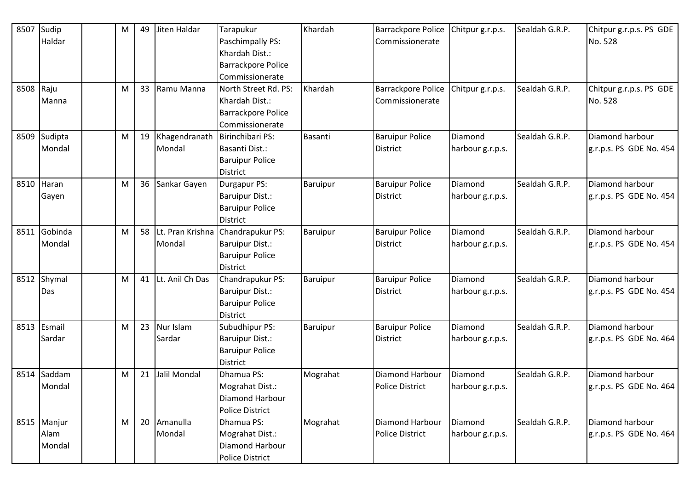| 8507      | Sudip       | M |    | 49 Jiten Haldar     | Tarapukur                 | Khardah  | Barrackpore Police        | Chitpur g.r.p.s. | Sealdah G.R.P. | Chitpur g.r.p.s. PS GDE |
|-----------|-------------|---|----|---------------------|---------------------------|----------|---------------------------|------------------|----------------|-------------------------|
|           | Haldar      |   |    |                     | Paschimpally PS:          |          | Commissionerate           |                  |                | No. 528                 |
|           |             |   |    |                     | Khardah Dist.:            |          |                           |                  |                |                         |
|           |             |   |    |                     | <b>Barrackpore Police</b> |          |                           |                  |                |                         |
|           |             |   |    |                     | Commissionerate           |          |                           |                  |                |                         |
| 8508 Raju |             | M |    | 33 Ramu Manna       | North Street Rd. PS:      | Khardah  | <b>Barrackpore Police</b> | Chitpur g.r.p.s. | Sealdah G.R.P. | Chitpur g.r.p.s. PS GDE |
|           | Manna       |   |    |                     | Khardah Dist.:            |          | Commissionerate           |                  |                | No. 528                 |
|           |             |   |    |                     | Barrackpore Police        |          |                           |                  |                |                         |
|           |             |   |    |                     | Commissionerate           |          |                           |                  |                |                         |
| 8509      | Sudipta     | M |    | 19 Khagendranath    | Birinchibari PS:          | Basanti  | <b>Baruipur Police</b>    | Diamond          | Sealdah G.R.P. | Diamond harbour         |
|           | Mondal      |   |    | Mondal              | Basanti Dist.:            |          | <b>District</b>           | harbour g.r.p.s. |                | g.r.p.s. PS GDE No. 454 |
|           |             |   |    |                     | <b>Baruipur Police</b>    |          |                           |                  |                |                         |
|           |             |   |    |                     | District                  |          |                           |                  |                |                         |
|           | 8510 Haran  | M |    | 36 Sankar Gayen     | Durgapur PS:              | Baruipur | <b>Baruipur Police</b>    | Diamond          | Sealdah G.R.P. | Diamond harbour         |
|           | Gayen       |   |    |                     | Baruipur Dist.:           |          | <b>District</b>           | harbour g.r.p.s. |                | g.r.p.s. PS GDE No. 454 |
|           |             |   |    |                     | <b>Baruipur Police</b>    |          |                           |                  |                |                         |
|           |             |   |    |                     | District                  |          |                           |                  |                |                         |
| 8511      | Gobinda     | M |    | 58 Lt. Pran Krishna | Chandrapukur PS:          | Baruipur | <b>Baruipur Police</b>    | Diamond          | Sealdah G.R.P. | Diamond harbour         |
|           | Mondal      |   |    | Mondal              | Baruipur Dist.:           |          | District                  | harbour g.r.p.s. |                | g.r.p.s. PS GDE No. 454 |
|           |             |   |    |                     | <b>Baruipur Police</b>    |          |                           |                  |                |                         |
|           |             |   |    |                     | District                  |          |                           |                  |                |                         |
| 8512      | Shymal      | M |    | 41 Lt. Anil Ch Das  | Chandrapukur PS:          | Baruipur | <b>Baruipur Police</b>    | Diamond          | Sealdah G.R.P. | Diamond harbour         |
|           | Das         |   |    |                     | Baruipur Dist.:           |          | <b>District</b>           | harbour g.r.p.s. |                | g.r.p.s. PS GDE No. 454 |
|           |             |   |    |                     | <b>Baruipur Police</b>    |          |                           |                  |                |                         |
|           |             |   |    |                     | <b>District</b>           |          |                           |                  |                |                         |
|           | 8513 Esmail | M |    | 23 Nur Islam        | Subudhipur PS:            | Baruipur | <b>Baruipur Police</b>    | Diamond          | Sealdah G.R.P. | Diamond harbour         |
|           | Sardar      |   |    | Sardar              | Baruipur Dist.:           |          | <b>District</b>           | harbour g.r.p.s. |                | g.r.p.s. PS GDE No. 464 |
|           |             |   |    |                     | <b>Baruipur Police</b>    |          |                           |                  |                |                         |
|           |             |   |    |                     | <b>District</b>           |          |                           |                  |                |                         |
| 8514      | Saddam      | M | 21 | Jalil Mondal        | Dhamua PS:                | Mograhat | Diamond Harbour           | <b>Diamond</b>   | Sealdah G.R.P. | Diamond harbour         |
|           | Mondal      |   |    |                     | Mograhat Dist.:           |          | <b>Police District</b>    | harbour g.r.p.s. |                | g.r.p.s. PS GDE No. 464 |
|           |             |   |    |                     | Diamond Harbour           |          |                           |                  |                |                         |
|           |             |   |    |                     | <b>Police District</b>    |          |                           |                  |                |                         |
|           | 8515 Manjur | M |    | 20 Amanulla         | Dhamua PS:                | Mograhat | Diamond Harbour           | Diamond          | Sealdah G.R.P. | Diamond harbour         |
|           | Alam        |   |    | Mondal              | Mograhat Dist.:           |          | <b>Police District</b>    | harbour g.r.p.s. |                | g.r.p.s. PS GDE No. 464 |
|           | Mondal      |   |    |                     | Diamond Harbour           |          |                           |                  |                |                         |
|           |             |   |    |                     | Police District           |          |                           |                  |                |                         |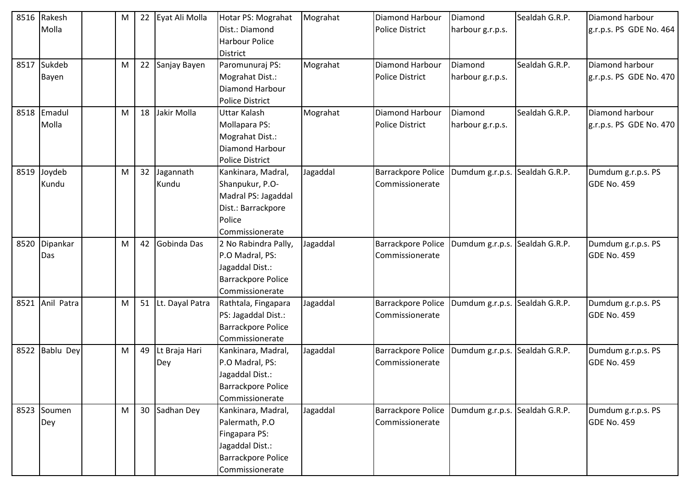| 8516 | Rakesh          | M | 22 | Eyat Ali Molla     | Hotar PS: Mograhat        | Mograhat | Diamond Harbour           | Diamond                        | Sealdah G.R.P. | Diamond harbour         |
|------|-----------------|---|----|--------------------|---------------------------|----------|---------------------------|--------------------------------|----------------|-------------------------|
|      | Molla           |   |    |                    | Dist.: Diamond            |          | <b>Police District</b>    | harbour g.r.p.s.               |                | g.r.p.s. PS GDE No. 464 |
|      |                 |   |    |                    | <b>Harbour Police</b>     |          |                           |                                |                |                         |
|      |                 |   |    |                    | <b>District</b>           |          |                           |                                |                |                         |
|      | 8517 Sukdeb     | M |    | 22 Sanjay Bayen    | Paromunuraj PS:           | Mograhat | <b>Diamond Harbour</b>    | Diamond                        | Sealdah G.R.P. | Diamond harbour         |
|      | Bayen           |   |    |                    | Mograhat Dist.:           |          | <b>Police District</b>    | harbour g.r.p.s.               |                | g.r.p.s. PS GDE No. 470 |
|      |                 |   |    |                    | Diamond Harbour           |          |                           |                                |                |                         |
|      |                 |   |    |                    | <b>Police District</b>    |          |                           |                                |                |                         |
| 8518 | Emadul          | M |    | 18 Jakir Molla     | <b>Uttar Kalash</b>       | Mograhat | <b>Diamond Harbour</b>    | Diamond                        | Sealdah G.R.P. | Diamond harbour         |
|      | Molla           |   |    |                    | Mollapara PS:             |          | <b>Police District</b>    | harbour g.r.p.s.               |                | g.r.p.s. PS GDE No. 470 |
|      |                 |   |    |                    | Mograhat Dist.:           |          |                           |                                |                |                         |
|      |                 |   |    |                    | <b>Diamond Harbour</b>    |          |                           |                                |                |                         |
|      |                 |   |    |                    | <b>Police District</b>    |          |                           |                                |                |                         |
| 8519 | Joydeb          | M |    | 32 Jagannath       | Kankinara, Madral,        | Jagaddal | Barrackpore Police        | Dumdum g.r.p.s. Sealdah G.R.P. |                | Dumdum g.r.p.s. PS      |
|      | Kundu           |   |    | Kundu              | Shanpukur, P.O-           |          | Commissionerate           |                                |                | <b>GDE No. 459</b>      |
|      |                 |   |    |                    | Madral PS: Jagaddal       |          |                           |                                |                |                         |
|      |                 |   |    |                    | Dist.: Barrackpore        |          |                           |                                |                |                         |
|      |                 |   |    |                    | Police                    |          |                           |                                |                |                         |
|      |                 |   |    |                    | Commissionerate           |          |                           |                                |                |                         |
| 8520 | Dipankar        | M | 42 | Gobinda Das        | 2 No Rabindra Pally,      | Jagaddal | <b>Barrackpore Police</b> | Dumdum g.r.p.s.                | Sealdah G.R.P. | Dumdum g.r.p.s. PS      |
|      | Das             |   |    |                    | P.O Madral, PS:           |          | Commissionerate           |                                |                | <b>GDE No. 459</b>      |
|      |                 |   |    |                    | Jagaddal Dist.:           |          |                           |                                |                |                         |
|      |                 |   |    |                    | <b>Barrackpore Police</b> |          |                           |                                |                |                         |
|      |                 |   |    |                    | Commissionerate           |          |                           |                                |                |                         |
|      | 8521 Anil Patra | M |    | 51 Lt. Dayal Patra | Rathtala, Fingapara       | Jagaddal | <b>Barrackpore Police</b> | Dumdum g.r.p.s.                | Sealdah G.R.P. | Dumdum g.r.p.s. PS      |
|      |                 |   |    |                    | PS: Jagaddal Dist.:       |          | Commissionerate           |                                |                | <b>GDE No. 459</b>      |
|      |                 |   |    |                    | <b>Barrackpore Police</b> |          |                           |                                |                |                         |
|      |                 |   |    |                    | Commissionerate           |          |                           |                                |                |                         |
| 8522 | Bablu Dey       | M |    | 49 Lt Braja Hari   | Kankinara, Madral,        | Jagaddal | <b>Barrackpore Police</b> | Dumdum g.r.p.s.                | Sealdah G.R.P. | Dumdum g.r.p.s. PS      |
|      |                 |   |    | Dey                | P.O Madral, PS:           |          | Commissionerate           |                                |                | <b>GDE No. 459</b>      |
|      |                 |   |    |                    | Jagaddal Dist.:           |          |                           |                                |                |                         |
|      |                 |   |    |                    | <b>Barrackpore Police</b> |          |                           |                                |                |                         |
|      |                 |   |    |                    | Commissionerate           |          |                           |                                |                |                         |
|      | 8523 Soumen     | M |    | 30 Sadhan Dey      | Kankinara, Madral,        | Jagaddal | <b>Barrackpore Police</b> | Dumdum g.r.p.s. Sealdah G.R.P. |                | Dumdum g.r.p.s. PS      |
|      | Dey             |   |    |                    | Palermath, P.O            |          | Commissionerate           |                                |                | <b>GDE No. 459</b>      |
|      |                 |   |    |                    | Fingapara PS:             |          |                           |                                |                |                         |
|      |                 |   |    |                    | Jagaddal Dist.:           |          |                           |                                |                |                         |
|      |                 |   |    |                    | <b>Barrackpore Police</b> |          |                           |                                |                |                         |
|      |                 |   |    |                    | Commissionerate           |          |                           |                                |                |                         |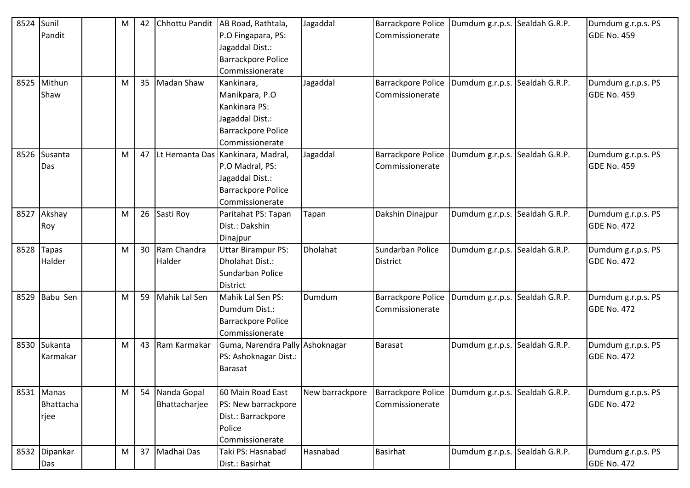| 8524 | Sunil         | M | 42 | Chhottu Pandit   | AB Road, Rathtala,                | Jagaddal        | <b>Barrackpore Police</b> | Dumdum g.r.p.s.                | Sealdah G.R.P. | Dumdum g.r.p.s. PS |
|------|---------------|---|----|------------------|-----------------------------------|-----------------|---------------------------|--------------------------------|----------------|--------------------|
|      | Pandit        |   |    |                  | P.O Fingapara, PS:                |                 | Commissionerate           |                                |                | <b>GDE No. 459</b> |
|      |               |   |    |                  | Jagaddal Dist.:                   |                 |                           |                                |                |                    |
|      |               |   |    |                  | <b>Barrackpore Police</b>         |                 |                           |                                |                |                    |
|      |               |   |    |                  | Commissionerate                   |                 |                           |                                |                |                    |
|      | 8525 Mithun   | M |    | 35 Madan Shaw    | Kankinara,                        | Jagaddal        | Barrackpore Police        | Dumdum g.r.p.s. Sealdah G.R.P. |                | Dumdum g.r.p.s. PS |
|      | Shaw          |   |    |                  | Manikpara, P.O                    |                 | Commissionerate           |                                |                | <b>GDE No. 459</b> |
|      |               |   |    |                  | Kankinara PS:                     |                 |                           |                                |                |                    |
|      |               |   |    |                  | Jagaddal Dist.:                   |                 |                           |                                |                |                    |
|      |               |   |    |                  | <b>Barrackpore Police</b>         |                 |                           |                                |                |                    |
|      |               |   |    |                  | Commissionerate                   |                 |                           |                                |                |                    |
| 8526 | Susanta       | M | 47 |                  | Lt Hemanta Das Kankinara, Madral, | Jagaddal        | <b>Barrackpore Police</b> | Dumdum g.r.p.s.                | Sealdah G.R.P. | Dumdum g.r.p.s. PS |
|      | Das           |   |    |                  | P.O Madral, PS:                   |                 | Commissionerate           |                                |                | <b>GDE No. 459</b> |
|      |               |   |    |                  | Jagaddal Dist.:                   |                 |                           |                                |                |                    |
|      |               |   |    |                  | <b>Barrackpore Police</b>         |                 |                           |                                |                |                    |
|      |               |   |    |                  | Commissionerate                   |                 |                           |                                |                |                    |
| 8527 | Akshay        | M |    | 26 Sasti Roy     | Paritahat PS: Tapan               | Tapan           | Dakshin Dinajpur          | Dumdum g.r.p.s.                | Sealdah G.R.P. | Dumdum g.r.p.s. PS |
|      | Roy           |   |    |                  | Dist.: Dakshin                    |                 |                           |                                |                | <b>GDE No. 472</b> |
|      |               |   |    |                  | Dinajpur                          |                 |                           |                                |                |                    |
| 8528 | <b>Tapas</b>  | M |    | 30 Ram Chandra   | <b>Uttar Birampur PS:</b>         | Dholahat        | Sundarban Police          | Dumdum g.r.p.s.                | Sealdah G.R.P. | Dumdum g.r.p.s. PS |
|      | Halder        |   |    | Halder           | Dholahat Dist.:                   |                 | <b>District</b>           |                                |                | <b>GDE No. 472</b> |
|      |               |   |    |                  | Sundarban Police                  |                 |                           |                                |                |                    |
|      |               |   |    |                  | <b>District</b>                   |                 |                           |                                |                |                    |
| 8529 | Babu Sen      | M |    | 59 Mahik Lal Sen | Mahik Lal Sen PS:                 | Dumdum          | <b>Barrackpore Police</b> | Dumdum g.r.p.s.                | Sealdah G.R.P. | Dumdum g.r.p.s. PS |
|      |               |   |    |                  | Dumdum Dist.:                     |                 | Commissionerate           |                                |                | <b>GDE No. 472</b> |
|      |               |   |    |                  | <b>Barrackpore Police</b>         |                 |                           |                                |                |                    |
|      |               |   |    |                  | Commissionerate                   |                 |                           |                                |                |                    |
|      | 8530 Sukanta  | M |    | 43 Ram Karmakar  | Guma, Narendra Pally Ashoknagar   |                 | Barasat                   | Dumdum g.r.p.s. Sealdah G.R.P. |                | Dumdum g.r.p.s. PS |
|      | Karmakar      |   |    |                  | PS: Ashoknagar Dist.:             |                 |                           |                                |                | <b>GDE No. 472</b> |
|      |               |   |    |                  | Barasat                           |                 |                           |                                |                |                    |
|      |               |   |    |                  |                                   |                 |                           |                                |                |                    |
|      | 8531 Manas    | M |    | 54 Nanda Gopal   | 60 Main Road East                 | New barrackpore | Barrackpore Police        | Dumdum g.r.p.s.                | Sealdah G.R.P. | Dumdum g.r.p.s. PS |
|      | Bhattacha     |   |    | Bhattacharjee    | PS: New barrackpore               |                 | Commissionerate           |                                |                | <b>GDE No. 472</b> |
|      | rjee          |   |    |                  | Dist.: Barrackpore                |                 |                           |                                |                |                    |
|      |               |   |    |                  | Police                            |                 |                           |                                |                |                    |
|      |               |   |    |                  | Commissionerate                   |                 |                           |                                |                |                    |
|      | 8532 Dipankar | M |    | 37 Madhai Das    | Taki PS: Hasnabad                 | Hasnabad        | <b>Basirhat</b>           | Dumdum g.r.p.s.                | Sealdah G.R.P. | Dumdum g.r.p.s. PS |
|      | Das           |   |    |                  | Dist.: Basirhat                   |                 |                           |                                |                | <b>GDE No. 472</b> |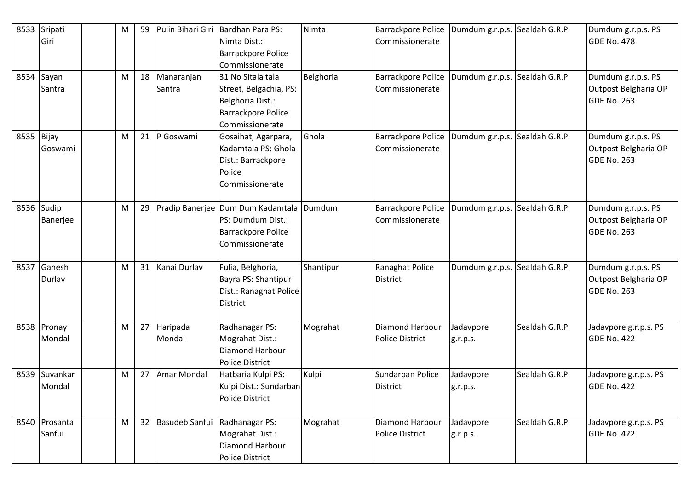| 8533       | Sripati     | M | 59 | Pulin Bihari Giri | Bardhan Para PS:                  | Nimta     | <b>Barrackpore Police</b> | Dumdum g.r.p.s. | Sealdah G.R.P. | Dumdum g.r.p.s. PS    |
|------------|-------------|---|----|-------------------|-----------------------------------|-----------|---------------------------|-----------------|----------------|-----------------------|
|            | Giri        |   |    |                   | Nimta Dist.:                      |           | Commissionerate           |                 |                | GDE No. 478           |
|            |             |   |    |                   | <b>Barrackpore Police</b>         |           |                           |                 |                |                       |
|            |             |   |    |                   | Commissionerate                   |           |                           |                 |                |                       |
| 8534       | Sayan       | M | 18 | Manaranjan        | 31 No Sitala tala                 | Belghoria | <b>Barrackpore Police</b> | Dumdum g.r.p.s. | Sealdah G.R.P. | Dumdum g.r.p.s. PS    |
|            | Santra      |   |    | Santra            | Street, Belgachia, PS:            |           | Commissionerate           |                 |                | Outpost Belgharia OP  |
|            |             |   |    |                   | Belghoria Dist.:                  |           |                           |                 |                | GDE No. 263           |
|            |             |   |    |                   | <b>Barrackpore Police</b>         |           |                           |                 |                |                       |
|            |             |   |    |                   | Commissionerate                   |           |                           |                 |                |                       |
| 8535 Bijay |             | M | 21 | P Goswami         | Gosaihat, Agarpara,               | Ghola     | <b>Barrackpore Police</b> | Dumdum g.r.p.s. | Sealdah G.R.P. | Dumdum g.r.p.s. PS    |
|            | Goswami     |   |    |                   | Kadamtala PS: Ghola               |           | Commissionerate           |                 |                | Outpost Belgharia OP  |
|            |             |   |    |                   | Dist.: Barrackpore                |           |                           |                 |                | GDE No. 263           |
|            |             |   |    |                   | Police                            |           |                           |                 |                |                       |
|            |             |   |    |                   | Commissionerate                   |           |                           |                 |                |                       |
| 8536       | Sudip       | M | 29 |                   | Pradip Banerjee Dum Dum Kadamtala | Dumdum    | <b>Barrackpore Police</b> | Dumdum g.r.p.s. | Sealdah G.R.P. | Dumdum g.r.p.s. PS    |
|            | Banerjee    |   |    |                   | PS: Dumdum Dist.:                 |           | Commissionerate           |                 |                | Outpost Belgharia OP  |
|            |             |   |    |                   | <b>Barrackpore Police</b>         |           |                           |                 |                | <b>GDE No. 263</b>    |
|            |             |   |    |                   | Commissionerate                   |           |                           |                 |                |                       |
|            |             |   |    |                   |                                   |           |                           |                 |                |                       |
| 8537       | Ganesh      | M | 31 | Kanai Durlav      | Fulia, Belghoria,                 | Shantipur | Ranaghat Police           | Dumdum g.r.p.s. | Sealdah G.R.P. | Dumdum g.r.p.s. PS    |
|            | Durlav      |   |    |                   | Bayra PS: Shantipur               |           | <b>District</b>           |                 |                | Outpost Belgharia OP  |
|            |             |   |    |                   | Dist.: Ranaghat Police            |           |                           |                 |                | <b>GDE No. 263</b>    |
|            |             |   |    |                   | <b>District</b>                   |           |                           |                 |                |                       |
|            |             |   |    |                   |                                   |           |                           |                 |                |                       |
|            | 8538 Pronay | M | 27 | Haripada          | Radhanagar PS:                    | Mograhat  | <b>Diamond Harbour</b>    | Jadavpore       | Sealdah G.R.P. | Jadavpore g.r.p.s. PS |
|            | Mondal      |   |    | Mondal            | Mograhat Dist.:                   |           | <b>Police District</b>    | g.r.p.s.        |                | GDE No. 422           |
|            |             |   |    |                   | Diamond Harbour                   |           |                           |                 |                |                       |
|            |             |   |    |                   | <b>Police District</b>            |           |                           |                 |                |                       |
| 8539       | Suvankar    | M | 27 | Amar Mondal       | Hatbaria Kulpi PS:                | Kulpi     | Sundarban Police          | Jadavpore       | Sealdah G.R.P. | Jadavpore g.r.p.s. PS |
|            | Mondal      |   |    |                   | Kulpi Dist.: Sundarban            |           | District                  | g.r.p.s.        |                | <b>GDE No. 422</b>    |
|            |             |   |    |                   | Police District                   |           |                           |                 |                |                       |
| 8540       | Prosanta    | M | 32 | Basudeb Sanfui    | Radhanagar PS:                    | Mograhat  | Diamond Harbour           | Jadavpore       | Sealdah G.R.P. | Jadavpore g.r.p.s. PS |
|            | Sanfui      |   |    |                   | Mograhat Dist.:                   |           | <b>Police District</b>    | g.r.p.s.        |                | <b>GDE No. 422</b>    |
|            |             |   |    |                   | Diamond Harbour                   |           |                           |                 |                |                       |
|            |             |   |    |                   | <b>Police District</b>            |           |                           |                 |                |                       |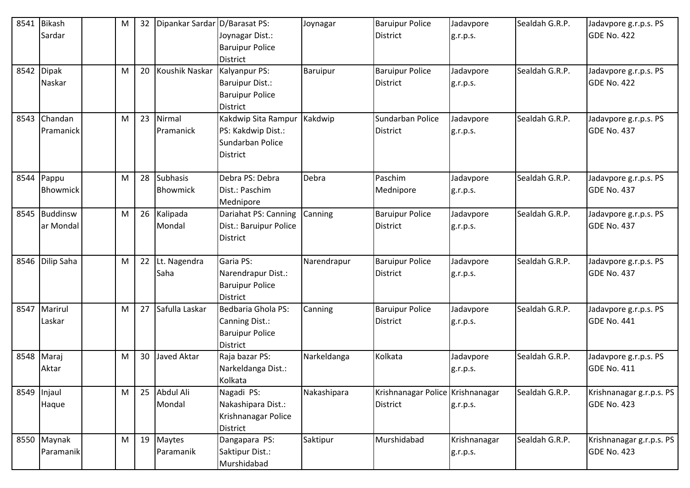| 8541 | <b>Bikash</b>                 | M | 32 | Dipankar Sardar D/Barasat PS: |                                                                                      | Joynagar    | <b>Baruipur Police</b>                              | Jadavpore                | Sealdah G.R.P. | Jadavpore g.r.p.s. PS                       |
|------|-------------------------------|---|----|-------------------------------|--------------------------------------------------------------------------------------|-------------|-----------------------------------------------------|--------------------------|----------------|---------------------------------------------|
|      | Sardar                        |   |    |                               | Joynagar Dist.:<br><b>Baruipur Police</b><br><b>District</b>                         |             | <b>District</b>                                     | g.r.p.s.                 |                | GDE No. 422                                 |
| 8542 | <b>Dipak</b><br>Naskar        | M | 20 | Koushik Naskar                | Kalyanpur PS:<br><b>Baruipur Dist.:</b><br><b>Baruipur Police</b><br><b>District</b> | Baruipur    | <b>Baruipur Police</b><br><b>District</b>           | Jadavpore<br>g.r.p.s.    | Sealdah G.R.P. | Jadavpore g.r.p.s. PS<br>GDE No. 422        |
| 8543 | Chandan<br>Pramanick          | M | 23 | Nirmal<br><b>Pramanick</b>    | Kakdwip Sita Rampur<br>PS: Kakdwip Dist.:<br>Sundarban Police<br><b>District</b>     | Kakdwip     | Sundarban Police<br><b>District</b>                 | Jadavpore<br>g.r.p.s.    | Sealdah G.R.P. | Jadavpore g.r.p.s. PS<br><b>GDE No. 437</b> |
|      | 8544 Pappu<br><b>Bhowmick</b> | M | 28 | Subhasis<br><b>Bhowmick</b>   | Debra PS: Debra<br>Dist.: Paschim<br>Mednipore                                       | Debra       | Paschim<br>Mednipore                                | Jadavpore<br>g.r.p.s.    | Sealdah G.R.P. | Jadavpore g.r.p.s. PS<br><b>GDE No. 437</b> |
| 8545 | Buddinsw<br>ar Mondal         | M | 26 | Kalipada<br>Mondal            | Dariahat PS: Canning<br>Dist.: Baruipur Police<br><b>District</b>                    | Canning     | <b>Baruipur Police</b><br><b>District</b>           | Jadavpore<br>g.r.p.s.    | Sealdah G.R.P. | Jadavpore g.r.p.s. PS<br>GDE No. 437        |
|      | 8546 Dilip Saha               | M |    | 22 Lt. Nagendra<br>Saha       | Garia PS:<br>Narendrapur Dist.:<br><b>Baruipur Police</b><br><b>District</b>         | Narendrapur | <b>Baruipur Police</b><br><b>District</b>           | Jadavpore<br>g.r.p.s.    | Sealdah G.R.P. | Jadavpore g.r.p.s. PS<br><b>GDE No. 437</b> |
| 8547 | Marirul<br>Laskar             | M |    | 27 Safulla Laskar             | Bedbaria Ghola PS:<br>Canning Dist.:<br><b>Baruipur Police</b><br><b>District</b>    | Canning     | <b>Baruipur Police</b><br><b>District</b>           | Jadavpore<br>g.r.p.s.    | Sealdah G.R.P. | Jadavpore g.r.p.s. PS<br>GDE No. 441        |
|      | 8548 Maraj<br>Aktar           | M | 30 | Javed Aktar                   | Raja bazar PS:<br>Narkeldanga Dist.:<br>Kolkata                                      | Narkeldanga | Kolkata                                             | Jadavpore<br>g.r.p.s.    | Sealdah G.R.P. | Jadavpore g.r.p.s. PS<br>GDE No. 411        |
|      | 8549 Injaul<br>Haque          | M |    | 25 Abdul Ali<br>Mondal        | Nagadi PS:<br>Nakashipara Dist.:<br>Krishnanagar Police<br><b>District</b>           | Nakashipara | Krishnanagar Police Krishnanagar<br><b>District</b> | g.r.p.s.                 | Sealdah G.R.P. | Krishnanagar g.r.p.s. PS<br>GDE No. 423     |
|      | 8550 Maynak<br>Paramanik      | M |    | 19 Maytes<br>Paramanik        | Dangapara PS:<br>Saktipur Dist.:<br>Murshidabad                                      | Saktipur    | Murshidabad                                         | Krishnanagar<br>g.r.p.s. | Sealdah G.R.P. | Krishnanagar g.r.p.s. PS<br>GDE No. 423     |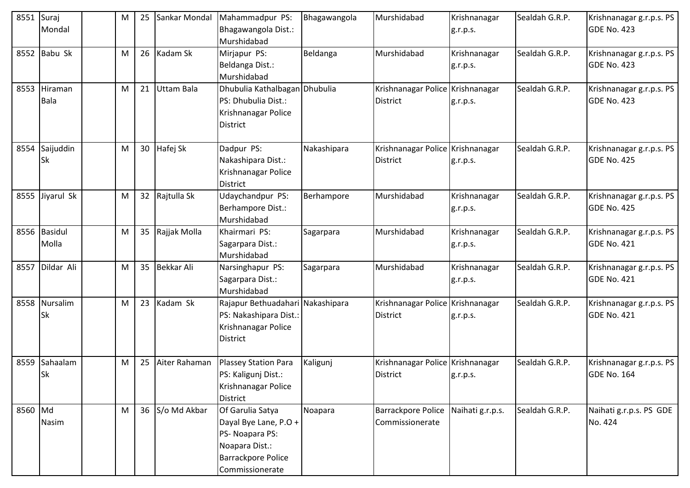| 8551    | Suraj<br>Mondal        | M | 25 | Sankar Mondal   | Mahammadpur PS:<br>Bhagawangola Dist.:<br>Murshidabad                                                                          | Bhagawangola | Murshidabad                                         | Krishnanagar<br>g.r.p.s. | Sealdah G.R.P. | Krishnanagar g.r.p.s. PS<br>GDE No. 423        |
|---------|------------------------|---|----|-----------------|--------------------------------------------------------------------------------------------------------------------------------|--------------|-----------------------------------------------------|--------------------------|----------------|------------------------------------------------|
| 8552    | Babu Sk                | M |    | 26 Kadam Sk     | Mirjapur PS:<br>Beldanga Dist.:<br>Murshidabad                                                                                 | Beldanga     | Murshidabad                                         | Krishnanagar<br>g.r.p.s. | Sealdah G.R.P. | Krishnanagar g.r.p.s. PS<br>GDE No. 423        |
| 8553    | Hiraman<br><b>Bala</b> | M | 21 | Uttam Bala      | Dhubulia Kathalbagan Dhubulia<br>PS: Dhubulia Dist.:<br>Krishnanagar Police<br><b>District</b>                                 |              | Krishnanagar Police Krishnanagar<br><b>District</b> | g.r.p.s.                 | Sealdah G.R.P. | Krishnanagar g.r.p.s. PS<br>GDE No. 423        |
| 8554    | Saijuddin<br>Sk        | M |    | 30 Hafej Sk     | Dadpur PS:<br>Nakashipara Dist.:<br>Krishnanagar Police<br><b>District</b>                                                     | Nakashipara  | Krishnanagar Police Krishnanagar<br><b>District</b> | g.r.p.s.                 | Sealdah G.R.P. | Krishnanagar g.r.p.s. PS<br><b>GDE No. 425</b> |
|         | 8555 Jiyarul Sk        | M |    | 32 Rajtulla Sk  | Udaychandpur PS:<br>Berhampore Dist.:<br>Murshidabad                                                                           | Berhampore   | Murshidabad                                         | Krishnanagar<br>g.r.p.s. | Sealdah G.R.P. | Krishnanagar g.r.p.s. PS<br>GDE No. 425        |
|         | 8556 Basidul<br>Molla  | M |    | 35 Rajjak Molla | Khairmari PS:<br>Sagarpara Dist.:<br>Murshidabad                                                                               | Sagarpara    | Murshidabad                                         | Krishnanagar<br>g.r.p.s. | Sealdah G.R.P. | Krishnanagar g.r.p.s. PS<br><b>GDE No. 421</b> |
| 8557    | Dildar Ali             | M |    | 35 Bekkar Ali   | Narsinghapur PS:<br>Sagarpara Dist.:<br>Murshidabad                                                                            | Sagarpara    | Murshidabad                                         | Krishnanagar<br>g.r.p.s. | Sealdah G.R.P. | Krishnanagar g.r.p.s. PS<br>GDE No. 421        |
| 8558    | Nursalim<br>Sk         | M |    | 23 Kadam Sk     | Rajapur Bethuadahari Nakashipara<br>PS: Nakashipara Dist.:<br>Krishnanagar Police<br>District                                  |              | Krishnanagar Police Krishnanagar<br><b>District</b> | g.r.p.s.                 | Sealdah G.R.P. | Krishnanagar g.r.p.s. PS<br><b>GDE No. 421</b> |
| 8559    | Sahaalam<br><b>Sk</b>  | M | 25 | Aiter Rahaman   | <b>Plassey Station Para</b><br>PS: Kaligunj Dist.:<br>Krishnanagar Police<br><b>District</b>                                   | Kaligunj     | Krishnanagar Police Krishnanagar<br>District        | g.r.p.s.                 | Sealdah G.R.P. | Krishnanagar g.r.p.s. PS<br><b>GDE No. 164</b> |
| 8560 Md | Nasim                  | M |    | 36 S/o Md Akbar | Of Garulia Satya<br>Dayal Bye Lane, P.O +<br>PS- Noapara PS:<br>Noapara Dist.:<br><b>Barrackpore Police</b><br>Commissionerate | Noapara      | <b>Barrackpore Police</b><br>Commissionerate        | Naihati g.r.p.s.         | Sealdah G.R.P. | Naihati g.r.p.s. PS GDE<br>No. 424             |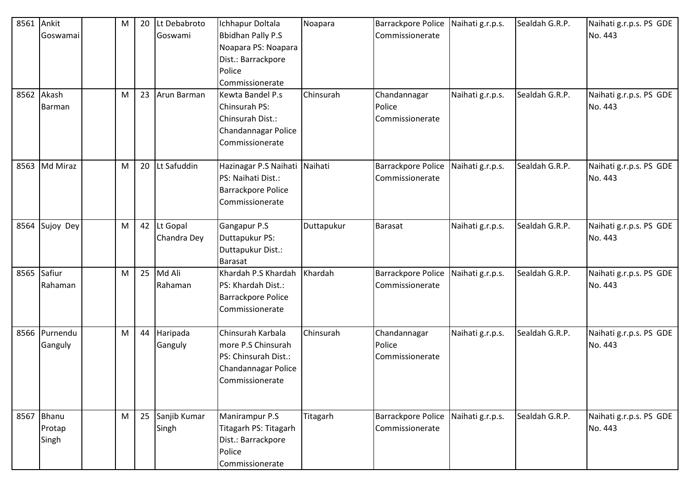| 8561 | Ankit      | M | 20 | Lt Debabroto    | Ichhapur Doltala                          | Noapara    | Barrackpore Police        | Naihati g.r.p.s. | Sealdah G.R.P. | Naihati g.r.p.s. PS GDE            |
|------|------------|---|----|-----------------|-------------------------------------------|------------|---------------------------|------------------|----------------|------------------------------------|
|      | Goswamai   |   |    | Goswami         | <b>Bbidhan Pally P.S</b>                  |            | Commissionerate           |                  |                | No. 443                            |
|      |            |   |    |                 | Noapara PS: Noapara<br>Dist.: Barrackpore |            |                           |                  |                |                                    |
|      |            |   |    |                 | Police                                    |            |                           |                  |                |                                    |
|      |            |   |    |                 | Commissionerate                           |            |                           |                  |                |                                    |
|      | 8562 Akash | M |    | 23 Arun Barman  | Kewta Bandel P.s                          | Chinsurah  | Chandannagar              | Naihati g.r.p.s. | Sealdah G.R.P. | Naihati g.r.p.s. PS GDE            |
|      | Barman     |   |    |                 | Chinsurah PS:                             |            | Police                    |                  |                | No. 443                            |
|      |            |   |    |                 | Chinsurah Dist.:                          |            | Commissionerate           |                  |                |                                    |
|      |            |   |    |                 | Chandannagar Police                       |            |                           |                  |                |                                    |
|      |            |   |    |                 | Commissionerate                           |            |                           |                  |                |                                    |
| 8563 | Md Miraz   | M |    | 20 Lt Safuddin  | Hazinagar P.S Naihati                     | Naihati    | <b>Barrackpore Police</b> | Naihati g.r.p.s. | Sealdah G.R.P. | Naihati g.r.p.s. PS GDE            |
|      |            |   |    |                 | PS: Naihati Dist.:                        |            | Commissionerate           |                  |                | No. 443                            |
|      |            |   |    |                 | Barrackpore Police                        |            |                           |                  |                |                                    |
|      |            |   |    |                 | Commissionerate                           |            |                           |                  |                |                                    |
| 8564 | Sujoy Dey  | M |    | 42 Lt Gopal     | Gangapur P.S                              | Duttapukur | <b>Barasat</b>            | Naihati g.r.p.s. | Sealdah G.R.P. | Naihati g.r.p.s. PS GDE            |
|      |            |   |    | Chandra Dey     | Duttapukur PS:                            |            |                           |                  |                | No. 443                            |
|      |            |   |    |                 | Duttapukur Dist.:                         |            |                           |                  |                |                                    |
|      |            |   |    |                 | Barasat                                   |            |                           |                  |                |                                    |
| 8565 | Safiur     | M |    | 25 Md Ali       | Khardah P.S Khardah                       | Khardah    | <b>Barrackpore Police</b> | Naihati g.r.p.s. | Sealdah G.R.P. | Naihati g.r.p.s. PS GDE<br>No. 443 |
|      | Rahaman    |   |    | Rahaman         | PS: Khardah Dist.:<br>Barrackpore Police  |            | Commissionerate           |                  |                |                                    |
|      |            |   |    |                 | Commissionerate                           |            |                           |                  |                |                                    |
|      |            |   |    |                 |                                           |            |                           |                  |                |                                    |
| 8566 | Purnendu   | M | 44 | Haripada        | Chinsurah Karbala                         | Chinsurah  | Chandannagar              | Naihati g.r.p.s. | Sealdah G.R.P. | Naihati g.r.p.s. PS GDE            |
|      | Ganguly    |   |    | Ganguly         | more P.S Chinsurah                        |            | Police                    |                  |                | No. 443                            |
|      |            |   |    |                 | PS: Chinsurah Dist.:                      |            | Commissionerate           |                  |                |                                    |
|      |            |   |    |                 | Chandannagar Police                       |            |                           |                  |                |                                    |
|      |            |   |    |                 | Commissionerate                           |            |                           |                  |                |                                    |
|      |            |   |    |                 |                                           |            |                           |                  |                |                                    |
|      | 8567 Bhanu | M |    | 25 Sanjib Kumar | Manirampur P.S                            | Titagarh   | <b>Barrackpore Police</b> | Naihati g.r.p.s. | Sealdah G.R.P. | Naihati g.r.p.s. PS GDE            |
|      | Protap     |   |    | Singh           | Titagarh PS: Titagarh                     |            | Commissionerate           |                  |                | No. 443                            |
|      | Singh      |   |    |                 | Dist.: Barrackpore                        |            |                           |                  |                |                                    |
|      |            |   |    |                 | Police                                    |            |                           |                  |                |                                    |
|      |            |   |    |                 | Commissionerate                           |            |                           |                  |                |                                    |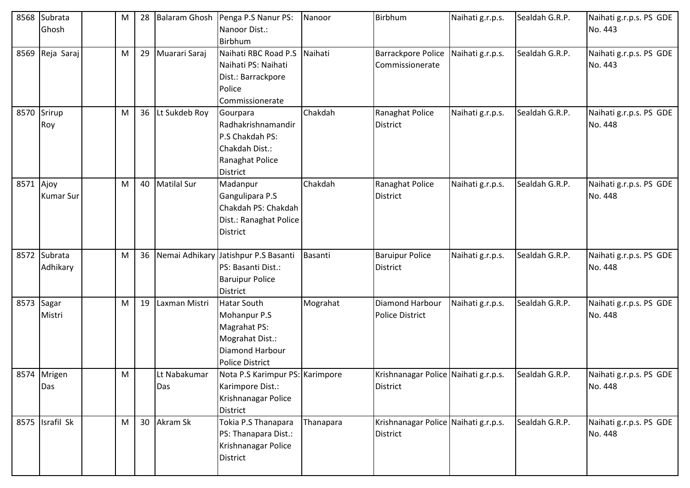| 8568        | Subrata          | M | 28 | <b>Balaram Ghosh</b> | Penga P.S Nanur PS:                  | Nanoor    | Birbhum                              | Naihati g.r.p.s. | Sealdah G.R.P. | Naihati g.r.p.s. PS GDE |
|-------------|------------------|---|----|----------------------|--------------------------------------|-----------|--------------------------------------|------------------|----------------|-------------------------|
|             | Ghosh            |   |    |                      | Nanoor Dist.:                        |           |                                      |                  |                | No. 443                 |
|             |                  |   |    |                      | Birbhum                              |           |                                      |                  |                |                         |
| 8569        | Reja Saraj       | M | 29 | Muarari Saraj        | Naihati RBC Road P.S                 | Naihati   | <b>Barrackpore Police</b>            | Naihati g.r.p.s. | Sealdah G.R.P. | Naihati g.r.p.s. PS GDE |
|             |                  |   |    |                      | Naihati PS: Naihati                  |           | Commissionerate                      |                  |                | No. 443                 |
|             |                  |   |    |                      | Dist.: Barrackpore                   |           |                                      |                  |                |                         |
|             |                  |   |    |                      | Police                               |           |                                      |                  |                |                         |
|             |                  |   |    |                      | Commissionerate                      |           |                                      |                  |                |                         |
| 8570 Srirup |                  | м |    | 36 Lt Sukdeb Roy     | Gourpara                             | Chakdah   | Ranaghat Police                      | Naihati g.r.p.s. | Sealdah G.R.P. | Naihati g.r.p.s. PS GDE |
|             | Roy              |   |    |                      | Radhakrishnamandir                   |           | District                             |                  |                | No. 448                 |
|             |                  |   |    |                      | P.S Chakdah PS:                      |           |                                      |                  |                |                         |
|             |                  |   |    |                      | Chakdah Dist.:                       |           |                                      |                  |                |                         |
|             |                  |   |    |                      | Ranaghat Police                      |           |                                      |                  |                |                         |
|             |                  |   |    |                      | <b>District</b>                      |           |                                      |                  |                |                         |
| 8571 Ajoy   |                  | M |    | 40   Matilal Sur     | Madanpur                             | Chakdah   | Ranaghat Police                      | Naihati g.r.p.s. | Sealdah G.R.P. | Naihati g.r.p.s. PS GDE |
|             | <b>Kumar Sur</b> |   |    |                      | Gangulipara P.S                      |           | <b>District</b>                      |                  |                | No. 448                 |
|             |                  |   |    |                      | Chakdah PS: Chakdah                  |           |                                      |                  |                |                         |
|             |                  |   |    |                      | Dist.: Ranaghat Police               |           |                                      |                  |                |                         |
|             |                  |   |    |                      | <b>District</b>                      |           |                                      |                  |                |                         |
|             |                  |   |    |                      |                                      |           |                                      |                  |                |                         |
|             | 8572 Subrata     | M | 36 |                      | Nemai Adhikary Jatishpur P.S Basanti | Basanti   | <b>Baruipur Police</b>               | Naihati g.r.p.s. | Sealdah G.R.P. | Naihati g.r.p.s. PS GDE |
|             | Adhikary         |   |    |                      | PS: Basanti Dist.:                   |           | District                             |                  |                | No. 448                 |
|             |                  |   |    |                      | <b>Baruipur Police</b>               |           |                                      |                  |                |                         |
|             |                  |   |    |                      | <b>District</b>                      |           |                                      |                  |                |                         |
| 8573 Sagar  |                  | M | 19 | Laxman Mistri        | <b>Hatar South</b>                   | Mograhat  | Diamond Harbour                      | Naihati g.r.p.s. | Sealdah G.R.P. | Naihati g.r.p.s. PS GDE |
|             | Mistri           |   |    |                      | Mohanpur P.S                         |           | <b>Police District</b>               |                  |                | No. 448                 |
|             |                  |   |    |                      | Magrahat PS:                         |           |                                      |                  |                |                         |
|             |                  |   |    |                      | Mograhat Dist.:                      |           |                                      |                  |                |                         |
|             |                  |   |    |                      | Diamond Harbour                      |           |                                      |                  |                |                         |
|             |                  |   |    |                      | <b>Police District</b>               |           |                                      |                  |                |                         |
|             | 8574 Mrigen      | M |    | Lt Nabakumar         | Nota P.S Karimpur PS: Karimpore      |           | Krishnanagar Police Naihati g.r.p.s. |                  | Sealdah G.R.P. | Naihati g.r.p.s. PS GDE |
|             | Das              |   |    | Das                  | Karimpore Dist.:                     |           | <b>District</b>                      |                  |                | No. 448                 |
|             |                  |   |    |                      | Krishnanagar Police                  |           |                                      |                  |                |                         |
|             |                  |   |    |                      | <b>District</b>                      |           |                                      |                  |                |                         |
|             | 8575 Israfil Sk  | M |    | 30 Akram Sk          | Tokia P.S Thanapara                  | Thanapara | Krishnanagar Police Naihati g.r.p.s. |                  | Sealdah G.R.P. | Naihati g.r.p.s. PS GDE |
|             |                  |   |    |                      | PS: Thanapara Dist.:                 |           | District                             |                  |                | No. 448                 |
|             |                  |   |    |                      | Krishnanagar Police                  |           |                                      |                  |                |                         |
|             |                  |   |    |                      | District                             |           |                                      |                  |                |                         |
|             |                  |   |    |                      |                                      |           |                                      |                  |                |                         |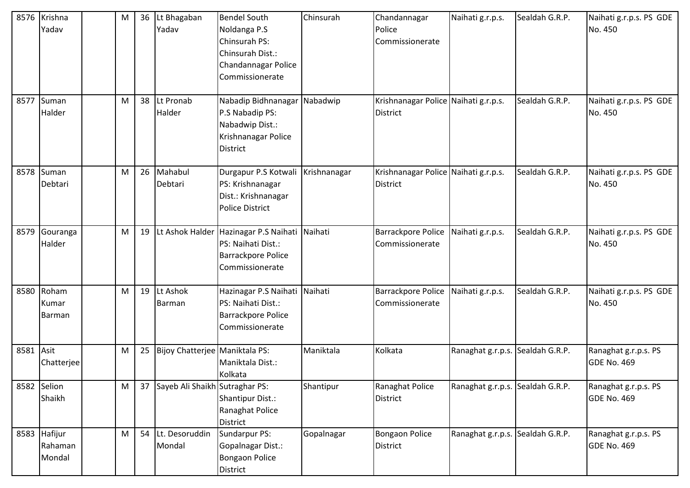|           | 8576 Krishna<br>Yadav             | M | 36 | Lt Bhagaban<br>Yadav              | <b>Bendel South</b><br>Noldanga P.S<br><b>Chinsurah PS:</b><br>Chinsurah Dist.:<br>Chandannagar Police<br>Commissionerate | Chinsurah    | Chandannagar<br>Police<br>Commissionerate               | Naihati g.r.p.s.                 | Sealdah G.R.P. | Naihati g.r.p.s. PS GDE<br>No. 450         |
|-----------|-----------------------------------|---|----|-----------------------------------|---------------------------------------------------------------------------------------------------------------------------|--------------|---------------------------------------------------------|----------------------------------|----------------|--------------------------------------------|
| 8577      | Suman<br>Halder                   | M | 38 | Lt Pronab<br>Halder               | Nabadip Bidhnanagar<br>P.S Nabadip PS:<br>Nabadwip Dist.:<br>Krishnanagar Police<br><b>District</b>                       | Nabadwip     | Krishnanagar Police Naihati g.r.p.s.<br><b>District</b> |                                  | Sealdah G.R.P. | Naihati g.r.p.s. PS GDE<br>No. 450         |
|           | 8578 Suman<br>Debtari             | M | 26 | Mahabul<br>Debtari                | Durgapur P.S Kotwali<br>PS: Krishnanagar<br>Dist.: Krishnanagar<br>Police District                                        | Krishnanagar | Krishnanagar Police Naihati g.r.p.s.<br><b>District</b> |                                  | Sealdah G.R.P. | Naihati g.r.p.s. PS GDE<br>No. 450         |
| 8579      | Gouranga<br>Halder                | M |    |                                   | 19 Lt Ashok Halder Hazinagar P.S Naihati<br>PS: Naihati Dist.:<br>Barrackpore Police<br>Commissionerate                   | Naihati      | <b>Barrackpore Police</b><br>Commissionerate            | Naihati g.r.p.s.                 | Sealdah G.R.P. | Naihati g.r.p.s. PS GDE<br>No. 450         |
| 8580      | Roham<br>Kumar<br>Barman          | M |    | 19 Lt Ashok<br>Barman             | Hazinagar P.S Naihati<br>PS: Naihati Dist.:<br>Barrackpore Police<br>Commissionerate                                      | Naihati      | <b>Barrackpore Police</b><br>Commissionerate            | Naihati g.r.p.s.                 | Sealdah G.R.P. | Naihati g.r.p.s. PS GDE<br>No. 450         |
| 8581 Asit | Chatterjee                        | M |    | 25 Bijoy Chatterjee Maniktala PS: | Maniktala Dist.:<br>Kolkata                                                                                               | Maniktala    | Kolkata                                                 | Ranaghat g.r.p.s. Sealdah G.R.P. |                | Ranaghat g.r.p.s. PS<br><b>GDE No. 469</b> |
| 8582      | Selion<br>Shaikh                  | M |    | 37 Sayeb Ali Shaikh Sutraghar PS: | Shantipur Dist.:<br>Ranaghat Police<br>District                                                                           | Shantipur    | Ranaghat Police<br><b>District</b>                      | Ranaghat g.r.p.s. Sealdah G.R.P. |                | Ranaghat g.r.p.s. PS<br>GDE No. 469        |
|           | 8583 Hafijur<br>Rahaman<br>Mondal | M |    | 54 Lt. Desoruddin<br>Mondal       | Sundarpur PS:<br>Gopalnagar Dist.:<br><b>Bongaon Police</b><br>District                                                   | Gopalnagar   | <b>Bongaon Police</b><br><b>District</b>                | Ranaghat g.r.p.s. Sealdah G.R.P. |                | Ranaghat g.r.p.s. PS<br>GDE No. 469        |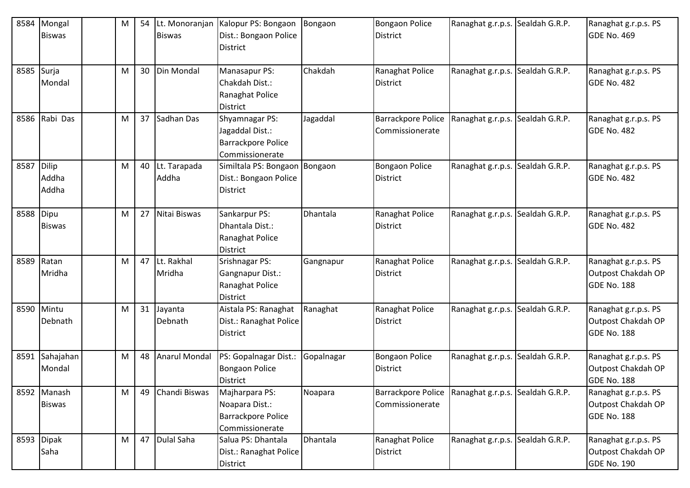| 8584       | Mongal<br><b>Biswas</b>        | M | 54 Lt. Monoranjan<br><b>Biswas</b> | Kalopur PS: Bongaon<br>Dist.: Bongaon Police<br>District                          | Bongaon    | <b>Bongaon Police</b><br><b>District</b>     | Ranaghat g.r.p.s. Sealdah G.R.P. |                | Ranaghat g.r.p.s. PS<br><b>GDE No. 469</b>                       |
|------------|--------------------------------|---|------------------------------------|-----------------------------------------------------------------------------------|------------|----------------------------------------------|----------------------------------|----------------|------------------------------------------------------------------|
| 8585 Surja | Mondal                         | M | 30 Din Mondal                      | Manasapur PS:<br>Chakdah Dist.:<br>Ranaghat Police<br>District                    | Chakdah    | Ranaghat Police<br><b>District</b>           | Ranaghat g.r.p.s.                | Sealdah G.R.P. | Ranaghat g.r.p.s. PS<br>GDE No. 482                              |
|            | 8586 Rabi Das                  | M | 37 Sadhan Das                      | Shyamnagar PS:<br>Jagaddal Dist.:<br><b>Barrackpore Police</b><br>Commissionerate | Jagaddal   | <b>Barrackpore Police</b><br>Commissionerate | Ranaghat g.r.p.s.                | Sealdah G.R.P. | Ranaghat g.r.p.s. PS<br><b>GDE No. 482</b>                       |
| 8587       | <b>Dilip</b><br>Addha<br>Addha | M | 40 Lt. Tarapada<br>Addha           | Similtala PS: Bongaon Bongaon<br>Dist.: Bongaon Police<br>District                |            | <b>Bongaon Police</b><br><b>District</b>     | Ranaghat g.r.p.s.                | Sealdah G.R.P. | Ranaghat g.r.p.s. PS<br><b>GDE No. 482</b>                       |
| 8588       | Dipu<br><b>Biswas</b>          | M | 27 Nitai Biswas                    | Sankarpur PS:<br>Dhantala Dist.:<br>Ranaghat Police<br>District                   | Dhantala   | Ranaghat Police<br><b>District</b>           | Ranaghat g.r.p.s.                | Sealdah G.R.P. | Ranaghat g.r.p.s. PS<br><b>GDE No. 482</b>                       |
|            | 8589 Ratan<br>Mridha           | M | 47 Lt. Rakhal<br>Mridha            | Srishnagar PS:<br>Gangnapur Dist.:<br>Ranaghat Police<br><b>District</b>          | Gangnapur  | Ranaghat Police<br><b>District</b>           | Ranaghat g.r.p.s.                | Sealdah G.R.P. | Ranaghat g.r.p.s. PS<br>Outpost Chakdah OP<br>GDE No. 188        |
| 8590       | Mintu<br>Debnath               | M | 31 Jayanta<br>Debnath              | Aistala PS: Ranaghat<br>Dist.: Ranaghat Police<br>District                        | Ranaghat   | Ranaghat Police<br><b>District</b>           | Ranaghat g.r.p.s.                | Sealdah G.R.P. | Ranaghat g.r.p.s. PS<br>Outpost Chakdah OP<br><b>GDE No. 188</b> |
|            | 8591 Sahajahan<br>Mondal       | M | 48 Anarul Mondal                   | PS: Gopalnagar Dist.:<br><b>Bongaon Police</b><br>District                        | Gopalnagar | <b>Bongaon Police</b><br><b>District</b>     | Ranaghat g.r.p.s.                | Sealdah G.R.P. | Ranaghat g.r.p.s. PS<br>Outpost Chakdah OP<br><b>GDE No. 188</b> |
|            | 8592 Manash<br><b>Biswas</b>   | M | 49 Chandi Biswas                   | Majharpara PS:<br>Noapara Dist.:<br><b>Barrackpore Police</b><br>Commissionerate  | Noapara    | Barrackpore Police<br>Commissionerate        | Ranaghat g.r.p.s. Sealdah G.R.P. |                | Ranaghat g.r.p.s. PS<br>Outpost Chakdah OP<br><b>GDE No. 188</b> |
|            | 8593 Dipak<br>Saha             | M | 47 Dulal Saha                      | Salua PS: Dhantala<br>Dist.: Ranaghat Police<br>District                          | Dhantala   | Ranaghat Police<br>District                  | Ranaghat g.r.p.s.                | Sealdah G.R.P. | Ranaghat g.r.p.s. PS<br>Outpost Chakdah OP<br><b>GDE No. 190</b> |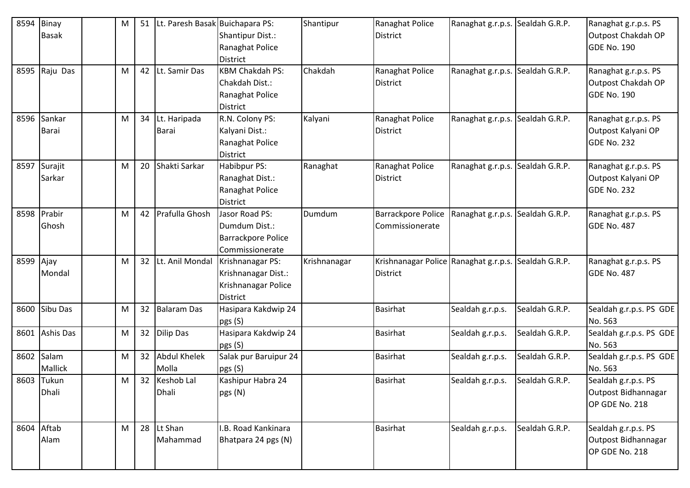| 8594       | Binay<br><b>Basak</b>       | M | 51 | Lt. Paresh Basak Buichapara PS: | <b>Shantipur Dist.:</b><br>Ranaghat Police                                                        | Shantipur    | Ranaghat Police<br><b>District</b>                | Ranaghat g.r.p.s. Sealdah G.R.P. |                | Ranaghat g.r.p.s. PS<br>Outpost Chakdah OP<br><b>GDE No. 190</b> |
|------------|-----------------------------|---|----|---------------------------------|---------------------------------------------------------------------------------------------------|--------------|---------------------------------------------------|----------------------------------|----------------|------------------------------------------------------------------|
|            | 8595 Raju Das               | м |    | 42 Lt. Samir Das                | <b>District</b><br><b>KBM Chakdah PS:</b><br>Chakdah Dist.:<br>Ranaghat Police<br><b>District</b> | Chakdah      | Ranaghat Police<br><b>District</b>                | Ranaghat g.r.p.s. Sealdah G.R.P. |                | Ranaghat g.r.p.s. PS<br>Outpost Chakdah OP<br><b>GDE No. 190</b> |
|            | 8596 Sankar<br><b>Barai</b> | M |    | 34 Lt. Haripada<br>Barai        | R.N. Colony PS:<br>Kalyani Dist.:<br>Ranaghat Police<br><b>District</b>                           | Kalyani      | Ranaghat Police<br>District                       | Ranaghat g.r.p.s. Sealdah G.R.P. |                | Ranaghat g.r.p.s. PS<br>Outpost Kalyani OP<br><b>GDE No. 232</b> |
| 8597       | Surajit<br>Sarkar           | M |    | 20 Shakti Sarkar                | <b>Habibpur PS:</b><br>Ranaghat Dist.:<br>Ranaghat Police<br><b>District</b>                      | Ranaghat     | Ranaghat Police<br>District                       | Ranaghat g.r.p.s.                | Sealdah G.R.P. | Ranaghat g.r.p.s. PS<br>Outpost Kalyani OP<br><b>GDE No. 232</b> |
|            | 8598 Prabir<br>Ghosh        | M |    | 42 Prafulla Ghosh               | Jasor Road PS:<br>Dumdum Dist.:<br><b>Barrackpore Police</b><br>Commissionerate                   | Dumdum       | Barrackpore Police<br>Commissionerate             | Ranaghat g.r.p.s.                | Sealdah G.R.P. | Ranaghat g.r.p.s. PS<br><b>GDE No. 487</b>                       |
| 8599 Ajay  | Mondal                      | м |    | 32 Lt. Anil Mondal              | Krishnanagar PS:<br>Krishnanagar Dist.:<br>Krishnanagar Police<br>District                        | Krishnanagar | Krishnanagar Police Ranaghat g.r.p.s.<br>District |                                  | Sealdah G.R.P. | Ranaghat g.r.p.s. PS<br><b>GDE No. 487</b>                       |
| 8600       | Sibu Das                    | M |    | 32 Balaram Das                  | Hasipara Kakdwip 24<br>pgs (S)                                                                    |              | <b>Basirhat</b>                                   | Sealdah g.r.p.s.                 | Sealdah G.R.P. | Sealdah g.r.p.s. PS GDE<br>No. 563                               |
| 8601       | <b>Ashis Das</b>            | M | 32 | <b>Dilip Das</b>                | Hasipara Kakdwip 24<br>pgs (S)                                                                    |              | <b>Basirhat</b>                                   | Sealdah g.r.p.s.                 | Sealdah G.R.P. | Sealdah g.r.p.s. PS GDE<br>No. 563                               |
| 8602       | Salam<br>Mallick            | M | 32 | <b>Abdul Khelek</b><br>Molla    | Salak pur Baruipur 24<br>pgs (S)                                                                  |              | <b>Basirhat</b>                                   | Sealdah g.r.p.s.                 | Sealdah G.R.P. | Sealdah g.r.p.s. PS GDE<br>No. 563                               |
|            | 8603 Tukun<br>Dhali         | м |    | 32 Keshob Lal<br>Dhali          | Kashipur Habra 24<br>pgs (N)                                                                      |              | <b>Basirhat</b>                                   | Sealdah g.r.p.s.                 | Sealdah G.R.P. | Sealdah g.r.p.s. PS<br>Outpost Bidhannagar<br>OP GDE No. 218     |
| 8604 Aftab | Alam                        | M |    | 28 Lt Shan<br>Mahammad          | I.B. Road Kankinara<br>Bhatpara 24 pgs (N)                                                        |              | <b>Basirhat</b>                                   | Sealdah g.r.p.s.                 | Sealdah G.R.P. | Sealdah g.r.p.s. PS<br>Outpost Bidhannagar<br>OP GDE No. 218     |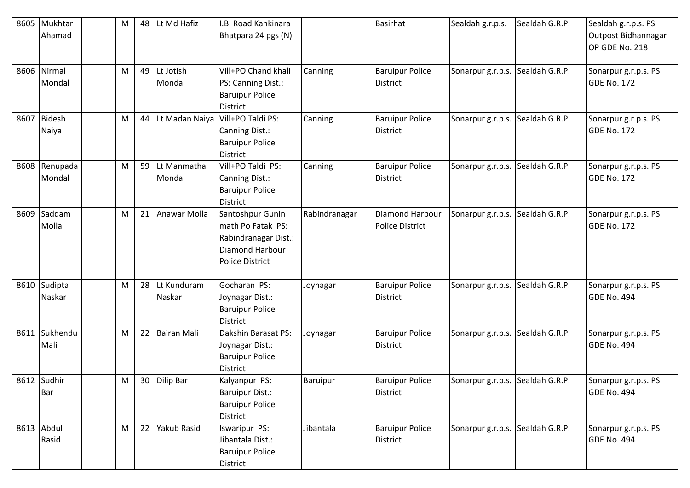| 8605 | Mukhtar       | М | 48 | Lt Md Hafiz        | I.B. Road Kankinara    |                 | <b>Basirhat</b>        | Sealdah g.r.p.s.                 | Sealdah G.R.P. | Sealdah g.r.p.s. PS  |
|------|---------------|---|----|--------------------|------------------------|-----------------|------------------------|----------------------------------|----------------|----------------------|
|      | Ahamad        |   |    |                    | Bhatpara 24 pgs (N)    |                 |                        |                                  |                | Outpost Bidhannagar  |
|      |               |   |    |                    |                        |                 |                        |                                  |                | OP GDE No. 218       |
|      |               |   |    |                    |                        |                 |                        |                                  |                |                      |
|      | 8606 Nirmal   | M |    | 49 Lt Jotish       | Vill+PO Chand khali    | Canning         | <b>Baruipur Police</b> | Sonarpur g.r.p.s.                | Sealdah G.R.P. | Sonarpur g.r.p.s. PS |
|      | Mondal        |   |    | Mondal             | PS: Canning Dist.:     |                 | <b>District</b>        |                                  |                | <b>GDE No. 172</b>   |
|      |               |   |    |                    | <b>Baruipur Police</b> |                 |                        |                                  |                |                      |
|      |               |   |    |                    | <b>District</b>        |                 |                        |                                  |                |                      |
| 8607 | <b>Bidesh</b> | M | 44 | Lt Madan Naiya     | Vill+PO Taldi PS:      | Canning         | <b>Baruipur Police</b> | Sonarpur g.r.p.s.                | Sealdah G.R.P. | Sonarpur g.r.p.s. PS |
|      | Naiya         |   |    |                    | Canning Dist.:         |                 | <b>District</b>        |                                  |                | <b>GDE No. 172</b>   |
|      |               |   |    |                    | <b>Baruipur Police</b> |                 |                        |                                  |                |                      |
|      |               |   |    |                    | <b>District</b>        |                 |                        |                                  |                |                      |
| 8608 | Renupada      | M | 59 | Lt Manmatha        | Vill+PO Taldi PS:      | Canning         | <b>Baruipur Police</b> | Sonarpur g.r.p.s.                | Sealdah G.R.P. | Sonarpur g.r.p.s. PS |
|      | Mondal        |   |    | Mondal             | Canning Dist.:         |                 | <b>District</b>        |                                  |                | <b>GDE No. 172</b>   |
|      |               |   |    |                    | <b>Baruipur Police</b> |                 |                        |                                  |                |                      |
|      |               |   |    |                    | <b>District</b>        |                 |                        |                                  |                |                      |
| 8609 | Saddam        | M | 21 | Anawar Molla       | Santoshpur Gunin       | Rabindranagar   | Diamond Harbour        | Sonarpur g.r.p.s.                | Sealdah G.R.P. | Sonarpur g.r.p.s. PS |
|      | Molla         |   |    |                    | math Po Fatak PS:      |                 | <b>Police District</b> |                                  |                | <b>GDE No. 172</b>   |
|      |               |   |    |                    | Rabindranagar Dist.:   |                 |                        |                                  |                |                      |
|      |               |   |    |                    | Diamond Harbour        |                 |                        |                                  |                |                      |
|      |               |   |    |                    | <b>Police District</b> |                 |                        |                                  |                |                      |
|      |               |   |    |                    |                        |                 |                        |                                  |                |                      |
| 8610 | Sudipta       | M | 28 | Lt Kunduram        | Gocharan PS:           | Joynagar        | <b>Baruipur Police</b> | Sonarpur g.r.p.s.                | Sealdah G.R.P. | Sonarpur g.r.p.s. PS |
|      | Naskar        |   |    | Naskar             | Joynagar Dist.:        |                 | <b>District</b>        |                                  |                | <b>GDE No. 494</b>   |
|      |               |   |    |                    | <b>Baruipur Police</b> |                 |                        |                                  |                |                      |
|      |               |   |    |                    | <b>District</b>        |                 |                        |                                  |                |                      |
| 8611 | Sukhendu      | M | 22 | <b>Bairan Mali</b> | Dakshin Barasat PS:    | Joynagar        | <b>Baruipur Police</b> | Sonarpur g.r.p.s.                | Sealdah G.R.P. | Sonarpur g.r.p.s. PS |
|      | Mali          |   |    |                    | Joynagar Dist.:        |                 | <b>District</b>        |                                  |                | GDE No. 494          |
|      |               |   |    |                    | <b>Baruipur Police</b> |                 |                        |                                  |                |                      |
|      |               |   |    |                    | <b>District</b>        |                 |                        |                                  |                |                      |
|      | 8612 Sudhir   | M |    | 30 Dilip Bar       | Kalyanpur PS:          | <b>Baruipur</b> | <b>Baruipur Police</b> | Sonarpur g.r.p.s. Sealdah G.R.P. |                | Sonarpur g.r.p.s. PS |
|      | <b>Bar</b>    |   |    |                    | <b>Baruipur Dist.:</b> |                 | <b>District</b>        |                                  |                | <b>GDE No. 494</b>   |
|      |               |   |    |                    | <b>Baruipur Police</b> |                 |                        |                                  |                |                      |
|      |               |   |    |                    | <b>District</b>        |                 |                        |                                  |                |                      |
|      | 8613 Abdul    | M |    | 22 Yakub Rasid     | <b>Iswaripur PS:</b>   | Jibantala       | <b>Baruipur Police</b> | Sonarpur g.r.p.s.                | Sealdah G.R.P. | Sonarpur g.r.p.s. PS |
|      | Rasid         |   |    |                    | Jibantala Dist.:       |                 | <b>District</b>        |                                  |                | <b>GDE No. 494</b>   |
|      |               |   |    |                    | <b>Baruipur Police</b> |                 |                        |                                  |                |                      |
|      |               |   |    |                    | District               |                 |                        |                                  |                |                      |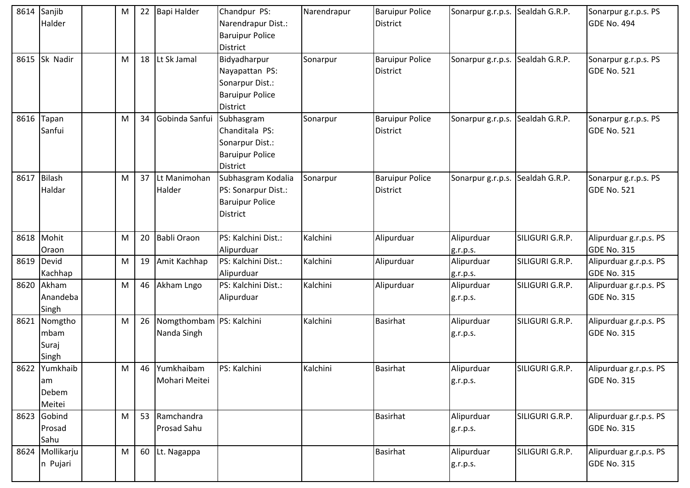|      | 8614 Sanjib<br>Halder                  | M | 22 | Bapi Halder                             | Chandpur PS:<br>Narendrapur Dist.:<br><b>Baruipur Police</b><br>District                | Narendrapur | <b>Baruipur Police</b><br><b>District</b> | Sonarpur g.r.p.s. Sealdah G.R.P. |                 | Sonarpur g.r.p.s. PS<br><b>GDE No. 494</b>   |
|------|----------------------------------------|---|----|-----------------------------------------|-----------------------------------------------------------------------------------------|-------------|-------------------------------------------|----------------------------------|-----------------|----------------------------------------------|
| 8615 | Sk Nadir                               | M | 18 | Lt Sk Jamal                             | Bidyadharpur<br>Nayapattan PS:<br>Sonarpur Dist.:<br><b>Baruipur Police</b><br>District | Sonarpur    | <b>Baruipur Police</b><br>District        | Sonarpur g.r.p.s.                | Sealdah G.R.P.  | Sonarpur g.r.p.s. PS<br><b>GDE No. 521</b>   |
|      | 8616 Tapan<br>Sanfui                   | M | 34 | Gobinda Sanfui                          | Subhasgram<br>Chanditala PS:<br>Sonarpur Dist.:<br><b>Baruipur Police</b><br>District   | Sonarpur    | <b>Baruipur Police</b><br>District        | Sonarpur g.r.p.s.                | Sealdah G.R.P.  | Sonarpur g.r.p.s. PS<br><b>GDE No. 521</b>   |
|      | 8617 Bilash<br>Haldar                  | M | 37 | Lt Manimohan<br>Halder                  | Subhasgram Kodalia<br>PS: Sonarpur Dist.:<br><b>Baruipur Police</b><br>District         | Sonarpur    | <b>Baruipur Police</b><br><b>District</b> | Sonarpur g.r.p.s.                | Sealdah G.R.P.  | Sonarpur g.r.p.s. PS<br><b>GDE No. 521</b>   |
|      | 8618 Mohit<br>Oraon                    | M | 20 | Babli Oraon                             | PS: Kalchini Dist.:<br>Alipurduar                                                       | Kalchini    | Alipurduar                                | Alipurduar<br>g.r.p.s.           | SILIGURI G.R.P. | Alipurduar g.r.p.s. PS<br><b>GDE No. 315</b> |
|      | 8619 Devid<br>Kachhap                  | M | 19 | Amit Kachhap                            | PS: Kalchini Dist.:<br>Alipurduar                                                       | Kalchini    | Alipurduar                                | Alipurduar<br>g.r.p.s.           | SILIGURI G.R.P. | Alipurduar g.r.p.s. PS<br><b>GDE No. 315</b> |
| 8620 | Akham<br>Anandeba<br>Singh             | M | 46 | Akham Lngo                              | PS: Kalchini Dist.:<br>Alipurduar                                                       | Kalchini    | Alipurduar                                | Alipurduar<br>g.r.p.s.           | SILIGURI G.R.P. | Alipurduar g.r.p.s. PS<br><b>GDE No. 315</b> |
|      | 8621 Nomgtho<br>mbam<br>Suraj<br>Singh | M | 26 | Nomgthombam PS: Kalchini<br>Nanda Singh |                                                                                         | Kalchini    | <b>Basirhat</b>                           | Alipurduar<br>g.r.p.s.           | SILIGURI G.R.P. | Alipurduar g.r.p.s. PS<br><b>GDE No. 315</b> |
|      | 8622 Yumkhaib<br>am<br>Debem<br>Meitei | M | 46 | Yumkhaibam<br>Mohari Meitei             | PS: Kalchini                                                                            | Kalchini    | Basirhat                                  | Alipurduar<br>g.r.p.s.           | SILIGURI G.R.P. | Alipurduar g.r.p.s. PS<br><b>GDE No. 315</b> |
|      | 8623 Gobind<br>Prosad<br>Sahu          | M | 53 | Ramchandra<br>Prosad Sahu               |                                                                                         |             | <b>Basirhat</b>                           | Alipurduar<br>g.r.p.s.           | SILIGURI G.R.P. | Alipurduar g.r.p.s. PS<br><b>GDE No. 315</b> |
|      | 8624 Mollikarju<br>n Pujari            | M | 60 | Lt. Nagappa                             |                                                                                         |             | <b>Basirhat</b>                           | Alipurduar<br>g.r.p.s.           | SILIGURI G.R.P. | Alipurduar g.r.p.s. PS<br><b>GDE No. 315</b> |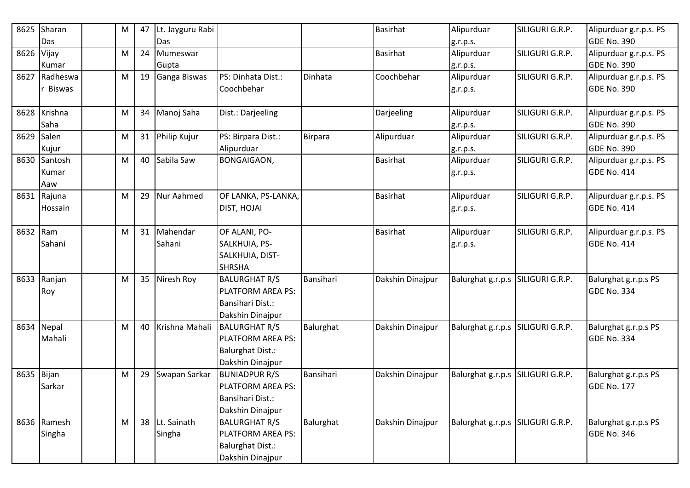| 8625 | Sharan      | M | 47 | Lt. Jayguru Rabi  |                         |           | <b>Basirhat</b>  | Alipurduar        | SILIGURI G.R.P. | Alipurduar g.r.p.s. PS |
|------|-------------|---|----|-------------------|-------------------------|-----------|------------------|-------------------|-----------------|------------------------|
|      | Das         |   |    | Das               |                         |           |                  | g.r.p.s.          |                 | <b>GDE No. 390</b>     |
| 8626 | Vijay       | M | 24 | Mumeswar          |                         |           | <b>Basirhat</b>  | Alipurduar        | SILIGURI G.R.P. | Alipurduar g.r.p.s. PS |
|      | Kumar       |   |    | Gupta             |                         |           |                  | g.r.p.s.          |                 | <b>GDE No. 390</b>     |
| 8627 | Radheswa    | M |    | 19 Ganga Biswas   | PS: Dinhata Dist.:      | Dinhata   | Coochbehar       | Alipurduar        | SILIGURI G.R.P. | Alipurduar g.r.p.s. PS |
|      | r Biswas    |   |    |                   | Coochbehar              |           |                  | g.r.p.s.          |                 | <b>GDE No. 390</b>     |
|      |             |   |    |                   |                         |           |                  |                   |                 |                        |
| 8628 | Krishna     | M | 34 | Manoj Saha        | Dist.: Darjeeling       |           | Darjeeling       | Alipurduar        | SILIGURI G.R.P. | Alipurduar g.r.p.s. PS |
|      | Saha        |   |    |                   |                         |           |                  | g.r.p.s.          |                 | <b>GDE No. 390</b>     |
| 8629 | Salen       | M |    | 31 Philip Kujur   | PS: Birpara Dist.:      | Birpara   | Alipurduar       | Alipurduar        | SILIGURI G.R.P. | Alipurduar g.r.p.s. PS |
|      | Kujur       |   |    |                   | Alipurduar              |           |                  | g.r.p.s.          |                 | <b>GDE No. 390</b>     |
| 8630 | Santosh     | M |    | 40 Sabila Saw     | <b>BONGAIGAON,</b>      |           | <b>Basirhat</b>  | Alipurduar        | SILIGURI G.R.P. | Alipurduar g.r.p.s. PS |
|      | Kumar       |   |    |                   |                         |           |                  | g.r.p.s.          |                 | <b>GDE No. 414</b>     |
|      | Aaw         |   |    |                   |                         |           |                  |                   |                 |                        |
| 8631 | Rajuna      | M | 29 | Nur Aahmed        | OF LANKA, PS-LANKA,     |           | <b>Basirhat</b>  | Alipurduar        | SILIGURI G.R.P. | Alipurduar g.r.p.s. PS |
|      | Hossain     |   |    |                   | <b>DIST, HOJAI</b>      |           |                  | g.r.p.s.          |                 | <b>GDE No. 414</b>     |
|      |             |   |    |                   |                         |           |                  |                   |                 |                        |
| 8632 | Ram         | M |    | 31 Mahendar       | OF ALANI, PO-           |           | <b>Basirhat</b>  | Alipurduar        | SILIGURI G.R.P. | Alipurduar g.r.p.s. PS |
|      | Sahani      |   |    | Sahani            | SALKHUIA, PS-           |           |                  | g.r.p.s.          |                 | <b>GDE No. 414</b>     |
|      |             |   |    |                   | SALKHUIA, DIST-         |           |                  |                   |                 |                        |
|      |             |   |    |                   | <b>SHRSHA</b>           |           |                  |                   |                 |                        |
| 8633 | Ranjan      | M | 35 | Niresh Roy        | <b>BALURGHAT R/S</b>    | Bansihari | Dakshin Dinajpur | Balurghat g.r.p.s | SILIGURI G.R.P. | Balurghat g.r.p.s PS   |
|      | Roy         |   |    |                   | PLATFORM AREA PS:       |           |                  |                   |                 | <b>GDE No. 334</b>     |
|      |             |   |    |                   | Bansihari Dist.:        |           |                  |                   |                 |                        |
|      |             |   |    |                   | Dakshin Dinajpur        |           |                  |                   |                 |                        |
|      | 8634 Nepal  | M |    | 40 Krishna Mahali | <b>BALURGHAT R/S</b>    | Balurghat | Dakshin Dinajpur | Balurghat g.r.p.s | SILIGURI G.R.P. | Balurghat g.r.p.s PS   |
|      | Mahali      |   |    |                   | PLATFORM AREA PS:       |           |                  |                   |                 | <b>GDE No. 334</b>     |
|      |             |   |    |                   | <b>Balurghat Dist.:</b> |           |                  |                   |                 |                        |
|      |             |   |    |                   | Dakshin Dinajpur        |           |                  |                   |                 |                        |
| 8635 | Bijan       | M | 29 | Swapan Sarkar     | <b>BUNIADPUR R/S</b>    | Bansihari | Dakshin Dinajpur | Balurghat g.r.p.s | SILIGURI G.R.P. | Balurghat g.r.p.s PS   |
|      | Sarkar      |   |    |                   | PLATFORM AREA PS:       |           |                  |                   |                 | <b>GDE No. 177</b>     |
|      |             |   |    |                   | Bansihari Dist.:        |           |                  |                   |                 |                        |
|      |             |   |    |                   | Dakshin Dinajpur        |           |                  |                   |                 |                        |
|      | 8636 Ramesh | M |    | 38 Lt. Sainath    | <b>BALURGHAT R/S</b>    | Balurghat | Dakshin Dinajpur | Balurghat g.r.p.s | SILIGURI G.R.P. | Balurghat g.r.p.s PS   |
|      | Singha      |   |    | Singha            | PLATFORM AREA PS:       |           |                  |                   |                 | <b>GDE No. 346</b>     |
|      |             |   |    |                   | <b>Balurghat Dist.:</b> |           |                  |                   |                 |                        |
|      |             |   |    |                   | Dakshin Dinajpur        |           |                  |                   |                 |                        |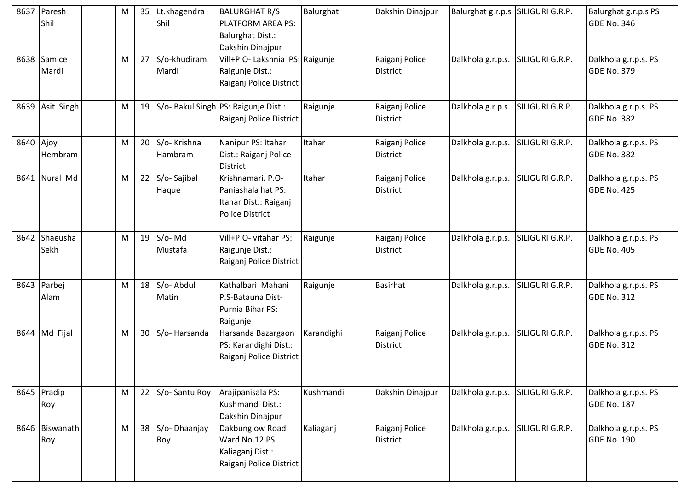| 8637      | Paresh<br>Shil        | M | 35 | Lt.khagendra<br>Shil   | <b>BALURGHAT R/S</b><br>PLATFORM AREA PS:<br><b>Balurghat Dist.:</b><br>Dakshin Dinajpur   | Balurghat  | Dakshin Dinajpur                  | Balurghat g.r.p.s | SILIGURI G.R.P. | Balurghat g.r.p.s PS<br><b>GDE No. 346</b> |
|-----------|-----------------------|---|----|------------------------|--------------------------------------------------------------------------------------------|------------|-----------------------------------|-------------------|-----------------|--------------------------------------------|
|           | 8638 Samice<br>Mardi  | M | 27 | S/o-khudiram<br>Mardi  | Vill+P.O- Lakshnia PS: Raigunje<br>Raigunje Dist.:<br>Raiganj Police District              |            | Raiganj Police<br>District        | Dalkhola g.r.p.s. | SILIGURI G.R.P. | Dalkhola g.r.p.s. PS<br><b>GDE No. 379</b> |
|           | 8639 Asit Singh       | M | 19 |                        | S/o- Bakul Singh PS: Raigunje Dist.:<br>Raiganj Police District                            | Raigunje   | Raiganj Police<br>District        | Dalkhola g.r.p.s. | SILIGURI G.R.P. | Dalkhola g.r.p.s. PS<br><b>GDE No. 382</b> |
| 8640 Ajoy | Hembram               | M | 20 | S/o-Krishna<br>Hambram | Nanipur PS: Itahar<br>Dist.: Raiganj Police<br><b>District</b>                             | Itahar     | Raiganj Police<br>District        | Dalkhola g.r.p.s. | SILIGURI G.R.P. | Dalkhola g.r.p.s. PS<br><b>GDE No. 382</b> |
|           | 8641 Nural Md         | M | 22 | S/o-Sajibal<br>Haque   | Krishnamari, P.O-<br>Paniashala hat PS:<br>Itahar Dist.: Raiganj<br><b>Police District</b> | Itahar     | Raiganj Police<br><b>District</b> | Dalkhola g.r.p.s. | SILIGURI G.R.P. | Dalkhola g.r.p.s. PS<br><b>GDE No. 425</b> |
|           | 8642 Shaeusha<br>Sekh | M | 19 | S/o-Md<br>Mustafa      | Vill+P.O- vitahar PS:<br>Raigunje Dist.:<br>Raiganj Police District                        | Raigunje   | Raiganj Police<br><b>District</b> | Dalkhola g.r.p.s. | SILIGURI G.R.P. | Dalkhola g.r.p.s. PS<br><b>GDE No. 405</b> |
|           | 8643 Parbej<br>Alam   | M | 18 | S/o- Abdul<br>Matin    | Kathalbari Mahani<br>P.S-Batauna Dist-<br>Purnia Bihar PS:<br>Raigunje                     | Raigunje   | <b>Basirhat</b>                   | Dalkhola g.r.p.s. | SILIGURI G.R.P. | Dalkhola g.r.p.s. PS<br><b>GDE No. 312</b> |
|           | 8644 Md Fijal         | M | 30 | S/o-Harsanda           | Harsanda Bazargaon<br>PS: Karandighi Dist.:<br>Raiganj Police District                     | Karandighi | Raiganj Police<br>District        | Dalkhola g.r.p.s. | SILIGURI G.R.P. | Dalkhola g.r.p.s. PS<br><b>GDE No. 312</b> |
|           | 8645 Pradip<br>Roy    | M |    | 22 S/o-Santu Roy       | Arajipanisala PS:<br>Kushmandi Dist.:<br>Dakshin Dinajpur                                  | Kushmandi  | Dakshin Dinajpur                  | Dalkhola g.r.p.s. | SILIGURI G.R.P. | Dalkhola g.r.p.s. PS<br><b>GDE No. 187</b> |
|           | 8646 Biswanath<br>Roy | M | 38 | S/o-Dhaanjay<br>Roy    | Dakbunglow Road<br>Ward No.12 PS:<br>Kaliaganj Dist.:<br>Raiganj Police District           | Kaliaganj  | Raiganj Police<br><b>District</b> | Dalkhola g.r.p.s. | SILIGURI G.R.P. | Dalkhola g.r.p.s. PS<br><b>GDE No. 190</b> |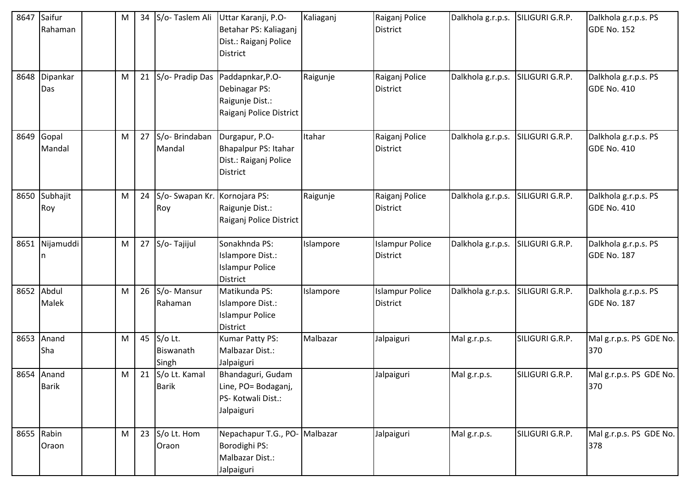| 8647 | Saifur<br>Rahaman          | M | 34 S/o-Taslem Ali                       | Uttar Karanji, P.O-<br>Betahar PS: Kaliaganj<br>Dist.: Raiganj Police<br>District  | Kaliaganj | Raiganj Police<br>District         | Dalkhola g.r.p.s. | SILIGURI G.R.P. | Dalkhola g.r.p.s. PS<br>GDE No. 152        |
|------|----------------------------|---|-----------------------------------------|------------------------------------------------------------------------------------|-----------|------------------------------------|-------------------|-----------------|--------------------------------------------|
|      | 8648 Dipankar<br>Das       | M | 21 S/o- Pradip Das                      | Paddapnkar, P.O-<br>Debinagar PS:<br>Raigunje Dist.:<br>Raiganj Police District    | Raigunje  | Raiganj Police<br>District         | Dalkhola g.r.p.s. | SILIGURI G.R.P. | Dalkhola g.r.p.s. PS<br><b>GDE No. 410</b> |
| 8649 | Gopal<br>Mandal            | M | 27 S/o- Brindaban<br>Mandal             | Durgapur, P.O-<br>Bhapalpur PS: Itahar<br>Dist.: Raiganj Police<br><b>District</b> | Itahar    | Raiganj Police<br><b>District</b>  | Dalkhola g.r.p.s. | SILIGURI G.R.P. | Dalkhola g.r.p.s. PS<br><b>GDE No. 410</b> |
| 8650 | Subhajit<br>Roy            | M | 24 S/o- Swapan Kr. Kornojara PS:<br>Roy | Raigunje Dist.:<br>Raiganj Police District                                         | Raigunje  | Raiganj Police<br><b>District</b>  | Dalkhola g.r.p.s. | SILIGURI G.R.P. | Dalkhola g.r.p.s. PS<br>GDE No. 410        |
|      | 8651 Nijamuddi<br>n        | M | 27 S/o-Tajijul                          | Sonakhnda PS:<br>Islampore Dist.:<br><b>Islampur Police</b><br><b>District</b>     | Islampore | <b>Islampur Police</b><br>District | Dalkhola g.r.p.s. | SILIGURI G.R.P. | Dalkhola g.r.p.s. PS<br><b>GDE No. 187</b> |
|      | 8652 Abdul<br>Malek        | M | 26 S/o-Mansur<br>Rahaman                | Matikunda PS:<br>Islampore Dist.:<br><b>Islampur Police</b><br>District            | Islampore | <b>Islampur Police</b><br>District | Dalkhola g.r.p.s. | SILIGURI G.R.P. | Dalkhola g.r.p.s. PS<br><b>GDE No. 187</b> |
| 8653 | Anand<br>Sha               | M | 45 S/o Lt.<br>Biswanath<br>Singh        | Kumar Patty PS:<br>Malbazar Dist.:<br>Jalpaiguri                                   | Malbazar  | Jalpaiguri                         | Malg.r.p.s.       | SILIGURI G.R.P. | Mal g.r.p.s. PS GDE No.<br>370             |
|      | 8654 Anand<br><b>Barik</b> | М | 21 S/o Lt. Kamal<br><b>Barik</b>        | Bhandaguri, Gudam<br>Line, PO= Bodaganj,<br>PS- Kotwali Dist.:<br>Jalpaiguri       |           | Jalpaiguri                         | Malg.r.p.s.       | SILIGURI G.R.P. | Mal g.r.p.s. PS GDE No.<br>370             |
|      | 8655 Rabin<br>Oraon        | M | 23 $S$ /o Lt. Hom<br>Oraon              | Nepachapur T.G., PO- Malbazar<br>Borodighi PS:<br>Malbazar Dist.:<br>Jalpaiguri    |           | Jalpaiguri                         | Malg.r.p.s.       | SILIGURI G.R.P. | Mal g.r.p.s. PS GDE No.<br>378             |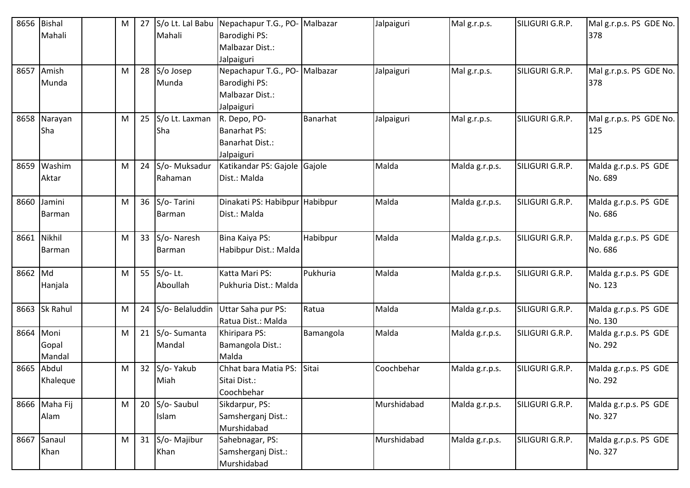|         | 8656 Bishal   | M | 27 | S/o Lt. Lal Babu        | Nepachapur T.G., PO-                  | Malbazar  | Jalpaiguri  | Malg.r.p.s.    | SILIGURI G.R.P. | Mal g.r.p.s. PS GDE No. |
|---------|---------------|---|----|-------------------------|---------------------------------------|-----------|-------------|----------------|-----------------|-------------------------|
|         | Mahali        |   |    | Mahali                  | Barodighi PS:                         |           |             |                |                 | 378                     |
|         |               |   |    |                         | Malbazar Dist.:                       |           |             |                |                 |                         |
|         | 8657 Amish    |   |    |                         | Jalpaiguri                            | Malbazar  |             |                | SILIGURI G.R.P. | Mal g.r.p.s. PS GDE No. |
|         | Munda         | M |    | $28$ S/o Josep<br>Munda | Nepachapur T.G., PO-<br>Barodighi PS: |           | Jalpaiguri  | Malg.r.p.s.    |                 | 378                     |
|         |               |   |    |                         | Malbazar Dist.:                       |           |             |                |                 |                         |
|         |               |   |    |                         |                                       |           |             |                |                 |                         |
|         | 8658 Narayan  | M |    | 25 S/o Lt. Laxman       | Jalpaiguri<br>R. Depo, PO-            | Banarhat  | Jalpaiguri  | Malg.r.p.s.    | SILIGURI G.R.P. | Mal g.r.p.s. PS GDE No. |
|         | Sha           |   |    | Sha                     | <b>Banarhat PS:</b>                   |           |             |                |                 | 125                     |
|         |               |   |    |                         | <b>Banarhat Dist.:</b>                |           |             |                |                 |                         |
|         |               |   |    |                         | Jalpaiguri                            |           |             |                |                 |                         |
| 8659    | Washim        | M |    | 24 S/o-Muksadur         | Katikandar PS: Gajole                 | Gajole    | Malda       | Malda g.r.p.s. | SILIGURI G.R.P. | Malda g.r.p.s. PS GDE   |
|         | Aktar         |   |    | Rahaman                 | Dist.: Malda                          |           |             |                |                 | No. 689                 |
|         |               |   |    |                         |                                       |           |             |                |                 |                         |
| 8660    | Jamini        | M |    | 36 S/o-Tarini           | Dinakati PS: Habibpur Habibpur        |           | Malda       | Malda g.r.p.s. | SILIGURI G.R.P. | Malda g.r.p.s. PS GDE   |
|         | Barman        |   |    | Barman                  | Dist.: Malda                          |           |             |                |                 | No. 686                 |
|         |               |   |    |                         |                                       |           |             |                |                 |                         |
|         | 8661 Nikhil   | M |    | 33 S/o-Naresh           | Bina Kaiya PS:                        | Habibpur  | Malda       | Malda g.r.p.s. | SILIGURI G.R.P. | Malda g.r.p.s. PS GDE   |
|         | Barman        |   |    | Barman                  | Habibpur Dist.: Malda                 |           |             |                |                 | No. 686                 |
|         |               |   |    |                         |                                       |           |             |                |                 |                         |
| 8662 Md |               | M |    | 55 $S/0$ - Lt.          | Katta Mari PS:                        | Pukhuria  | Malda       | Malda g.r.p.s. | SILIGURI G.R.P. | Malda g.r.p.s. PS GDE   |
|         | Hanjala       |   |    | Aboullah                | Pukhuria Dist.: Malda                 |           |             |                |                 | No. 123                 |
|         |               |   |    |                         |                                       |           |             |                |                 |                         |
| 8663    | Sk Rahul      | M |    | 24 S/o-Belaluddin       | Uttar Saha pur PS:                    | Ratua     | Malda       | Malda g.r.p.s. | SILIGURI G.R.P. | Malda g.r.p.s. PS GDE   |
|         |               |   |    |                         | Ratua Dist.: Malda                    |           |             |                |                 | No. 130                 |
| 8664    | Moni          | M |    | 21 S/o-Sumanta          | Khiripara PS:                         | Bamangola | Malda       | Malda g.r.p.s. | SILIGURI G.R.P. | Malda g.r.p.s. PS GDE   |
|         | Gopal         |   |    | Mandal                  | Bamangola Dist.:                      |           |             |                |                 | No. 292                 |
|         | Mandal        |   |    |                         | Malda                                 |           |             |                |                 |                         |
|         | 8665 Abdul    | M |    | 32 S/o- Yakub           | Chhat bara Matia PS:                  | Sitai     | Coochbehar  | Malda g.r.p.s. | SILIGURI G.R.P. | Malda g.r.p.s. PS GDE   |
|         | Khaleque      |   |    | Miah                    | Sitai Dist.:                          |           |             |                |                 | No. 292                 |
|         |               |   |    |                         | Coochbehar                            |           |             |                |                 |                         |
|         | 8666 Maha Fij | M |    | 20 S/o-Saubul           | Sikdarpur, PS:                        |           | Murshidabad | Malda g.r.p.s. | SILIGURI G.R.P. | Malda g.r.p.s. PS GDE   |
|         | Alam          |   |    | Islam                   | Samsherganj Dist.:                    |           |             |                |                 | No. 327                 |
|         |               |   |    |                         | Murshidabad                           |           |             |                |                 |                         |
|         | 8667 Sanaul   | M |    | 31 S/o-Majibur          | Sahebnagar, PS:                       |           | Murshidabad | Malda g.r.p.s. | SILIGURI G.R.P. | Malda g.r.p.s. PS GDE   |
|         | Khan          |   |    | Khan                    | Samsherganj Dist.:                    |           |             |                |                 | No. 327                 |
|         |               |   |    |                         | Murshidabad                           |           |             |                |                 |                         |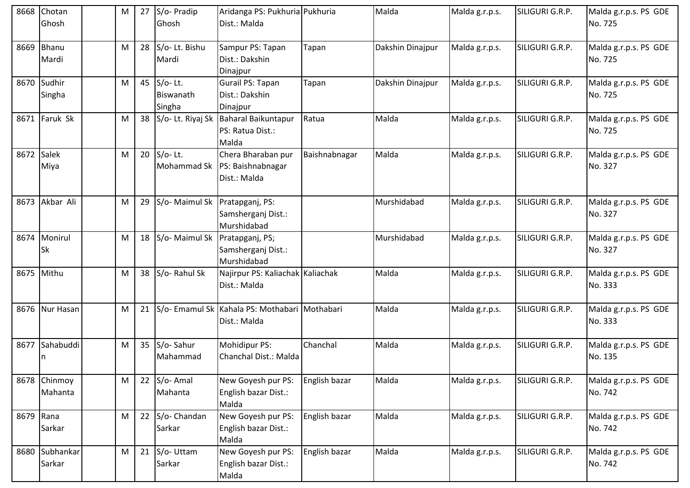| 8668      | Chotan<br>Ghosh           | М | 27 | S/o- Pradip<br>Ghosh              | Aridanga PS: Pukhuria Pukhuria<br>Dist.: Malda                        |               | Malda            | Malda g.r.p.s. | SILIGURI G.R.P. | Malda g.r.p.s. PS GDE<br>No. 725 |
|-----------|---------------------------|---|----|-----------------------------------|-----------------------------------------------------------------------|---------------|------------------|----------------|-----------------|----------------------------------|
| 8669      | Bhanu<br>Mardi            | M | 28 | S/o-Lt. Bishu<br>Mardi            | Sampur PS: Tapan<br>Dist.: Dakshin<br>Dinajpur                        | Tapan         | Dakshin Dinajpur | Malda g.r.p.s. | SILIGURI G.R.P. | Malda g.r.p.s. PS GDE<br>No. 725 |
|           | 8670 Sudhir<br>Singha     | M | 45 | $S/O-$ Lt.<br>Biswanath<br>Singha | Gurail PS: Tapan<br>Dist.: Dakshin<br>Dinajpur                        | Tapan         | Dakshin Dinajpur | Malda g.r.p.s. | SILIGURI G.R.P. | Malda g.r.p.s. PS GDE<br>No. 725 |
|           | 8671 Faruk Sk             | M | 38 |                                   | S/o- Lt. Riyaj Sk   Baharal Baikuntapur<br>PS: Ratua Dist.:<br>Malda  | Ratua         | Malda            | Malda g.r.p.s. | SILIGURI G.R.P. | Malda g.r.p.s. PS GDE<br>No. 725 |
| 8672      | Salek<br>Miya             | M | 20 | $S/O-$ Lt.                        | Chera Bharaban pur<br>Mohammad Sk   PS: Baishnabnagar<br>Dist.: Malda | Baishnabnagar | Malda            | Malda g.r.p.s. | SILIGURI G.R.P. | Malda g.r.p.s. PS GDE<br>No. 327 |
|           | 8673 Akbar Ali            | M | 29 | S/o- Maimul Sk Pratapganj, PS:    | Samsherganj Dist.:<br>Murshidabad                                     |               | Murshidabad      | Malda g.r.p.s. | SILIGURI G.R.P. | Malda g.r.p.s. PS GDE<br>No. 327 |
|           | 8674 Monirul<br><b>Sk</b> | M | 18 | S/o-Maimul Sk                     | Pratapganj, PS;<br>Samsherganj Dist.:<br>Murshidabad                  |               | Murshidabad      | Malda g.r.p.s. | SILIGURI G.R.P. | Malda g.r.p.s. PS GDE<br>No. 327 |
| 8675      | Mithu                     | M | 38 | S/o-Rahul Sk                      | Najirpur PS: Kaliachak Kaliachak<br>Dist.: Malda                      |               | Malda            | Malda g.r.p.s. | SILIGURI G.R.P. | Malda g.r.p.s. PS GDE<br>No. 333 |
|           | 8676 Nur Hasan            | M | 21 |                                   | S/o- Emamul Sk  Kahala PS: Mothabari  Mothabari<br>Dist.: Malda       |               | Malda            | Malda g.r.p.s. | SILIGURI G.R.P. | Malda g.r.p.s. PS GDE<br>No. 333 |
|           | 8677 Sahabuddi<br>n       | M | 35 | S/o-Sahur<br>Mahammad             | Mohidipur PS:<br>Chanchal Dist.: Malda                                | Chanchal      | Malda            | Malda g.r.p.s. | SILIGURI G.R.P. | Malda g.r.p.s. PS GDE<br>No. 135 |
|           | 8678 Chinmoy<br>Mahanta   | M |    | 22 $S$ /o-Amal<br>Mahanta         | New Goyesh pur PS:<br>English bazar Dist.:<br>Malda                   | English bazar | Malda            | Malda g.r.p.s. | SILIGURI G.R.P. | Malda g.r.p.s. PS GDE<br>No. 742 |
| 8679 Rana | Sarkar                    | M | 22 | S/o- Chandan<br>Sarkar            | New Goyesh pur PS:<br>English bazar Dist.:<br>Malda                   | English bazar | Malda            | Malda g.r.p.s. | SILIGURI G.R.P. | Malda g.r.p.s. PS GDE<br>No. 742 |
|           | 8680 Subhankar<br>Sarkar  | M | 21 | S/o-Uttam<br>Sarkar               | New Goyesh pur PS:<br>English bazar Dist.:<br>Malda                   | English bazar | Malda            | Malda g.r.p.s. | SILIGURI G.R.P. | Malda g.r.p.s. PS GDE<br>No. 742 |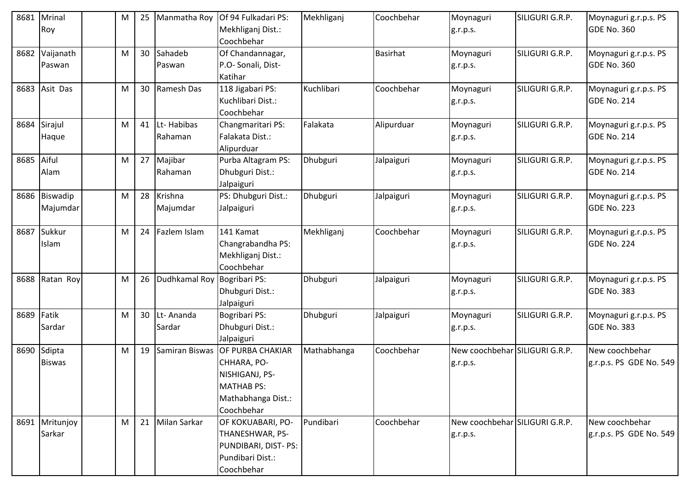| 8681 | Mrinal<br>Roy             | M | 25 | Manmatha Roy                | Of 94 Fulkadari PS:<br>Mekhliganj Dist.:<br>Coochbehar                                                     | Mekhliganj  | Coochbehar      | Moynaguri<br>g.r.p.s.                      | SILIGURI G.R.P. | Moynaguri g.r.p.s. PS<br><b>GDE No. 360</b> |
|------|---------------------------|---|----|-----------------------------|------------------------------------------------------------------------------------------------------------|-------------|-----------------|--------------------------------------------|-----------------|---------------------------------------------|
| 8682 | Vaijanath<br>Paswan       | M |    | 30 Sahadeb<br>Paswan        | Of Chandannagar,<br>P.O- Sonali, Dist-<br>Katihar                                                          |             | <b>Basirhat</b> | Moynaguri<br>g.r.p.s.                      | SILIGURI G.R.P. | Moynaguri g.r.p.s. PS<br><b>GDE No. 360</b> |
|      | 8683 Asit Das             | M |    | 30 Ramesh Das               | 118 Jigabari PS:<br>Kuchlibari Dist.:<br>Coochbehar                                                        | Kuchlibari  | Coochbehar      | Moynaguri<br>g.r.p.s.                      | SILIGURI G.R.P. | Moynaguri g.r.p.s. PS<br><b>GDE No. 214</b> |
| 8684 | Sirajul<br>Haque          | M |    | 41 Lt-Habibas<br>Rahaman    | Changmaritari PS:<br>Falakata Dist.:<br>Alipurduar                                                         | Falakata    | Alipurduar      | Moynaguri<br>g.r.p.s.                      | SILIGURI G.R.P. | Moynaguri g.r.p.s. PS<br><b>GDE No. 214</b> |
| 8685 | Aiful<br>Alam             | M |    | 27 Majibar<br>Rahaman       | Purba Altagram PS:<br>Dhubguri Dist.:<br>Jalpaiguri                                                        | Dhubguri    | Jalpaiguri      | Moynaguri<br>g.r.p.s.                      | SILIGURI G.R.P. | Moynaguri g.r.p.s. PS<br><b>GDE No. 214</b> |
|      | 8686 Biswadip<br>Majumdar | M |    | 28 Krishna<br>Majumdar      | PS: Dhubguri Dist.:<br>Jalpaiguri                                                                          | Dhubguri    | Jalpaiguri      | Moynaguri<br>g.r.p.s.                      | SILIGURI G.R.P. | Moynaguri g.r.p.s. PS<br><b>GDE No. 223</b> |
| 8687 | Sukkur<br>Islam           | M |    | 24   Fazlem Islam           | 141 Kamat<br>Changrabandha PS:<br>Mekhliganj Dist.:<br>Coochbehar                                          | Mekhliganj  | Coochbehar      | Moynaguri<br>g.r.p.s.                      | SILIGURI G.R.P. | Moynaguri g.r.p.s. PS<br><b>GDE No. 224</b> |
| 8688 | Ratan Roy                 | M | 26 | Dudhkamal Roy Bogribari PS: | Dhubguri Dist.:<br>Jalpaiguri                                                                              | Dhubguri    | Jalpaiguri      | Moynaguri<br>g.r.p.s.                      | SILIGURI G.R.P. | Moynaguri g.r.p.s. PS<br><b>GDE No. 383</b> |
| 8689 | Fatik<br>Sardar           | M |    | 30 Lt-Ananda<br>Sardar      | Bogribari PS:<br>Dhubguri Dist.:<br>Jalpaiguri                                                             | Dhubguri    | Jalpaiguri      | Moynaguri<br>g.r.p.s.                      | SILIGURI G.R.P. | Moynaguri g.r.p.s. PS<br><b>GDE No. 383</b> |
| 8690 | Sdipta<br><b>Biswas</b>   | M | 19 | Samiran Biswas              | OF PURBA CHAKIAR<br>CHHARA, PO-<br>NISHIGANJ, PS-<br><b>MATHAB PS:</b><br>Mathabhanga Dist.:<br>Coochbehar | Mathabhanga | Coochbehar      | New coochbehar SILIGURI G.R.P.<br>g.r.p.s. |                 | New coochbehar<br>g.r.p.s. PS GDE No. 549   |
|      | 8691 Mritunjoy<br>Sarkar  | M |    | 21 Milan Sarkar             | OF KOKUABARI, PO-<br>THANESHWAR, PS-<br>PUNDIBARI, DIST- PS:<br>Pundibari Dist.:<br>Coochbehar             | Pundibari   | Coochbehar      | New coochbehar SILIGURI G.R.P.<br>g.r.p.s. |                 | New coochbehar<br>g.r.p.s. PS GDE No. 549   |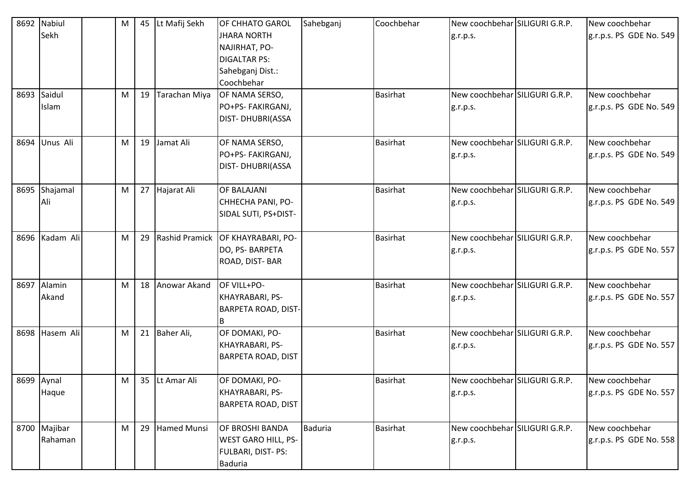|      | 8692 Nabiul    | M | 45 Lt Mafij Sekh | <b>OF CHHATO GAROL</b>               | Sahebganj | Coochbehar      | New coochbehar SILIGURI G.R.P. | New coochbehar          |
|------|----------------|---|------------------|--------------------------------------|-----------|-----------------|--------------------------------|-------------------------|
|      | Sekh           |   |                  | <b>JHARA NORTH</b>                   |           |                 | g.r.p.s.                       | g.r.p.s. PS GDE No. 549 |
|      |                |   |                  | NAJIRHAT, PO-                        |           |                 |                                |                         |
|      |                |   |                  | <b>DIGALTAR PS:</b>                  |           |                 |                                |                         |
|      |                |   |                  | Sahebganj Dist.:                     |           |                 |                                |                         |
|      |                |   |                  | Coochbehar                           |           |                 |                                |                         |
|      | 8693 Saidul    | M | 19 Tarachan Miya | OF NAMA SERSO,                       |           | <b>Basirhat</b> | New coochbehar SILIGURI G.R.P. | New coochbehar          |
|      | Islam          |   |                  | PO+PS- FAKIRGANJ,                    |           |                 | g.r.p.s.                       | g.r.p.s. PS GDE No. 549 |
|      |                |   |                  | <b>DIST- DHUBRI(ASSA</b>             |           |                 |                                |                         |
|      | 8694 Unus Ali  | M | 19 Jamat Ali     | OF NAMA SERSO,                       |           | <b>Basirhat</b> | New coochbehar SILIGURI G.R.P. | New coochbehar          |
|      |                |   |                  | PO+PS- FAKIRGANJ,                    |           |                 | g.r.p.s.                       | g.r.p.s. PS GDE No. 549 |
|      |                |   |                  | DIST-DHUBRI(ASSA                     |           |                 |                                |                         |
|      | 8695 Shajamal  | M | 27 Hajarat Ali   | OF BALAJANI                          |           | <b>Basirhat</b> | New coochbehar SILIGURI G.R.P. | New coochbehar          |
|      | Ali            |   |                  | CHHECHA PANI, PO-                    |           |                 | g.r.p.s.                       | g.r.p.s. PS GDE No. 549 |
|      |                |   |                  | SIDAL SUTI, PS+DIST-                 |           |                 |                                |                         |
|      | 8696 Kadam Ali | M |                  | 29 Rashid Pramick OF KHAYRABARI, PO- |           | <b>Basirhat</b> | New coochbehar SILIGURI G.R.P. | New coochbehar          |
|      |                |   |                  | DO, PS- BARPETA                      |           |                 | g.r.p.s.                       | g.r.p.s. PS GDE No. 557 |
|      |                |   |                  | ROAD, DIST-BAR                       |           |                 |                                |                         |
|      | 8697 Alamin    | M | 18 Anowar Akand  | OF VILL+PO-                          |           | <b>Basirhat</b> | New coochbehar SILIGURI G.R.P. | New coochbehar          |
|      | Akand          |   |                  | KHAYRABARI, PS-                      |           |                 | g.r.p.s.                       | g.r.p.s. PS GDE No. 557 |
|      |                |   |                  | <b>BARPETA ROAD, DIST-</b>           |           |                 |                                |                         |
|      |                |   |                  | ΙB                                   |           |                 |                                |                         |
| 8698 | Hasem Ali      | M | 21 Baher Ali,    | OF DOMAKI, PO-                       |           | <b>Basirhat</b> | New coochbehar SILIGURI G.R.P. | New coochbehar          |
|      |                |   |                  | KHAYRABARI, PS-                      |           |                 | g.r.p.s.                       | g.r.p.s. PS GDE No. 557 |
|      |                |   |                  | <b>BARPETA ROAD, DIST</b>            |           |                 |                                |                         |
|      | 8699 Aynal     | M | 35 Lt Amar Ali   | OF DOMAKI, PO-                       |           | <b>Basirhat</b> | New coochbehar SILIGURI G.R.P. | New coochbehar          |
|      | Haque          |   |                  | KHAYRABARI, PS-                      |           |                 | g.r.p.s.                       | g.r.p.s. PS GDE No. 557 |
|      |                |   |                  | <b>BARPETA ROAD, DIST</b>            |           |                 |                                |                         |
|      | 8700 Majibar   | M | 29 Hamed Munsi   | OF BROSHI BANDA                      | Baduria   | <b>Basirhat</b> | New coochbehar SILIGURI G.R.P. | New coochbehar          |
|      | Rahaman        |   |                  | <b>WEST GARO HILL, PS-</b>           |           |                 | g.r.p.s.                       | g.r.p.s. PS GDE No. 558 |
|      |                |   |                  | <b>FULBARI, DIST-PS:</b>             |           |                 |                                |                         |
|      |                |   |                  | Baduria                              |           |                 |                                |                         |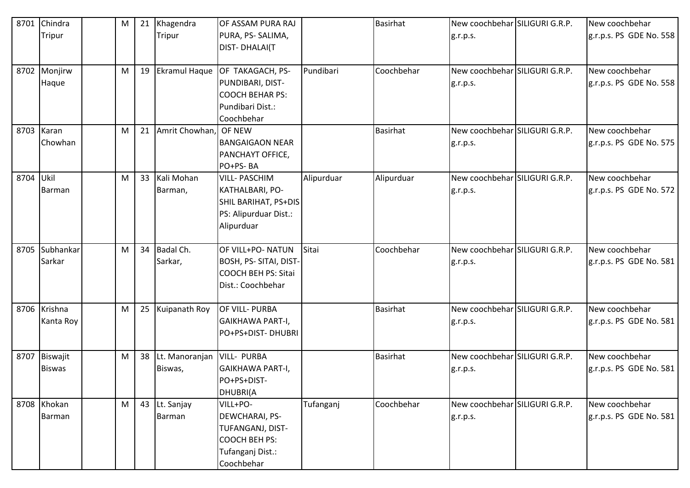| 8701 | Chindra        | M |    | 21 Khagendra      | OF ASSAM PURA RAJ           |            | <b>Basirhat</b> | New coochbehar SILIGURI G.R.P. | New coochbehar          |
|------|----------------|---|----|-------------------|-----------------------------|------------|-----------------|--------------------------------|-------------------------|
|      | Tripur         |   |    | Tripur            | PURA, PS-SALIMA,            |            |                 | g.r.p.s.                       | g.r.p.s. PS GDE No. 558 |
|      |                |   |    |                   | <b>DIST-DHALAI(T</b>        |            |                 |                                |                         |
|      |                |   |    |                   |                             |            |                 |                                |                         |
|      | 8702 Monjirw   | M |    | 19 Ekramul Haque  | OF TAKAGACH, PS-            | Pundibari  | Coochbehar      | New coochbehar SILIGURI G.R.P. | New coochbehar          |
|      | Haque          |   |    |                   | PUNDIBARI, DIST-            |            |                 | g.r.p.s.                       | g.r.p.s. PS GDE No. 558 |
|      |                |   |    |                   | <b>COOCH BEHAR PS:</b>      |            |                 |                                |                         |
|      |                |   |    |                   | Pundibari Dist.:            |            |                 |                                |                         |
|      |                |   |    |                   | Coochbehar                  |            |                 |                                |                         |
|      | 8703 Karan     | M | 21 | Amrit Chowhan,    | OF NEW                      |            | <b>Basirhat</b> | New coochbehar SILIGURI G.R.P. | New coochbehar          |
|      | Chowhan        |   |    |                   | <b>BANGAIGAON NEAR</b>      |            |                 | g.r.p.s.                       | g.r.p.s. PS GDE No. 575 |
|      |                |   |    |                   | PANCHAYT OFFICE,            |            |                 |                                |                         |
|      |                |   |    |                   | PO+PS-BA                    |            |                 |                                |                         |
| 8704 | Ukil           | M |    | 33 Kali Mohan     | <b>VILL-PASCHIM</b>         | Alipurduar | Alipurduar      | New coochbehar SILIGURI G.R.P. | New coochbehar          |
|      | Barman         |   |    | Barman,           | KATHALBARI, PO-             |            |                 | g.r.p.s.                       | g.r.p.s. PS GDE No. 572 |
|      |                |   |    |                   | <b>SHIL BARIHAT, PS+DIS</b> |            |                 |                                |                         |
|      |                |   |    |                   | PS: Alipurduar Dist.:       |            |                 |                                |                         |
|      |                |   |    |                   | Alipurduar                  |            |                 |                                |                         |
|      |                |   |    |                   |                             |            |                 |                                |                         |
|      | 8705 Subhankar | M |    | 34 Badal Ch.      | OF VILL+PO- NATUN           | Sitai      | Coochbehar      | New coochbehar SILIGURI G.R.P. | New coochbehar          |
|      | Sarkar         |   |    | Sarkar,           | BOSH, PS- SITAI, DIST-      |            |                 | g.r.p.s.                       | g.r.p.s. PS GDE No. 581 |
|      |                |   |    |                   | <b>COOCH BEH PS: Sitai</b>  |            |                 |                                |                         |
|      |                |   |    |                   | Dist.: Coochbehar           |            |                 |                                |                         |
|      |                |   |    |                   |                             |            |                 |                                |                         |
|      | 8706 Krishna   | M |    | 25 Kuipanath Roy  | OF VILL- PURBA              |            | <b>Basirhat</b> | New coochbehar SILIGURI G.R.P. | New coochbehar          |
|      | Kanta Roy      |   |    |                   | GAIKHAWA PART-I,            |            |                 | g.r.p.s.                       | g.r.p.s. PS GDE No. 581 |
|      |                |   |    |                   | PO+PS+DIST-DHUBRI           |            |                 |                                |                         |
|      |                |   |    |                   |                             |            |                 |                                |                         |
| 8707 | Biswajit       | M |    | 38 Lt. Manoranjan | <b>VILL- PURBA</b>          |            | <b>Basirhat</b> | New coochbehar SILIGURI G.R.P. | New coochbehar          |
|      | <b>Biswas</b>  |   |    | Biswas,           | GAIKHAWA PART-I,            |            |                 | g.r.p.s.                       | g.r.p.s. PS GDE No. 581 |
|      |                |   |    |                   | PO+PS+DIST-                 |            |                 |                                |                         |
|      |                |   |    |                   | DHUBRI(A                    |            |                 |                                |                         |
|      | 8708 Khokan    | M |    | 43 Lt. Sanjay     | VILL+PO-                    | Tufanganj  | Coochbehar      | New coochbehar SILIGURI G.R.P. | New coochbehar          |
|      | Barman         |   |    | Barman            | DEWCHARAI, PS-              |            |                 | g.r.p.s.                       | g.r.p.s. PS GDE No. 581 |
|      |                |   |    |                   | TUFANGANJ, DIST-            |            |                 |                                |                         |
|      |                |   |    |                   | <b>COOCH BEH PS:</b>        |            |                 |                                |                         |
|      |                |   |    |                   | Tufanganj Dist.:            |            |                 |                                |                         |
|      |                |   |    |                   | Coochbehar                  |            |                 |                                |                         |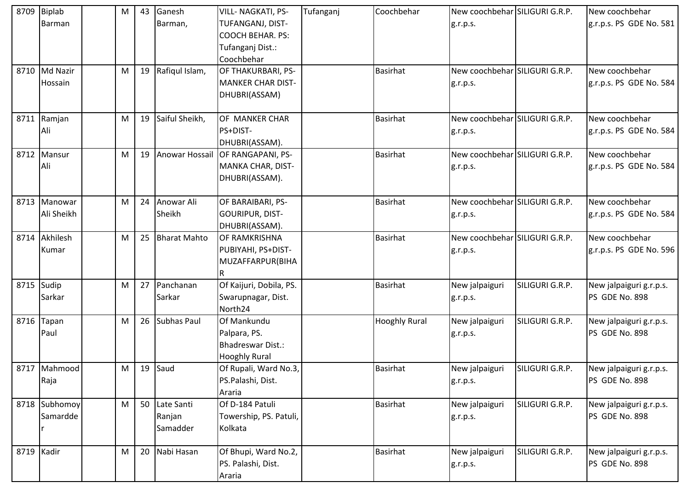|      | 8709 Biplab<br>Barman      | M | 43 | Ganesh<br>Barman,                   | <b>VILL- NAGKATI, PS-</b><br>TUFANGANJ, DIST-<br><b>COOCH BEHAR. PS:</b><br>Tufanganj Dist.:<br>Coochbehar | Tufanganj | Coochbehar           | New coochbehar SILIGURI G.R.P.<br>g.r.p.s. |                 | New coochbehar<br>g.r.p.s. PS GDE No. 581 |
|------|----------------------------|---|----|-------------------------------------|------------------------------------------------------------------------------------------------------------|-----------|----------------------|--------------------------------------------|-----------------|-------------------------------------------|
|      | 8710 Md Nazir<br>Hossain   | M | 19 | Rafiqul Islam,                      | OF THAKURBARI, PS-<br><b>MANKER CHAR DIST-</b><br>DHUBRI(ASSAM)                                            |           | <b>Basirhat</b>      | New coochbehar SILIGURI G.R.P.<br>g.r.p.s. |                 | New coochbehar<br>g.r.p.s. PS GDE No. 584 |
|      | 8711 Ramjan<br>Ali         | M | 19 | Saiful Sheikh,                      | OF MANKER CHAR<br>PS+DIST-<br>DHUBRI(ASSAM).                                                               |           | <b>Basirhat</b>      | New coochbehar SILIGURI G.R.P.<br>g.r.p.s. |                 | New coochbehar<br>g.r.p.s. PS GDE No. 584 |
|      | 8712 Mansur<br>Ali         | M | 19 |                                     | Anowar Hossail OF RANGAPANI, PS-<br>MANKA CHAR, DIST-<br>DHUBRI(ASSAM).                                    |           | <b>Basirhat</b>      | New coochbehar SILIGURI G.R.P.<br>g.r.p.s. |                 | New coochbehar<br>g.r.p.s. PS GDE No. 584 |
|      | 8713 Manowar<br>Ali Sheikh | M | 24 | Anowar Ali<br>Sheikh                | OF BARAIBARI, PS-<br><b>GOURIPUR, DIST-</b><br>DHUBRI(ASSAM).                                              |           | <b>Basirhat</b>      | New coochbehar SILIGURI G.R.P.<br>g.r.p.s. |                 | New coochbehar<br>g.r.p.s. PS GDE No. 584 |
|      | 8714 Akhilesh<br>Kumar     | M | 25 | <b>Bharat Mahto</b>                 | <b>OF RAMKRISHNA</b><br>PUBIYAHI, PS+DIST-<br>MUZAFFARPUR(BIHA<br>R                                        |           | <b>Basirhat</b>      | New coochbehar SILIGURI G.R.P.<br>g.r.p.s. |                 | New coochbehar<br>g.r.p.s. PS GDE No. 596 |
| 8715 | Sudip<br>Sarkar            | M | 27 | Panchanan<br>Sarkar                 | Of Kaijuri, Dobila, PS.<br>Swarupnagar, Dist.<br>North24                                                   |           | <b>Basirhat</b>      | New jalpaiguri<br>g.r.p.s.                 | SILIGURI G.R.P. | New jalpaiguri g.r.p.s.<br>PS GDE No. 898 |
|      | 8716 Tapan<br>Paul         | M | 26 | Subhas Paul                         | Of Mankundu<br>Palpara, PS.<br>Bhadreswar Dist.:<br><b>Hooghly Rural</b>                                   |           | <b>Hooghly Rural</b> | New jalpaiguri<br>g.r.p.s.                 | SILIGURI G.R.P. | New jalpaiguri g.r.p.s.<br>PS GDE No. 898 |
|      | 8717 Mahmood<br>Raja       | M | 19 | Saud                                | Of Rupali, Ward No.3,<br>PS.Palashi, Dist.<br>Araria                                                       |           | <b>Basirhat</b>      | New jalpaiguri<br>g.r.p.s.                 | SILIGURI G.R.P. | New jalpaiguri g.r.p.s.<br>PS GDE No. 898 |
|      | 8718 Subhomoy<br>Samardde  | M |    | 50 Late Santi<br>Ranjan<br>Samadder | Of D-184 Patuli<br>Towership, PS. Patuli,<br>Kolkata                                                       |           | <b>Basirhat</b>      | New jalpaiguri<br>g.r.p.s.                 | SILIGURI G.R.P. | New jalpaiguri g.r.p.s.<br>PS GDE No. 898 |
|      | 8719 Kadir                 | M | 20 | Nabi Hasan                          | Of Bhupi, Ward No.2,<br>PS. Palashi, Dist.<br>Araria                                                       |           | <b>Basirhat</b>      | New jalpaiguri<br>g.r.p.s.                 | SILIGURI G.R.P. | New jalpaiguri g.r.p.s.<br>PS GDE No. 898 |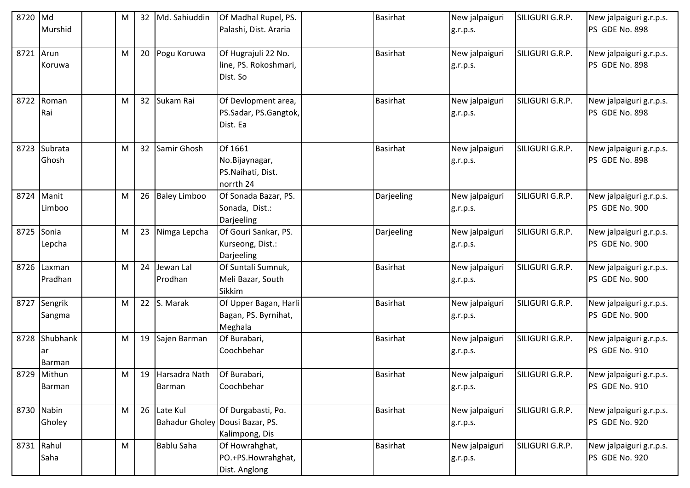| 8720 Md | Murshid                  | M | 32 <sup>2</sup> | Md. Sahiuddin                                  | Of Madhal Rupel, PS.<br>Palashi, Dist. Araria               | <b>Basirhat</b> |            | New jalpaiguri<br>g.r.p.s. | SILIGURI G.R.P. | New jalpaiguri g.r.p.s.<br>PS GDE No. 898 |
|---------|--------------------------|---|-----------------|------------------------------------------------|-------------------------------------------------------------|-----------------|------------|----------------------------|-----------------|-------------------------------------------|
| 8721    | Arun<br>Koruwa           | M |                 | 20 Pogu Koruwa                                 | Of Hugrajuli 22 No.<br>line, PS. Rokoshmari,<br>Dist. So    | <b>Basirhat</b> |            | New jalpaiguri<br>g.r.p.s. | SILIGURI G.R.P. | New jalpaiguri g.r.p.s.<br>PS GDE No. 898 |
| 8722    | Roman<br>Rai             | M |                 | 32 Sukam Rai                                   | Of Devlopment area,<br>PS.Sadar, PS.Gangtok,<br>Dist. Ea    | <b>Basirhat</b> |            | New jalpaiguri<br>g.r.p.s. | SILIGURI G.R.P. | New jalpaiguri g.r.p.s.<br>PS GDE No. 898 |
|         | 8723 Subrata<br>Ghosh    | M |                 | 32 Samir Ghosh                                 | Of 1661<br>No.Bijaynagar,<br>PS.Naihati, Dist.<br>norrth 24 | <b>Basirhat</b> |            | New jalpaiguri<br>g.r.p.s. | SILIGURI G.R.P. | New jalpaiguri g.r.p.s.<br>PS GDE No. 898 |
|         | 8724 Manit<br>Limboo     | M |                 | 26 Baley Limboo                                | Of Sonada Bazar, PS.<br>Sonada, Dist.:<br>Darjeeling        |                 | Darjeeling | New jalpaiguri<br>g.r.p.s. | SILIGURI G.R.P. | New jalpaiguri g.r.p.s.<br>PS GDE No. 900 |
|         | 8725 Sonia<br>Lepcha     | M |                 | 23 Nimga Lepcha                                | Of Gouri Sankar, PS.<br>Kurseong, Dist.:<br>Darjeeling      |                 | Darjeeling | New jalpaiguri<br>g.r.p.s. | SILIGURI G.R.P. | New jalpaiguri g.r.p.s.<br>PS GDE No. 900 |
| 8726    | Laxman<br>Pradhan        | M |                 | 24 Jewan Lal<br>Prodhan                        | Of Suntali Sumnuk,<br>Meli Bazar, South<br>Sikkim           | <b>Basirhat</b> |            | New jalpaiguri<br>g.r.p.s. | SILIGURI G.R.P. | New jalpaiguri g.r.p.s.<br>PS GDE No. 900 |
|         | 8727 Sengrik<br>Sangma   | M |                 | 22 S. Marak                                    | Of Upper Bagan, Harli<br>Bagan, PS. Byrnihat,<br>Meghala    | <b>Basirhat</b> |            | New jalpaiguri<br>g.r.p.s. | SILIGURI G.R.P. | New jalpaiguri g.r.p.s.<br>PS GDE No. 900 |
| 8728    | Shubhank<br>ar<br>Barman | M |                 | 19 Sajen Barman                                | Of Burabari,<br>Coochbehar                                  | <b>Basirhat</b> |            | New jalpaiguri<br>g.r.p.s. | SILIGURI G.R.P. | New jalpaiguri g.r.p.s.<br>PS GDE No. 910 |
|         | 8729 Mithun<br>Barman    | M |                 | 19 Harsadra Nath<br>Barman                     | Of Burabari,<br>Coochbehar                                  | <b>Basirhat</b> |            | New jalpaiguri<br>g.r.p.s. | SILIGURI G.R.P. | New jalpaiguri g.r.p.s.<br>PS GDE No. 910 |
|         | 8730 Nabin<br>Gholey     | M |                 | 26 Late Kul<br>Bahadur Gholey Dousi Bazar, PS. | Of Durgabasti, Po.<br>Kalimpong, Dis                        | <b>Basirhat</b> |            | New jalpaiguri<br>g.r.p.s. | SILIGURI G.R.P. | New jalpaiguri g.r.p.s.<br>PS GDE No. 920 |
|         | 8731 Rahul<br>Saha       | M |                 | <b>Bablu Saha</b>                              | Of Howrahghat,<br>PO.+PS.Howrahghat,<br>Dist. Anglong       | <b>Basirhat</b> |            | New jalpaiguri<br>g.r.p.s. | SILIGURI G.R.P. | New jalpaiguri g.r.p.s.<br>PS GDE No. 920 |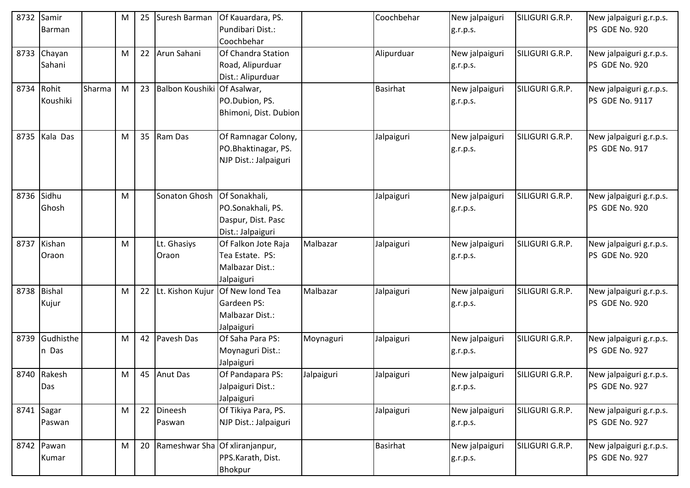| 8732 | Samir         |        | M | 25 | Suresh Barman                     | Of Kauardara, PS.               |            | Coochbehar      | New jalpaiguri | SILIGURI G.R.P. | New jalpaiguri g.r.p.s.                   |
|------|---------------|--------|---|----|-----------------------------------|---------------------------------|------------|-----------------|----------------|-----------------|-------------------------------------------|
|      | Barman        |        |   |    |                                   | Pundibari Dist.:                |            |                 | g.r.p.s.       |                 | PS GDE No. 920                            |
|      |               |        |   |    |                                   | Coochbehar                      |            |                 |                |                 |                                           |
| 8733 | Chayan        |        | M |    | 22 Arun Sahani                    | Of Chandra Station              |            | Alipurduar      | New jalpaiguri | SILIGURI G.R.P. | New jalpaiguri g.r.p.s.                   |
|      | Sahani        |        |   |    |                                   | Road, Alipurduar                |            |                 | g.r.p.s.       |                 | PS GDE No. 920                            |
|      |               |        |   |    |                                   | Dist.: Alipurduar               |            |                 |                |                 |                                           |
|      | 8734 Rohit    | Sharma | M |    | 23 Balbon Koushiki Of Asalwar,    |                                 |            | <b>Basirhat</b> | New jalpaiguri | SILIGURI G.R.P. | New jalpaiguri g.r.p.s.                   |
|      | Koushiki      |        |   |    |                                   | PO.Dubion, PS.                  |            |                 | g.r.p.s.       |                 | <b>PS GDE No. 9117</b>                    |
|      |               |        |   |    |                                   | Bhimoni, Dist. Dubion           |            |                 |                |                 |                                           |
|      |               |        |   |    |                                   |                                 |            |                 |                |                 |                                           |
|      | 8735 Kala Das |        | M |    | 35 Ram Das                        | Of Ramnagar Colony,             |            | Jalpaiguri      | New jalpaiguri | SILIGURI G.R.P. | New jalpaiguri g.r.p.s.                   |
|      |               |        |   |    |                                   | PO.Bhaktinagar, PS.             |            |                 | g.r.p.s.       |                 | PS GDE No. 917                            |
|      |               |        |   |    |                                   | NJP Dist.: Jalpaiguri           |            |                 |                |                 |                                           |
|      |               |        |   |    |                                   |                                 |            |                 |                |                 |                                           |
|      |               |        |   |    |                                   |                                 |            |                 |                |                 |                                           |
| 8736 | Sidhu         |        | M |    | Sonaton Ghosh                     | Of Sonakhali,                   |            | Jalpaiguri      | New jalpaiguri | SILIGURI G.R.P. | New jalpaiguri g.r.p.s.                   |
|      | Ghosh         |        |   |    |                                   | PO.Sonakhali, PS.               |            |                 | g.r.p.s.       |                 | PS GDE No. 920                            |
|      |               |        |   |    |                                   | Daspur, Dist. Pasc              |            |                 |                |                 |                                           |
|      |               |        |   |    |                                   | Dist.: Jalpaiguri               |            |                 |                |                 |                                           |
|      | 8737 Kishan   |        | M |    | Lt. Ghasiys                       | Of Falkon Jote Raja             | Malbazar   | Jalpaiguri      | New jalpaiguri | SILIGURI G.R.P. | New jalpaiguri g.r.p.s.                   |
|      | Oraon         |        |   |    | Oraon                             | Tea Estate. PS:                 |            |                 | g.r.p.s.       |                 | PS GDE No. 920                            |
|      |               |        |   |    |                                   | Malbazar Dist.:                 |            |                 |                |                 |                                           |
|      |               |        |   |    |                                   | Jalpaiguri                      |            |                 |                |                 |                                           |
|      | 8738 Bishal   |        | M | 22 | Lt. Kishon Kujur                  | Of New lond Tea                 | Malbazar   | Jalpaiguri      | New jalpaiguri | SILIGURI G.R.P. | New jalpaiguri g.r.p.s.                   |
|      | Kujur         |        |   |    |                                   | Gardeen PS:                     |            |                 | g.r.p.s.       |                 | PS GDE No. 920                            |
|      |               |        |   |    |                                   | Malbazar Dist.:                 |            |                 |                |                 |                                           |
|      | Gudhisthe     |        |   |    |                                   | Jalpaiguri                      |            |                 |                |                 |                                           |
| 8739 |               |        | M |    | 42 Pavesh Das                     | Of Saha Para PS:                | Moynaguri  | Jalpaiguri      | New jalpaiguri | SILIGURI G.R.P. | New jalpaiguri g.r.p.s.                   |
|      | n Das         |        |   |    |                                   | Moynaguri Dist.:                |            |                 | g.r.p.s.       |                 | PS GDE No. 927                            |
|      | 8740 Rakesh   |        |   |    | 45 Anut Das                       | Jalpaiguri<br>Of Pandapara PS:  |            | Jalpaiguri      |                | SILIGURI G.R.P. |                                           |
|      | Das           |        | M |    |                                   |                                 | Jalpaiguri |                 | New jalpaiguri |                 | New jalpaiguri g.r.p.s.<br>PS GDE No. 927 |
|      |               |        |   |    |                                   | Jalpaiguri Dist.:<br>Jalpaiguri |            |                 | g.r.p.s.       |                 |                                           |
|      | 8741 Sagar    |        | M |    | 22 Dineesh                        | Of Tikiya Para, PS.             |            | Jalpaiguri      | New jalpaiguri | SILIGURI G.R.P. | New jalpaiguri g.r.p.s.                   |
|      | Paswan        |        |   |    | Paswan                            | NJP Dist.: Jalpaiguri           |            |                 |                |                 | PS GDE No. 927                            |
|      |               |        |   |    |                                   |                                 |            |                 | g.r.p.s.       |                 |                                           |
|      | 8742 Pawan    |        | M |    | 20 Rameshwar Sha Of xliranjanpur, |                                 |            | <b>Basirhat</b> | New jalpaiguri | SILIGURI G.R.P. | New jalpaiguri g.r.p.s.                   |
|      | Kumar         |        |   |    |                                   | PPS.Karath, Dist.               |            |                 | g.r.p.s.       |                 | PS GDE No. 927                            |
|      |               |        |   |    |                                   | Bhokpur                         |            |                 |                |                 |                                           |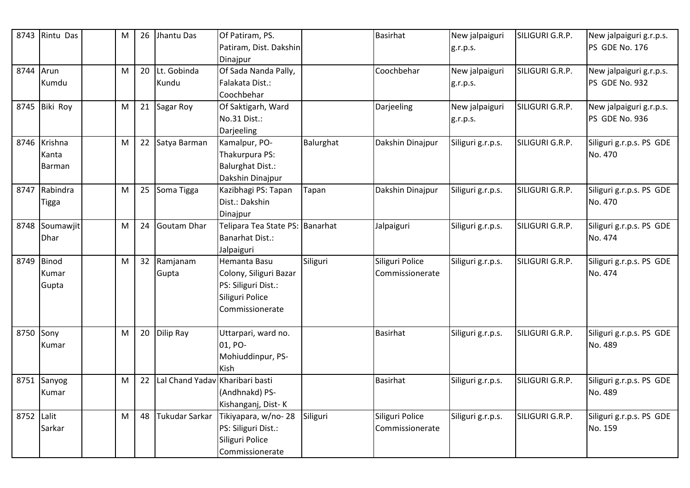| 8743       | Rintu Das     | M | 26 | Jhantu Das      | Of Patiram, PS.<br>Patiram, Dist. Dakshin |           | <b>Basirhat</b>  | New jalpaiguri<br>g.r.p.s. | SILIGURI G.R.P. | New jalpaiguri g.r.p.s.<br>PS GDE No. 176 |
|------------|---------------|---|----|-----------------|-------------------------------------------|-----------|------------------|----------------------------|-----------------|-------------------------------------------|
|            |               |   |    |                 | Dinajpur                                  |           |                  |                            |                 |                                           |
| 8744       | Arun          | M |    | 20 Lt. Gobinda  | Of Sada Nanda Pally,                      |           | Coochbehar       | New jalpaiguri             | SILIGURI G.R.P. | New jalpaiguri g.r.p.s.                   |
|            | Kumdu         |   |    | Kundu           | Falakata Dist.:                           |           |                  | g.r.p.s.                   |                 | PS GDE No. 932                            |
|            |               |   |    |                 | Coochbehar                                |           |                  |                            |                 |                                           |
|            | 8745 Biki Roy | M |    | 21 Sagar Roy    | Of Saktigarh, Ward                        |           | Darjeeling       | New jalpaiguri             | SILIGURI G.R.P. | New jalpaiguri g.r.p.s.                   |
|            |               |   |    |                 | No.31 Dist.:                              |           |                  | g.r.p.s.                   |                 | PS GDE No. 936                            |
|            |               |   |    |                 | Darjeeling                                |           |                  |                            |                 |                                           |
|            | 8746 Krishna  | M |    | 22 Satya Barman | Kamalpur, PO-                             | Balurghat | Dakshin Dinajpur | Siliguri g.r.p.s.          | SILIGURI G.R.P. | Siliguri g.r.p.s. PS GDE                  |
|            | Kanta         |   |    |                 | Thakurpura PS:                            |           |                  |                            |                 | No. 470                                   |
|            | <b>Barman</b> |   |    |                 | <b>Balurghat Dist.:</b>                   |           |                  |                            |                 |                                           |
|            |               |   |    |                 | Dakshin Dinajpur                          |           |                  |                            |                 |                                           |
| 8747       | Rabindra      | M | 25 | Soma Tigga      | Kazibhagi PS: Tapan                       | Tapan     | Dakshin Dinajpur | Siliguri g.r.p.s.          | SILIGURI G.R.P. | Siliguri g.r.p.s. PS GDE                  |
|            | Tigga         |   |    |                 | Dist.: Dakshin                            |           |                  |                            |                 | No. 470                                   |
|            |               |   |    |                 | Dinajpur                                  |           |                  |                            |                 |                                           |
| 8748       | Soumawjit     | M | 24 | Goutam Dhar     | Telipara Tea State PS: Banarhat           |           | Jalpaiguri       | Siliguri g.r.p.s.          | SILIGURI G.R.P. | Siliguri g.r.p.s. PS GDE                  |
|            | Dhar          |   |    |                 | <b>Banarhat Dist.:</b>                    |           |                  |                            |                 | No. 474                                   |
|            |               |   |    |                 | Jalpaiguri                                |           |                  |                            |                 |                                           |
| 8749       | <b>Binod</b>  | M |    | 32 Ramjanam     | Hemanta Basu                              | Siliguri  | Siliguri Police  | Siliguri g.r.p.s.          | SILIGURI G.R.P. | Siliguri g.r.p.s. PS GDE                  |
|            | Kumar         |   |    | Gupta           | Colony, Siliguri Bazar                    |           | Commissionerate  |                            |                 | No. 474                                   |
|            | Gupta         |   |    |                 | PS: Siliguri Dist.:                       |           |                  |                            |                 |                                           |
|            |               |   |    |                 | Siliguri Police                           |           |                  |                            |                 |                                           |
|            |               |   |    |                 | Commissionerate                           |           |                  |                            |                 |                                           |
| 8750       | Sony          | M |    | 20 Dilip Ray    | Uttarpari, ward no.                       |           | <b>Basirhat</b>  | Siliguri g.r.p.s.          | SILIGURI G.R.P. | Siliguri g.r.p.s. PS GDE                  |
|            | Kumar         |   |    |                 | 01, PO-                                   |           |                  |                            |                 | No. 489                                   |
|            |               |   |    |                 | Mohiuddinpur, PS-                         |           |                  |                            |                 |                                           |
|            |               |   |    |                 | <b>Kish</b>                               |           |                  |                            |                 |                                           |
|            | 8751 Sanyog   | M | 22 | Lal Chand Yadav | Kharibari basti                           |           | <b>Basirhat</b>  | Siliguri g.r.p.s.          | SILIGURI G.R.P. | Siliguri g.r.p.s. PS GDE                  |
|            | Kumar         |   |    |                 | (Andhnakd) PS-                            |           |                  |                            |                 | No. 489                                   |
|            |               |   |    |                 | Kishanganj, Dist-K                        |           |                  |                            |                 |                                           |
| 8752 Lalit |               | M | 48 | Tukudar Sarkar  | Tikiyapara, w/no-28                       | Siliguri  | Siliguri Police  | Siliguri g.r.p.s.          | SILIGURI G.R.P. | Siliguri g.r.p.s. PS GDE                  |
|            | Sarkar        |   |    |                 | PS: Siliguri Dist.:                       |           | Commissionerate  |                            |                 | No. 159                                   |
|            |               |   |    |                 | Siliguri Police                           |           |                  |                            |                 |                                           |
|            |               |   |    |                 | Commissionerate                           |           |                  |                            |                 |                                           |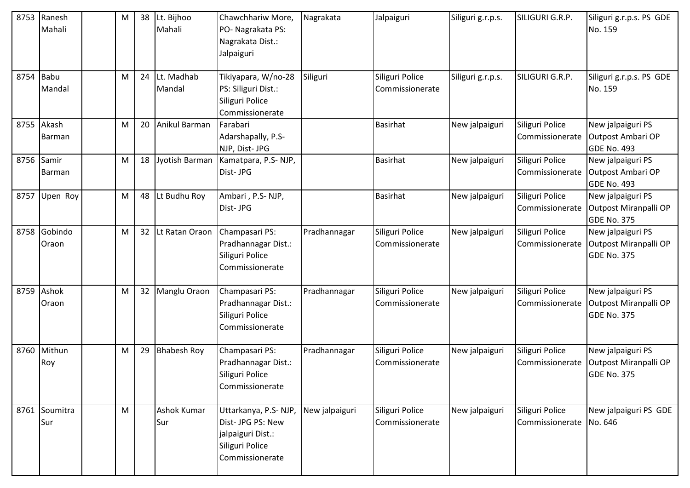| 8753 | Ranesh<br>Mahali      | M | 38 | Lt. Bijhoo<br>Mahali | Chawchhariw More,<br>PO- Nagrakata PS:<br>Nagrakata Dist.:<br>Jalpaiguri                             | Nagrakata      | Jalpaiguri                         | Siliguri g.r.p.s. | SILIGURI G.R.P.                            | Siliguri g.r.p.s. PS GDE<br>No. 159                              |
|------|-----------------------|---|----|----------------------|------------------------------------------------------------------------------------------------------|----------------|------------------------------------|-------------------|--------------------------------------------|------------------------------------------------------------------|
| 8754 | <b>Babu</b><br>Mandal | M | 24 | Lt. Madhab<br>Mandal | Tikiyapara, W/no-28<br>PS: Siliguri Dist.:<br>Siliguri Police<br>Commissionerate                     | Siliguri       | Siliguri Police<br>Commissionerate | Siliguri g.r.p.s. | SILIGURI G.R.P.                            | Siliguri g.r.p.s. PS GDE<br>No. 159                              |
|      | 8755 Akash<br>Barman  | M | 20 | Anikul Barman        | Farabari<br>Adarshapally, P.S-<br>NJP, Dist- JPG                                                     |                | <b>Basirhat</b>                    | New jalpaiguri    | Siliguri Police<br>Commissionerate         | New jalpaiguri PS<br>Outpost Ambari OP<br><b>GDE No. 493</b>     |
| 8756 | Samir<br>Barman       | M | 18 | Jyotish Barman       | Kamatpara, P.S-NJP,<br>Dist-JPG                                                                      |                | <b>Basirhat</b>                    | New jalpaiguri    | Siliguri Police<br>Commissionerate         | New jalpaiguri PS<br>Outpost Ambari OP<br>GDE No. 493            |
| 8757 | Upen Roy              | M | 48 | Lt Budhu Roy         | Ambari, P.S-NJP,<br>Dist-JPG                                                                         |                | <b>Basirhat</b>                    | New jalpaiguri    | Siliguri Police<br>Commissionerate         | New jalpaiguri PS<br>Outpost Miranpalli OP<br><b>GDE No. 375</b> |
| 8758 | Gobindo<br>Oraon      | M | 32 | Lt Ratan Oraon       | Champasari PS:<br>Pradhannagar Dist.:<br>Siliguri Police<br>Commissionerate                          | Pradhannagar   | Siliguri Police<br>Commissionerate | New jalpaiguri    | Siliguri Police<br>Commissionerate         | New jalpaiguri PS<br>Outpost Miranpalli OP<br><b>GDE No. 375</b> |
| 8759 | Ashok<br>Oraon        | M | 32 | Manglu Oraon         | Champasari PS:<br>Pradhannagar Dist.:<br>Siliguri Police<br>Commissionerate                          | Pradhannagar   | Siliguri Police<br>Commissionerate | New jalpaiguri    | Siliguri Police<br>Commissionerate         | New jalpaiguri PS<br>Outpost Miranpalli OP<br><b>GDE No. 375</b> |
|      | 8760 Mithun<br>Roy    | M | 29 | <b>Bhabesh Roy</b>   | Champasari PS:<br>Pradhannagar Dist.:<br>Siliguri Police<br>Commissionerate                          | Pradhannagar   | Siliguri Police<br>Commissionerate | New jalpaiguri    | Siliguri Police<br>Commissionerate         | New jalpaiguri PS<br>Outpost Miranpalli OP<br><b>GDE No. 375</b> |
|      | 8761 Soumitra<br>Sur  | M |    | Ashok Kumar<br>Sur   | Uttarkanya, P.S-NJP,<br>Dist- JPG PS: New<br>jalpaiguri Dist.:<br>Siliguri Police<br>Commissionerate | New jalpaiguri | Siliguri Police<br>Commissionerate | New jalpaiguri    | Siliguri Police<br>Commissionerate No. 646 | New jalpaiguri PS GDE                                            |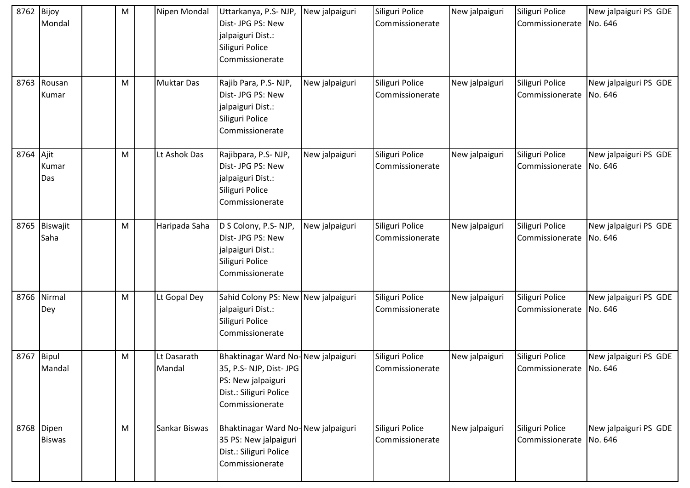| 8762 | Bijoy<br>Mondal             | M | Nipen Mondal          | Uttarkanya, P.S-NJP,<br>Dist- JPG PS: New<br>jalpaiguri Dist.:<br>Siliguri Police<br>Commissionerate                           | New jalpaiguri | Siliguri Police<br>Commissionerate | New jalpaiguri | Siliguri Police<br>Commissionerate   No. 646 | New jalpaiguri PS GDE            |
|------|-----------------------------|---|-----------------------|--------------------------------------------------------------------------------------------------------------------------------|----------------|------------------------------------|----------------|----------------------------------------------|----------------------------------|
| 8763 | Rousan<br>Kumar             | M | <b>Muktar Das</b>     | Rajib Para, P.S-NJP,<br>Dist- JPG PS: New<br>jalpaiguri Dist.:<br>Siliguri Police<br>Commissionerate                           | New jalpaiguri | Siliguri Police<br>Commissionerate | New jalpaiguri | Siliguri Police<br>Commissionerate           | New jalpaiguri PS GDE<br>No. 646 |
| 8764 | Ajit<br>Kumar<br>Das        | M | Lt Ashok Das          | Rajibpara, P.S-NJP,<br>Dist- JPG PS: New<br>jalpaiguri Dist.:<br>Siliguri Police<br>Commissionerate                            | New jalpaiguri | Siliguri Police<br>Commissionerate | New jalpaiguri | Siliguri Police<br>Commissionerate No. 646   | New jalpaiguri PS GDE            |
| 8765 | Biswajit<br>Saha            | M | Haripada Saha         | D S Colony, P.S-NJP,<br>Dist- JPG PS: New<br>jalpaiguri Dist.:<br>Siliguri Police<br>Commissionerate                           | New jalpaiguri | Siliguri Police<br>Commissionerate | New jalpaiguri | Siliguri Police<br>Commissionerate           | New jalpaiguri PS GDE<br>No. 646 |
| 8766 | Nirmal<br>Dey               | M | Lt Gopal Dey          | Sahid Colony PS: New New jalpaiguri<br>jalpaiguri Dist.:<br>Siliguri Police<br>Commissionerate                                 |                | Siliguri Police<br>Commissionerate | New jalpaiguri | Siliguri Police<br>Commissionerate           | New jalpaiguri PS GDE<br>No. 646 |
| 8767 | Bipul<br>Mandal             | M | Lt Dasarath<br>Mandal | Bhaktinagar Ward No-New jalpaiguri<br>35, P.S-NJP, Dist-JPG<br>PS: New jalpaiguri<br>Dist.: Siliguri Police<br>Commissionerate |                | Siliguri Police<br>Commissionerate | New jalpaiguri | Siliguri Police<br>Commissionerate No. 646   | New jalpaiguri PS GDE            |
|      | 8768 Dipen<br><b>Biswas</b> | M | Sankar Biswas         | Bhaktinagar Ward No-New jalpaiguri<br>35 PS: New jalpaiguri<br>Dist.: Siliguri Police<br>Commissionerate                       |                | Siliguri Police<br>Commissionerate | New jalpaiguri | Siliguri Police<br>Commissionerate No. 646   | New jalpaiguri PS GDE            |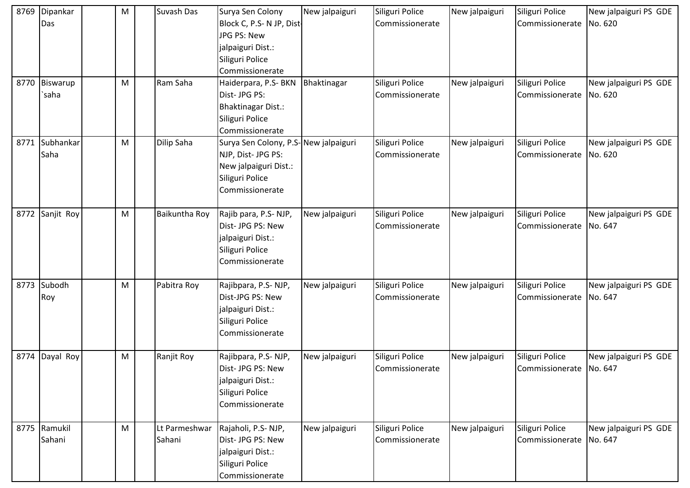| 8769 | Dipankar<br>Das        | M         | Suvash Das              | Surya Sen Colony<br>Block C, P.S- N JP, Dist-<br>JPG PS: New<br>jalpaiguri Dist.:<br>Siliguri Police<br>Commissionerate   | New jalpaiguri | Siliguri Police<br>Commissionerate | New jalpaiguri | Siliguri Police<br>Commissionerate           | New jalpaiguri PS GDE<br>No. 620 |
|------|------------------------|-----------|-------------------------|---------------------------------------------------------------------------------------------------------------------------|----------------|------------------------------------|----------------|----------------------------------------------|----------------------------------|
|      | 8770 Biswarup<br>`saha | ${\sf M}$ | Ram Saha                | Haiderpara, P.S- BKN<br>Dist- JPG PS:<br><b>Bhaktinagar Dist.:</b><br>Siliguri Police<br>Commissionerate                  | Bhaktinagar    | Siliguri Police<br>Commissionerate | New jalpaiguri | Siliguri Police<br>Commissionerate           | New jalpaiguri PS GDE<br>No. 620 |
| 8771 | Subhankar<br>Saha      | M         | Dilip Saha              | Surya Sen Colony, P.S-New jalpaiguri<br>NJP, Dist- JPG PS:<br>New jalpaiguri Dist.:<br>Siliguri Police<br>Commissionerate |                | Siliguri Police<br>Commissionerate | New jalpaiguri | Siliguri Police<br>Commissionerate           | New jalpaiguri PS GDE<br>No. 620 |
| 8772 | Sanjit Roy             | M         | Baikuntha Roy           | Rajib para, P.S-NJP,<br>Dist- JPG PS: New<br>jalpaiguri Dist.:<br>Siliguri Police<br>Commissionerate                      | New jalpaiguri | Siliguri Police<br>Commissionerate | New jalpaiguri | Siliguri Police<br>Commissionerate   No. 647 | New jalpaiguri PS GDE            |
| 8773 | Subodh<br>Roy          | M         | Pabitra Roy             | Rajibpara, P.S-NJP,<br>Dist-JPG PS: New<br>jalpaiguri Dist.:<br>Siliguri Police<br>Commissionerate                        | New jalpaiguri | Siliguri Police<br>Commissionerate | New jalpaiguri | Siliguri Police<br>Commissionerate           | New jalpaiguri PS GDE<br>No. 647 |
| 8774 | Dayal Roy              | M         | Ranjit Roy              | Rajibpara, P.S-NJP,<br>Dist- JPG PS: New<br>jalpaiguri Dist.:<br>Siliguri Police<br>Commissionerate                       | New jalpaiguri | Siliguri Police<br>Commissionerate | New jalpaiguri | Siliguri Police<br>Commissionerate No. 647   | New jalpaiguri PS GDE            |
|      | 8775 Ramukil<br>Sahani | M         | Lt Parmeshwar<br>Sahani | Rajaholi, P.S-NJP,<br>Dist- JPG PS: New<br>jalpaiguri Dist.:<br>Siliguri Police<br>Commissionerate                        | New jalpaiguri | Siliguri Police<br>Commissionerate | New jalpaiguri | Siliguri Police<br>Commissionerate No. 647   | New jalpaiguri PS GDE            |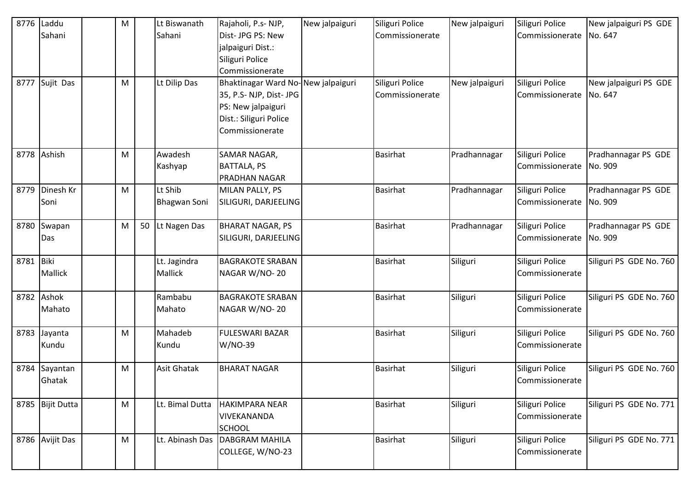|           | 8776 Laddu       | M |    | Lt Biswanath    | Rajaholi, P.s- NJP,                | New jalpaiguri | Siliguri Police | New jalpaiguri | Siliguri Police         | New jalpaiguri PS GDE   |
|-----------|------------------|---|----|-----------------|------------------------------------|----------------|-----------------|----------------|-------------------------|-------------------------|
|           | Sahani           |   |    | Sahani          | Dist-JPG PS: New                   |                | Commissionerate |                | Commissionerate No. 647 |                         |
|           |                  |   |    |                 | jalpaiguri Dist.:                  |                |                 |                |                         |                         |
|           |                  |   |    |                 | Siliguri Police                    |                |                 |                |                         |                         |
|           |                  |   |    |                 | Commissionerate                    |                |                 |                |                         |                         |
|           | 8777 Sujit Das   | M |    | Lt Dilip Das    | Bhaktinagar Ward No-New jalpaiguri |                | Siliguri Police | New jalpaiguri | Siliguri Police         | New jalpaiguri PS GDE   |
|           |                  |   |    |                 | 35, P.S-NJP, Dist-JPG              |                | Commissionerate |                | Commissionerate No. 647 |                         |
|           |                  |   |    |                 | PS: New jalpaiguri                 |                |                 |                |                         |                         |
|           |                  |   |    |                 | Dist.: Siliguri Police             |                |                 |                |                         |                         |
|           |                  |   |    |                 | Commissionerate                    |                |                 |                |                         |                         |
|           |                  |   |    |                 |                                    |                |                 |                |                         |                         |
|           | 8778 Ashish      | M |    | Awadesh         | SAMAR NAGAR,                       |                | <b>Basirhat</b> | Pradhannagar   | Siliguri Police         | Pradhannagar PS GDE     |
|           |                  |   |    | Kashyap         | <b>BATTALA, PS</b>                 |                |                 |                | Commissionerate         | No. 909                 |
|           |                  |   |    |                 | PRADHAN NAGAR                      |                |                 |                |                         |                         |
|           | 8779 Dinesh Kr   | M |    | Lt Shib         | MILAN PALLY, PS                    |                | <b>Basirhat</b> | Pradhannagar   | Siliguri Police         | Pradhannagar PS GDE     |
|           | Soni             |   |    | Bhagwan Soni    | SILIGURI, DARJEELING               |                |                 |                | Commissionerate No. 909 |                         |
| 8780      | Swapan           | M | 50 | Lt Nagen Das    | <b>BHARAT NAGAR, PS</b>            |                | <b>Basirhat</b> | Pradhannagar   | Siliguri Police         | Pradhannagar PS GDE     |
|           | Das              |   |    |                 | SILIGURI, DARJEELING               |                |                 |                | Commissionerate No. 909 |                         |
|           |                  |   |    |                 |                                    |                |                 |                |                         |                         |
| 8781 Biki |                  |   |    | Lt. Jagindra    | <b>BAGRAKOTE SRABAN</b>            |                | <b>Basirhat</b> | Siliguri       | Siliguri Police         | Siliguri PS GDE No. 760 |
|           | Mallick          |   |    | Mallick         | NAGAR W/NO-20                      |                |                 |                | Commissionerate         |                         |
|           |                  |   |    |                 |                                    |                |                 |                |                         |                         |
|           | 8782 Ashok       |   |    | Rambabu         | <b>BAGRAKOTE SRABAN</b>            |                | <b>Basirhat</b> | Siliguri       | Siliguri Police         | Siliguri PS GDE No. 760 |
|           | Mahato           |   |    | Mahato          | NAGAR W/NO-20                      |                |                 |                | Commissionerate         |                         |
|           |                  |   |    |                 |                                    |                |                 |                |                         |                         |
| 8783      | Jayanta          | M |    | Mahadeb         | <b>FULESWARI BAZAR</b>             |                | <b>Basirhat</b> | Siliguri       | Siliguri Police         | Siliguri PS GDE No. 760 |
|           | Kundu            |   |    | Kundu           | W/NO-39                            |                |                 |                | Commissionerate         |                         |
|           |                  |   |    |                 |                                    |                |                 |                |                         |                         |
| 8784      | Sayantan         | M |    | Asit Ghatak     | <b>BHARAT NAGAR</b>                |                | <b>Basirhat</b> | Siliguri       | Siliguri Police         | Siliguri PS GDE No. 760 |
|           | Ghatak           |   |    |                 |                                    |                |                 |                | Commissionerate         |                         |
|           | 8785 Bijit Dutta | M |    | Lt. Bimal Dutta | <b>HAKIMPARA NEAR</b>              |                | <b>Basirhat</b> | Siliguri       | Siliguri Police         | Siliguri PS GDE No. 771 |
|           |                  |   |    |                 | <b>VIVEKANANDA</b>                 |                |                 |                | Commissionerate         |                         |
|           |                  |   |    |                 | <b>SCHOOL</b>                      |                |                 |                |                         |                         |
|           | 8786 Avijit Das  | M |    | Lt. Abinash Das | <b>DABGRAM MAHILA</b>              |                | <b>Basirhat</b> | Siliguri       | Siliguri Police         | Siliguri PS GDE No. 771 |
|           |                  |   |    |                 | COLLEGE, W/NO-23                   |                |                 |                | Commissionerate         |                         |
|           |                  |   |    |                 |                                    |                |                 |                |                         |                         |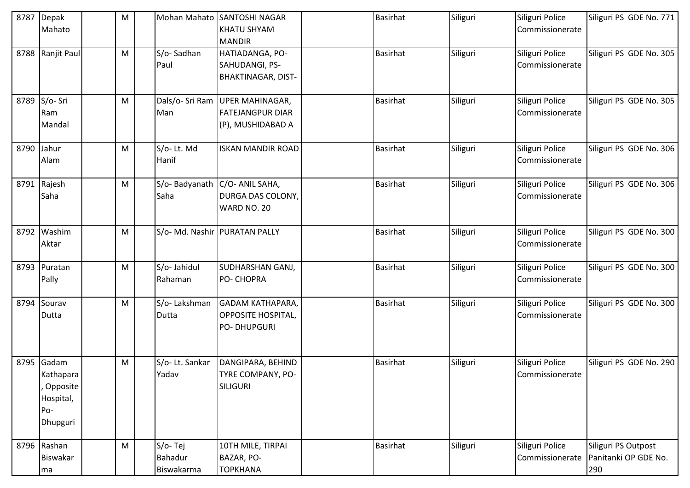| 8787 | Depak<br>Mahato                                                | ${\sf M}$ | Mohan Mahato                     | <b>SANTOSHI NAGAR</b><br><b>KHATU SHYAM</b><br><b>MANDIR</b>               | <b>Basirhat</b> | Siliguri | Siliguri Police<br>Commissionerate | Siliguri PS GDE No. 771                            |
|------|----------------------------------------------------------------|-----------|----------------------------------|----------------------------------------------------------------------------|-----------------|----------|------------------------------------|----------------------------------------------------|
|      | 8788 Ranjit Paul                                               | M         | S/o-Sadhan<br>Paul               | HATIADANGA, PO-<br>SAHUDANGI, PS-<br><b>BHAKTINAGAR, DIST-</b>             | <b>Basirhat</b> | Siliguri | Siliguri Police<br>Commissionerate | Siliguri PS GDE No. 305                            |
| 8789 | S/o-Sri<br>Ram<br>Mandal                                       | M         | Dals/o- Sri Ram<br>Man           | <b>UPER MAHINAGAR,</b><br><b>FATEJANGPUR DIAR</b><br>(P), MUSHIDABAD A     | <b>Basirhat</b> | Siliguri | Siliguri Police<br>Commissionerate | Siliguri PS GDE No. 305                            |
| 8790 | Jahur<br>Alam                                                  | M         | S/o-Lt. Md<br>Hanif              | <b>ISKAN MANDIR ROAD</b>                                                   | <b>Basirhat</b> | Siliguri | Siliguri Police<br>Commissionerate | Siliguri PS GDE No. 306                            |
| 8791 | Rajesh<br>Saha                                                 | M         | S/o-Badyanath<br>Saha            | C/O- ANIL SAHA,<br>DURGA DAS COLONY,<br>WARD NO. 20                        | <b>Basirhat</b> | Siliguri | Siliguri Police<br>Commissionerate | Siliguri PS GDE No. 306                            |
| 8792 | Washim<br>Aktar                                                | M         |                                  | S/o- Md. Nashir PURATAN PALLY                                              | <b>Basirhat</b> | Siliguri | Siliguri Police<br>Commissionerate | Siliguri PS GDE No. 300                            |
| 8793 | Puratan<br>Pally                                               | M         | S/o- Jahidul<br>Rahaman          | <b>SUDHARSHAN GANJ,</b><br>PO- CHOPRA                                      | <b>Basirhat</b> | Siliguri | Siliguri Police<br>Commissionerate | Siliguri PS GDE No. 300                            |
| 8794 | Sourav<br>Dutta                                                | M         | S/o-Lakshman<br>Dutta            | <b>GADAM KATHAPARA,</b><br><b>OPPOSITE HOSPITAL,</b><br><b>PO-DHUPGURI</b> | <b>Basirhat</b> | Siliguri | Siliguri Police<br>Commissionerate | Siliguri PS GDE No. 300                            |
| 8795 | Gadam<br>Kathapara<br>Opposite<br>Hospital,<br>Po-<br>Dhupguri | M         | S/o-Lt. Sankar<br>Yadav          | DANGIPARA, BEHIND<br>TYRE COMPANY, PO-<br>SILIGURI                         | <b>Basirhat</b> | Siliguri | Siliguri Police<br>Commissionerate | Siliguri PS GDE No. 290                            |
|      | 8796 Rashan<br>Biswakar<br>ma                                  | M         | S/o-Tej<br>Bahadur<br>Biswakarma | 10TH MILE, TIRPAI<br>BAZAR, PO-<br><b>TOPKHANA</b>                         | <b>Basirhat</b> | Siliguri | Siliguri Police<br>Commissionerate | Siliguri PS Outpost<br>Panitanki OP GDE No.<br>290 |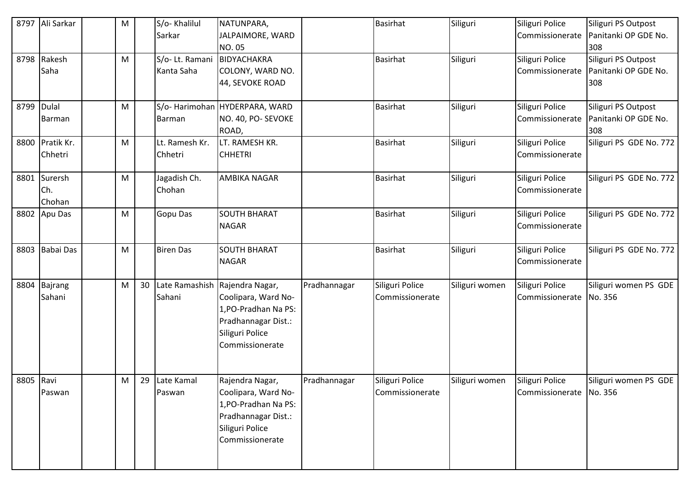|            | 8797 Ali Sarkar               | M         |    | S/o-Khalilul<br>Sarkar                    | NATUNPARA,<br>JALPAIMORE, WARD<br><b>NO.05</b>                                                                                             |              | <b>Basirhat</b>                    | Siliguri       | Siliguri Police<br>Commissionerate           | Siliguri PS Outpost<br>Panitanki OP GDE No.<br>308 |
|------------|-------------------------------|-----------|----|-------------------------------------------|--------------------------------------------------------------------------------------------------------------------------------------------|--------------|------------------------------------|----------------|----------------------------------------------|----------------------------------------------------|
|            | 8798 Rakesh<br>Saha           | ${\sf M}$ |    | S/o- Lt. Ramani BIDYACHAKRA<br>Kanta Saha | COLONY, WARD NO.<br>44, SEVOKE ROAD                                                                                                        |              | <b>Basirhat</b>                    | Siliguri       | Siliguri Police<br>Commissionerate           | Siliguri PS Outpost<br>Panitanki OP GDE No.<br>308 |
| 8799 Dulal | Barman                        | M         |    | Barman                                    | S/o- Harimohan HYDERPARA, WARD<br>NO. 40, PO- SEVOKE<br>ROAD,                                                                              |              | <b>Basirhat</b>                    | Siliguri       | Siliguri Police<br>Commissionerate           | Siliguri PS Outpost<br>Panitanki OP GDE No.<br>308 |
|            | 8800 Pratik Kr.<br>Chhetri    | M         |    | Lt. Ramesh Kr.<br>Chhetri                 | LT. RAMESH KR.<br><b>CHHETRI</b>                                                                                                           |              | <b>Basirhat</b>                    | Siliguri       | Siliguri Police<br>Commissionerate           | Siliguri PS GDE No. 772                            |
|            | 8801 Surersh<br>Ch.<br>Chohan | M         |    | Jagadish Ch.<br>Chohan                    | <b>AMBIKA NAGAR</b>                                                                                                                        |              | <b>Basirhat</b>                    | Siliguri       | Siliguri Police<br>Commissionerate           | Siliguri PS GDE No. 772                            |
|            | 8802 Apu Das                  | ${\sf M}$ |    | <b>Gopu Das</b>                           | <b>SOUTH BHARAT</b><br><b>NAGAR</b>                                                                                                        |              | <b>Basirhat</b>                    | Siliguri       | Siliguri Police<br>Commissionerate           | Siliguri PS GDE No. 772                            |
|            | 8803 Babai Das                | M         |    | <b>Biren Das</b>                          | <b>SOUTH BHARAT</b><br><b>NAGAR</b>                                                                                                        |              | <b>Basirhat</b>                    | Siliguri       | Siliguri Police<br>Commissionerate           | Siliguri PS GDE No. 772                            |
|            | 8804 Bajrang<br>Sahani        | M         | 30 | Sahani                                    | Late Ramashish Rajendra Nagar,<br>Coolipara, Ward No-<br>1, PO-Pradhan Na PS:<br>Pradhannagar Dist.:<br>Siliguri Police<br>Commissionerate | Pradhannagar | Siliguri Police<br>Commissionerate | Siliguri women | Siliguri Police<br>Commissionerate           | Siliguri women PS GDE<br>No. 356                   |
| 8805 Ravi  | Paswan                        | M         | 29 | Late Kamal<br>Paswan                      | Rajendra Nagar,<br>Coolipara, Ward No-<br>1, PO-Pradhan Na PS:<br>Pradhannagar Dist.:<br>Siliguri Police<br>Commissionerate                | Pradhannagar | Siliguri Police<br>Commissionerate | Siliguri women | Siliguri Police<br>Commissionerate   No. 356 | Siliguri women PS GDE                              |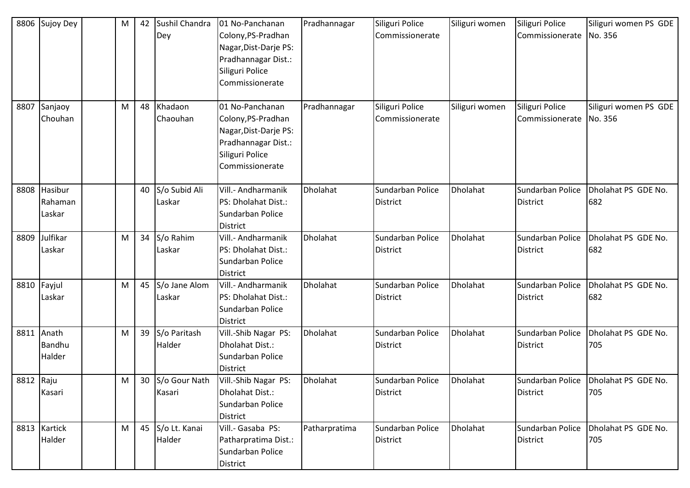| 8806      | Sujoy Dey                    | M | 42 | Sushil Chandra<br>Dey      | 01 No-Panchanan<br>Colony, PS-Pradhan<br>Nagar, Dist-Darje PS:<br>Pradhannagar Dist.:<br>Siliguri Police<br>Commissionerate | Pradhannagar  | Siliguri Police<br>Commissionerate  | Siliguri women | Siliguri Police<br>Commissionerate  | Siliguri women PS GDE<br>No. 356 |
|-----------|------------------------------|---|----|----------------------------|-----------------------------------------------------------------------------------------------------------------------------|---------------|-------------------------------------|----------------|-------------------------------------|----------------------------------|
| 8807      | Sanjaoy<br>Chouhan           | M | 48 | Khadaon<br>Chaouhan        | 01 No-Panchanan<br>Colony, PS-Pradhan<br>Nagar, Dist-Darje PS:<br>Pradhannagar Dist.:<br>Siliguri Police<br>Commissionerate | Pradhannagar  | Siliguri Police<br>Commissionerate  | Siliguri women | Siliguri Police<br>Commissionerate  | Siliguri women PS GDE<br>No. 356 |
| 8808      | Hasibur<br>Rahaman<br>Laskar |   | 40 | S/o Subid Ali<br>Laskar    | Vill.- Andharmanik<br>PS: Dholahat Dist.:<br>Sundarban Police<br><b>District</b>                                            | Dholahat      | Sundarban Police<br><b>District</b> | Dholahat       | Sundarban Police<br><b>District</b> | Dholahat PS GDE No.<br>682       |
| 8809      | Julfikar<br>Laskar           | M |    | 34 S/o Rahim<br>Laskar     | Vill.- Andharmanik<br>PS: Dholahat Dist.:<br>Sundarban Police<br><b>District</b>                                            | Dholahat      | Sundarban Police<br><b>District</b> | Dholahat       | Sundarban Police<br>District        | Dholahat PS GDE No.<br>682       |
| 8810      | Fayjul<br>Laskar             | M |    | 45 S/o Jane Alom<br>Laskar | Vill.- Andharmanik<br>PS: Dholahat Dist.:<br>Sundarban Police<br><b>District</b>                                            | Dholahat      | Sundarban Police<br><b>District</b> | Dholahat       | Sundarban Police<br><b>District</b> | Dholahat PS GDE No.<br>682       |
| 8811      | Anath<br>Bandhu<br>Halder    | M |    | 39 S/o Paritash<br>Halder  | Vill.-Shib Nagar PS:<br>Dholahat Dist.:<br>Sundarban Police<br><b>District</b>                                              | Dholahat      | Sundarban Police<br><b>District</b> | Dholahat       | Sundarban Police<br><b>District</b> | Dholahat PS GDE No.<br>705       |
| 8812 Raju | Kasari                       | M |    | 30 S/o Gour Nath<br>Kasari | Vill.-Shib Nagar PS:<br>Dholahat Dist.:<br>Sundarban Police<br><b>District</b>                                              | Dholahat      | Sundarban Police<br><b>District</b> | Dholahat       | Sundarban Police<br>District        | Dholahat PS GDE No.<br>705       |
|           | 8813 Kartick<br>Halder       | M |    | 45 S/o Lt. Kanai<br>Halder | Vill.- Gasaba PS:<br>Patharpratima Dist.:<br>Sundarban Police<br>District                                                   | Patharpratima | Sundarban Police<br><b>District</b> | Dholahat       | Sundarban Police<br><b>District</b> | Dholahat PS GDE No.<br>705       |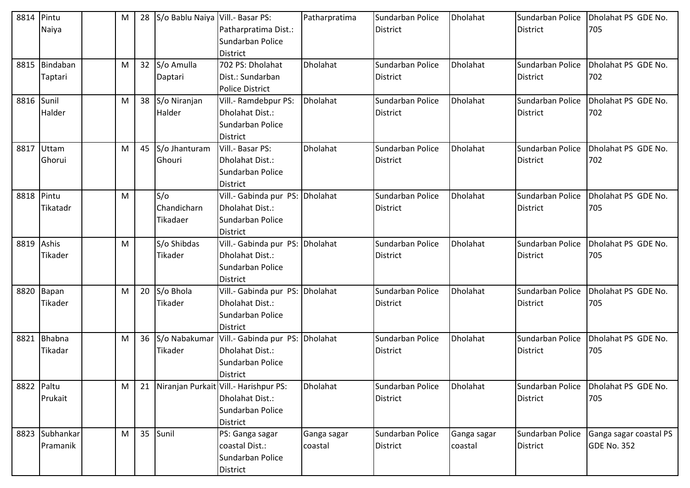| 8814 Pintu |                | M | 28 | S/o Bablu Naiya Vill.- Basar PS: |                                          | Patharpratima | Sundarban Police | Dholahat        | Sundarban Police | Dholahat PS GDE No.    |
|------------|----------------|---|----|----------------------------------|------------------------------------------|---------------|------------------|-----------------|------------------|------------------------|
|            | Naiya          |   |    |                                  | Patharpratima Dist.:                     |               | <b>District</b>  |                 | <b>District</b>  | 705                    |
|            |                |   |    |                                  | Sundarban Police                         |               |                  |                 |                  |                        |
|            |                |   |    |                                  | <b>District</b>                          |               |                  |                 |                  |                        |
|            | 8815 Bindaban  | M |    | 32 S/o Amulla                    | 702 PS: Dholahat                         | Dholahat      | Sundarban Police | Dholahat        | Sundarban Police | Dholahat PS GDE No.    |
|            | Taptari        |   |    | Daptari                          | Dist.: Sundarban                         |               | <b>District</b>  |                 | <b>District</b>  | 702                    |
|            |                |   |    |                                  | <b>Police District</b>                   |               |                  |                 |                  |                        |
| 8816 Sunil |                | M |    | 38 S/o Niranjan                  | Vill.- Ramdebpur PS:                     | Dholahat      | Sundarban Police | <b>Dholahat</b> | Sundarban Police | Dholahat PS GDE No.    |
|            | Halder         |   |    | Halder                           | Dholahat Dist.:                          |               | <b>District</b>  |                 | <b>District</b>  | 702                    |
|            |                |   |    |                                  | Sundarban Police                         |               |                  |                 |                  |                        |
|            |                |   |    |                                  | <b>District</b>                          |               |                  |                 |                  |                        |
|            | 8817 Uttam     | M |    | 45 S/o Jhanturam                 | Vill .- Basar PS:                        | Dholahat      | Sundarban Police | Dholahat        | Sundarban Police | Dholahat PS GDE No.    |
|            | Ghorui         |   |    | Ghouri                           | Dholahat Dist.:                          |               | <b>District</b>  |                 | <b>District</b>  | 702                    |
|            |                |   |    |                                  | Sundarban Police                         |               |                  |                 |                  |                        |
|            |                |   |    |                                  | <b>District</b>                          |               |                  |                 |                  |                        |
| 8818 Pintu |                | M |    | S/O                              | Vill.- Gabinda pur PS: Dholahat          |               | Sundarban Police | Dholahat        | Sundarban Police | Dholahat PS GDE No.    |
|            | Tikatadr       |   |    | Chandicharn                      | Dholahat Dist.:                          |               | <b>District</b>  |                 | <b>District</b>  | 705                    |
|            |                |   |    | Tikadaer                         | Sundarban Police                         |               |                  |                 |                  |                        |
|            |                |   |    |                                  | <b>District</b>                          |               |                  |                 |                  |                        |
| 8819 Ashis |                | M |    | S/o Shibdas                      | Vill.- Gabinda pur PS: Dholahat          |               | Sundarban Police | Dholahat        | Sundarban Police | Dholahat PS GDE No.    |
|            | Tikader        |   |    | Tikader                          | Dholahat Dist.:                          |               | <b>District</b>  |                 | <b>District</b>  | 705                    |
|            |                |   |    |                                  | Sundarban Police                         |               |                  |                 |                  |                        |
|            |                |   |    |                                  | <b>District</b>                          |               |                  |                 |                  |                        |
|            | 8820 Bapan     | M |    | 20 S/o Bhola                     | Vill .- Gabinda pur PS: Dholahat         |               | Sundarban Police | Dholahat        | Sundarban Police | Dholahat PS GDE No.    |
|            | Tikader        |   |    | Tikader                          | Dholahat Dist.:                          |               | <b>District</b>  |                 | <b>District</b>  | 705                    |
|            |                |   |    |                                  | Sundarban Police                         |               |                  |                 |                  |                        |
|            |                |   |    |                                  | <b>District</b>                          |               |                  |                 |                  |                        |
|            | 8821 Bhabna    | M |    | 36 S/o Nabakumar                 | Vill.- Gabinda pur PS: Dholahat          |               | Sundarban Police | Dholahat        | Sundarban Police | Dholahat PS GDE No.    |
|            | Tikadar        |   |    | Tikader                          | Dholahat Dist.:                          |               | <b>District</b>  |                 | <b>District</b>  | 705                    |
|            |                |   |    |                                  | Sundarban Police                         |               |                  |                 |                  |                        |
|            |                |   |    |                                  | <b>District</b>                          |               |                  |                 |                  |                        |
| 8822 Paltu |                | M |    |                                  | 21 Niranjan Purkait Vill.- Harishpur PS: | Dholahat      | Sundarban Police | Dholahat        | Sundarban Police | Dholahat PS GDE No.    |
|            | Prukait        |   |    |                                  | Dholahat Dist.:                          |               | <b>District</b>  |                 | <b>District</b>  | 705                    |
|            |                |   |    |                                  | Sundarban Police                         |               |                  |                 |                  |                        |
|            |                |   |    |                                  | <b>District</b>                          |               |                  |                 |                  |                        |
|            | 8823 Subhankar | M |    | 35 Sunil                         | PS: Ganga sagar                          | Ganga sagar   | Sundarban Police | Ganga sagar     | Sundarban Police | Ganga sagar coastal PS |
|            | Pramanik       |   |    |                                  | coastal Dist.:                           | coastal       | <b>District</b>  | coastal         | <b>District</b>  | <b>GDE No. 352</b>     |
|            |                |   |    |                                  | Sundarban Police                         |               |                  |                 |                  |                        |
|            |                |   |    |                                  | District                                 |               |                  |                 |                  |                        |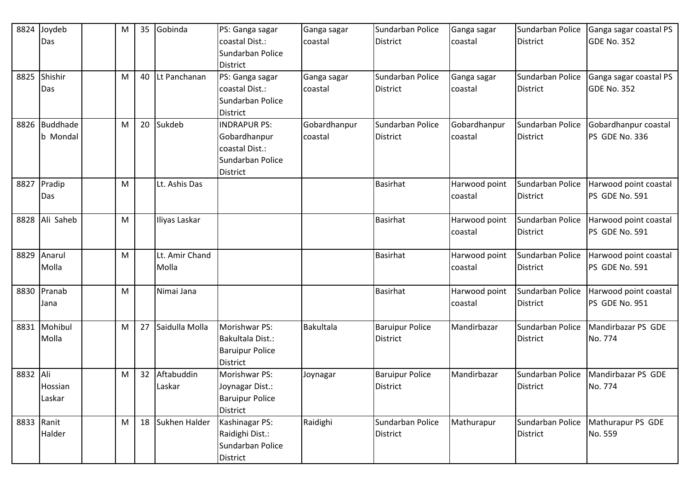| 8824       | Joydeb        | M | 35              | Gobinda           | PS: Ganga sagar        | Ganga sagar  | Sundarban Police       | Ganga sagar   | Sundarban Police | Ganga sagar coastal PS |
|------------|---------------|---|-----------------|-------------------|------------------------|--------------|------------------------|---------------|------------------|------------------------|
|            | Das           |   |                 |                   | coastal Dist.:         | coastal      | <b>District</b>        | coastal       | <b>District</b>  | <b>GDE No. 352</b>     |
|            |               |   |                 |                   | Sundarban Police       |              |                        |               |                  |                        |
|            |               |   |                 |                   | <b>District</b>        |              |                        |               |                  |                        |
| 8825       | Shishir       | M |                 | 40 Lt Panchanan   | PS: Ganga sagar        | Ganga sagar  | Sundarban Police       | Ganga sagar   | Sundarban Police | Ganga sagar coastal PS |
|            | Das           |   |                 |                   | coastal Dist.:         | coastal      | <b>District</b>        | coastal       | <b>District</b>  | <b>GDE No. 352</b>     |
|            |               |   |                 |                   | Sundarban Police       |              |                        |               |                  |                        |
|            |               |   |                 |                   | District               |              |                        |               |                  |                        |
|            | 8826 Buddhade | M |                 | 20 Sukdeb         | <b>INDRAPUR PS:</b>    | Gobardhanpur | Sundarban Police       | Gobardhanpur  | Sundarban Police | Gobardhanpur coastal   |
|            | b Mondal      |   |                 |                   | Gobardhanpur           | coastal      | <b>District</b>        | coastal       | <b>District</b>  | PS GDE No. 336         |
|            |               |   |                 |                   | coastal Dist.:         |              |                        |               |                  |                        |
|            |               |   |                 |                   | Sundarban Police       |              |                        |               |                  |                        |
|            |               |   |                 |                   | <b>District</b>        |              |                        |               |                  |                        |
|            | 8827 Pradip   | M |                 | Lt. Ashis Das     |                        |              | <b>Basirhat</b>        | Harwood point | Sundarban Police | Harwood point coastal  |
|            | Das           |   |                 |                   |                        |              |                        | coastal       | <b>District</b>  | PS GDE No. 591         |
|            |               |   |                 |                   |                        |              |                        |               |                  |                        |
| 8828       | Ali Saheb     | M |                 | Iliyas Laskar     |                        |              | <b>Basirhat</b>        | Harwood point | Sundarban Police | Harwood point coastal  |
|            |               |   |                 |                   |                        |              |                        | coastal       | <b>District</b>  | PS GDE No. 591         |
|            |               |   |                 |                   |                        |              |                        |               |                  |                        |
| 8829       | Anarul        | M |                 | Lt. Amir Chand    |                        |              | <b>Basirhat</b>        | Harwood point | Sundarban Police | Harwood point coastal  |
|            | Molla         |   |                 | Molla             |                        |              |                        | coastal       | <b>District</b>  | PS GDE No. 591         |
|            |               |   |                 |                   |                        |              |                        |               |                  |                        |
|            | 8830 Pranab   | M |                 | Nimai Jana        |                        |              | Basirhat               | Harwood point | Sundarban Police | Harwood point coastal  |
|            | Jana          |   |                 |                   |                        |              |                        | coastal       | <b>District</b>  | PS GDE No. 951         |
|            |               |   |                 |                   |                        |              |                        |               |                  |                        |
|            | 8831 Mohibul  | M |                 | 27 Saidulla Molla | Morishwar PS:          | Bakultala    | <b>Baruipur Police</b> | Mandirbazar   | Sundarban Police | Mandirbazar PS GDE     |
|            | Molla         |   |                 |                   | Bakultala Dist.:       |              | <b>District</b>        |               | <b>District</b>  | No. 774                |
|            |               |   |                 |                   | <b>Baruipur Police</b> |              |                        |               |                  |                        |
|            |               |   |                 |                   | <b>District</b>        |              |                        |               |                  |                        |
| 8832 Ali   |               | M | 32 <sup>2</sup> | Aftabuddin        | Morishwar PS:          | Joynagar     | <b>Baruipur Police</b> | Mandirbazar   | Sundarban Police | Mandirbazar PS GDE     |
|            | Hossian       |   |                 | Laskar            | Joynagar Dist.:        |              | <b>District</b>        |               | District         | No. 774                |
|            | Laskar        |   |                 |                   | <b>Baruipur Police</b> |              |                        |               |                  |                        |
|            |               |   |                 |                   | <b>District</b>        |              |                        |               |                  |                        |
| 8833 Ranit |               | M |                 | 18 Sukhen Halder  | Kashinagar PS:         | Raidighi     | Sundarban Police       | Mathurapur    | Sundarban Police | Mathurapur PS GDE      |
|            | Halder        |   |                 |                   | Raidighi Dist.:        |              | <b>District</b>        |               | <b>District</b>  | No. 559                |
|            |               |   |                 |                   | Sundarban Police       |              |                        |               |                  |                        |
|            |               |   |                 |                   | District               |              |                        |               |                  |                        |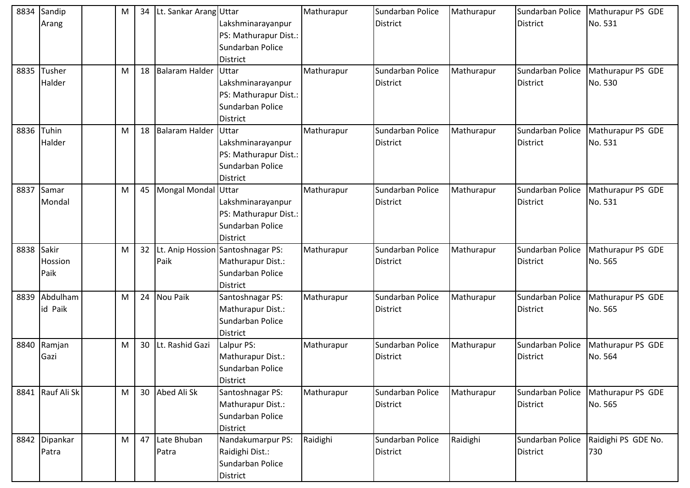| 8834 | Sandip<br>Arang          | М | 34              | Lt. Sankar Arang Uttar | Lakshminarayanpur<br>PS: Mathurapur Dist.:<br>Sundarban Police<br><b>District</b>             | Mathurapur | Sundarban Police<br><b>District</b> | Mathurapur | Sundarban Police<br><b>District</b> | Mathurapur PS GDE<br>No. 531 |
|------|--------------------------|---|-----------------|------------------------|-----------------------------------------------------------------------------------------------|------------|-------------------------------------|------------|-------------------------------------|------------------------------|
| 8835 | Tusher<br>Halder         | M | 18              | Balaram Halder         | Uttar<br>Lakshminarayanpur<br>PS: Mathurapur Dist.:<br>Sundarban Police<br><b>District</b>    | Mathurapur | Sundarban Police<br><b>District</b> | Mathurapur | Sundarban Police<br><b>District</b> | Mathurapur PS GDE<br>No. 530 |
| 8836 | Tuhin<br>Halder          | M | 18              | Balaram Halder         | Uttar<br>Lakshminarayanpur<br>PS: Mathurapur Dist.:<br>Sundarban Police<br><b>District</b>    | Mathurapur | Sundarban Police<br><b>District</b> | Mathurapur | Sundarban Police<br><b>District</b> | Mathurapur PS GDE<br>No. 531 |
| 8837 | Samar<br>Mondal          | M | 45              | Mongal Mondal Uttar    | Lakshminarayanpur<br>PS: Mathurapur Dist.:<br>Sundarban Police<br><b>District</b>             | Mathurapur | Sundarban Police<br><b>District</b> | Mathurapur | Sundarban Police<br><b>District</b> | Mathurapur PS GDE<br>No. 531 |
| 8838 | Sakir<br>Hossion<br>Paik | M | 32              | Paik                   | Lt. Anip Hossion Santoshnagar PS:<br>Mathurapur Dist.:<br>Sundarban Police<br><b>District</b> | Mathurapur | Sundarban Police<br><b>District</b> | Mathurapur | Sundarban Police<br><b>District</b> | Mathurapur PS GDE<br>No. 565 |
| 8839 | Abdulham<br>id Paik      | M | 24              | <b>Nou Paik</b>        | Santoshnagar PS:<br>Mathurapur Dist.:<br>Sundarban Police<br><b>District</b>                  | Mathurapur | Sundarban Police<br><b>District</b> | Mathurapur | Sundarban Police<br><b>District</b> | Mathurapur PS GDE<br>No. 565 |
| 8840 | Ramjan<br>Gazi           | M | 30              | Lt. Rashid Gazi        | Lalpur PS:<br>Mathurapur Dist.:<br>Sundarban Police<br><b>District</b>                        | Mathurapur | Sundarban Police<br>District        | Mathurapur | Sundarban Police<br><b>District</b> | Mathurapur PS GDE<br>No. 564 |
|      | 8841 Rauf Ali Sk         | M | 30 <sup>1</sup> | Abed Ali Sk            | Santoshnagar PS:<br>Mathurapur Dist.:<br>Sundarban Police<br><b>District</b>                  | Mathurapur | Sundarban Police<br><b>District</b> | Mathurapur | Sundarban Police<br>District        | Mathurapur PS GDE<br>No. 565 |
|      | 8842 Dipankar<br>Patra   | M | 47              | Late Bhuban<br>Patra   | Nandakumarpur PS:<br>Raidighi Dist.:<br>Sundarban Police<br><b>District</b>                   | Raidighi   | Sundarban Police<br><b>District</b> | Raidighi   | Sundarban Police<br>District        | Raidighi PS GDE No.<br>730   |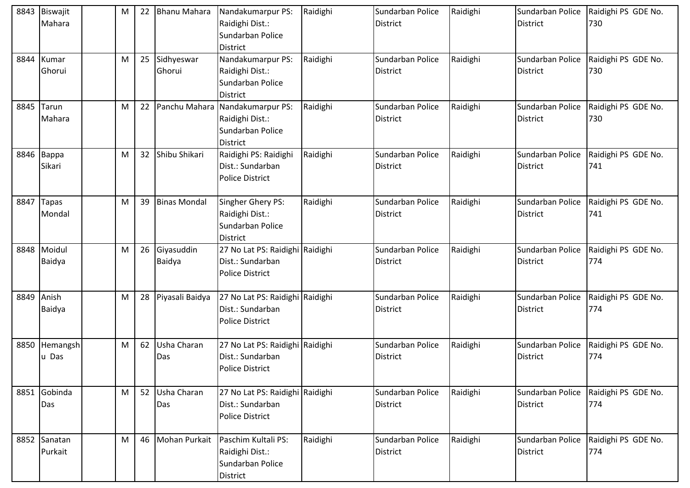| 8843 | Biswajit<br>Mahara      | M | 22              | <b>Bhanu Mahara</b>  | Nandakumarpur PS:<br>Raidighi Dist.:<br>Sundarban Police<br><b>District</b>   | Raidighi | Sundarban Police<br><b>District</b> | Raidighi | Sundarban Police<br><b>District</b> | Raidighi PS GDE No.<br>730 |
|------|-------------------------|---|-----------------|----------------------|-------------------------------------------------------------------------------|----------|-------------------------------------|----------|-------------------------------------|----------------------------|
| 8844 | Kumar<br>Ghorui         | M | 25              | Sidhyeswar<br>Ghorui | Nandakumarpur PS:<br>Raidighi Dist.:<br>Sundarban Police<br><b>District</b>   | Raidighi | Sundarban Police<br><b>District</b> | Raidighi | Sundarban Police<br><b>District</b> | Raidighi PS GDE No.<br>730 |
| 8845 | Tarun<br>Mahara         | M | 22              | Panchu Mahara        | Nandakumarpur PS:<br>Raidighi Dist.:<br>Sundarban Police<br><b>District</b>   | Raidighi | Sundarban Police<br><b>District</b> | Raidighi | Sundarban Police<br><b>District</b> | Raidighi PS GDE No.<br>730 |
| 8846 | Bappa<br>Sikari         | M | 32 <sup>2</sup> | Shibu Shikari        | Raidighi PS: Raidighi<br>Dist.: Sundarban<br><b>Police District</b>           | Raidighi | Sundarban Police<br><b>District</b> | Raidighi | Sundarban Police<br><b>District</b> | Raidighi PS GDE No.<br>741 |
| 8847 | <b>Tapas</b><br>Mondal  | M | 39              | <b>Binas Mondal</b>  | Singher Ghery PS:<br>Raidighi Dist.:<br>Sundarban Police<br><b>District</b>   | Raidighi | Sundarban Police<br><b>District</b> | Raidighi | Sundarban Police<br><b>District</b> | Raidighi PS GDE No.<br>741 |
| 8848 | Moidul<br>Baidya        | M | 26              | Giyasuddin<br>Baidya | 27 No Lat PS: Raidighi Raidighi<br>Dist.: Sundarban<br><b>Police District</b> |          | Sundarban Police<br><b>District</b> | Raidighi | Sundarban Police<br><b>District</b> | Raidighi PS GDE No.<br>774 |
| 8849 | Anish<br>Baidya         | M | 28              | Piyasali Baidya      | 27 No Lat PS: Raidighi Raidighi<br>Dist.: Sundarban<br><b>Police District</b> |          | Sundarban Police<br><b>District</b> | Raidighi | Sundarban Police<br><b>District</b> | Raidighi PS GDE No.<br>774 |
| 8850 | Hemangsh<br>u Das       | M | 62              | Usha Charan<br>Das   | 27 No Lat PS: Raidighi Raidighi<br>Dist.: Sundarban<br><b>Police District</b> |          | Sundarban Police<br><b>District</b> | Raidighi | Sundarban Police<br><b>District</b> | Raidighi PS GDE No.<br>774 |
|      | 8851 Gobinda<br>Das     | M | 52              | Usha Charan<br>Das   | 27 No Lat PS: Raidighi Raidighi<br>Dist.: Sundarban<br><b>Police District</b> |          | Sundarban Police<br>District        | Raidighi | Sundarban Police<br><b>District</b> | Raidighi PS GDE No.<br>774 |
|      | 8852 Sanatan<br>Purkait | M | 46              | <b>Mohan Purkait</b> | Paschim Kultali PS:<br>Raidighi Dist.:<br>Sundarban Police<br><b>District</b> | Raidighi | Sundarban Police<br><b>District</b> | Raidighi | Sundarban Police<br><b>District</b> | Raidighi PS GDE No.<br>774 |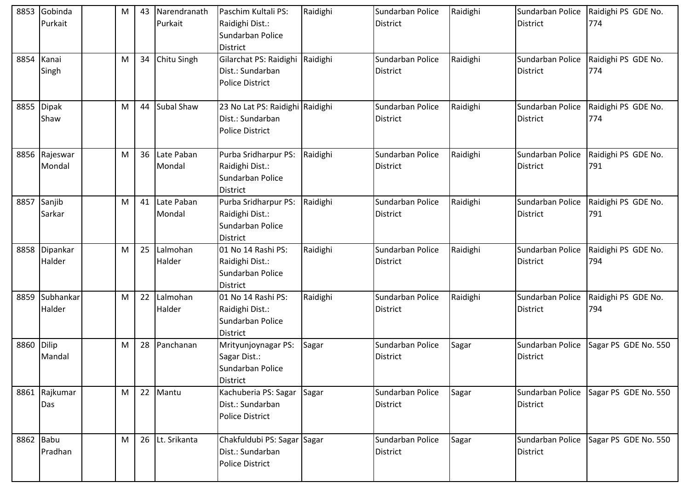| 8853       | Gobinda<br>Purkait    | M | 43 | Narendranath<br>Purkait | Paschim Kultali PS:<br>Raidighi Dist.:<br>Sundarban Police<br><b>District</b>  | Raidighi | Sundarban Police<br><b>District</b> | Raidighi | Sundarban Police<br><b>District</b> | Raidighi PS GDE No.<br>774 |
|------------|-----------------------|---|----|-------------------------|--------------------------------------------------------------------------------|----------|-------------------------------------|----------|-------------------------------------|----------------------------|
| 8854       | Kanai<br>Singh        | м |    | 34 Chitu Singh          | Gilarchat PS: Raidighi<br>Dist.: Sundarban<br><b>Police District</b>           | Raidighi | Sundarban Police<br><b>District</b> | Raidighi | Sundarban Police<br><b>District</b> | Raidighi PS GDE No.<br>774 |
| 8855       | <b>Dipak</b><br>Shaw  | M |    | 44 Subal Shaw           | 23 No Lat PS: Raidighi Raidighi<br>Dist.: Sundarban<br><b>Police District</b>  |          | Sundarban Police<br><b>District</b> | Raidighi | Sundarban Police<br><b>District</b> | Raidighi PS GDE No.<br>774 |
| 8856       | Rajeswar<br>Mondal    | M | 36 | Late Paban<br>Mondal    | Purba Sridharpur PS:<br>Raidighi Dist.:<br>Sundarban Police<br><b>District</b> | Raidighi | Sundarban Police<br><b>District</b> | Raidighi | Sundarban Police<br><b>District</b> | Raidighi PS GDE No.<br>791 |
|            | 8857 Sanjib<br>Sarkar | M | 41 | Late Paban<br>Mondal    | Purba Sridharpur PS:<br>Raidighi Dist.:<br>Sundarban Police<br><b>District</b> | Raidighi | Sundarban Police<br><b>District</b> | Raidighi | Sundarban Police<br><b>District</b> | Raidighi PS GDE No.<br>791 |
| 8858       | Dipankar<br>Halder    | M | 25 | Lalmohan<br>Halder      | 01 No 14 Rashi PS:<br>Raidighi Dist.:<br>Sundarban Police<br><b>District</b>   | Raidighi | Sundarban Police<br>District        | Raidighi | Sundarban Police<br><b>District</b> | Raidighi PS GDE No.<br>794 |
| 8859       | Subhankar<br>Halder   | M | 22 | Lalmohan<br>Halder      | 01 No 14 Rashi PS:<br>Raidighi Dist.:<br>Sundarban Police<br><b>District</b>   | Raidighi | Sundarban Police<br><b>District</b> | Raidighi | Sundarban Police<br><b>District</b> | Raidighi PS GDE No.<br>794 |
| 8860 Dilip | Mandal                | M | 28 | Panchanan               | Mrityunjoynagar PS:<br>Sagar Dist.:<br>Sundarban Police<br><b>District</b>     | Sagar    | Sundarban Police<br>District        | Sagar    | Sundarban Police<br><b>District</b> | Sagar PS GDE No. 550       |
|            | 8861 Rajkumar<br>Das  | M |    | 22 Mantu                | Kachuberia PS: Sagar<br>Dist.: Sundarban<br><b>Police District</b>             | Sagar    | Sundarban Police<br>District        | Sagar    | Sundarban Police<br><b>District</b> | Sagar PS GDE No. 550       |
| 8862 Babu  | Pradhan               | М |    | 26 Lt. Srikanta         | Chakfuldubi PS: Sagar Sagar<br>Dist.: Sundarban<br><b>Police District</b>      |          | Sundarban Police<br><b>District</b> | Sagar    | Sundarban Police<br><b>District</b> | Sagar PS GDE No. 550       |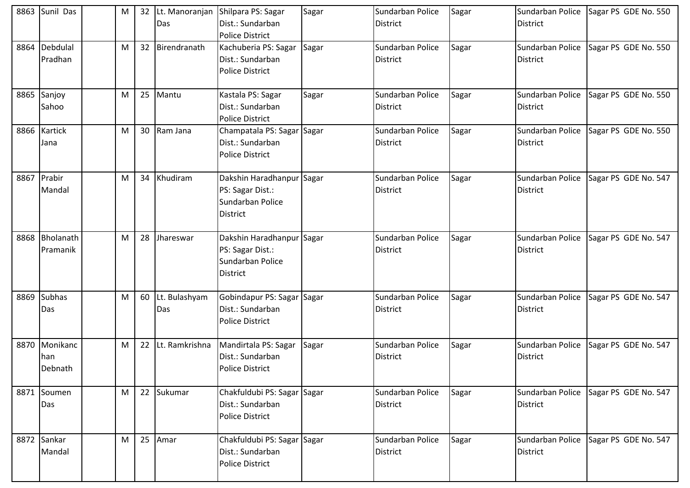| 8863 | Sunil Das                       | M |    | 32 Lt. Manoranjan<br>Das | Shilpara PS: Sagar<br>Dist.: Sundarban<br><b>Police District</b>                     | Sagar | Sundarban Police<br><b>District</b> | Sagar | Sundarban Police<br><b>District</b> | Sagar PS GDE No. 550 |
|------|---------------------------------|---|----|--------------------------|--------------------------------------------------------------------------------------|-------|-------------------------------------|-------|-------------------------------------|----------------------|
| 8864 | Debdulal<br>Pradhan             | м |    | 32 Birendranath          | Kachuberia PS: Sagar<br>Dist.: Sundarban<br><b>Police District</b>                   | Sagar | Sundarban Police<br><b>District</b> | Sagar | Sundarban Police<br><b>District</b> | Sagar PS GDE No. 550 |
| 8865 | Sanjoy<br>Sahoo                 | M | 25 | Mantu                    | Kastala PS: Sagar<br>Dist.: Sundarban<br><b>Police District</b>                      | Sagar | Sundarban Police<br><b>District</b> | Sagar | Sundarban Police<br><b>District</b> | Sagar PS GDE No. 550 |
|      | 8866 Kartick<br>Jana            | м |    | 30 Ram Jana              | Champatala PS: Sagar Sagar<br>Dist.: Sundarban<br><b>Police District</b>             |       | Sundarban Police<br><b>District</b> | Sagar | Sundarban Police<br><b>District</b> | Sagar PS GDE No. 550 |
|      | 8867 Prabir<br>Mandal           | м |    | 34 Khudiram              | Dakshin Haradhanpur Sagar<br>PS: Sagar Dist.:<br>Sundarban Police<br><b>District</b> |       | Sundarban Police<br><b>District</b> | Sagar | Sundarban Police<br><b>District</b> | Sagar PS GDE No. 547 |
| 8868 | Bholanath<br>Pramanik           | M | 28 | Jhareswar                | Dakshin Haradhanpur Sagar<br>PS: Sagar Dist.:<br>Sundarban Police<br><b>District</b> |       | Sundarban Police<br><b>District</b> | Sagar | Sundarban Police<br><b>District</b> | Sagar PS GDE No. 547 |
| 8869 | <b>Subhas</b><br>Das            | M |    | 60 Lt. Bulashyam<br>Das  | Gobindapur PS: Sagar<br>Dist.: Sundarban<br><b>Police District</b>                   | Sagar | Sundarban Police<br><b>District</b> | Sagar | Sundarban Police<br><b>District</b> | Sagar PS GDE No. 547 |
|      | 8870 Monikanc<br>han<br>Debnath | M |    | 22 Lt. Ramkrishna        | Mandirtala PS: Sagar<br>Dist.: Sundarban<br><b>Police District</b>                   | Sagar | Sundarban Police<br>District        | Sagar | Sundarban Police<br><b>District</b> | Sagar PS GDE No. 547 |
|      | 8871 Soumen<br>Das              | M |    | 22 Sukumar               | Chakfuldubi PS: Sagar Sagar<br>Dist.: Sundarban<br><b>Police District</b>            |       | Sundarban Police<br><b>District</b> | Sagar | Sundarban Police<br><b>District</b> | Sagar PS GDE No. 547 |
|      | 8872 Sankar<br>Mandal           | M |    | 25 Amar                  | Chakfuldubi PS: Sagar Sagar<br>Dist.: Sundarban<br><b>Police District</b>            |       | Sundarban Police<br><b>District</b> | Sagar | Sundarban Police<br><b>District</b> | Sagar PS GDE No. 547 |